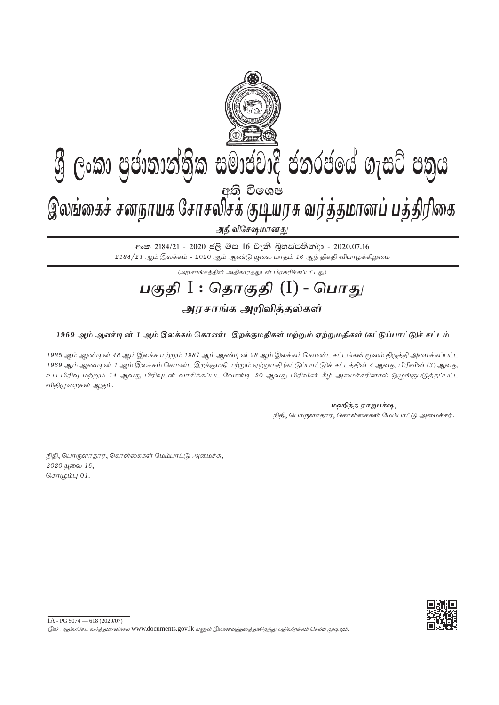

## **ශී ලංකා පුජාතාන්තික සමාජවාදී ජනරජයේ ගැසට් පතුය** අති වි**ං**ශෂ

இலங்கைச் சனநாயக சோசலிசக் குடியரசு வர்த்தமானப் பத்திரிகை

அதி விசேஷமான <u>த</u>ு

අංක 2184/21 - 2020 ජූලි මස 16 වැනි බූහස්පතින්දා - 2020.07.16  $2184/21$  ஆம் இலக்கம் -  $2020$  ஆம் ஆண்டு யூலை மாதம் 16 ஆந் திகதி வியாழக்கிழமை

 $\overline{(\mathcal{A}^{\eta}\mathcal{A}^{\eta}\mathcal{A}^{\eta}\mathcal{A}^{\eta})}$ ன் பிரசுரிக்கப்பட்டது)

# **gFjp** I : **njhFjp** (I) - **nghJ**

### அரசாங்க அறிவித்தல்கள்

### 1969 ஆம் ஆண்டின் 1 ஆம் இலக்கம் கொண்ட இறக்குமதிகள் மற்றும் ஏற்றுமதிகள் (கட்டுப்பாட்டு)ச் சட்டம்

1985 ஆம் ஆண்டின் 48 ஆம் இலக்க மற்றும் 1987 ஆம் ஆண்டின் 28 ஆம் இலக்கம் கொண்ட சட்டங்கள் மூலம் கிருக்கி அமைக்கப்பட்ட 1969 ஆம் ஆண்டின் 1 ஆம் இலக்கம் கொண்ட இறக்குமதி மற்றும் ஏற்றுமதி (கட்டுப்பாட்டு)ச் சட்டத்தின் 4 ஆவது பிரிவின் (3) ஆவது உப பிரிவு மற்றும் 14 ஆவது பிரிவுடன் வாசிக்கப்பட வேண்டி 20 ஆவது பிரிவின் கீழ் அமைச்சரினால் ஒழுங்குபடுத்தப்பட்ட விதிமுறைகள் ஆகும்.

**மஹிந்த ராஜபக்ஷ,** 

நிதி, பொருளாதார, கொள்கைகள் மேம்பாட்டு அமைச்சர்.

நிதி, பொருளாதார, கொள்கைகள் மேம்பாட்டு அமைச்சு,  $2020$  щைலை  $16$ , சொழும்பு  $01$ .

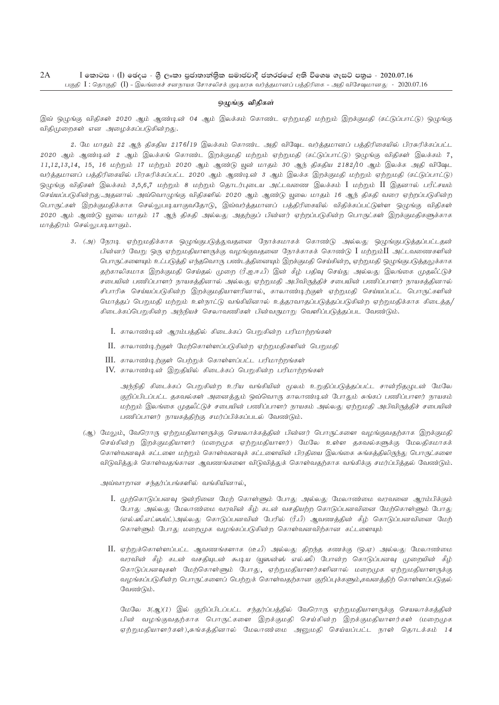#### ஒழுங்கு விதிகள்

இவ் ஒழுங்கு விதிகள் 2020 ஆம் ஆண்டின் 04 ஆம் இலக்கம் கொண்ட ஏற்றுமதி மற்றும் இறக்குமதி (கட்டுப்பாட்டு) ஒழுங்கு விதிமுறைகள் என அழைக்கப்படுகின்றது.

2. மே மாதம் 22 ஆந் திகதிய 2176/19 இலக்கம் கொண்ட அதி விஷேட வர்த்தமானப் பத்திரிகையில் பிரசுரிக்கப்பட்ட 2020 ஆம் ஆண்டின் 2 ஆம் இலக்கங் கொண்ட இறக்குமதி மற்றும் ஏற்றுமதி (கட்டுப்பாட்டு) ஒழுங்கு விதிகள் இலக்கம் 7,  $11,12,13,14$ ,  $15$ ,  $16$  மற்றும்  $17$  மற்றும்  $2020$  ஆம் ஆண்டு யூன் மாதம்  $30$  ஆந் திகதிய  $2182/10$  ஆம் இலக்க அதி விஷேட வர்த்தமானப் பத்திரிகையில் பிரசுரிக்கப்பட்ட 2020 ஆம் ஆண்டின் 3 ஆம் இலக்க இறக்குமதி மற்றும் ஏற்றுமதி (கட்டுப்பாட்டு) ஒழுங்கு விதிகள் இலக்கம் 3,5,6,7 மற்றும் 8 மற்றும் தொடர்புடைய அட்டவணை இலக்கம்  $\rm I$  மற்றும்  $\rm II$  இதனால் பரீட்சயம் செய்யப்படுகின்றது.அதனால் அவ்வொழுங்கு விதிகளில் 2020 ஆம் ஆண்டு யுலை மாதம் 16 ஆந் திகதி வரை ஏற்றப்படுகின்ற பொருட்கள் இறக்குமதிக்காக செல்லுபடியாகுவதோடு, இவ்வர்த்தமானப் பத்திரிகையில் விதிக்கப்பட்டுள்ள ஒழுங்கு விதிகள் 2020 ஆம் ஆண்டு யூலை மாதம் 17 ஆந் திகதி அல்லது அதற்குப் பின்னர் ஏற்றப்படுகின்ற பொருட்கள் இறக்குமதிகளுக்காக மாத்திரம் செல்லுபடியாகும்.

- 3. (அ) நேரடி ஏற்றுமதிக்காக ஒழுங்குபடுத்துவதனை நோக்கமாகக் கொண்டு அல்லது ஒழுங்குபடுத்தப்பட்டதன் பின்னர் வேறு ஒரு ஏற்றுமதியாளருக்கு வழங்குவதனை நோக்காகக் கொண்டு  $I$  மற்றும் $II$  அட்டவணைகளின் பொருட்களையும் உட்படுத்தி எந்தவொரு பண்டத்தினையும் இறக்குமதி செய்கின்ற, ஏற்றுமதி ஒழுங்குபடுத்தலுக்காக தற்காலிகமாக இறக்குமதி செய்தல் முறை (ரீ.ஐ.ஈ.பீ) இன் கீழ் பதிவு செய்து அல்லது இலங்கை முதலீட்டுச் சபையின் பணிப்பாளர் நாயகத்தினால் அல்லது ஏற்றுமதி அபிவிருத்திச் சபையின் பணிப்பாளர் நாயகத்தினால் சிபாரிசு செய்யப்படுகின்ற இறக்குமதியாளரினால், காலாண்டிற்குள் ஏற்றுமதி செய்யப்பட்ட பொருட்களின் மொத்தப் பெறுமதி மற்றும் உள்நாட்டு வங்கியினால் உத்தரவாதப்படுத்தப்படுகின்ற ஏற்றுமதிக்காக கிடைத்த/ கிடைக்கப்பெறுகின்ற அந்நியச் செலாவணிகள் பின்வருமாறு வெளிப்படுத்தப்பட வேண்டும்.
	- $I.$  காலாண்டின் ஆரம்பத்தில் கிடைக்கப் பெறுகின்ற பரிமாற்றங்கள்
	- $II.$  காலாண்டிற்குள் மேற்கொள்ளப்படுகின்ற ஏற்றுமதிகளின் பெறுமதி
	- $III.$  காலாண்டிற்குள் பெற்றுக் கொள்ளப்பட்ட பரிமாற்றங்கள்
	- $IV.$  காலாண்டின் இறுதியில் கிடைக்கப் பெறுகின்ற பரிமாற்றங்கள்

அந்நிதி கிடைக்கப் பெறுகின்ற உரிய வங்கியின் மூலம் உறுதிப்படுத்தப்பட்ட சான்றிதழுடன் மேலே குறிப்பிடப்பட்ட தகவல்கள் அனைத்தும் ஒவ்வொரு காலாண்டின் போதும் சுங்கப் பணிப்பாளர் நாயகம் மற்றும் இலங்கை முதலீட்டுச் சபையின் பணிப்பாளர் நாயகம் அல்லது ஏற்றுமதி அபிவிருத்திச் சபையின் பணிப்பாளர் நாயகத்திற்கு சமர்ப்பிக்கப்படல் வேண்டும்.

(ஆ) மேலும், வேரொரு ஏற்றுமதியாளருக்கு செயலாக்கத்தின் பின்னர் பொருட்களை வழங்குவதற்காக இறக்குமதி செய்கின்ற இறக்குமதியாளர் (மறைமுக ஏற்றுமதியாளர்) மேலே உள்ள தகவல்களுக்கு மேலதிகமாகக் கொள்வனவுக் கட்டளை மற்றும் கொள்வனவுக் கட்டளையின் பிரதியை இலங்கை சுங்கத்திலிருந்து பொருட்களை விடுவித்துக் கொள்வதங்கான ஆவணங்களை விடுவித்துக் கொள்வதற்காக வங்கிக்கு சமர்ப்பித்தல் வேண்டும்.

அவ்வாறான சந்தர்ப்பங்களில் வங்கியினால்,

- I. முற்கொடுப்பனவு ஒன்றினை மேற் கொள்ளும் போது அல்லது மேலாண்மை வரவனை ஆரம்பிக்கும் போது அல்லது மேலாண்மை வரவின் கீழ் கடன் வசதியற்ற கொடுப்பனவினை மேற்கொள்ளும் போது (எல்.ஸீ.எட்ஸய்ட்)அல்லது கொடுப்பனவின் பேரில் (ரீ.பீ) ஆவணக்தின் கீழ் கொடுப்பனவினை மேற் கொள்ளும் போது மறைமுக வழங்கப்படுகின்ற கொள்வனவிற்கான கட்டளையும்
- $II$ . ஏற்றுக்கொள்ளப்பட்ட ஆவணங்களாக (டீ.பீ) அல்லது திறந்த கணக்கு (ஒ.ஏ) அல்லது மேலாண்மை வரவின் கீழ் கடன் வசகியுடன் கூடிய (யுஸன்ஸ் எல்.ஸீ) போன்ற கொடுப்பனவு முறையின் கீழ் கொடுப்பனவுகள் மேற்கொள்ளும் போது, ஏற்றுமதியாளர்களினால் மறைமுக ஏற்றுமதியாளருக்கு வழங்கப்படுகின்ற பொருட்களைப் பெற்றுக் கொள்வதற்கான குறிப்புக்களும்,கவனத்திற் கொள்ளப்படுதல் வேண்டும்.

மேலே  $3(\mathcal{A})(1)$  இல் குறிப்பிடப்பட்ட சந்தர்ப்பத்தில் வேரொரு ஏற்றுமதியாளருக்கு செயலாக்கத்தின் பின் வழங்குவதற்காக பொருட்களை இறக்குமதி செய்கின்ற இறக்குமதியாளர்கள் (மறைமுக ஏற்றுமதியாளர்கள்),சுங்கத்தினால் மேலாண்மை அனுமதி செய்யப்பட்ட நாள் தொடக்கம் 14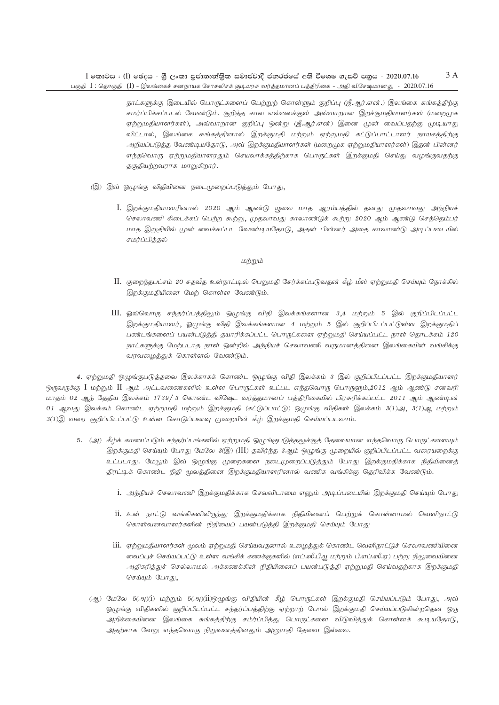நாட்களுக்கு இடையில் பொருட்களைப் பெற்றுற் கொள்ளும் குறிப்பு (ஜீ.ஆர்.என்.) இலங்கை சுங்கத்திற்கு சமர்ப்பிக்கப்படல் வேண்டும். குறித்த கால எல்லைக்குள் அவ்வாறான இறக்குமதியாளர்கள் (மறைமுக ஏற்றுமதியாளர்கள்), அவ்வாறான குறிப்பு ஒன்று (ஜீ.ஆர்.என்) இனை முன் வைப்பதற்கு முடியாது விட்டால், இலங்கை சுங்கத்தினால் இறக்குமதி மற்றும் ஏற்றுமதி கட்டுப்பாட்டாளர் நாயகத்திற்கு அறியப்படுத்த வேண்டியதோடு, அவ் இறக்குமதியாளர்கள் (மறைமுக ஏற்றுமதியாளர்கள்) இதன் பின்னர் எந்தவொரு ஏற்றுமதியாளரதும் செயலாக்கத்திற்காக பொருட்கள் இறக்குமதி செய்து வழங்குவதற்கு தகுதியற்றவராக மாறுகிறார்.

- (இ) இவ் ஒழுங்கு விதியினை நடைமுறைப்படுத்தும் போது,
	- I. இறக்குமதியாளரினால் 2020 ஆம் ஆண்டு யூலை மாத ஆரம்பத்தில் தனது முதலாவது அந்நியச் செலாவணி கிடைக்கப் பெற்ற கூற்று, முதலாவது காலாண்டுக் கூற்று 2020 ஆம் ஆண்டு செத்தெம்பர் மாத இறுதியில் முன் வைக்கப்பட வேண்டியதோடு, அதன் பின்னர் அதை காலாண்டு அடிப்படையில் சமர்ப்பிக்கல்

#### மற்றும்

- II. குறைந்தபட்சம் 20 சதவீத உள்நாட்டில் பெறுமதி சேர்க்கப்படுவதன் கீழ் மீள் ஏற்றுமதி செய்யும் நோக்கில் இறக்குமதியினை மேற் கொள்ள வேண்டும்.
- III. ஓவ்வொரு சந்தர்ப்பத்திலும் ஒழுங்கு விதி இலக்கங்களான 3,4 மற்றும் 5 இல் குறிப்பிடப்பட்ட இறக்குமதியாளர், ஓழுங்கு விதி இலக்கங்களான 4 மற்றும் 5 இல் குறிப்பிடப்பட்டுள்ள இறக்குமதிப் பண்டங்களைப் பயன்படுத்தி தயாரிக்கப்பட்ட பொருட்களை ஏற்றுமதி செய்யப்பட்ட நாள் தொடக்கம் 120 நாட்களுக்கு மேற்படாத நாள் ஒன்றில் அந்நியச் செலாவணி வருமானத்தினை இலங்கையின் வங்கிக்கு வரவழைத்துக் கொள்ளல் வேண்டும்.

4. ஏற்றுமதி ஒழுங்குபடுத்தலை இலக்காகக் கொண்ட ஒழுங்கு விதி இலக்கம் 3 இல் குறிப்பிடப்பட்ட இறக்குமதியாளர் ஒருவருக்கு I மற்றும் II ஆம் அட்டவணைகளில் உள்ள பொருட்கள் உட்பட எந்தவொரு பொருளும்,2012 ஆம் ஆண்டு சனவரி மாதம் 02 ஆந் தேதிய இலக்கம் 1739/ 3 கொண்ட விஷேட வர்த்தமானப் பத்திரிகையில் பிரசுரிக்கப்பட்ட 2011 ஆம் ஆண்டின் 01 ஆவது இலக்கம் கொண்ட ஏற்றுமதி மற்றும் இறக்குமதி (கட்டுப்பாட்டு) ஒழுங்கு விதிகள் இலக்கம்  $3(1)$ அ,  $3(1)$ ஆ மற்றும் 3(1)இ வரை குறிப்பிடப்பட்டு உள்ள கொடுப்பனவு முறையின் கீழ் இறக்குமதி செய்யப்படலாம்.

- 5. (அ) கீழ்க் காணப்படும் சந்தர்ப்பங்களில் ஏற்றுமதி ஒழுங்குபடுத்தலுக்குத் தேவையான எந்தவொரு பொருட்களையும் இறக்குமதி செய்யும் போது மேலே 3(இ) (III) தவிர்ந்த 3ஆம் ஒழுங்கு முறையில் குறிப்பிடப்பட்ட வரையறைக்கு உட்படாது. மேலும் இவ் ஒழுங்கு முறைகளை நடைமுறைப்படுத்தும் போது இறக்குமதிக்காக நிதியினைத் திரட்டிக் கொண்ட நிதி மூலத்தினை இறக்குமதியாளரினால் வணிக வங்கிக்கு தெரிவிக்க வேண்டும்.
	- .<br>1. அந்நியச் செலாவணி இறக்குமதிக்காக செலவிடாமை எனும் அடிப்படையில் இறக்குமதி செய்யும் போது
	- .<br>11. உள் நாட்டு வங்கிகளிலிருந்து இறக்குமதிக்காக நிதியினைப் பெற்றுக் கொள்ளாமல் வெளிநாட்டு கொள்வனவாளர்களின் நிதியைப் பயன்படுத்தி இறக்குமதி செய்யும் போது
	- .<br>111. ஏற்றுமதியாளர்கள் மூலம் ஏற்றுமதி செய்யவதனால் உழைத்துக் கொண்ட வெளிநாட்டுச் செலாவணியினை வைப்புச் செய்யப்பட்டு உள்ள வங்கிக் கணக்குகளில் (எப்.ஸீ.பீ.யூ மற்றும் பீ.எப்.ஸீ.ஏ) பற்று நிலுவையினை அதிகரித்துச் செல்லாமல் அக்கணக்கின் நிதியினைப் பயன்படுத்தி ஏற்றுமதி செய்வதற்காக இறக்குமதி செய்யும் போது,
	- (ஆ) மேலே 5(அ)(i) மற்றும் 5(அ)(ii)ஒழுங்கு விதியின் கீழ் பொருட்கள் இறக்குமதி செய்யப்படும் போது, அவ் ஒழுங்கு விதிகளில் குறிப்பிடப்பட்ட சந்தர்ப்பத்திற்கு ஏற்றாற் போல் இறக்குமதி செய்யப்படுகின்றதென ஒரு அறிக்கையினை இலங்கை சுங்கக்கிற்கு சம்ர்ப்பிக்கு பொருட்களை விடுவிக்குக் கொள்ளக் கூடியதோடு, அதற்காக வேறு எந்தவொரு நிறுவனத்தினதும் அனுமதி தேவை இல்லை.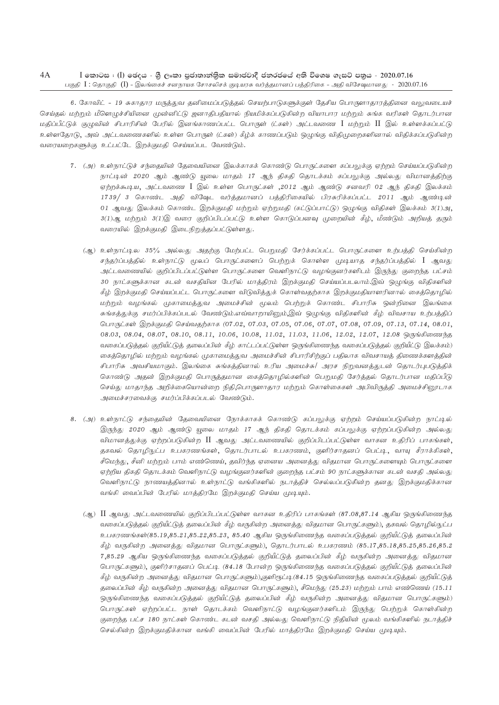#### $4A$  $I$  කොටස : (I) ඡෙදය - ශී ලංකා පුජාතාන්තික සමාජවාදී ජනරජයේ අති විශෙෂ ගැසට් පතුය - 2020.07.16 பகுதி  $I:$  தொகுதி  $(I)$  - இலங்கைச் சனநாயக சோசலிசக் குடியரசு வர்த்தமானப் பத்திரிகை - அதி விசேஷமான து $\sim 2020.07.16$

6. கோவிட் - 19 சுகாதார மருத்துவ தனிமைப்படுத்தல் செயற்பாடுகளுக்குள் தேசிய பொருளாதாரத்தினை வலுவடையச் செய்தல் மற்றும் மீளெழுச்சியினை முன்னிட்டு ஜனாதிபதியால் நியமிக்கப்படுகின்ற வியாபார மற்றும் சுங்க வரிகள் தொடர்பான மதிப்பீட்டுக் குழுவின் சிபாரிசின் பேரில் இனங்காணப்பட்ட பொருள் (ட்கள்) அட்டவணை I மற்றும் II இல் உள்ளக்கப்பட்டு உள்ளதோடு, அவ் அட்டவணைகளில் உள்ள பொருள் (ட்கள்) கீழ்க் காணப்படும் ஒழுங்கு விதிமுறைகளினால் விதிக்கப்படுகின்ற வரையறைகளுக்கு உட்பட்டே இறக்குமதி செய்யப்பட வேண்டும்.

- 7. (அ) உள்நாட்டுச் சந்தையின் தேவையினை இலக்காகக் கொண்டு பொருட்களை கப்பலுக்கு ஏற்றம் செய்யப்படுகின்ற நாட்டின் 2020 ஆம் ஆண்டு யுலை மாதம் 17 ஆந் திகதி தொடக்கம் கப்பலுக்கு அல்லது விமானத்திற்கு ஏற்றக்கூடிய, அட்டவணை I இல் உள்ள பொருட்கள் ,2012 ஆம் ஆண்டு சனவரி 02 ஆந் திகதி இலக்கம் 1739/ 3 கொண்ட அதி விஷேட வர்த்தமானப் பத்திரிகையில் பிரசுரிக்கப்பட்ட 2011 ஆம் ஆண்டின் 01 ஆவது இலக்கம் கொண்ட இறக்குமதி மற்றும் ஏற்றுமதி (கட்டுப்பாட்டு) ஒழுங்கு விதிகள் இலக்கம் 3(1)அ, 3(1)ஆ, மற்றும் 3(1)இ வரை குறிப்பிடப்பட்டு உள்ள கொடுப்பனவு முறையின் கீழ், மீண்டும் அறியத் தரும் வரையில் இறக்குமதி இடைநிறுத்தப்பட்டுள்ளது.
	- (ஆ) உள்நாட்டில 35% அல்லது அதற்கு மேற்பட்ட பெறுமதி சேர்க்கப்பட்ட பொருட்களை உற்பத்தி செய்கின்ற சந்தர்ப்பத்தில் உள்நாட்டு மூலப் பொருட்களைப் பெற்றுக் கொள்ள முடியாத சந்தர்ப்பத்தில் I ஆவது அட்டவணையில் குறிப்பிடப்பட்டுள்ள பொருட்களை வெளிநாட்டு வழங்குனர்களிடம் இருந்து குறைந்த பட்சம் 30 நாட்களுக்கான கடன் வசகியின பேரில் மாக்கிரம் இறக்குமதி செய்யப்படலாம்.இவ் ஒமுங்கு விதிகளின் கீழ் இறக்குமதி செய்யப்பட்ட பொருட்களை விடுவித்துக் கொள்வதற்காக இறக்குமதியாளரினால் கைத்தொழில் மற்றும் வழங்கல் முகாமைத்துவ அமைச்சின் மூலம் பெற்றுக் கொண்ட சிபாரிசு ஒன்றினை இலங்கை சுங்கத்துக்கு சமர்ப்பிக்கப்படல் வேண்டும்.எவ்வாறாயினும்,இவ் ஒழுங்கு விதிகளின் கீழ் விவசாய உற்பத்திப் பொருட்கள் இறக்குமதி செய்வதற்காக (07.02, 07.03, 07.05, 07.06, 07.07, 07.08, 07.09, 07.13, 07.14, 08.01, 08.03, 08.04, 08.07, 08.10, 08.11, 10.06, 10.08, 11.02, 11.03, 11.06, 12.02, 12.07, 12.08 ஒருங்கிணைந்த வகைப்படுத்தல் குறியீட்டுத் தலைப்பின் கீழ் காட்டப்பட்டுள்ள ஒருங்கிணைந்த வகைப்படுத்தல் குறியீட்டு இலக்கம்) கைத்தொழில் மற்றும் வழங்கல் முகாமைத்துவ அமைச்சின் சிபாரிசிற்குப் பதிலாக விவசாயத் திணைக்களத்தின் சிபாரிசு அவசியமாகும். இலங்கை சுங்கத்தினால் உரிய அமைச்சு/ அரச நிறுவனத்துடன் தொடர்புபடுத்திக் கொண்டு அதன் இறக்குமதி பொருத்தமான கைத்தொழில்களின் பெறுமதி சேர்த்தல் தொடர்பான மதிப்பீடு செய்து மாதாந்த அறிக்கையொன்றை நிதி,பொருளாதார மற்றும் கொள்கைகள் அபிவிருத்தி அமைச்சினூடாக அமைச்சரவைக்கு சமர்ப்பிக்கப்படல் வேண்டும்.
- 8. (அ) உள்நாட்டு சந்தையின் தேவையினை நோக்காகக் கொண்டு கப்பலுக்கு ஏற்றம் செய்யப்படுகின்ற நாட்டில் இருந்து 2020 ஆம் ஆண்டு யுலை மாதம் 17 ஆந் திகதி தொடக்கம் கப்பலுக்கு ஏற்றப்படுகின்ற அல்லது விமானத்துக்கு ஏற்றப்படுகின்ற II ஆவது அட்டவணையில் குறிப்பிடப்பட்டுள்ள வாகன உதிரிப் பாகங்கள், தகவல் தொழிநுட்ப உபகரணங்கள், தொடர்பாடல் உபகரணம், குளிர்சாதனப் பெட்டி, வாயு சீராக்கிகள், சீமெந்து, சீனி மற்றும் பாம் எண்ணெய், தவிர்ந்த ஏனைய அனைத்து விதமான பொருட்களையும் பொருட்களை ஏற்றிய திகதி தொடக்கம் வெளிநாட்டு வழங்குனர்களின் குறைந்த பட்சம் 90 நாட்களுக்கான கடன் வசதி அல்லது வெளிநாட்டு நாணயத்தினால் உள்நாட்டு வங்கிகளில் நடாத்திச் செல்லப்படுகின்ற தனது இறக்குமதிக்கான வங்கி வைப்பின் பேரில் மாத்திரமே இறக்குமதி செய்ய முடியும்.
	- (ஆ)  $\rm{II}$  ஆவது அட்டவணையில் குறிப்பிடப்பட்டுள்ள வாகன உதிரிப் பாகங்கள் (87.08,87.14 ஆகிய ஒருங்கிணைந்த வகைப்படுத்தல் குறியீட்டுத் தலைப்பின் கீழ் வருகின்ற அனைத்து விதமான பொருட்களும்), தகவல் தொழில்நுட்ப உபகரணங்கள்(85.19,85.21,85.22,85.23, 85.40 ஆகிய ஒருங்கிணைந்த வகைப்படுத்தல் குறியீட்டுத் தலைப்பின் கீழ் வருகின்ற அனைத்து விதமான பொருட்களும்), தொடர்பாடல் உபகரணம் (85.17,85.18,85.25,85.26,85.2 7,85.29 ஆகிய ஒருங்கிணைந்த வகைப்படுத்தல் குறியீட்டுத் தலைப்பின் கீழ் வருகின்ற அனைத்து விதமான பொருட்களும்), குளிர்சாதனப் பெட்டி (84.18 போன்ற ஒருங்கிணைந்த வகைப்படுத்தல் குறியீட்டுத் தலைப்பின் கீழ் வருகின்ற அனைத்து விதமான பொருட்களும்),குளிரூட்டி(84.15 ஒருங்கிணைந்த வகைப்படுத்தல் குறியீட்டுத் தலைப்பின் கீழ் வருகின்ற அனைத்து விதமான பொருட்களும்), சீமெந்து (25.23) மற்றும் பாம் எண்ணெய் (15.11 ஒருங்கிணைந்த வகைப்படுத்தல் குறியீட்டுத் தலைப்பின் கீழ் வருகின்ற அனைத்து விதமான பொருட்களும்) பொருட்கள் ஏற்றப்பட்ட நாள் தொடக்கம் வெளிநாட்டு வழங்குனர்களிடம் இருந்து பெற்றுக் கொள்கின்ற குறைந்த பட்ச 180 நாட்கள் கொண்ட கடன் வசதி அல்லது வெளிநாட்டு நிதியின் மூலம் வங்கிகளில் நடாத்திச் செல்கின்ற இறக்குமதிக்கான வங்கி வைப்பின் பேரில் மாத்திரமே இறக்குமதி செய்ய முடியும்.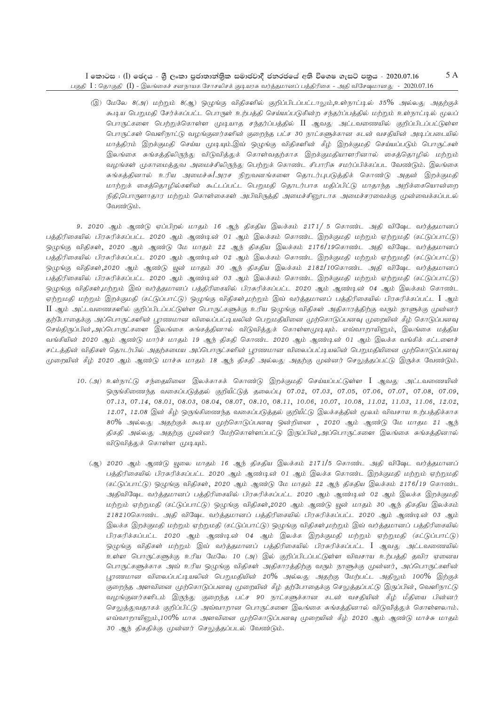5 A  $I$  කොටස : (I) ඡෙදය - ශූී ලංකා පුජාතාන්තිුක සමාජවාදී ජනරජයේ අති විශෙෂ ගැසට් පනුය - 2020.07.16 பகுதி I : தொகுதி (I) - இலங்கைச் சனநாயக சோசலிசக் குடியரசு வர்த்தமானப் பத்திரிகை - அதி விசேஷமானது - 2020.07.16

இ) மேலே 8(அ) மற்றும் 8(ஆ) ஒழுங்கு விதிகளில் குறிப்பிடப்பட்டாலும்,உள்நாட்டில் 35% அல்லது அதற்குக் கூடிய பெறுமதி சேர்க்கப்பட்ட பொருள் உற்பத்தி செய்யப்படுகின்ற சந்தர்ப்பத்தில் மற்றும் உள்நாட்டில் மூலப் பொருட்களை பெற்றுக்கொள்ள முடியாத சந்தர்ப்பத்தில் II ஆவது அட்டவணையில் குறிப்பிடப்பட்டுள்ள பொருட்கள் வெளிநாட்டு வழங்குனர்களின் குறைந்த பட்ச 30 நாட்களுக்கான கடன் வசதியின் அடிப்படையில் மாத்திரம் இறக்குமதி செய்ய முடியும்.இவ் ஒழுங்கு விதிகளின் கீழ் இறக்குமதி செய்யப்படும் பொருட்கள் இலங்கை சுங்கத்திலிருந்து விடுவித்துக் கொள்வதற்காக இறக்குமதியாளரினால் கைத்தொழில் மற்றும் வழங்கள் முகாமைத்துவ அமைச்சிலிருந்து பெற்றுக் கொண்ட சிபாரிசு சமர்ப்பிக்கப்பட வேண்டும். இலங்கை சுங்கத்தினால் உரிய அமைச்சு|அரச நிறுவனங்களை தொடர்புபடுத்திக் கொண்டு அதன் இறக்குமதி மாற்றுக் கைத்தொழில்களின் கூட்டப்பட்ட பெறுமதி தொடர்பாக மதிப்பிட்டு மாதாந்த அறிக்கையொன்றை நிதி,பொருளாதார மற்றும் கொள்கைகள் அபிவிருக்கி அமைச்சிரைடாக அமைச்சரவைக்கு முன்வைக்கப்படல் வேண்டும்.

9.2020 ஆம் ஆண்டு ஏப்பிறல் மாகும் 16 ஆந் திகதிய இலக்கம் 2171/ 5 கொண்ட அதி விஷேட வர்த்தமானப் பத்திரிகையில் பிரசுரிக்கப்பட்ட 2020 ஆம் ஆண்டின் 01 ஆம் இலக்கம் கொண்ட இறக்குமதி மற்றும் ஏற்றுமதி (கட்டுப்பாட்டு) ஒமுங்கு விதிகள், 2020 ஆம் ஆண்டு மே மாதம் 22 ஆந் திகதிய இலக்கம் 2176/19கொண்ட அதி விஷேட வர்த்தமானப் பத்திரிகையில் பிரசுரிக்கப்பட்ட 2020 ஆம் ஆண்டின் 02 ஆம் இலக்கம் கொண்ட இறக்குமதி மற்றும் ஏற்றுமதி (கட்டுப்பாட்டு) ஒழுங்கு விதிகள்,2020 ஆம் ஆண்டு யூன் மாதம் 30 ஆந் திகதிய இலக்கம் 2182/10கொண்ட அதி விஷேட வர்த்தமானப் பத்திரிகையில் பிரசுரிக்கப்பட்ட 2020 ஆம் ஆண்டின் 03 ஆம் இலக்கம் கொண்ட இறக்குமதி மற்றும் ஏற்றுமதி (கட்டுப்பாட்டு) ஒழுங்கு விதிகள்,மற்றும் இவ் வர்த்தமானப் பத்திரிகையில் பிரசுரிக்கப்பட்ட 2020 ஆம் ஆண்டின் 04 ஆம் இலக்கம் கொண்ட ஏற்றுமதி மற்றும் இறக்குமதி (கட்டுப்பாட்டு) ஒழுங்கு விதிகள்,மற்றும் இவ் வர்த்தமானப் பத்திரிகையில் பிரசுரிக்கப்பட்ட**ு** ஆம் II ஆம் அட்டவணைகளில் குறிப்பிடப்பட்டுள்ள பொருட்களுக்கு உரிய ஒழுங்கு விதிகள் அதிகாரத்திற்கு வரும் நாளுக்கு முன்னர் தற்போதைக்கு அப்பொருட்களின் புரணமான விலைப்பட்டியலின் பெறுமதியினை முற்கொடுப்பனவு முறையின் கீழ் கொடுப்பனவு செய்திருப்பின்,அப்பொருட்களை இலங்கை சுங்கத்தினால் விடுவித்துக் கொள்ளமுடியும். எவ்வாறாயினும், இலங்கை மத்திய வங்கியின் 2020 ஆம் ஆண்டு மார்ச் மாதம் 19 ஆந் திகதி கொண்ட 2020 ஆம் ஆண்டின் 01 ஆம் இலக்க வங்கிக் கட்டளைச் சட்டத்தின் விதிகள் தொடர்பில் அதற்கமைய அப்பொருட்களின் புரணமான விலைப்பட்டியலின் பெறுமதியினை முற்கொடுப்பனவு முறையின் கீழ் 2020 ஆம் ஆண்டு மாச்சு மாதம் 18 ஆந் திகதி அல்லது அதற்கு முன்னர் செலுத்தப்பட்டு இருக்க வேண்டும்.

- 10. (அ) உள்நாட்டு சந்தையினை இலக்காகக் கொண்டு இறக்குமதி செய்யப்பட்டுள்ள I ஆவது அட்டவணையின் ஒருங்கிணைந்த வகைப்படுத்தல் குறியீட்டுத் தலைப்பு 07.02, 07.03, 07.05, 07.06, 07.07, 07.08, 07.09, 07.13, 07.14, 08.01, 08.03, 08.04, 08.07, 08.10, 08.11, 10.06, 10.07, 10.08, 11.02, 11.03, 11.06, 12.02, 12.07, 12.08 இன் கீழ் ஒருங்கிணைந்த வகைப்படுத்தல் குறியீட்டு இலக்கத்தின் மூலம் விவசாய உற்பத்திக்காக 80% அல்லது அதற்குக் கூடிய முற்கொடுப்பனவு ஒன்றினை , 2020 ஆம் ஆண்டு மே மாதம 21 ஆந் திகதி அல்லது அதற்கு முன்னர் மேற்கொள்ளப்பட்டு இருப்பின்,அப்பொருட்களை இலங்கை சுங்கத்தினால் விடுவித்துக் கொள்ள முடியும்.
	- (ஆ) 2020 ஆம் ஆண்டு யுலை மாதம் 16 ஆந் திகதிய இலக்கம் 2171/5 கொண்ட அதி விஷேட வர்த்தமானப் பத்திரிகையில் பிரசுரிக்கப்பட்ட 2020 ஆம் ஆண்டின் 01 ஆம் இலக்க கொண்ட இறக்குமதி மற்றும் ஏற்றுமதி (கட்டுப்பாட்டு) ஒழுங்கு விதிகள், 2020 ஆம் ஆண்டு மே மாதம் 22 ஆந் திகதிய இலக்கம் 2176/19 கொண்ட அதிவிஷேட வர்த்தமானப் பத்திரிகையில் பிரசுரிக்கப்பட்ட 2020 ஆம் ஆண்டின் 02 ஆம் இலக்க இறக்குமதி மற்றும் ஏற்றுமதி (கட்டுப்பாட்டு) ஒழுங்கு விதிகள்,2020 ஆம் ஆண்டு யூன் மாதம் 30 ஆந் திகதிய இலக்கம் 218210கொண்ட அதி விஷேட வர்த்தமானப் பத்திரிகையில் பிரசுரிக்கப்பட்ட 2020 ஆம் ஆண்டின் 03 ஆம் இலக்க இறக்குமதி மற்றும் ஏற்றுமதி (கட்டுப்பாட்டு) ஒழுங்கு விதிகள்,மற்றும் இவ் வர்த்தமானப் பத்திரிகையில் பிரசுரிக்கப்பட்ட 2020 ஆம் ஆண்டின் 04 ஆம் இலக்க இறக்குமதி மற்றும் ஏற்றுமதி (கட்டுப்பாட்டு) ஒழுங்கு விதிகள் மற்றும் இவ் வர்த்தமானப் பத்திரிகையில் பிரசுரிக்கப்பட்ட I ஆவது அட்டவணையில் உள்ள பொருட்களுக்கு உரிய மேலே 10 (அ) இல் குறிப்பிடப்பட்டுள்ள விவசாய உற்பக்கி கவிர ஏனைய .<br>பொருட்களுக்காக அவ் உரிய ஒழுங்கு விதிகள் அதிகாரத்திற்கு வரும் நாளுக்கு முன்னர், அப்பொருட்களின் பூரணமான விலைப்பட்டியலின் பெறுமதியின் 20% அல்லது அதற்கு மேற்பட்ட அதிலும் 100% இற்குக் குறைந்த அளவினை முற்கொடுப்பனவு முறையின் கீழ் தற்போதைக்கு செலுத்தப்பட்டு இருப்பின், வெளிநாட்டு வழங்குனர்களிடம் இருந்து குறைந்த பட்ச 90 நாட்களுக்கான கடன் வசதியின் கீழ் மீதியை பின்னர் செலுத்துவதாகக் குறிப்பிட்டு அவ்வாறான பொருட்களை இலங்கை சுங்கத்தினால் விடுவித்துக் கொள்ளலாம். எவ்வாறாயினும்,100% மாக அளவினை முற்கொடுப்பனவு முறையின் கீழ் 2020 ஆம் ஆண்டு மாச்சு மாதம் 30 ஆந் திகதிக்கு முன்னர் செலுத்தப்படல் வேண்டும்.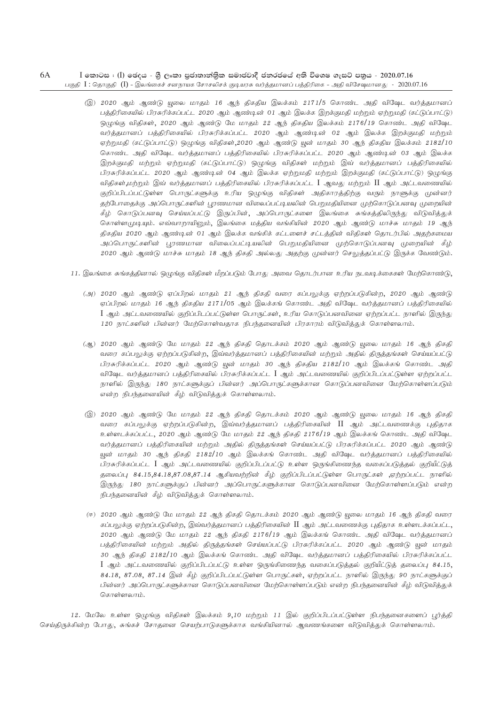#### 6A I කොටස : (I) ජෙදය - ශී ලංකා පුජාතාන්තික සමාජවාදී ජනරජයේ අති විශෙෂ ගැසට් පනුය - 2020.07.16 பகுதி  $I$  : தொகுதி  $(I)$  - இலங்கைச் சனநாயக சோசலிசக் குடியரசு வர்த்தமானப் பத்திரிகை - அதி விசேஷமானது -  $2020.07.16$

- (இ) 2020 ஆம் ஆண்டு யூலை மாதம் 16 ஆந் திகதிய இலக்கம் 2171/5 கொண்ட அதி விஷேட வர்த்தமானப் பத்திரிகையில் பிரசுரிக்கப்பட்ட 2020 ஆம் ஆண்டின் 01 ஆம் இலக்க இறக்குமதி மற்றும் ஏற்றுமதி (கட்டுப்பாட்டு) ஒழுங்கு விதிகள், 2020 ஆம் ஆண்டு மே மாதம் 22 ஆந் திகதிய இலக்கம் 2176/19 கொண்ட அதி விஷேட வர்த்தமானப் பத்திரிகையில் பிரசுரிக்கப்பட்ட 2020 ஆம் ஆண்டின் 02 ஆம் இலக்க இறக்குமதி மற்றும் ஏற்றுமதி (கட்டுப்பாட்டு) ஒழுங்கு விதிகள்,2020 ஆம் ஆண்டு யுன் மாதம் 30 ஆந் திகதிய இலக்கம் 2182/10 கொண்ட அதி விஷேட வர்க்கமானப் பக்கிரிகையில் பிரசுரிக்கப்பட்ட 2020 ஆம் ஆண்டின் 03 ஆம் இலக்க இறக்குமதி மற்றும் ஏற்றுமதி (கட்டுப்பாட்டு) ஒழுங்கு விதிகள் மற்றும் இவ் வர்த்தமானப் பத்திரிகையில் பிரசுரிக்கப்பட்ட 2020 ஆம் ஆண்டின் 04 ஆம் இலக்க ஏற்றுமதி மற்றும் இறக்குமதி (கட்டுப்பாட்டு) ஒழுங்கு விதிகள்,மற்றும் இவ் வர்த்தமானப் பத்திரிகையில் பிரசுரிக்கப்பட்ட $\;$  I ஆவது மற்றும்  $\;$  II ஆம் அட்டவணையில் குறிப்பிடப்பட்டுள்ள பொருட்களுக்கு உரிய ஒழுங்கு விதிகள் அதிகாரத்திற்கு வரும் நாளுக்கு முன்னர் தற்போதைக்கு அப்பொருட்களின் பூரணமான விலைப்பட்டியலின் பெறுமதியினை முற்கொடுப்பனவு முறையின் கீழ் கொடுப்பனவு செய்யப்பட்டு இருப்பின், அப்பொருட்களை இலங்கை சுங்கத்திலிருந்து விடுவித்துக் கொள்ளமுடியும். எவ்வாறாயினும், இலங்கை மத்திய வங்கியின் 2020 ஆம் ஆண்டு மாச்சு மாதம் 19 ஆந் திகதிய 2020 ஆம் ஆண்டின் 01 ஆம் இலக்க வங்கிக் கட்டளைச் சட்டத்தின் விதிகள் தொடர்பில் அதற்கமைய அப்பொருட்களின் புரணமான விலைப்பட்டியலின் பெறுமதியினை முற்கொடுப்பனவு முறையின் கீழ் 2020 ஆம் ஆண்டு மாச்சு மாதம் 18 ஆந் திகதி அல்லது அதற்கு முன்னர் செலுத்தப்பட்டு இருக்க வேண்டும்.
- 11. இலங்கை சுங்கத்தினால் ஒழுங்கு விதிகள் மீறப்படும் போது அவை தொடர்பான உரிய நடவடிக்கைகள் மேற்கொண்டு,
	- (அ) 2020 ஆம் ஆண்டு ஏப்பிறல் மாதம் 21 ஆந் திகதி வரை கப்பலுக்கு ஏற்றப்படுகின்ற, 2020 ஆம் ஆண்டு ஏப்பிறல் மாதம் 16 ஆந் திகதிய 2171/05 ஆம் இலக்கங் கொண்ட அதி விஷேட வர்த்தமானப் பத்திரிகையில்  $I$  ஆம் அட்டவணையில் குறிப்பிடப்பட்டுள்ள பொருட்கள், உரிய கொடுப்பனவினை ஏற்றப்பட்ட நாளில் இருந்து 120 நாட்களின் பின்னர் மேற்கொள்வதாக நிபந்தனையின் பிரகாரம் விடுவித்துக் கொள்ளலாம்.
	- (ஆ) 2020 ஆம் ஆண்டு மே மாதம் 22 ஆந் திகதி தொடக்கம் 2020 ஆம் ஆண்டு யூலை மாதம் 16 ஆந் திகதி வரை கப்பலுக்கு ஏற்றப்படுகின்ற, இவ்வர்க்குமானப் பக்திரிகையின் மற்றும் அதில் திருக்குங்கள் செய்யப்பட்டு பிரசுரிக்கப்பட்ட 2020 ஆம் ஆண்டு யுன் மாதம் 30 ஆந் திகதிய 2182/10 ஆம் இலக்கங் கொண்ட அதி விஷேட வர்த்தமானப் பத்திரிகையில் பிரசுரிக்கப்பட்ட $\;$  1 ஆம் அட்டவணையில் குறிப்பிடப்பட்டுள்ள ஏற்றப்பட்ட நாளில் இருந்து 180 நாட்களுக்குப் பின்னர் அப்பொருட்களுக்கான கொடுப்பனவினை மேற்கொள்ளப்படும் என்ற நிபந்தனையின் கீழ் விடுவித்துக் கொள்ளலாம்.
	- (இ) 2020 ஆம் ஆண்டு மே மாதம் 22 ஆந் திகதி தொடக்கம் 2020 ஆம் ஆண்டு யூலை மாதம் 16 ஆந் திகதி வரை கப்பலுக்கு ஏற்றப்படுகின்ற, இவ்வர்த்தமானப் பத்திரிகையின்  $\rm{II}$  ஆம் அட்டவணைக்கு புதிதாக உள்ளடக்கப்பட்ட, 2020 ஆம் ஆண்டு மே மாதம் 22 ஆந் திகதி 2176/19 ஆம் இலக்கங் கொண்ட அதி விஷேட வர்த்தமானப் பத்திரிகையின் மற்றும் அதில் திருத்தங்கள் செய்யப்பட்டு பிரசுரிக்கப்பட்ட 2020 ஆம் ஆண்டு யுன் மாதம் 30 ஆந் திகதி 2182/10 ஆம் இலக்கங் கொண்ட அதி விஷேட வர்த்தமானப் பத்திரிகையில் பிரசுரிக்கப்பட்ட  $I$  ஆம் அட்டவணையில் குறிப்பிடப்பட்டு உள்ள ஒருங்கிணைந்த வகைப்படுத்தல் குறியீட்டுத் தலைப்பு 84.15,84.18,87.08,87.14 ஆகியவற்றின் கீழ் குறிப்பிடப்பட்டுள்ள பொருட்கள் ,ஏற்றப்பட்ட நாளில் இருந்த<sub>|</sub> 180 நாட்களுக்குப் பின்னர் அப்பொருட்களுக்கான கொடுப்பனவினை மேற்கொள்ளப்படும் என்ற நிபந்தனையின் கீழ் விடுவித்துக் கொள்ளலாம்.
	- (ஈ) 2020 ஆம் ஆண்டு மே மாதம் 22 ஆந் திகதி தொடக்கம் 2020 ஆம் ஆண்டு யுலை மாதம் 16 ஆந் திகதி வரை சப்பலுக்கு ஏற்றப்படுகின்ற, இவ்வர்த்தமானப் பத்திரிகையின்  $\rm{II}$  ஆம் அட்டவணைக்கு புதிதாக உள்ளடக்கப்பட்ட,  $2020$  ஆம் ஆண்டு மே மாதம்  $22$  ஆந் திகதி  $2176/19$  ஆம் இலக்கங் கொண்ட அதி விஷேட வர்த்தமானப் பத்திரிகையின் மற்றும் அதில் திருத்தங்கள் செய்யப்பட்டு பிரசுரிக்கப்பட்ட 2020 ஆம் ஆண்டு <u>ய</u>ுன் மாதம் 30 ஆந் திகதி 2182/10 ஆம் இலக்கங் கொண்ட அதி விஷேட வர்த்தமானப் பத்திரிகையில் பிரசுரிக்கப்பட்ட  $I$  ஆம் அட்டவணையில் குறிப்பிடப்பட்டு உள்ள ஒருங்கிணைந்த வகைப்படுத்தல் குறியீட்டுத் தலைப்பு 84.15,  $84.18, 87.08, 87.14$  இன் கீழ் குறிப்பிடப்பட்டுள்ள பொருட்கள், ஏற்றப்பட்ட நாளில் இருந்து 90 நாட்களுக்குப் பின்னர் அப்பொருட்களுக்கான கொடுப்பனவினை மேற்கொள்ளப்படும் என்ற நிபந்தனையின் கீழ் விடுவித்துக் கொள்ளலாம்.

12. மேலே உள்ள ஒழுங்கு விதிகள் இலக்கம் 9,10 மற்றும் 11 இல் குறிப்பிடப்பட்டுள்ள நிபந்தனைகளைப் பூர்த்தி செய்திருக்கின்ற போது, சுங்கச் சோதனை செயற்பாடுகளுக்காக வங்கியினால் ஆவணங்களை விடுவித்துக் கொள்ளலாம்.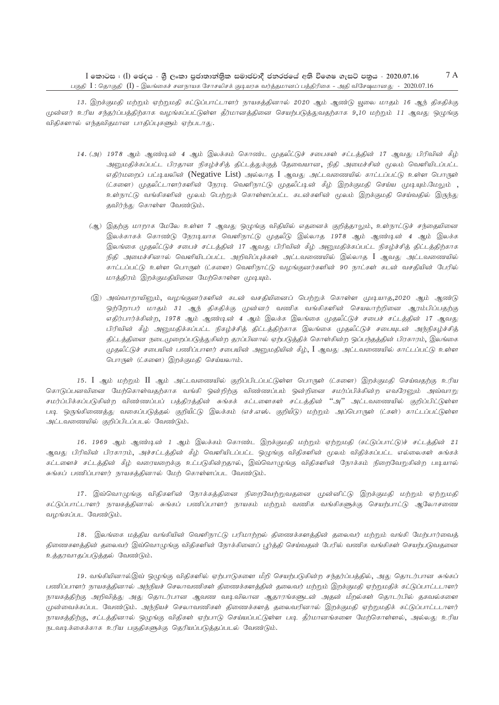13. இறக்குமதி மற்றும் ஏற்றுமதி கட்டுப்பாட்டாளர் நாயகத்தினால் 2020 ஆம் ஆண்டு யூலை மாதம் 16 ஆந் திகதிக்கு முன்னர் உரிய சந்தர்ப்பத்திற்காக வழங்கப்பட்டுள்ள தீர்மானத்தினை செயற்படுத்துவதற்காக 9,10 மற்றும் 11 ஆவது ஒழுங்கு விதிகளால் எந்தவிதமான பாதிப்புகளும் ஏற்படாது.

- 14. (அ) 1978 ஆம் ஆண்டின் 4 ஆம் இலக்கம் கொண்ட முதலீட்டுச் சபைகள் சட்டத்தின் 17 ஆவது பிரிவின் கீழ் அனுமதிக்கப்பட்ட பிரதான நிகழ்ச்சித் திட்டத்துக்குத் தேவையான, நிதி அமைச்சின் மூலம் வெளியிடப்பட்ட எதிர்மறைப் பட்டியலின் (Negative List) அல்லாத I ஆவது அட்டவணையில் காட்டப்பட்டு உள்ள பொருள் (ட்களை) முதலீட்டாளர்களின் நேரடி வெளிநாட்டு முதலீட்டின் கீழ் இறக்குமதி செய்ய முடியும்.மேலும் , உள்நாட்டு வங்கிகளின் மூலம் பெற்றுக் கொள்ளப்பட்ட கடன்களின் மூலம் இறக்குமதி செய்வதில் இருந்து தவிர்ந்து கொள்ள வேண்டும்.
	- (ஆ) இதற்கு மாறாக மேலே உள்ள 7 ஆவது ஒழுங்கு விதியில் எதனைக் குறித்தாலும், உள்நாட்டுச் சந்தையினை இலக்காகக் கொண்டு நேரடியாக வெளிநாட்டு முதலீடு இல்லாத 1978 ஆம் ஆண்டின் 4 ஆம் இலக்க இலங்கை முதலீட்டுச் சபைச் சட்டத்தின் 17 ஆவது பிரிவின் கீழ் அனுமதிக்கப்பட்ட நிகழ்ச்சித் திட்டத்திற்காக நிதி அமைச்சினால் வெளியிடப்பட்ட அறிவிப்புக்கள் அட்டவணையில் இல்லாத I ஆவது அட்டவணையில் காட்டப்பட்டு உள்ள பொருள் (ட்களை) வெளிநாட்டு வழங்குனர்களின் 90 நாட்கள் கடன் வசதியின் பேரில் மாத்திரம் இறக்குமதியினை மேற்கொள்ள முடியும்.
	- இ) அவ்வாறாயினும், வழங்குனர்களின் கடன் வசதியினைப் பெற்றுக் கொள்ள முடியாத,2020 ஆம் ஆண்டு ஒற்றோபர் மாதம் 31 ஆந் திகதிக்கு முன்னர் வணிக வங்கிகளின் செயலாற்றினை ஆரம்பிப்பதற்கு எதிர்பார்க்கின்ற, 1978 ஆம் ஆண்டின் 4 ஆம் இலக்க இலங்கை முதலீட்டுச் சபைச் சட்டத்தின் 17 ஆவது பிரிவின் கீழ் அனுமதிக்கப்பட்ட நிகழ்ச்சித் திட்டத்திற்காக இலங்கை முதலீட்டுச் சபையுடன் அந்நிகழ்ச்சித் திட்டத்தினை நடைமுறைப்படுத்துகின்ற தரப்பினால் ஏற்படுத்திக் கொள்கின்ற ஒப்பந்தத்தின் பிரகாரம், இலங்கை முதலீட்டுச் சபையின் பணிப்பாளர் சபையின் அனுமதியின் கீழ், I ஆவது அட்டவணையில் காட்டப்பட்டு உள்ள பொருள் (ட்களை) இறக்குமதி செய்யலாம்.

15. I ஆம் மற்றும் II ஆம் அட்டவணையில் குறிப்பிடப்பட்டுள்ள பொருள் (ட்களை) இறக்குமதி செய்வதற்கு உரிய கொடுப்பனவினை மேற்கொள்வதற்காக வங்கி ஒன்றிற்கு விண்ணப்பம் ஒன்றினை சமர்ப்பிக்கின்ற எவரேனும் அவ்வாறு சமர்ப்பிக்கப்படுகின்ற விண்ணப்பப் பக்கிரக்கின் சுங்கக் கட்டளைகள் சட்டக்கின் "அ'' அட்டவணையில் குறிப்பிட்டுள்ள படி ஒருங்கிணைத்து வகைப்படுத்தல் குறியீட்டு இலக்கம் (எச்.எஸ். குறியீடு) மற்றும் அப்பொருள் (ட்கள்) காட்டப்பட்டுள்ள அட்டவணையில் குறிப்பிடப்படல் வேண்டும்.

16. 1969 ஆம் ஆண்டின் 1 ஆம் இலக்கம் கொண்ட இறக்குமதி மற்றும் ஏற்றுமதி (கட்டுப்பாட்டு)ச் சட்டத்தின் 21 ஆவது பிரிவின் பிரகாரம், அச்சட்டத்தின் கீழ் வெளியிடப்பட்ட ஒழுங்கு விதிகளின் மூலம் விதிக்கப்பட்ட எல்லைகள் சுங்கக் கட்டளைச் சட்டத்தின் கீழ் வரையறைக்கு உட்படுகின்றதால், இவ்வொழுங்கு விதிகளின் நோக்கம் நிறைவேறுகின்ற படியால் சுங்கப் பணிப்பாளர் நாயகத்தினால் மேற் கொள்ளப்பட வேண்டும்.

17. இவ்வொழுங்கு விதிகளின் நோக்கத்தினை நிறைவேற்றுவதனை முன்னிட்டு இறக்குமதி மற்றும் ஏற்றுமதி கட்டுப்பாட்டாளர் நாயகத்தினால் சுங்கப் பணிப்பாளர் நாயகம் மற்றும் வணிக வங்கிகளுக்கு செயற்பாட்டு ஆலோசணை வழங்கப்பட வேண்டும்.

18. இலங்கை மத்திய வங்கியின் வெளிநாட்டு பரிமாற்றல் திணைக்களத்தின் தலைவர் மற்றும் வங்கி மேற்பார்வைத் திணைகளத்தின் தலைவர் இவ்வொழுங்கு விதிகளின் நோக்கினைப் பூர்த்தி செய்வதன் பேரில் வணிக வங்கிகள் செயற்படுவதனை உத்தரவாதப்படுத்தல் வேண்டும்.

19. வங்கியினால்இவ் ஒமுங்கு விதிகளில் ஏற்பாடுகளை மீறி செயற்படுகின்ற சந்தர்ப்பத்தில், அது தொடர்பான சுங்கப் பணிப்பாளர் நாயகத்தினால் அந்நியச் செலாவணிகள் திணைக்களத்தின் தலைவர் மற்றும் இறக்குமதி ஏற்றுமதிக் கட்டுப்பாட்டடாளர் நாயகத்திற்கு அறிவித்து அது தொடர்பான ஆவண வடிவிலான ஆதாரங்களுடன் அதன் மீறல்கள் தொடர்பில் தகவல்களை முன்வைக்கப்பட வேண்டும். அந்நியச் செலாவணிகள் திணைக்களத் தலைவரினால் இறக்குமதி ஏற்றுமதிக் கட்டுப்பாட்டடாளர் நாயகத்திற்கு, சட்டத்தினால் ஒழுங்கு விதிகள் ஏற்பாடு செய்யப்பட்டுள்ள படி தீர்மானங்களை மேற்கொள்ளல், அல்லது உரிய நடவடிக்கைக்காக உரிய பகுதிகளுக்கு தெரியப்படுத்தப்படல் வேண்டும்.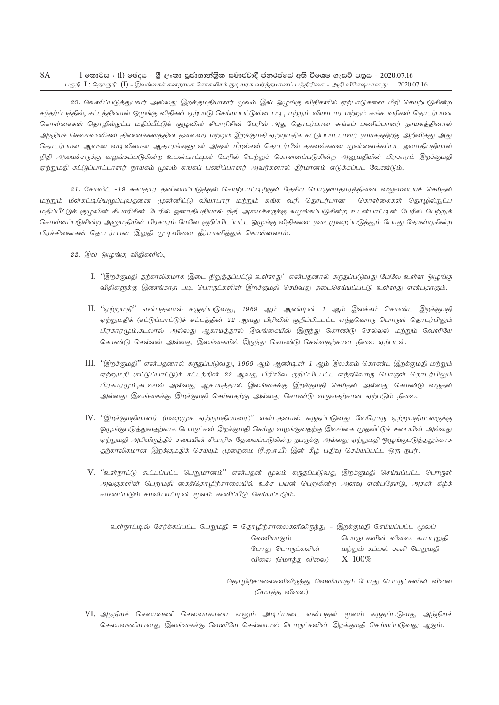20. வெளிப்படுத்துபவர் அல்லது இறக்குமதியாளர் மூலம் இவ் ஒழுங்கு விதிகளில் ஏற்பாடுகளை மீறி செயற்படுகின்ற சந்தர்ப்பத்தில், சட்டத்தினால் ஒழுங்கு விதிகள் ஏற்பாடு செய்யப்பட்டுள்ள படி, மற்றும் வியாபார மற்றும் சுங்க வரிகள் தொடர்பான கொள்கைகள் தொழில்நுட்ப மதிப்பீட்டுக் குழுவின் சிபாரிசின் பேரில் அது தொடர்பான சுங்கப் பணிப்பாளர் நாயகத்தினால் அந்நியச் செலாவணிகள் திணைக்களத்தின் தலைவர் மற்றும் இறக்குமதி ஏற்றுமதிக் கட்டுப்பாட்டாளர் நாயகத்திற்கு அறிவித்து அது தொடர்பான ஆவண வடிவிலான ஆதாரங்களுடன் அதன் மீறல்கள் தொடர்பில் தகவல்களை முன்வைக்கப்பட ஜனாதிபதியால் நிதி அமைச்சருக்கு வழங்கப்படுகின்ற உடன்பாட்டின் பேரில் பெற்றுக் கொள்ளப்படுகின்ற அறுமகியின் பிரகாரம் இறக்குமதி ஏற்றுமதி கட்டுப்பாட்டாளர் நாயகம் மூலம் சுங்கப் பணிப்பாளர் அவர்களால் தீர்மானம் எடுக்கப்பட வேண்டும்.

21. கோவிட் -19 சுகாதார தனிமைப்படுத்தல் செயற்பாட்டிற்குள் தேசிய பொருளாதாரத்தினை வலுவடையச் செய்தல் மற்றும் மீள்கட்டியெழுப்புவதனை முன்னிட்டு வியாபார மற்றும் சுங்க வரி தொடர்பான கொள்கைகள் தொழில்நுட்ப மதிப்பீட்டுக் குழுவின் சிபாரிசின் பேரில் ஜனாதிபதியால் நிதி அமைச்சருக்கு வழங்கப்படுகின்ற உடன்பாட்டின் பேரில் பெற்றுக் கொள்ளப்படுகின்ற அனுமதியின் பிரகாரம் மேலே குறிப்பிடப்பட்ட ஒழுங்கு விதிகளை நடைமுறைப்படுத்தும் போது தோன்றுகின்ற பிரச்சினைகள் தொடர்பான இறுதி முடிவினை தீர்மானித்துக் கொள்ளலாம்.

22. இவ் ஒழுங்கு விதிகளில்,

- I. "இறக்குமதி தற்காலிகமாக இடை நிறுத்தப்பட்டு உள்ளது" என்பதனால் கருதப்படுவது மேலே உள்ள ஒழுங்கு விதிகளுக்கு இணங்காத படி பொருட்களின் இறக்குமதி செய்வது தடைசெய்யப்பட்டு உள்ளது என்பதாகும்.
- II. "ஏற்றுமதி" என்பதனால் கருதப்படுவது, 1969 ஆம் ஆண்டின் 1 ஆம் இலக்கம் கொண்ட இறக்குமதி ஏற்றுமதிக் (கட்டுப்பாட்டு)ச் சட்டத்தின் 22 ஆவது பிரிவில் குறிப்பிடபட்ட எந்தவொரு பொருள் தொடர்பிலும் பிரகாரமும்,கடலால் அல்லது ஆகாயத்தால் இலங்கையில் இருந்து கொண்டு செல்லல் மற்றும் வெளியே கொண்டு செல்லல் அல்லது இலங்கையில் இருந்து கொண்டு செல்வதற்கான நிலை ஏற்படல்.
- III. "இறக்குமதி" என்பதனால் கருதப்படுவது, 1969 ஆம் ஆண்டின் 1 ஆம் இலக்கம் கொண்ட இறக்குமதி மற்றும் ஏற்றுமதி (கட்டுப்பாட்டு)ச் சட்டத்தின் 22 ஆவது பிரிவில் குறிப்பிடபட்ட எந்தவொரு பொருள் தொடர்பிலும் பிரகாரமும்,கடலால் அல்லது ஆகாயக்கால் இலங்கைக்கு இறக்குமதி செய்கல் அல்லது கொண்டு வருகல் அல்லது இலங்கைக்கு இறக்குமதி செய்வதற்கு அல்லது கொண்டு வருவதற்கான ஏற்படும் நிலை.
- $IV.$  "இறக்குமதியாளர் (மறைமுக ஏற்றுமதியாளர்)" என்பதனால் கருதப்படுவது வேரொரு ஏற்றுமதியாளருக்கு ஒழுங்குபடுத்துவதற்காக பொருட்கள் இறக்குமதி செய்து வழங்குவதற்கு இலங்கை முதலீட்டுச் சபையின் அல்லது ஏற்றுமதி அபிவிருத்திச் சபையின் சிபாரிசு தேவைப்படுகின்ற நபருக்கு அல்லது ஏற்றுமதி ஒழுங்குபடுத்தலுக்காக தற்காலிகமான இறக்குமதிக் செய்யும் முறைமை (ரீ.ஐ.ஈ.பீ) இன் கீழ் பதிவு செய்யப்பட்ட ஒரு நபர்.
- V. "உள்நாட்டு கூட்டப்பட்ட பெறுமானம்" என்பதன் மூலம் கருதப்படுவது இறக்குமதி செய்யப்பட்ட பொருள் அலகுகளின் பெறுமதி கைத்தொழிற்சாலையில் உச்ச பயன் பெறுகின்ற அளவு என்பதோடு, அதன் கீழ்க் காணப்படும் சமன்பாட்டின் மூலம் கணிப்பீடு செய்யப்படும்.

|  |                   | <u> உள்நாட்டி</u> ல் சேர்க்கப்பட்ட பெறுமதி = தொழிற்சாலைகளிலிருந்து - இறக்குமதி செய்யப்பட்ட மூலப் |
|--|-------------------|--------------------------------------------------------------------------------------------------|
|  | வெளியாகும்        | பொருட்களின் விலை, காப்புறுதி                                                                     |
|  | போது பொருட்களின்  | மற்றும் கப்பல் கூலி பெறுமதி                                                                      |
|  | விலை (மொத்த விலை) | X 100%                                                                                           |
|  |                   |                                                                                                  |

தொழிற்சாலைகளிலிருந்து வெளியாகும் போது பொருட்களின் விலை (மொத்த விலை)

VI. அந்நியச் செலாவணி செலவாகாமை எனும் அடிப்படை என்பதன் மூலம் கருதப்படுவது அந்நியச் செலாவணியானது இலங்கைக்கு வெளியே செல்லாமல் பொருட்களின் இறக்குமதி செய்யப்படுவது ஆகும்.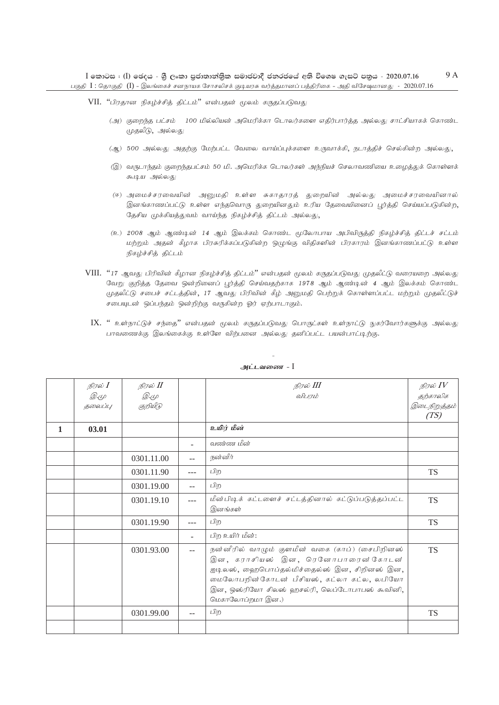- VII. "பிரதான நிகழ்ச்சித் திட்டம்" என்பதன் மூலம் கருதப்படுவது
	- (அ) குறைந்த பட்சம் 100 மில்லியன் அமெரிக்கா டொலர்களை எதிர்பார்த்த அல்லது சாட்சியாகக் கொண்ட முதலீடு, அல்லது
	- (ஆ) 500 அல்லது அதற்கு மேற்பட்ட வேலை வாய்ப்புக்களை உருவாக்கி, நடாத்திச் செல்கின்ற அல்லது,
	- (இ) வருடாந்தம் குறைந்தபட்சம் 50 மி. அமெரிக்க பொலர்கள் அந்நியச் செலாவணியை உழைத்துக் கொள்ளக் சு.டி.ய அல்லது
	- (ஈ) அமைச்சரவையின் அனுமதி உள்ள சுகாதாரத் துறையின் அல்லது அமைச்சரவையினால் இனங்காணப்பட்டு உள்ள எந்தவொரு துறையினதும் உரிய தேவையினைப் பூர்த்தி செய்யப்படுகின்ற, தேசிய முக்கியத்துவம் வாய்ந்த நிகழ்ச்சித் திட்டம் அல்லது,
	- (உ) 2008 ஆம் ஆண்டின் 14 ஆம் இலக்கம் கொண்ட மூலோபாய அபிவிருத்தி நிகழ்ச்சித் திட்டச் சட்டம் மற்றும் அதன் கீழாக பிரசுரிக்கப்படுகின்ற ஒழுங்கு விதிகளின் பிரகாரம் இனங்காணப்பட்டு உள்ள நிகழ்ச்சித் திட்டம்
- VIII. "17 ஆவது பிரிவின் கீழான நிகழ்ச்சித் திட்டம்" என்பதன் மூலம் கருதப்படுவது முதலீட்டு வரையறை அல்லது வேறு குறித்த தேவை ஒன்றினைப் பூர்த்தி செய்வதற்காக 1978 ஆம் ஆண்டின் 4 ஆம் இலக்கம் கொண்ட முதலீட்டு சபைச் சட்டத்தின், 17 ஆவது பிரிவின் கீழ் அனுமதி பெற்றுக் கொள்ளப்பட்ட மற்றும் முதலீட்டுச் சபையுடன் ஒப்பந்தம் ஒன்றிற்கு வருகின்ற ஓர் ஏற்பாடாகும்.
	- $IX.$  " உள்நாட்டுச் சந்தை" என்பதன் மூலம் கருதப்படுவது பொருட்கள் உள்நாட்டு நுகர்வோர்களுக்கு அல்லது பாவணைக்கு இலங்கைக்கு உள்ளே விற்பனை அல்லது தனிப்பட்ட பயன்பாட்டிற்கு.

|   | நிரல் I     | நிரல் II   |      | நிரல் III                                                                                                                                                                                                                                            | நிரல் $IV$   |
|---|-------------|------------|------|------------------------------------------------------------------------------------------------------------------------------------------------------------------------------------------------------------------------------------------------------|--------------|
|   | <i>D.</i> 4 | Q. (L      |      | விபரம்                                                                                                                                                                                                                                               | தற்காலிக     |
|   | தலைப்பு     | குறியீடு   |      |                                                                                                                                                                                                                                                      | இடைநிறுத்தம் |
|   |             |            |      |                                                                                                                                                                                                                                                      | (TS)         |
| 1 | 03.01       |            |      | உயிர் மீன்                                                                                                                                                                                                                                           |              |
|   |             |            |      | வண்ண மீன்                                                                                                                                                                                                                                            |              |
|   |             | 0301.11.00 | $-1$ | நன்னீர்                                                                                                                                                                                                                                              |              |
|   |             | 0301.11.90 | ---  | பிற                                                                                                                                                                                                                                                  | TS           |
|   |             | 0301.19.00 |      | பிற                                                                                                                                                                                                                                                  |              |
|   |             | 0301.19.10 | ---  | மீன்பிடிக் கட்டளைச் சட்டத்தினால் கட்டுப்படுத்தப்பட்ட<br>இனங்கள்                                                                                                                                                                                      | <b>TS</b>    |
|   |             | 0301.19.90 | ---  | பிற                                                                                                                                                                                                                                                  | <b>TS</b>    |
|   |             |            | ÷    | பிற உயிர் மீன்:                                                                                                                                                                                                                                      |              |
|   |             | 0301.93.00 | $-$  | நன்னீரில் வாழும் குளமீன் வகை (காப்) (சைபிறினஸ்<br>இன, கராசியஸ் இன, ரெனோபாரைன்கோடன்<br>ஐடிலஸ், ஹைபொப்தல்மிச்தைல்ஸ் இன, சிறினஸ் இன,<br>மைலோபறின் கோடன் பீசியஸ், கட்லா கட்ல, லபியோ<br>இன, ஒஸ்ரியோ சிலஸ் ஹசல்ரி, லெப்டோபாபஸ் கூவினி,<br>மெகாலோப்றமா இன.) | <b>TS</b>    |
|   |             | 0301.99.00 | --   | பிற                                                                                                                                                                                                                                                  | TS           |
|   |             |            |      |                                                                                                                                                                                                                                                      |              |

#### அட்டவணை - I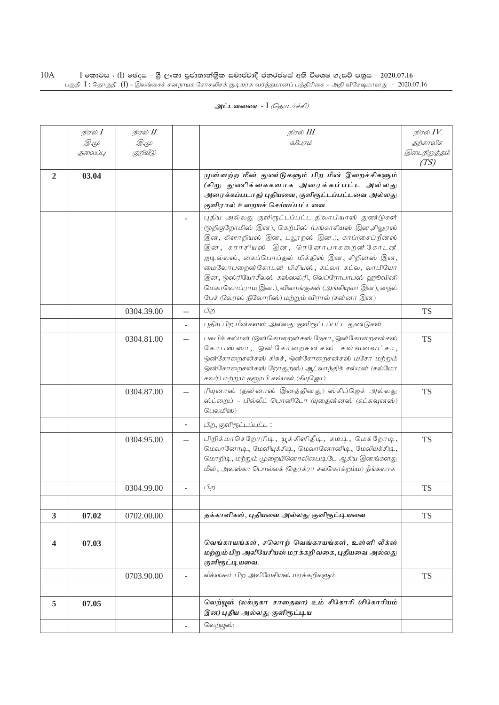|                         | நிரல் <b>I</b> | நிரல் II    |                          | நிரல் III                                                                                                                                                                                                                                                                                    | நிரல் IV     |
|-------------------------|----------------|-------------|--------------------------|----------------------------------------------------------------------------------------------------------------------------------------------------------------------------------------------------------------------------------------------------------------------------------------------|--------------|
|                         | <i>D</i> .4    | <i>D</i> .4 |                          | விபரம்                                                                                                                                                                                                                                                                                       | தற்காலிக     |
|                         | தலைப்பு        | குறியீடு    |                          |                                                                                                                                                                                                                                                                                              | இடைநிறுத்தம் |
|                         |                |             |                          |                                                                                                                                                                                                                                                                                              | (TS)         |
| $\overline{2}$          | 03.04          |             |                          | முள்ளற்ற மீன் துண்டுகளும் பிற மீன் இறைச்சிகளும்                                                                                                                                                                                                                                              |              |
|                         |                |             |                          | (சிறு துணிக்கைகளாக அரைக்கப்பட்ட அல்லது<br>அரைக்கப்படாத) புதியவை, குளிரூட்டப்பட்டவை அல்லது                                                                                                                                                                                                    |              |
|                         |                |             |                          | குளிரால் உறையச் செய்யப்பட்டவை.                                                                                                                                                                                                                                                               |              |
|                         |                |             |                          | புதிய அல்லது குளிரூட்டப்பட்ட திலாபியாஸ் துண்டுகள்<br>(ஒறிகுறோமிஸ் இன), கெற்பிஸ் (பங்காசியஸ் இன,சிலுரஸ்<br>இன, கிளாறியஸ் இன, டலூறஸ் இன.), காப்(சைப்றீனஸ்<br>இன, கராசியஸ் இன, ரெனோபாகறைன்கோடன்<br>ஐடில்லஸ், கைப்பொப்தல் மிக்திஸ் இன, சிறினஸ் இன,<br>மைலோபறைன்கோடன் பிசியஸ், கட்லா கட்ல, லாபியோ |              |
|                         |                |             |                          | இன, ஒஸ்ரியோசீலஸ் கஸ்ஸல்ரி, லெப்ரோபாபஸ் ஹூவினி<br>மெகாலொப்ராம இன.), விலாங்குகள் (அங்கியுலா இன), நைல்<br>பேச் (லேரஸ் நிலோரிஸ்) மற்றும் விரால் (சன்னா இன)                                                                                                                                       |              |
|                         |                | 0304.39.00  | $\overline{a}$           | பிற                                                                                                                                                                                                                                                                                          | <b>TS</b>    |
|                         |                |             |                          | புதிய பிற மீன்களள் அல்லது குளிரூட்டப்பட்ட துண்டுகள்                                                                                                                                                                                                                                          |              |
|                         |                |             |                          |                                                                                                                                                                                                                                                                                              |              |
|                         |                | 0304.81.00  | $-$                      | பசுபிக் சல்மன் (ஒன்கொறைன்சஸ் நேகா, ஒன்கோறைசன்சஸ்<br>கோபஸ் ஸா, ஒன் கோறைசன் சஸ் சவ்வவைட்சா,<br>ஒன்கோறைசன்சஸ் கிசுச், ஒன்கோறைசன்சஸ் மசோ மற்றும்<br>ஒன்கோறைசன்சஸ் றோதுறஸ்) ஆட்லாந்திக் சல்மன் (சல்மோ<br>சலர்) மற்றும் தனூபி சல்மன் (கியுஜோ)                                                      | <b>TS</b>    |
|                         |                | 0304.87.00  | $-$                      | ரியுனாஸ் (தன்னாஸ் இனத்தினது) ஸ்கிப்ஜெக் அல்லது<br>ஸ்ட்றைப் - பில்லீட் பொனிடோ (யுதைன்னஸ் (கட்சுவுனஸ்)<br>பெலமிஸ)                                                                                                                                                                              | <b>TS</b>    |
|                         |                |             | $\overline{\phantom{a}}$ | பிற, குளிரூட்டப்பட்ட:                                                                                                                                                                                                                                                                        |              |
|                         |                | 0304.95.00  | $-$                      | பிறிக்மாசெறோரிடி, யூக்கிளிதீடி, கடீடி, மெக்றோடி,<br>மெலானோடி, மேளியுக்சிடி, மெலானோனிடி, மேலியக்சிடி,<br>மொறிடி, மற்றும் முறையினொலிபைடிடே ஆகிய இனங்களது<br>மீன், அலஸ்கா பொல்லக் (தெரக்ரா சல்கொக்றம்ம) நீங்கலாக                                                                                | <b>TS</b>    |
|                         |                | 0304.99.00  | $\overline{\phantom{a}}$ | பிற                                                                                                                                                                                                                                                                                          | <b>TS</b>    |
| $\overline{\mathbf{3}}$ | 07.02          | 0702.00.00  |                          | தக்காளிகள், புதியவை அல்லது குளிரூட்டியவை                                                                                                                                                                                                                                                     | <b>TS</b>    |
|                         |                |             |                          |                                                                                                                                                                                                                                                                                              |              |
| $\overline{\mathbf{4}}$ | 07.03          |             |                          | வெங்காயங்கள், சலொற் வெங்காயங்கள், உள்ளி லீக்ஸ்<br>மற்றும் பிற அலியேசியஸ் மரக்கறி வகை, புதியவை அல்லது<br>குளிரூட்டியவை.                                                                                                                                                                       |              |
|                         |                | 0703.90.00  |                          | லீக்ஸ்சும் பிற அலியேசியஸ் மரக்கறிகளும்                                                                                                                                                                                                                                                       | <b>TS</b>    |
|                         |                |             |                          |                                                                                                                                                                                                                                                                                              |              |
| 5                       | 07.05          |             |                          | லெற்யுஸ் (லக்ருகா சாதைவா) உம் சிகோரி (சிகோரியம்<br>இன) புதிய அல்லது குளிரூட்டிய                                                                                                                                                                                                              |              |
|                         |                |             |                          | லெற்யூஸ்:                                                                                                                                                                                                                                                                                    |              |
|                         |                |             |                          |                                                                                                                                                                                                                                                                                              |              |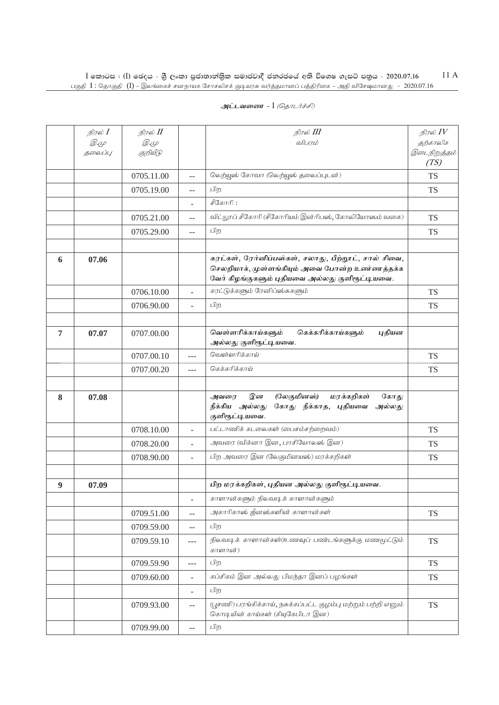|                | நிரல் I      | நிரல் II     |                          | நிரல் III                                                                                                                                                | நிரல் $\mathit{IV}$  |
|----------------|--------------|--------------|--------------------------|----------------------------------------------------------------------------------------------------------------------------------------------------------|----------------------|
|                | <i>D.</i> (L | <i>D.</i> (L |                          | விபரம்                                                                                                                                                   | தற்காலிக             |
|                | தலைப்பு      | குறியீடு     |                          |                                                                                                                                                          | இடைநிறுத்தம்<br>(TS) |
|                |              | 0705.11.00   | $- -$                    | லெற்யூஸ் கோவா (லெற்யூஸ் தலைப்புடன்)                                                                                                                      | <b>TS</b>            |
|                |              | 0705.19.00   | $-$                      | பிற                                                                                                                                                      | <b>TS</b>            |
|                |              |              |                          | சீகோரி:                                                                                                                                                  |                      |
|                |              | 0705.21.00   | $-$                      | விட்லூப் சீகோரி (சீகோரியம் இன்ரிபஸ், கோலியோஸம் வகை)                                                                                                      | <b>TS</b>            |
|                |              | 0705.29.00   | $- -$                    | பிற                                                                                                                                                      | <b>TS</b>            |
|                |              |              |                          |                                                                                                                                                          |                      |
| 6              | 07.06        |              |                          | கரட்கள், ரேர்னிப்பஸ்கள், சலாது, பீற்றூட், சால் சிவை,<br>செலறியாக், முள்ளங்கியும் அவை போன்ற உண்ணத்தக்க<br>வேர் கிழங்குகளும் புதியவை அல்லது குளிரூட்டியவை. |                      |
|                |              | 0706.10.00   | $\overline{\phantom{a}}$ | கரட்டுக்களும் ரேனிப்ஸ்சுகளும்                                                                                                                            | <b>TS</b>            |
|                |              | 0706.90.00   |                          | பிற                                                                                                                                                      | <b>TS</b>            |
|                |              |              |                          |                                                                                                                                                          |                      |
| $\overline{7}$ | 07.07        | 0707.00.00   |                          | வெள்ளரிக்காய்களும்<br>கெக்கரிக்காய்களும்<br>புதியன<br>அல்லது குளிரூட்டியவை.                                                                              |                      |
|                |              | 0707.00.10   | $---$                    | வெள்ளரிக்காய்                                                                                                                                            | <b>TS</b>            |
|                |              | 0707.00.20   | $---$                    | கெக்கரிக்காய்                                                                                                                                            | <b>TS</b>            |
|                |              |              |                          |                                                                                                                                                          |                      |
| 8              | 07.08        |              |                          | (லேகுமினஸ்)<br>மரக்கறிகள்<br>இன<br>கோது<br>அவரை<br>கோது நீக்காத, புதியவை<br>நீக்கிய அல்லது<br>அல்லது<br>குளிரூட்டியவை.                                   |                      |
|                |              | 0708.10.00   |                          | பட்டாணிக் கடலைகள் (பைசம்சற்றைவம்)                                                                                                                        | <b>TS</b>            |
|                |              | 0708.20.00   | $\overline{\phantom{a}}$ | அவரை (விக்னா இன, பாசியோலஸ் இன)                                                                                                                           | <b>TS</b>            |
|                |              | 0708.90.00   | $\overline{\phantom{a}}$ | பிற அவரை இன (லேகுமினயஸ்) மரக்கறிகள்                                                                                                                      | <b>TS</b>            |
|                |              |              |                          |                                                                                                                                                          |                      |
| 9              | 07.09        |              |                          | பிற மரக்கறிகள், புதியன அல்லது குளிரூட்டியவை.                                                                                                             |                      |
|                |              |              |                          | காளான்களும் நிலவடிக் காளான்களும்                                                                                                                         |                      |
|                |              | 0709.51.00   | $- -$                    | அகாரிகாஸ் ஜீனஸ்களின் காளான்கள்                                                                                                                           | <b>TS</b>            |
|                |              | 0709.59.00   | $\overline{\phantom{m}}$ | பிற                                                                                                                                                      |                      |
|                |              | 0709.59.10   | $\sim$ $\sim$ $\sim$     | நிலவடிக் காளான்கள்(உணவுப் பண்டங்களுக்கு மணமூட்டும்<br>காளான்)                                                                                            | <b>TS</b>            |
|                |              | 0709.59.90   | $\sim$ $\sim$ $\sim$     | பிற                                                                                                                                                      | <b>TS</b>            |
|                |              | 0709.60.00   | $\overline{\phantom{a}}$ | கப்சிகம் இன அல்லது பிமந்தா இனப் பழங்கள்                                                                                                                  | <b>TS</b>            |
|                |              |              | $\overline{\phantom{a}}$ | பிற                                                                                                                                                      |                      |
|                |              | 0709.93.00   | $- -$                    | (பூசணி) பரங்கிக்காய், நசுக்கப்பட்ட குழம்பு மற்றும் பற்றி எனும்<br>கொடியின் காய்கள் (கியுகேபிடா இன)                                                       | <b>TS</b>            |
|                |              | 0709.99.00   | $\overline{a}$           | பிற                                                                                                                                                      |                      |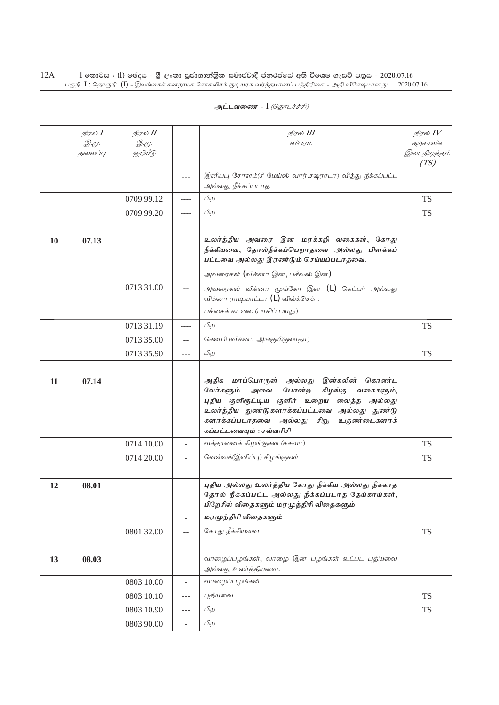| அட்டவணை - I <i>(தொடர்ச்சி)</i> |  |  |  |
|--------------------------------|--|--|--|
|--------------------------------|--|--|--|

|    | நிரல் <b>I</b> | நிரல் II    |                          | நிரல் III                                                                                                                                                                                                                                                                 | நிரல் $\mathit{IV}$  |
|----|----------------|-------------|--------------------------|---------------------------------------------------------------------------------------------------------------------------------------------------------------------------------------------------------------------------------------------------------------------------|----------------------|
|    | <i>D</i> .4    | <i>D</i> .4 |                          | விபாம்                                                                                                                                                                                                                                                                    | தற்காலிக             |
|    | தலைப்பு        | குறியீடு    |                          |                                                                                                                                                                                                                                                                           | இடைநிறுத்தம்<br>(TS) |
|    |                |             | $\cdots$                 | இனிப்பு சோளம்(சீ மேய்ஸ் வார்.சஷராடா) வித்து நீக்கப்பட்ட<br>அல்லது நீக்கப்படாத                                                                                                                                                                                             |                      |
|    |                | 0709.99.12  | ----                     | பிற                                                                                                                                                                                                                                                                       | <b>TS</b>            |
|    |                | 0709.99.20  | ----                     | பிற                                                                                                                                                                                                                                                                       | <b>TS</b>            |
|    |                |             |                          |                                                                                                                                                                                                                                                                           |                      |
| 10 | 07.13          |             |                          | உலர்த்திய அவரை இன மரக்கறி வகைகள், கோது<br>நீக்கியவை, தோல்நீக்கப்பெறாதவை அல்லது பிளக்கப்<br>பட்டவை அல்லது இரண்டும் செய்யப்படாதவை.                                                                                                                                          |                      |
|    |                |             | $\overline{\phantom{a}}$ | அவரைகள் (விக்னா இன, பசீலஸ் இன)                                                                                                                                                                                                                                            |                      |
|    |                | 0713.31.00  | $- -$                    | அவரைகள் விக்னா முங்கோ இன (L) கெப்பர் அல்லது<br>விக்னா ராடியாட்டா (L) வில்க்செக் :                                                                                                                                                                                         |                      |
|    |                |             | $---$                    | பச்சைக் கடலை (பாசிப் பயறு)                                                                                                                                                                                                                                                |                      |
|    |                | 0713.31.19  | ----                     | பிற                                                                                                                                                                                                                                                                       | <b>TS</b>            |
|    |                | 0713.35.00  | $-$                      | கௌபி (விக்னா அங்குயிகுலாதா)                                                                                                                                                                                                                                               |                      |
|    |                | 0713.35.90  | $---$                    | பிற                                                                                                                                                                                                                                                                       | <b>TS</b>            |
|    |                |             |                          |                                                                                                                                                                                                                                                                           |                      |
| 11 | 07.14          |             |                          | இன்சுலின் கொண்ட<br>அதிக<br>மாப்பொருள் அல்லது<br>வேர்களும்<br>போன்ற<br>கிழங்கு<br>அவை<br>வகைகளும்,<br>புதிய குளிரூட்டிய குளிர் உறைய வைத்த அல்லது<br>உலர்த்திய துண்டுகளாக்கப்பட்டவை அல்லது துண்டு<br>களாக்கப்படாதவை அல்லது<br>சிறு உருண்டைகளாக்<br>கப்பட்டவையும் : சவ்வரிசி |                      |
|    |                | 0714.10.00  | $\overline{a}$           | வத்தாளைக் கிழங்குகள் (கசவா)                                                                                                                                                                                                                                               | <b>TS</b>            |
|    |                | 0714.20.00  | $\overline{a}$           | வெல்லக்(இனிப்பு) கிழங்குகள்                                                                                                                                                                                                                                               | <b>TS</b>            |
|    |                |             |                          |                                                                                                                                                                                                                                                                           |                      |
| 12 | 08.01          |             |                          | புதிய அல்லது உலர்த்திய கோது நீக்கிய அல்லது நீக்காத<br>தோல் நீக்கப்பட்ட அல்லது நீக்கப்படாத தேய்காய்கள்,<br>பிறேசில் விதைகளும் மரமுந்திரி விதைகளும்                                                                                                                         |                      |
|    |                |             | $\overline{a}$           | மரமுந்திரி விதைகளும்                                                                                                                                                                                                                                                      |                      |
|    |                | 0801.32.00  | $\overline{a}$           | கோது நீக்கியவை                                                                                                                                                                                                                                                            | <b>TS</b>            |
|    |                |             |                          |                                                                                                                                                                                                                                                                           |                      |
| 13 | 08.03          |             |                          | வாழைப்பழங்கள், வாழை இன பழங்கள் உட்பட புதியவை<br>அல்லது உலர்த்தியவை.                                                                                                                                                                                                       |                      |
|    |                | 0803.10.00  | $\overline{\phantom{a}}$ | வாழைப்பழங்கள்                                                                                                                                                                                                                                                             |                      |
|    |                | 0803.10.10  | $---$                    | புதியவை                                                                                                                                                                                                                                                                   | <b>TS</b>            |
|    |                | 0803.10.90  | $\overline{a}$           | பிற                                                                                                                                                                                                                                                                       | <b>TS</b>            |
|    |                | 0803.90.00  | $\blacksquare$           | பிற                                                                                                                                                                                                                                                                       |                      |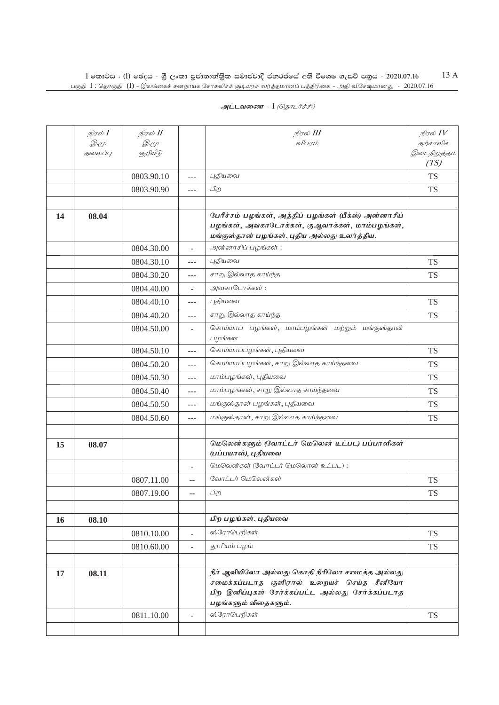| அட்டவணை - I <i>(தொடர்ச்சி)</i> |  |  |  |
|--------------------------------|--|--|--|
|--------------------------------|--|--|--|

|    | நிரல் I                       | நிரல் $I\!I$ |                | நிரல் III                                                                                      | நிரல் $\mathit{IV}$  |
|----|-------------------------------|--------------|----------------|------------------------------------------------------------------------------------------------|----------------------|
|    | $\mathscr{D} \in \mathscr{L}$ | <i>D</i> .4  |                | விபரம்                                                                                         | தற்காலிக             |
|    | தலைப்பு                       | குறியீடு     |                |                                                                                                | இடைநிறுத்தம்<br>(TS) |
|    |                               | 0803.90.10   | ---            | புகியவை                                                                                        | <b>TS</b>            |
|    |                               | 0803.90.90   | $---$          | பிற                                                                                            | <b>TS</b>            |
|    |                               |              |                |                                                                                                |                      |
| 14 | 08.04                         |              |                | பேரீச்சம் பழங்கள், அத்திப் பழங்கள் (பீக்ஸ்) அன்னாசிப்                                          |                      |
|    |                               |              |                | பழங்கள், அவகாடோக்கள், குஆவாக்கள், மாம்பழங்கள்,                                                 |                      |
|    |                               |              |                | மங்குஸ்தான் பழங்கள், புதிய அல்லது உலர்த்திய.                                                   |                      |
|    |                               | 0804.30.00   |                | அன்னாசிப் பழங்கள்:                                                                             |                      |
|    |                               | 0804.30.10   | ---            | புதியவை                                                                                        | <b>TS</b>            |
|    |                               | 0804.30.20   | $---$          | சாறு இல்லாத காய்ந்த                                                                            | <b>TS</b>            |
|    |                               | 0804.40.00   |                | அவகாடோக்கள்:                                                                                   |                      |
|    |                               | 0804.40.10   | $---$          | புதியவை                                                                                        | <b>TS</b>            |
|    |                               | 0804.40.20   | $---$          | சாறு இல்லாத காய்ந்த                                                                            | <b>TS</b>            |
|    |                               | 0804.50.00   | ÷.             | கொய்யாப் பழங்கள், மாம்பழங்கள் மற்றும் மங்குஸ்தான்<br>பழங்கள                                    |                      |
|    |                               | 0804.50.10   | $\overline{a}$ | கொய்யாப்பழங்கள், புதியவை                                                                       | <b>TS</b>            |
|    |                               | 0804.50.20   | $---$          | கொய்யாப்பழங்கள், சாறு இல்லாத காய்ந்தவை                                                         | <b>TS</b>            |
|    |                               | 0804.50.30   | $---$          | மாம்பழங்கள், புதியவை                                                                           | <b>TS</b>            |
|    |                               | 0804.50.40   | $---$          | மாம்பழங்கள், சாறு இல்லாத காய்ந்தவை                                                             | <b>TS</b>            |
|    |                               | 0804.50.50   | $---$          | மங்குஸ்தான் பழங்கள், புதியவை                                                                   | <b>TS</b>            |
|    |                               | 0804.50.60   | $---$          | மங்குஸ்தான், சாறு இல்லாத காய்ந்தவை                                                             | <b>TS</b>            |
|    |                               |              |                |                                                                                                |                      |
| 15 | 08.07                         |              |                | மெலென்களும் (வோட்டர் மெலென் உட்பட) பப்பாளிகள்<br>(பப்பயாஸ்), புதியவை                           |                      |
|    |                               |              | ÷              | மெலென்கள் (வோட்டர் மெலொன் உட்பட):                                                              |                      |
|    |                               | 0807.11.00   | $\overline{a}$ | வோட்டர் மெலென்கள்                                                                              | <b>TS</b>            |
|    |                               | 0807.19.00   | $-$            | பிற                                                                                            | <b>TS</b>            |
|    |                               |              |                |                                                                                                |                      |
| 16 | 08.10                         |              |                | பிற பழங்கள், புதியவை                                                                           |                      |
|    |                               | 0810.10.00   | $\overline{a}$ | ஸ்ரோபெறிகள்                                                                                    | <b>TS</b>            |
|    |                               | 0810.60.00   | $\frac{1}{2}$  | தூரியம் பழம்                                                                                   | <b>TS</b>            |
|    |                               |              |                |                                                                                                |                      |
| 17 | 08.11                         |              |                | நீர் ஆவியிலோ அல்லது கொதி நீரிலோ சமைத்த அல்லது                                                  |                      |
|    |                               |              |                | சமைக்கப்படாத குளிரால் உறையச் செய்த சீனியோ<br>பிற இனிப்புகள் சேர்க்கப்பட்ட அல்லது சேர்க்கப்படாத |                      |
|    |                               |              |                | பழங்களும் விதைகளும்.                                                                           |                      |
|    |                               | 0811.10.00   |                | ஸ்ரோபெறிகள்                                                                                    | <b>TS</b>            |
|    |                               |              |                |                                                                                                |                      |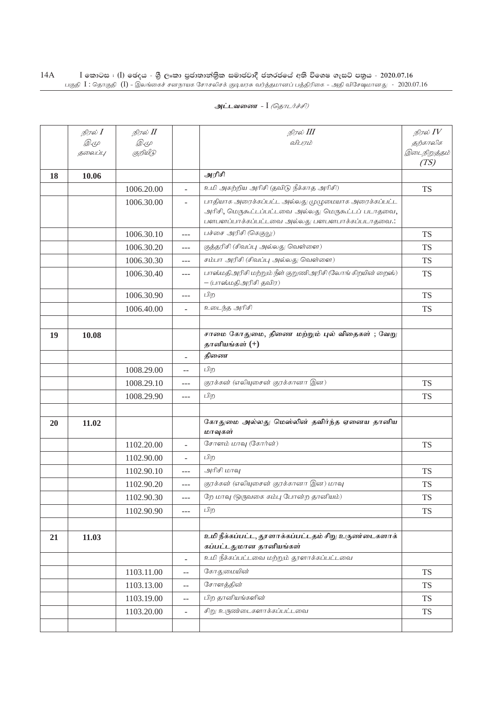| _ <b>அட்டவணை</b> - I <i>(தொடர்ச்சி)</i> |  |  |
|-----------------------------------------|--|--|
|-----------------------------------------|--|--|

|    | நிரல் <b>I</b> | நிரல் II    |                                               | நிரல் III                                                                                                                                                   | நிரல் $IV$           |
|----|----------------|-------------|-----------------------------------------------|-------------------------------------------------------------------------------------------------------------------------------------------------------------|----------------------|
|    | <i>D</i> .4    | <i>D</i> .4 |                                               | விபரம்                                                                                                                                                      | தற்காலிக             |
|    | தலைப்பு        | குறியீடு    |                                               |                                                                                                                                                             | இடைநிறுத்தம்<br>(TS) |
| 18 | 10.06          |             |                                               | அரிசி                                                                                                                                                       |                      |
|    |                | 1006.20.00  | $\overline{\phantom{a}}$                      | உமி அகற்றிய அரிசி (தவிடு நீக்காத அரிசி)                                                                                                                     | <b>TS</b>            |
|    |                | 1006.30.00  | $\overline{\phantom{a}}$                      | பாதியாக அரைக்கப்பட்ட அல்லது முழுமையாக அரைக்கப்பட்ட<br>அரிசி, மெருகூட்டப்பட்டவை அல்லது மெருகூட்டப் படாதவை,<br>பளபளப்பாக்கப்பட்டவை அல்லது பளபளபாக்கப்படாதவை.: |                      |
|    |                | 1006.30.10  | $---$                                         | பச்சை அரிசி (கெகுலு)                                                                                                                                        | <b>TS</b>            |
|    |                | 1006.30.20  | $---$                                         | (குத்தரிசி (சிவப்பு அல்லது வெள்ளை)                                                                                                                          | <b>TS</b>            |
|    |                | 1006.30.30  | $---$                                         | சம்பா அரிசி (சிவப்பு அல்லது வெள்ளை)                                                                                                                         | <b>TS</b>            |
|    |                | 1006.30.40  | $---$                                         | பாஸ்மதிஅரிசி மற்றும் நீள் குறுணிஅரிசி (லோங் கிறயின் றைஸ்)<br>– (பாஸ்மதிஅரிசி தவிர)                                                                          | <b>TS</b>            |
|    |                | 1006.30.90  | $---$                                         | பிற                                                                                                                                                         | <b>TS</b>            |
|    |                | 1006.40.00  |                                               | உடைந்த அரிசி                                                                                                                                                | TS                   |
|    |                |             |                                               |                                                                                                                                                             |                      |
| 19 | 10.08          |             |                                               | சாமை கோதுமை, திணை மற்றும் புல் விதைகள் ; வேறு<br>தானியங்கள் (+)                                                                                             |                      |
|    |                |             | $\overline{\phantom{a}}$                      | திணை                                                                                                                                                        |                      |
|    |                | 1008.29.00  | $-$                                           | பிற                                                                                                                                                         |                      |
|    |                | 1008.29.10  | $---$                                         | குரக்கன் (எலியுசைன் குரக்கானா இன)                                                                                                                           | <b>TS</b>            |
|    |                | 1008.29.90  | $---$                                         | பிற                                                                                                                                                         | <b>TS</b>            |
|    |                |             |                                               |                                                                                                                                                             |                      |
| 20 | 11.02          |             |                                               | கோதுமை அல்லது மெஸ்லின் தவிர்ந்த ஏனைய தானிய<br>மாவுகள்                                                                                                       |                      |
|    |                | 1102.20.00  | $\bar{a}$                                     | சோளம் மாவு (கோர்ன்)                                                                                                                                         | <b>TS</b>            |
|    |                | 1102.90.00  | $\overline{\phantom{a}}$                      | பிற                                                                                                                                                         |                      |
|    |                | 1102.90.10  | ---                                           | அரிசி மாவு                                                                                                                                                  | <b>TS</b>            |
|    |                | 1102.90.20  | $ -$                                          | குரக்கன் (எலியுசைன் குரக்கானா இன) மாவு                                                                                                                      | TS                   |
|    |                | 1102.90.30  | $---$                                         | றே மாவு (ஒருவகை கம்பு போன்ற தானியம்)                                                                                                                        | <b>TS</b>            |
|    |                | 1102.90.90  | $---$                                         | பிற                                                                                                                                                         | <b>TS</b>            |
|    |                |             |                                               |                                                                                                                                                             |                      |
| 21 | 11.03          |             |                                               | உமி நீக்கப்பட்ட, தூளாக்கப்பட்டதம் சிறு உருண்டைகளாக்<br>கப்பட்டதுமான தானியங்கள்                                                                              |                      |
|    |                |             | $\blacksquare$                                | உமி நீக்கப்பட்டவை மற்றும் தூளாக்கப்பட்டவை                                                                                                                   |                      |
|    |                | 1103.11.00  | $\mathord{\hspace{1pt}\text{--}\hspace{1pt}}$ | கோதுமையின்                                                                                                                                                  | <b>TS</b>            |
|    |                | 1103.13.00  | $-$                                           | சோளத்தின்                                                                                                                                                   | <b>TS</b>            |
|    |                | 1103.19.00  | $-$                                           | பிற தானியங்களின்                                                                                                                                            | <b>TS</b>            |
|    |                | 1103.20.00  | $\blacksquare$                                | சிறு உருண்டைகளாக்கப்பட்டவை                                                                                                                                  | <b>TS</b>            |
|    |                |             |                                               |                                                                                                                                                             |                      |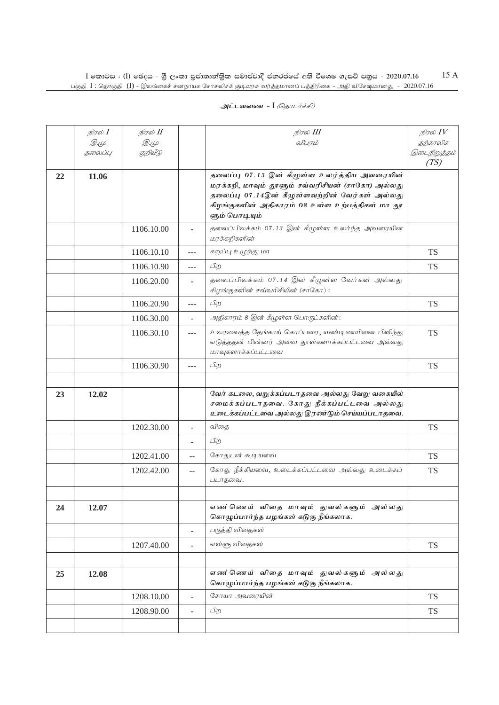|    | நிரல் $I$<br><i>D</i> .4<br>தலைப்பு | நிரல் II<br><i>D</i> .4<br>குறியீடு |                          | நிரல் III<br>விபரம்                                                                                                                                                                                                    | நிரல் $IV$<br>தற்காலிக<br>இடைநிறுத்தம்<br>(TS) |
|----|-------------------------------------|-------------------------------------|--------------------------|------------------------------------------------------------------------------------------------------------------------------------------------------------------------------------------------------------------------|------------------------------------------------|
| 22 | 11.06                               |                                     |                          | தலைப்பு 07.13 இன் கீழுள்ள உலர்த்திய அவரையின்<br>மரக்கறி, மாவும் தூளும் சவ்வரிசியன் (சாகோ) அல்லது<br>தலைப்பு 07.14இன் கீழுள்ளவற்றின் வேர்கள் அல்லது<br>கிழங்குகளின் அதிகாரம் 08 உள்ள உற்பத்திகள் மா தூ<br>ளும் பொடியும் |                                                |
|    |                                     | 1106.10.00                          |                          | தலைப்பிலக்கம் 07.13 இன் கீழுள்ள உலர்ந்த அவரையின<br>மரக்கறிகளின்                                                                                                                                                        |                                                |
|    |                                     | 1106.10.10                          | $---$                    | கறுப்பு உழுந்து மா                                                                                                                                                                                                     | <b>TS</b>                                      |
|    |                                     | 1106.10.90                          | $---$                    | பிற                                                                                                                                                                                                                    | <b>TS</b>                                      |
|    |                                     | 1106.20.00                          | ÷.                       | தலைப்பிலக்கம் 07.14 இன் கீழுள்ள வேர்கள் அல்லது<br>கிழங்குகளின் சவ்வரிசியின் (சாகோ):                                                                                                                                    |                                                |
|    |                                     | 1106.20.90                          | $---$                    | பிற                                                                                                                                                                                                                    | <b>TS</b>                                      |
|    |                                     | 1106.30.00                          |                          | அதிகாரம் 8 இன் கீழுள்ள பொருட்களின்:                                                                                                                                                                                    |                                                |
|    |                                     | 1106.30.10                          | ---                      | உலரவைத்த தேங்காய் கொப்பரை, எண்டிணயினை பிளிந்து<br>எடுத்ததன் பின்னர் அவை தூள்களாக்கப்பட்டவை அல்லது<br>மாவுகளாக்கப்பட்டவை                                                                                                | <b>TS</b>                                      |
|    |                                     | 1106.30.90                          | $---$                    | பிற                                                                                                                                                                                                                    | <b>TS</b>                                      |
|    |                                     |                                     |                          |                                                                                                                                                                                                                        |                                                |
| 23 | 12.02                               |                                     |                          | வேர் கடலை, வறுக்கப்படாதவை அல்லது வேறு வகையில்<br>சமைக்கப்படாதவை. கோது நீக்கப்பட்டவை அல்லது<br>உடைக்கப்பட்டவை அல்லது இரண்டும் செய்யப்படாதவை.                                                                            |                                                |
|    |                                     | 1202.30.00                          | ÷                        | விதை                                                                                                                                                                                                                   | <b>TS</b>                                      |
|    |                                     |                                     |                          | பிற                                                                                                                                                                                                                    |                                                |
|    |                                     | 1202.41.00                          | $-$                      | கோதுடன் கூடியவை                                                                                                                                                                                                        | <b>TS</b>                                      |
|    |                                     | 1202.42.00                          | $\qquad \qquad -$        | கோது நீக்கியவை, உடைக்கப்பட்டவை அல்லது உடைக்கப்<br>படாதவை.                                                                                                                                                              | <b>TS</b>                                      |
|    |                                     |                                     |                          |                                                                                                                                                                                                                        |                                                |
| 24 | 12.07                               |                                     |                          | எண ்ணெய் விதை மாவும் துவல்களும் அல்லது<br>கொழுப்பார்ந்த பழங்கள் கடுகு நீங்கலாக.                                                                                                                                        |                                                |
|    |                                     |                                     | $\overline{\phantom{a}}$ | பருத்தி விதைகள்                                                                                                                                                                                                        |                                                |
|    |                                     | 1207.40.00                          |                          | எள்ளு விதைகள்                                                                                                                                                                                                          | <b>TS</b>                                      |
|    |                                     |                                     |                          |                                                                                                                                                                                                                        |                                                |
| 25 | 12.08                               |                                     |                          | எண ்ணெய் விதை மாவும் துவல்களும் அல்லது<br>கொழுப்பார்ந்த பழங்கள் கடுகு நீங்கலாக.                                                                                                                                        |                                                |
|    |                                     | 1208.10.00                          | ÷.                       | சோயா அவரையின்                                                                                                                                                                                                          | <b>TS</b>                                      |
|    |                                     | 1208.90.00                          | $\overline{\phantom{a}}$ | பிற                                                                                                                                                                                                                    | <b>TS</b>                                      |
|    |                                     |                                     |                          |                                                                                                                                                                                                                        |                                                |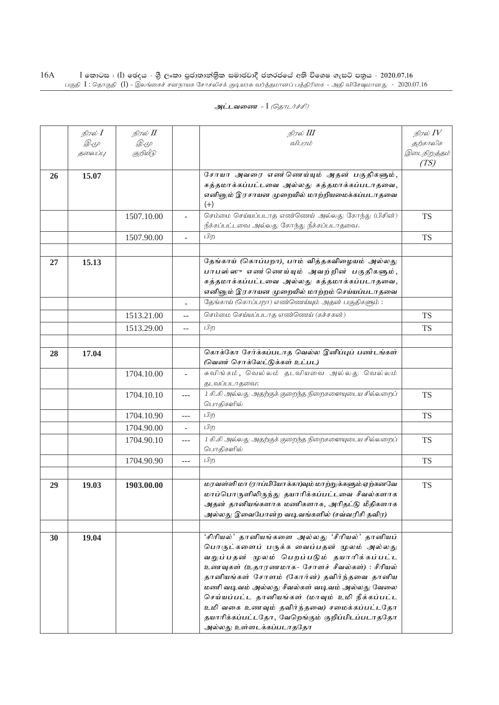|    | நிரல் <b>I</b> | நிரல் II    |                          | நிரல் III                                                                                      | நிரல் $IV$   |
|----|----------------|-------------|--------------------------|------------------------------------------------------------------------------------------------|--------------|
|    | <i>D</i> .4    | <i>D</i> .4 |                          | விபாம்                                                                                         | தற்காலிக     |
|    | தலைப்பு        | குறியீடு    |                          |                                                                                                | இடைநிறுத்தம் |
|    |                |             |                          |                                                                                                | (TS)         |
| 26 | 15.07          |             |                          | சோயா அவரை எண்ணெய்யும் அதன் பகுதிகளும்,<br>சுத்தமாக்கப்பட்டவை அல்லது சுத்தமாக்கப்படாதவை,        |              |
|    |                |             |                          | எனினும் இரசாயன முறையில் மாற்றியமைக்கப்படாதவை                                                   |              |
|    |                |             |                          | $(+)$                                                                                          |              |
|    |                | 1507.10.00  | $\overline{\phantom{a}}$ | செம்மை செய்யப்படாத எண்ணெய் அல்லது கோந்து (பிசின்)                                              | <b>TS</b>    |
|    |                |             |                          | நீக்கப்பட்டவை அல்லது கோந்து நீக்கப்படாதவை.                                                     |              |
|    |                | 1507.90.00  | $\overline{\phantom{a}}$ | பிற                                                                                            | <b>TS</b>    |
|    |                |             |                          |                                                                                                |              |
| 27 | 15.13          |             |                          | தேங்காய் (கொப்பறா), பாம் வித்தகவிழையம் அல்லது                                                  |              |
|    |                |             |                          | பாபஸ்ஸு எண்ணெய்யும் அவற்றின் பகுதிகளும்,                                                       |              |
|    |                |             |                          | சுத்தமாக்கப்பட்டவை அல்லது சுத்தமாக்கப்படாதவை,<br>எனினும் இரசாயன முறையில் மாற்றம் செய்யப்படாதவை |              |
|    |                |             |                          | தேங்காய் (கொப்பறா) எண்ணெய்யும் அதன் பகுதிகளும்:                                                |              |
|    |                |             |                          | செம்மை செய்யப்படாத எண்ணெய் (கச்சகன்)                                                           |              |
|    |                | 1513.21.00  | $-$                      | பிற                                                                                            | <b>TS</b>    |
|    |                | 1513.29.00  | $-$                      |                                                                                                | <b>TS</b>    |
|    | 17.04          |             |                          | கொக்கோ சேர்க்கப்படாத வெல்ல இனிப்புப் பண்டங்கள்                                                 |              |
| 28 |                |             |                          | (வெண் சொக்லேட்டுக்கள் உட்பட)                                                                   |              |
|    |                | 1704.10.00  | $\overline{\phantom{a}}$ | சுவிங்கம், வெல்லம் தடவியவை அல்லது வெல்லம்                                                      |              |
|    |                |             |                          | தடவப்படாதவை:                                                                                   |              |
|    |                | 1704.10.10  | $---$                    | 1 கி.கி அல்லது அதற்குக் குறைந்த நிறைகளையுடைய சில்லறைப்                                         | <b>TS</b>    |
|    |                |             |                          | பொதிகளில்                                                                                      |              |
|    |                | 1704.10.90  | ---                      | பிற                                                                                            | <b>TS</b>    |
|    |                | 1704.90.00  | $\overline{\phantom{a}}$ | பிற                                                                                            |              |
|    |                | 1704.90.10  | ---                      | 1 கி.கி அல்லது அதற்குக் குறைந்த நிறைகளையுடைய சில்லறைப்                                         | <b>TS</b>    |
|    |                |             |                          | பொதிகளில்                                                                                      |              |
|    |                | 1704.90.90  | ---                      | பிற                                                                                            | <b>TS</b>    |
|    |                |             |                          | மரவள்ளிமா (ராப்பியோக்கா)வும் மாற்றுக்களும் ஏற்கனவே                                             |              |
| 29 | 19.03          | 1903.00.00  |                          | மாப்பொருளிலிருந்து தயாரிக்கப்பட்டவை சீவல்களாக                                                  | <b>TS</b>    |
|    |                |             |                          | அதன் தானியங்களாக மணிகளாக, அரிதட்டு மீதிகளாக                                                    |              |
|    |                |             |                          | அல்லது இவைபோன்ற வடிவங்களில் (சவ்வரிசி தவிர)                                                    |              |
|    |                |             |                          |                                                                                                |              |
| 30 | 19.04          |             |                          | <i>'சிரியல்'</i> தானியங்களை அல்லது 'சீரியல்' தானியப்                                           |              |
|    |                |             |                          | பொருட்களைப் பருக்க வைப்பதன் முலம் அல்லது                                                       |              |
|    |                |             |                          | வறுப்பதன் மூலம் பெறப்படும் தயாரிக்கப்பட்ட                                                      |              |
|    |                |             |                          | உணவுகள் (உதாரணமாக- சோளச் சீவல்கள்) : சீரியல்                                                   |              |
|    |                |             |                          | தானியங்கள் சோளம் (கோர்ன்) தவிர்ந்தவை தானிய                                                     |              |
|    |                |             |                          | மணி வடிவம் அல்லது சீவல்கள் வடிவம் அல்லது வேலை                                                  |              |
|    |                |             |                          | செய்யப்பட்ட தானியங்கள் (மாவும் உமி நீக்கப்பட்ட                                                 |              |
|    |                |             |                          | உமி வகை உணவும் தவிர்ந்தவை) சமைக்கப்பட்டதோ                                                      |              |
|    |                |             |                          | தயாரிக்கப்பட்டதோ, வேறெங்கும் குறிப்பிடப்படாததோ                                                 |              |
|    |                |             |                          | அல்லது உள்ளடக்கப்படாததோ                                                                        |              |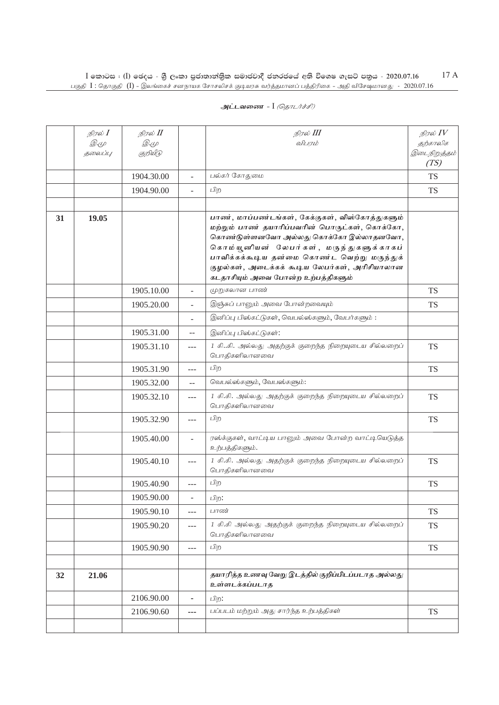| அட்டவணை - I <i>(தொடர்ச்சி)</i> |  |
|--------------------------------|--|
|                                |  |

|    | நிரல் $I$<br>$\mathscr{D} \in \mathscr{L}$ | நிரல் II<br>Q. (L |                              | நிரல் III<br>விபரம்                                                                                                                                                                                                                                                                                                        | நிரல் $IV$<br>தற்காலிக |
|----|--------------------------------------------|-------------------|------------------------------|----------------------------------------------------------------------------------------------------------------------------------------------------------------------------------------------------------------------------------------------------------------------------------------------------------------------------|------------------------|
|    | தலைப்பு                                    | குறியீடு          |                              |                                                                                                                                                                                                                                                                                                                            | இடைநிறுத்தம்<br>(TS)   |
|    |                                            | 1904.30.00        | $\sim$                       | பல்கர் கோதுமை                                                                                                                                                                                                                                                                                                              | <b>TS</b>              |
|    |                                            | 1904.90.00        | $\overline{\phantom{a}}$     | பிற                                                                                                                                                                                                                                                                                                                        | <b>TS</b>              |
|    |                                            |                   |                              |                                                                                                                                                                                                                                                                                                                            |                        |
| 31 | 19.05                                      |                   |                              | பாண், மாப்பண்டங்கள், கேக்குகள், விஸ்கோத்துகளும்<br>மற்றும் பாண் தயாரிப்பவரின் பொருட்கள், கொக்கோ,<br>கொண்டுள்ளனவோ அல்லது கொக்கோ இல்லாதனவோ,<br>கொம்யூனியன் லேபர்கள், மருந்துகளுக்காகப்<br>பாவிக்கக்கூடிய தன்மை கொண்ட வெற்று மருந்துக்<br>குழல்கள், அடைக்கக் கூடிய லேபர்கள், அரிசியாலான<br>கடதாசியும் அவை போன்ற உற்பத்திகளும் |                        |
|    |                                            | 1905.10.00        | $\overline{\phantom{a}}$     | முறுகலான பாண்                                                                                                                                                                                                                                                                                                              | <b>TS</b>              |
|    |                                            | 1905.20.00        | $\overline{\phantom{a}}$     | இஞ்சுப் பானும் அவை போன்றவையும்                                                                                                                                                                                                                                                                                             | <b>TS</b>              |
|    |                                            |                   |                              | இனிப்பு பிஸ்கட்டுகள், வெபல்ஸ்களும், வேபர்களும்:                                                                                                                                                                                                                                                                            |                        |
|    |                                            | 1905.31.00        | --                           | இனிப்பு பிஸ்கட்டுகள்:                                                                                                                                                                                                                                                                                                      |                        |
|    |                                            | 1905.31.10        | $---$                        | 1 கிகி. அல்லது அதற்குக் குறைந்த நிறையுடைய சில்லறைப்<br>பொதிகளிலானவை                                                                                                                                                                                                                                                        | <b>TS</b>              |
|    |                                            | 1905.31.90        | ---                          | பிற                                                                                                                                                                                                                                                                                                                        | <b>TS</b>              |
|    |                                            | 1905.32.00        | $-$                          | வெபல்ஸ்களும், வேபஸ்களும்:                                                                                                                                                                                                                                                                                                  |                        |
|    |                                            | 1905.32.10        | $---$                        | 1 கி.கி. அல்லது அதற்குக் குறைந்த நிறையுடைய சில்லறைப்<br>பொதிகளிலானவை                                                                                                                                                                                                                                                       | <b>TS</b>              |
|    |                                            | 1905.32.90        | ---                          | பிற                                                                                                                                                                                                                                                                                                                        | <b>TS</b>              |
|    |                                            | 1905.40.00        |                              | ரஸ்க்குகள், வாட்டிய பானும் அவை போன்ற வாட்டியெடுத்த<br>உற்பத்திகளும்.                                                                                                                                                                                                                                                       |                        |
|    |                                            | 1905.40.10        | $---$                        | 1 கி.கி. அல்லது அதற்குக் குறைந்த நிறையுடைய சில்லறைப்<br>பொதிகளிலானவை                                                                                                                                                                                                                                                       | <b>TS</b>              |
|    |                                            | 1905.40.90        |                              | பிற                                                                                                                                                                                                                                                                                                                        | <b>TS</b>              |
|    |                                            | 1905.90.00        |                              | பிற:                                                                                                                                                                                                                                                                                                                       |                        |
|    |                                            | 1905.90.10        | $---$                        | பாண்                                                                                                                                                                                                                                                                                                                       | <b>TS</b>              |
|    |                                            | 1905.90.20        | $---$                        | 1 கி.கி அல்லது அதற்குக் குறைந்த நிறையுடைய சில்லறைப்<br>பொதிகளிலானவை                                                                                                                                                                                                                                                        | <b>TS</b>              |
|    |                                            | 1905.90.90        | ---                          | பிற                                                                                                                                                                                                                                                                                                                        | <b>TS</b>              |
|    |                                            |                   |                              |                                                                                                                                                                                                                                                                                                                            |                        |
| 32 | 21.06                                      |                   |                              | தயாரித்த உணவு வேறு இடத்தில் குறிப்பிடப்படாத அல்லது<br>உள்ளடக்கப்படாத                                                                                                                                                                                                                                                       |                        |
|    |                                            | 2106.90.00        | $\qquad \qquad \blacksquare$ | பிற:                                                                                                                                                                                                                                                                                                                       |                        |
|    |                                            | 2106.90.60        | ---                          | பப்படம் மற்றும் அது சார்ந்த உற்பத்திகள்                                                                                                                                                                                                                                                                                    | <b>TS</b>              |
|    |                                            |                   |                              |                                                                                                                                                                                                                                                                                                                            |                        |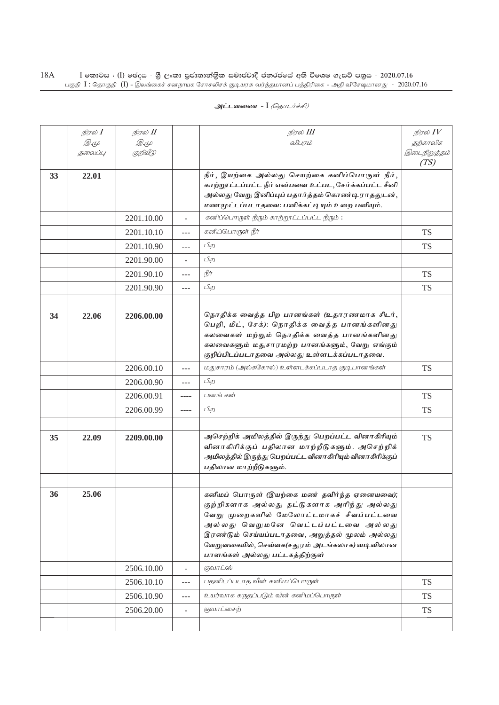|    | நிரல் <b>I</b><br><i>D.</i> 4<br>தலைப்பு | நிரல் II<br><i>D</i> .4<br>குறியீடு |                | நிரல் III<br>விபாம்                                                                                                                                                                                                                                                                                              | நிரல் IV<br>தற்காலிக<br>இடைநிறுத்தம்<br>(TS) |
|----|------------------------------------------|-------------------------------------|----------------|------------------------------------------------------------------------------------------------------------------------------------------------------------------------------------------------------------------------------------------------------------------------------------------------------------------|----------------------------------------------|
| 33 | 22.01                                    |                                     |                | நீர், இயற்கை அல்லது செயற்கை கனிப்பொருள் நீர்,<br>காற்றூட்டப்பட்ட நீர் என்பவை உட்பட, சேர்க்கப்பட்ட சீனி<br>அல்லது வேறு இனிப்புப் பதார்த்தம் கொண்டிராததுடன்,<br>மணமுட்டப்படாதவை: பனிக்கட்டியும் உறை பனியும்.                                                                                                       |                                              |
|    |                                          | 2201.10.00                          | L.             | கனிப்பொருள் நீரும் காற்றூட்டப்பட்ட நீரும்:                                                                                                                                                                                                                                                                       |                                              |
|    |                                          | 2201.10.10                          | $---$          | கனிப்பொருள் நீர்                                                                                                                                                                                                                                                                                                 | <b>TS</b>                                    |
|    |                                          | 2201.10.90                          | $---$          | பிற                                                                                                                                                                                                                                                                                                              | <b>TS</b>                                    |
|    |                                          | 2201.90.00                          | ÷              | பிற                                                                                                                                                                                                                                                                                                              |                                              |
|    |                                          | 2201.90.10                          | $---$          | நீர்                                                                                                                                                                                                                                                                                                             | <b>TS</b>                                    |
|    |                                          | 2201.90.90                          | ---            | பிற                                                                                                                                                                                                                                                                                                              | <b>TS</b>                                    |
|    |                                          |                                     |                |                                                                                                                                                                                                                                                                                                                  |                                              |
| 34 | 22.06                                    | 2206.00.00                          |                | நொதிக்க வைத்த பிற பானங்கள் (உதாரணமாக சிடர்,<br>பெறி, மீட், சேக்): நொதிக்க வைத்த பானங்களினது<br>கலவைகள் மற்றும் நொதிக்க வைத்த பானங்களினது<br>கலவைகளும் மதுசாரமற்ற பானங்களும், வேறு எங்கும்<br>குறிப்பிடப்படாதவை அல்லது உள்ளடக்கப்படாதவை.                                                                          |                                              |
|    |                                          | 2206.00.10                          | $---$          | மதுசாரம் (அல்ககோல்) உள்ளடக்கப்படாத குடிபானங்கள்                                                                                                                                                                                                                                                                  | <b>TS</b>                                    |
|    |                                          | 2206.00.90                          | $---$          | பிற                                                                                                                                                                                                                                                                                                              |                                              |
|    |                                          | 2206.00.91                          | ----           | பனங் கள்                                                                                                                                                                                                                                                                                                         | <b>TS</b>                                    |
|    |                                          | 2206.00.99                          | ----           | பிற                                                                                                                                                                                                                                                                                                              | <b>TS</b>                                    |
|    |                                          |                                     |                |                                                                                                                                                                                                                                                                                                                  |                                              |
| 35 | 22.09                                    | 2209.00.00                          |                | அசெற்றிக் அமிலத்தில் இருந்து பெறப்பட்ட வினாகிரியும்<br>வினாகிரிக்குப் பதிலான மாற்றீடுகளும். அசெற்றிக்<br>அமிலத்தில் இருந்து பெறப்பட்ட வினாகிரியும் வினாகிரிக்குப்<br>பதிலான மாற்றீடுகளும்.                                                                                                                       | <b>TS</b>                                    |
|    |                                          |                                     |                |                                                                                                                                                                                                                                                                                                                  |                                              |
| 36 | 25.06                                    |                                     |                | கனிமப் பொருள் (இயற்கை மண் தவிர்ந்த ஏனையவை);<br>குற்றிகளாக அல்லது தட்டுகளாக அரிந்து அல்லது<br>வேறு முறைகளில் மேலோட்டமாகச் சீவப்பட்டவை<br>அல்லது வெறுமனே வெட்டப்பட்டவை அல்லது<br>இரண்டும் செய்யப்படாதவை, அறுத்தல் மூலம் அல்லது<br>வேறுவகையில், செவ்வக(சதுரம் அடங்கலாக) வடிவிலான<br>பாளங்கள் அல்லது பட்டகத்திற்குள் |                                              |
|    |                                          | 2506.10.00                          | $\overline{a}$ | குவாட்ஸ்                                                                                                                                                                                                                                                                                                         |                                              |
|    |                                          | 2506.10.10                          | ---            | பதனிடப்படாத வீன் கனிமப்பொருள்                                                                                                                                                                                                                                                                                    | <b>TS</b>                                    |
|    |                                          | 2506.10.90                          | $---$          | உயர்வாக கருதப்படும் வீன் கனிமப்பொருள்                                                                                                                                                                                                                                                                            | <b>TS</b>                                    |
|    |                                          | 2506.20.00                          | $\overline{a}$ | குவாட்சைற்                                                                                                                                                                                                                                                                                                       | <b>TS</b>                                    |
|    |                                          |                                     |                |                                                                                                                                                                                                                                                                                                                  |                                              |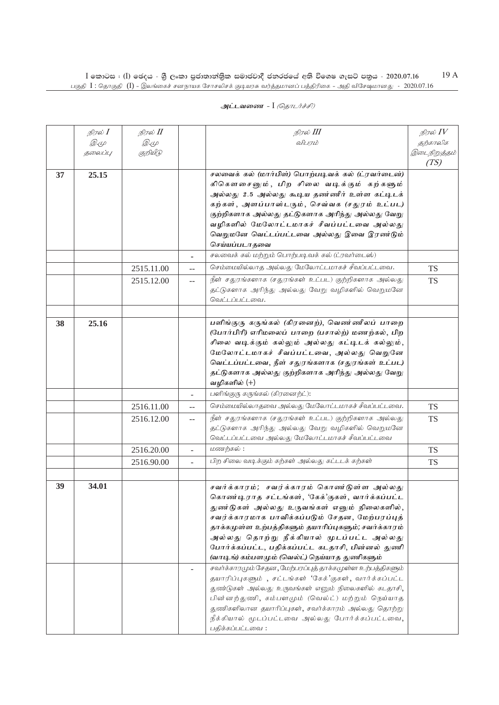|    | நிரல் $I$ | நிரல் II   |                          | நிரல் III                                                 | நிரல் $IV$           |
|----|-----------|------------|--------------------------|-----------------------------------------------------------|----------------------|
|    | Q. (L     | Q. (L      |                          | விபரம்                                                    | தற்காலிக             |
|    | தலைப்பு   | குறியீடு   |                          |                                                           | இடைநிறுத்தம்<br>(TS) |
|    |           |            |                          |                                                           |                      |
| 37 | 25.15     |            |                          | சலவைக் கல் (மார்பிள்) பொற்படிவக் கல் (ட்ரவர்டைன்)         |                      |
|    |           |            |                          | கிகௌசைனும், பிற சிலை வடிக்கும் கற்களும்                   |                      |
|    |           |            |                          | அல்லது 2.5 அல்லது கூடிய தண்ணீர் உள்ள கட்டிடக்             |                      |
|    |           |            |                          | கற்கள், அளப்பாஸ்டரும், செவ்வக (சதுரம் உட்பட)              |                      |
|    |           |            |                          | குற்றிகளாக அல்லது தட்டுகளாக அரிந்து அல்லது வேறு           |                      |
|    |           |            |                          | வழிகளில் மேலோட்டமாகச் சீவப்பட்டவை அல்லது                  |                      |
|    |           |            |                          | வெறுமனே வெட்டப்பட்டவை அல்லது இவை இரண்டும்                 |                      |
|    |           |            |                          | செய்யப்படாதவை                                             |                      |
|    |           |            |                          | சலவைக் கல் மற்றும் பொற்படிவக் கல் (ட்ரவர்டைஸ்)            |                      |
|    |           | 2515.11.00 | $-$                      | செம்மையில்லாத அல்லது மேலோட்டமாகச் சீவப்பட்டவை.            | <b>TS</b>            |
|    |           | 2515.12.00 | --                       | நீள் சதுரங்களாக (சதுரங்கள் உட்பட) குற்றிகளாக அல்லது       | <b>TS</b>            |
|    |           |            |                          | தட்டுகளாக அரிந்து அல்லது வேறு வழிகளில் வெறுமனே            |                      |
|    |           |            |                          | வெட்டப்பட்டவை.                                            |                      |
|    |           |            |                          |                                                           |                      |
| 38 | 25.16     |            |                          | பளிங்குரு கருங்கல் (கிரனைற்), வெண்ணீலப் பாறை              |                      |
|    |           |            |                          | (போர்பிரி) எரிமலைப் பாறை (பசால்ற்) மணற்கல், பிற           |                      |
|    |           |            |                          | சிலை வடிக்கும் கல்லும் அல்லது கட்டிடக் கல்லும்,           |                      |
|    |           |            |                          | மேலோட்டமாகச் சீவப்பட்டவை, அல்லது வெறுனே                   |                      |
|    |           |            |                          | வெட்டப்பட்டவை, நீள் சதுரங்களாக (சதுரங்கள் உட்பட)          |                      |
|    |           |            |                          | தட்டுகளாக அல்லது குற்றிகளாக அரிந்து அல்லது வேறு           |                      |
|    |           |            |                          | வழிகளில் (+)                                              |                      |
|    |           |            | $\overline{\phantom{a}}$ | பளிங்குரு கருங்கல் (கிரனைற்ட்):                           |                      |
|    |           | 2516.11.00 | $-$                      | செம்மையில்லாதவை அல்லது மேலோட்டமாகச் சீவப்பட்டவை.          | <b>TS</b>            |
|    |           | 2516.12.00 | $-$                      | நீள் சதுரங்களாக (சதுரங்கள் உட்பட) குற்றிகளாக அல்லது       | <b>TS</b>            |
|    |           |            |                          | தட்டுகளாக அரிந்து அல்லது வேறு வழிகளில் வெறுமனே            |                      |
|    |           |            |                          | வெட்டப்பட்டவை அல்லது மேலோட்டமாகச் சீவப்பட்டவை             |                      |
|    |           | 2516.20.00 | $\overline{\phantom{a}}$ | மணற்கல்:                                                  | <b>TS</b>            |
|    |           | 2516.90.00 | L.                       | பிற சிலை வடிக்கும் கற்கள் அல்லது கட்டடக் கற்கள்           | <b>TS</b>            |
|    |           |            |                          |                                                           |                      |
|    |           |            |                          |                                                           |                      |
| 39 | 34.01     |            |                          | சவர்க்காரம்; சவர்க்காரம் கொண ்டுள்ள அல்லது                |                      |
|    |           |            |                          | கொண்டிராத சட்டங்கள், 'கேக்'குகள், வார்க்கப்பட்ட           |                      |
|    |           |            |                          | துண்டுகள் அல்லது உருவங்கள் எனும் நிலைகளில்,               |                      |
|    |           |            |                          | சவர்க்காரமாக பாவிக்கப்படும் சேதன, மேற்பரப்புத்            |                      |
|    |           |            |                          | தாக்கமுள்ள உற்பத்திகளும் தயாரிப்புகளும்; சவர்க்காரம்      |                      |
|    |           |            |                          | அல்லது தொற்று நீக்கியால் முடப்பட்ட அல்லது                 |                      |
|    |           |            |                          | போர்க்கப்பட்ட, பதிக்கப்பட்ட கடதாசி, பின்னல் துணி          |                      |
|    |           |            |                          | (வாடிங்) கம்பளமும் (வெல்ட்) நெய்யாத துணிகளும்             |                      |
|    |           |            |                          | சவர்க்காரமும் சேதன, மேற்பரப்புத் தாக்கமுள்ள உற்பத்திகளும் |                      |
|    |           |            |                          | தயாரிப்புகளும், சட்டங்கள் 'கேக்'குகள், வார்க்கப்பட்ட      |                      |
|    |           |            |                          | துண்டுகள் அல்லது உருவங்கள் எனும் நிலைகளில் கடதாசி,        |                      |
|    |           |            |                          | பின்னற்துணி, கம்பளமும் (வெல்ட்) மற்றும் நெய்யாத           |                      |
|    |           |            |                          | துணிகளிலான தயாரிப்புகள், சவர்க்காரம் அல்லது தொற்று        |                      |
|    |           |            |                          | நீக்கியால் மூடப்பட்டவை அல்லது போர்க்கப்பட்டவை,            |                      |
|    |           |            |                          | பதிக்கப்பட்டவை:                                           |                      |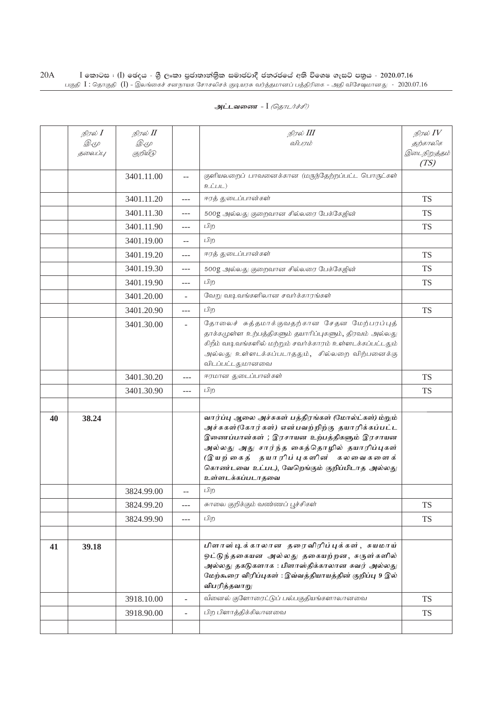|    | நிரல் <b>I</b> | நிரல் II   |                          | நிரல் III                                                                                                                                                                                                                                                                                                     | நிரல் $IV$           |
|----|----------------|------------|--------------------------|---------------------------------------------------------------------------------------------------------------------------------------------------------------------------------------------------------------------------------------------------------------------------------------------------------------|----------------------|
|    | <i>D</i> .4    | <i>D.4</i> |                          | விபாம்                                                                                                                                                                                                                                                                                                        | தற்காலிக             |
|    | தலைப்பு        | குறியீடு   |                          |                                                                                                                                                                                                                                                                                                               | இடைநிறுத்தம்<br>(TS) |
|    |                | 3401.11.00 | $\overline{a}$           | குளியலறைப் பாவனைக்கான (மருந்தேற்றப்பட்ட பொருட்கள்<br>D                                                                                                                                                                                                                                                        |                      |
|    |                | 3401.11.20 |                          | ஈரத் துடைப்பான்கள்                                                                                                                                                                                                                                                                                            | <b>TS</b>            |
|    |                | 3401.11.30 | $---$                    | 500g அல்லது குறைவான சில்லரை பேக்கேஜின்                                                                                                                                                                                                                                                                        | TS                   |
|    |                | 3401.11.90 | $---$                    | பிற                                                                                                                                                                                                                                                                                                           | TS                   |
|    |                | 3401.19.00 | $-$                      | பிற                                                                                                                                                                                                                                                                                                           |                      |
|    |                | 3401.19.20 | $---$                    | ஈரத் துடைப்பான்கள்                                                                                                                                                                                                                                                                                            | <b>TS</b>            |
|    |                | 3401.19.30 | $---$                    | 500g அல்லது குறைவான சில்லரை பேக்கேஜின்                                                                                                                                                                                                                                                                        | <b>TS</b>            |
|    |                | 3401.19.90 | $---$                    | பிற                                                                                                                                                                                                                                                                                                           | <b>TS</b>            |
|    |                | 3401.20.00 |                          | வேறு வடிவங்களிலான சவர்க்காரங்கள்                                                                                                                                                                                                                                                                              |                      |
|    |                | 3401.20.90 | ---                      | பிற                                                                                                                                                                                                                                                                                                           | <b>TS</b>            |
|    |                | 3401.30.00 |                          | தோலைச் சுத்தமாக்குவதற்கான சேதன மேற்பரப்புத்<br>தாக்கமுள்ள உற்பத்திகளும் தயாரிப்புகளும், திரவம் அல்லது<br>கிறீம் வடிவங்களில் மற்றும் சவர்க்காரம் உள்ளடக்கப்பட்டதும்<br>அல்லது உள்ளடக்கப்படாததும், சில்லறை விற்பனைக்கு<br>விடப்பட்டதுமானவை                                                                      |                      |
|    |                | 3401.30.20 | $-$                      | ஈரமான துடைப்பான்கள்                                                                                                                                                                                                                                                                                           | <b>TS</b>            |
|    |                | 3401.30.90 | $---$                    | பிற                                                                                                                                                                                                                                                                                                           | <b>TS</b>            |
|    |                |            |                          |                                                                                                                                                                                                                                                                                                               |                      |
| 40 | 38.24          |            |                          | வார்ப்பு ஆலை அச்சுகள் பத்திரங்கள் (மோல்ட்கள்) ம்றும்<br>அச்சுகள்(கோர்கள்) என்பவற்றிற்கு தயாரிக்கப்பட்ட<br>இணைப்பான்கள் ; இரசாயன உற்பத்திகளும் இரசாயன<br>அல்லது அது சார்ந்த கைத்தொழில் தயாரிப்புகள்<br>(இயற்கைத் தயாரிப்புகளின் கலவைகளைக்<br>கொண்டவை உட்பட), வேறெங்கும் குறிப்பிடாத அல்லது<br>உள்ளடக்கப்படாதவை |                      |
|    |                | 3824.99.00 | $\overline{a}$           | பிற                                                                                                                                                                                                                                                                                                           |                      |
|    |                | 3824.99.20 | ---                      | சுாலை குறிக்கும் வண்ணப் பூச்சிகள்                                                                                                                                                                                                                                                                             | <b>TS</b>            |
|    |                | 3824.99.90 | $---$                    | பிற                                                                                                                                                                                                                                                                                                           | <b>TS</b>            |
|    |                |            |                          |                                                                                                                                                                                                                                                                                                               |                      |
| 41 | 39.18          |            |                          | பிளாஸ்டிக்காலான தரைவிரிப்புக்கள், சுயமாய்<br>ஒட்டுந்தகையன அல்லது தகையற்றன, சுருள்களில்<br>அல்லது தகடுகளாக : பிளாஸ்திக்காலான சுவர் அல்லது<br>மேற்கூரை விரிப்புகள் : இவ்வத்தியாயத்தின் குறிப்பு 9 இல்<br>விபரித்தவாறு                                                                                           |                      |
|    |                | 3918.10.00 | $\overline{\phantom{a}}$ | வீனைல் குளோரைட்டுப் பல்பகுதியங்களாலானவை                                                                                                                                                                                                                                                                       | <b>TS</b>            |
|    |                | 3918.90.00 | $\overline{\phantom{a}}$ | பிற பிளாத்திக்கிலானவை                                                                                                                                                                                                                                                                                         | <b>TS</b>            |
|    |                |            |                          |                                                                                                                                                                                                                                                                                                               |                      |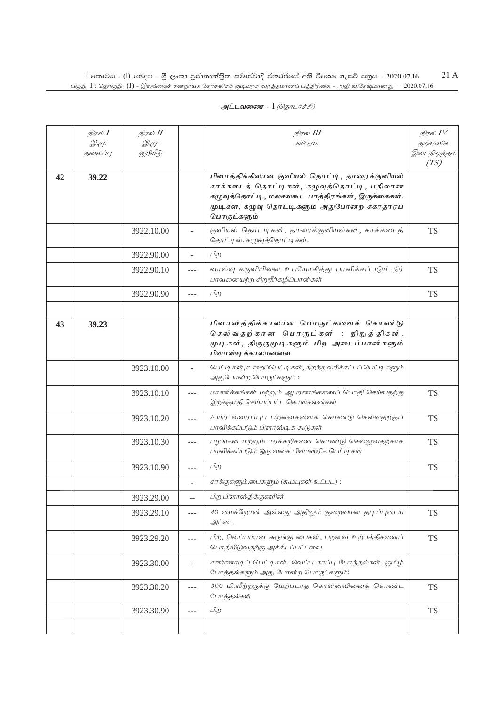|    | நிரல் I<br><i>D.</i> (L<br>தலைப்பு | நிரல் II<br>Q. (L<br>குறியீடு |                          | நிரல் III<br>விபரம்                                                                                                                                                                                             | நிரல் $IV$<br>தற்காலிக<br>இடைநிறுத்தம்<br>(TS) |
|----|------------------------------------|-------------------------------|--------------------------|-----------------------------------------------------------------------------------------------------------------------------------------------------------------------------------------------------------------|------------------------------------------------|
| 42 | 39.22                              |                               |                          | பிளாத்திக்கிலான குளியல் தொட்டி, தாரைக்குளியல்<br>சாக்கடைத் தொட்டிகள், கழுவுத்தொட்டி, பதிலான<br>கழுவுத்தொட்டி, மலசலகூட பாத்திரங்கள், இருக்கைகள்.<br>முடிகள், கழுவு தொட்டிகளும் அதுபோன்ற சுகாதாரப்<br>பொருட்களும் |                                                |
|    |                                    | 3922.10.00                    |                          | குளியல் தொட்டிகள், தாரைக்குளியல்கள், சாக்கடைத்<br>தொட்டில். கழுவுத்தொட்டிகள்.                                                                                                                                   | <b>TS</b>                                      |
|    |                                    | 3922.90.00                    |                          | பிற                                                                                                                                                                                                             |                                                |
|    |                                    | 3922.90.10                    | $\overline{a}$           | வால்வு கருவியினை உபயோகித்து பாவிக்கப்படும் நீர்<br>பாவனையற்ற சிறுநீர்கழிப்பான்கள்                                                                                                                               | <b>TS</b>                                      |
|    |                                    | 3922.90.90                    | $---$                    | பிற                                                                                                                                                                                                             | <b>TS</b>                                      |
|    |                                    |                               |                          |                                                                                                                                                                                                                 |                                                |
| 43 | 39.23                              |                               |                          | பிளாஸ்த்திக்காலான பொருட்களைக் கொண ்டு<br>செல்வதற்கான பொருட்கள் : நிறுத்திகள்.<br>முடிகள், திருகுமுடிகளும் பிற அடைப்பான்களும்<br>பிளாஸ்டிக்காலானவை                                                               |                                                |
|    |                                    | 3923.10.00                    |                          | பெட்டிகள், உறைப்பெட்டிகள், திறந்த வரிச்சட்டப் பெட்டிகளும்<br>அதுபோன்ற பொருட்களும்:                                                                                                                              |                                                |
|    |                                    | 3923.10.10                    | ---                      | மாணிக்கங்கள் மற்றும் ஆபரணங்களைப் பொதி செய்வதற்கு<br>இறக்குமதி செய்யப்பட்ட கொள்கலன்கள்                                                                                                                           | <b>TS</b>                                      |
|    |                                    | 3923.10.20                    | ---                      | உயிர் வளர்ப்புப் பறவைகளைக் கொண்டு செல்வதற்குப்<br>பாவிக்கப்படும் பிளாஸ்டிக் கூடுகள்                                                                                                                             | <b>TS</b>                                      |
|    |                                    | 3923.10.30                    | $---$                    | பழங்கள் மற்றும் மரக்கறிகளை கொண்டு செல்லுவதற்காக<br>பாவிக்கப்படும் ஒரு வகை பிளாஸ்ரிக் பெட்டிகள்                                                                                                                  | <b>TS</b>                                      |
|    |                                    | 3923.10.90                    | $---$                    | பிற                                                                                                                                                                                                             | <b>TS</b>                                      |
|    |                                    |                               |                          | சாக்குகளும்.பைகளும் (சும்புகள் உட்பட):                                                                                                                                                                          |                                                |
|    |                                    | 3923.29.00                    |                          | பிற பிளாஸ்திக்குகளின்                                                                                                                                                                                           |                                                |
|    |                                    | 3923.29.10                    | $---$                    | 40 மைக்றோன் அல்லது அதிலும் குறைவான தடிப்புடைய<br>அட்டை                                                                                                                                                          | <b>TS</b>                                      |
|    |                                    | 3923.29.20                    | $---$                    | பிற, வெப்பமான சுருங்கு பைகள், பறவை உற்பத்திகளைப்<br>பொதியிடுவதற்கு அச்சிடப்பட்டவை                                                                                                                               | <b>TS</b>                                      |
|    |                                    | 3923.30.00                    | $\overline{\phantom{0}}$ | கண்ணாடிப் பெட்டிகள். வெப்ப காப்பு போத்தல்கள். குமிழ்<br>போத்தல்களும் அது போன்ற பொருட்களும்:                                                                                                                     |                                                |
|    |                                    | 3923.30.20                    | $---$                    | 300 மி.லீற்றருக்கு மேற்படாத கொள்ளவினைக் கொண்ட<br>போத்தல்கள்                                                                                                                                                     | <b>TS</b>                                      |
|    |                                    | 3923.30.90                    | ---                      | பிற                                                                                                                                                                                                             | <b>TS</b>                                      |
|    |                                    |                               |                          |                                                                                                                                                                                                                 |                                                |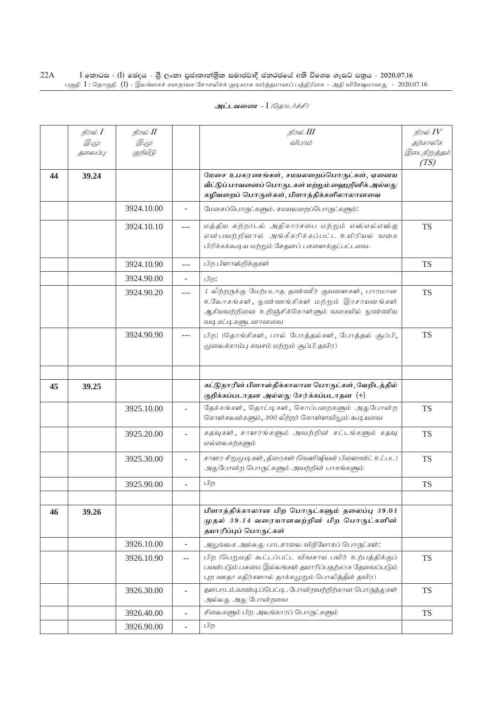| நிரல் II<br>நிரல் III<br>நிரல் <b>I</b>                                                                              | நிரல் $\mathit{IV}$  |
|----------------------------------------------------------------------------------------------------------------------|----------------------|
| <i>D</i> .4<br><i>D</i> .4<br>விபாம்                                                                                 | தற்காலிக             |
| குறியீடு<br>தலைப்பு                                                                                                  | இடைநிறுத்தம்<br>(TS) |
| மேசை உபகரணங்கள், சமயலறைப்பொருட்கள், ஏனைய<br>44<br>39.24                                                              |                      |
| வீட்டுப் பாவனைப் பொருடகள் மற்றும் ஹைஜினிக் அல்லது                                                                    |                      |
| கழிவறைப் பொருள்கள், பிளாத்திக்களிலாலானவை                                                                             |                      |
| 3924.10.00<br>மேசைப்பொருட்களும். சமயலறைப்பொருட்களும்:<br>$\omega$                                                    |                      |
| மத்திய சுற்றாடல் அதிகாரசபை மற்றும் எஸ்எல்எஸ்ஐ<br>3924.10.10<br>$-$ - $-$                                             | <b>TS</b>            |
| என்பவற்றினால் அங்கீகரிக்கப்பட்ட உயிரியல் வகை                                                                         |                      |
| பிரிக்கக்கூடிய மற்றும் சேதனப் பசளைக்குட்பட்டவை.                                                                      |                      |
| பிற பிளாஸ்றிக்குகள்<br>3924.10.90<br>---                                                                             | <b>TS</b>            |
| 3924.90.00<br>பிற:<br>$\overline{\phantom{a}}$                                                                       |                      |
| 1 லீற்றருக்கு மேற்படாத தண்ணீர் குவளைகள், பாரமான<br>3924.90.20<br>$---$                                               | <b>TS</b>            |
| உலோகங்கள், நுண்ணங்கிகள் மற்றும் இரசாயனங்கள்                                                                          |                      |
| ஆகியவற்றினை உறிஞ்சிக்கொள்ளும் வகையில் நுண்ணிய                                                                        |                      |
| வடிகட்டிகளுடனானவை                                                                                                    |                      |
| 3924.90.90<br>பிற: (தொங்கிகள், பால் போத்தல்கள், போத்தல் சூப்பி,<br>$---$<br>(முலைக்காம்பு கவசம் மற்றும் சூப்பி தவிர) | <b>TS</b>            |
|                                                                                                                      |                      |
|                                                                                                                      |                      |
|                                                                                                                      |                      |
| கட்டுநாரின் பிளாஸ்திக்காலான பொருட்கள்,வேறிடத்தில்<br>45<br>39.25<br>குறிக்கப்படாதன அல்லது சேர்க்கப்படாதன (+)         |                      |
| தேக்கங்கள், தொட்டிகள், கொப்பறைகளும் அதுபோன்ற<br>3925.10.00<br>$\overline{\phantom{a}}$                               | <b>TS</b>            |
| கொள்கலன்களும், 300 லீற்றர் கொள்ளவிலும் கூடியவை                                                                       |                      |
| கதவுகள், சாளரங்களும் அவற்றின் சட்டங்களும் கதவு<br>3925.20.00                                                         | <b>TS</b>            |
| எல்லைகற்களும்                                                                                                        |                      |
| சாளர சிறுமூடிகள், திரைகள் (வெளிஷியன் பிளைண்ட் உட்பட)<br>3925.30.00                                                   | <b>TS</b>            |
| அதுபோன்ற பொருட்களும் அவற்றின் பாகங்களும்                                                                             |                      |
| பிற<br>3925.90.00<br>$\overline{\phantom{a}}$                                                                        | <b>TS</b>            |
|                                                                                                                      |                      |
| பிளாத்திக்காலான பிற பொருட்களும் தலைப்பு 39.01<br>46<br>39.26                                                         |                      |
| முதல் 39.14 வரையானவற்றின் பிற பொருட்களின்                                                                            |                      |
| தயாரிப்புப் பொருட்கள்                                                                                                |                      |
| 3926.10.00<br>அலுவலக அல்லது பாடசாலை விநியோகப் பொருட்கள்:<br>$\overline{\phantom{a}}$                                 |                      |
| பிற (பெறுமதி கூட்டப்பட்ட விவசாய பயிர் உற்பத்திக்குப்<br>3926.10.90<br>$-$                                            | <b>TS</b>            |
| பயன்படும் பசுமை இல்லங்கள் தயாரிப்பதற்காக தேவைப்படும்<br>புற ஊதா கதிர்களால் தாக்கமுறும் பொலித்தீன் தவிர)              |                      |
| தளபாடம்.வண்டிப்பெட்டி. போன்றவற்றிற்கான பொருத்துகள்<br>3926.30.00                                                     | <b>TS</b>            |
| $\overline{\phantom{a}}$<br>அல்லது அது போன்றவை                                                                       |                      |
| சிலைகளும் பிற அலங்காரப் பொருட்களும்                                                                                  |                      |
| 3926.40.00<br>$\overline{\phantom{a}}$                                                                               | <b>TS</b>            |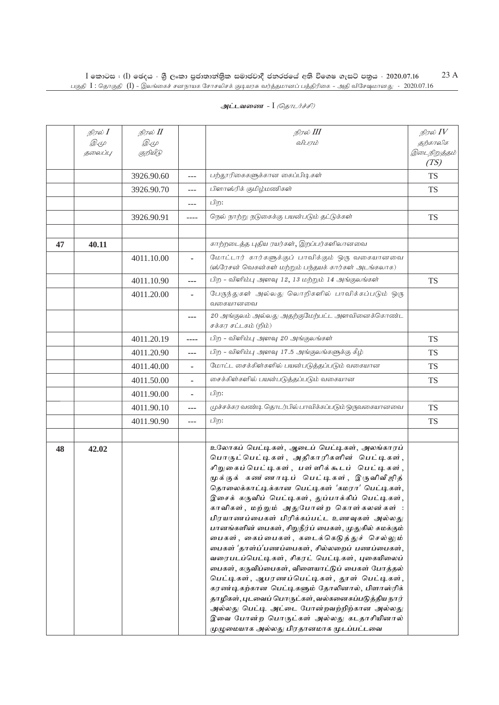| அட்டவணை - I <i>(தொடர்ச்சி)</i> |  |
|--------------------------------|--|
|--------------------------------|--|

|    | நிரல் I     | நிரல் II    |         | நிரல் III                                                                                                                                                                                                                                                                                                                                                                                                                                                                                                                                                                                                                                                                                                                                                                                                                                                                                                                                 | நிரல் $IV$           |
|----|-------------|-------------|---------|-------------------------------------------------------------------------------------------------------------------------------------------------------------------------------------------------------------------------------------------------------------------------------------------------------------------------------------------------------------------------------------------------------------------------------------------------------------------------------------------------------------------------------------------------------------------------------------------------------------------------------------------------------------------------------------------------------------------------------------------------------------------------------------------------------------------------------------------------------------------------------------------------------------------------------------------|----------------------|
|    | <i>D</i> .4 | <i>D</i> .4 |         | விபரம்                                                                                                                                                                                                                                                                                                                                                                                                                                                                                                                                                                                                                                                                                                                                                                                                                                                                                                                                    | தற்காலிக             |
|    | தலைப்பு     | குறியீடு    |         |                                                                                                                                                                                                                                                                                                                                                                                                                                                                                                                                                                                                                                                                                                                                                                                                                                                                                                                                           | இடைநிறுத்தம்<br>(TS) |
|    |             | 3926.90.60  | $---$   | பற்தூரிகைகளுக்கான கைப்பிடிகள்                                                                                                                                                                                                                                                                                                                                                                                                                                                                                                                                                                                                                                                                                                                                                                                                                                                                                                             | <b>TS</b>            |
|    |             | 3926.90.70  | ---     | பிளாஸ்ரிக் குமிழ்மணிகள்                                                                                                                                                                                                                                                                                                                                                                                                                                                                                                                                                                                                                                                                                                                                                                                                                                                                                                                   | <b>TS</b>            |
|    |             |             | ---     | பிற:                                                                                                                                                                                                                                                                                                                                                                                                                                                                                                                                                                                                                                                                                                                                                                                                                                                                                                                                      |                      |
|    |             | 3926.90.91  | $--- -$ | நெல் நாற்று நடுகைக்கு பயன்படும் தட்டுக்கள்                                                                                                                                                                                                                                                                                                                                                                                                                                                                                                                                                                                                                                                                                                                                                                                                                                                                                                | <b>TS</b>            |
|    |             |             |         |                                                                                                                                                                                                                                                                                                                                                                                                                                                                                                                                                                                                                                                                                                                                                                                                                                                                                                                                           |                      |
| 47 | 40.11       |             |         | காற்றடைத்த புதிய ரயர்கள், இறப்பர்களிலானவை                                                                                                                                                                                                                                                                                                                                                                                                                                                                                                                                                                                                                                                                                                                                                                                                                                                                                                 |                      |
|    |             | 4011.10.00  | ä,      | மோட்டார் கார்களுக்குப் பாவிக்கும் ஒரு வகையானவை<br>(ஸ்ரேசன் வெகன்கள் மற்றும் பந்தயக் கார்கள் அடங்கலாக)                                                                                                                                                                                                                                                                                                                                                                                                                                                                                                                                                                                                                                                                                                                                                                                                                                     |                      |
|    |             | 4011.10.90  | ---     | பிற - விளிம்பு அளவு 12, 13 மற்றும் 14 அங்குலங்கள்                                                                                                                                                                                                                                                                                                                                                                                                                                                                                                                                                                                                                                                                                                                                                                                                                                                                                         | <b>TS</b>            |
|    |             | 4011.20.00  |         | பேருந்துகள் அல்லது லொறிகளில் பாவிக்கப்படும் ஒரு<br>வகையானவை                                                                                                                                                                                                                                                                                                                                                                                                                                                                                                                                                                                                                                                                                                                                                                                                                                                                               |                      |
|    |             |             | ---     | 20 அங்குலம் அல்லது அதற்குமேற்பட்ட அளவினைக்கொண்ட<br>சக்கர சட்டகம் (றிம்)                                                                                                                                                                                                                                                                                                                                                                                                                                                                                                                                                                                                                                                                                                                                                                                                                                                                   |                      |
|    |             | 4011.20.19  | ----    | பிற - விளிம்பு அளவு 20 அங்குலங்கள்                                                                                                                                                                                                                                                                                                                                                                                                                                                                                                                                                                                                                                                                                                                                                                                                                                                                                                        | <b>TS</b>            |
|    |             | 4011.20.90  | ---     | பிற - விளிம்பு அளவு 17.5 அங்குலங்களுக்கு கீழ்                                                                                                                                                                                                                                                                                                                                                                                                                                                                                                                                                                                                                                                                                                                                                                                                                                                                                             | <b>TS</b>            |
|    |             | 4011.40.00  | ٠       | மோட்ட சைக்கிள்களில் பயன்படுத்தப்படும் வகையான                                                                                                                                                                                                                                                                                                                                                                                                                                                                                                                                                                                                                                                                                                                                                                                                                                                                                              | <b>TS</b>            |
|    |             | 4011.50.00  | ۰       | சைக்கிள்களில் பயன்படுத்தப்படும் வகையான                                                                                                                                                                                                                                                                                                                                                                                                                                                                                                                                                                                                                                                                                                                                                                                                                                                                                                    | <b>TS</b>            |
|    |             | 4011.90.00  |         | பிற:                                                                                                                                                                                                                                                                                                                                                                                                                                                                                                                                                                                                                                                                                                                                                                                                                                                                                                                                      |                      |
|    |             | 4011.90.10  | ---     | முச்சக்கர வண்டி தொடர்பில் பாவிக்கப்படும் ஒருவகையானவை                                                                                                                                                                                                                                                                                                                                                                                                                                                                                                                                                                                                                                                                                                                                                                                                                                                                                      | <b>TS</b>            |
|    |             | 4011.90.90  | $---$   | பிற:                                                                                                                                                                                                                                                                                                                                                                                                                                                                                                                                                                                                                                                                                                                                                                                                                                                                                                                                      | <b>TS</b>            |
|    |             |             |         |                                                                                                                                                                                                                                                                                                                                                                                                                                                                                                                                                                                                                                                                                                                                                                                                                                                                                                                                           |                      |
| 48 | 42.02       |             |         | உலோகப் பெட்டிகள், ஆடைப் பெட்டிகள், அலங்காரப்<br>பொருட்பெட்டிகள், அதிகாரிகளின் பெட்டிகள்,<br>சிறுகைப்பெட்டிகள், பள்ளிக்கூடப் பெட்டிகள்,<br>முக்குக் கண ணாடிப் பெட்டிகள், இருவிவீஜித்<br>தொலைக்காட்டிக்கான பெட்டிகள் 'கமரா' பெட்டிகள்,<br>இசைக் கருவிப் பெட்டிகள், துப்பாக்கிப் பெட்டிகள்,<br>காவிகள், மற்றும் அதுபோன்ற கொள்கலன்கள் :<br>பிரயாணப்பைகள் பிரிக்கப்பட்ட உணவுகள் அல்லது<br>பானங்களின் பைகள், சிறுநீர்ப் பைகள், முதுகில் சுமக்கும்<br>பைகள், கைப்பைகள், கடைக்கெடுத்துச் செல்லும்<br>பைகள் 'தாள்ப்'பணப்பைகள், சில்லறைப் பணப்பைகள்,<br>வரைபடப்பெட்டிகள், சிகரட் பெட்டிகள், புகையிலைப்<br>பைகள், கருவிப்பைகள், விளையாட்டுப் பைகள் போத்தல்<br>பெட்டிகள், ஆபரணப்பெட்டிகள், தூள் பெட்டிகள்,<br>கரண்டிகற்கான பெட்டிகளும் தோலினால், பிளாஸ்ரிக்<br>தாழிகள், புடவைப் பொருட்கள், வல்கனைசுப்படுத்திய நார்<br>அல்லது பெட்டி அட்டை போன்றவற்றிற்கான அல்லது<br>இவை போன்ற பொருட்கள் அல்லது கடதாசியினால்<br>முழுமையாக அல்லது பிரதானமாக முடப்பட்டவை |                      |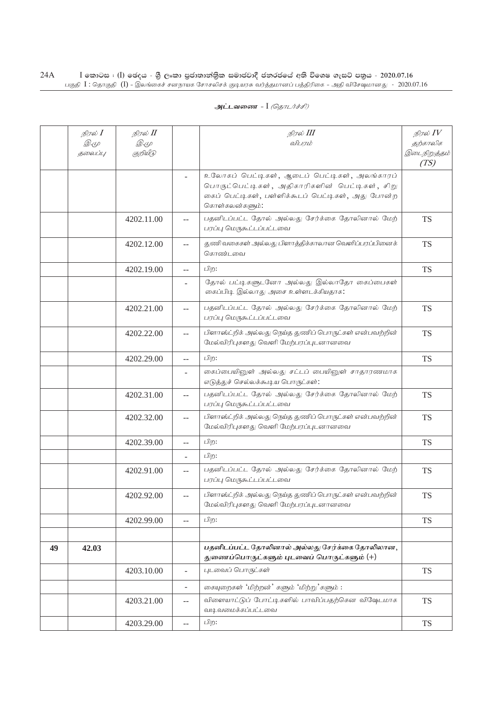|    | நிரல் $I$   | நிரல் II    |                          | நிரல் III                                                                  | நிரல் $IV$   |
|----|-------------|-------------|--------------------------|----------------------------------------------------------------------------|--------------|
|    | <i>D</i> .4 | <i>D</i> .4 |                          | விபரம்                                                                     | தற்காலிக     |
|    | தலைப்பு     | குறியீடு    |                          |                                                                            | இடைநிறுத்தம் |
|    |             |             |                          |                                                                            | (TS)         |
|    |             |             | $\overline{\phantom{a}}$ | உலோகப் பெட்டிகள், ஆடைப் பெட்டிகள், அலங்காரப்                               |              |
|    |             |             |                          | பொருட்பெட்டிகள், அதிகாரிகளின் பெட்டிகள், சிறு                              |              |
|    |             |             |                          | கைப் பெட்டிகள், பள்ளிக்கூடப் பெட்டிகள், அது போன்ற                          |              |
|    |             |             |                          | கொள்கலன்களும்:                                                             |              |
|    |             | 4202.11.00  | $-$                      | பதனிடப்பட்ட தோல் அல்லது சேர்க்கை தோலினால் மேற்                             | <b>TS</b>    |
|    |             |             |                          | பரப்பு மெருகூட்டப்பட்டவை                                                   |              |
|    |             | 4202.12.00  | $- -$                    | துணிவகைகள் அல்லது பிளாத்திக்காலான வெளிப்பரப்பினைக்                         | <b>TS</b>    |
|    |             |             |                          | கொண்டவை                                                                    |              |
|    |             | 4202.19.00  | $-$                      | பிற:                                                                       | <b>TS</b>    |
|    |             |             |                          | தோல் பட்டிகளுடனோ அல்லது இல்லாதோ கைப்பைகள்                                  |              |
|    |             |             |                          | கைப்பிடி இல்லாது அசை உள்ளடக்கியதாக:                                        |              |
|    |             |             |                          |                                                                            |              |
|    |             | 4202.21.00  | $-$                      | பதனிடப்பட்ட தோல் அல்லது சேர்க்கை தோலினால் மேற்<br>பரப்பு மெருகூட்டப்பட்டவை | <b>TS</b>    |
|    |             |             |                          |                                                                            |              |
|    |             | 4202.22.00  | $-$                      | பிளாஸ்ட்றிக் அல்லது நெய்த துணிப் பொருட்கள் என்பவற்றின்                     | <b>TS</b>    |
|    |             |             |                          | மேல்விரிபுகளது வெளி மேற்பரப்புடனானவை                                       |              |
|    |             | 4202.29.00  | $\overline{a}$           | பிற:                                                                       | <b>TS</b>    |
|    |             |             | $\overline{\phantom{a}}$ | கைப்பையினுள் அல்லது சட்டப் பையினுள் சாதாரணமாக                              |              |
|    |             |             |                          | எடுத்துச் செல்லக்கூடிய பொருட்கள்:                                          |              |
|    |             | 4202.31.00  | $- -$                    | பதனிடப்பட்ட தோல் அல்லது சேர்க்கை தோலினால் மேற்                             | <b>TS</b>    |
|    |             |             |                          | பரப்பு மெருகூட்டப்பட்டவை                                                   |              |
|    |             | 4202.32.00  | $\overline{\phantom{a}}$ | பிளாஸ்ட்றிக் அல்லது நெய்த துணிப் பொருட்கள் என்பவற்றின்                     | <b>TS</b>    |
|    |             |             |                          | மேல்விரிபுகளது வெளி மேற்பரப்புடனானவை                                       |              |
|    |             | 4202.39.00  | $- -$                    | பிற:                                                                       | <b>TS</b>    |
|    |             |             |                          | பிற:                                                                       |              |
|    |             |             |                          |                                                                            |              |
|    |             | 4202.91.00  | $-$                      | பதனிடப்பட்ட தோல் அல்லது சேர்க்கை தோலினால் மேற்<br>பரப்பு மெருகூட்டப்பட்டவை | <b>TS</b>    |
|    |             |             |                          |                                                                            |              |
|    |             | 4202.92.00  | $-$                      | பிளாஸ்ட்றிக் அல்லது நெய்த துணிப் பொருட்கள் என்பவற்றின்                     | <b>TS</b>    |
|    |             |             |                          | மேல்விரிபுகளது வெளி மேற்பரப்புடனானவை                                       |              |
|    |             | 4202.99.00  | $\overline{a}$           | பிற:                                                                       | <b>TS</b>    |
|    |             |             |                          |                                                                            |              |
| 49 | 42.03       |             |                          | பதனிடப்பட்ட தோலினால் அல்லது சேர்க்கை தோலிலான,                              |              |
|    |             |             |                          | துணைப்பொருட்களும் புடவைப் பொருட்களும் (+)                                  |              |
|    |             | 4203.10.00  | $\overline{\phantom{a}}$ | புடவைப் பொருட்கள்                                                          | <b>TS</b>    |
|    |             |             |                          |                                                                            |              |
|    |             |             | $\overline{\phantom{a}}$ | கையுறைகள் 'மிற்றன்' களும் 'மிற்று'களும்:                                   |              |
|    |             | 4203.21.00  | $- -$                    | விளையாட்டுப் போட்டிகளில் பாவிப்பதற்கென விஷேடமாக                            | <b>TS</b>    |
|    |             |             |                          | வடிவமைக்கப்பட்டவை                                                          |              |
|    |             | 4203.29.00  | $\overline{\phantom{a}}$ | பிற:                                                                       | <b>TS</b>    |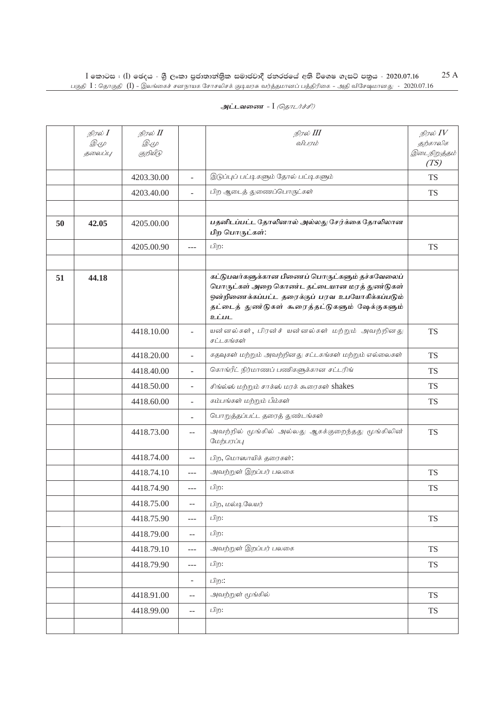|    | நிரல் I<br>$\mathcal{D} \in \mathcal{L}$<br>தலைப்பு | நிரல் II<br><i>D</i> .4<br>குறியீடு |                          | நிரல் III<br>விபரம்                                                                                                                                                                                           | நிரல் $IV$<br>தற்காலிக<br>இடைநிறுத்தம்<br>(TS) |
|----|-----------------------------------------------------|-------------------------------------|--------------------------|---------------------------------------------------------------------------------------------------------------------------------------------------------------------------------------------------------------|------------------------------------------------|
|    |                                                     | 4203.30.00                          | $\overline{\phantom{a}}$ | இடுப்புப் பட்டிகளும் தோல் பட்டிகளும்                                                                                                                                                                          | <b>TS</b>                                      |
|    |                                                     | 4203.40.00                          | $\overline{a}$           | பிற ஆடைத் துணைப்பொருட்கள்                                                                                                                                                                                     | <b>TS</b>                                      |
|    |                                                     |                                     |                          |                                                                                                                                                                                                               |                                                |
| 50 | 42.05                                               | 4205.00.00                          |                          | பதனிடப்பட்ட தோலினால் அல்லது சேர்க்கை தோலிலான<br>பிற பொருட்கள்:                                                                                                                                                |                                                |
|    |                                                     | 4205.00.90                          | $---$                    | பிற:                                                                                                                                                                                                          | <b>TS</b>                                      |
|    |                                                     |                                     |                          |                                                                                                                                                                                                               |                                                |
| 51 | 44.18                                               |                                     |                          | கட்டுபவர்களுக்கான பிணைப் பொருட்களும் தச்சுவேலைப்<br>பொருட்கள் அறை கொண்ட தட்டையான மரத் துண்டுகள்<br>ஒன்றிணைக்கப்பட்ட தரைக்குப் பரவ உபயோகிக்கப்படும்<br>தட்டைத் துண்டுகள் கூரைத்தட்டுகளும் ஷேக்குகளும்<br>உட்பட |                                                |
|    |                                                     | 4418.10.00                          | $\overline{\phantom{a}}$ | யன்னல்கள், பிரன்ச் யன்னல்கள் மற்றும் அவற்றினது<br>சட்டகங்கள்                                                                                                                                                  | <b>TS</b>                                      |
|    |                                                     | 4418.20.00                          | ÷.                       | கதவுகள் மற்றும் அவற்றினது சட்டகங்கள் மற்றும் எல்லைகள்                                                                                                                                                         | <b>TS</b>                                      |
|    |                                                     | 4418.40.00                          | ÷                        | கொங்ரீட் நிர்மாணப் பணிகளுக்கான சட்டரிங்                                                                                                                                                                       | <b>TS</b>                                      |
|    |                                                     | 4418.50.00                          | $\overline{\phantom{0}}$ | சிங்ல்ஸ் மற்றும் சாக்ஸ் மரக் கூரைகள் shakes                                                                                                                                                                   | <b>TS</b>                                      |
|    |                                                     | 4418.60.00                          | ÷.                       | கம்பங்கள் மற்றும் பீம்கள்                                                                                                                                                                                     | <b>TS</b>                                      |
|    |                                                     |                                     | ÷,                       | பொறுத்தப்பட்ட தரைத் துண்டங்கள்                                                                                                                                                                                |                                                |
|    |                                                     | 4418.73.00                          | $-$                      | அவற்றில் மூங்கில் அல்லது ஆகக்குறைந்தது மூங்கிலின்<br>மேற்பரப்பு                                                                                                                                               | <b>TS</b>                                      |
|    |                                                     | 4418.74.00                          | $- -$                    | பிற, மொஸாயிக் தரைகள்:                                                                                                                                                                                         |                                                |
|    |                                                     | 4418.74.10                          | $---$                    | அவற்றுள் இறப்பர் பலகை                                                                                                                                                                                         | <b>TS</b>                                      |
|    |                                                     | 4418.74.90                          | ---                      | பிற:                                                                                                                                                                                                          | <b>TS</b>                                      |
|    |                                                     | 4418.75.00                          | $\overline{\phantom{a}}$ | பிற, மல்டிலேயர்                                                                                                                                                                                               |                                                |
|    |                                                     | 4418.75.90                          | $ -$                     | பிற:                                                                                                                                                                                                          | <b>TS</b>                                      |
|    |                                                     | 4418.79.00                          | --                       | பிற:                                                                                                                                                                                                          |                                                |
|    |                                                     | 4418.79.10                          | ---                      | அவற்றுள் இறப்பர் பலகை                                                                                                                                                                                         | <b>TS</b>                                      |
|    |                                                     | 4418.79.90                          | ---                      | பிற:                                                                                                                                                                                                          | ${\rm TS}$                                     |
|    |                                                     |                                     | $\blacksquare$           | பிற::                                                                                                                                                                                                         |                                                |
|    |                                                     | 4418.91.00                          | $- -$                    | அவற்றுள் மூங்கில்                                                                                                                                                                                             | <b>TS</b>                                      |
|    |                                                     | 4418.99.00                          | $-$                      | பிற:                                                                                                                                                                                                          | <b>TS</b>                                      |
|    |                                                     |                                     |                          |                                                                                                                                                                                                               |                                                |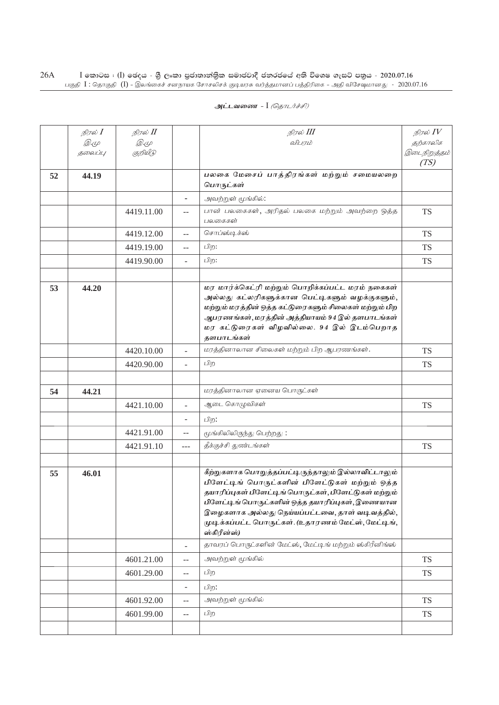|    | நிரல் $I$   | நிரல் II    |                          | நிரல் III                                                                                                                                                                                                                                                                                                                                    | நிரல் $IV$           |
|----|-------------|-------------|--------------------------|----------------------------------------------------------------------------------------------------------------------------------------------------------------------------------------------------------------------------------------------------------------------------------------------------------------------------------------------|----------------------|
|    | <i>D</i> .4 | <i>D</i> .4 |                          | விபாம்                                                                                                                                                                                                                                                                                                                                       | தற்காலிக             |
|    | தலைப்பு     | குறியீடு    |                          |                                                                                                                                                                                                                                                                                                                                              | இடைநிறுத்தம்<br>(TS) |
| 52 | 44.19       |             |                          | பலகை மேசைப் பாத்திரங்கள் மற்றும் சமையலறை<br>பொருட்கள்                                                                                                                                                                                                                                                                                        |                      |
|    |             |             | ۰                        | அவற்றுள் மூங்கில்:                                                                                                                                                                                                                                                                                                                           |                      |
|    |             | 4419.11.00  | $-$                      | பான் பலகைகள், அரிதல் பலகை மற்றும் அவற்றை ஒத்த<br>பலகைகள்                                                                                                                                                                                                                                                                                     | <b>TS</b>            |
|    |             | 4419.12.00  | $-$                      | சொப்ஸ்டிக்ஸ்                                                                                                                                                                                                                                                                                                                                 | <b>TS</b>            |
|    |             | 4419.19.00  | $-$                      | பிற:                                                                                                                                                                                                                                                                                                                                         | <b>TS</b>            |
|    |             | 4419.90.00  | $\overline{a}$           | பிற:                                                                                                                                                                                                                                                                                                                                         | <b>TS</b>            |
|    |             |             |                          |                                                                                                                                                                                                                                                                                                                                              |                      |
| 53 | 44.20       |             |                          | மர மார்க்கெட்ரி மற்றும் பொறிக்கப்பட்ட மரம் நகைகள்<br>அல்லது கட்லரிகளுக்கான பெட்டிகளும் வழக்குகளும்,<br>மற்றும் மரத்தின் ஒத்த கட்டுரைகளும் சிலைகள் மற்றும் பிற<br>ஆபரணங்கள், மரத்தின் அத்தியாயம் 94 இல் தளபாடங்கள்<br>மர கட்டுரைகள் விழவில்லை. 94 இல் இடம்பெறாத<br>தளபாடங்கள்                                                                 |                      |
|    |             | 4420.10.00  |                          | மரத்தினாலான சிலைகள் மற்றும் பிற ஆபரணங்கள்.                                                                                                                                                                                                                                                                                                   | <b>TS</b>            |
|    |             | 4420.90.00  |                          | பிற                                                                                                                                                                                                                                                                                                                                          | <b>TS</b>            |
|    |             |             |                          |                                                                                                                                                                                                                                                                                                                                              |                      |
| 54 | 44.21       |             |                          | மரத்தினாலான ஏனைய பொருட்கள்                                                                                                                                                                                                                                                                                                                   |                      |
|    |             | 4421.10.00  | $\overline{\phantom{a}}$ | ஆடை கொழுவிகள்                                                                                                                                                                                                                                                                                                                                | <b>TS</b>            |
|    |             |             |                          | பிற:                                                                                                                                                                                                                                                                                                                                         |                      |
|    |             | 4421.91.00  | $- -$                    | மூங்கிலிலிருந்து பெற்றது:                                                                                                                                                                                                                                                                                                                    |                      |
|    |             | 4421.91.10  | $---$                    | தீக்குச்சி துண்டங்கள்                                                                                                                                                                                                                                                                                                                        | <b>TS</b>            |
|    |             |             |                          |                                                                                                                                                                                                                                                                                                                                              |                      |
| 55 | 46.01       |             |                          | கீற்றுகளாக பொறுத்தப்பட்டிருந்தாலும் இல்லாவிட்டாலும்<br>பிளேட்டிங் பொருட்களின் பிளேட்டுகள் மற்றும் ஒத்த<br>தயாரிப்புகள் பிளேட்டிங் பொருட்கள், பிளேட்டுகள் மற்றும்<br>பிளேட்டிங் பொருட்களின் ஒத்த தயாரிப்புகள், இணையான<br>இழைகளாக அல்லது நெய்யப்பட்டவை, தாள் வடிவத்தில்,<br>முடிக்கப்பட்ட பொருட்கள். (உதாரணம் மேட்ஸ், மேட்டிங்,<br>ஸ்கிரீன்ஸ்) |                      |
|    |             |             | $\overline{\phantom{0}}$ | தாவரப் பொருட்களின் மேட்ஸ், மேட்டிங் மற்றும் ஸ்கிரீனிங்ஸ்                                                                                                                                                                                                                                                                                     |                      |
|    |             | 4601.21.00  | $-$                      | அவற்றுள் மூங்கில்                                                                                                                                                                                                                                                                                                                            | <b>TS</b>            |
|    |             | 4601.29.00  | $\overline{\phantom{m}}$ | பிற                                                                                                                                                                                                                                                                                                                                          | <b>TS</b>            |
|    |             |             | $\overline{\phantom{a}}$ | பிற:                                                                                                                                                                                                                                                                                                                                         |                      |
|    |             | 4601.92.00  | $-$                      | அவற்றுள் மூங்கில்                                                                                                                                                                                                                                                                                                                            | <b>TS</b>            |
|    |             | 4601.99.00  | $\overline{\phantom{m}}$ | பிற                                                                                                                                                                                                                                                                                                                                          | <b>TS</b>            |
|    |             |             |                          |                                                                                                                                                                                                                                                                                                                                              |                      |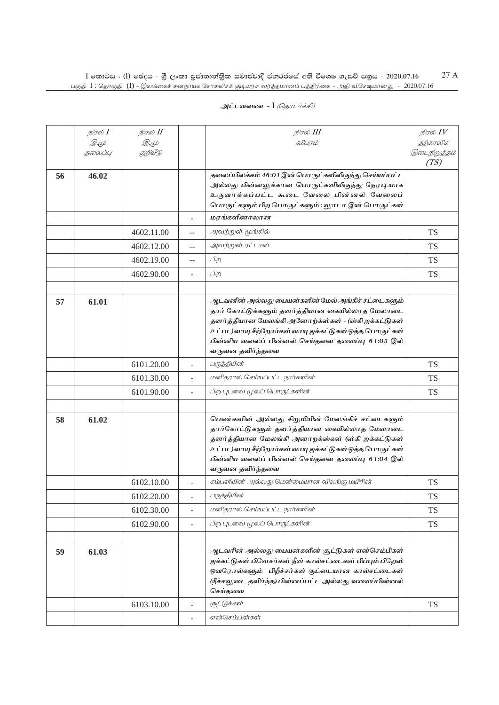|    | நிரல் $I$   | நிரல் II   |                | நிரல் III                                                                                                      | நிரல் $IV$           |
|----|-------------|------------|----------------|----------------------------------------------------------------------------------------------------------------|----------------------|
|    | <i>D.</i> 4 | Q. (L      |                | விபரம்                                                                                                         | தற்காலிக             |
|    | தலைப்பு     | குறியீடு   |                |                                                                                                                | இடைநிறுத்தம்<br>(TS) |
| 56 | 46.02       |            |                | தலைப்பிலக்கம் 46:01 இன் பொருட்களிலிருந்து செய்யப்பட்ட                                                          |                      |
|    |             |            |                | அல்லது பின்னலுக்கான பொருட்களிலிருந்து நேரடியாக                                                                 |                      |
|    |             |            |                | உருவாக்கப்பட்ட சுடை வேலை பின்னல் வேலைப்<br>பொருட்களும் பிற பொருட்களும் : லுாடா இன் பொருட்கள்                   |                      |
|    |             |            |                | மரங்களினாலான                                                                                                   |                      |
|    |             | 4602.11.00 | --             | அவற்றுள் மூங்கில்                                                                                              | <b>TS</b>            |
|    |             | 4602.12.00 | $-$            | அவற்றுள் ரட்டான்                                                                                               | <b>TS</b>            |
|    |             | 4602.19.00 | $-$            | பிற                                                                                                            | <b>TS</b>            |
|    |             | 4602.90.00 |                | பிற                                                                                                            | <b>TS</b>            |
|    |             |            |                |                                                                                                                |                      |
| 57 | 61.01       |            |                | ஆடவனின் அல்லது பையன்களின் மேல் அங்கிச் சட்டைகளும்                                                              |                      |
|    |             |            |                | தார் கோட்டுக்களும் தளர்த்தியான கையில்லாத மேலாடை                                                                |                      |
|    |             |            |                | தளர்த்தியான மேலங்கி அனோற்க்ஸ்கள் - (ஸ்கி ஜக்கட்டுகள்<br>உட்பட)வாயு சீற்றோர்கள் வாயு ஐக்கட்டுகள் ஒத்த பொருட்கள் |                      |
|    |             |            |                | பின்னிய வலைப் பின்னல் செய்தவை தலைப்பு 61:03 இல்                                                                |                      |
|    |             |            |                | வருவன தவிர்ந்தவை                                                                                               |                      |
|    |             | 6101.20.00 |                | பருத்தியின்                                                                                                    | <b>TS</b>            |
|    |             | 6101.30.00 |                | மனிதரால் செய்யப்பட்ட நார்களின்                                                                                 | <b>TS</b>            |
|    |             | 6101.90.00 |                | பிற புடவை மூலப் பொருட்களின்                                                                                    | <b>TS</b>            |
|    |             |            |                |                                                                                                                |                      |
| 58 | 61.02       |            |                | பெண்களின் அல்லது சிறுமியின் மேலங்கிச் சட்டைகளும்                                                               |                      |
|    |             |            |                | தார்கோட்டுகளும் தளர்த்தியான கையில்லாத மேலாடை                                                                   |                      |
|    |             |            |                | தளர்த்தியான மேலங்கி அனாறக்ஸ்கள் (ஸ்கி ஜக்கட்டுகள்                                                              |                      |
|    |             |            |                | உட்பட)வாயு சீற்றோர்கள் வாயு ஐக்கட்டுகள் ஒத்த பொருட்கள்                                                         |                      |
|    |             |            |                | பின்னிய வலைப் பின்னல் செய்தவை தலைப்பு 61:04 இல்<br>வருவன தவிர்ந்தவை                                            |                      |
|    |             | 6102.10.00 | $\overline{a}$ | கம்பளியின் அல்லது மென்மையான விலங்கு மயிரின்                                                                    | <b>TS</b>            |
|    |             | 6102.20.00 |                | பருத்தியின்                                                                                                    | TS                   |
|    |             | 6102.30.00 | ÷,             | மனிதரால் செய்யப்பட்ட நார்களின்                                                                                 | <b>TS</b>            |
|    |             | 6102.90.00 |                | பிற புடவை மூலப் பொருட்களின்                                                                                    | <b>TS</b>            |
|    |             |            |                |                                                                                                                |                      |
| 59 | 61.03       |            |                | ஆடவரின் அல்லது பையன்களின் சூட்டுகள் என்செம்பிகள்                                                               |                      |
|    |             |            |                | ஜக்கட்டுகள் பிளேசர்கள் நீள் கால்சட்டைகள் பிப்பும் பிறேஸ்                                                       |                      |
|    |             |            |                | ஓவரோல்களும் பிறீச்சர்கள் குட்டையான கால்சட்டைகள்<br>(நீச்சலுடை தவிர்ந்த) பின்னப்பட்ட அல்லது வலைப்பின்னல்        |                      |
|    |             |            |                | செய்தவை                                                                                                        |                      |
|    |             | 6103.10.00 |                | (சுட்டுக்கள்                                                                                                   | <b>TS</b>            |
|    |             |            |                | என்செம்பிள்கள்                                                                                                 |                      |
|    |             |            |                |                                                                                                                |                      |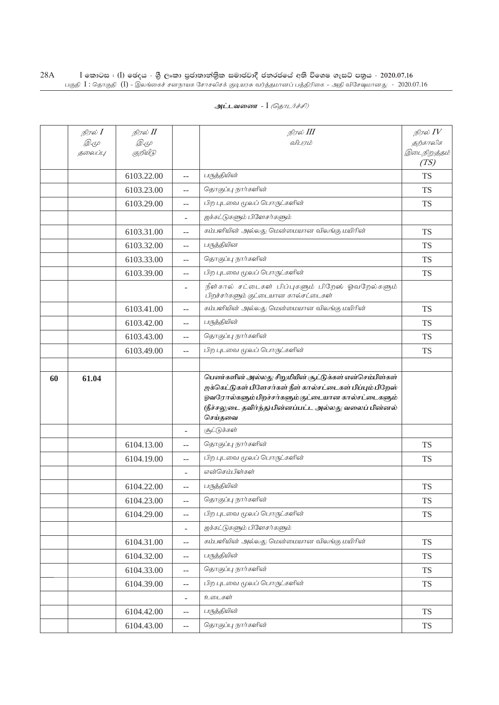| அட்டவணை - I <i>(தொடர்ச்சி)</i> |  |  |
|--------------------------------|--|--|
|--------------------------------|--|--|

|    | நிரல் I<br><i>D.</i> 4<br>தலைப்பு | நிரல் II<br><i>D</i> .4<br>குறியீடு |                                               | நிரல் III<br>விபரம்                                                                                                                                                                                                                           | நிரல் $IV$<br>தற்காலிக<br>இடைநிறுத்தம்<br>(TS) |
|----|-----------------------------------|-------------------------------------|-----------------------------------------------|-----------------------------------------------------------------------------------------------------------------------------------------------------------------------------------------------------------------------------------------------|------------------------------------------------|
|    |                                   | 6103.22.00                          | $-$                                           | பருத்தியின்                                                                                                                                                                                                                                   | <b>TS</b>                                      |
|    |                                   | 6103.23.00                          | $-$                                           | தொகுப்பு நார்களின்                                                                                                                                                                                                                            | <b>TS</b>                                      |
|    |                                   | 6103.29.00                          | $-$                                           | பிற புடவை மூலப் பொருட்களின்                                                                                                                                                                                                                   | <b>TS</b>                                      |
|    |                                   |                                     |                                               | ஜக்கட்டுகளும் பிளேசர்களும்                                                                                                                                                                                                                    |                                                |
|    |                                   | 6103.31.00                          | $-$                                           | கம்பளியின் அல்லது மென்மையான விலங்கு மயிரின்                                                                                                                                                                                                   | <b>TS</b>                                      |
|    |                                   | 6103.32.00                          | $-$                                           | பருத்தியின                                                                                                                                                                                                                                    | TS                                             |
|    |                                   | 6103.33.00                          | $-$                                           | தொகுப்பு நார்களின்                                                                                                                                                                                                                            | TS                                             |
|    |                                   | 6103.39.00                          | $-$                                           | பிற புடவை மூலப் பொருட்களின்                                                                                                                                                                                                                   | <b>TS</b>                                      |
|    |                                   |                                     | $\overline{\phantom{a}}$                      | நீள்கால் சட்டைகள் பிப்புகளும் பிறேஸ் ஓவறேல்களும்<br>பிறச்சர்களும் குட்டையான கால்சட்டைகள்                                                                                                                                                      |                                                |
|    |                                   | 6103.41.00                          | $-$                                           | கம்பளியின் அல்லது மென்மையான விலங்கு மயிரின்                                                                                                                                                                                                   | <b>TS</b>                                      |
|    |                                   | 6103.42.00                          | $-$                                           | பருத்தியின்                                                                                                                                                                                                                                   | <b>TS</b>                                      |
|    |                                   | 6103.43.00                          | $-$                                           | தொகுப்பு நார்களின்                                                                                                                                                                                                                            | <b>TS</b>                                      |
|    |                                   | 6103.49.00                          | $-$                                           | பிற புடவை மூலப் பொருட்களின்                                                                                                                                                                                                                   | TS                                             |
|    |                                   |                                     |                                               |                                                                                                                                                                                                                                               |                                                |
| 60 | 61.04                             |                                     |                                               | பெண்களின் அல்லது சிறுமியின் சூட்டுக்கள் என்செம்பிள்கள்<br>ஜக்கெட்டுகள் பிளேசர்கள் நீள் கால்சட்டைகள் பிப்பும் பிறேஸ்<br>ஓவரோல்களும் பிறச்சர்களும் குட்டையான கால்சட்டைகளும்<br>(நீச்சலுடை தவிர்ந்த) பின்னப்பட்ட அல்லது வலைப் பின்னல்<br>செய்தவை |                                                |
|    |                                   |                                     |                                               | சூட்டுக்கள்                                                                                                                                                                                                                                   |                                                |
|    |                                   | 6104.13.00                          | $-$                                           | தொகுப்பு நார்களின்                                                                                                                                                                                                                            | <b>TS</b>                                      |
|    |                                   | 6104.19.00                          | $-$                                           | பிற புடவை மூலப் பொருட்களின்                                                                                                                                                                                                                   | <b>TS</b>                                      |
|    |                                   |                                     | $\overline{\phantom{a}}$                      | என்செம்பிள்கள்                                                                                                                                                                                                                                |                                                |
|    |                                   | 6104.22.00                          | $-$                                           | பருத்தியின்                                                                                                                                                                                                                                   | <b>TS</b>                                      |
|    |                                   | 6104.23.00                          | $- -$                                         | தொகுப்பு நார்களின்                                                                                                                                                                                                                            | <b>TS</b>                                      |
|    |                                   | 6104.29.00                          | $-$                                           | பிற புடவை மூலப் பொருட்களின்                                                                                                                                                                                                                   | <b>TS</b>                                      |
|    |                                   |                                     | $\blacksquare$                                | ஜக்கட்டுகளும் பிளேசர்களும்                                                                                                                                                                                                                    |                                                |
|    |                                   | 6104.31.00                          | $\mathord{\hspace{1pt}\text{--}\hspace{1pt}}$ | கம்பளியின் அல்லது மென்மையான விலங்கு மயிரின்                                                                                                                                                                                                   | <b>TS</b>                                      |
|    |                                   | 6104.32.00                          | $\mathord{\hspace{1pt}\text{--}\hspace{1pt}}$ | பருத்தியின்                                                                                                                                                                                                                                   | <b>TS</b>                                      |
|    |                                   | 6104.33.00                          | $\overline{\phantom{m}}$                      | தொகுப்பு நார்களின்                                                                                                                                                                                                                            | <b>TS</b>                                      |
|    |                                   | 6104.39.00                          | $\overline{\phantom{m}}$                      | பிற புடவை மூலப் பொருட்களின்                                                                                                                                                                                                                   | <b>TS</b>                                      |
|    |                                   |                                     | $\blacksquare$                                | உடைகள்                                                                                                                                                                                                                                        |                                                |
|    |                                   | 6104.42.00                          | $-$                                           | பருத்தியின்                                                                                                                                                                                                                                   | <b>TS</b>                                      |
|    |                                   | 6104.43.00                          | $\mathord{\hspace{1pt}\text{--}\hspace{1pt}}$ | தொகுப்பு நார்களின்                                                                                                                                                                                                                            | <b>TS</b>                                      |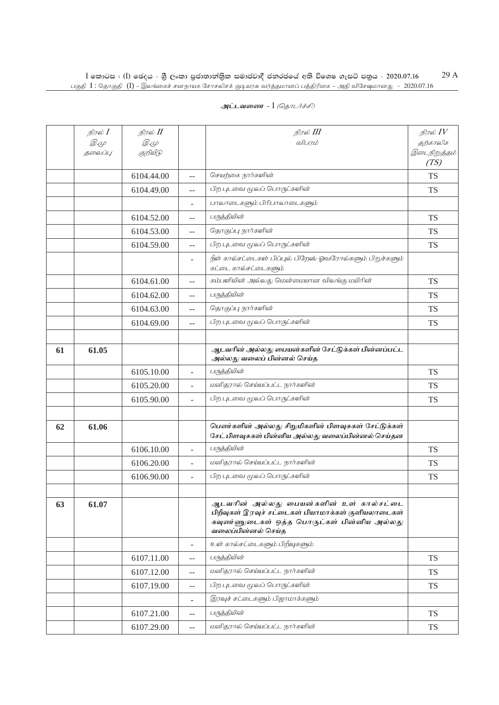| அட்டவணை - I <i>(தொடர்ச்சி)</i> |  |  |  |
|--------------------------------|--|--|--|
|--------------------------------|--|--|--|

|    | நிரல் I<br><i>D</i> .4<br>தலைப்பு | நிரல் II<br><i>D</i> .4<br>குறியீடு |                          | நிரல் III<br>விபரம்                                                                                                                                               | நிரல் $\mathit{IV}$<br>தற்காலிக<br>இடைநிறுத்தம்<br>(TS) |
|----|-----------------------------------|-------------------------------------|--------------------------|-------------------------------------------------------------------------------------------------------------------------------------------------------------------|---------------------------------------------------------|
|    |                                   | 6104.44.00                          | $-$                      | செயற்கை நார்களின்                                                                                                                                                 | <b>TS</b>                                               |
|    |                                   | 6104.49.00                          | $-$                      | பிற புடவை மூலப் பொருட்களின்                                                                                                                                       | <b>TS</b>                                               |
|    |                                   |                                     |                          | பாலாடைகளும் பிரிபாலாடைகளும்                                                                                                                                       |                                                         |
|    |                                   | 6104.52.00                          |                          | பருத்தியின்                                                                                                                                                       | <b>TS</b>                                               |
|    |                                   | 6104.53.00                          | $-$                      | தொகுப்பு நார்களின்                                                                                                                                                | <b>TS</b>                                               |
|    |                                   | 6104.59.00                          | $-$                      | பிற புடவை மூலப் பொருட்களின்                                                                                                                                       | <b>TS</b>                                               |
|    |                                   |                                     |                          | நீள் கால்சட்டைகள் பிப்புல் பிறேஸ் ஓவரோல்களும் பிறுச்களும்<br>கட்டை கால்சட்டைகளும்                                                                                 |                                                         |
|    |                                   | 6104.61.00                          | $-$                      | கம்பளியின் அல்லது மென்மையான விலங்கு மயிரின்                                                                                                                       | <b>TS</b>                                               |
|    |                                   | 6104.62.00                          | $-$                      | பருத்தியின்                                                                                                                                                       | <b>TS</b>                                               |
|    |                                   | 6104.63.00                          | $-$                      | தொகுப்பு நார்களின்                                                                                                                                                | <b>TS</b>                                               |
|    |                                   | 6104.69.00                          | $-$                      | பிற புடவை மூலப் பொருட்களின்                                                                                                                                       | <b>TS</b>                                               |
|    |                                   |                                     |                          |                                                                                                                                                                   |                                                         |
| 61 | 61.05                             |                                     |                          | ஆடவரின் அல்லது பையன்களின் சேட்டுக்கள் பின்னப்பட்ட<br>அல்லது வலைப் பின்னல் செய்த                                                                                   |                                                         |
|    |                                   | 6105.10.00                          | ÷,                       | பருத்தியின்                                                                                                                                                       | <b>TS</b>                                               |
|    |                                   | 6105.20.00                          | ÷,                       | மனிதரால் செய்யப்பட்ட நார்களின்                                                                                                                                    | <b>TS</b>                                               |
|    |                                   | 6105.90.00                          |                          | பிற புடவை மூலப் பொருட்களின்                                                                                                                                       | <b>TS</b>                                               |
|    |                                   |                                     |                          |                                                                                                                                                                   |                                                         |
| 62 | 61.06                             |                                     |                          | பெண்களின் அல்லது சிறுமிகளின் பிளவுசுகள் சேட்டுக்கள்<br>சேட் பிளவுசுகள் பின்னிய அல்லது வலைப்பின்னல் செய்தன                                                         |                                                         |
|    |                                   | 6106.10.00                          |                          | பருத்தியின்                                                                                                                                                       | <b>TS</b>                                               |
|    |                                   | 6106.20.00                          |                          | மனிதரால் செய்யப்பட்ட நார்களின்                                                                                                                                    | <b>TS</b>                                               |
|    |                                   | 6106.90.00                          | $\overline{\phantom{0}}$ | பிற புடவை மூலப் பொருட்களின்                                                                                                                                       | <b>TS</b>                                               |
| 63 | 61.07                             |                                     |                          | ஆடவரின் அல்லது பையன்களின் உள் கால்சட்டை<br>பிறீவுகள் இரவுச் சட்டைகள் பியாமாக்கள் குளியலாடைகள்<br>கவுண்ணுடைகள் ஒத்த பொருட்கள் பின்னிய அல்லது<br>வலைப்பின்னல் செய்த |                                                         |
|    |                                   |                                     | ä,                       | உள் கால்சட்டைகளும் பிறீவுகளும்:                                                                                                                                   |                                                         |
|    |                                   | 6107.11.00                          | $-$                      | பருத்தியின்                                                                                                                                                       | <b>TS</b>                                               |
|    |                                   | 6107.12.00                          | $-$                      | மனிதரால் செய்யப்பட்ட நார்களின்                                                                                                                                    | <b>TS</b>                                               |
|    |                                   | 6107.19.00                          | $-$                      | பிற புடவை மூலப் பொருட்களின்                                                                                                                                       | <b>TS</b>                                               |
|    |                                   |                                     | ÷,                       | இரவுச் சட்டைகளும் பிஜாமாக்களும்                                                                                                                                   |                                                         |
|    |                                   | 6107.21.00                          | $-$                      | பருத்தியின்                                                                                                                                                       | <b>TS</b>                                               |
|    |                                   | 6107.29.00                          | --                       | மனிதரால் செய்யப்பட்ட நார்களின்                                                                                                                                    | <b>TS</b>                                               |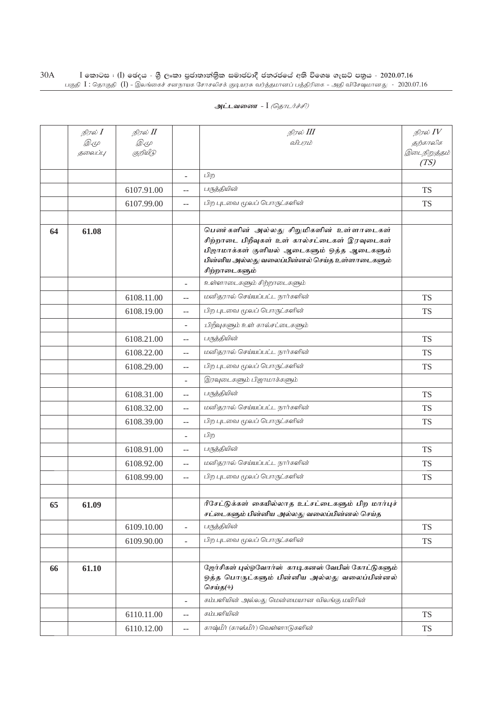| <u>அட்டவணை</u> - I <i>(தொடர்ச்சி)</i> |  |
|---------------------------------------|--|
|---------------------------------------|--|

|    | நிரல் I     | நிரல் II    |                                               | நிரல் III                                                                                                                                                                                                 | நிரல் $IV$           |
|----|-------------|-------------|-----------------------------------------------|-----------------------------------------------------------------------------------------------------------------------------------------------------------------------------------------------------------|----------------------|
|    | <i>D</i> .4 | <i>D</i> .4 |                                               | விபாம்                                                                                                                                                                                                    | தற்காலிக             |
|    | தலைப்பு     | குறியீடு    |                                               |                                                                                                                                                                                                           | இடைநிறுத்தம்<br>(TS) |
|    |             |             | $\overline{\phantom{a}}$                      | பிற                                                                                                                                                                                                       |                      |
|    |             | 6107.91.00  | $-$                                           | பருத்தியின்                                                                                                                                                                                               | <b>TS</b>            |
|    |             | 6107.99.00  | $-$                                           | பிற புடவை மூலப் பொருட்களின்                                                                                                                                                                               | <b>TS</b>            |
|    |             |             |                                               |                                                                                                                                                                                                           |                      |
| 64 | 61.08       |             |                                               | பெண்களின் அல்லது சிறுமிகளின் உள்ளாடைகள்<br>சிற்றாடை பிறீவுகள் உள் கால்சட்டைகள் இரவுடைகள்<br>பிஜாமாக்கள் குளியல் ஆடைகளும் ஒத்த ஆடைகளும்<br>பின்னிய அல்லது வலைப்பின்னல் செய்த உள்ளாடைகளும்<br>சிற்றாடைகளும் |                      |
|    |             |             |                                               | உள்ளாடைகளும் சிற்றாடைகளும்                                                                                                                                                                                |                      |
|    |             | 6108.11.00  | $\overline{a}$                                | மனிதரால் செய்யப்பட்ட நார்களின்                                                                                                                                                                            | <b>TS</b>            |
|    |             | 6108.19.00  | $-$                                           | பிற புடவை மூலப் பொருட்களின்                                                                                                                                                                               | <b>TS</b>            |
|    |             |             |                                               | பிறீவுகளும் உள் கால்சட்டைகளும்                                                                                                                                                                            |                      |
|    |             | 6108.21.00  | $-$                                           | பருத்தியின்                                                                                                                                                                                               | <b>TS</b>            |
|    |             | 6108.22.00  | $-$                                           | மனிதரால் செய்யப்பட்ட நார்களின்                                                                                                                                                                            | <b>TS</b>            |
|    |             | 6108.29.00  | $-$                                           | பிற புடவை மூலப் பொருட்களின்                                                                                                                                                                               | TS                   |
|    |             |             |                                               | இரவுடைகளும் பிஜாமாக்களும்                                                                                                                                                                                 |                      |
|    |             | 6108.31.00  | $-$                                           | பருத்தியின்                                                                                                                                                                                               | <b>TS</b>            |
|    |             | 6108.32.00  | $\mathbf{u}$                                  | மனிதரால் செய்யப்பட்ட நார்களின்                                                                                                                                                                            | <b>TS</b>            |
|    |             | 6108.39.00  | $\mathbf{u}$                                  | பிற புடவை மூலப் பொருட்களின்                                                                                                                                                                               | <b>TS</b>            |
|    |             |             |                                               | பிற                                                                                                                                                                                                       |                      |
|    |             | 6108.91.00  | $-$                                           | பருத்தியின்                                                                                                                                                                                               | <b>TS</b>            |
|    |             | 6108.92.00  | $\overline{a}$                                | மனிதரால் செய்யப்பட்ட நார்களின்                                                                                                                                                                            | <b>TS</b>            |
|    |             | 6108.99.00  | $\mathbf{u}$                                  | பிற புடவை மூலப் பொருட்களின்                                                                                                                                                                               | <b>TS</b>            |
|    |             |             |                                               |                                                                                                                                                                                                           |                      |
| 65 | 61.09       |             |                                               | ரீசேட்டுக்கள் கையில்லாத உட்சட்டைகளும் பிற மார்புச்<br>சட்டைகளும் பின்னிய அல்லது வலைப்பின்னல் செய்த                                                                                                        |                      |
|    |             | 6109.10.00  | $\overline{\phantom{a}}$                      | பருத்தியின்                                                                                                                                                                                               | <b>TS</b>            |
|    |             | 6109.90.00  | $\overline{\phantom{a}}$                      | பிற புடவை மூலப் பொருட்களின்                                                                                                                                                                               | TS                   |
|    |             |             |                                               |                                                                                                                                                                                                           |                      |
| 66 | 61.10       |             |                                               | ஜேர்சிகள் புல்ஓவோர்ஸ் காடிகனஸ் வேபிஸ் கோட்டுகளும்<br>ஒத்த பொருட்களும் பின்னிய அல்லது வலைப்பின்னல்<br>செய்த(+)                                                                                             |                      |
|    |             |             | $\overline{\phantom{a}}$                      | கம்பளியின் அல்லது மென்மையான விலங்கு மயிரின்                                                                                                                                                               |                      |
|    |             | 6110.11.00  | $-$                                           | கம்பளியின்                                                                                                                                                                                                | <b>TS</b>            |
|    |             | 6110.12.00  | $\mathord{\hspace{1pt}\text{--}\hspace{1pt}}$ | காஷ்மீர் (காஸ்மீர்) வெள்ளாடுகளின்                                                                                                                                                                         | <b>TS</b>            |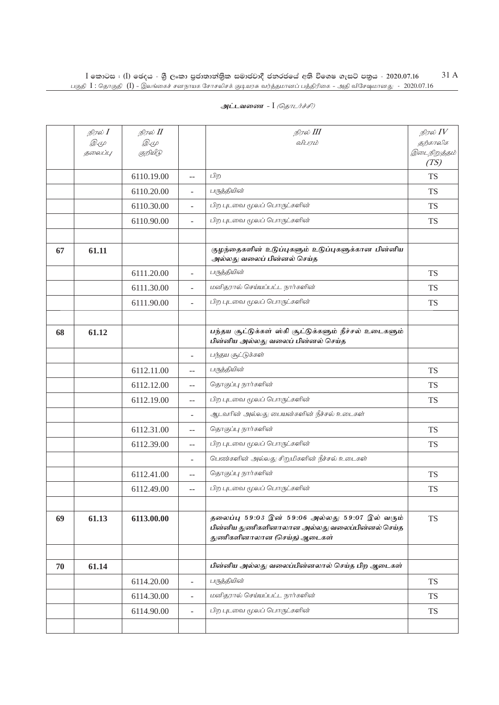|    | நிரல் <b>I</b> | நிரல் II    |                          | நிரல் III                                                                                                                       | நிரல் $IV$           |
|----|----------------|-------------|--------------------------|---------------------------------------------------------------------------------------------------------------------------------|----------------------|
|    | <i>D.</i> 4    | <i>D</i> .4 |                          | விபரம்                                                                                                                          | தற்காலிக             |
|    | தலைப்பு        | குறியீடு    |                          |                                                                                                                                 | இடைநிறுத்தம்<br>(TS) |
|    |                | 6110.19.00  | $-$                      | பிற                                                                                                                             | <b>TS</b>            |
|    |                | 6110.20.00  |                          | பருத்தியின்                                                                                                                     | <b>TS</b>            |
|    |                | 6110.30.00  |                          | பிற புடவை மூலப் பொருட்களின்                                                                                                     | <b>TS</b>            |
|    |                | 6110.90.00  | ÷,                       | பிற புடவை மூலப் பொருட்களின்                                                                                                     | <b>TS</b>            |
|    |                |             |                          |                                                                                                                                 |                      |
| 67 | 61.11          |             |                          | குழந்தைகளின் உடுப்புகளும் உடுப்புகளுக்கான பின்னிய<br>அல்லது வலைப் பின்னல் செய்த                                                 |                      |
|    |                | 6111.20.00  |                          | பருத்தியின்                                                                                                                     | <b>TS</b>            |
|    |                | 6111.30.00  |                          | மனிதரால் செய்யப்பட்ட நார்களின்                                                                                                  | <b>TS</b>            |
|    |                | 6111.90.00  | ÷.                       | பிற புடவை மூலப் பொருட்களின்                                                                                                     | <b>TS</b>            |
|    |                |             |                          |                                                                                                                                 |                      |
| 68 | 61.12          |             |                          | பந்தய சூட்டுக்கள் ஸ்கி சூட்டுக்களும் நீச்சல் உடைகளும்<br>பின்னிய அல்லது வலைப் பின்னல் செய்த                                     |                      |
|    |                |             | $\overline{\phantom{a}}$ | பந்தய சூட்டுக்கள்                                                                                                               |                      |
|    |                | 6112.11.00  | $-$                      | பருத்தியின்                                                                                                                     | <b>TS</b>            |
|    |                | 6112.12.00  | $\overline{\phantom{a}}$ | தொகுப்பு நார்களின்                                                                                                              | <b>TS</b>            |
|    |                | 6112.19.00  | $\overline{\phantom{a}}$ | பிற புடவை மூலப் பொருட்களின்                                                                                                     | <b>TS</b>            |
|    |                |             | ÷,                       | ஆடவரின் அல்லது பையன்களின் நீச்சல் உடைகள்                                                                                        |                      |
|    |                | 6112.31.00  | $-$                      | தொகுப்பு நார்களின்                                                                                                              | <b>TS</b>            |
|    |                | 6112.39.00  | $\sim$                   | பிற புடவை மூலப் பொருட்களின்                                                                                                     | <b>TS</b>            |
|    |                |             | ٠                        | பெண்களின் அல்லது சிறுமிகளின் நீச்சல் உடைகள்                                                                                     |                      |
|    |                | 6112.41.00  | $-$                      | தொகுப்பு நார்களின்                                                                                                              | <b>TS</b>            |
|    |                | 6112.49.00  | $-$                      | பிற புடவை மூலப் பொருட்களின்                                                                                                     | <b>TS</b>            |
|    |                |             |                          |                                                                                                                                 |                      |
| 69 | 61.13          | 6113.00.00  |                          | தலைப்பு 59:03 இன் 59:06 அல்லது 59:07 இல் வரும்<br>பின்னிய துணிகளினாலான அல்லது வலைப்பின்னல் செய்த<br>துணிகளினாலான (செய்த) ஆடைகள் | <b>TS</b>            |
|    |                |             |                          |                                                                                                                                 |                      |
| 70 | 61.14          |             |                          | பின்னிய அல்லது வலைப்பின்னலால் செய்த பிற ஆடைகள்                                                                                  |                      |
|    |                | 6114.20.00  | $\overline{\phantom{a}}$ | பருத்தியின்                                                                                                                     | <b>TS</b>            |
|    |                | 6114.30.00  | $\overline{a}$           | மனிதரால் செய்யப்பட்ட நார்களின்                                                                                                  | <b>TS</b>            |
|    |                | 6114.90.00  | ÷.                       | பிற புடவை மூலப் பொருட்களின்                                                                                                     | <b>TS</b>            |
|    |                |             |                          |                                                                                                                                 |                      |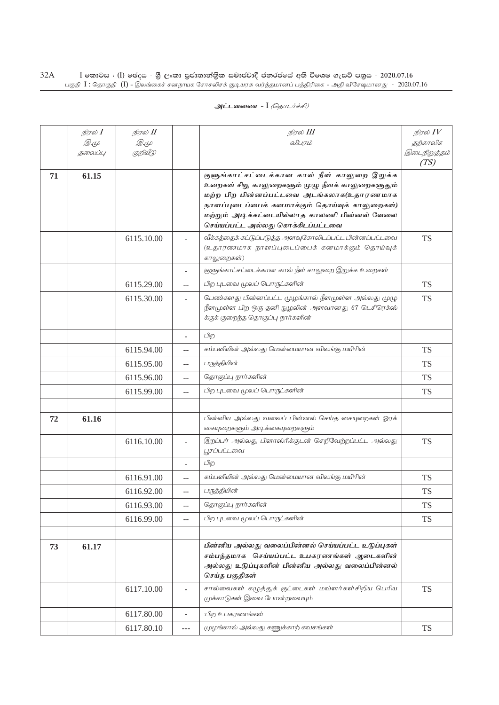|    | நிரல் <b>I</b> | நிரல் II    |                          | நிரல் III                                                                                        | நிரல் $IV$           |
|----|----------------|-------------|--------------------------|--------------------------------------------------------------------------------------------------|----------------------|
|    | <i>D</i> .4    | <i>D</i> .4 |                          | விபாம்                                                                                           | தற்காலிக             |
|    | தலைப்பு        | குறியீடு    |                          |                                                                                                  | இடைநிறுத்தம்<br>(TS) |
|    |                |             |                          |                                                                                                  |                      |
| 71 | 61.15          |             |                          | குளுங்காட்சட்டைக்கான கால் நீள் காலுறை இறுக்க<br>உறைகள் சிறு காலுறைகளும் முழு நீளக் காலுறைகளுதும் |                      |
|    |                |             |                          | மற்ற பிற பின்னப்பட்டவை அடங்கலாக(உதாரணமாக                                                         |                      |
|    |                |             |                          | நாளப்புடைப்பைக் கனமாக்கும் தொய்வுக் காலுறைகள்)                                                   |                      |
|    |                |             |                          | மற்றும் அடிக்கட்டையில்லாத காலணி பின்னல் வேலை                                                     |                      |
|    |                |             |                          | செய்யப்பட்ட அல்லது கொக்கிடப்பட்டவை                                                               |                      |
|    |                | 6115.10.00  |                          | வீக்கத்தைக் கட்டுப்படுத்த அளவுகோலிடப்பட்ட பின்னப்பட்டவை                                          | <b>TS</b>            |
|    |                |             |                          | (உதாரணமாக நாளப்புடைப்பைக் கனமாக்கும் தொய்வுக்<br>காலுறைகள்)                                      |                      |
|    |                |             |                          | குளுங்காட்சட்டைக்கான கால் நீள் காலுறை இறுக்க உறைகள்                                              |                      |
|    |                |             |                          |                                                                                                  |                      |
|    |                | 6115.29.00  | $-$                      | பிற புடவை மூலப் பொருட்களின்                                                                      | <b>TS</b>            |
|    |                | 6115.30.00  |                          | பெண்களது பின்னப்பட்ட முழங்கால் நீளமுள்ள அல்லது முழு                                              | <b>TS</b>            |
|    |                |             |                          | நீளமுள்ள பிற ஒரு தனி நுழலின் அளவானது 67 டெசிரெக்ஸ்<br>க்குக் குறைந்த தொகுப்பு நார்களின்          |                      |
|    |                |             |                          |                                                                                                  |                      |
|    |                |             | $\overline{\phantom{a}}$ | பிற                                                                                              |                      |
|    |                | 6115.94.00  | $-$                      | கம்பளியின் அல்லது மென்மையான விலங்கு மயிரின்                                                      | <b>TS</b>            |
|    |                | 6115.95.00  | $-$                      | பருத்தியின்                                                                                      | <b>TS</b>            |
|    |                | 6115.96.00  | $-$                      | தொகுப்பு நார்களின்                                                                               | <b>TS</b>            |
|    |                | 6115.99.00  | $\overline{a}$           | பிற புடவை மூலப் பொருட்களின்                                                                      | TS                   |
|    |                |             |                          |                                                                                                  |                      |
| 72 | 61.16          |             |                          | பின்னிய அல்லது வலைப் பின்னல் செய்த கையுறைகள் ஓரக்                                                |                      |
|    |                |             |                          | கையுறைகளும் அடிக்கையுறைகளும்                                                                     |                      |
|    |                | 6116.10.00  |                          | இறப்பர் அல்லது பிளாஸ்ரிக்குடன் செறிவேற்றப்பட்ட அல்லது                                            | <b>TS</b>            |
|    |                |             |                          | பூசப்பட்டவை                                                                                      |                      |
|    |                |             |                          | பிற                                                                                              |                      |
|    |                | 6116.91.00  | $- -$                    | கம்பளியின் அல்லது மென்மையான விலங்கு மயிரின்                                                      | <b>TS</b>            |
|    |                | 6116.92.00  | $-$                      | பருத்தியின்                                                                                      | TS                   |
|    |                | 6116.93.00  | $-$                      | தொகுப்பு நார்களின்                                                                               | <b>TS</b>            |
|    |                | 6116.99.00  | $-$                      | பிற புடவை மூலப் பொருட்களின்                                                                      | <b>TS</b>            |
|    |                |             |                          |                                                                                                  |                      |
| 73 | 61.17          |             |                          | பின்னிய அல்லது வலைப்பின்னல் செய்யப்பட்ட உடுப்புகள்                                               |                      |
|    |                |             |                          | சம்பந்தமாக செய்யப்பட்ட உபகரணங்கள் ஆடைகளின்                                                       |                      |
|    |                |             |                          | அல்லது உடுப்புகளின் பின்னிய அல்லது வலைப்பின்னல்<br>செய்த பகுதிகள்                                |                      |
|    |                | 6117.10.00  |                          | சால்வைகள் கழுத்துக் குட்டைகள் மவ்ளர்கள்சிறிய பெரிய                                               | <b>TS</b>            |
|    |                |             |                          | முக்காடுகள் இவை போன்றவையும்                                                                      |                      |
|    |                |             |                          |                                                                                                  |                      |
|    |                | 6117.80.00  | $\frac{1}{2}$            | பிற உபகரணங்கள்                                                                                   |                      |
|    |                | 6117.80.10  | ---                      | முழங்கால் அல்லது கணுக்காற் கவசங்கள்                                                              | <b>TS</b>            |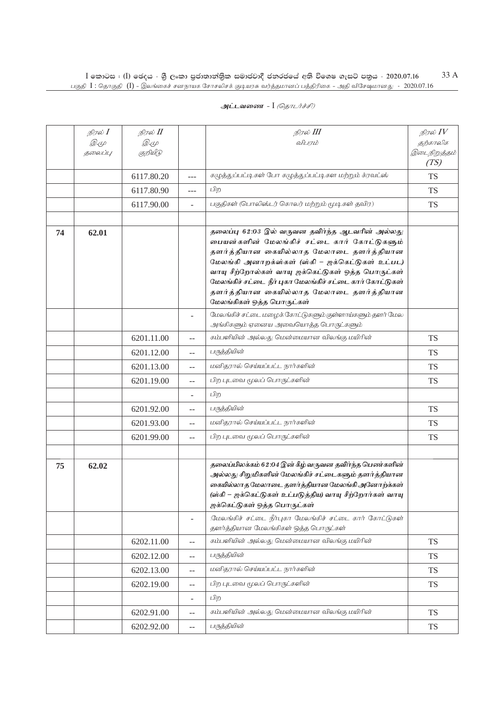|    | நிரல் <b>I</b> | நிரல் II     |                          | நிரல் III                                                                                                                                                                                                                                                                                                                                                                               | நிரல் $\mathit{IV}$  |
|----|----------------|--------------|--------------------------|-----------------------------------------------------------------------------------------------------------------------------------------------------------------------------------------------------------------------------------------------------------------------------------------------------------------------------------------------------------------------------------------|----------------------|
|    | <i>D.</i> 4    | <i>D.</i> (L |                          | விபரம்                                                                                                                                                                                                                                                                                                                                                                                  | தற்காலிக             |
|    | தலைப்பு        | குறியீடு     |                          |                                                                                                                                                                                                                                                                                                                                                                                         | இடைநிறுத்தம்<br>(TS) |
|    |                | 6117.80.20   | $---$                    | கழுத்துப்பட்டிகள் போ கழுத்துப்பட்டிகள மற்றும் க்ரவட்ஸ்                                                                                                                                                                                                                                                                                                                                  | <b>TS</b>            |
|    |                | 6117.80.90   | ---                      | பிற                                                                                                                                                                                                                                                                                                                                                                                     | <b>TS</b>            |
|    |                | 6117.90.00   | $\overline{\phantom{0}}$ | பகுதிகள் (பொலிஸ்டர் கொலர் மற்றும் மூடிகள் தவிர)                                                                                                                                                                                                                                                                                                                                         | <b>TS</b>            |
|    |                |              |                          |                                                                                                                                                                                                                                                                                                                                                                                         |                      |
| 74 | 62.01          |              |                          | தலைப்பு 62:03 இல் வருவன தவிர்ந்த ஆடவரின் அல்லது<br>பையன்களின் மேலங்கிச் சட்டை கார் கோட்டுகளும்<br>தளர்த்தியான கையில்லாத மேலாடை தளர்த்தியான<br>மேலங்கி அனாறக்ஸ்கள் (ஸ்கி – ஜக்கெட்டுகள் உட்பட)<br>வாயு சீற்றோல்கள் வாயு ஜக்கெட்டுகள் ஒத்த பொருட்கள்<br>மேலங்கிச் சட்டை நீர் புகா மேலங்கிச் சட்டை கார் கோட்டுகள்<br>தளர்த்தியான கையில்லாத மேலாடை தளர்த்தியான<br>மேலங்கிகள் ஒத்த பொருட்கள் |                      |
|    |                |              | $\overline{\phantom{a}}$ | மேலங்கிச் சட்டை மழைக் கோட்டுகளும் குள்ளாய்களும் தளர் மேல<br>அங்கிகளும் ஏனைய அவையொத்த பொருட்களும்                                                                                                                                                                                                                                                                                        |                      |
|    |                | 6201.11.00   | $-$                      | கம்பளியின் அல்லது மென்மையான விலங்கு மயிரின்                                                                                                                                                                                                                                                                                                                                             | <b>TS</b>            |
|    |                | 6201.12.00   | --                       | பருத்தியின்                                                                                                                                                                                                                                                                                                                                                                             | <b>TS</b>            |
|    |                | 6201.13.00   | $\qquad \qquad -$        | மனிதரால் செய்யப்பட்ட நார்களின்                                                                                                                                                                                                                                                                                                                                                          | <b>TS</b>            |
|    |                | 6201.19.00   | $-$                      | பிற புடவை மூலப் பொருட்களின்                                                                                                                                                                                                                                                                                                                                                             | <b>TS</b>            |
|    |                |              |                          | பிற                                                                                                                                                                                                                                                                                                                                                                                     |                      |
|    |                | 6201.92.00   | --                       | பருத்தியின்                                                                                                                                                                                                                                                                                                                                                                             | <b>TS</b>            |
|    |                | 6201.93.00   | $-$                      | மனிதரால் செய்யப்பட்ட நார்களின்                                                                                                                                                                                                                                                                                                                                                          | <b>TS</b>            |
|    |                | 6201.99.00   | $-$                      | பிற புடவை மூலப் பொருட்களின்                                                                                                                                                                                                                                                                                                                                                             | <b>TS</b>            |
| 75 | 62.02          |              |                          | தலைப்பிலக்கம் 62:04 இன் கீழ் வருவன தவிர்ந்த பெண்களின்<br>அல்லது சிறுமிகளின் மேலங்கிச் சட்டைகளும் தளர்த்தியான<br>கையில்லாத மேலாடை தளர்த்தியான மேலங்கி அனோற்க்கள்<br>(ஸ்கி – ஜக்கெட்டுகள் உட்படுத்திய) வாயு சீற்றோர்கள் வாயு<br>ஜக்கெட்டுகள் ஒத்த பொருட்கள்                                                                                                                               |                      |
|    |                |              | ۰                        | மேலங்கிச் சட்டை நீர்புகா மேலங்கிச் சட்டை கார் கோட்டுகள்<br>தளர்த்தியான மேலங்கிகள் ஒத்த பொருட்கள்                                                                                                                                                                                                                                                                                        |                      |
|    |                | 6202.11.00   | $-$                      | கம்பளியின் அல்லது மென்மையான விலங்கு மயிரின்                                                                                                                                                                                                                                                                                                                                             | <b>TS</b>            |
|    |                | 6202.12.00   | $\qquad \qquad -$        | பருத்தியின்                                                                                                                                                                                                                                                                                                                                                                             | <b>TS</b>            |
|    |                | 6202.13.00   | $-$                      | மனிதரால் செய்யப்பட்ட நார்களின்                                                                                                                                                                                                                                                                                                                                                          | <b>TS</b>            |
|    |                | 6202.19.00   | $-$                      | பிற புடவை மூலப் பொருட்களின்                                                                                                                                                                                                                                                                                                                                                             | <b>TS</b>            |
|    |                |              | $\overline{\phantom{0}}$ | பிற                                                                                                                                                                                                                                                                                                                                                                                     |                      |
|    |                | 6202.91.00   | $-$                      | கம்பளியின் அல்லது மென்மையான விலங்கு மயிரின்                                                                                                                                                                                                                                                                                                                                             | <b>TS</b>            |
|    |                | 6202.92.00   |                          | பருத்தியின்                                                                                                                                                                                                                                                                                                                                                                             | <b>TS</b>            |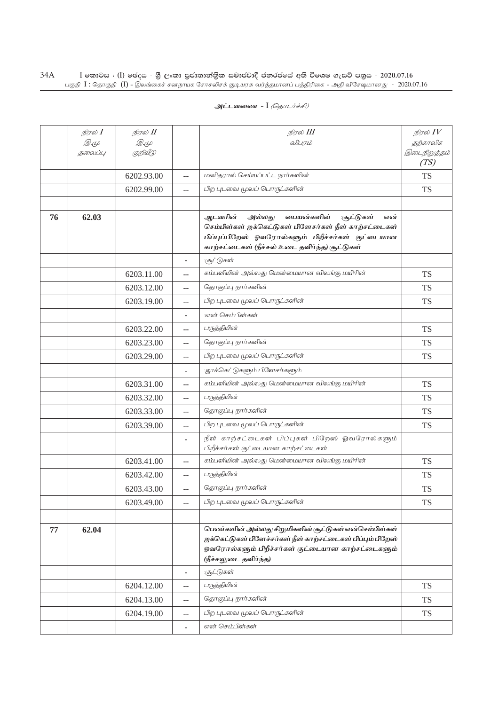| அட்டவணை - I <i>(தொடர்ச்சி)</i> |  |  |  |  |
|--------------------------------|--|--|--|--|
|--------------------------------|--|--|--|--|

|    | நிரல் <b>I</b> | நிரல் II    |                          | நிரல் III                                                                                                                                                                                                                  | நிரல் $IV$           |
|----|----------------|-------------|--------------------------|----------------------------------------------------------------------------------------------------------------------------------------------------------------------------------------------------------------------------|----------------------|
|    | <i>D</i> .4    | <i>D</i> .4 |                          | விபரம்                                                                                                                                                                                                                     | தற்காலிக             |
|    | தலைப்பு        | குறியீடு    |                          |                                                                                                                                                                                                                            | இடைநிறுத்தம்<br>(TS) |
|    |                | 6202.93.00  | $-$                      | மனிதரால் செய்யப்பட்ட நார்களின்                                                                                                                                                                                             | <b>TS</b>            |
|    |                | 6202.99.00  | $-$                      | பிற புடவை மூலப் பொருட்களின்                                                                                                                                                                                                | <b>TS</b>            |
|    |                |             |                          |                                                                                                                                                                                                                            |                      |
| 76 | 62.03          |             |                          | ஆடவரின்<br>பையன்களின்<br>அல்லது<br><b>:சூட்டுகள்</b><br>என்<br>செம்பிள்கள் ஜக்கெட்டுகள் பிளேசர்கள் நீள் காற்சட்டைகள்<br>பிப்புப்பிறேஸ் ஓவரோல்களும் பிறீச்சர்கள் குட்டையான<br>காற்சட்டைகள் (நீச்சல் உடை தவிர்ந்த) சூட்டுகள் |                      |
|    |                |             | $\overline{\phantom{a}}$ | :சூட்டுகள்                                                                                                                                                                                                                 |                      |
|    |                | 6203.11.00  | $-$                      | கம்பளியின் அல்லது மென்மையான விலங்கு மயிரின்                                                                                                                                                                                | <b>TS</b>            |
|    |                | 6203.12.00  | --                       | தொகுப்பு நார்களின்                                                                                                                                                                                                         | <b>TS</b>            |
|    |                | 6203.19.00  | $-$                      | பிற புடவை மூலப் பொருட்களின்                                                                                                                                                                                                | <b>TS</b>            |
|    |                |             |                          | .என் செம்பிள்கள்                                                                                                                                                                                                           |                      |
|    |                | 6203.22.00  | $-$                      | பருத்தியின்                                                                                                                                                                                                                | <b>TS</b>            |
|    |                | 6203.23.00  | $-$                      | தொகுப்பு நார்களின்                                                                                                                                                                                                         | <b>TS</b>            |
|    |                | 6203.29.00  | $-$                      | பிற புடவை மூலப் பொருட்களின்                                                                                                                                                                                                | <b>TS</b>            |
|    |                |             | $\overline{\phantom{a}}$ | ஜாக்கெட்டுகளும் பிளேசர்களும்                                                                                                                                                                                               |                      |
|    |                | 6203.31.00  | $-$                      | கம்பளியின் அல்லது மென்மையான விலங்கு மயிரின்                                                                                                                                                                                | <b>TS</b>            |
|    |                | 6203.32.00  | $-$                      | பருத்தியின்                                                                                                                                                                                                                | <b>TS</b>            |
|    |                | 6203.33.00  | $-$                      | தொகுப்பு நார்களின்                                                                                                                                                                                                         | <b>TS</b>            |
|    |                | 6203.39.00  | $-$                      | பிற புடவை மூலப் பொருட்களின்                                                                                                                                                                                                | <b>TS</b>            |
|    |                |             |                          | நீள் காற்சட்டைகள் பிப்புகள் பிறேஸ் ஓவரோல்களும்<br>பிறீச்சர்கள் குட்டையான காற்சட்டைகள்                                                                                                                                      |                      |
|    |                | 6203.41.00  | $-$                      | கம்பளியின் அல்லது மென்மையான விலங்கு மயிரின்                                                                                                                                                                                | <b>TS</b>            |
|    |                | 6203.42.00  | $-$                      | பருத்தியின்                                                                                                                                                                                                                | <b>TS</b>            |
|    |                | 6203.43.00  | $-$                      | தொகுப்பு நார்களின்                                                                                                                                                                                                         | <b>TS</b>            |
|    |                | 6203.49.00  | $\overline{\phantom{m}}$ | பிற புடவை மூலப் பொருட்களின்                                                                                                                                                                                                | <b>TS</b>            |
|    |                |             |                          |                                                                                                                                                                                                                            |                      |
| 77 | 62.04          |             |                          | பெண்களின் அல்லது சிறுமிகளின் சூட்டுகள் என்செம்பிள்கள்<br>ஜக்கெட்டுகள் பிளேச்சர்கள் நீள் காற்சட்டைகள் பிப்பும் பிறேஸ்<br>ஓவரோல்களும் பிறீச்சர்கள் குட்டையான காற்சட்டைகளும்<br>(நீச்சலுடை தவிர்ந்த)                          |                      |
|    |                |             | $\overline{\phantom{a}}$ | :சூட்டுகள்                                                                                                                                                                                                                 |                      |
|    |                | 6204.12.00  | $-$                      | பருத்தியின்                                                                                                                                                                                                                | <b>TS</b>            |
|    |                | 6204.13.00  | $-$                      | தொகுப்பு நார்களின்                                                                                                                                                                                                         | <b>TS</b>            |
|    |                | 6204.19.00  | $\mathrel{{-}-}$         | பிற புடவை மூலப் பொருட்களின்                                                                                                                                                                                                | <b>TS</b>            |
|    |                |             | $\overline{a}$           | என் செம்பிள்கள்                                                                                                                                                                                                            |                      |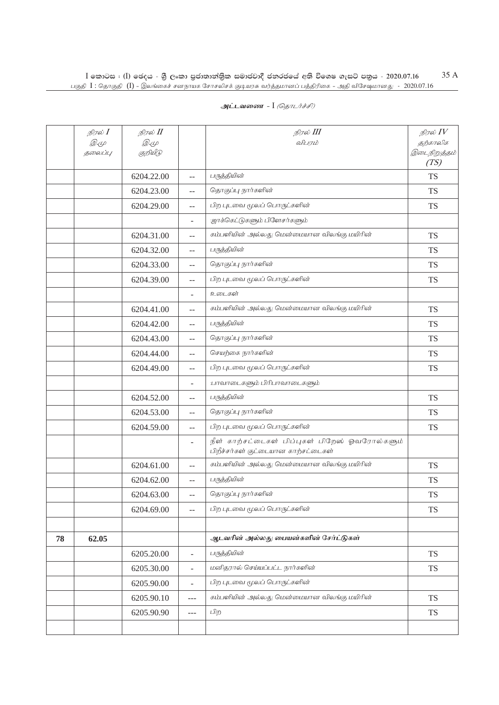|    | நிரல் <b>I</b>                | நிரல் <b>II</b> |                          | நிரல் III                                                                             | நிரல் $\mathit{IV}$  |
|----|-------------------------------|-----------------|--------------------------|---------------------------------------------------------------------------------------|----------------------|
|    | $\mathscr{D} \in \mathscr{L}$ | <i>D</i> .4     |                          | விபரம்                                                                                | தற்காலிக             |
|    | தலைப்பு                       | குறியீடு        |                          |                                                                                       | இடைநிறுத்தம்<br>(TS) |
|    |                               | 6204.22.00      | $-$                      | பருத்தியின்                                                                           | <b>TS</b>            |
|    |                               | 6204.23.00      | $-$                      | தொகுப்பு நார்களின்                                                                    | <b>TS</b>            |
|    |                               | 6204.29.00      | --                       | பிற புடவை மூலப் பொருட்களின்                                                           | <b>TS</b>            |
|    |                               |                 | $\overline{\phantom{0}}$ | ஜாக்கெட்டுகளும் பிளேசர்களும்                                                          |                      |
|    |                               | 6204.31.00      | $- -$                    | கம்பளியின் அல்லது மென்மையான விலங்கு மயிரின்                                           | <b>TS</b>            |
|    |                               | 6204.32.00      | $-$                      | பருத்தியின்                                                                           | <b>TS</b>            |
|    |                               | 6204.33.00      | $-$                      | தொகுப்பு நார்களின்                                                                    | <b>TS</b>            |
|    |                               | 6204.39.00      | --                       | பிற புடவை மூலப் பொருட்களின்                                                           | <b>TS</b>            |
|    |                               |                 | ۰                        | உடைகள்                                                                                |                      |
|    |                               | 6204.41.00      | $-$                      | கம்பளியின் அல்லது மென்மையான விலங்கு மயிரின்                                           | <b>TS</b>            |
|    |                               | 6204.42.00      | --                       | பருத்தியின்                                                                           | <b>TS</b>            |
|    |                               | 6204.43.00      | --                       | தொகுப்பு நார்களின்                                                                    | <b>TS</b>            |
|    |                               | 6204.44.00      | --                       | செயற்கை நார்களின்                                                                     | <b>TS</b>            |
|    |                               | 6204.49.00      | $-$                      | பிற புடவை மூலப் பொருட்களின்                                                           | <b>TS</b>            |
|    |                               |                 | ÷,                       | :பாவாடைகளும் பிரிபாவாடைகளும்                                                          |                      |
|    |                               | 6204.52.00      | --                       | பருத்தியின்                                                                           | <b>TS</b>            |
|    |                               | 6204.53.00      | $-$                      | தொகுப்பு நார்களின்                                                                    | <b>TS</b>            |
|    |                               | 6204.59.00      | $-$                      | பிற புடவை மூலப் பொருட்களின்                                                           | <b>TS</b>            |
|    |                               |                 | ÷                        | நீள் காற்சட்டைகள் பிப்புகள் பிறேஸ் ஓவரோல்களும்<br>பிறீச்சர்கள் குட்டையான காற்சட்டைகள் |                      |
|    |                               | 6204.61.00      | --                       | கம்பளியின் அல்லது மென்மையான விலங்கு மயிரின்                                           | <b>TS</b>            |
|    |                               | 6204.62.00      | --                       | பருத்தியின்                                                                           | <b>TS</b>            |
|    |                               | 6204.63.00      | $-$                      | தொகுப்பு நார்களின்                                                                    | <b>TS</b>            |
|    |                               | 6204.69.00      | $-$                      | பிற புடவை மூலப் பொருட்களின்                                                           | TS                   |
|    |                               |                 |                          |                                                                                       |                      |
| 78 | 62.05                         |                 |                          | ஆடவரின் அல்லது பையன்களின் சேர்ட்டுகள்                                                 |                      |
|    |                               | 6205.20.00      | $\overline{a}$           | பருத்தியின்                                                                           | <b>TS</b>            |
|    |                               | 6205.30.00      | ÷,                       | மனிதரால் செய்யப்பட்ட நார்களின்                                                        | <b>TS</b>            |
|    |                               | 6205.90.00      | $\blacksquare$           | பிற புடவை மூலப் பொருட்களின்                                                           |                      |
|    |                               | 6205.90.10      | ---                      | கம்பளியின் அல்லது மென்மையான விலங்கு மயிரின்                                           | <b>TS</b>            |
|    |                               | 6205.90.90      | $---$                    | பிற                                                                                   | TS                   |
|    |                               |                 |                          |                                                                                       |                      |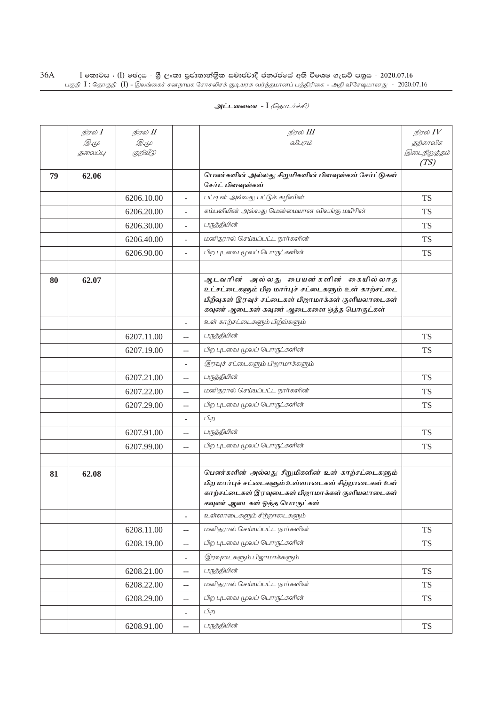|    | நிரல் <b>I</b> | நிரல் II   |                                               | நிரல் III                                                                                                                                                                                    | நிரல் $IV$           |
|----|----------------|------------|-----------------------------------------------|----------------------------------------------------------------------------------------------------------------------------------------------------------------------------------------------|----------------------|
|    | <i>D.</i> 4    | <i>2.4</i> |                                               | விபாம்                                                                                                                                                                                       | தற்காலிக             |
|    | தலைப்பு        | குறியீடு   |                                               |                                                                                                                                                                                              | இடைநிறுத்தம்<br>(TS) |
| 79 | 62.06          |            |                                               | பெண்களின் அல்லது சிறுமிகளின் பிளவுஸ்கள் சேர்ட்டுகள்<br>சேர்ட் பிளவுஸ்கள்                                                                                                                     |                      |
|    |                | 6206.10.00 | $\overline{a}$                                | பட்டின் அல்லது பட்டுக் கழிவின்                                                                                                                                                               | <b>TS</b>            |
|    |                | 6206.20.00 | $\overline{a}$                                | கம்பளியின் அல்லது மென்மையான விலங்கு மயிரின்                                                                                                                                                  | <b>TS</b>            |
|    |                | 6206.30.00 | $\overline{\phantom{a}}$                      | பருத்தியின்                                                                                                                                                                                  | <b>TS</b>            |
|    |                | 6206.40.00 | $\overline{\phantom{a}}$                      | மனிதரால் செய்யப்பட்ட நார்களின்                                                                                                                                                               | <b>TS</b>            |
|    |                | 6206.90.00 | $\overline{a}$                                | பிற புடவை மூலப் பொருட்களின்                                                                                                                                                                  | <b>TS</b>            |
|    |                |            |                                               |                                                                                                                                                                                              |                      |
| 80 | 62.07          |            |                                               | ஆடவரின் அல்லது பையன்களின் கையில்லாத<br>உட்சட்டைகளும் பிற மார்புச் சட்டைகளும் உள் காற்சட்டை<br>பிறீவுகள் இரவுச் சட்டைகள் பிஜாமாக்கள் குளியலாடைகள்<br>கவுண் ஆடைகள் கவுண் ஆடைகளை ஒத்த பொருட்கள் |                      |
|    |                |            | $\overline{a}$                                | உள் காற்சட்டைகளும் பிறீவ்களும்                                                                                                                                                               |                      |
|    |                | 6207.11.00 | $\overline{a}$                                | பருத்தியின்                                                                                                                                                                                  | <b>TS</b>            |
|    |                | 6207.19.00 | $-$                                           | பிற புடவை மூலப் பொருட்களின்                                                                                                                                                                  | <b>TS</b>            |
|    |                |            |                                               | இரவுச் சட்டைகளும் பிஜாமாக்களும்                                                                                                                                                              |                      |
|    |                | 6207.21.00 | $-$                                           | பருத்தியின்                                                                                                                                                                                  | <b>TS</b>            |
|    |                | 6207.22.00 | $-$                                           | மனிதரால் செய்யப்பட்ட நார்களின்                                                                                                                                                               | <b>TS</b>            |
|    |                | 6207.29.00 | $\mathbf{u}$                                  | பிற புடவை மூலப் பொருட்களின்                                                                                                                                                                  | <b>TS</b>            |
|    |                |            |                                               | பிற                                                                                                                                                                                          |                      |
|    |                | 6207.91.00 | $-$                                           | பருத்தியின்                                                                                                                                                                                  | <b>TS</b>            |
|    |                | 6207.99.00 | $- -$                                         | பிற புடவை மூலப் பொருட்களின்                                                                                                                                                                  | <b>TS</b>            |
|    |                |            |                                               |                                                                                                                                                                                              |                      |
| 81 | 62.08          |            |                                               | பெண்களின் அல்லது சிறுமிகளின் உள் காற்சட்டைகளும்<br>பிற மார்புச் சட்டைகளும் உள்ளாடைகள் சிற்றாடைகள் உள்<br>காற்சட்டைகள் இரவுடைகள் பிஜாமாக்கள் குளியலாடைகள்<br>கவுண் ஆடைகள் ஒத்த பொருட்கள்      |                      |
|    |                |            | $\overline{a}$                                | உள்ளாடைகளும் சிற்றாடைகளும்                                                                                                                                                                   |                      |
|    |                | 6208.11.00 | $-$                                           | மனிதரால் செய்யப்பட்ட நார்களின்                                                                                                                                                               | <b>TS</b>            |
|    |                | 6208.19.00 | $\mathord{\hspace{1pt}\text{--}\hspace{1pt}}$ | பிற புடவை மூலப் பொருட்களின்                                                                                                                                                                  | <b>TS</b>            |
|    |                |            | $\overline{\phantom{a}}$                      | இரவுடைகளும் பிஜாமாக்களும்                                                                                                                                                                    |                      |
|    |                | 6208.21.00 | $-$                                           | பருத்தியின்                                                                                                                                                                                  | <b>TS</b>            |
|    |                | 6208.22.00 | $\mathord{\hspace{1pt}\text{--}\hspace{1pt}}$ | மனிதரால் செய்யப்பட்ட நார்களின்                                                                                                                                                               | <b>TS</b>            |
|    |                | 6208.29.00 | $\overline{\phantom{m}}$                      | பிற புடவை மூலப் பொருட்களின்                                                                                                                                                                  | <b>TS</b>            |
|    |                |            | $\overline{\phantom{a}}$                      | பிற                                                                                                                                                                                          |                      |
|    |                | 6208.91.00 | $\mathord{\hspace{1pt}\text{--}\hspace{1pt}}$ | பருத்தியின்                                                                                                                                                                                  | TS                   |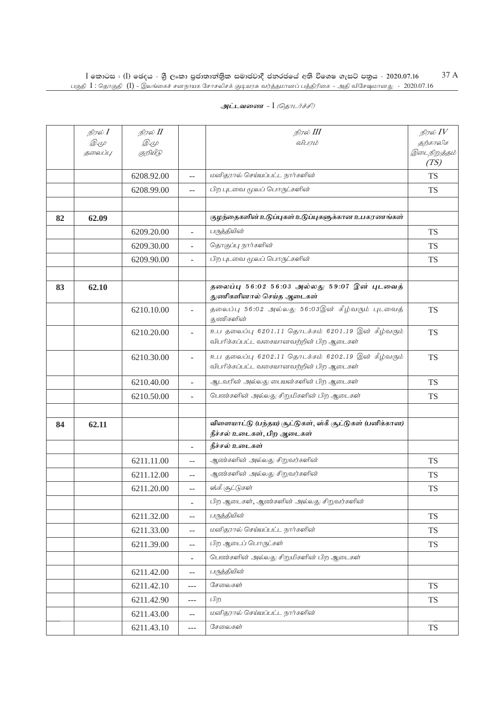|    | நிரல் I<br><i>D.</i> 4<br>தலைப்பு | நிரல் II<br><i>D</i> .4<br>குறியீடு |                          | நிரல் III<br>விபரம்                                                                          | நிரல் $\mathit{IV}$<br>தற்காலிக<br>இடைநிறுத்தம் |
|----|-----------------------------------|-------------------------------------|--------------------------|----------------------------------------------------------------------------------------------|-------------------------------------------------|
|    |                                   |                                     |                          |                                                                                              | (TS)                                            |
|    |                                   | 6208.92.00                          | $-$                      | மனிதரால் செய்யப்பட்ட நார்களின்                                                               | <b>TS</b>                                       |
|    |                                   | 6208.99.00                          | $-$                      | பிற புடவை மூலப் பொருட்களின்                                                                  | TS                                              |
|    |                                   |                                     |                          |                                                                                              |                                                 |
| 82 | 62.09                             |                                     |                          | குழந்தைகளின் உடுப்புகள் உடுப்புகளுக்கான உபகரணங்கள்                                           |                                                 |
|    |                                   | 6209.20.00                          | ÷,                       | பருத்தியின்                                                                                  | <b>TS</b>                                       |
|    |                                   | 6209.30.00                          | $\overline{\phantom{a}}$ | தொகுப்பு நார்களின்                                                                           | <b>TS</b>                                       |
|    |                                   | 6209.90.00                          | $\overline{\phantom{0}}$ | பிற புடவை மூலப் பொருட்களின்                                                                  | TS                                              |
|    |                                   |                                     |                          |                                                                                              |                                                 |
| 83 | 62.10                             |                                     |                          | தலைப்பு 56:02 56:03 அல்லது 59:07 இன் புடவைத்<br>துணிகளினால் செய்த ஆடைகள்                     |                                                 |
|    |                                   | 6210.10.00                          |                          | தலைப்பு 56:02 அல்லது 56:03இன் கீழ்வரும் புடவைத்<br><i>து</i> ணிகளின்                         | <b>TS</b>                                       |
|    |                                   | 6210.20.00                          | ÷,                       | உப தலைப்பு 6201.11 தொடக்கம் 6201.19 இன் கீழ்வரும்<br>விபரிக்கப்பட்ட வகையானவற்றின் பிற ஆடைகள் | <b>TS</b>                                       |
|    |                                   | 6210.30.00                          | $\overline{\phantom{a}}$ | உப தலைப்பு 6202.11 தொடக்கம் 6202.19 இன் கீழ்வரும்<br>விபரிக்கப்பட்ட வகையானவற்றின் பிற ஆடைகள் | <b>TS</b>                                       |
|    |                                   | 6210.40.00                          |                          | ஆடவரின் அல்லது பையன்களின் பிற ஆடைகள்                                                         | <b>TS</b>                                       |
|    |                                   | 6210.50.00                          | $\overline{\phantom{a}}$ | பெண்களின் அல்லது சிறுமிகளின் பிற ஆடைகள்                                                      | <b>TS</b>                                       |
|    |                                   |                                     |                          |                                                                                              |                                                 |
| 84 | 62.11                             |                                     |                          | விளையாட்டு (பந்தய) சூட்டுகள், ஸ்கீ சூட்டுகள் (பனிக்கான)<br>நீச்சல் உடைகள், பிற ஆடைகள்        |                                                 |
|    |                                   |                                     | $\overline{\phantom{a}}$ | நீச்சல் உடைகள்                                                                               |                                                 |
|    |                                   | 6211.11.00                          | --                       | ஆண்களின் அல்லது சிறுவர்களின்                                                                 | <b>TS</b>                                       |
|    |                                   | 6211.12.00                          | --                       | ஆண்களின் அல்லது சிறுவர்களின்                                                                 | <b>TS</b>                                       |
|    |                                   | 6211.20.00                          | $-$                      | ஸ்கீ சூட்டுகள்                                                                               | <b>TS</b>                                       |
|    |                                   |                                     | $\equiv$                 | பிற ஆடைகள், ஆண்களின் அல்லது சிறுவர்களின்                                                     |                                                 |
|    |                                   | 6211.32.00                          | $-$                      | பருத்தியின்                                                                                  | <b>TS</b>                                       |
|    |                                   | 6211.33.00                          | $-$                      | மனிதரால் செய்யப்பட்ட நார்களின்                                                               | <b>TS</b>                                       |
|    |                                   | 6211.39.00                          | $-$                      | பிற ஆடைப் பொருட்கள்                                                                          | <b>TS</b>                                       |
|    |                                   |                                     | $\overline{\phantom{a}}$ | பெண்களின் அல்லது சிறுமிகளின் பிற ஆடைகள்                                                      |                                                 |
|    |                                   | 6211.42.00                          | $- -$                    | பருத்தியின்                                                                                  |                                                 |
|    |                                   | 6211.42.10                          | $---$                    | சேலைகள்                                                                                      | <b>TS</b>                                       |
|    |                                   | 6211.42.90                          | ---                      | பிற                                                                                          | <b>TS</b>                                       |
|    |                                   | 6211.43.00                          | $\qquad \qquad -$        | மனிதரால் செய்யப்பட்ட நார்களின்                                                               |                                                 |
|    |                                   | 6211.43.10                          | ---                      | சேலைகள்                                                                                      | <b>TS</b>                                       |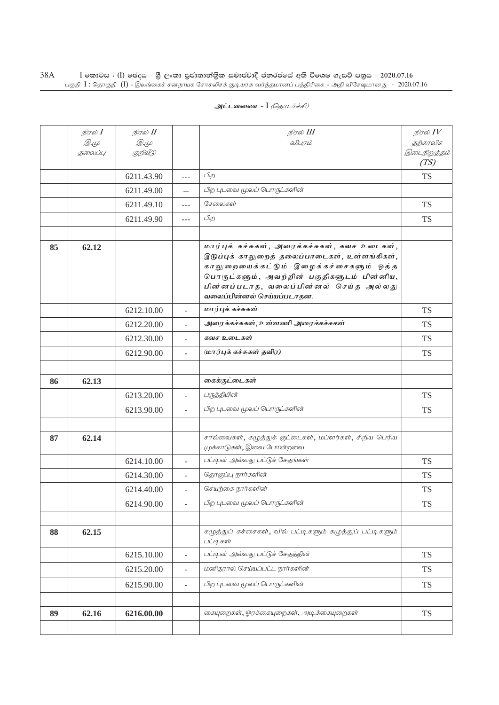|    | நிரல் I     | நிரல் II    |                          | நிரல் III                                                                                                                                                                                                                                                      | நிரல் $IV$           |
|----|-------------|-------------|--------------------------|----------------------------------------------------------------------------------------------------------------------------------------------------------------------------------------------------------------------------------------------------------------|----------------------|
|    | <i>D</i> .4 | <i>D</i> .4 |                          | விபாம்                                                                                                                                                                                                                                                         | தற்காலிக             |
|    | தலைப்பு     | குறியீடு    |                          |                                                                                                                                                                                                                                                                | இடைநிறுத்தம்<br>(TS) |
|    |             | 6211.43.90  | $---$                    | பிற                                                                                                                                                                                                                                                            | <b>TS</b>            |
|    |             | 6211.49.00  | $-$                      | பிற புடவை மூலப் பொருட்களின்                                                                                                                                                                                                                                    |                      |
|    |             | 6211.49.10  | $---$                    | சேலைகள்                                                                                                                                                                                                                                                        | <b>TS</b>            |
|    |             | 6211.49.90  | $---$                    | பிற                                                                                                                                                                                                                                                            | <b>TS</b>            |
|    |             |             |                          |                                                                                                                                                                                                                                                                |                      |
| 85 | 62.12       |             |                          | மார்புக் கச்சுகள், அரைக்கச்சுகள், கவச உடைகள்,<br>இடுப்புக் காலுறைத் தலைப்பாடைகள், உள்ளங்கிகள்,<br>காலுறையைக்கட்டும் இழைக்கச்சைகளும் ஒத்த<br>பொருட்களும், அவற்றின் பகுதிகளுடம் பின்னிய,<br>பின்னப்படாத, வலைப்பின்னல் செய்த அல்லது<br>வலைப்பின்னல் செய்யப்படாதன. |                      |
|    |             | 6212.10.00  | $\overline{a}$           | மார்புக் கச்சுகள்                                                                                                                                                                                                                                              | <b>TS</b>            |
|    |             | 6212.20.00  |                          | அரைக்கச்சுகள், உள்ளணி அரைக்கச்சுகள்                                                                                                                                                                                                                            | <b>TS</b>            |
|    |             | 6212.30.00  | $\overline{\phantom{a}}$ | கவச உடைகள்                                                                                                                                                                                                                                                     | <b>TS</b>            |
|    |             | 6212.90.00  | $\overline{a}$           | (மார்புக் கச்சுகள் தவிர)                                                                                                                                                                                                                                       | <b>TS</b>            |
|    |             |             |                          |                                                                                                                                                                                                                                                                |                      |
| 86 | 62.13       |             |                          | கைக்குட்டைகள்                                                                                                                                                                                                                                                  |                      |
|    |             | 6213.20.00  | $\overline{\phantom{a}}$ | பருத்தியின்                                                                                                                                                                                                                                                    | <b>TS</b>            |
|    |             | 6213.90.00  | $\sim$                   | பிற புடவை மூலப் பொருட்களின்                                                                                                                                                                                                                                    | <b>TS</b>            |
|    |             |             |                          |                                                                                                                                                                                                                                                                |                      |
| 87 | 62.14       |             |                          | சால்வைகள், கழுத்துக் குட்டைகள், மப்ளர்கள், சிறிய பெரிய<br>முக்காடுகள், இவை போன்றவை                                                                                                                                                                             |                      |
|    |             | 6214.10.00  | $\overline{a}$           | பட்டின் அல்லது பட்டுச் சேதங்கள்                                                                                                                                                                                                                                | <b>TS</b>            |
|    |             | 6214.30.00  | $\overline{\phantom{a}}$ | தொகுப்பு நார்களின்                                                                                                                                                                                                                                             | <b>TS</b>            |
|    |             | 6214.40.00  | $\overline{a}$           | செயற்கை நார்களின்                                                                                                                                                                                                                                              | <b>TS</b>            |
|    |             | 6214.90.00  | $\overline{a}$           | பிற புடவை மூலப் பொருட்களின்                                                                                                                                                                                                                                    | <b>TS</b>            |
|    |             |             |                          |                                                                                                                                                                                                                                                                |                      |
| 88 | 62.15       |             |                          | கழுத்துப் கச்சைகள், வில் பட்டிகளும் கழுத்துப் பட்டிகளும்<br>பட்டிகள்                                                                                                                                                                                           |                      |
|    |             | 6215.10.00  | $\overline{a}$           | பட்டின் அல்லது பட்டுச் சேதத்தின்                                                                                                                                                                                                                               | <b>TS</b>            |
|    |             | 6215.20.00  | $\blacksquare$           | மனிதரால் செய்யப்பட்ட நார்களின்                                                                                                                                                                                                                                 | <b>TS</b>            |
|    |             | 6215.90.00  | $\blacksquare$           | பிற புடவை மூலப் பொருட்களின்                                                                                                                                                                                                                                    | <b>TS</b>            |
|    |             |             |                          |                                                                                                                                                                                                                                                                |                      |
| 89 | 62.16       | 6216.00.00  |                          | கையுறைகள், ஓரக்கையுறைகள், அடிக்கையுறைகள்                                                                                                                                                                                                                       | <b>TS</b>            |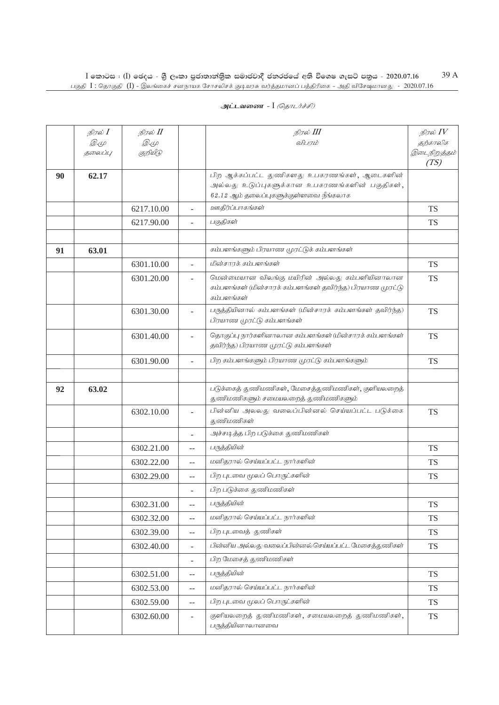|    | நிரல் <b>I</b><br><i>D</i> .4 | நிரல் II<br><i>D</i> .4 |                          | நிரல் III<br>விபரம்                                                                                                                     | நிரல் $IV$<br>தற்காலிக |
|----|-------------------------------|-------------------------|--------------------------|-----------------------------------------------------------------------------------------------------------------------------------------|------------------------|
|    | தலைப்பு                       | குறியீடு                |                          |                                                                                                                                         | இடைநிறுத்தம்<br>(TS)   |
| 90 | 62.17                         |                         |                          | பிற ஆக்கப்பட்ட துணிகளது உபகரணங்கள், ஆடைகளின்<br>அல்லது உடுப்புகளுக்கான உபகரணங்களின் பகுதிகள்,<br>62.12 ஆம் தலைப்புகளுக்குள்ளவை நீங்கலாக |                        |
|    |                               | 6217.10.00              |                          | ஊதிர்ப்பாகங்கள்                                                                                                                         | <b>TS</b>              |
|    |                               | 6217.90.00              |                          | பகுதிகள்                                                                                                                                | <b>TS</b>              |
|    |                               |                         |                          |                                                                                                                                         |                        |
| 91 | 63.01                         |                         |                          | கம்பளங்களும் பிரயாண முரட்டுக் கம்பளங்கள்                                                                                                |                        |
|    |                               | 6301.10.00              |                          | மின்சாரக் கம்பளங்கள்                                                                                                                    | <b>TS</b>              |
|    |                               | 6301.20.00              |                          | மென்மையான விலங்கு மயிரின் அல்லது கம்பளியினாலான<br>கம்பளங்கள் (மின்சாரக் கம்பளங்கள் தவிர்ந்த) பிரயாண முரட்டு<br>கம்பளங்கள்               | <b>TS</b>              |
|    |                               | 6301.30.00              | ÷,                       | பருத்தியினால் கம்பளங்கள் (மின்சாரக் கம்பளங்கள் தவிர்ந்த)<br>பிரயாண முரட்டு கம்பளங்கள்                                                   | <b>TS</b>              |
|    |                               | 6301.40.00              | $\overline{\phantom{a}}$ | தொகுப்பு நார்களினாலான கம்பளங்கள் (மின்சாரக் கம்பளங்கள்<br>தவிர்ந்த) பிரயாண முரட்டு கம்பளங்கள்                                           | <b>TS</b>              |
|    |                               | 6301.90.00              | $\overline{\phantom{a}}$ | பிற கம்பளங்களும் பிரயாண முரட்டு கம்பளங்களும்                                                                                            | <b>TS</b>              |
|    |                               |                         |                          |                                                                                                                                         |                        |
| 92 | 63.02                         |                         |                          | படுக்கைத் துணிமணிகள், மேசைத்துணிமணிகள், குளியலறைத்<br>துணிமணிகளும் சமையலறைத் துணிமணிகளும்                                               |                        |
|    |                               | 6302.10.00              | $\overline{\phantom{a}}$ | பின்னிய அலலது வலைப்பின்னல் செய்யப்பட்ட படுக்கை<br>துணிமணிகள்                                                                            | <b>TS</b>              |
|    |                               |                         |                          | அச்சடித்த பிற படுக்கை துணிமணிகள்                                                                                                        |                        |
|    |                               | 6302.21.00              | $-$                      | பருத்தியின்                                                                                                                             | <b>TS</b>              |
|    |                               | 6302.22.00              | $-$                      | மனிதரால் செய்யப்பட்ட நார்களின்                                                                                                          | <b>TS</b>              |
|    |                               | 6302.29.00              | $-$                      | பிற புடவை மூலப் பொருட்களின்                                                                                                             | <b>TS</b>              |
|    |                               |                         |                          | பிற படுக்கை துணிமணிகள்                                                                                                                  |                        |
|    |                               | 6302.31.00              | $\overline{a}$           | பருத்தியின்                                                                                                                             | <b>TS</b>              |
|    |                               | 6302.32.00              | $\overline{a}$           | மனிதரால் செய்யப்பட்ட நார்களின்                                                                                                          | <b>TS</b>              |
|    |                               | 6302.39.00              | $\overline{\phantom{m}}$ | பிற புடவைத் துணிகள்                                                                                                                     | <b>TS</b>              |
|    |                               | 6302.40.00              | $\blacksquare$           | பின்னிய அல்லது வலைப்பின்னல் செய்யப்பட்ட மேசைத்துணிகள்                                                                                   | <b>TS</b>              |
|    |                               |                         | $\overline{\phantom{a}}$ | பிற மேசைத் துணிமணிகள்                                                                                                                   |                        |
|    |                               | 6302.51.00              | $-$                      | பருத்தியின்                                                                                                                             | <b>TS</b>              |
|    |                               | 6302.53.00              | $-$                      | மனிதரால் செய்யப்பட்ட நார்களின்                                                                                                          | <b>TS</b>              |
|    |                               | 6302.59.00              | $\overline{\phantom{m}}$ | பிற புடவை மூலப் பொருட்களின்                                                                                                             | <b>TS</b>              |
|    |                               | 6302.60.00              | $\overline{\phantom{a}}$ | குளியலறைத் துணிமணிகள், சமையலறைத் துணிமணிகள்,<br>பருத்தியினாலானவை                                                                        | <b>TS</b>              |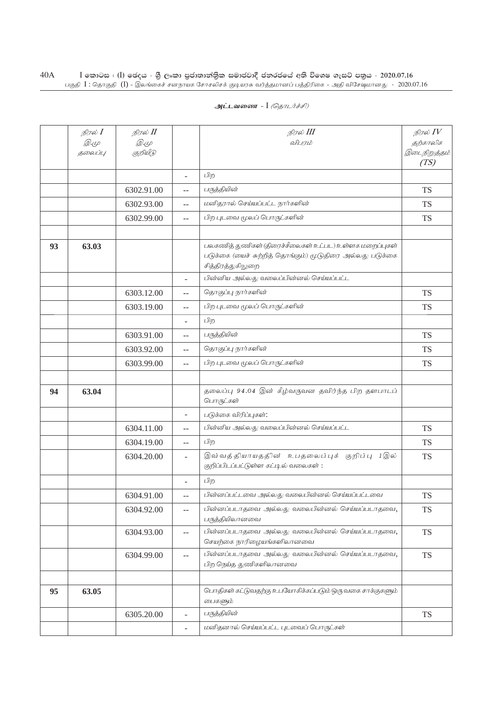| அட்டவணை - I <i>(தொடர்ச்சி)</i> |  |  |
|--------------------------------|--|--|
|--------------------------------|--|--|

|    | நிரல் I | நிரல் II   |                                               | நிரல் III                                                                                                                               | நிரல் $IV$           |
|----|---------|------------|-----------------------------------------------|-----------------------------------------------------------------------------------------------------------------------------------------|----------------------|
|    | Q. (L   | <i>2.4</i> |                                               | விபரம்                                                                                                                                  | தற்காலிக             |
|    | தலைப்பு | குறியீடு   |                                               |                                                                                                                                         | இடைநிறுத்தம்<br>(TS) |
|    |         |            | $\overline{\phantom{a}}$                      | பிற                                                                                                                                     |                      |
|    |         | 6302.91.00 | $-$                                           | பருத்தியின்                                                                                                                             | <b>TS</b>            |
|    |         | 6302.93.00 | $-$                                           | மனிதரால் செய்யப்பட்ட நார்களின்                                                                                                          | <b>TS</b>            |
|    |         | 6302.99.00 | $-$                                           | பிற புடவை மூலப் பொருட்களின்                                                                                                             | <b>TS</b>            |
|    |         |            |                                               |                                                                                                                                         |                      |
| 93 | 63.03   |            |                                               | பலகணித் துணிகள் (திரைச்சீலைகள் உட்பட) உள்ளக மறைப்புகள்<br>படுக்கை (யைச் சுற்றித் தொங்கும்) மூடுதிரை அல்லது படுக்கை<br>சித்திரத்துகிலுறை |                      |
|    |         |            |                                               | பின்னிய அல்லது வலைப்பின்னல் செய்யப்பட்ட                                                                                                 |                      |
|    |         | 6303.12.00 | $-$                                           | தொகுப்பு நார்களின்                                                                                                                      | <b>TS</b>            |
|    |         | 6303.19.00 | $-$                                           | பிற புடவை மூலப் பொருட்களின்                                                                                                             | <b>TS</b>            |
|    |         |            | $\overline{\phantom{a}}$                      | பிற                                                                                                                                     |                      |
|    |         | 6303.91.00 | $-$                                           | பருத்தியின்                                                                                                                             | <b>TS</b>            |
|    |         | 6303.92.00 | $-$                                           | தொகுப்பு நார்களின்                                                                                                                      | <b>TS</b>            |
|    |         | 6303.99.00 | $-$                                           | பிற புடவை மூலப் பொருட்களின்                                                                                                             | <b>TS</b>            |
|    |         |            |                                               |                                                                                                                                         |                      |
| 94 | 63.04   |            |                                               | தலைப்பு 94.04 இன் கீழ்வருவன தவிர்ந்த பிற தளபாடப்<br>பொருட்கள்                                                                           |                      |
|    |         |            |                                               | படுக்கை விரிப்புகள்:                                                                                                                    |                      |
|    |         | 6304.11.00 | $-$                                           | பின்னிய அல்லது வலைப்பின்னல் செய்யப்பட்ட                                                                                                 | <b>TS</b>            |
|    |         | 6304.19.00 | $-$                                           | பிற                                                                                                                                     | <b>TS</b>            |
|    |         | 6304.20.00 | $\overline{\phantom{a}}$                      | இவ் வத்தியாயதத்ின் உபதலைப்புக் குறிப்பு 1இல்<br>குறிப்பிடப்பட்டுள்ள கட்டில் வலைகள்:                                                     | <b>TS</b>            |
|    |         |            |                                               | பிற                                                                                                                                     |                      |
|    |         | 6304.91.00 | $-$                                           | பின்னப்பட்டவை அல்லது வலைபின்னல் செய்யப்பட்டவை                                                                                           | <b>TS</b>            |
|    |         | 6304.92.00 | $\mathord{\hspace{1pt}\text{--}\hspace{1pt}}$ | பின்னப்படாதவை அல்லது வலைபின்னல் செய்யப்படாதவை,<br>பருத்தியிலானவை                                                                        | <b>TS</b>            |
|    |         | 6304.93.00 | $- \, -$                                      | பின்னப்படாதவை அல்லது வலைபின்னல் செய்யப்படாதவை,<br>செயற்கை நாரிழையங்களிலானவை                                                             | <b>TS</b>            |
|    |         | 6304.99.00 | $\mathord{\hspace{1pt}\text{--}\hspace{1pt}}$ | பின்னப்படாதவை அல்லது வலைபின்னல் செய்யப்படாதவை,<br>பிற நெய்த துணிகளிலானவை                                                                | <b>TS</b>            |
|    |         |            |                                               |                                                                                                                                         |                      |
| 95 | 63.05   |            |                                               | பொதிகள் கட்டுவதற்கு உபயோகிக்கப்படும் ஒரு வகை சாக்குகளும்<br>டைசுளும்                                                                    |                      |
|    |         | 6305.20.00 | $\overline{\phantom{a}}$                      | பருத்தியின்                                                                                                                             | <b>TS</b>            |
|    |         |            | $\overline{\phantom{a}}$                      | மனிதனால் செய்யப்பட்ட புடவைப் பொருட்கள்                                                                                                  |                      |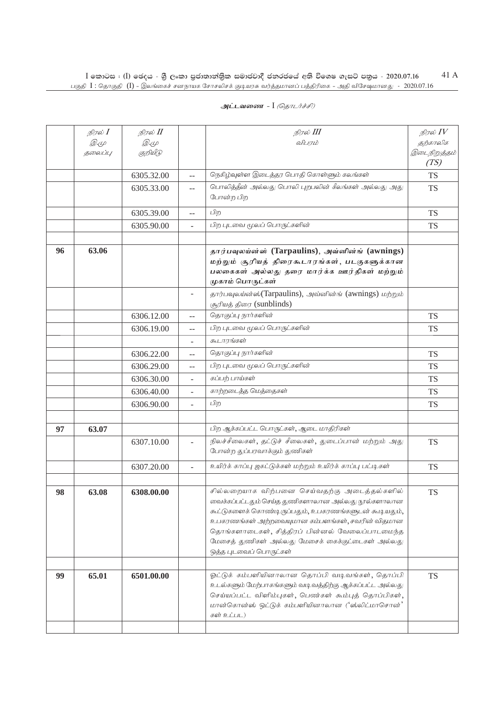|    | நிரல் <b>I</b> | நிரல் II    |                          | நிரல் III                                                                                                                                                                                                                                                                                                                                       | நிரல் $IV$   |
|----|----------------|-------------|--------------------------|-------------------------------------------------------------------------------------------------------------------------------------------------------------------------------------------------------------------------------------------------------------------------------------------------------------------------------------------------|--------------|
|    | <i>D</i> .4    | <i>D</i> .4 |                          | விபரம்                                                                                                                                                                                                                                                                                                                                          | தற்காலிக     |
|    | தலைப்பு        | குறியீடு    |                          |                                                                                                                                                                                                                                                                                                                                                 | இடைநிறுத்தம் |
|    |                |             |                          |                                                                                                                                                                                                                                                                                                                                                 | (TS)         |
|    |                | 6305.32.00  | $-$                      | நெகிழ்வுள்ள இடைத்தர பொதி கொள்ளும் கலங்கள்                                                                                                                                                                                                                                                                                                       | <b>TS</b>    |
|    |                | 6305.33.00  | $-$                      | பொலித்தீன் அல்லது பொலி புறபலின் கீலங்கள் அல்லது அது<br>போன்ற பிற                                                                                                                                                                                                                                                                                | <b>TS</b>    |
|    |                | 6305.39.00  | $-$                      | பிற                                                                                                                                                                                                                                                                                                                                             | <b>TS</b>    |
|    |                | 6305.90.00  | $\overline{\phantom{a}}$ | பிற புடவை மூலப் பொருட்களின்                                                                                                                                                                                                                                                                                                                     | TS           |
|    |                |             |                          |                                                                                                                                                                                                                                                                                                                                                 |              |
| 96 | 63.06          |             |                          | தார்பவுலய்ன்ஸ் (Tarpaulins), அவ்னின்ங் (awnings)<br>மற்றும் சூரியத் திரைகூடாரங்கள், படகுகளுக்கான<br>பலகைகள் அல்லது தரை மார்க்க ஊர்திகள் மற்றும்<br>முகாம் பொருட்கள்                                                                                                                                                                             |              |
|    |                |             | $\overline{\phantom{a}}$ | தார்பவுலய்ன்ஸ்(Tarpaulins), அவ்னின்ங் (awnings) மற்றும்<br>சூரியத் திரை (sunblinds)                                                                                                                                                                                                                                                             |              |
|    |                | 6306.12.00  | $\qquad \qquad -$        | தொகுப்பு நார்களின்                                                                                                                                                                                                                                                                                                                              | <b>TS</b>    |
|    |                | 6306.19.00  | --                       | பிற புடவை மூலப் பொருட்களின்                                                                                                                                                                                                                                                                                                                     | <b>TS</b>    |
|    |                |             | ÷                        | கூடாாங்கள்                                                                                                                                                                                                                                                                                                                                      |              |
|    |                | 6306.22.00  | --                       | தொகுப்பு நார்களின்                                                                                                                                                                                                                                                                                                                              | <b>TS</b>    |
|    |                | 6306.29.00  | $-$                      | பிற புடவை மூலப் பொருட்களின்                                                                                                                                                                                                                                                                                                                     | <b>TS</b>    |
|    |                | 6306.30.00  |                          | கப்பற் பாய்கள்                                                                                                                                                                                                                                                                                                                                  | <b>TS</b>    |
|    |                | 6306.40.00  | $\overline{\phantom{a}}$ | காற்றடைத்த மெத்தைகள்                                                                                                                                                                                                                                                                                                                            | <b>TS</b>    |
|    |                | 6306.90.00  | $\overline{a}$           | பிற                                                                                                                                                                                                                                                                                                                                             | <b>TS</b>    |
|    |                |             |                          |                                                                                                                                                                                                                                                                                                                                                 |              |
| 97 | 63.07          |             |                          | பிற ஆக்கப்பட்ட பொருட்கள், ஆடை மாதிரிகள்                                                                                                                                                                                                                                                                                                         |              |
|    |                | 6307.10.00  | $\overline{\phantom{a}}$ | நிலச்சீலைகள், தட்டுச் சீலைகள், துடைப்பான் மற்றும் அது<br>போன்ற துப்பரவாக்கும் துணிகள்                                                                                                                                                                                                                                                           | <b>TS</b>    |
|    |                | 6307.20.00  | $\Box$                   | உயிர்க் காப்பு ஜகட்டுக்கள் மற்றும் உயிர்க் காப்பு பட்டிகள்                                                                                                                                                                                                                                                                                      | <b>TS</b>    |
|    |                |             |                          |                                                                                                                                                                                                                                                                                                                                                 |              |
| 98 | 63.08          | 6308.00.00  |                          | சில்லறையாக விற்பனை செய்வதற்கு அடைத்தல்களில்<br>வைக்கப்பட்டதும் செய்த துணிகளாலான அல்லது நூல்களாலான<br>கூட்டுகளைக் கொண்டிருப்பதும், உபகரணங்களுடன் கூடியதும்,<br>உபகரணங்கள் அற்றவையுமான கம்பளங்கள், சவரின் விதமான<br>தொங்களாடைகள், சித்திரப் பின்னல் வேலைப்பாடமைந்த<br>மேசைத் துணிகள் அல்லது மேசைக் கைக்குட்டைகள் அல்லது<br>ஒத்த புடவைப் பொருட்கள் | <b>TS</b>    |
|    |                |             |                          |                                                                                                                                                                                                                                                                                                                                                 |              |
| 99 | 65.01          | 6501.00.00  |                          | ஓட்டுக் கம்பளியினாலான தொப்பி வடிவங்கள், தொப்பி<br>உடல்களும் மேற்பாகங்களும் வடிவத்திற்கு ஆக்கப்பட்ட அல்லது<br>செய்யப்பட்ட விளிம்புகள், பெண்கள் கூம்புத் தொப்பிகள்,<br>மான்கொன்ஸ் ஒட்டுக் கம்பளியினாலான ('ஸ்லிட்மாசொன்'<br>கள் உட்பட)                                                                                                             | <b>TS</b>    |
|    |                |             |                          |                                                                                                                                                                                                                                                                                                                                                 |              |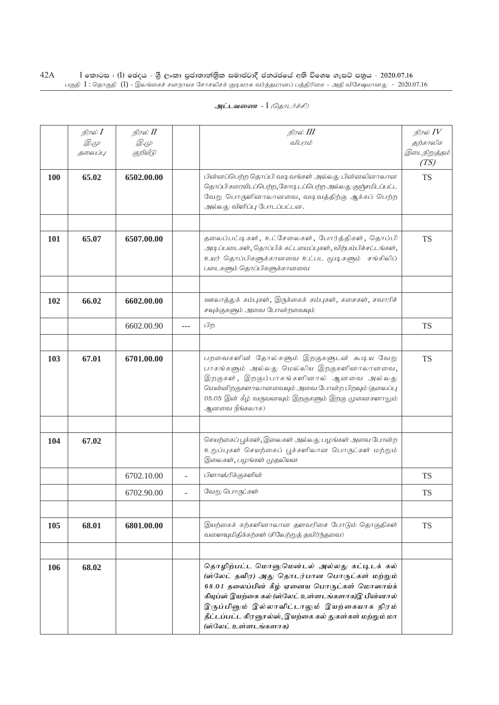|     | நிரல் <b>I</b><br><i>D</i> .4<br>தலைப்பு | நிரல் II<br><i>D</i> .4<br>குறியீடு |       | நிரல் III<br>விபரம்                                                                                                                                                                                                                                                                                                              | நிரல் $IV$<br>தற்காலிக<br>இடைநிறுத்தம்<br>(TS) |
|-----|------------------------------------------|-------------------------------------|-------|----------------------------------------------------------------------------------------------------------------------------------------------------------------------------------------------------------------------------------------------------------------------------------------------------------------------------------|------------------------------------------------|
| 100 | 65.02                                    | 6502.00.00                          |       | பின்னப்பெற்ற தொப்பி வடி வங்கள் அல்லது பின்னலினாலான<br>தொப்பிகரையிடப்பெற்ற, கோடி டப்பெற்ற அல்லது குஞ்சமிடப்பட்ட<br>வேறு பொருளினாலானவை, வடிவத்திற்கு ஆக்கப் பெற்ற<br>அல்லது விளிப்பு போடப்பட்டன.                                                                                                                                   | <b>TS</b>                                      |
| 101 | 65.07                                    | 6507.00.00                          |       | தலைப்பட்டிகள், உட்சேலைகள், போர்த்திகள், தொப்பி<br>அடிப்படைகள், தொப்பிக் கட்டமைப்புகள், விற்பம்பிச்சட்டங்கள்,<br>உயர் தொப்பிகளுக்கானவை உட்பட மூடிகளும் சங்கிலிப்<br>படைகளும் தொப்பிகளுக்கானவை                                                                                                                                     | <b>TS</b>                                      |
| 102 | 66.02                                    | 6602.00.00                          |       | ஊலாத்துக் கம்புகள், இருக்கைக் கம்புகள், கசைகள், சவாரிச்<br>சவுக்குகளும் அவை போன்றவையும்                                                                                                                                                                                                                                          |                                                |
|     |                                          | 6602.00.90                          | $---$ | பிற                                                                                                                                                                                                                                                                                                                              | <b>TS</b>                                      |
| 103 | 67.01                                    | 6701.00.00                          |       | பறவைகளின் தோல்களும் இறகுகளுடன் கூடிய வேறு<br>பாகங்களும் அல்லது மெல்லிய இறகுகளினாலானவை,<br>இறகுகள், இறகுப்பாகங்களினால் ஆனவை அல்லது<br>மென்னிறகுகளாலானவையும் அவை போன்ற பிறவும் (தலைப்பு<br>05.05 இன் கீழ் வருவனவும் இறகுகளும் இறகு முனைகளாலும்<br>ஆனவை நீங்கலாக)                                                                   | <b>TS</b>                                      |
| 104 | 67.02                                    |                                     |       | செயற்கைப் பூக்கள், இலைகள் அல்லது பழங்கள் அவை போன்ற<br>உறுப்புகள் செயற்கைப் பூக்களிலான பொருட்கள் மற்றும்<br>இலைகள், பழங்கள் முதலியன                                                                                                                                                                                               |                                                |
|     |                                          | 6702.10.00                          | ÷.    | பிளாஸ்ரிக்குகளின்                                                                                                                                                                                                                                                                                                                | <b>TS</b>                                      |
|     |                                          | 6702.90.00                          |       | வேறு பொருட்கள்                                                                                                                                                                                                                                                                                                                   | <b>TS</b>                                      |
| 105 | 68.01                                    | 6801.00.00                          |       | இயற்கைக் கற்களினாலான தளவரிசை போடும் தொகுதிகள்<br>வளைவுமிதிக்கற்கள் (சிலேற்றுத் தவிர்ந்தவை)                                                                                                                                                                                                                                       | <b>TS</b>                                      |
|     |                                          |                                     |       |                                                                                                                                                                                                                                                                                                                                  |                                                |
| 106 | 68.02                                    |                                     |       | தொழிற்பட்ட மொனுமென்டல் அல்லது கட்டிடக் கல்<br>(ஸ்லேட் தவிர) அது தொடர்பான பொருட்கள் மற்றும்<br>68.01 தலைப்பின் கீழ் ஏனைய பொருட்கள் மொஸாய்க்<br>கியுப்ஸ் இயற்கை கல் (ஸ்லேட் உள்ளடங்களாக)இ பின்னால்<br>இருப்பினும் இல்லாவிட்டாலும் இயற்கையாக நிரம்<br>தீட்டப்பட்ட கிரனூல்ஸ், இயற்கை கல் துகள்கள் மற்றும் மா<br>(ஸ்லேட் உள்ளடங்களாக) |                                                |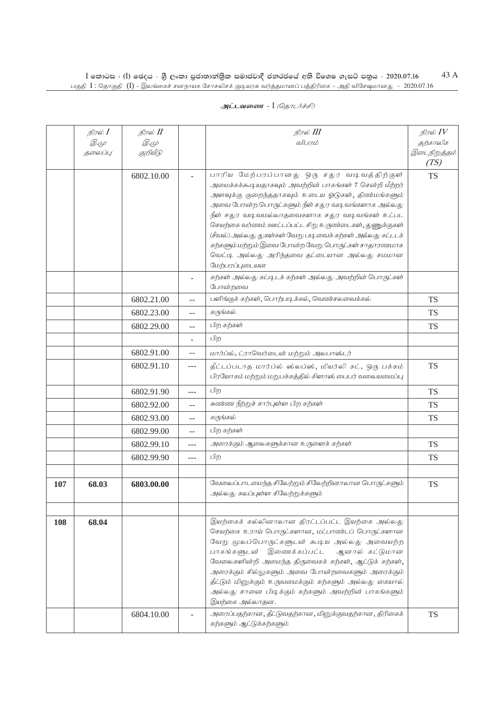|     | நிரல் I      | நிரல் II    |       | நிரல் III                                                                                              | நிரல் $\mathit{IV}$  |
|-----|--------------|-------------|-------|--------------------------------------------------------------------------------------------------------|----------------------|
|     | <i>D.</i> (L | <i>D</i> .4 |       | விபரம்                                                                                                 | தற்காலிக             |
|     | தலைப்பு      | குறியீடு    |       |                                                                                                        | இடைநிறுத்தம்<br>(TS) |
|     |              | 6802.10.00  |       | பாரிய மேற்பரப்பானது ஒரு சதுர வடிவத்திற்குள்                                                            | <b>TS</b>            |
|     |              |             |       | அமைக்கக்கூடியதாகவும் அவற்றின் பாகங்கள் 7 சென்றி மீற்றர்                                                |                      |
|     |              |             |       | அளவுக்கு குறைந்ததாகவும் உடைய ஓடுகள், திண்மங்களும்<br>அவை போன்ற பொருட்களும் நீள் சதுர வடிவங்களாக அல்லது |                      |
|     |              |             |       | நீள் சதுர வடிவமல்லாதவைகளாக சதுர வடிவங்கள் உட்பட                                                        |                      |
|     |              |             |       | செயற்கை வர்ணம் ஊட்டப்பட்ட சிறு உருண்டைகள், துணுக்குகள்                                                 |                      |
|     |              |             |       | (சீவல்) அல்லது துகள்கள் வேறு படிவைக் கற்கள் அல்லது கட்டடக்                                             |                      |
|     |              |             |       | கற்களும் மற்றும் இவை போன்ற வேறு பொருட்கள் சாதாரணமாக                                                    |                      |
|     |              |             |       | வெட்டி அல்லது அரிந்தவை தட்டையான அல்லது சமமான                                                           |                      |
|     |              |             |       | மேற்பரப்புடையன<br>கற்கள் அல்லது கட்டிடக் கற்கள் அல்லது அவற்றின் பொருட்கள்                              |                      |
|     |              |             |       | போன்றவை                                                                                                |                      |
|     |              | 6802.21.00  | $-$   | பளிங்குக் கற்கள், பொற்படிக்கல், வெண்சலவைக்கல்                                                          | <b>TS</b>            |
|     |              | 6802.23.00  | --    | கருங்கல்                                                                                               | TS                   |
|     |              | 6802.29.00  | $-$   | பிற கற்கள்                                                                                             | <b>TS</b>            |
|     |              |             |       | பிற                                                                                                    |                      |
|     |              | 6802.91.00  | $-$   | மார்ப்ல், ட்ராவெர்டைன் மற்றும் அலபாஸ்டர்                                                               |                      |
|     |              | 6802.91.10  | $---$ | தீட்டப்படாத மார்ப்ல் ஸ்லப்ஸ், மியர்லி கட், ஒரு பக்கம்                                                  | <b>TS</b>            |
|     |              |             |       | பிரயோகம் மற்றும் மறுபக்கத்தில் கிளாஸ் பைபர் வலையமைப்பு                                                 |                      |
|     |              | 6802.91.90  | $---$ | பிற                                                                                                    | <b>TS</b>            |
|     |              | 6802.92.00  | $-$   | சுண்ண நீற்றுச் சார்புள்ள பிற கற்கள்                                                                    | <b>TS</b>            |
|     |              | 6802.93.00  | --    | கருங்கல்                                                                                               | <b>TS</b>            |
|     |              | 6802.99.00  | $-$   | பிற கற்கள்                                                                                             |                      |
|     |              | 6802.99.10  | $---$ | அரைக்கும் ஆலைகளுக்கான உருளைக் கற்கள்                                                                   | <b>TS</b>            |
|     |              | 6802.99.90  | ---   | பிற                                                                                                    | <b>TS</b>            |
|     |              |             |       |                                                                                                        |                      |
| 107 | 68.03        | 6803.00.00  |       | வேலைப்பாடமைந்த சிலேற்றும் சிலேற்றினாலான பொருட்களும்                                                    | <b>TS</b>            |
|     |              |             |       | அல்லது கலப்புள்ள சிலேற்றுக்களும்                                                                       |                      |
|     |              |             |       |                                                                                                        |                      |
| 108 | 68.04        |             |       | இயற்கைக் கல்லினாலான திரட்டப்பட்ட இயற்கை அல்லது                                                         |                      |
|     |              |             |       | செயற்கை உராய் பொருட்களான, மட்பாண்டப் பொருட்களான                                                        |                      |
|     |              |             |       | வேறு மூலப்பொருட்களுடன் கூடிய அல்லது அவையற்ற<br>பாகங்களுடன் இணைக்கப்பட்ட<br>ஆனால் கட்டுமான              |                      |
|     |              |             |       | வேலைகளின்றி அமைந்த திருவைகக் கற்கள், ஆட்டுக் கற்கள்,                                                   |                      |
|     |              |             |       | அரைக்கும் சில்லுகளும் அவை போன்றவைகளும் அரைக்கும்                                                       |                      |
|     |              |             |       | தீட்டும் மினுக்கும் உருவமைக்கும் கற்களும் அல்லது கையால்                                                |                      |
|     |              |             |       | அல்லது சானை பிடிக்கும் கற்களும் அவற்றின் பாகங்களும்                                                    |                      |
|     |              |             |       | இயற்கை அல்லாதன.                                                                                        |                      |
|     |              | 6804.10.00  |       | அரைப்பதற்கான, தீட்டுவதற்கான, மினுக்குவதற்கான, திரிகைக்<br>கற்களும் ஆட்டுக்கற்களும்                     | <b>TS</b>            |
|     |              |             |       |                                                                                                        |                      |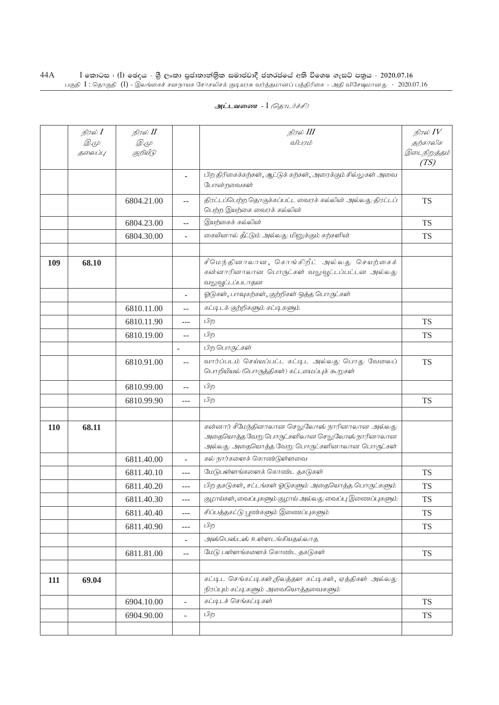|            | நிரல் <b>I</b> | நிரல் II    |                          | நிரல் III                                                                                                                                         | நிரல் $IV$           |
|------------|----------------|-------------|--------------------------|---------------------------------------------------------------------------------------------------------------------------------------------------|----------------------|
|            | <i>D</i> .4    | <i>D</i> .4 |                          | விபரம்                                                                                                                                            | தற்காலிக             |
|            | தலைப்பு        | குறியீடு    |                          |                                                                                                                                                   | இடைநிறுத்தம்<br>(TS) |
|            |                |             | $\overline{\phantom{a}}$ | பிற திரிகைக்கற்கள், ஆட்டுக் கற்கள், அரைக்கும் சில்லுகள் அவை<br>போன்றவைகள்                                                                         |                      |
|            |                | 6804.21.00  | $\overline{a}$           | திரட்டப்பெற்ற தொகுக்கப்பட்ட வைரக் கல்லின் அல்லது திரட்டப்<br>பெற்ற இயற்கை வைரக் கல்லின்                                                           | <b>TS</b>            |
|            |                | 6804.23.00  | $\overline{a}$           | இயற்கைக் கல்லின்                                                                                                                                  | <b>TS</b>            |
|            |                | 6804.30.00  | $\bar{a}$                | கையினால் தீட்டும் அல்லது மினுக்கும் கற்களின்                                                                                                      | TS                   |
|            |                |             |                          |                                                                                                                                                   |                      |
| 109        | 68.10          |             |                          | சீமெந்தினாலான, கொங்கிறீட் அல்லது செயற்கைக்<br>கன்னாரினாலான பொருட்கள் வலுவூட்டப்பட்டன அல்லது<br>வலுவூட்டப்படாதன                                    |                      |
|            |                |             |                          | ஓடுகள், பாவுகற்கள், குற்றிகள் ஒத்த பொருட்கள்                                                                                                      |                      |
|            |                | 6810.11.00  | --                       | கட்டிடக் குற்றிகளும் கட்டிகளும்                                                                                                                   |                      |
|            |                | 6810.11.90  | ---                      | பிற                                                                                                                                               | <b>TS</b>            |
|            |                | 6810.19.00  | $-$                      | பிற                                                                                                                                               | TS                   |
|            |                |             |                          | பிற பொருட்கள்                                                                                                                                     |                      |
|            |                | 6810.91.00  | $\overline{a}$           | வார்ப்படம் செய்யப்பட்ட கட்டிட அல்லது பொது வேலைப்<br>பொறியியல் (பொருத்திகள்) கட்டமைப்புக் கூறுகள்                                                  | <b>TS</b>            |
|            |                | 6810.99.00  | $\overline{a}$           | பிற                                                                                                                                               |                      |
|            |                | 6810.99.90  | ---                      | பிற                                                                                                                                               | TS                   |
|            |                |             |                          |                                                                                                                                                   |                      |
| <b>110</b> | 68.11          |             |                          | கன்னார் சீமேந்தினாலான செலுலோஸ் நாரினாலான அல்லது<br>அதையொத்த வேறு பொருட்களிலான செலுலோஸ் நாரினாலான<br>அல்லது அதையொத்த வேறு பொருட்களினாலான பொருட்கள் |                      |
|            |                | 6811.40.00  | $\overline{a}$           | கல் நார்களைக் கொண்டுள்ளவை                                                                                                                         |                      |
|            |                | 6811.40.10  | $---$                    | மேடுபள்ளங்களைக் கொண்ட தகடுகள்                                                                                                                     | <b>TS</b>            |
|            |                | 6811.40.20  | $---$                    | பிற தகடுகள், சட்டங்கள் ஓடுகளும் அதையொத்த பொருட்களும்                                                                                              | TS                   |
|            |                | 6811.40.30  |                          | குழாய்கள், வைப்புகளும் குழாய் அல்லது வைப்பு இணைப்புகளும்                                                                                          | <b>TS</b>            |
|            |                | 6811.40.40  | $\overline{a}$           | சிப்பத்தகட்டு பூண்களும் இணைப்புகளும்                                                                                                              | TS                   |
|            |                | 6811.40.90  | $---$                    | பிற                                                                                                                                               | <b>TS</b>            |
|            |                |             |                          | அஸ்பெஸ்டஸ் உள்ளடங்கியதல்லாத                                                                                                                       |                      |
|            |                | 6811.81.00  | $-\,-$                   | மேடு பள்ளங்களைக் கொண்ட தகடுகள்                                                                                                                    | <b>TS</b>            |
|            |                |             |                          |                                                                                                                                                   |                      |
| 111        | 69.04          |             |                          | கட்டிட செங்கட்டிகள்,நிலத்தள கட்டிகள், ஏத்திகள் அல்லது<br>நிரப்பும் கட்டி களும் அவையொத்தவைகளும்                                                    |                      |
|            |                | 6904.10.00  | $\blacksquare$           | கட்டிடச் செங்கட்டிகள்                                                                                                                             | <b>TS</b>            |
|            |                | 6904.90.00  | $\overline{a}$           | பிற                                                                                                                                               | <b>TS</b>            |
|            |                |             |                          |                                                                                                                                                   |                      |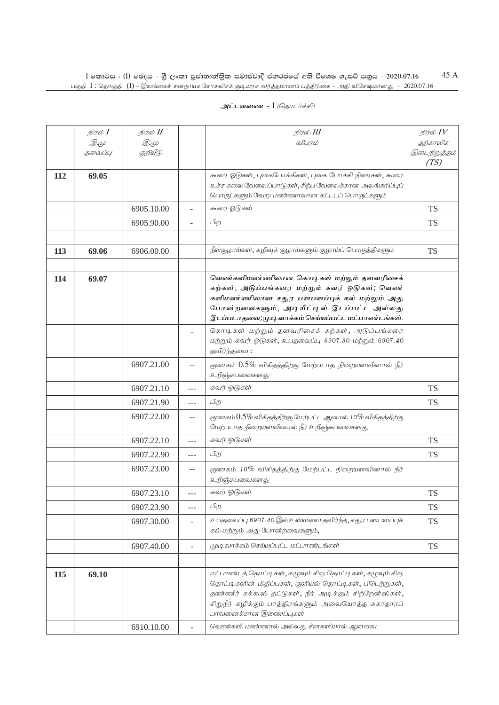| அட்டவணை - I <i>(தொடர்ச்சி)</i> |  |
|--------------------------------|--|
|--------------------------------|--|

|     | நிரல் I | நிரல் II    |                          | நிரல் III                                                                                                                                                                                                                                                         | நிரல் $IV$   |
|-----|---------|-------------|--------------------------|-------------------------------------------------------------------------------------------------------------------------------------------------------------------------------------------------------------------------------------------------------------------|--------------|
|     | Q. (L   | <i>D</i> .4 |                          | விபரம்                                                                                                                                                                                                                                                            | தற்காலிக     |
|     | தலைப்பு | குறியீடு    |                          |                                                                                                                                                                                                                                                                   | இடைநிறுத்தம் |
|     |         |             |                          |                                                                                                                                                                                                                                                                   | (TS)         |
| 112 | 69.05   |             |                          | கூரை ஓடுகள், புகைபோக்கிகள், புகை போக்கி நிரைகள், கூரை                                                                                                                                                                                                             |              |
|     |         |             |                          | உச்ச கலை வேலைப்பாடுகள், சிற்ப வேலைக்கான அலங்கரிப்புப்                                                                                                                                                                                                             |              |
|     |         |             |                          | பொருட்களும் வேறு மண்ணாலான கட்டடப் பொருட்களும்                                                                                                                                                                                                                     |              |
|     |         | 6905.10.00  | ÷.                       | கூரை ஓடுகள்                                                                                                                                                                                                                                                       | <b>TS</b>    |
|     |         | 6905.90.00  |                          | பிற                                                                                                                                                                                                                                                               | <b>TS</b>    |
|     |         |             |                          |                                                                                                                                                                                                                                                                   |              |
| 113 | 69.06   | 6906.00.00  |                          | நீள்குழாய்கள், கழிவுக் குழாய்களும் குழாய்ப் பொருத்திகளும்                                                                                                                                                                                                         | <b>TS</b>    |
|     |         |             |                          |                                                                                                                                                                                                                                                                   |              |
| 114 | 69.07   |             |                          | வெண்களிமண்ணிலான கொடிகள் மற்றும் தளவரிசைக்<br>கற்கள், அடுப்பங்கரை மற்றும் சுவர் ஓடுகள்; வெண்<br>களிமண்ணிலான சதுர பளபளப்புக் கல் மற்றும் அது<br>போன்றவைகளும், அடியீட்டில் இடப்பட்ட அல்லது<br>இடப்படாதவை;முடிவாக்கம் செய்யப்பட்ட மட்பாண்டங்கள்.                      |              |
|     |         |             |                          | கொடிகள் மற்றும் தளவரிசைக் கற்கள், அடுப்பங்கரை<br>மற்றும் சுவர் ஓடுகள், உபதலைப்பு 6907.30 மற்றும் 6907.40<br>தவிர்ந்தவை:                                                                                                                                           |              |
|     |         | 6907.21.00  | $-$                      | குணகம் $0.5\%$ விகிதத்திற்கு மேற்படாத நிறையளவினால் நீர்<br>உறிஞ்சுபவைகளது                                                                                                                                                                                         |              |
|     |         | 6907.21.10  | $---$                    | சுவர் ஓடுகள்                                                                                                                                                                                                                                                      | <b>TS</b>    |
|     |         | 6907.21.90  | $---$                    | பிற                                                                                                                                                                                                                                                               | <b>TS</b>    |
|     |         | 6907.22.00  | $\overline{\phantom{a}}$ | குணகம் $0.5\%$ விகிதத்திற்கு மேற்பட்ட ஆனால் 10% விகிதத்திற்கு<br>மேற்படாத நிறையளவினால் நீர் உறிஞ்சுபவைகளது                                                                                                                                                        |              |
|     |         | 6907.22.10  | $---$                    | சுவர் ஓடுகள்                                                                                                                                                                                                                                                      | <b>TS</b>    |
|     |         | 6907.22.90  | $- - -$                  | பிற                                                                                                                                                                                                                                                               | <b>TS</b>    |
|     |         | 6907.23.00  | $-$                      | குணகம் 10% விகிதத்திற்கு மேற்பட்ட நிறையளவினால் நீர்<br>உறிஞ்சுபவைகளது                                                                                                                                                                                             |              |
|     |         | 6907.23.10  | $---$                    | சுவர் ஓடுகள்                                                                                                                                                                                                                                                      | <b>TS</b>    |
|     |         | 6907.23.90  | ---                      | பிற                                                                                                                                                                                                                                                               | <b>TS</b>    |
|     |         | 6907.30.00  | $\overline{\phantom{a}}$ | உபதலைப்பு 6907.40 இல் உள்ளவை தவிர்ந்த, சதுர பளபளப்புக்<br>கல் மற்றும் அது போன்றவைகளும்,                                                                                                                                                                           | <b>TS</b>    |
|     |         | 6907.40.00  | $\overline{\phantom{a}}$ | முடிவாக்கம் செய்யப்பட்ட மட்பாண்டங்கள்                                                                                                                                                                                                                             | TS           |
|     |         |             |                          |                                                                                                                                                                                                                                                                   |              |
| 115 | 69.10   |             |                          | மட்பாண்டத் தொட்டிகள், கழுவும் சிறு தொட்டிகள், கழுவும் சிறு<br>தொட்டிகளின் மிதிப்பகள், குளியல் தொட்டிகள், பிடெற்றுகள்,<br>தண்ணீர் கக்கூஸ் தட்டுகள், நீர் அடிக்கும் சிற்றேன்ஸ்கள்,<br>சிறுநீர் கழிக்கும் பாத்திரங்களும் அவையொத்த சுகாதாரப்<br>பாவனைக்கான இணைப்புகள் |              |
|     |         | 6910.10.00  |                          | வெண்களி மண்ணால் அல்லது சீனகளியால் ஆனவை                                                                                                                                                                                                                            |              |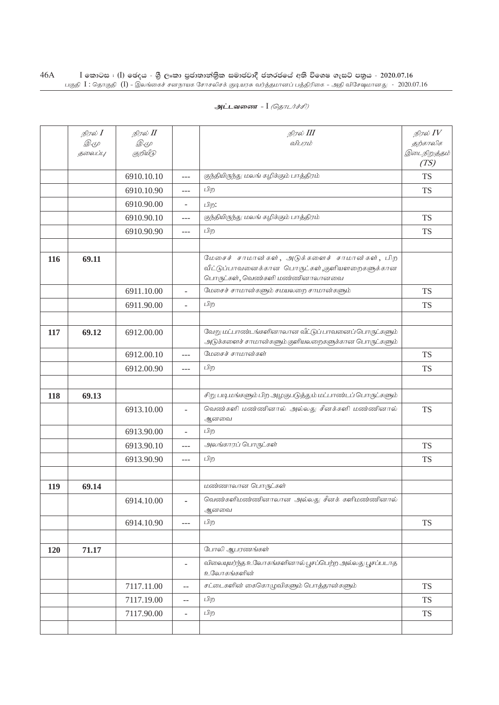|     | நிரல் I | நிரல் II    |                          | நிரல் III                                                                                                                       | நிரல் $IV$           |
|-----|---------|-------------|--------------------------|---------------------------------------------------------------------------------------------------------------------------------|----------------------|
|     | Q. (L   | <i>D</i> .4 |                          | விபரம்                                                                                                                          | தற்காலிக             |
|     | தலைப்பு | குறியீடு    |                          |                                                                                                                                 | இடைநிறுத்தம்<br>(TS) |
|     |         | 6910.10.10  | $---$                    | குந்தியிருந்து மலங் கழிக்கும் பாத்திரம்                                                                                         | <b>TS</b>            |
|     |         | 6910.10.90  | ---                      | பிற                                                                                                                             | <b>TS</b>            |
|     |         | 6910.90.00  | $\overline{\phantom{0}}$ | பிற:                                                                                                                            |                      |
|     |         | 6910.90.10  | $---$                    | குந்தியிருந்து மலங் கழிக்கும் பாத்திரம்                                                                                         | <b>TS</b>            |
|     |         | 6910.90.90  | ---                      | பிற                                                                                                                             | TS                   |
|     |         |             |                          |                                                                                                                                 |                      |
| 116 | 69.11   |             |                          | மேசைச் சாமான்கள், அடுக்களைச் சாமான்கள், பிற<br>வீட்டுப்பாவனைக்கான பொருட்கள்,குளியளறைகளுக்கான<br>பொருட்கள், வெண்களி மண்ணினாலானவை |                      |
|     |         | 6911.10.00  | $\overline{\phantom{a}}$ | மேசைச் சாமான்களும் சமயலறை சாமான்களும்                                                                                           | <b>TS</b>            |
|     |         | 6911.90.00  | $\sim$                   | பிற                                                                                                                             | <b>TS</b>            |
|     |         |             |                          |                                                                                                                                 |                      |
| 117 | 69.12   | 6912.00.00  |                          | வேறு மட்பாண்டங்களினாலான வீட்டுப் பாவனைப் பொருட்களும்<br>அடுக்களைச் சாமான்களும் குளியலறைகளுக்கான பொருட்களும்                     |                      |
|     |         | 6912.00.10  | $---$                    | மேசைச் சாமான்கள்                                                                                                                | <b>TS</b>            |
|     |         | 6912.00.90  | ---                      | பிற                                                                                                                             | <b>TS</b>            |
|     |         |             |                          |                                                                                                                                 |                      |
| 118 | 69.13   |             |                          | சிறு படி மங்களும் பிற அழகுபடுத்தும் மட்பாண்டப் பொருட்களும்                                                                      |                      |
|     |         | 6913.10.00  | $\overline{\phantom{a}}$ | வெண்களி மண்ணினால் அல்லது சீனக்களி மண்ணினால்<br>ஆனவை                                                                             | <b>TS</b>            |
|     |         | 6913.90.00  |                          | பிற                                                                                                                             |                      |
|     |         | 6913.90.10  | $---$                    | அலங்காரப் பொருட்கள்                                                                                                             | <b>TS</b>            |
|     |         | 6913.90.90  | $\overline{a}$           | பிற                                                                                                                             | <b>TS</b>            |
|     |         |             |                          |                                                                                                                                 |                      |
| 119 | 69.14   |             |                          | மண்ணாலான பொருட்கள்                                                                                                              |                      |
|     |         | 6914.10.00  |                          | வெண்களிமண்ணினாலான அல்லது சீனக் களிமண்ணினால்<br>ஆனவை                                                                             |                      |
|     |         | 6914.10.90  | ---                      | பிற                                                                                                                             | <b>TS</b>            |
|     |         |             |                          |                                                                                                                                 |                      |
| 120 | 71.17   |             |                          | போலி ஆபரணங்கள்                                                                                                                  |                      |
|     |         |             | $\overline{\phantom{a}}$ | விலையுயர்ந்த உலோகங்களினால் பூசப்பெற்ற அல்லது பூசப்படாத<br>உலோகங்களின்                                                           |                      |
|     |         | 7117.11.00  | $\mathrel{{-}-}$         | சட்டைகளின் கைகொழுவிகளும் பொத்தான்களும்                                                                                          | <b>TS</b>            |
|     |         | 7117.19.00  | $\overline{\phantom{m}}$ | பிற                                                                                                                             | <b>TS</b>            |
|     |         | 7117.90.00  | $\overline{\phantom{a}}$ | பிற                                                                                                                             | <b>TS</b>            |
|     |         |             |                          |                                                                                                                                 |                      |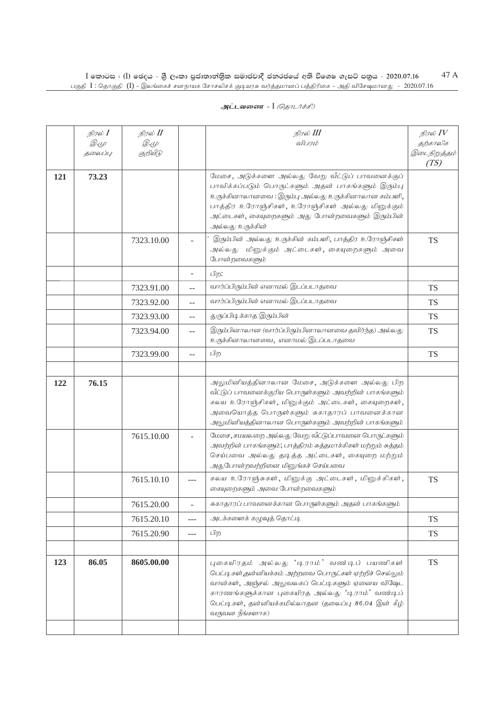|     | நிரல் I                | நிரல் II          |                   | நிரல் III                                                                                                                                                                                                                                                                                 | நிரல் $IV$               |
|-----|------------------------|-------------------|-------------------|-------------------------------------------------------------------------------------------------------------------------------------------------------------------------------------------------------------------------------------------------------------------------------------------|--------------------------|
|     | <i>D</i> .4<br>தலைப்பு | Q. (L<br>குறியீடு |                   | விபரம்                                                                                                                                                                                                                                                                                    | தற்காலிக<br>இடைநிறுத்தம் |
|     |                        |                   |                   |                                                                                                                                                                                                                                                                                           | (TS)                     |
| 121 | 73.23                  |                   |                   | மேசை, அடுக்களை அல்லது வேறு வீட்டுப் பாவனைக்குப்<br>பாவிக்கப்படும் பொருட்களும் அதன் பாகங்களும் இரும்பு<br>உருக்கினாலானவை : இரும்பு அல்லது உருக்கினாலான கம்பளி,<br>பாத்திர உரோஞ்சிகள், உரோஞ்சிகள் அல்லது மினுக்கும்<br>அட்டைகள், கையுறைகளும் அது போன்றவைகளும் இரும்பின்<br>அல்லது உருக்கின் |                          |
|     |                        | 7323.10.00        |                   | இரும்பின் அல்லது உருக்கின் கம்பளி, பாத்திர உரோஞ்சிகள்<br>அல்லது மினுக்கும் அட்டைகள், கையுறைகளும் அவை<br>போன்றவைகளும்                                                                                                                                                                      | <b>TS</b>                |
|     |                        |                   |                   | பிற:                                                                                                                                                                                                                                                                                      |                          |
|     |                        | 7323.91.00        | $-$               | வார்ப்பிரும்பின் எனாமல் இடப்படாதவை                                                                                                                                                                                                                                                        | <b>TS</b>                |
|     |                        | 7323.92.00        | $\qquad \qquad -$ | வார்ப்பிரும்பின் எனாமல் இடப்படாதவை                                                                                                                                                                                                                                                        | <b>TS</b>                |
|     |                        | 7323.93.00        | $-$               | துருப்பிடிக்காத இரும்பின்                                                                                                                                                                                                                                                                 | <b>TS</b>                |
|     |                        | 7323.94.00        | $\qquad \qquad -$ | இரும்பினாலான (வார்ப்பிரும்பினாலானவை தவிர்ந்த) அல்லது<br>உருக்கினாலானவை, எனாமல் இடப்படாதவை                                                                                                                                                                                                 | <b>TS</b>                |
|     |                        | 7323.99.00        | $-$               | பிற                                                                                                                                                                                                                                                                                       | <b>TS</b>                |
|     |                        |                   |                   |                                                                                                                                                                                                                                                                                           |                          |
| 122 | 76.15                  |                   |                   | அலுமினியத்தினாலான மேசை, அடுக்களை அல்லது பிற<br>வீட்டுப் பாவனைக்குரிய பொருள்களும் அவற்றின் பாகங்களும்<br>கலய உரோஞ்சிகள், மினுக்கும் அட்டைகள், கையுறைகள்,<br>அவையொத்த பொருள்களும் சுகாதாரப் பாவனைக்கான<br>அலுமினியத்தினாலான பொருள்களும் அவற்றின் பாகங்களும்                                 |                          |
|     |                        | 7615.10.00        |                   | மேசை, சமயலறை அல்லது வேறு வீட்டுப்பாவனை பொருட்களும்<br>அவற்றின் பாகங்களும்; பாத்திரம் சுத்தமாக்கிகள் மற்றும் சுத்தம்<br>செய்பவை அல்லது தடித்த அட்டைகள், கையுறை மற்றும்<br>அதுபோன்றவற்றினை மினுங்கச் செய்பவை                                                                                |                          |
|     |                        | 7615.10.10        | $---$             | கலய உரோஞ்சுகள், மினுக்கு அட்டைகள், மினுக்கிகள்,<br>கையுறைகளும் அவை போன்றவைகளும்                                                                                                                                                                                                           | <b>TS</b>                |
|     |                        | 7615.20.00        | ÷.                | சுகாதாரப் பாவனைக்கான பொருள்களும் அதன் பாகங்களும்                                                                                                                                                                                                                                          |                          |
|     |                        | 7615.20.10        | ---               | அடக்களைக் கழுவுத் தொட்டி                                                                                                                                                                                                                                                                  | <b>TS</b>                |
|     |                        | 7615.20.90        | $\overline{a}$    | பிற                                                                                                                                                                                                                                                                                       | <b>TS</b>                |
|     |                        |                   |                   |                                                                                                                                                                                                                                                                                           |                          |
| 123 | 86.05                  | 8605.00.00        |                   | புகையிரதம் அல்லது 'டிராம்' வண்டிப் பயணிகள்<br>பெட்டிகள்,தன்னியக்கம் அற்றவை பொருட்கள் ஏற்றிச் செல்லும்<br>வான்கள், அஞ்சல் அலுவலகப் பெட்டிகளும் ஏனைய விஷேட<br>காரணங்களுக்கான புகையிரத அல்லது 'டிராம்' வண்டிப்<br>பெட்டிகள், தன்னியக்கமில்லாதன (தலைப்பு 86.04 இன் கீழ்<br>வருவன நீங்களாக)    | <b>TS</b>                |
|     |                        |                   |                   |                                                                                                                                                                                                                                                                                           |                          |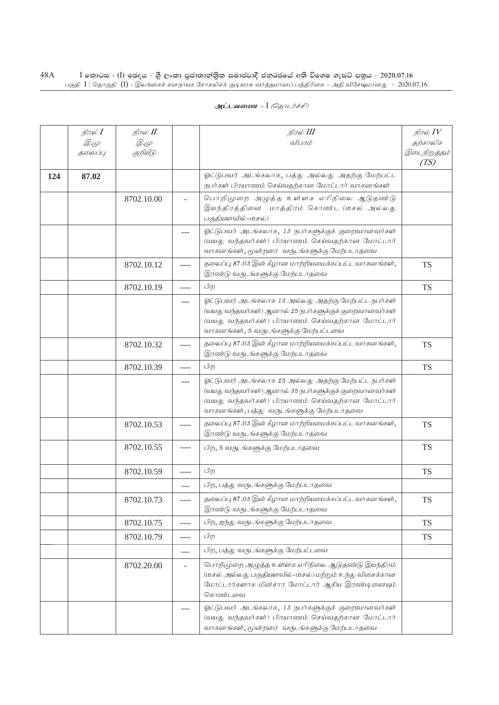|     | நிரல் I     | நிரல் II    |                | நிரல் III                                                                                                                                                                                                      | நிரல் $\mathit{IV}$  |
|-----|-------------|-------------|----------------|----------------------------------------------------------------------------------------------------------------------------------------------------------------------------------------------------------------|----------------------|
|     | <i>D</i> .4 | <i>D</i> .4 |                | விபரம்                                                                                                                                                                                                         | தற்காலிக             |
|     | தலைப்பு     | குறியீடு    |                |                                                                                                                                                                                                                | இடைநிறுத்தம்<br>(TS) |
| 124 | 87.02       |             |                | ஓட்டுபவர் அடங்கலாக, பத்து அல்லது அதற்கு மேற்பட்ட<br>நபர்கள் பிரயாணம் செய்வதற்கான மோட்டார் வாகனங்கள்                                                                                                            |                      |
|     |             | 8702.10.00  |                | பொறிமுறை அழுத்த உள்ளக எரிநிலை ஆடுதண்டு<br>இயந்திரத்தினை மாத்திரம் கொண்ட (டீசல் அல்லது<br>பகுதியளவில்-டீசல்)                                                                                                    |                      |
|     |             |             | ---            | ஓட்டுபவர் அடங்கலாக, 13 நபர்களுக்குக் குறைவானவர்கள்<br>(வயது வந்தவர்கள்) பிரயாணம் செய்வதற்கான மோட்டார்<br>வாகனங்கள், மூன்றரை வருடங்களுக்கு மேற்படாதவை                                                           |                      |
|     |             | 8702.10.12  | ----           | தலைப்பு 87.03 இன் கீழான மாற்றியமைக்கப்பட்ட வாகனங்கள்,<br>இரண்டு வருடங்களுக்கு மேற்படாதவை                                                                                                                       | <b>TS</b>            |
|     |             | 8702.10.19  | $- - - -$      | பிற                                                                                                                                                                                                            | <b>TS</b>            |
|     |             |             | $---$          | ஓட்டுபவர் அடங்கலாக 13 அல்லது அதற்கு மேற்பட்ட நபர்கள்<br>(வயது வந்தவர்கள்) ஆனால் 25 நபர்களுக்குக் குறைவானவர்கள்<br>(வயது வந்தவர்கள்) பிரயாணம் செய்வதற்கான மோட்டார்<br>வாகனங்கள், 5 வருடங்களுக்கு மேற்பட்டவை     |                      |
|     |             | 8702.10.32  | ----           | தலைப்பு 87.03 இன் கீழான மாற்றியமைக்கப்பட்ட வாகனங்கள்,<br>இரண்டு வருடங்களுக்கு மேற்படாதவை                                                                                                                       | <b>TS</b>            |
|     |             | 8702.10.39  | $- - - -$      | பிற                                                                                                                                                                                                            | <b>TS</b>            |
|     |             |             | ---            | ஓட்டுபவர் அடங்கலாக 25 அல்லது அதற்கு மேற்பட்ட நபர்கள்<br>(வயது வந்தவர்கள்) ஆனால் 35 நபர்களுக்குக் குறைவானவர்கள்<br>(வயது வந்தவர்கள்) பிரயாணம் செய்வதற்கான மோட்டார்<br>வாகனங்கள், பத்து வருடங்களுக்கு மேற்படாதவை |                      |
|     |             | 8702.10.53  | ----           | தலைப்பு 87.03 இன் கீழான மாற்றியமைக்கப்பட்ட வாகனங்கள்,<br>இரண்டு வருடங்களுக்கு மேற்படாதவை                                                                                                                       | <b>TS</b>            |
|     |             | 8702.10.55  | $- - - -$      | பிற, 5 வருடங்களுக்கு மேற்படாதவை                                                                                                                                                                                | <b>TS</b>            |
|     |             | 8702.10.59  | ----           | பிற                                                                                                                                                                                                            | <b>TS</b>            |
|     |             |             | $---$          | பிற, பத்து வருடங்களுக்கு மேற்படாதவை                                                                                                                                                                            |                      |
|     |             | 8702.10.73  | $--- -$        | தலைப்பு 87.03 இன் கீழான மாற்றியமைக்கப்பட்ட வாகனங்கள்,<br>இரண்டு வருடங்களுக்கு மேற்படாதவை                                                                                                                       | <b>TS</b>            |
|     |             | 8702.10.75  | $- - - -$      | பிற, ஐந்து வருடங்களுக்கு மேற்படாதவை                                                                                                                                                                            | <b>TS</b>            |
|     |             | 8702.10.79  | $- - - -$      | பிற                                                                                                                                                                                                            | <b>TS</b>            |
|     |             |             | $---$          | பிற, பத்து வருடங்களுக்கு மேற்பட்டவை                                                                                                                                                                            |                      |
|     |             | 8702.20.00  | $\overline{a}$ | பொறிமுறை அழுத்த உள்ளக எரிநிலை ஆடுதண்டு இயந்திரம்<br>(டீசல் அல்லது பகுதியளவில்-டீசல்) மற்றும் உந்து விசைக்கான<br>மோட்டார்களாக மின்சார மோட்டார் ஆகிய இரண்டினையும்<br>கொண்டவை                                     |                      |
|     |             |             | ---            | ஓட்டுபவர் அடங்கலாக, 13 நபர்களுக்குக் குறைவானவர்கள்<br>(வயது வந்தவர்கள்) பிரயாணம் செய்வதற்கான மோட்டார்<br>வாகனங்கள், மூன்றரை வருடங்களுக்கு மேற்படாதவை                                                           |                      |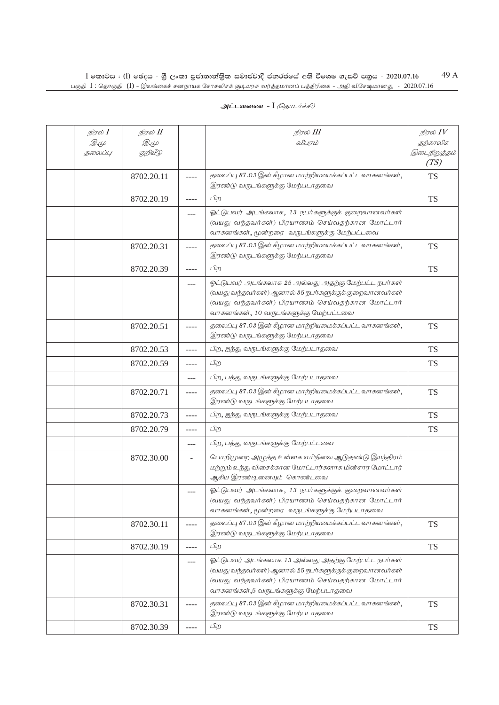| நிரல் I<br>$\mathscr{D} \in \mathscr{L}$<br>தலைப்பு | நிரல் <b>II</b><br><i>D</i> .4<br>குறியீடு |           | நிரல் III<br>விபரம்                                                                                                                                                                                         | நிரல் $IV$<br>தற்காலிக<br>இடைநிறுத்தம்<br>(TS) |
|-----------------------------------------------------|--------------------------------------------|-----------|-------------------------------------------------------------------------------------------------------------------------------------------------------------------------------------------------------------|------------------------------------------------|
|                                                     | 8702.20.11                                 | $- - - -$ | தலைப்பு 87.03 இன் கீழான மாற்றியமைக்கப்பட்ட வாகனங்கள்,<br>இரண்டு வருடங்களுக்கு மேற்படாதவை                                                                                                                    | <b>TS</b>                                      |
|                                                     | 8702.20.19                                 | $--- -$   | பிற                                                                                                                                                                                                         | <b>TS</b>                                      |
|                                                     |                                            | ---       | ஓட்டுபவர் அடங்கலாக, 13 நபர்களுக்குக் குறைவானவர்கள்<br>(வயது வந்தவர்கள்) பிரயாணம் செய்வதற்கான மோட்டார்<br>வாகனங்கள், மூன்றரை வருடங்களுக்கு மேற்பட்டவை                                                        |                                                |
|                                                     | 8702.20.31                                 | $---$     | தலைப்பு 87.03 இன் கீழான மாற்றியமைக்கப்பட்ட வாகனங்கள்,<br>இரண்டு வருடங்களுக்கு மேற்படாதவை                                                                                                                    | <b>TS</b>                                      |
|                                                     | 8702.20.39                                 | $- - - -$ | பிற                                                                                                                                                                                                         | <b>TS</b>                                      |
|                                                     |                                            | $---$     | ஓட்டுபவர் அடங்கலாக 25 அல்லது அதற்கு மேற்பட்ட நபர்கள்<br>(வயது வந்தவர்கள்) ஆனால் 35 நபர்களுக்குக் குறைவானவர்கள்<br>(வயது வந்தவர்கள்) பிரயாணம் செய்வதற்கான மோட்டார்<br>வாகனங்கள், 10 வருடங்களுக்கு மேற்பட்டவை |                                                |
|                                                     | 8702.20.51                                 | $- - - -$ | தலைப்பு 87.03 இன் கீழான மாற்றியமைக்கப்பட்ட வாகனங்கள்,<br>இரண்டு வருடங்களுக்கு மேற்படாதவை                                                                                                                    | <b>TS</b>                                      |
|                                                     | 8702.20.53                                 | ----      | பிற, ஐந்து வருடங்களுக்கு மேற்படாதவை                                                                                                                                                                         | <b>TS</b>                                      |
|                                                     | 8702.20.59                                 | ----      | பிற                                                                                                                                                                                                         | <b>TS</b>                                      |
|                                                     |                                            | $---$     | பிற, பத்து வருடங்களுக்கு மேற்படாதவை                                                                                                                                                                         |                                                |
|                                                     | 8702.20.71                                 | ----      | தலைப்பு 87.03 இன் கீழான மாற்றியமைக்கப்பட்ட வாகனங்கள்,<br>இரண்டு வருடங்களுக்கு மேற்படாதவை                                                                                                                    | <b>TS</b>                                      |
|                                                     | 8702.20.73                                 | $---$     | பிற, ஐந்து வருடங்களுக்கு மேற்படாதவை                                                                                                                                                                         | <b>TS</b>                                      |
|                                                     | 8702.20.79                                 | $---$     | பிற                                                                                                                                                                                                         | <b>TS</b>                                      |
|                                                     |                                            | $---$     | பிற, பத்து வருடங்களுக்கு மேற்பட்டவை                                                                                                                                                                         |                                                |
|                                                     | 8702.30.00                                 | $\sim$    | பொறிமுறை அழுத்த உள்ளக எரிநிலை ஆடுதண்டு இயந்திரம்<br>மற்றும் உந்து விசைக்கான மோட்டார்களாக மின்சார மோட்டார்<br>ஆகிய இரண்டினையும் கொண்டவை                                                                      |                                                |
|                                                     |                                            | $---$     | ஓட்டுபவர் அடங்கலாக, 13 நபர்களுக்குக் குறைவானவர்கள்<br>(வயது வந்தவர்கள்) பிரயாணம் செய்வதற்கான மோட்டார்<br>வாகனங்கள், மூன்றரை வருடங்களுக்கு மேற்படாதவை                                                        |                                                |
|                                                     | 8702.30.11                                 | ----      | தலைப்பு 87.03 இன் கீழான மாற்றியமைக்கப்பட்ட வாகனங்கள்,<br>இரண்டு வருடங்களுக்கு மேற்படாதவை                                                                                                                    | <b>TS</b>                                      |
|                                                     | 8702.30.19                                 | $- - - -$ | பிற                                                                                                                                                                                                         | <b>TS</b>                                      |
|                                                     |                                            | $---$     | ஓட்டுபவர் அடங்கலாக 13 அல்லது அதற்கு மேற்பட்ட நபர்கள்<br>(வயது வந்தவர்கள்) ஆனால் 25 நபர்களுக்குக் குறைவானவர்கள்<br>(வயது வந்தவர்கள்) பிரயாணம் செய்வதற்கான மோட்டார்<br>வாகனங்கள்,5 வருடங்களுக்கு மேற்படாதவை   |                                                |
|                                                     | 8702.30.31                                 | ----      | தலைப்பு 87.03 இன் கீழான மாற்றியமைக்கப்பட்ட வாகனங்கள்,<br>இரண்டு வருடங்களுக்கு மேற்படாதவை                                                                                                                    | <b>TS</b>                                      |
|                                                     | 8702.30.39                                 | $\cdots$  | பிற                                                                                                                                                                                                         | <b>TS</b>                                      |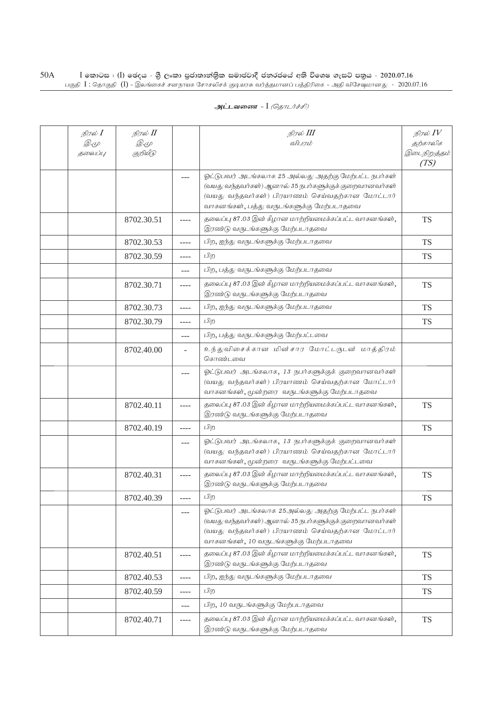| நிரல் <b>I</b>         | நிரல் II                |       | நிரல் III                                                                                                                                                                                                  | நிரல் $IV$               |
|------------------------|-------------------------|-------|------------------------------------------------------------------------------------------------------------------------------------------------------------------------------------------------------------|--------------------------|
| <i>D</i> .4<br>தலைப்பு | <i>D</i> .4<br>குறியீடு |       | விபரம்                                                                                                                                                                                                     | தற்காலிக<br>இடைநிறுத்தம் |
|                        |                         |       |                                                                                                                                                                                                            | (TS)                     |
|                        |                         | ---   | ஓட்டுபவர் அடங்கலாக 25 அல்லது அதற்கு மேற்பட்ட நபர்கள்                                                                                                                                                       |                          |
|                        |                         |       | (வயது வந்தவர்கள்) ஆனால் 35 நபர்களுக்குக் குறைவானவர்கள்                                                                                                                                                     |                          |
|                        |                         |       | (வயது வந்தவர்கள்) பிரயாணம் செய்வதற்கான மோட்டார்<br>வாகனங்கள், பத்து வருடங்களுக்கு மேற்படாதவை                                                                                                               |                          |
|                        | 8702.30.51              |       | தலைப்பு 87.03 இன் கீழான மாற்றியமைக்கப்பட்ட வாகனங்கள்,                                                                                                                                                      | <b>TS</b>                |
|                        |                         |       | இரண்டு வருடங்களுக்கு மேற்படாதவை                                                                                                                                                                            |                          |
|                        | 8702.30.53              |       | பிற, ஐந்து வருடங்களுக்கு மேற்படாதவை                                                                                                                                                                        | <b>TS</b>                |
|                        | 8702.30.59              | ----  | பிற                                                                                                                                                                                                        | TS                       |
|                        |                         | ---   | பிற, பத்து வருடங்களுக்கு மேற்படாதவை                                                                                                                                                                        |                          |
|                        | 8702.30.71              | ----  | தலைப்பு 87.03 இன் கீழான மாற்றியமைக்கப்பட்ட வாகனங்கள்,<br>இரண்டு வருடங்களுக்கு மேற்படாதவை                                                                                                                   | <b>TS</b>                |
|                        | 8702.30.73              | ----  | பிற, ஐந்து வருடங்களுக்கு மேற்படாதவை                                                                                                                                                                        | <b>TS</b>                |
|                        | 8702.30.79              | ----  | பிற                                                                                                                                                                                                        | <b>TS</b>                |
|                        |                         | $---$ | பிற, பத்து வருடங்களுக்கு மேற்பட்டவை                                                                                                                                                                        |                          |
|                        | 8702.40.00              |       | உந்துவிசைக்கான மின்சார மோட்டருடன் மாத்திரம்<br>கொண்டவை                                                                                                                                                     |                          |
|                        |                         | ---   | ஓட்டுபவர் அடங்கலாக, 13 நபர்களுக்குக் குறைவானவர்கள்<br>(வயது வந்தவர்கள்) பிரயாணம் செய்வதற்கான மோட்டார்<br>வாகனங்கள், மூன்றரை வருடங்களுக்கு மேற்படாதவை                                                       |                          |
|                        | 8702.40.11              | ----  | தலைப்பு 87.03 இன் கீழான மாற்றியமைக்கப்பட்ட வாகனங்கள்,<br>இரண்டு வருடங்களுக்கு மேற்படாதவை                                                                                                                   | <b>TS</b>                |
|                        | 8702.40.19              | ----  | பிற                                                                                                                                                                                                        | TS                       |
|                        |                         | ---   | ஓட்டுபவர் அடங்கலாக, 13 நபர்களுக்குக் குறைவானவர்கள்<br>(வயது வந்தவர்கள்) பிரயாணம் செய்வதற்கான மோட்டார்<br>வாகனங்கள், மூன்றரை வருடங்களுக்கு மேற்பட்டவை                                                       |                          |
|                        | 8702.40.31              | ----  | தலைப்பு 87.03 இன் கீழான மாற்றியமைக்கப்பட்ட வாகனங்கள்,<br>இரண்டு வருடங்களுக்கு மேற்படாதவை                                                                                                                   | <b>TS</b>                |
|                        | 8702.40.39              | ----  | பிற                                                                                                                                                                                                        | <b>TS</b>                |
|                        |                         | ---   | ஓட்டுபவர் அடங்கலாக 25அல்லது அதற்கு மேற்பட்ட நபர்கள்<br>(வயது வந்தவர்கள்) ஆனால் 35 நபர்களுக்குக் குறைவானவர்கள்<br>(வயது வந்தவர்கள்) பிரயாணம் செய்வதற்கான மோட்டார்<br>வாகனங்கள், 10 வருடங்களுக்கு மேற்படாதவை |                          |
|                        | 8702.40.51              |       | தலைப்பு 87.03 இன் கீழான மாற்றியமைக்கப்பட்ட வாகனங்கள்,<br>இரண்டு வருடங்களுக்கு மேற்படாதவை                                                                                                                   | <b>TS</b>                |
|                        | 8702.40.53              | ----  | பிற, ஐந்து வருடங்களுக்கு மேற்படாதவை                                                                                                                                                                        | TS                       |
|                        | 8702.40.59              | ----  | பிற                                                                                                                                                                                                        | TS                       |
|                        |                         | ---   | பிற, 10 வருடங்களுக்கு மேற்படாதவை                                                                                                                                                                           |                          |
|                        | 8702.40.71              | ----  | தலைப்பு 87.03 இன் கீழான மாற்றியமைக்கப்பட்ட வாகனங்கள்,<br>இரண்டு வருடங்களுக்கு மேற்படாதவை                                                                                                                   | <b>TS</b>                |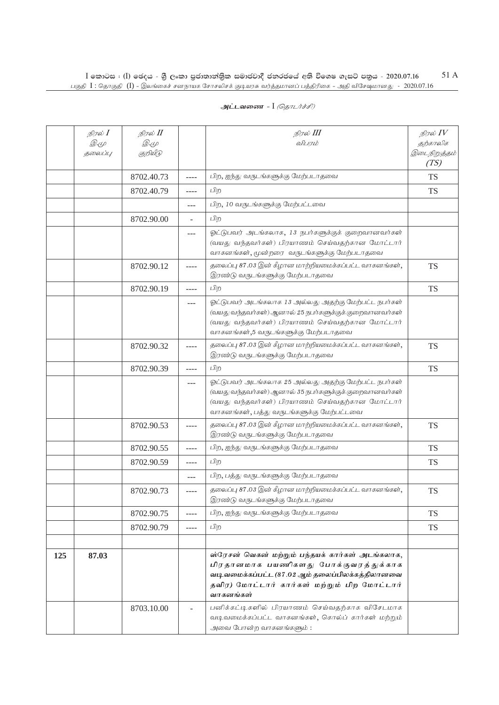|     | நிரல் $I$<br>$\mathscr{D} \in \mathscr{L}$<br>தலைப்பு | நிரல் II<br><i>D</i> .4<br>குறியீடு |                          | நிரல் III<br>விபரம்                                                                                                                                                                                            | நிரல் $IV$<br>தற்காலிக<br>இடைநிறுத்தம்<br>(TS) |
|-----|-------------------------------------------------------|-------------------------------------|--------------------------|----------------------------------------------------------------------------------------------------------------------------------------------------------------------------------------------------------------|------------------------------------------------|
|     |                                                       | 8702.40.73                          | $---$                    | பிற, ஐந்து வருடங்களுக்கு மேற்படாதவை                                                                                                                                                                            | <b>TS</b>                                      |
|     |                                                       | 8702.40.79                          | ----                     | பிற                                                                                                                                                                                                            | <b>TS</b>                                      |
|     |                                                       |                                     | $---$                    | பிற, 10 வருடங்களுக்கு மேற்பட்டவை                                                                                                                                                                               |                                                |
|     |                                                       | 8702.90.00                          | $\overline{\phantom{a}}$ | பிற                                                                                                                                                                                                            |                                                |
|     |                                                       |                                     | ---                      | ஓட்டுபவர் அடங்கலாக, 13 நபர்களுக்குக் குறைவானவர்கள்<br>(வயது வந்தவர்கள்) பிரயாணம் செய்வதற்கான மோட்டார்<br>வாகனங்கள், மூன்றரை வருடங்களுக்கு மேற்படாதவை                                                           |                                                |
|     |                                                       | 8702.90.12                          | $- - - -$                | தலைப்பு 87.03 இன் கீழான மாற்றியமைக்கப்பட்ட வாகனங்கள்,<br>இரண்டு வருடங்களுக்கு மேற்படாதவை                                                                                                                       | <b>TS</b>                                      |
|     |                                                       | 8702.90.19                          | $- - - -$                | பிற                                                                                                                                                                                                            | <b>TS</b>                                      |
|     |                                                       |                                     | $---$                    | ஓட்டுபவர் அடங்கலாக 13 அல்லது அதற்கு மேற்பட்ட நபர்கள்<br>(வயது வந்தவர்கள்) ஆனால் 25 நபர்களுக்குக் குறைவானவர்கள்<br>(வயது வந்தவர்கள்) பிரயாணம் செய்வதற்கான மோட்டார்<br>வாகனங்கள்,5 வருடங்களுக்கு மேற்படாதவை      |                                                |
|     |                                                       | 8702.90.32                          | $- - - -$                | தலைப்பு 87.03 இன் கீழான மாற்றியமைக்கப்பட்ட வாகனங்கள்,<br>இரண்டு வருடங்களுக்கு மேற்படாதவை                                                                                                                       | <b>TS</b>                                      |
|     |                                                       | 8702.90.39                          | $- - - -$                | பிற                                                                                                                                                                                                            | <b>TS</b>                                      |
|     |                                                       |                                     | $---$                    | ஓட்டுபவர் அடங்கலாக 25 அல்லது அதற்கு மேற்பட்ட நபர்கள்<br>(வயது வந்தவர்கள்) ஆனால் 35 நபர்களுக்குக் குறைவானவர்கள்<br>(வயது வந்தவர்கள்) பிரயாணம் செய்வதற்கான மோட்டார்<br>வாகனங்கள், பத்து வருடங்களுக்கு மேற்பட்டவை |                                                |
|     |                                                       | 8702.90.53                          | $- - - -$                | தலைப்பு 87.03 இன் கீழான மாற்றியமைக்கப்பட்ட வாகனங்கள்,<br>இரண்டு வருடங்களுக்கு மேற்படாதவை                                                                                                                       | <b>TS</b>                                      |
|     |                                                       | 8702.90.55                          | ----                     | பிற, ஐந்து வருடங்களுக்கு மேற்படாதவை                                                                                                                                                                            | <b>TS</b>                                      |
|     |                                                       | 8702.90.59                          | ----                     | பிற                                                                                                                                                                                                            | <b>TS</b>                                      |
|     |                                                       |                                     | $---$                    | பிற, பத்து வருடங்களுக்கு மேற்படாதவை                                                                                                                                                                            |                                                |
|     |                                                       | 8702.90.73                          | $---$                    | தலைப்பு 87.03 இன் கீழான மாற்றியமைக்கப்பட்ட வாகனங்கள்,<br>இரண்டு வருடங்களுக்கு மேற்படாதவை                                                                                                                       | <b>TS</b>                                      |
|     |                                                       | 8702.90.75                          | $- - - -$                | பிற, ஐந்து வருடங்களுக்கு மேற்படாதவை                                                                                                                                                                            | <b>TS</b>                                      |
|     |                                                       | 8702.90.79                          | ----                     | பிற                                                                                                                                                                                                            | <b>TS</b>                                      |
|     |                                                       |                                     |                          |                                                                                                                                                                                                                |                                                |
| 125 | 87.03                                                 |                                     |                          | ஸ்ரேசன் வெகன் மற்றும் பந்தயக் கார்கள் அடங்கலாக,<br>பிரதானமாக பயணிகளது போக்குவரத்துக்காக<br>வடிவமைக்கப்பட்ட (87.02 ஆம் தலைப்பிலக்கத்திலானவை<br>தவிர) மோட்டார் கார்கள் மற்றும் பிற மோட்டார்<br>வாகனங்கள்         |                                                |
|     |                                                       | 8703.10.00                          |                          | பனிக்கட்டிகளில் பிரயாணம் செய்வதற்காக விசேடமாக<br>வடிவமைக்கப்பட்ட வாகனங்கள், கொல்ப் கார்கள் மற்றும்<br>அவை போன்ற வாகனங்களும்:                                                                                   |                                                |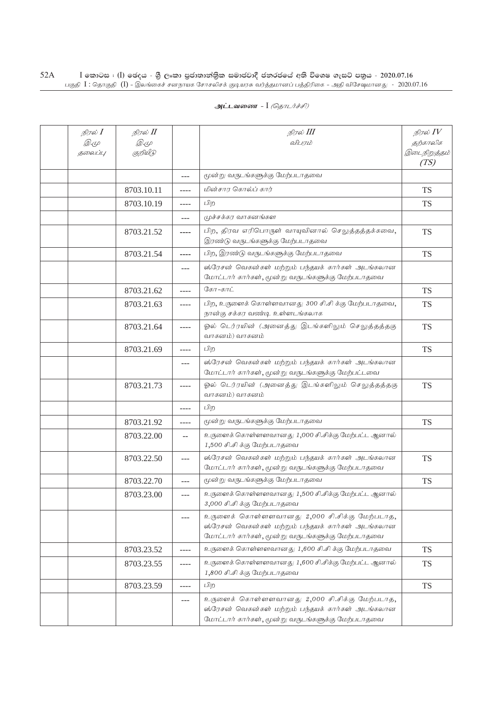| அட்டவணை - I <i>(தொடர்ச்சி)</i> |  |  |  |
|--------------------------------|--|--|--|
|--------------------------------|--|--|--|

| நிரல் $I$<br><i>@.மு</i><br>தலைப்பு | நிரல் II<br><i>D</i> .4<br>குறியீடு |       | நிரல் III<br>விபரம்                                                                                                                                     | நிரல் $IV$<br>தற்காலிக<br>இடைநிறுத்தம்<br>(TS) |
|-------------------------------------|-------------------------------------|-------|---------------------------------------------------------------------------------------------------------------------------------------------------------|------------------------------------------------|
|                                     |                                     | $---$ | மூன்று வருடங்களுக்கு மேற்படாதவை                                                                                                                         |                                                |
|                                     | 8703.10.11                          | ----  | மின்சார கொல்ப் கார்                                                                                                                                     | TS                                             |
|                                     | 8703.10.19                          | ----  | பிற                                                                                                                                                     | TS                                             |
|                                     |                                     | ---   | முச்சக்கர வாகனங்கள                                                                                                                                      |                                                |
|                                     | 8703.21.52                          | ----  | பிற, திரவ எரிபொருள் வாயுவினால் செலுத்தத்தக்கவை,<br>இரண்டு வருடங்களுக்கு மேற்படாதவை                                                                      | <b>TS</b>                                      |
|                                     | 8703.21.54                          | ----  | பிற, இரண்டு வருடங்களுக்கு மேற்படாதவை                                                                                                                    | <b>TS</b>                                      |
|                                     |                                     | ---   | ஸ்ரேசன் வெகன்கள் மற்றும் பந்தயக் கார்கள் அடங்கலான<br>மோட்டார் கார்கள், மூன்று வருடங்களுக்கு மேற்படாதவை                                                  |                                                |
|                                     | 8703.21.62                          | ----  | கோ-காட்                                                                                                                                                 | TS                                             |
|                                     | 8703.21.63                          | ----  | பிற, உருளைக் கொள்ளவானது 300 சி.சி க்கு மேற்படாதவை,<br>நான்கு சக்கர வண்டி உள்ளடங்கலாக                                                                    | <b>TS</b>                                      |
|                                     | 8703.21.64                          | ----  | ஓல் டெர்ரயின் (அனைத்து இடங்களிலும் செலுத்தத்தகு<br>வாகனம்) வாகனம்                                                                                       | <b>TS</b>                                      |
|                                     | 8703.21.69                          | ----  | பிற                                                                                                                                                     | <b>TS</b>                                      |
|                                     |                                     | ---   | ஸ்ரேசன் வெகன்கள் மற்றும் பந்தயக் கார்கள் அடங்கலான<br>மோட்டார் கார்கள், மூன்று வருடங்களுக்கு மேற்பட்டவை                                                  |                                                |
|                                     | 8703.21.73                          | ----  | ஓல் டெர்ரயின் (அனைத்து இடங்களிலும் செலுத்தத்தகு<br>வாகனம்) வாகனம்                                                                                       | <b>TS</b>                                      |
|                                     |                                     | ----  | பிற                                                                                                                                                     |                                                |
|                                     | 8703.21.92                          | ----  | மூன்று வருடங்களுக்கு மேற்படாதவை                                                                                                                         | <b>TS</b>                                      |
|                                     | 8703.22.00                          | $-$   | உருளைக் கொள்ளளவானது 1,000 சி.சிக்கு மேற்பட்ட ஆனால்<br>1,500 சி.சி க்கு மேற்படாதவை                                                                       |                                                |
|                                     | 8703.22.50                          | ---   | ஸ்ரேசன் வெகன்கள் மற்றும் பந்தயக் கார்கள் அடங்கலான<br>மோட்டார் கார்கள், மூன்று வருடங்களுக்கு மேற்படாதவை                                                  | <b>TS</b>                                      |
|                                     | 8703.22.70                          | ---   | மூன்று வருடங்களுக்கு மேற்படாதவை                                                                                                                         | TS                                             |
|                                     | 8703.23.00                          | ---   | உருளைக் கொள்ளளவானது 1,500 சி.சிக்கு மேற்பட்ட ஆனால்<br>3,000 சி.சி க்கு மேற்படாதவை                                                                       |                                                |
|                                     |                                     | ---   | உருளைக் கொள்ளளவானது 2,000 சி.சிக்கு மேற்படாத,<br>ஸ்ரேசன் வெகன்கள் மற்றும் பந்தயக் கார்கள் அடங்கலான<br>மோட்டார் கார்கள், மூன்று வருடங்களுக்கு மேற்படாதவை |                                                |
|                                     | 8703.23.52                          | ----  | உருளைக் கொள்ளளவானது 1,600 சி.சி க்கு மேற்படாதவை                                                                                                         | <b>TS</b>                                      |
|                                     | 8703.23.55                          | ----  | உருளைக் கொள்ளளவானது 1,600 சி.சிக்கு மேற்பட்ட ஆனால்<br>1,800 சி.சி க்கு மேற்படாதவை                                                                       | <b>TS</b>                                      |
|                                     | 8703.23.59                          | ----  | பிற                                                                                                                                                     | <b>TS</b>                                      |
|                                     |                                     | ---   | உருளைக் கொள்ளளவானது 2,000 சி.சிக்கு மேற்படாத,<br>ஸ்ரேசன் வெகன்கள் மற்றும் பந்தயக் கார்கள் அடங்கலான<br>மோட்டார் கார்கள், மூன்று வருடங்களுக்கு மேற்படாதவை |                                                |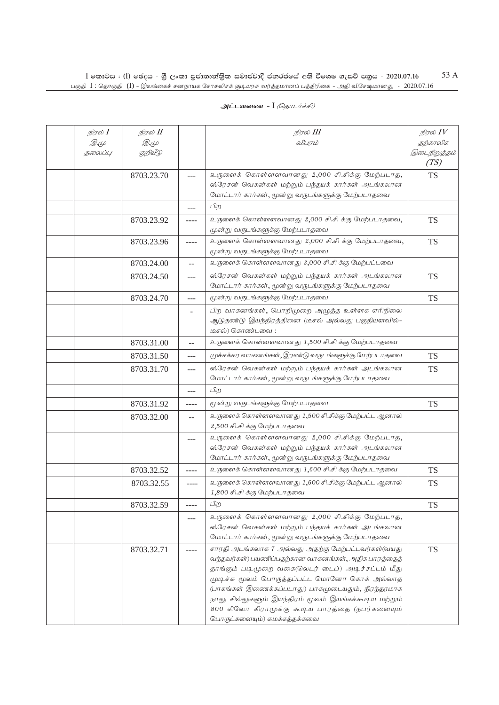| நிரல் $I$<br><i>D.</i> (L<br>தலைப்பு | நிரல் II<br>Q. (L<br>குறியீடு |                   | நிரல் III<br>விபரம்                                                                                                                                                                                                                                                                                                                                                                                              | நிரல் $IV$<br>தற்காலிக<br>இடைநிறுத்தம்<br>(TS) |
|--------------------------------------|-------------------------------|-------------------|------------------------------------------------------------------------------------------------------------------------------------------------------------------------------------------------------------------------------------------------------------------------------------------------------------------------------------------------------------------------------------------------------------------|------------------------------------------------|
|                                      | 8703.23.70                    | $---$             | உருளைக் கொள்ளளவானது 2,000 சி.சிக்கு மேற்படாத,<br>ஸ்ரேசன் வெகன்கள் மற்றும் பந்தயக் கார்கள் அடங்கலான<br>மோட்டார் கார்கள், மூன்று வருடங்களுக்கு மேற்படாதவை                                                                                                                                                                                                                                                          | <b>TS</b>                                      |
|                                      |                               |                   | பிற                                                                                                                                                                                                                                                                                                                                                                                                              |                                                |
|                                      | 8703.23.92                    | $--- -$           | உருளைக் கொள்ளளவானது 2,000 சி.சி க்கு மேற்படாதவை,<br>மூன்று வருடங்களுக்கு மேற்படாதவை                                                                                                                                                                                                                                                                                                                              | <b>TS</b>                                      |
|                                      | 8703.23.96                    | ----              | உருளைக் கொள்ளளவானது 2,000 சி.சி க்கு மேற்படாதவை,<br>மூன்று வருடங்களுக்கு மேற்படாதவை                                                                                                                                                                                                                                                                                                                              | <b>TS</b>                                      |
|                                      | 8703.24.00                    | $-$               | உருளைக் கொள்ளளவானது 3,000 சி.சி க்கு மேற்பட்டவை                                                                                                                                                                                                                                                                                                                                                                  |                                                |
|                                      | 8703.24.50                    | $---$             | ஸ்ரேசன் வெகன்கள் மற்றும் பந்தயக் கார்கள் அடங்கலான<br>மோட்டார் கார்கள், மூன்று வருடங்களுக்கு மேற்படாதவை                                                                                                                                                                                                                                                                                                           | <b>TS</b>                                      |
|                                      | 8703.24.70                    | $---$             | மூன்று வருடங்களுக்கு மேற்படாதவை                                                                                                                                                                                                                                                                                                                                                                                  | <b>TS</b>                                      |
|                                      |                               | $\sim$            | பிற வாகனங்கள், பொறிமுறை அழுத்த உள்ளக எரிநிலை<br>ஆடுதண்டு இயந்திரத்தினை (டீசல் அல்லது பகுதியளவில்-<br>டீசல்) கொண்டவை :                                                                                                                                                                                                                                                                                            |                                                |
|                                      | 8703.31.00                    | $-$               | உருளைக் கொள்ளளவானது 1,500 சி.சி க்கு மேற்படாதவை                                                                                                                                                                                                                                                                                                                                                                  |                                                |
|                                      | 8703.31.50                    | $---$             | முச்சக்கர வாகனங்கள், இரண்டு வருடங்களுக்கு மேற்படாதவை                                                                                                                                                                                                                                                                                                                                                             | <b>TS</b>                                      |
|                                      | 8703.31.70                    | $---$             | ஸ்ரேசன் வெகன்கள் மற்றும் பந்தயக் கார்கள் அடங்கலான<br>மோட்டார் கார்கள், மூன்று வருடங்களுக்கு மேற்படாதவை                                                                                                                                                                                                                                                                                                           | <b>TS</b>                                      |
|                                      |                               | $---$             | பிற                                                                                                                                                                                                                                                                                                                                                                                                              |                                                |
|                                      | 8703.31.92                    | $- - - -$         | மூன்று வருடங்களுக்கு மேற்படாதவை                                                                                                                                                                                                                                                                                                                                                                                  | <b>TS</b>                                      |
|                                      | 8703.32.00                    | $\qquad \qquad -$ | உருளைக் கொள்ளளவானது 1,500 சி.சிக்கு மேற்பட்ட ஆனால்<br>2,500 சி.சி க்கு மேற்படாதவை                                                                                                                                                                                                                                                                                                                                |                                                |
|                                      |                               | ---               | உருளைக் கொள்ளளவானது 2,000 சி.சிக்கு மேற்படாத,<br>ஸ்ரேசன் வெகன்கள் மற்றும் பந்தயக் கார்கள் அடங்கலான<br>மோட்டார் கார்கள், மூன்று வருடங்களுக்கு மேற்படாதவை                                                                                                                                                                                                                                                          |                                                |
|                                      | 8703.32.52                    | ----              | உருளைக் கொள்ளளவானது 1,600 சி.சி க்கு மேற்படாதவை                                                                                                                                                                                                                                                                                                                                                                  | <b>TS</b>                                      |
|                                      | 8703.32.55                    | ----              | உருளைக் கொள்ளளவானது 1,600 சி.சிக்கு மேற்பட்ட ஆனால்<br>1,800 சி.சி க்கு மேற்படாதவை                                                                                                                                                                                                                                                                                                                                | <b>TS</b>                                      |
|                                      | 8703.32.59                    | $--- -$           | பிற                                                                                                                                                                                                                                                                                                                                                                                                              | <b>TS</b>                                      |
|                                      |                               | $---$             | உருளைக் கொள்ளளவானது 2,000 சி.சிக்கு மேற்படாத,<br>ஸ்ரேசன் வெகன்கள் மற்றும் பந்தயக் கார்கள் அடங்கலான<br>மோட்டார் கார்கள், மூன்று வருடங்களுக்கு மேற்படாதவை                                                                                                                                                                                                                                                          |                                                |
|                                      | 8703.32.71                    | $- - - -$         | சாரதி அடங்கலாக 7 அல்லது அதற்கு மேற்பட்டவர்கள்(வயது<br>வந்தவர்கள்) பயணிப்பதற்கான வாகனங்கள், அதிக பாரத்தைத்<br>தாங்கும் படிமுறை வகை(லெடர் டைப்) அடிச்சட்டம் மீது<br>முடிச்சு மூலம் பொருத்தப்பட்ட மொனோ கொக் அல்லாத<br>(பாகங்கள் இணைக்கப்படாது) பாகமுடையதும், நிரந்தரமாக<br>நாலு சில்லுகளும் இயந்திரம் மூலம் இயங்கக்கூடிய மற்றும்<br>800 கிலோ கிராமுக்கு கூடிய பாரத்தை (நபர்களையும்<br>பொருட்களையும்) சுமக்கத்தக்கவை | <b>TS</b>                                      |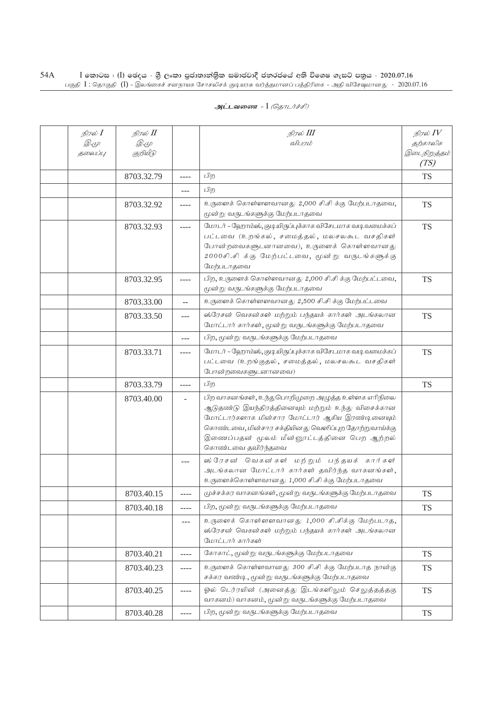| நிரல் I     | நிரல் II    |                          | நிரல் III                                                                                                                                                                                                                                                                              | நிரல் $IV$           |
|-------------|-------------|--------------------------|----------------------------------------------------------------------------------------------------------------------------------------------------------------------------------------------------------------------------------------------------------------------------------------|----------------------|
| <i>D</i> .4 | <i>D</i> .4 |                          | விபரம்                                                                                                                                                                                                                                                                                 | தற்காலிக             |
| தலைப்பு     | குறியீடு    |                          |                                                                                                                                                                                                                                                                                        | இடைநிறுத்தம்<br>(TS) |
|             | 8703.32.79  | ----                     | பிற                                                                                                                                                                                                                                                                                    | <b>TS</b>            |
|             |             | ---                      | பிற                                                                                                                                                                                                                                                                                    |                      |
|             | 8703.32.92  | ----                     | உருளைக் கொள்ளளவானது 2,000 சி.சி க்கு மேற்படாதவை,<br>மூன்று வருடங்களுக்கு மேற்படாதவை                                                                                                                                                                                                    | <b>TS</b>            |
|             | 8703.32.93  |                          | மோடர் - ஹோம்ஸ், குடியிருப்புக்காக விசேடமாக வடி வமைக்கப்<br>பட்டவை (உறங்கல், சமைத்தல், மலசலகூட வசதிகள்<br>போன்றவைகளுடனானவை), உருளைக் கொள்ளவானது<br>2000சி.சிக்கு மேற்பட்டவை, மூன்று வருடங்களுக்கு<br>மேற்படாதவை                                                                         | <b>TS</b>            |
|             | 8703.32.95  |                          | பிற, உருளைக் கொள்ளவானது 2,000 சி.சி க்கு மேற்பட்டவை,<br>மூன்று வருடங்களுக்கு மேற்படாதவை                                                                                                                                                                                                | <b>TS</b>            |
|             | 8703.33.00  | --                       | உருளைக் கொள்ளளவானது 2,500 சி.சி க்கு மேற்பட்டவை                                                                                                                                                                                                                                        |                      |
|             | 8703.33.50  | ---                      | ஸ்ரேசன் வெகன்கள் மற்றும் பந்தயக் கார்கள் அடங்கலான<br>மோட்டார் கார்கள், மூன்று வருடங்களுக்கு மேற்படாதவை                                                                                                                                                                                 | <b>TS</b>            |
|             |             | $---$                    | பிற, மூன்று வருடங்களுக்கு மேற்படாதவை                                                                                                                                                                                                                                                   |                      |
|             | 8703.33.71  | ----                     | மோடர் - ஹோம்ஸ், குடியிருப்புக்காக விசேடமாக வடி வமைக்கப்<br>பட்டவை (உறங்குதல், சமைத்தல், மலசலகூட வசதிகள்<br>போன்றவைகளுடனானவை)                                                                                                                                                           | <b>TS</b>            |
|             | 8703.33.79  | ----                     | பிற                                                                                                                                                                                                                                                                                    | <b>TS</b>            |
|             | 8703.40.00  | $\overline{\phantom{a}}$ | பிற வாகனங்கள், உந்துபொறிமுறை அழுத்த உள்ளக எரிநிலை<br>ஆடுதண்டு இயந்திரத்தினையும் மற்றும் உந்து விசைக்கான<br>மோட்டார்களாக மின்சார மோட்டார் ஆகிய இரண்டினையும்<br>கொண்டவை, மின்சார சக்தியினது வெளிப்புற தோற்றுவாய்க்கு<br>இணைப்பதன் மூலம் மீன்னூட்டத்தினை பெற ஆற்றல்<br>கொண்டவை தவிர்ந்தவை |                      |
|             |             | $---$                    | ஸ்ரேசன் வெகன்கள் மற்றும் பந்தயக் கார்கள்<br>அடங்கலான மோட்டார் கார்கள் தவிர்ந்த வாகனங்கள்,<br>உருளைக்கொள்ளவானது 1,000 சி.சி க்கு மேற்படாதவை                                                                                                                                             |                      |
|             | 8703.40.15  | ----                     | முச்சக்கர வாகனங்கள், மூன்று வருடங்களுக்கு மேற்படாதவை                                                                                                                                                                                                                                   | <b>TS</b>            |
|             | 8703.40.18  | $- - - -$                | பிற, மூன்று வருடங்களுக்கு மேற்படாதவை                                                                                                                                                                                                                                                   | <b>TS</b>            |
|             |             | $- - -$                  | உருளைக் கொள்ளளவானது 1,000 சி.சிக்கு மேற்படாத,<br>ஸ்ரேசன் வெகன்கள் மற்றும் பந்தயக் கார்கள் அடங்கலான<br>மோட்டார் கார்கள்                                                                                                                                                                 |                      |
|             | 8703.40.21  | $- - - -$                | கோகாட், மூன்று வருடங்களுக்கு மேற்படாதவை                                                                                                                                                                                                                                                | <b>TS</b>            |
|             | 8703.40.23  | ----                     | உருளைக் கொள்ளவானது 300 சி.சி க்கு மேற்படாத நான்கு<br>சக்கர வண்டி, மூன்று வருடங்களுக்கு மேற்படாதவை                                                                                                                                                                                      | <b>TS</b>            |
|             | 8703.40.25  | ----                     | ஓல் டெர்ரயின் (அனைத்து இடங்களிலும் செலுத்தத்தகு<br>வாகனம்) வாகனம், மூன்று வருடங்களுக்கு மேற்படாதவை                                                                                                                                                                                     | <b>TS</b>            |
|             | 8703.40.28  | $\cdots$                 | பிற, மூன்று வருடங்களுக்கு மேற்படாதவை                                                                                                                                                                                                                                                   | <b>TS</b>            |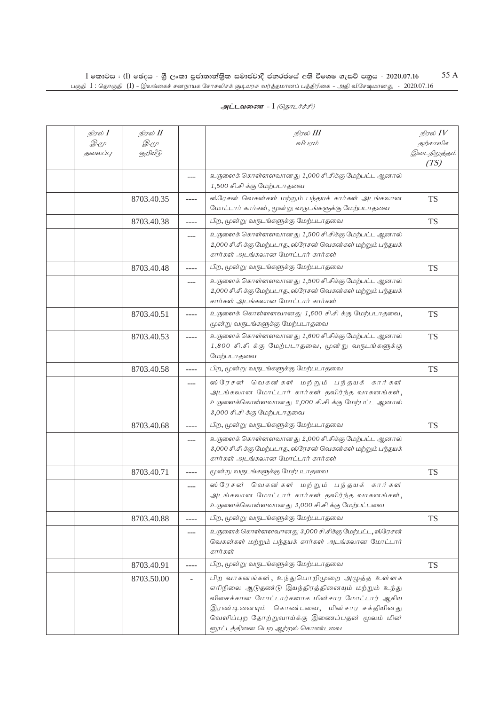| நிரல் I<br><i>D.</i> (L<br>தலைப்பு | நிரல் II<br>Q. (L<br>குறியீடு |          | நிரல் III<br>விபரம்                                                                                                                                                                                                                                                          | நிரல் $IV$<br>தற்காலிக<br>இடைநிறுத்தம்<br>(TS) |
|------------------------------------|-------------------------------|----------|------------------------------------------------------------------------------------------------------------------------------------------------------------------------------------------------------------------------------------------------------------------------------|------------------------------------------------|
|                                    |                               | ---      | உருளைக் கொள்ளளவானது 1,000 சி.சிக்கு மேற்பட்ட ஆனால்<br>1,500 சி.சி க்கு மேற்படாதவை                                                                                                                                                                                            |                                                |
|                                    | 8703.40.35                    | ----     | ஸ்ரேசன் வெகன்கள் மற்றும் பந்தயக் கார்கள் அடங்கலான<br>மோட்டார் கார்கள், மூன்று வருடங்களுக்கு மேற்படாதவை                                                                                                                                                                       | <b>TS</b>                                      |
|                                    | 8703.40.38                    | ----     | பிற, மூன்று வருடங்களுக்கு மேற்படாதவை                                                                                                                                                                                                                                         | <b>TS</b>                                      |
|                                    |                               | $---$    | உருளைக் கொள்ளளவானது 1,500 சி.சிக்கு மேற்பட்ட ஆனால்<br>2,000 சி.சி க்கு மேற்படாத, ஸ்ரேசன் வெகன்கள் மற்றும் பந்தயக்<br>கார்கள் அடங்கலான மோட்டார் கார்கள்                                                                                                                       |                                                |
|                                    | 8703.40.48                    | ----     | பிற, மூன்று வருடங்களுக்கு மேற்படாதவை                                                                                                                                                                                                                                         | <b>TS</b>                                      |
|                                    |                               | $---$    | உருளைக் கொள்ளளவானது 1,500 சி.சிக்கு மேற்பட்ட ஆனால்<br>2,000 சி.சி க்கு மேற்படாத, ஸ்ரேசன் வெகன்கள் மற்றும் பந்தயக்<br>கார்கள் அடங்கலான மோட்டார் கார்கள்                                                                                                                       |                                                |
|                                    | 8703.40.51                    | ----     | உருளைக் கொள்ளளவானது 1,600 சி.சி க்கு மேற்படாதவை,<br>மூன்று வருடங்களுக்கு மேற்படாதவை                                                                                                                                                                                          | <b>TS</b>                                      |
|                                    | 8703.40.53                    |          | உருளைக் கொள்ளளவானது 1,600 சி.சிக்கு மேற்பட்ட ஆனால்<br>1,800 சி.சி க்கு மேற்படாதவை, மூன்று வருடங்களுக்கு<br>மேற்படாதவை                                                                                                                                                        | <b>TS</b>                                      |
|                                    | 8703.40.58                    | ----     | பிற, மூன்று வருடங்களுக்கு மேற்படாதவை                                                                                                                                                                                                                                         | <b>TS</b>                                      |
|                                    |                               | $---$    | ஸ்ரேசன் வெகன்கள் மற்றும் பந்தயக் கார்கள்<br>அடங்கலான மோட்டார் கார்கள் தவிர்ந்த வாகனங்கள்,<br>உருளைக்கொள்ளவானது 2,000 சி.சி க்கு மேற்பட்ட ஆனால்<br>3,000 சி.சி க்கு மேற்படாதவை                                                                                                |                                                |
|                                    | 8703.40.68                    | ----     | பிற, மூன்று வருடங்களுக்கு மேற்படாதவை                                                                                                                                                                                                                                         | <b>TS</b>                                      |
|                                    |                               | ---      | உருளைக் கொள்ளளவானது 2,000 சி.சிக்கு மேற்பட்ட ஆனால்<br>3,000 சி.சி க்கு மேற்படாத, ஸ்ரேசன் வெகன்கள் மற்றும் பந்தயக்<br>கார்கள் அடங்கலான மோட்டார் கார்கள்                                                                                                                       |                                                |
|                                    | 8703.40.71                    | $\cdots$ | மூன்று வருடங்களுக்கு மேற்படாதவை                                                                                                                                                                                                                                              | <b>TS</b>                                      |
|                                    |                               | $---$    | ஸ்ரேசன் வெகன்கள் மற்றும் பந்தயக் கார்கள்<br>அடங்கலான மோட்டார் கார்கள் தவிர்ந்த வாகனங்கள்,<br>உருளைக்கொள்ளவானது 3,000 சி.சி க்கு மேற்பட்டவை                                                                                                                                   |                                                |
|                                    | 8703.40.88                    | ----     | பிற, மூன்று வருடங்களுக்கு மேற்படாதவை                                                                                                                                                                                                                                         | <b>TS</b>                                      |
|                                    |                               | $---$    | உருளைக் கொள்ளளவானது 3,000 சி.சிக்கு மேற்பட்ட, ஸ்ரேசன்<br>வெகன்கள் மற்றும் பந்தயக் கார்கள் அடங்கலான மோட்டார்<br>கார்கள்                                                                                                                                                       |                                                |
|                                    | 8703.40.91                    | ----     | பிற, மூன்று வருடங்களுக்கு மேற்படாதவை                                                                                                                                                                                                                                         | <b>TS</b>                                      |
|                                    | 8703.50.00                    |          | பிற வாகனங்கள், உந்துபொறிமுறை அழுத்த உள்ளக<br>எரிநிலை ஆடுதண்டு இயந்திரத்தினையும் மற்றும் உந்து<br>விசைக்கான மோட்டார்களாக மின்சார மோட்டார் ஆகிய<br>இரண்டினையும் கொண்டவை, மின்சார சக்தியினது<br>வெளிப்புற தோற்றுவாய்க்கு இணைப்பதன் மூலம் மின்<br>னூட்டத்தினை பெற ஆற்றல் கொண்டவை |                                                |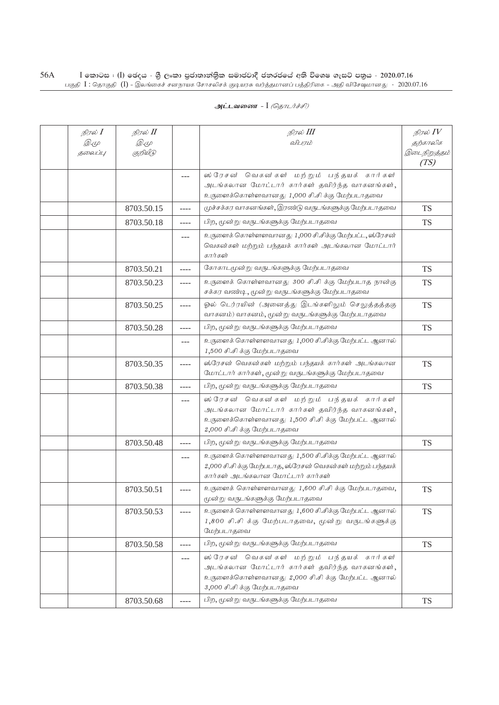| நிரல் <b>I</b><br>Q. (L<br>தலைப்பு | நிரல் II<br>Q. (L<br>குறியீடு |       | நிரல் III<br>விபரம்                                                                                                                                                           | நிரல் $IV$<br>தற்காலிக<br>இடைநிறுத்தம்<br>(TS) |
|------------------------------------|-------------------------------|-------|-------------------------------------------------------------------------------------------------------------------------------------------------------------------------------|------------------------------------------------|
|                                    |                               |       | ஸ்ரேசன் வெகன்கள் மற்றும் பந்தயக் கார்கள்<br>அடங்கலான மோட்டார் கார்கள் தவிர்ந்த வாகனங்கள்,<br>உருளைக்கொள்ளவானது 1,000 சி.சி க்கு மேற்படாதவை                                    |                                                |
|                                    | 8703.50.15                    | ----  | முச்சக்கர வாகனங்கள், இரண்டு வருடங்களுக்கு மேற்படாதவை                                                                                                                          | <b>TS</b>                                      |
|                                    | 8703.50.18                    |       | பிற, மூன்று வருடங்களுக்கு மேற்படாதவை                                                                                                                                          | <b>TS</b>                                      |
|                                    |                               | $---$ | உருளைக் கொள்ளளவானது 1,000 சி.சிக்கு மேற்பட்ட, ஸ்ரேசன்<br>வெகன்கள் மற்றும் பந்தயக் கார்கள் அடங்கலான மோட்டார்<br>கார்கள்                                                        |                                                |
|                                    | 8703.50.21                    | ----  | கோகாடமூன்று வருடங்களுக்கு மேற்படாதவை                                                                                                                                          | <b>TS</b>                                      |
|                                    | 8703.50.23                    | ----  | உருளைக் கொள்ளவானது 300 சி.சி க்கு மேற்படாத நான்கு<br>சக்கர வண்டி, மூன்று வருடங்களுக்கு மேற்படாதவை                                                                             | <b>TS</b>                                      |
|                                    | 8703.50.25                    | ----  | ஓல் டெர்ரயின் (அனைத்து இடங்களிலும் செலுத்தத்தகு<br>வாகனம்) வாகனம், மூன்று வருடங்களுக்கு மேற்படாதவை                                                                            | <b>TS</b>                                      |
|                                    | 8703.50.28                    | ----  | பிற, மூன்று வருடங்களுக்கு மேற்படாதவை                                                                                                                                          | <b>TS</b>                                      |
|                                    |                               | ---   | உருளைக் கொள்ளளவானது 1,000 சி.சிக்கு மேற்பட்ட ஆனால்<br>1,500 சி.சி க்கு மேற்படாதவை                                                                                             |                                                |
|                                    | 8703.50.35                    | ----  | ஸ்ரேசன் வெகன்கள் மற்றும் பந்தயக் கார்கள் அடங்கலான<br>மோட்டார் கார்கள், மூன்று வருடங்களுக்கு மேற்படாதவை                                                                        | <b>TS</b>                                      |
|                                    | 8703.50.38                    | $---$ | பிற, மூன்று வருடங்களுக்கு மேற்படாதவை                                                                                                                                          | <b>TS</b>                                      |
|                                    |                               | ---   | ஸ்ரேசன் வெகன்கள் மற்றும் பந்தயக் கார்கள்<br>அடங்கலான மோட்டார் கார்கள் தவிர்ந்த வாகனங்கள்,<br>உருளைக்கொள்ளவானது 1,500 சி.சி க்கு மேற்பட்ட ஆனால்<br>2,000 சி.சி க்கு மேற்படாதவை |                                                |
|                                    | 8703.50.48                    | ----  | பிற, மூன்று வருடங்களுக்கு மேற்படாதவை                                                                                                                                          | <b>TS</b>                                      |
|                                    |                               | $---$ | உருளைக் கொள்ளளவானது 1,500 சி.சிக்கு மேற்பட்ட ஆனால்<br>2,000 சி.சி க்கு மேற்படாத, ஸ்ரேசன் வெகன்கள் மற்றும் பந்தயக்<br>கார்கள் அடங்கலான மோட்டார் கார்கள்                        |                                                |
|                                    | 8703.50.51                    | ----  | உருளைக் கொள்ளளவானது 1,600 சி.சி க்கு மேற்படாதவை,<br>மூன்று வருடங்களுக்கு மேற்படாதவை                                                                                           | <b>TS</b>                                      |
|                                    | 8703.50.53                    | ----  | உருளைக் கொள்ளளவானது 1,600 சி.சிக்கு மேற்பட்ட ஆனால்<br>1,800 சி.சி க்கு மேற்படாதவை, மூன்று வருடங்களுக்கு<br>மேற்படாதவை                                                         | <b>TS</b>                                      |
|                                    | 8703.50.58                    | ----  | பிற, மூன்று வருடங்களுக்கு மேற்படாதவை                                                                                                                                          | <b>TS</b>                                      |
|                                    |                               | $---$ | ஸ்ரேசன் வெகன்கள் மற்றும் பந்தயக் கார்கள்<br>அடங்கலான மோட்டார் கார்கள் தவிர்ந்த வாகனங்கள்,<br>உருளைக்கொள்ளவானது 2,000 சி.சி க்கு மேற்பட்ட ஆனால்<br>3,000 சி.சி க்கு மேற்படாதவை |                                                |
|                                    | 8703.50.68                    | ----  | பிற, மூன்று வருடங்களுக்கு மேற்படாதவை                                                                                                                                          | <b>TS</b>                                      |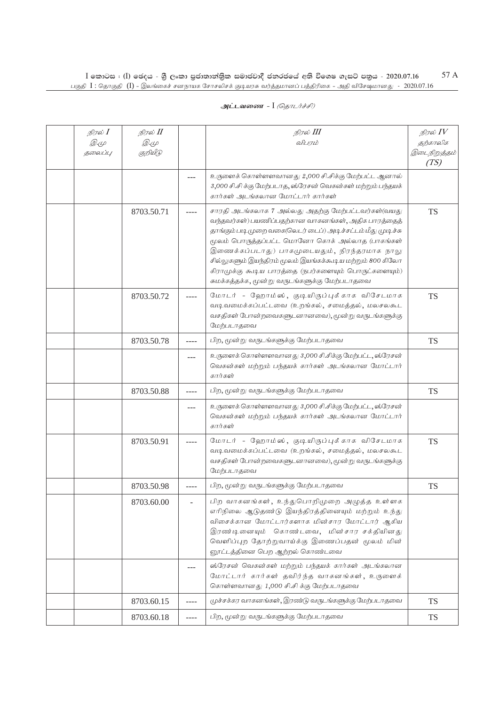| நிரல் I                | நிரல் II          |       | நிரல் III<br>விபரம்                                                                                           | நிரல் $\mathit{IV}$      |
|------------------------|-------------------|-------|---------------------------------------------------------------------------------------------------------------|--------------------------|
| <i>D</i> .4<br>தலைப்பு | Q. (L<br>குறியீடு |       |                                                                                                               | தற்காலிக<br>இடைநிறுத்தம் |
|                        |                   |       |                                                                                                               | (TS)                     |
|                        |                   |       | உருளைக் கொள்ளளவானது 2,000 சி.சிக்கு மேற்பட்ட ஆனால்                                                            |                          |
|                        |                   |       | 3,000 சி.சி க்கு மேற்படாத, ஸ்ரேசன் வெகன்கள் மற்றும் பந்தயக்                                                   |                          |
|                        |                   |       | கார்கள் அடங்கலான மோட்டார் கார்கள்                                                                             |                          |
|                        | 8703.50.71        |       | சாரதி அடங்கலாக 7 அல்லது அதற்கு மேற்பட்டவர்கள்(வயது                                                            | <b>TS</b>                |
|                        |                   |       | வந்தவர்கள்) பயணிப்பதற்கான வாகனங்கள், அதிக பாரத்தைத்                                                           |                          |
|                        |                   |       | தாங்கும் படி முறை வகை(லெடர் டைப்) அடிச்சட்டம் மீது முடிச்சு<br>மூலம் பொருத்தப்பட்ட மொனோ கொக் அல்லாத (பாகங்கள் |                          |
|                        |                   |       | இணைக்கப்படாது) பாகமுடையதும், நிரந்தரமாக நாலு                                                                  |                          |
|                        |                   |       | சில்லுகளும் இயந்திரம் மூலம் இயங்கக்கூடிய மற்றும் 800 கிலோ                                                     |                          |
|                        |                   |       | கிராமுக்கு கூடிய பாரத்தை (நபர்களையும் பொருட்களையும்)                                                          |                          |
|                        |                   |       | சுமக்கத்தக்க, மூன்று வருடங்களுக்கு மேற்படாதவை                                                                 |                          |
|                        | 8703.50.72        |       | மோடர் - ஹோம்ஸ், குடியிருப்புக்காக விசேடமாக                                                                    | <b>TS</b>                |
|                        |                   |       | வடிவமைக்கப்பட்டவை (உறங்கல், சமைத்தல், மலசலகூட                                                                 |                          |
|                        |                   |       | வசதிகள் போன்றவைகளுடனானவை), மூன்று வருடங்களுக்கு<br>மேற்படாதவை                                                 |                          |
|                        | 8703.50.78        | ----  | பிற, மூன்று வருடங்களுக்கு மேற்படாதவை                                                                          | <b>TS</b>                |
|                        |                   |       |                                                                                                               |                          |
|                        |                   | ---   | உருளைக் கொள்ளளவானது 3,000 சி.சிக்கு மேற்பட்ட, ஸ்ரேசன்<br>வெகன்கள் மற்றும் பந்தயக் கார்கள் அடங்கலான மோட்டார்   |                          |
|                        |                   |       | கார்கள்                                                                                                       |                          |
|                        | 8703.50.88        | ----  | பிற, மூன்று வருடங்களுக்கு மேற்படாதவை                                                                          | <b>TS</b>                |
|                        |                   | $---$ | உருளைக் கொள்ளளவானது 3,000 சி.சிக்கு மேற்பட்ட, ஸ்ரேசன்                                                         |                          |
|                        |                   |       | வெகன்கள் மற்றும் பந்தயக் கார்கள் அடங்கலான மோட்டார்                                                            |                          |
|                        |                   |       | கார்கள்                                                                                                       |                          |
|                        | 8703.50.91        |       | மோடர் - ஹோம்ஸ், குடியிருப்புக்காக விசேடமாக                                                                    | <b>TS</b>                |
|                        |                   |       | வடிவமைக்கப்பட்டவை (உறங்கல், சமைத்தல், மலசலகூட                                                                 |                          |
|                        |                   |       | வசதிகள் போன்றவைகளுடனானவை), மூன்று வருடங்களுக்கு<br>மேற்படாதவை                                                 |                          |
|                        | 8703.50.98        | ----  | பிற, மூன்று வருடங்களுக்கு மேற்படாதவை                                                                          | TS                       |
|                        |                   |       |                                                                                                               |                          |
|                        | 8703.60.00        |       | பிற வாகனங்கள், உந்துபொறிமுறை அழுத்த உள்ளக<br>எரிநிலை ஆடுதண்டு இயந்திரத்தினையும் மற்றும் உந்து                 |                          |
|                        |                   |       | விசைக்கான மோட்டார்களாக மின்சார மோட்டார் ஆகிய                                                                  |                          |
|                        |                   |       | இரண்டினையும் கொண்டவை, மின்சார சக்தியினது                                                                      |                          |
|                        |                   |       | வெளிப்புற தோற்றுவாய்க்கு இணைப்பதன் மூலம் மின்                                                                 |                          |
|                        |                   |       | னூட்டத்தினை பெற ஆற்றல் கொண்டவை                                                                                |                          |
|                        |                   |       | ஸ்ரேசன் வெகன்கள் மற்றும் பந்தயக் கார்கள் அடங்கலான                                                             |                          |
|                        |                   |       | மோட்டார் கார்கள் தவிர்ந்த வாகனங்கள், உருளைக்<br>கொள்ளவானது 1,000 சி.சி க்கு மேற்படாதவை                        |                          |
|                        | 8703.60.15        | ----  | முச்சக்கர வாகனங்கள், இரண்டு வருடங்களுக்கு மேற்படாதவை                                                          | <b>TS</b>                |
|                        | 8703.60.18        | ----  | பிற, மூன்று வருடங்களுக்கு மேற்படாதவை                                                                          | <b>TS</b>                |
|                        |                   |       |                                                                                                               |                          |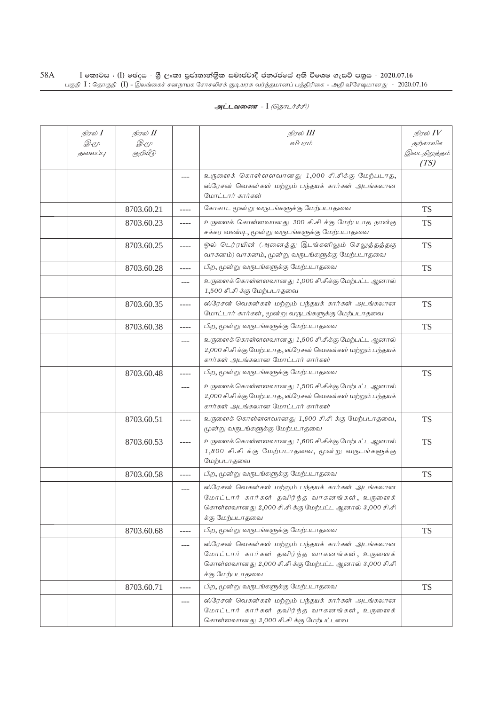| நிரல் <b>I</b> | நிரல் II    |           | நிரல் III                                                                                                                                                                      | நிரல் $IV$           |
|----------------|-------------|-----------|--------------------------------------------------------------------------------------------------------------------------------------------------------------------------------|----------------------|
| Q. (L          | <i>D</i> .4 |           | விபரம்                                                                                                                                                                         | தற்காலிக             |
| தலைப்பு        | குறியீடு    |           |                                                                                                                                                                                | இடைநிறுத்தம்<br>(TS) |
|                |             | $---$     | உருளைக் கொள்ளளவானது 1,000 சி.சிக்கு மேற்படாத,                                                                                                                                  |                      |
|                |             |           | ஸ்ரேசன் வெகன்கள் மற்றும் பந்தயக் கார்கள் அடங்கலான                                                                                                                              |                      |
|                |             |           | மோட்டார் கார்கள்                                                                                                                                                               |                      |
|                | 8703.60.21  | ----      | கோகாட மூன்று வருடங்களுக்கு மேற்படாதவை                                                                                                                                          | <b>TS</b>            |
|                | 8703.60.23  | ----      | உருளைக் கொள்ளவானது 300 சி.சி க்கு மேற்படாத நான்கு<br>சக்கர வண்டி, மூன்று வருடங்களுக்கு மேற்படாதவை                                                                              | <b>TS</b>            |
|                | 8703.60.25  | ----      | ஓல் டெர்ரயின் (அனைத்து இடங்களிலும் செலுத்தத்தகு<br>வாகனம்) வாகனம், மூன்று வருடங்களுக்கு மேற்படாதவை                                                                             | <b>TS</b>            |
|                | 8703.60.28  | ----      | பிற, மூன்று வருடங்களுக்கு மேற்படாதவை                                                                                                                                           | <b>TS</b>            |
|                |             | ---       | உருளைக் கொள்ளளவானது 1,000 சி.சிக்கு மேற்பட்ட ஆனால்<br>1,500 சி.சி க்கு மேற்படாதவை                                                                                              |                      |
|                | 8703.60.35  | ----      | ஸ்ரேசன் வெகன்கள் மற்றும் பந்தயக் கார்கள் அடங்கலான<br>மோட்டார் கார்கள், மூன்று வருடங்களுக்கு மேற்படாதவை                                                                         | <b>TS</b>            |
|                | 8703.60.38  | $- - - -$ | பிற, மூன்று வருடங்களுக்கு மேற்படாதவை                                                                                                                                           | <b>TS</b>            |
|                |             | $---$     | உருளைக் கொள்ளளவானது 1,500 சி.சிக்கு மேற்பட்ட ஆனால்<br>2,000 சி.சி க்கு மேற்படாத, ஸ்ரேசன் வெகன்கள் மற்றும் பந்தயக்<br>கார்கள் அடங்கலான மோட்டார் கார்கள்                         |                      |
|                | 8703.60.48  | ----      | பிற, மூன்று வருடங்களுக்கு மேற்படாதவை                                                                                                                                           | <b>TS</b>            |
|                |             | $---$     | உருளைக் கொள்ளளவானது 1,500 சி.சிக்கு மேற்பட்ட ஆனால்<br>2,000 சி.சி க்கு மேற்படாத, ஸ்ரேசன் வெகன்கள் மற்றும் பந்தயக்<br>கார்கள் அடங்கலான மோட்டார் கார்கள்                         |                      |
|                | 8703.60.51  | ----      | உருளைக் கொள்ளளவானது 1,600 சி.சி க்கு மேற்படாதவை,<br>மூன்று வருடங்களுக்கு மேற்படாதவை                                                                                            | <b>TS</b>            |
|                | 8703.60.53  | ----      | உருளைக் கொள்ளளவானது 1,600 சி.சிக்கு மேற்பட்ட ஆனால்<br>1,800 சி.சி க்கு மேற்படாதவை, மூன்று வருடங்களுக்கு<br>மேற்படாகவை                                                          | <b>TS</b>            |
|                | 8703.60.58  |           | பிற, மூன்று வருடங்களுக்கு மேற்படாதவை                                                                                                                                           | <b>TS</b>            |
|                |             | $---$     | ஸ்ரேசன் வெகன்கள் மற்றும் பந்தயக் கார்கள் அடங்கலான<br>மோட்டார் கார்கள் தவிர்ந்த வாகனங்கள், உருளைக்<br>கொள்ளவானது 2,000 சி.சி க்கு மேற்பட்ட ஆனால் 3,000 சி.சி<br>க்கு மேற்படாதவை |                      |
|                | 8703.60.68  | ----      | பிற, மூன்று வருடங்களுக்கு மேற்படாதவை                                                                                                                                           | <b>TS</b>            |
|                |             | $---$     | ஸ்ரேசன் வெகன்கள் மற்றும் பந்தயக் கார்கள் அடங்கலான<br>மோட்டார் கார்கள் தவிர்ந்த வாகனங்கள், உருளைக்<br>கொள்ளவானது 2,000 சி.சி க்கு மேற்பட்ட ஆனால் 3,000 சி.சி<br>க்கு மேற்படாதவை |                      |
|                | 8703.60.71  | ----      | பிற, மூன்று வருடங்களுக்கு மேற்படாதவை                                                                                                                                           | <b>TS</b>            |
|                |             | $---$     | ஸ்ரேசன் வெகன்கள் மற்றும் பந்தயக் கார்கள் அடங்கலான<br>மோட்டார் கார்கள் தவிர்ந்த வாகனங்கள், உருளைக்<br>கொள்ளவானது 3,000 சி.சி க்கு மேற்பட்டவை                                    |                      |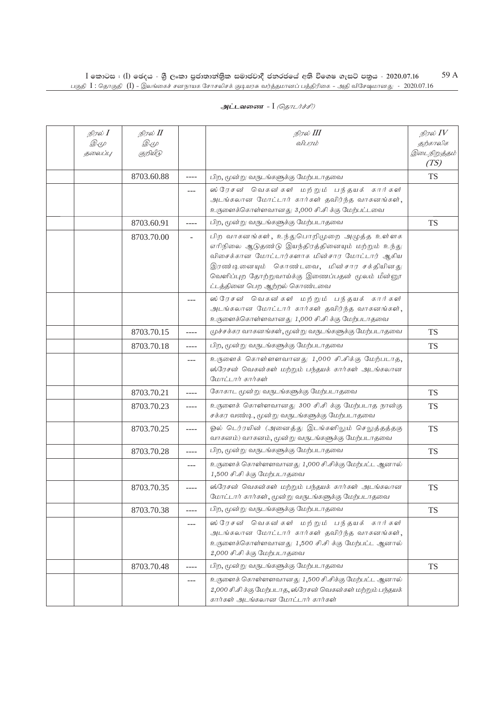| நிரல் $I$<br><i>D.</i> (L<br>தலைப்பு | நிரல் II<br>Q. (L<br>குறியீடு |              | நிரல் III<br>விபரம்                                                                                                                                                                                                                                                          | நிரல் $\mathit{IV}$<br>தற்காலிக<br>இடைநிறுத்தம்<br>(TS) |
|--------------------------------------|-------------------------------|--------------|------------------------------------------------------------------------------------------------------------------------------------------------------------------------------------------------------------------------------------------------------------------------------|---------------------------------------------------------|
|                                      | 8703.60.88                    | $--- -$      | பிற, மூன்று வருடங்களுக்கு மேற்படாதவை                                                                                                                                                                                                                                         | <b>TS</b>                                               |
|                                      |                               | $---$        | ஸ்ரேசன் வெகன்கள் மற்றும் பந்தயக் கார்கள்<br>அடங்கலான மோட்டார் கார்கள் தவிர்ந்த வாகனங்கள்,<br>உருளைக்கொள்ளவானது 3,000 சி.சி க்கு மேற்பட்டவை                                                                                                                                   |                                                         |
|                                      | 8703.60.91                    | ----         | பிற, மூன்று வருடங்களுக்கு மேற்படாதவை                                                                                                                                                                                                                                         | <b>TS</b>                                               |
|                                      | 8703.70.00                    | $\mathbf{r}$ | பிற வாகனங்கள், உந்துபொறிமுறை அழுத்த உள்ளக<br>எரிநிலை ஆடுதண்டு இயந்திரத்தினையும் மற்றும் உந்து<br>விசைக்கான மோட்டார்களாக மின்சார மோட்டார் ஆகிய<br>இரண்டினையும் கொண்டவை, மின்சார சக்தியினது<br>வெளிப்புற தோற்றுவாய்க்கு இணைப்பதன் மூலம் மீன்னூ<br>ட்டத்தினை பெற ஆற்றல் கொண்டவை |                                                         |
|                                      |                               | $---$        | ஸ்ரேசன் வெகன்கள் மற்றும் பந்தயக் கார்கள்<br>அடங்கலான மோட்டார் கார்கள் தவிர்ந்த வாகனங்கள்,<br>உருளைக்கொள்ளவானது 1,000 சி.சி க்கு மேற்படாதவை                                                                                                                                   |                                                         |
|                                      | 8703.70.15                    | ----         | முச்சக்கர வாகனங்கள், மூன்று வருடங்களுக்கு மேற்படாதவை                                                                                                                                                                                                                         | <b>TS</b>                                               |
|                                      | 8703.70.18                    | ----         | பிற, மூன்று வருடங்களுக்கு மேற்படாதவை                                                                                                                                                                                                                                         | <b>TS</b>                                               |
|                                      |                               | $---$        | உருளைக் கொள்ளளவானது 1,000 சி.சிக்கு மேற்படாத,<br>ஸ்ரேசன் வெகன்கள் மற்றும் பந்தயக் கார்கள் அடங்கலான<br>மோட்டார் கார்கள்                                                                                                                                                       |                                                         |
|                                      | 8703.70.21                    | ----         | கோகாட மூன்று வருடங்களுக்கு மேற்படாதவை                                                                                                                                                                                                                                        | <b>TS</b>                                               |
|                                      | 8703.70.23                    | $--- -$      | உருளைக் கொள்ளவானது 300 சி.சி க்கு மேற்படாத நான்கு<br>சக்கர வண்டி, மூன்று வருடங்களுக்கு மேற்படாதவை                                                                                                                                                                            | <b>TS</b>                                               |
|                                      | 8703.70.25                    | ----         | ஓல் டெர்ரயின் (அனைத்து இடங்களிலும் செலுத்தத்தகு<br>வாகனம்) வாகனம், மூன்று வருடங்களுக்கு மேற்படாதவை                                                                                                                                                                           | <b>TS</b>                                               |
|                                      | 8703.70.28                    | ----         | பிற, மூன்று வருடங்களுக்கு மேற்படாதவை                                                                                                                                                                                                                                         | <b>TS</b>                                               |
|                                      |                               | $---$        | உருளைக் கொள்ளளவானது 1,000 சி.சிக்கு மேற்பட்ட ஆனால்<br>1,500 சி.சி க்கு மேற்படாதவை                                                                                                                                                                                            |                                                         |
|                                      | 8703.70.35                    | $--- -$      | ஸ்ரேசன் வெகன்கள் மற்றும் பந்தயக் கார்கள் அடங்கலான<br>மோட்டார் கார்கள், மூன்று வருடங்களுக்கு மேற்படாதவை                                                                                                                                                                       | <b>TS</b>                                               |
|                                      | 8703.70.38                    | ----         | பிற, மூன்று வருடங்களுக்கு மேற்படாதவை                                                                                                                                                                                                                                         | <b>TS</b>                                               |
|                                      |                               |              | ஸ்ரேசன் வெகன்கள் மற்றும் பந்தயக் கார்கள்<br>அடங்கலான மோட்டார் கார்கள் தவிர்ந்த வாகனங்கள்,<br>உருளைக்கொள்ளவானது 1,500 சி.சி க்கு மேற்பட்ட ஆனால்<br>2,000 சி.சி க்கு மேற்படாதவை                                                                                                |                                                         |
|                                      | 8703.70.48                    | ----         | பிற, மூன்று வருடங்களுக்கு மேற்படாதவை                                                                                                                                                                                                                                         | <b>TS</b>                                               |
|                                      |                               | ---          | உருளைக் கொள்ளளவானது 1,500 சி.சிக்கு மேற்பட்ட ஆனால்<br>2,000 சி.சி க்கு மேற்படாத, ஸ்ரேசன் வெகன்கள் மற்றும் பந்தயக்<br>கார்கள் அடங்கலான மோட்டார் கார்கள்                                                                                                                       |                                                         |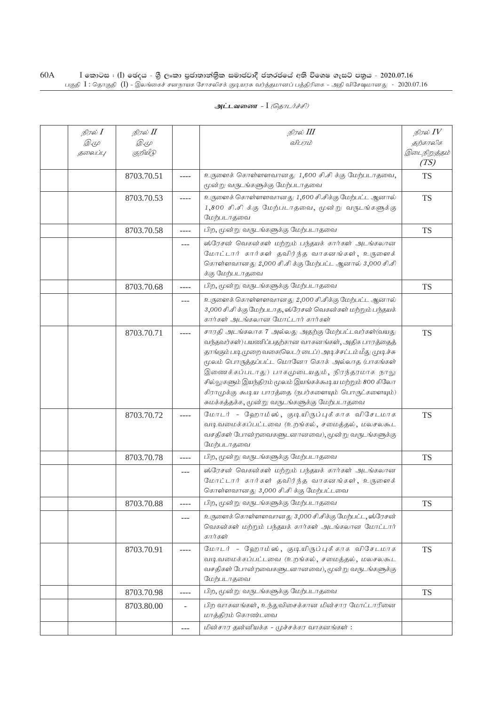| நிரல் <b>I</b><br><i>D.</i> 4<br>தலைப்பு | நிரல் II<br><i>D</i> .4<br>குறியீடு |           | நிரல் III<br>விபரம்                                                                                                                                                                                                                                                                                                                                                                                                                              | நிரல் $IV$<br>தற்காலிக<br>இடைநிறுத்தம் |
|------------------------------------------|-------------------------------------|-----------|--------------------------------------------------------------------------------------------------------------------------------------------------------------------------------------------------------------------------------------------------------------------------------------------------------------------------------------------------------------------------------------------------------------------------------------------------|----------------------------------------|
|                                          |                                     |           |                                                                                                                                                                                                                                                                                                                                                                                                                                                  | (TS)                                   |
|                                          | 8703.70.51                          | $- - - -$ | உருளைக் கொள்ளளவானது 1,600 சி.சி க்கு மேற்படாதவை,<br>மூன்று வருடங்களுக்கு மேற்படாதவை                                                                                                                                                                                                                                                                                                                                                              | <b>TS</b>                              |
|                                          | 8703.70.53                          | ----      | உருளைக் கொள்ளளவானது 1,600 சி.சிக்கு மேற்பட்ட ஆனால்<br>1,800 சி.சி க்கு மேற்படாதவை, மூன்று வருடங்களுக்கு<br>மேற்படாதவை                                                                                                                                                                                                                                                                                                                            | <b>TS</b>                              |
|                                          | 8703.70.58                          | ----      | பிற, மூன்று வருடங்களுக்கு மேற்படாதவை                                                                                                                                                                                                                                                                                                                                                                                                             | <b>TS</b>                              |
|                                          |                                     | ---       | ஸ்ரேசன் வெகன்கள் மற்றும் பந்தயக் கார்கள் அடங்கலான<br>மோட்டார் கார்கள் தவிர்ந்த வாகனங்கள், உருளைக்<br>கொள்ளவானது 2,000 சி.சி க்கு மேற்பட்ட ஆனால் 3,000 சி.சி<br>க்கு மேற்படாதவை                                                                                                                                                                                                                                                                   |                                        |
|                                          | 8703.70.68                          | $- - - -$ | பிற, மூன்று வருடங்களுக்கு மேற்படாதவை                                                                                                                                                                                                                                                                                                                                                                                                             | <b>TS</b>                              |
|                                          |                                     | $---$     | உருளைக் கொள்ளளவானது 2,000 சி.சிக்கு மேற்பட்ட ஆனால்<br>3,000 சி.சி க்கு மேற்படாத, ஸ்ரேசன் வெகன்கள் மற்றும் பந்தயக்<br>கார்கள் அடங்கலான மோட்டார் கார்கள்                                                                                                                                                                                                                                                                                           |                                        |
|                                          | 8703.70.71                          | ----      | சாரதி அடங்கலாக 7 அல்லது அதற்கு மேற்பட்டவர்கள்(வயது<br>வந்தவர்கள்) பயணிப்பதற்கான வாகனங்கள், அதிக பாரத்தைத்<br>தாங்கும் படி முறை வகை(லெடர் டைப்) அடிச்சட்டம் மீது முடிச்சு<br>மூலம் பொருத்தப்பட்ட மொனோ கொக் அல்லாத (பாகங்கள்<br>இணைக்கப்படாது) பாகமுடையதும், நிரந்தரமாக நாலு<br>சில்லுகளும் இயந்திரம் மூலம் இயங்கக்கூடிய மற்றும் 800 கிலோ<br>கிராமுக்கு கூடிய பாரத்தை (நபர்களையும் பொருட்களையும்)<br>சுமக்கத்தக்க, மூன்று வருடங்களுக்கு மேற்படாதவை | <b>TS</b>                              |
|                                          | 8703.70.72                          |           | மோடர் - ஹோம்ஸ், குடியிருப்புக்காக விசேடமாக<br>வடிவமைக்கப்பட்டவை (உறங்கல், சமைத்தல், மலசலகூட<br>வசதிகள் போன்றவைகளுடனானவை), மூன்று வருடங்களுக்கு<br>மேற்படாதவை                                                                                                                                                                                                                                                                                     | <b>TS</b>                              |
|                                          | 8703.70.78                          | $- - - -$ | பிற, மூன்று வருடங்களுக்கு மேற்படாதவை                                                                                                                                                                                                                                                                                                                                                                                                             | <b>TS</b>                              |
|                                          |                                     | $---$     | ஸ்ரேசன் வெகன்கள் மற்றும் பந்தயக் கார்கள் அடங்கலான<br>மோட்டார் கார்கள் தவிர்ந்த வாகனங்கள், உருளைக்<br>கொள்ளவானது 3,000 சி.சி க்கு மேற்பட்டவை                                                                                                                                                                                                                                                                                                      |                                        |
|                                          | 8703.70.88                          | $- - - -$ | பிற, மூன்று வருடங்களுக்கு மேற்படாதவை                                                                                                                                                                                                                                                                                                                                                                                                             | <b>TS</b>                              |
|                                          |                                     | $---$     | உருளைக் கொள்ளளவானது 3,000 சி.சிக்கு மேற்பட்ட, ஸ்ரேசன்<br>வெகன்கள் மற்றும் பந்தயக் கார்கள் அடங்கலான மோட்டார்<br>கார்கள்                                                                                                                                                                                                                                                                                                                           |                                        |
|                                          | 8703.70.91                          | ----      | மோடர் - ஹோம்ஸ், குடியிருப்புக்காக விசேடமாக<br>வடிவமைக்கப்பட்டவை (உறங்கல், சமைத்தல், மலசலகூட<br>வசதிகள் போன்றவைகளுடனானவை), மூன்று வருடங்களுக்கு<br>மேற்படாதவை                                                                                                                                                                                                                                                                                     | <b>TS</b>                              |
|                                          | 8703.70.98                          | ----      | பிற, மூன்று வருடங்களுக்கு மேற்படாதவை                                                                                                                                                                                                                                                                                                                                                                                                             | <b>TS</b>                              |
|                                          | 8703.80.00                          |           | பிற வாகனங்கள், உந்துவிசைக்கான மின்சார மோட்டாரினை<br>மாத்திரம் கொண்டவை                                                                                                                                                                                                                                                                                                                                                                            |                                        |
|                                          |                                     | $---$     | மின்சார தன்னியக்க - முச்சக்கர வாகனங்கள்:                                                                                                                                                                                                                                                                                                                                                                                                         |                                        |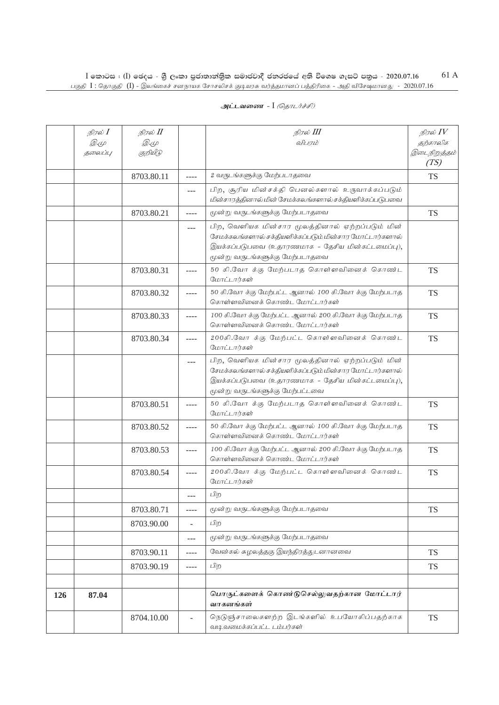| அட்டவணை - I <i>(தொடர்ச்சி)</i> |  |  |  |  |
|--------------------------------|--|--|--|--|
|--------------------------------|--|--|--|--|

|     | நிரல் $I$<br><i>D</i> .4<br>தலைப்பு | நிரல் II<br><i>D</i> .4<br>குறியீடு |           | நிரல் III<br>விபரம்                                                                                                                                                                                | நிரல் $IV$<br>தற்காலிக<br>இடைநிறுத்தம் |
|-----|-------------------------------------|-------------------------------------|-----------|----------------------------------------------------------------------------------------------------------------------------------------------------------------------------------------------------|----------------------------------------|
|     |                                     | 8703.80.11                          | $- - - -$ | 2 வருடங்களுக்கு மேற்படாதவை                                                                                                                                                                         | (TS)<br><b>TS</b>                      |
|     |                                     |                                     | $---$     | பிற, சூரிய மின்சக்தி பெனல்களால் உருவாக்கப்படும்<br>மின்சாரத்தினால் மின் சேமக்கலங்களால் சக்தியளிக்கப்படுபவை                                                                                         |                                        |
|     |                                     | 8703.80.21                          | ----      | மூன்று வருடங்களுக்கு மேற்படாதவை                                                                                                                                                                    | <b>TS</b>                              |
|     |                                     |                                     | ---       | பிற, வெளியக மின்சார மூலத்தினால் ஏற்றப்படும் மின்<br>சேமக்கலங்களால் சக்தியளிக்கப்படும் மின்சார மோட்டார்களால்<br>இயக்கப்படுபவை (உதாரணமாக - தேசிய மின்கட்டமைப்பு),<br>மூன்று வருடங்களுக்கு மேற்படாதவை |                                        |
|     |                                     | 8703.80.31                          | ----      | 50 கி.வோ க்கு மேற்படாத கொள்ளவினைக் கொண்ட<br>மோட்டார்கள்                                                                                                                                            | <b>TS</b>                              |
|     |                                     | 8703.80.32                          | ----      | 50 கி.வோ க்கு மேற்பட்ட ஆனால் 100 கி.வோ க்கு மேற்படாத<br>கொள்ளவினைக் கொண்ட மோட்டார்கள்                                                                                                              | <b>TS</b>                              |
|     |                                     | 8703.80.33                          | $--- -$   | 100 கி.வோ க்கு மேற்பட்ட ஆனால் 200 கி.வோ க்கு மேற்படாத<br>கொள்ளவினைக் கொண்ட மோட்டார்கள்                                                                                                             | <b>TS</b>                              |
|     |                                     | 8703.80.34                          | ----      | 200கி.வோ க்கு மேற்பட்ட கொள்ளவினைக் கொண்ட<br>மோட்டார்கள்                                                                                                                                            | <b>TS</b>                              |
|     |                                     |                                     | $---$     | பிற, வெளியக மின்சார மூலத்தினால் ஏற்றப்படும் மின்<br>சேமக்கலங்களால் சக்தியளிக்கப்படும் மின்சார மோட்டார்களால்<br>இயக்கப்படுபவை (உதாரணமாக - தேசிய மின்கட்டமைப்பு),<br>மூன்று வருடங்களுக்கு மேற்பட்டவை |                                        |
|     |                                     | 8703.80.51                          | ----      | 50 கி.வோ க்கு மேற்படாத கொள்ளவினைக் கொண்ட<br>மோட்டார்கள்                                                                                                                                            | <b>TS</b>                              |
|     |                                     | 8703.80.52                          | ----      | 50 கி.வோ க்கு மேற்பட்ட ஆனால் 100 கி.வோ க்கு மேற்படாத<br>கொள்ளவினைக் கொண்ட மோட்டார்கள்                                                                                                              | <b>TS</b>                              |
|     |                                     | 8703.80.53                          | ----      | 100 கி.வோ க்கு மேற்பட்ட ஆனால் 200 கி.வோ க்கு மேற்படாத<br>கொள்ளவினைக் கொண்ட மோட்டார்கள்                                                                                                             | <b>TS</b>                              |
|     |                                     | 8703.80.54                          | ----      | 200கி.வோ க்கு மேற்பட்ட கொள்ளவினைக் கொண்ட<br>மோட்டார்கள்                                                                                                                                            | <b>TS</b>                              |
|     |                                     |                                     | ---       | பிற                                                                                                                                                                                                |                                        |
|     |                                     | 8703.80.71                          | ----      | மூன்று வருடங்களுக்கு மேற்படாதவை                                                                                                                                                                    | <b>TS</b>                              |
|     |                                     | 8703.90.00                          |           | பிற                                                                                                                                                                                                |                                        |
|     |                                     |                                     | $---$     | மூன்று வருடங்களுக்கு மேற்படாதவை                                                                                                                                                                    |                                        |
|     |                                     | 8703.90.11                          | $- - - -$ | வேன்கல் சுழலத்தகு இயந்திரத்துடனானவை                                                                                                                                                                | <b>TS</b>                              |
|     |                                     | 8703.90.19                          | $- - - -$ | பிற                                                                                                                                                                                                | <b>TS</b>                              |
| 126 | 87.04                               |                                     |           | பொருட்களைக் கொண்டுசெல்லுவதற்கான மோட்டார்<br>வாகனங்கள்                                                                                                                                              |                                        |
|     |                                     | 8704.10.00                          |           | நெடுஞ்சாலைகளற்ற இடங்களில் உபயோகிப்பதற்காக<br>வடிவமைக்கப்பட்ட டம்பர்கள்                                                                                                                             | <b>TS</b>                              |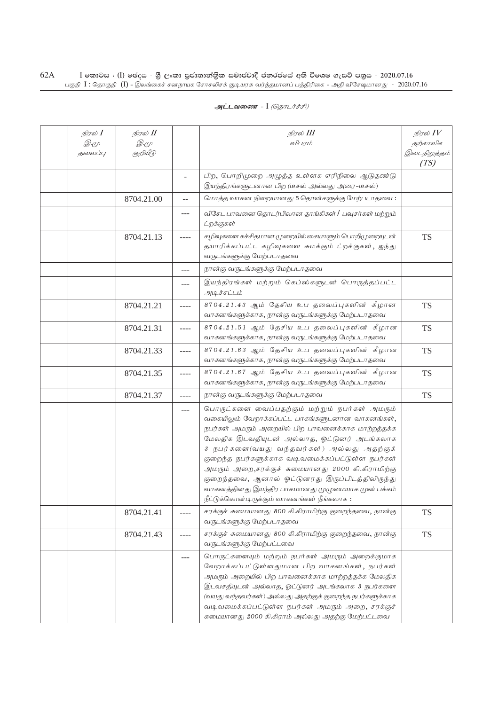| நிரல் <b>I</b><br><i>D</i> .4<br>தலைப்பு | நிரல் II<br><i>D</i> .4<br>குறியீடு |                | நிரல் III<br>விபரம்                                                                                                                                                                                                                                                                                                                                                                                                                                                                                                | நிரல் $\mathit{IV}$<br>தற்காலிக<br>இடைநிறுத்தம்<br>(TS) |
|------------------------------------------|-------------------------------------|----------------|--------------------------------------------------------------------------------------------------------------------------------------------------------------------------------------------------------------------------------------------------------------------------------------------------------------------------------------------------------------------------------------------------------------------------------------------------------------------------------------------------------------------|---------------------------------------------------------|
|                                          |                                     | $\blacksquare$ | பிற, பொறிமுறை அழுத்த உள்ளக எரிநிலை ஆடுதண்டு<br>இயந்திரங்களுடனான பிற (டீசல் அல்லது அரை–டீசல்)                                                                                                                                                                                                                                                                                                                                                                                                                       |                                                         |
|                                          | 8704.21.00                          | $\overline{a}$ | மொத்த வாகன நிறையானது 5 தொன்களுக்கு மேற்படாதவை:                                                                                                                                                                                                                                                                                                                                                                                                                                                                     |                                                         |
|                                          |                                     | ---            | விசேட பாவனை தொடர்பிலான தாங்கிகள் / பவுசர்கள் மற்றும்<br>ட்றக்குகள்                                                                                                                                                                                                                                                                                                                                                                                                                                                 |                                                         |
|                                          | 8704.21.13                          | ----           | கழிவுகளை கச்சிதமான முறையில் கையாளும் பொறிமுறையுடன்<br>தயாரிக்கப்பட்ட கழிவுகளை சுமக்கும் ட்றக்குகள், ஐந்து<br>வருடங்களுக்கு மேற்படாதவை                                                                                                                                                                                                                                                                                                                                                                              | <b>TS</b>                                               |
|                                          |                                     | ---            | நான்கு வருடங்களுக்கு மேற்படாதவை                                                                                                                                                                                                                                                                                                                                                                                                                                                                                    |                                                         |
|                                          |                                     | ---            | இயந்திரங்கள் மற்றும் கெப்ஸ்களுடன் பொருத்தப்பட்ட<br>அடிச்சட்டம்                                                                                                                                                                                                                                                                                                                                                                                                                                                     |                                                         |
|                                          | 8704.21.21                          | ----           | 8704.21.43 ஆம் தேசிய உப தலைப்புகளின் கீழான<br>வாகனங்களுக்காக, நான்கு வருடங்களுக்கு மேற்படாதவை                                                                                                                                                                                                                                                                                                                                                                                                                      | <b>TS</b>                                               |
|                                          | 8704.21.31                          | ----           | 8704.21.51 ஆம் தேசிய உப தலைப்புகளின் கீழான<br>வாகனங்களுக்காக, நான்கு வருடங்களுக்கு மேற்படாதவை                                                                                                                                                                                                                                                                                                                                                                                                                      | <b>TS</b>                                               |
|                                          | 8704.21.33                          | $---$          | 8704.21.63 ஆம் தேசிய உப தலைப்புகளின் கீழான<br>வாகனங்களுக்காக, நான்கு வருடங்களுக்கு மேற்படாதவை                                                                                                                                                                                                                                                                                                                                                                                                                      | <b>TS</b>                                               |
|                                          | 8704.21.35                          | ----           | 8704.21.67 ஆம் தேசிய உப தலைப்புகளின் கீழான<br>வாகனங்களுக்காக, நான்கு வருடங்களுக்கு மேற்படாதவை                                                                                                                                                                                                                                                                                                                                                                                                                      | <b>TS</b>                                               |
|                                          | 8704.21.37                          | ----           | நான்கு வருடங்களுக்கு மேற்படாதவை                                                                                                                                                                                                                                                                                                                                                                                                                                                                                    | <b>TS</b>                                               |
|                                          |                                     | ---            | பொருட்களை வைப்பதற்கும் மற்றும் நபர்கள் அமரும்<br>வகையிலும் வேறாக்கப்பட்ட பாகங்களுடனான வாகனங்கள்,<br>நபர்கள் அமரும் அறையில் பிற பாவனைக்காக மாற்றத்தக்க<br>மேலதிக இடவதியுடன் அல்லாத, ஓட்டுனர் அடங்கலாக<br>3 நபர்களை(வயது வந்தவர்கள்) அல்லது அதற்குக்<br>குறைந்த நபர்களுக்காக வடிவமைக்கப்பட்டுள்ள நபர்கள்<br>அமரும் அறை,சரக்குச் சுமையானது 2000 கி.கிராமிற்கு<br>குறைந்தவை, ஆனால் ஓட்டுனரது இருப்பிடத்திலிருந்து<br>வாகனத்தினது இயந்திர பாகமானது முழுமையாக முன் பக்கம்<br>நீட்டுக்கொன்டிருக்கும் வாகனங்கள் நீங்கலாக : |                                                         |
|                                          | 8704.21.41                          | ----           | சரக்குச் சுமையானது 800 கி.கிராமிற்கு குறைந்தவை, நான்கு<br>வருடங்களுக்கு மேற்படாதவை                                                                                                                                                                                                                                                                                                                                                                                                                                 | <b>TS</b>                                               |
|                                          | 8704.21.43                          | ----           | சரக்குச் சுமையானது 800 கி.கிராமிற்கு குறைந்தவை, நான்கு<br>வருடங்களுக்கு மேற்பட்டவை                                                                                                                                                                                                                                                                                                                                                                                                                                 | <b>TS</b>                                               |
|                                          |                                     | $---$          | பொருட்களையும் மற்றும் நபர்கள் அமரும் அறைக்குமாக<br>வேறாக்கப்பட்டுள்ளதுமான பிற வாகனங்கள், நபர்கள்<br>அமரும் அறையில் பிற பாவனைக்காக மாற்றத்தக்க மேலதிக<br>இடவசதியுடன் அல்லாத, ஓட்டுனர் அடங்கலாக 3 நபர்களை<br>(வயது வந்தவர்கள்) அல்லது அதற்குக் குறைந்த நபர்களுக்காக<br>வடிவமைக்கப்பட்டுள்ள நபர்கள் அமரும் அறை, சரக்குச்<br>சுமையானது 2000 கி.கிராம் அல்லது அதற்கு மேற்பட்டவை                                                                                                                                         |                                                         |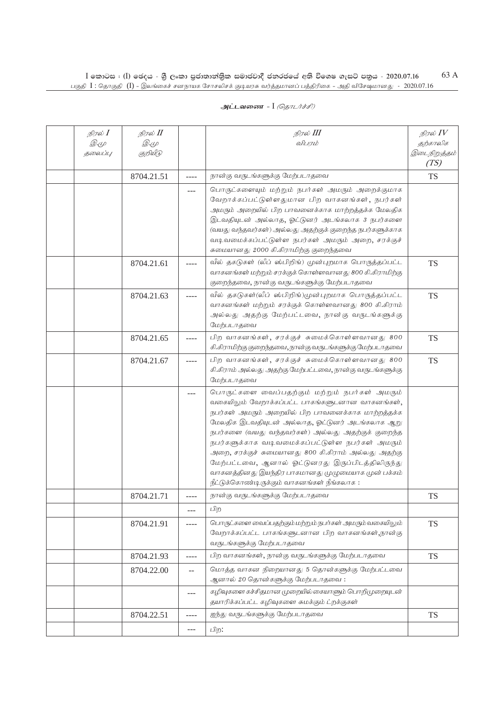| நிரல் I<br><i>D.</i> (L<br>தலைப்பு | நிரல் II<br><i>D</i> . (L<br>குறியீடு |         | நிரல் III<br>விபரம்                                                                                                                                                                                                                                                                                                                                                                                                                                                                                                              | நிரல் $IV$<br>தற்காலிக<br>இடைநிறுத்தம்<br>(TS) |
|------------------------------------|---------------------------------------|---------|----------------------------------------------------------------------------------------------------------------------------------------------------------------------------------------------------------------------------------------------------------------------------------------------------------------------------------------------------------------------------------------------------------------------------------------------------------------------------------------------------------------------------------|------------------------------------------------|
|                                    | 8704.21.51                            | ----    | நான்கு வருடங்களுக்கு மேற்படாதவை                                                                                                                                                                                                                                                                                                                                                                                                                                                                                                  | <b>TS</b>                                      |
|                                    |                                       | $---$   | பொருட்களையும் மற்றும் நபர்கள் அமரும் அறைக்குமாக<br>வேறாக்கப்பட்டுள்ளதுமான பிற வாகனங்கள், நபர்கள்<br>அமரும் அறையில் பிற பாவனைக்காக மாற்றத்தக்க மேலதிக<br>இடவதியுடன் அல்லாத, ஓட்டுனர் அடங்கலாக 3 நபர்களை<br>(வயது வந்தவர்கள்) அல்லது அதற்குக் குறைந்த நபர்களுக்காக<br>வடிவமைக்கப்பட்டுள்ள நபர்கள் அமரும் அறை, சரக்குச்<br>சுமையானது 2000 கி.கிராமிற்கு குறைந்தவை                                                                                                                                                                   |                                                |
|                                    | 8704.21.61                            |         | வீல் தகடுகள் (லீப் ஸ்பிறிங்) முன்புறமாக பொருத்தப்பட்ட<br>வாகனங்கள் மற்றும் சரக்குக் கொள்ளவானது 800 கி.கிராமிற்கு<br>குறைந்தவை, நான்கு வருடங்களுக்கு மேற்படாதவை                                                                                                                                                                                                                                                                                                                                                                   | <b>TS</b>                                      |
|                                    | 8704.21.63                            | ----    | வீல் தகடுகள்(லீப் ஸ்பிறிங்)முன்புறமாக பொருத்தப்பட்ட<br>வாகனங்கள் மற்றும் சரக்குக் கொள்ளவானது 800 கி.கிராம்<br>அல்லது அதற்கு மேற்பட்டவை, நான்கு வருடங்களுக்கு<br>மேற்படாகவை                                                                                                                                                                                                                                                                                                                                                       | <b>TS</b>                                      |
|                                    | 8704.21.65                            | ----    | பிற வாகனங்கள், சரக்குச் சுமைக்கொள்ளவானது 800<br>கி.கிராமிற்கு குறைந்தவை, நான்கு வருடங்களுக்கு மேற்படாதவை                                                                                                                                                                                                                                                                                                                                                                                                                         | <b>TS</b>                                      |
|                                    | 8704.21.67                            | ----    | பிற வாகனங்கள், சரக்குச் சுமைக்கொள்ளவானது 800<br>கி.கிராம் அல்லது அதற்கு மேற்பட்டவை, நான்கு வருடங்களுக்கு<br>மேற்படாதவை                                                                                                                                                                                                                                                                                                                                                                                                           | <b>TS</b>                                      |
|                                    |                                       | ---     | பொருட்களை வைப்பதற்கும் மற்றும் நபர்கள் அமரும்<br>வகையிலும் வேறாக்கப்பட்ட பாகங்களுடனான வாகனங்கள்,<br>நபர்கள் அமரும் அறையில் பிற பாவனைக்காக மாற்றத்தக்க<br>மேலதிக இடவதியுடன் அல்லாத, ஓட்டுனர் அடங்கலாக ஆறு<br>நபர்களை (வயது வந்தவர்கள்) அல்லது அதற்குக் குறைந்த<br>நபர்களுக்காக வடிவமைக்கப்பட்டுள்ள நபர்கள் அமரும்<br>அறை, சரக்குச் சுமையானது 800 கி.கிராம் அல்லது அதற்கு<br>மேற்பட்டவை, ஆனால் ஓட்டுனரது இருப்பிடத்திலிருந்து<br>வாகனத்தினது இயந்திர பாகமானது முழுமையாக முன் பக்கம்<br>நீட்டுக்கொண்டிருக்கும் வாகனங்கள் நீங்கலாக : |                                                |
|                                    | 8704.21.71                            |         | நான்கு வருடங்களுக்கு மேற்படாதவை                                                                                                                                                                                                                                                                                                                                                                                                                                                                                                  | TS                                             |
|                                    |                                       | $- - -$ | பிற                                                                                                                                                                                                                                                                                                                                                                                                                                                                                                                              |                                                |
|                                    | 8704.21.91                            | ----    | பொருட்களை வைப்பதற்கும் மற்றும் நபர்கள் அமரும் வகையிலும்<br>வேறாக்கப்பட்ட பாகங்களுடனான பிற வாகனங்கள்,நான்கு<br>வருடங்களுக்கு மேற்படாதவை                                                                                                                                                                                                                                                                                                                                                                                           | <b>TS</b>                                      |
|                                    | 8704.21.93                            | ----    | பிற வாகனங்கள், நான்கு வருடங்களுக்கு மேற்படாதவை                                                                                                                                                                                                                                                                                                                                                                                                                                                                                   | <b>TS</b>                                      |
|                                    | 8704.22.00                            | $- -$   | மொத்த வாகன நிறையானது 5 தொன்களுக்கு மேற்பட்டவை<br>ஆனால் 20 தொன்களுக்கு மேற்படாதவை:                                                                                                                                                                                                                                                                                                                                                                                                                                                |                                                |
|                                    |                                       | ---     | கழிவுகளை கச்சிதமான முறையில் கையாளும் பொறிமுறையுடன்<br>தயாரிக்கப்பட்ட கழிவுகளை சுமக்கும் ட்றக்குகள்                                                                                                                                                                                                                                                                                                                                                                                                                               |                                                |
|                                    | 8704.22.51                            | ----    | ஐந்து வருடங்களுக்கு மேற்படாதவை                                                                                                                                                                                                                                                                                                                                                                                                                                                                                                   | <b>TS</b>                                      |
|                                    |                                       | ---     | பிற:                                                                                                                                                                                                                                                                                                                                                                                                                                                                                                                             |                                                |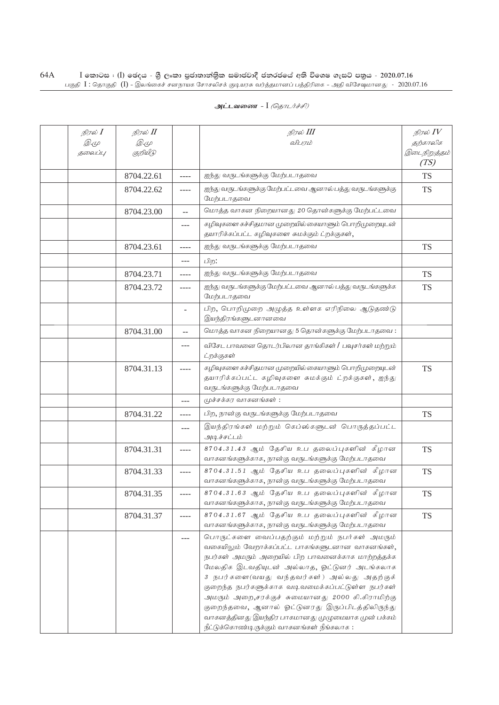| நிரல் $I$<br><i>D</i> . (L<br>தலைப்பு | நிரல் II<br><i>D</i> .4<br>குறியீடு |       | நிரல் III<br>விபரம்                                                                                                                                                                                                                                                                                                                                                                                                                                                                                               | நிரல் $IV$<br>தற்காலிக<br>இடைநிறுத்தம்<br>(TS) |
|---------------------------------------|-------------------------------------|-------|-------------------------------------------------------------------------------------------------------------------------------------------------------------------------------------------------------------------------------------------------------------------------------------------------------------------------------------------------------------------------------------------------------------------------------------------------------------------------------------------------------------------|------------------------------------------------|
|                                       | 8704.22.61                          | ----  | ஐந்து வருடங்களுக்கு மேற்படாதவை                                                                                                                                                                                                                                                                                                                                                                                                                                                                                    | <b>TS</b>                                      |
|                                       | 8704.22.62                          | ----  | ஐந்து வருடங்களுக்கு மேற்பட்டவை ஆனால் பத்து வருடங்களுக்கு<br>மேற்படாதவை                                                                                                                                                                                                                                                                                                                                                                                                                                            | <b>TS</b>                                      |
|                                       | 8704.23.00                          | $-$   | மொத்த வாகன நிறையானது 20 தொன்களுக்கு மேற்பட்டவை                                                                                                                                                                                                                                                                                                                                                                                                                                                                    |                                                |
|                                       |                                     | $---$ | கழிவுகளை கச்சிதமான முறையில் கையாளும் பொறிமுறையுடன்<br>தயாரிக்கப்பட்ட கழிவுகளை சுமக்கும் ட்றக்குகள்,                                                                                                                                                                                                                                                                                                                                                                                                               |                                                |
|                                       | 8704.23.61                          | ----  | ஐந்து வருடங்களுக்கு மேற்படாதவை                                                                                                                                                                                                                                                                                                                                                                                                                                                                                    | <b>TS</b>                                      |
|                                       |                                     | $---$ | பிற:                                                                                                                                                                                                                                                                                                                                                                                                                                                                                                              |                                                |
|                                       | 8704.23.71                          | ----  | ஐந்து வருடங்களுக்கு மேற்படாதவை                                                                                                                                                                                                                                                                                                                                                                                                                                                                                    | <b>TS</b>                                      |
|                                       | 8704.23.72                          | ----  | ஐந்து வருடங்களுக்கு மேற்பட்டவை ஆனால் பத்து வருடங்களுக்க<br>மேற்படாதவை                                                                                                                                                                                                                                                                                                                                                                                                                                             | <b>TS</b>                                      |
|                                       |                                     |       | பிற, பொறிமுறை அழுத்த உள்ளக எரிநிலை ஆடுதண்டு<br>இயந்திரங்களுடனானவை                                                                                                                                                                                                                                                                                                                                                                                                                                                 |                                                |
|                                       | 8704.31.00                          | $-$   | மொத்த வாகன நிறையானது 5 தொன்களுக்கு மேற்படாதவை:                                                                                                                                                                                                                                                                                                                                                                                                                                                                    |                                                |
|                                       |                                     | ---   | விசேட பாவனை தொடர்பிலான தாங்கிகள் / பவுசர்கள் மற்றும்<br>ட்றக்குகள்                                                                                                                                                                                                                                                                                                                                                                                                                                                |                                                |
|                                       | 8704.31.13                          | ----  | கழிவுகளை கச்சிதமான முறையில் கையாளும் பொறிமுறையுடன்<br>தயாரிக்கப்பட்ட கழிவுகளை சுமக்கும் ட்றக்குகள், ஐந்து<br>வருடங்களுக்கு மேற்படாதவை                                                                                                                                                                                                                                                                                                                                                                             | <b>TS</b>                                      |
|                                       |                                     | ---   | முச்சக்கர வாகனங்கள்:                                                                                                                                                                                                                                                                                                                                                                                                                                                                                              |                                                |
|                                       | 8704.31.22                          | ----  | பிற, நான்கு வருடங்களுக்கு மேற்படாதவை                                                                                                                                                                                                                                                                                                                                                                                                                                                                              | <b>TS</b>                                      |
|                                       |                                     | $---$ | இயந்திரங்கள் மற்றும் கெப்ஸ்களுடன் பொருத்தப்பட்ட<br>அடிச்சட்டம்                                                                                                                                                                                                                                                                                                                                                                                                                                                    |                                                |
|                                       | 8704.31.31                          | ----  | 8704.31.43 ஆம் தேசிய உப தலைப்புகளின் கீழான<br>வாகனங்களுக்காக, நான்கு வருடங்களுக்கு மேற்படாதவை                                                                                                                                                                                                                                                                                                                                                                                                                     | <b>TS</b>                                      |
|                                       | 8704.31.33                          | ----  | 8704.31.51 ஆம் தேசிய உப தலைப்புகளின் கீழான<br>வாகனங்களுக்காக, நான்கு வருடங்களுக்கு மேற்படாதவை                                                                                                                                                                                                                                                                                                                                                                                                                     | <b>TS</b>                                      |
|                                       | 8704.31.35                          | ----  | 8704.31.63 ஆம் தேசிய உப தலைப்புகளின் கீழான<br>வாகனங்களுக்காக, நான்கு வருடங்களுக்கு மேற்படாதவை                                                                                                                                                                                                                                                                                                                                                                                                                     | <b>TS</b>                                      |
|                                       | 8704.31.37                          | ----  | 8704.31.67 ஆம் தேசிய உப தலைப்புகளின் கீழான<br>வாகனங்களுக்காக, நான்கு வருடங்களுக்கு மேற்படாதவை                                                                                                                                                                                                                                                                                                                                                                                                                     | <b>TS</b>                                      |
|                                       |                                     | ---   | பொருட்களை வைப்பதற்கும் மற்றும் நபர்கள் அமரும்<br>வகையிலும் வேறாக்கப்பட்ட பாகங்களுடனான வாகனங்கள்,<br>நபர்கள் அமரும் அறையில் பிற பாவனைக்காக மாற்றத்தக்க<br>மேலதிக இடவதியுடன் அல்லாத, ஓட்டுனர் அடங்கலாக<br>3 நபர்களை(வயது வந்தவர்கள்) அல்லது அதற்குக்<br>குறைந்த நபர்களுக்காக வடிவமைக்கப்பட்டுள்ள நபர்கள்<br>அமரும் அறை,சரக்குச் சுமையானது 2000 கி.கிராமிற்கு<br>குறைந்தவை, ஆனால் ஓட்டுனரது இருப்பிடத்திலிருந்து<br>வாகனத்தினது இயந்திர பாகமானது முழுமையாக முன் பக்கம்<br>நீட்டுக்கொண்டிருக்கும் வாகனங்கள் நீங்கலாக: |                                                |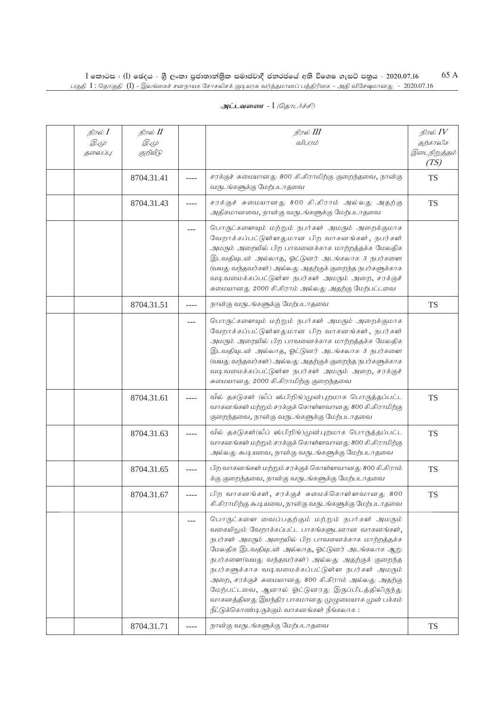| நிரல் $I$<br>Q. (L<br>தலைப்பு | நிரல் II<br><i>D</i> .4<br>குறியீடு |          | நிரல் III<br>விபரம்                                                                                                                                                                                                                                                                                                                                                                                                                                                                                                             | நிரல் $IV$<br>தற்காலிக<br>இடைநிறுத்தம்<br>(TS) |
|-------------------------------|-------------------------------------|----------|---------------------------------------------------------------------------------------------------------------------------------------------------------------------------------------------------------------------------------------------------------------------------------------------------------------------------------------------------------------------------------------------------------------------------------------------------------------------------------------------------------------------------------|------------------------------------------------|
|                               | 8704.31.41                          |          | சரக்குச் சுமையானது 800 கி.கிராமிற்கு குறைந்தவை, நான்கு<br>வருடங்களுக்கு மேற்படாதவை                                                                                                                                                                                                                                                                                                                                                                                                                                              | <b>TS</b>                                      |
|                               | 8704.31.43                          |          | சரக்குச் சுமையானது 800 கி.கிராம் அல்லது அதற்கு<br>அதிகமானவை, நான்கு வருடங்களுக்கு மேற்படாதவை                                                                                                                                                                                                                                                                                                                                                                                                                                    | <b>TS</b>                                      |
|                               |                                     |          | பொருட்களையும் மற்றும் நபர்கள் அமரும் அறைக்குமாக<br>வேறாக்கப்பட்டுள்ளதுமான பிற வாகனங்கள், நபர்கள்<br>அமரும் அறையில் பிற பாவனைக்காக மாற்றத்தக்க மேலதிக<br>இடவதியுடன் அல்லாத, ஓட்டுனர் அடங்கலாக 3 நபர்களை<br>(வயது வந்தவர்கள்) அல்லது அதற்குக் குறைந்த நபர்களுக்காக<br>வடிவமைக்கப்பட்டுள்ள நபர்கள் அமரும் அறை, சரக்குச்<br>சுமையானது 2000 கி.கிராம் அல்லது அதற்கு மேற்பட்டவை                                                                                                                                                       |                                                |
|                               | 8704.31.51                          | ----     | நான்கு வருடங்களுக்கு மேற்படாதவை                                                                                                                                                                                                                                                                                                                                                                                                                                                                                                 | <b>TS</b>                                      |
|                               |                                     |          | பொருட்களையும் மற்றும் நபர்கள் அமரும் அறைக்குமாக<br>வேறாக்கப்பட்டுள்ளதுமான பிற வாகனங்கள், நபர்கள்<br>அமரும் அறையில் பிற பாவனைக்காக மாற்றத்தக்க மேலதிக<br>இடவதியுடன் அல்லாத, ஓட்டுனர் அடங்கலாக 3 நபர்களை<br>(வயது வந்தவர்கள்) அல்லது அதற்குக் குறைந்த நபர்களுக்காக<br>வடிவமைக்கப்பட்டுள்ள நபர்கள் அமரும் அறை, சரக்குச்<br>சுமையானது 2000 கி.கிராமிற்கு குறைந்தவை                                                                                                                                                                  |                                                |
|                               | 8704.31.61                          |          | வீல் தகடுகள் (லீப் ஸ்பிறிங்)முன்புறமாக பொருத்தப்பட்ட<br>வாகனங்கள் மற்றும் சரக்குக் கொள்ளவானது 800 கி.கிராமிற்கு<br>குறைந்தவை, நான்கு வருடங்களுக்கு மேற்படாதவை                                                                                                                                                                                                                                                                                                                                                                   | <b>TS</b>                                      |
|                               | 8704.31.63                          |          | வீல் தகடுகள்(லீப் ஸ்பிறிங்)முன்புறமாக பொருத்தப்பட்ட<br>வாகனங்கள் மற்றும் சரக்குக் கொள்ளவானது 800 கி.கிராமிற்கு<br>அல்லது கூடியவை, நான்கு வருடங்களுக்கு மேற்படாதவை                                                                                                                                                                                                                                                                                                                                                               | <b>TS</b>                                      |
|                               | 8704.31.65                          |          | பிற வாகனங்கள் மற்றும் சரக்குக் கொள்ளவானது 800 கி.கிராம்<br>க்கு குறைந்தவை, நான்கு வருடங்களுக்கு மேற்படாதவை                                                                                                                                                                                                                                                                                                                                                                                                                      | <b>TS</b>                                      |
|                               | 8704.31.67                          |          | பிற வாகனங்கள், சரக்குச் சுமைக்கொள்ளவானது 800<br>கி.கிராமிற்கு கூடியவை, நான்கு வருடங்களுக்கு மேற்படாதவை                                                                                                                                                                                                                                                                                                                                                                                                                          | <b>TS</b>                                      |
|                               |                                     |          | பொருட்களை வைப்பதற்கும் மற்றும் நபர்கள் அமரும்<br>வகையிலும் வேறாக்கப்பட்ட பாகங்களுடனான வாகனங்கள்,<br>நபர்கள் அமரும் அறையில் பிற பாவனைக்காக மாற்றத்தக்க<br>மேலதிக இடவதியுடன் அல்லாத, ஓட்டுனர் அடங்கலாக ஆறு<br>நபர்களை(வயது வந்தவர்கள்) அல்லது அதற்குக் குறைந்த<br>நபர்களுக்காக வடிவமைக்கப்பட்டுள்ள நபர்கள் அமரும்<br>அறை, சரக்குச் சுமையானது 800 கி.கிராம் அல்லது அதற்கு<br>மேற்பட்டவை, ஆனால் ஓட்டுனரது இருப்பிடத்திலிருந்து<br>வாகனத்தினது இயந்திர பாகமானது முழுமையாக முன் பக்கம்<br>நீட்டுக்கொண்டிருக்கும் வாகனங்கள் நீங்கலாக : |                                                |
|                               | 8704.31.71                          | $\cdots$ | நான்கு வருடங்களுக்கு மேற்படாதவை                                                                                                                                                                                                                                                                                                                                                                                                                                                                                                 | TS                                             |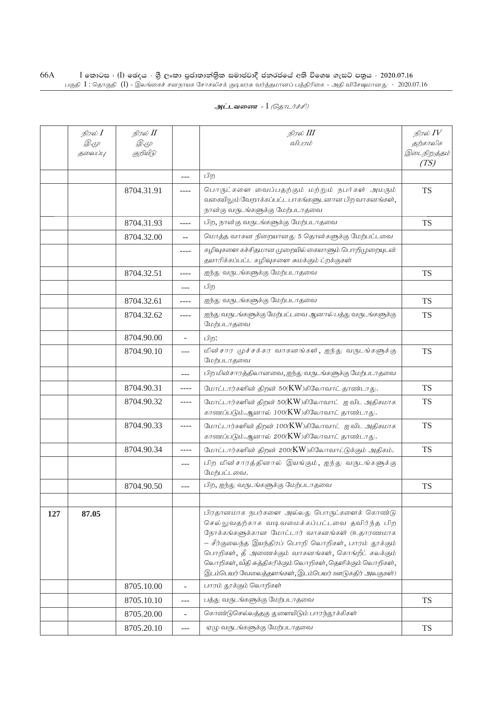|     | நிரல் $I$<br>Q. (L<br>தலைப்பு | நிரல் II<br><i>D</i> .4<br>குறியீடு |                          | நிரல் III<br>விபாம்                                                                                                                                                                                                                                                                                                                                                             | நிரல் $IV$<br>தற்காலிக<br>இடைநிறுத்தம்<br>(TS) |
|-----|-------------------------------|-------------------------------------|--------------------------|---------------------------------------------------------------------------------------------------------------------------------------------------------------------------------------------------------------------------------------------------------------------------------------------------------------------------------------------------------------------------------|------------------------------------------------|
|     |                               |                                     | $---$                    | பிற                                                                                                                                                                                                                                                                                                                                                                             |                                                |
|     |                               | 8704.31.91                          | ----                     | பொருட்களை வைப்பதற்கும் மற்றும் நபர்கள் அமரும்<br>வகையிலும் வேறாக்கப்பட்ட பாகங்களுடனான பிற வாகனங்கள்,<br>நான்கு வருடங்களுக்கு மேற்படாதவை                                                                                                                                                                                                                                         | <b>TS</b>                                      |
|     |                               | 8704.31.93                          | ----                     | பிற, நான்கு வருடங்களுக்கு மேற்படாதவை                                                                                                                                                                                                                                                                                                                                            | <b>TS</b>                                      |
|     |                               | 8704.32.00                          | $-$                      | மொத்த வாகன நிறையானது 5 தொன்களுக்கு மேற்பட்டவை                                                                                                                                                                                                                                                                                                                                   |                                                |
|     |                               |                                     | ----                     | கழிவுகளை கச்சிதமான முறையில் கையாளும் பொறிமுறையுடன்<br>தயாரிக்கப்பட்ட கழிவுகளை சுமக்கும் ட்றக்குகள்                                                                                                                                                                                                                                                                              |                                                |
|     |                               | 8704.32.51                          | ----                     | ஐந்து வருடங்களுக்கு மேற்படாதவை                                                                                                                                                                                                                                                                                                                                                  | <b>TS</b>                                      |
|     |                               |                                     | ---                      | பிற                                                                                                                                                                                                                                                                                                                                                                             |                                                |
|     |                               | 8704.32.61                          | ----                     | ஐந்து வருடங்களுக்கு மேற்படாதவை                                                                                                                                                                                                                                                                                                                                                  | <b>TS</b>                                      |
|     |                               | 8704.32.62                          | ----                     | ஐந்து வருடங்களுக்கு மேற்பட்டவை ஆனால் பத்து வருடங்களுக்கு<br>மேற்படாதவை                                                                                                                                                                                                                                                                                                          | <b>TS</b>                                      |
|     |                               | 8704.90.00                          | $\overline{\phantom{a}}$ | பிற:                                                                                                                                                                                                                                                                                                                                                                            |                                                |
|     |                               | 8704.90.10                          | $---$                    | மின்சார முச்சக்கர வாகனங்கள், ஐந்து வருடங்களுக்கு<br>மேற்படாதவை                                                                                                                                                                                                                                                                                                                  | <b>TS</b>                                      |
|     |                               |                                     | ---                      | பிற மின்சாரத்திலானவை, ஐந்து வருடங்களுக்கு மேற்படாதவை                                                                                                                                                                                                                                                                                                                            |                                                |
|     |                               | 8704.90.31                          | $- - - -$                | மோட்டார்களின் திறன் 50(KW)கிலோவாட் தாண்டாது.                                                                                                                                                                                                                                                                                                                                    | <b>TS</b>                                      |
|     |                               | 8704.90.32                          | $- - - -$                | மோட்டார்களின் திறன் 50(KW)கிலோவாட் ஐ விட அதிகமாக<br>காணப்படும்.ஆனால் 100(KW)கிலோவாட் தாண்டாது.                                                                                                                                                                                                                                                                                  | TS                                             |
|     |                               | 8704.90.33                          | $---$                    | மோட்டார்களின் திறன் 100(KW)கிலோவாட் ஐ விட அதிகமாக<br>காணப்படும்.ஆனால் 200(KW)கிலோவாட் தாண்டாது.                                                                                                                                                                                                                                                                                 | <b>TS</b>                                      |
|     |                               | 8704.90.34                          | ----                     | மோட்டார்களின் திறன் 200(KW)கிலோவாட்டுக்கும் அதிகம்.                                                                                                                                                                                                                                                                                                                             | <b>TS</b>                                      |
|     |                               |                                     | ---                      | பிற மின்சாரத்தினால் இயங்கும், ஐந்து வருடங்களுக்கு<br>மேற்பட்டவை.                                                                                                                                                                                                                                                                                                                |                                                |
|     |                               | 8704.90.50                          | ---                      | பிற, ஐந்து வருடங்களுக்கு மேற்படாதவை                                                                                                                                                                                                                                                                                                                                             | <b>TS</b>                                      |
|     |                               |                                     |                          |                                                                                                                                                                                                                                                                                                                                                                                 |                                                |
| 127 | 87.05                         |                                     |                          | பிரதானமாக நபர்களை அல்லது பொருட்களைக் கொண்டு<br>செல்லுவதற்காக வடிவமைக்கப்பட்டவை தவிர்ந்த பிற<br>நோக்கங்களுக்கான மோட்டார் வாகனங்கள் (உதாரணமாக<br>– சீர்குலைந்த இயந்திரப் பொறி லொறிகள், பாரம் தூக்கும்<br>பொறிகள், தீ அணைக்கும் வாகனங்கள், கொங்றீட் கலக்கும்<br>லொறிகள், வீதி சுத்திகரிக்கும் லொறிகள், தெளிக்கும் லொறிகள்,<br>இடம்பெயர் வேலைத்தளங்கள், இடம்பெயர் ஊடுகதிர் அலகுகள்) |                                                |
|     |                               | 8705.10.00                          | ÷.                       | பாரம் தூக்கும் லொறிகள்                                                                                                                                                                                                                                                                                                                                                          |                                                |
|     |                               | 8705.10.10                          | ---                      | பத்து வருடங்களுக்கு மேற்படாதவை                                                                                                                                                                                                                                                                                                                                                  | <b>TS</b>                                      |
|     |                               | 8705.20.00                          | $\overline{a}$           | கொண்டுசெல்லத்தகு துளையிடும் பாரந்தூக்கிகள்                                                                                                                                                                                                                                                                                                                                      |                                                |
|     |                               | 8705.20.10                          | ---                      | ஏழு வருடங்களுக்கு மேற்படாதவை                                                                                                                                                                                                                                                                                                                                                    | <b>TS</b>                                      |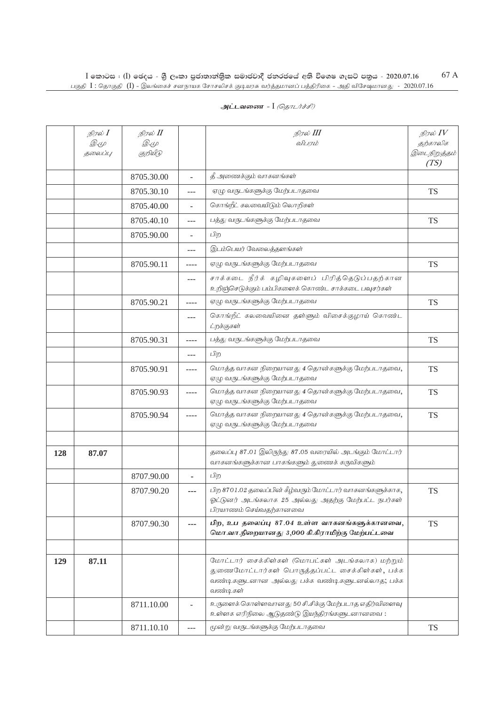| அட்டவணை - I <i>(தொடர்ச்சி)</i> |  |  |  |
|--------------------------------|--|--|--|
|--------------------------------|--|--|--|

|     | நிரல் I     | நிரல் II   |                          | நிரல் III                                                                                                                                                         | நிரல் $IV$           |
|-----|-------------|------------|--------------------------|-------------------------------------------------------------------------------------------------------------------------------------------------------------------|----------------------|
|     | <i>D</i> .4 | Q. (L      |                          | விபரம்                                                                                                                                                            | தற்காலிக             |
|     | தலைப்பு     | குறியீடு   |                          |                                                                                                                                                                   | இடைநிறுத்தம்<br>(TS) |
|     |             | 8705.30.00 | $\overline{\phantom{a}}$ | தீ அணைக்கும் வாகனங்கள்                                                                                                                                            |                      |
|     |             | 8705.30.10 | $---$                    | ஏழு வருடங்களுக்கு மேற்படாதவை                                                                                                                                      | <b>TS</b>            |
|     |             | 8705.40.00 | $\overline{\phantom{a}}$ | கொங்றீட் கலவையிடும் லொறிகள்                                                                                                                                       |                      |
|     |             | 8705.40.10 | $---$                    | பத்து வருடங்களுக்கு மேற்படாதவை                                                                                                                                    | <b>TS</b>            |
|     |             | 8705.90.00 | $\overline{\phantom{a}}$ | பிற                                                                                                                                                               |                      |
|     |             |            | $---$                    | இடம்பெயர் வேலைத்தளங்கள்                                                                                                                                           |                      |
|     |             | 8705.90.11 | ----                     | ஏழு வருடங்களுக்கு மேற்படாதவை                                                                                                                                      | <b>TS</b>            |
|     |             |            | ---                      | சாக்கடை நீர்க் கழிவுகளைப் பிரித்தெடுப்பதற்கான<br>உறிஞ்செடுக்கும் பம்பிகளைக் கொண்ட சாக்கடை பவுசர்கள்                                                               |                      |
|     |             | 8705.90.21 | $--- -$                  | ஏழு வருடங்களுக்கு மேற்படாதவை                                                                                                                                      | <b>TS</b>            |
|     |             |            | $---$                    | கொங்றீட் கலவையினை தள்ளும் விசைக்குழாய் கொண்ட<br>ட்றக்குகள்                                                                                                        |                      |
|     |             | 8705.90.31 | ----                     | பத்து வருடங்களுக்கு மேற்படாதவை                                                                                                                                    | <b>TS</b>            |
|     |             |            | ---                      | பிற                                                                                                                                                               |                      |
|     |             | 8705.90.91 | ----                     | மொத்த வாகன நிறையானது 4 தொன்களுக்கு மேற்படாதவை,<br>ஏழு வருடங்களுக்கு மேற்படாதவை                                                                                    | <b>TS</b>            |
|     |             | 8705.90.93 | $--- -$                  | மொத்த வாகன நிறையானது 4 தொன்களுக்கு மேற்படாதவை,<br>ஏழு வருடங்களுக்கு மேற்படாதவை                                                                                    | <b>TS</b>            |
|     |             | 8705.90.94 | ----                     | மொத்த வாகன நிறையானது 4 தொன்களுக்கு மேற்படாதவை,<br>ஏழு வருடங்களுக்கு மேற்படாதவை                                                                                    | <b>TS</b>            |
|     |             |            |                          |                                                                                                                                                                   |                      |
| 128 | 87.07       |            |                          | தலைப்பு 87.01 இலிருந்து 87.05 வரையில் அடங்கும் மோட்டார்<br>வாகனங்களுக்கான பாகங்களும் துணைக் கருவிகளும்                                                            |                      |
|     |             | 8707.90.00 |                          | பிற                                                                                                                                                               |                      |
|     |             | 8707.90.20 | ---                      | பிற 8701.02 தலைப்பின் கீழ்வரும் மோட்டார் வாகனங்களுக்காக,<br>ஓட்டுனர் அடங்கலாக 25 அல்லது அதற்கு மேற்பட்ட நபர்கள்<br>பிரயாணம் செய்வதற்கானவை                         | <b>TS</b>            |
|     |             | 8707.90.30 | ---                      | பிற, உப தலைப்பு 87.04 உள்ள வாகனங்களுக்கானவை,<br>மொ.வா.நிறையானது 3,000 கி.கிராமிற்கு மேற்பட்டவை                                                                    | <b>TS</b>            |
|     |             |            |                          |                                                                                                                                                                   |                      |
| 129 | 87.11       |            |                          | மோட்டார் சைக்கிள்கள் (மொபட்கள் அடங்கலாக) மற்றும்<br>துணைமோட்டார்கள் பொருத்தப்பட்ட சைக்கிள்கள், பக்க<br>வண்டிகளுடனான அல்லது பக்க வண்டிகளுடனல்லாத; பக்க<br>வண்டிகள் |                      |
|     |             | 8711.10.00 |                          | உருளைக் கொள்ளவானது 50 சி.சிக்கு மேற்படாத எதிர்விளைவு<br>உள்ளக எரிநிலை ஆடுதண்டு இயந்திரங்களுடனானவை:                                                                |                      |
|     |             | 8711.10.10 | ---                      | மூன்று வருடங்களுக்கு மேற்படாதவை                                                                                                                                   | <b>TS</b>            |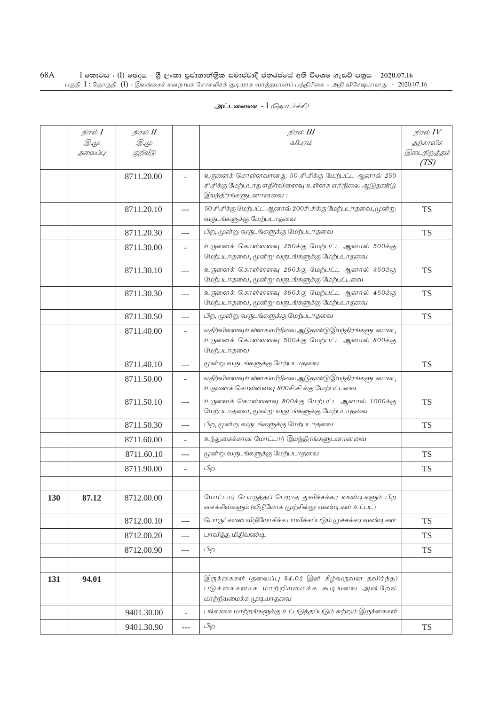|     | நிரல் $I$ | நிரல் II   |                          | நிரல் III                                                                                                               | நிரல் $\mathit{IV}$  |
|-----|-----------|------------|--------------------------|-------------------------------------------------------------------------------------------------------------------------|----------------------|
|     | Q. (L     | Q. (L      |                          | விபரம்                                                                                                                  | தற்காலிக             |
|     | தலைப்பு   | குறியீடு   |                          |                                                                                                                         | இடைநிறுத்தம்<br>(TS) |
|     |           | 8711.20.00 | $\overline{\phantom{a}}$ | உருளைக் கொள்ளவானது 50 சி.சிக்கு மேற்பட்ட ஆனால் 250                                                                      |                      |
|     |           |            |                          | சி.சிக்கு மேற்படாத எதிர்விளைவு உள்ளக எரிநிலை ஆடுதண்டு                                                                   |                      |
|     |           |            |                          | இயந்திரங்களுடனானவை:                                                                                                     |                      |
|     |           | 8711.20.10 | $---$                    | 50 சி.சிக்கு மேற்பட்ட ஆனால் 200சி.சிக்கு மேற்படாதவை, மூன்று<br>வருடங்களுக்கு மேற்படாதவை                                 | <b>TS</b>            |
|     |           | 8711.20.30 | ---                      | பிற, மூன்று வருடங்களுக்கு மேற்படாதவை                                                                                    | <b>TS</b>            |
|     |           | 8711.30.00 | $\overline{\phantom{a}}$ | உருளைக் கொள்ளளவு 250க்கு மேற்பட்ட ஆனால் 500க்கு<br>மேற்படாதவை, மூன்று வருடங்களுக்கு மேற்படாதவை                          |                      |
|     |           | 8711.30.10 | ---                      | உருளைக் கொள்ளளவு 250க்கு மேற்பட்ட ஆனால் 350க்கு<br>மேற்படாதவை, மூன்று வருடங்களுக்கு மேற்பட்டவை                          | <b>TS</b>            |
|     |           | 8711.30.30 | $---$                    | உருளைக் கொள்ளளவு 350க்கு மேற்பட்ட ஆனால் 450க்கு<br>மேற்படாதவை, மூன்று வருடங்களுக்கு மேற்படாதவை                          | <b>TS</b>            |
|     |           | 8711.30.50 | ---                      | பிற, மூன்று வருடங்களுக்கு மேற்படாதவை                                                                                    | <b>TS</b>            |
|     |           | 8711.40.00 | $\overline{\phantom{a}}$ | எதிர்விளைவு உள்ளக எரிநிலை ஆடுதண்டு இயந்திரங்களுடனான,<br>உருளைக் கொள்ளளவு 500க்கு மேற்பட்ட ஆனால் 800க்கு<br>மேற்படாதவை   |                      |
|     |           | 8711.40.10 | ---                      | மூன்று வருடங்களுக்கு மேற்படாதவை                                                                                         | <b>TS</b>            |
|     |           | 8711.50.00 | $\overline{\phantom{a}}$ | எதிர்விளைவு உள்ளக எரிநிலை ஆடுதண்டு இயந்திரங்களுடனான,<br>உருளைக் கொள்ளளவு 800சி.சி க்கு மேற்பட்டவை                       |                      |
|     |           | 8711.50.10 | ---                      | உருளைக் கொள்ளளவு 800க்கு மேற்பட்ட ஆனால் 1000க்கு<br>மேற்படாதவை, மூன்று வருடங்களுக்கு மேற்படாதவை                         | <b>TS</b>            |
|     |           | 8711.50.30 | $---$                    | பிற, மூன்று வருடங்களுக்கு மேற்படாதவை                                                                                    | <b>TS</b>            |
|     |           | 8711.60.00 | L,                       | உந்துகைக்கான மோட்டார் இயந்திரங்களுடனானவை                                                                                |                      |
|     |           | 8711.60.10 | ---                      | மூன்று வருடங்களுக்கு மேற்படாதவை                                                                                         | <b>TS</b>            |
|     |           | 8711.90.00 | $\overline{\phantom{a}}$ | பிற                                                                                                                     | <b>TS</b>            |
|     |           |            |                          |                                                                                                                         |                      |
| 130 | 87.12     | 8712.00.00 |                          | மோட்டார் பொருத்தப் பெறாத துவிச்சக்கர வண்டிகளும் பிற<br>சைக்கிள்களும் (விநியோக முற்சில்லு வண்டிகள் உட்பட)                |                      |
|     |           | 8712.00.10 | ---                      | பொருட்களை விநியோகிக்க பாவிக்கப்படும் முச்சக்கர வண்டிகள்                                                                 | <b>TS</b>            |
|     |           | 8712.00.20 | $---$                    | பாவித்த மிதிவண்டி                                                                                                       | <b>TS</b>            |
|     |           | 8712.00.90 | ---                      | பிற                                                                                                                     | <b>TS</b>            |
|     |           |            |                          |                                                                                                                         |                      |
| 131 | 94.01     |            |                          | இருக்கைகள் (தலைப்பு 94.02 இன் கீழ்வருவன தவிர்ந்த)<br>படுக்கைகளாக மாற்றியமைக்க கூடியவை அன்றேல்<br>மாற்றியமைக்க முடியாதவை |                      |
|     |           | 9401.30.00 | $\overline{\phantom{0}}$ | பல்வகை மாற்றங்களுக்கு உட்படுத்தப்படும் சுற்றும் இருக்கைகள்                                                              |                      |
|     |           | 9401.30.90 | $---$                    | பிற                                                                                                                     | <b>TS</b>            |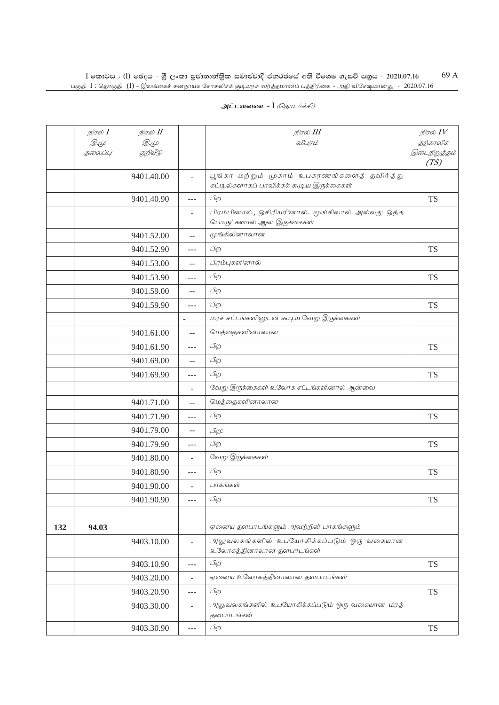| அட்டவணை - I <i>(தொடர்ச்சி)</i> |  |  |  |
|--------------------------------|--|--|--|
|--------------------------------|--|--|--|

|     | நிரல் I     | நிரல் II    |                          | நிரல் III                                                                      | நிரல் $IV$           |
|-----|-------------|-------------|--------------------------|--------------------------------------------------------------------------------|----------------------|
|     | <i>D.</i> 4 | <i>D</i> .4 |                          | விபரம்                                                                         | தற்காலிக             |
|     | தலைப்பு     | குறியீடு    |                          |                                                                                | இடைநிறுத்தம்<br>(TS) |
|     |             | 9401.40.00  | $\overline{\phantom{a}}$ | பூங்கா மற்றும் முகாம் உபகரணங்களைத் தவிர்த்து                                   |                      |
|     |             |             |                          | கட்டில்களாகப் பாவிக்கக் கூடிய இருக்கைகள்                                       |                      |
|     |             | 9401.40.90  | $---$                    | பிற                                                                            | <b>TS</b>            |
|     |             |             | -                        | பிரம்பினால், ஒசிரியரினால். மூங்கிலால் அல்லது ஒத்த<br>பொருட்களால் ஆன இருக்கைகள் |                      |
|     |             | 9401.52.00  | $-$                      | மூங்கிலினாலான                                                                  |                      |
|     |             | 9401.52.90  | ---                      | பிற                                                                            | <b>TS</b>            |
|     |             | 9401.53.00  | $\qquad \qquad -$        | பிரம்புகளினால்                                                                 |                      |
|     |             | 9401.53.90  | $---$                    | பிற                                                                            | <b>TS</b>            |
|     |             | 9401.59.00  | $-$                      | பிற                                                                            |                      |
|     |             | 9401.59.90  | $---$                    | பிற                                                                            | <b>TS</b>            |
|     |             |             |                          | மரச் சட்டங்களினுடன் கூடிய வேறு இருக்கைகள்                                      |                      |
|     |             | 9401.61.00  | $-$                      | மெத்தைகளினாலான                                                                 |                      |
|     |             | 9401.61.90  | $---$                    | பிற                                                                            | <b>TS</b>            |
|     |             | 9401.69.00  | $-$                      | பிற                                                                            |                      |
|     |             | 9401.69.90  | ---                      | பிற                                                                            | <b>TS</b>            |
|     |             |             | ÷                        | வேறு இருக்கைகள் உலோக சட்டங்களினால் ஆனவை                                        |                      |
|     |             | 9401.71.00  | $-$                      | மெத்தைகளினாலான                                                                 |                      |
|     |             | 9401.71.90  | $---$                    | பிற                                                                            | <b>TS</b>            |
|     |             | 9401.79.00  | $-$                      | பிற:                                                                           |                      |
|     |             | 9401.79.90  | ---                      | பிற                                                                            | <b>TS</b>            |
|     |             | 9401.80.00  | $\overline{\phantom{a}}$ | வேறு இருக்கைகள்                                                                |                      |
|     |             | 9401.80.90  | ---                      | பிற                                                                            | <b>TS</b>            |
|     |             | 9401.90.00  | $\overline{\phantom{0}}$ | பாகங்கள்                                                                       |                      |
|     |             | 9401.90.90  |                          | பிற                                                                            | TS                   |
|     |             |             |                          |                                                                                |                      |
| 132 | 94.03       |             |                          | ஏனைய தளபாடங்களும் அவற்றின் பாகங்களும்                                          |                      |
|     |             | 9403.10.00  | ÷,                       | அலுவலகங்களில் உபயோகிக்கப்படும் ஒரு வகையான<br>உலோகத்தினாலான தளபாடங்கள்          |                      |
|     |             | 9403.10.90  | ---                      | பிற                                                                            | <b>TS</b>            |
|     |             | 9403.20.00  | ÷,                       | ஏனைய உலோகத்தினாலான தளபாடங்கள்                                                  |                      |
|     |             | 9403.20.90  | ---                      | பிற                                                                            | <b>TS</b>            |
|     |             | 9403.30.00  | $\overline{\phantom{a}}$ | அலுவலகங்களில் உபயோகிக்கப்படும் ஒரு வகையான மரத்<br>தளபாடங்கள்                   |                      |
|     |             | 9403.30.90  | $---$                    | பிற                                                                            | <b>TS</b>            |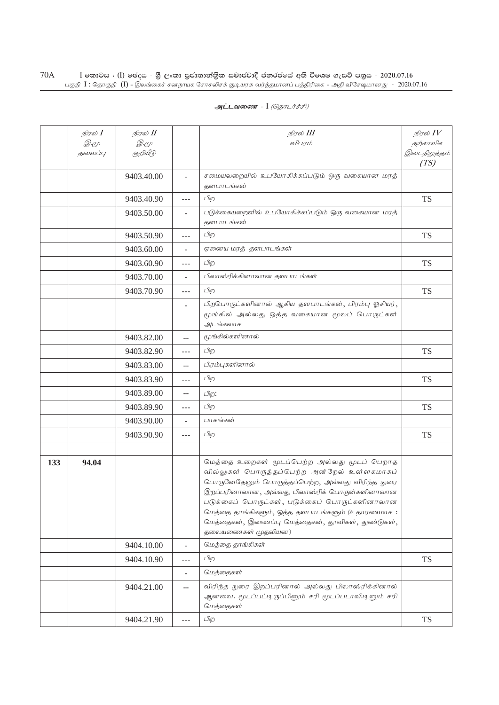|     | நிரல் $I$ | நிரல் II    |                          | நிரல் III                                                                                                                                                                                                                                                                                                                                                                        | நிரல் $IV$           |
|-----|-----------|-------------|--------------------------|----------------------------------------------------------------------------------------------------------------------------------------------------------------------------------------------------------------------------------------------------------------------------------------------------------------------------------------------------------------------------------|----------------------|
|     | Q. (L     | <i>D</i> .4 |                          | விபரம்                                                                                                                                                                                                                                                                                                                                                                           | தற்காலிக             |
|     | தலைப்பு   | குறியீடு    |                          |                                                                                                                                                                                                                                                                                                                                                                                  | இடைநிறுத்தம்<br>(TS) |
|     |           | 9403.40.00  | $\overline{\phantom{a}}$ | சமையலறையில் உபயோகிக்கப்படும் ஒரு வகையான மரத்<br>தளபாடங்கள்                                                                                                                                                                                                                                                                                                                       |                      |
|     |           | 9403.40.90  | ---                      | பிற                                                                                                                                                                                                                                                                                                                                                                              | <b>TS</b>            |
|     |           | 9403.50.00  | $\overline{\phantom{a}}$ | படுக்கையறைளில் உபயோகிக்கப்படும் ஒரு வகையான மரத்<br>தளபாடங்கள்                                                                                                                                                                                                                                                                                                                    |                      |
|     |           | 9403.50.90  | ---                      | பிற                                                                                                                                                                                                                                                                                                                                                                              | <b>TS</b>            |
|     |           | 9403.60.00  |                          | ஏனைய மரத் தளபாடங்கள்                                                                                                                                                                                                                                                                                                                                                             |                      |
|     |           | 9403.60.90  | ---                      | பிற                                                                                                                                                                                                                                                                                                                                                                              | <b>TS</b>            |
|     |           | 9403.70.00  | $\overline{\phantom{a}}$ | பிலாஸ்ரிக்கினாலான தளபாடங்கள்                                                                                                                                                                                                                                                                                                                                                     |                      |
|     |           | 9403.70.90  | $\overline{a}$           | பிற                                                                                                                                                                                                                                                                                                                                                                              | <b>TS</b>            |
|     |           |             | $\sim$                   | பிறபொருட்களினால் ஆகிய தளபாடங்கள், பிரம்பு ஓசியர்,<br>மூங்கில் அல்லது ஒத்த வகையான மூலப் பொருட்கள்<br>அடங்கலாக                                                                                                                                                                                                                                                                     |                      |
|     |           | 9403.82.00  | $\overline{\phantom{a}}$ | மூங்கில்களினால்                                                                                                                                                                                                                                                                                                                                                                  |                      |
|     |           | 9403.82.90  | $---$                    | பிற                                                                                                                                                                                                                                                                                                                                                                              | <b>TS</b>            |
|     |           | 9403.83.00  | $-$                      | பிரம்புகளினால்                                                                                                                                                                                                                                                                                                                                                                   |                      |
|     |           | 9403.83.90  | ---                      | பிற                                                                                                                                                                                                                                                                                                                                                                              | <b>TS</b>            |
|     |           | 9403.89.00  | $\overline{\phantom{m}}$ | பிற:                                                                                                                                                                                                                                                                                                                                                                             |                      |
|     |           | 9403.89.90  | $---$                    | பிற                                                                                                                                                                                                                                                                                                                                                                              | <b>TS</b>            |
|     |           | 9403.90.00  | $\overline{\phantom{a}}$ | பாகங்கள்                                                                                                                                                                                                                                                                                                                                                                         |                      |
|     |           | 9403.90.90  | ---                      | பிற                                                                                                                                                                                                                                                                                                                                                                              | <b>TS</b>            |
|     |           |             |                          |                                                                                                                                                                                                                                                                                                                                                                                  |                      |
| 133 | 94.04     |             |                          | மெத்தை உறைகள் மூடப்பெற்ற அல்லது மூடப் பெறாத<br>வில்லுகள் பொருத்தப்பெற்ற அன்றேல் உள்ளகமாகப்<br>பொருளேதேனும் பொருத்தப்பெற்ற, அல்லது விரிந்த நுரை<br>இறப்பரினாலான, அல்லது பிலாஸ்ரிக் பொருள்களினாலான<br>படுக்கைப் பொருட்கள், படுக்கைப் பொருட்களினாலான<br>மெத்தை தாங்கிகளும், ஒத்த தளபாடங்களும் (உதாரணமாக:<br>மெத்தைகள், இணைப்பு மெத்தைகள், தூவிகள், துண்டுகள்,<br>தலையணைகள் முதலியன) |                      |
|     |           | 9404.10.00  | $\overline{a}$           | மெத்தை தாங்கிகள்                                                                                                                                                                                                                                                                                                                                                                 |                      |
|     |           | 9404.10.90  | ---                      | பிற                                                                                                                                                                                                                                                                                                                                                                              | <b>TS</b>            |
|     |           |             | $\overline{\phantom{a}}$ | மெத்தைகள்                                                                                                                                                                                                                                                                                                                                                                        |                      |
|     |           | 9404.21.00  | $-$                      | விரிந்த நுரை இறப்பரினால் அல்லது பிலாஸ்ரிக்கினால்<br>ஆனவை. மூடப்பட்டிருப்பினும் சரி மூடப்படாவிடினும் சரி<br>மெத்தைகள்                                                                                                                                                                                                                                                             |                      |
|     |           | 9404.21.90  | $---$                    | பிற                                                                                                                                                                                                                                                                                                                                                                              | <b>TS</b>            |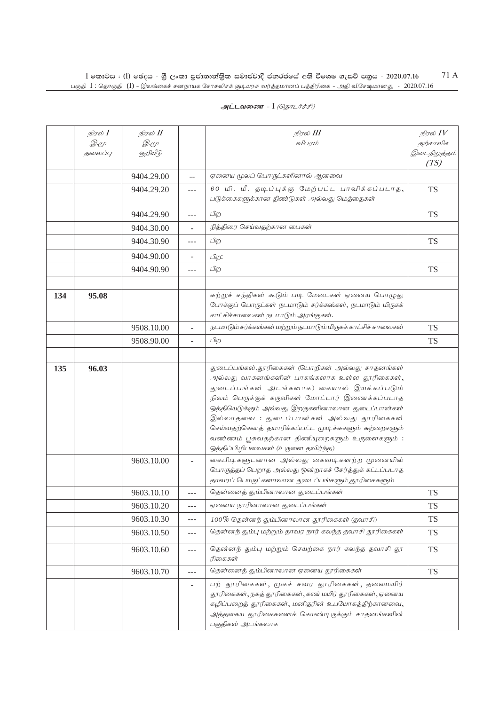|     | நிரல் $I$              | நிரல் II                |                          | நிரல் III                                                                                                                                                                                                                                                                                                                                                                                                                                           | நிரல் $IV$               |
|-----|------------------------|-------------------------|--------------------------|-----------------------------------------------------------------------------------------------------------------------------------------------------------------------------------------------------------------------------------------------------------------------------------------------------------------------------------------------------------------------------------------------------------------------------------------------------|--------------------------|
|     | <i>D.</i> 4<br>தலைப்பு | <i>D</i> .4<br>குறியீடு |                          | விபரம்                                                                                                                                                                                                                                                                                                                                                                                                                                              | தற்காலிக<br>இடைநிறுத்தம் |
|     |                        |                         |                          |                                                                                                                                                                                                                                                                                                                                                                                                                                                     | (TS)                     |
|     |                        | 9404.29.00              | $-$                      | ஏனைய மூலப் பொருட்களினால் ஆனவை                                                                                                                                                                                                                                                                                                                                                                                                                       |                          |
|     |                        | 9404.29.20              | $---$                    | 60 மி. மீ. தடிப்புக்கு மேற்பட்ட பாவிக்கப்படாத,<br>படுக்கைகளுக்கான திண்டுகள் அல்லது மெத்தைகள்                                                                                                                                                                                                                                                                                                                                                        | <b>TS</b>                |
|     |                        | 9404.29.90              | $---$                    | பிற                                                                                                                                                                                                                                                                                                                                                                                                                                                 | <b>TS</b>                |
|     |                        | 9404.30.00              |                          | நித்திரை செய்வதற்கான பைகள்                                                                                                                                                                                                                                                                                                                                                                                                                          |                          |
|     |                        | 9404.30.90              | $---$                    | பிற                                                                                                                                                                                                                                                                                                                                                                                                                                                 | <b>TS</b>                |
|     |                        | 9404.90.00              | $\overline{\phantom{a}}$ | பிற:                                                                                                                                                                                                                                                                                                                                                                                                                                                |                          |
|     |                        | 9404.90.90              | $\overline{a}$           | பிற                                                                                                                                                                                                                                                                                                                                                                                                                                                 | <b>TS</b>                |
|     |                        |                         |                          |                                                                                                                                                                                                                                                                                                                                                                                                                                                     |                          |
| 134 | 95.08                  |                         |                          | சுற்றுச் சந்திகள் கூடும் படி மேடைகள் ஏனைய பொழுது<br>போக்குப் பொருட்கள் நடமாடும் சர்க்கஸ்கள், நடமாடும் மிருகக்<br>காட்சிச்சாலைகள் நடமாடும் அரங்குகள்.                                                                                                                                                                                                                                                                                                |                          |
|     |                        | 9508.10.00              | $\overline{\phantom{a}}$ | நடமாடும் சர்க்கஸ்கள் மற்றும் நடமாடும் மிருகக் காட்சிச் சாலைகள்                                                                                                                                                                                                                                                                                                                                                                                      | <b>TS</b>                |
|     |                        | 9508.90.00              | $\overline{\phantom{a}}$ | பிற                                                                                                                                                                                                                                                                                                                                                                                                                                                 | <b>TS</b>                |
|     |                        |                         |                          |                                                                                                                                                                                                                                                                                                                                                                                                                                                     |                          |
| 135 | 96.03                  |                         |                          | துடைப்பங்கள்,தூரிகைகள் (பொறிகள் அல்லது சாதனங்கள்<br>அல்லது வாகனங்களின் பாகங்களாக உள்ள தூரிகைகள்,<br>துடைப்பங்கள் அடங்களாக) கையால் இயக்கப்படும்<br>நிலம் பெருக்குக் கருவிகள் மோட்டார் இணைக்கப்படாத<br>ஒத்தியெடுக்கும் அல்லது இறகுகளினாலான துடைப்பான்கள்<br>இல்லாதவை : துடைப்பான்கள் அல்லது தூரிகைகள்<br>செய்வதற்கெனத் தயாரிக்கப்பட்ட முடிச்சுகளும் சுற்றைகளும்<br>வண்ணம் பூசுவதற்கான திணியுறைகளும் உருளைகளும்:<br>ஒத்திப்பிழிபவைகள் (உருளை தவிர்ந்த) |                          |
|     |                        | 9603.10.00              | ÷                        | கைபிடிகளுடனான அல்லது கைவடிகளற்ற முனையில்<br>பொருத்தப் பெறாத அல்லது ஒன்றாகச் சேர்த்துக் கட்டப்படாத<br>தாவரப் பொருட்களாலான துடைப்பங்களும்,தூரிகைகளும்                                                                                                                                                                                                                                                                                                 |                          |
|     |                        | 9603.10.10              | $---$                    | தென்னைத் தும்பினாலான துடைப்பங்கள்                                                                                                                                                                                                                                                                                                                                                                                                                   | <b>TS</b>                |
|     |                        | 9603.10.20              | $---$                    | ஏனைய நாரினாலான துடைப்பங்கள்                                                                                                                                                                                                                                                                                                                                                                                                                         | <b>TS</b>                |
|     |                        | 9603.10.30              | ---                      | $100\%$ தென்னந் தும்பினாலான தூரிகைகள் (தவாசி)                                                                                                                                                                                                                                                                                                                                                                                                       | <b>TS</b>                |
|     |                        | 9603.10.50              | $---$                    | தென்னந் தும்பு மற்றும் தாவர நார் கலந்த தவாசி தூரிகைகள்                                                                                                                                                                                                                                                                                                                                                                                              | <b>TS</b>                |
|     |                        | 9603.10.60              | $---$                    | தென்னந் தும்பு மற்றும் செயற்கை நார் கலந்த தவாசி தூ<br>ரிகைகள்                                                                                                                                                                                                                                                                                                                                                                                       | <b>TS</b>                |
|     |                        | 9603.10.70              | ---                      | தென்னைத் தும்பினாலான ஏனைய தூரிகைகள்                                                                                                                                                                                                                                                                                                                                                                                                                 | <b>TS</b>                |
|     |                        |                         | $\overline{\phantom{a}}$ | பற் தூரிகைகள், முகச் சவர தூரிகைகள், தலைமயிர்<br>தூரிகைகள், நகத் தூரிகைகள், கண் மயிர் தூரிகைகள், ஏனைய<br>கழிப்பறைத் தூரிகைகள், மனிதரின் உபயோகத்திற்கானவை,<br>அத்தகைய தூரிகைகளைக் கொண்டிருக்கும் சாதனங்களின்<br>பகுதிகள் அடங்கலாக                                                                                                                                                                                                                     |                          |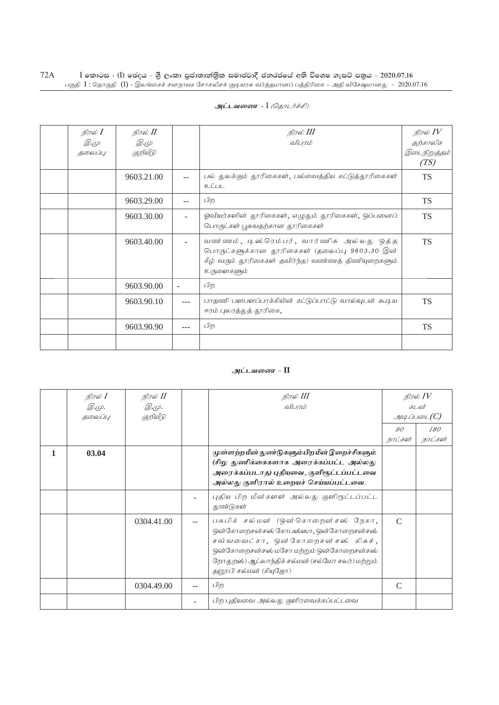| நிரல் 1<br><i>D.</i> 4<br>தலைப்பு | நிரல் II<br><i>D</i> .4<br>குறியீடு |     | நிரல் III<br>விபாம்                                                                                                                                              | நிரல் $IV$<br>தற்காலிக<br>இடைநிறுத்தம்<br>(TS) |
|-----------------------------------|-------------------------------------|-----|------------------------------------------------------------------------------------------------------------------------------------------------------------------|------------------------------------------------|
|                                   | 9603.21.00                          |     | பல் துலக்கும் தூரிகைகள், பல்வைத்திய கட்டுத்தூரிகைகள்<br>உட்பட                                                                                                    | <b>TS</b>                                      |
|                                   | 9603.29.00                          | $-$ | பிற                                                                                                                                                              | <b>TS</b>                                      |
|                                   | 9603.30.00                          |     | ஓவியர்களின் தூரிகைகள், எழுதும் தூரிகைகள், ஒப்பனைப்<br>பொருட்கள் பூசுவதற்கான தூரிகைகள்                                                                            | <b>TS</b>                                      |
|                                   | 9603.40.00                          |     | வண ்ணம், டிஸ்ரெம்பர், வார்ணிசு அல்லது ஒத்த<br>பொருட்களுக்கான தூரிகைகள் (தலைப்பு 9603.30 இன்<br>கீழ் வரும் தூரிகைகள் தவிர்ந்த) வண்ணத் திணியுறைகளும்<br>உருளைகளும் | <b>TS</b>                                      |
|                                   | 9603.90.00                          |     | பிற                                                                                                                                                              |                                                |
|                                   | 9603.90.10                          |     | பாதணி பளபளப்பாக்கியின் கட்டுப்பாட்டு வால்வுடன் கூடிய<br>ஈரம் புலரத்துத் தூரிகை,                                                                                  | <b>TS</b>                                      |
|                                   | 9603.90.90                          |     | பிற                                                                                                                                                              | <b>TS</b>                                      |
|                                   |                                     |     |                                                                                                                                                                  |                                                |

### அட்டவணை - II

|   | நிரல் <b>I</b><br>Q.44.<br>தலைப்பு | நிரல் II<br>Q. (L).<br>குறியீடு | நிரல் III<br>விபாம்                                                                                                                                                                                                                     | நிரல் $IV$<br>கடன்<br>$\mathcal{A}\mathcal{A}$ ப்படை $(C)$<br>$90^{\circ}$<br>180 |         |
|---|------------------------------------|---------------------------------|-----------------------------------------------------------------------------------------------------------------------------------------------------------------------------------------------------------------------------------------|-----------------------------------------------------------------------------------|---------|
| 1 | 03.04                              |                                 | முள்ளற்ற மீன் துண்டுகளும் பிற மீன் இறைச்சிகளும்<br>(சிறு துணிக்கைகளாக அரைக்கப்பட்ட அல்லது<br>அரைக்கப்படாத) புதியவை, குளிரூட்டப்பட்டவை<br>அல்லது குளிரால் உறையச் செய்யப்பட்டவை.                                                          | நாட்கள்                                                                           | நாட்கள் |
|   |                                    |                                 | புதிய பிற மீன்களள் அல்லது குளிரூட்டப்பட்ட<br>துண்டுகள்                                                                                                                                                                                  |                                                                                   |         |
|   |                                    | 0304.41.00                      | பசுபிக் சல்மன் (ஒன்கொறைன்சஸ் நேகா,<br>ஒன்கோறைசன்சஸ் கோபஸ்ஸா, ஒன்கோறைசன்சஸ்<br>சவ்வவைட்சா, ஒன்கோறைசன்சஸ் கிசுச்,<br>ஒன்கோறைசன்சஸ் மசோ மற்றும் ஒன்கோறைசன்சஸ்<br>றோதுறஸ்) ஆட்லாந்திக் சல்மன் (சல்மோ சலர்) மற்றும்<br>தனூபி சல்மன் (கியுஜோ) | $\Gamma$                                                                          |         |
|   |                                    | 0304.49.00                      | பிற                                                                                                                                                                                                                                     | $\mathcal{C}$                                                                     |         |
|   |                                    |                                 | பிற புதியவை அல்லது குளிரவைக்கப்பட்டவை                                                                                                                                                                                                   |                                                                                   |         |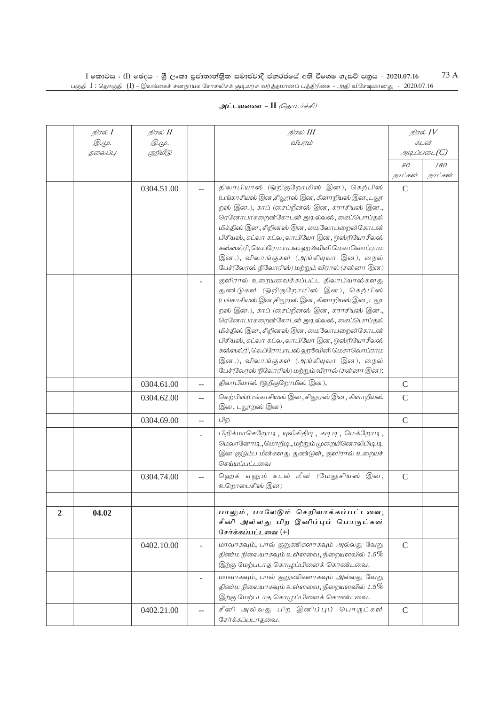|              | நிரல் I                 | நிரல் II                           |     | நிரல் III                                                                                                                                                                                                                                                                                                                                                                                                                                                       |               | நிரல் $IV$            |  |
|--------------|-------------------------|------------------------------------|-----|-----------------------------------------------------------------------------------------------------------------------------------------------------------------------------------------------------------------------------------------------------------------------------------------------------------------------------------------------------------------------------------------------------------------------------------------------------------------|---------------|-----------------------|--|
|              | <i>@.cp.</i><br>தலைப்பு | $\mathcal{D}.\varphi.$<br>குறியீடு |     | விபரம்                                                                                                                                                                                                                                                                                                                                                                                                                                                          |               | கடன்<br>$\mathcal{I}$ |  |
|              |                         |                                    |     |                                                                                                                                                                                                                                                                                                                                                                                                                                                                 | 90            | 180                   |  |
|              |                         |                                    |     |                                                                                                                                                                                                                                                                                                                                                                                                                                                                 | நாட்கள்       | நாட்கள்               |  |
|              |                         | 0304.51.00                         |     | திலாபியாஸ் (ஒறிகுறோமிஸ் இன), கெற்பிஸ்<br>(பங்காசியஸ் இன,சிலுரஸ் இன, கிளாறியஸ் இன, டலூ<br>றஸ் இன.), காப் (சைப்றீனஸ் இன, கராசியஸ் இன.,<br>ரெனோபாகறைன்கோடன் ஐடில்லஸ், கைப்பொப்தல்<br>மிக்திஸ் இன, சிறினஸ் இன, மைலோபறைன்கோடன்<br>பிசியஸ், கட்லா கட்ல, லாபியோ இன, ஒஸ்ரியோசீலஸ்<br>கஸ்ஸல்ரி, லெப்ரோபாபஸ் ஹூவினி மெகாலொப்ராம<br>இன.), விலாங்குகள் (அங்கியுலா இன), நைல்<br>பேச்(லேரஸ் நிலோரிஸ்) மற்றும் விரால் (சன்னா இன)                                               | $\mathcal{C}$ |                       |  |
|              |                         |                                    |     | குளிரால் உறையவைக்கப்பட்ட திலாபியாஸ்களது<br>துண்டுகள் (ஒறிகுறோமிஸ் இன), கெற்பிஸ்<br>(பங்காசியஸ் இன ,சிலுரஸ் இன , கிளாறியஸ் இன , டலூ<br>றஸ் இன.), காப் (சைப்றீனஸ் இன, கராசியஸ் இன.,<br>ரெனோபாகறைன்கோடன் ஐடில்லஸ், கைப்பொப்தல்<br>மிக்திஸ் இன, சிறினஸ் இன, மைலோபறைன்கோடன்<br>பிசியஸ், கட்லா கட்ல, லாபியோ இன, ஒஸ்ரியோசீலஸ்<br>கஸ்ஸல்ரி, லெப்ரோபாபஸ் ஹூவினி மெகாலொப்ராம<br>இன.), விலாங்குகள் (அங்கியுலா இன), நைல்<br>பேச்(லேரஸ் நிலோரிஸ்) மற்றும் விரால் (சன்னா இன): |               |                       |  |
|              |                         | 0304.61.00                         |     | திலாபியாஸ் (ஒறிகுறோமிஸ் இன),                                                                                                                                                                                                                                                                                                                                                                                                                                    | $\mathcal{C}$ |                       |  |
|              |                         | 0304.62.00                         | $-$ | கெற்பிஸ்(பங்காசியஸ் இன, சிலுரஸ் இன, கிளாறியஸ்<br>இன, டலூறஸ் இன)                                                                                                                                                                                                                                                                                                                                                                                                 | $\mathsf{C}$  |                       |  |
|              |                         | 0304.69.00                         | $-$ | பிற                                                                                                                                                                                                                                                                                                                                                                                                                                                             | $\mathsf{C}$  |                       |  |
|              |                         |                                    |     | பிறிக்மாசெறோடி, யுலிசிதிடி, கடிடி, மெக்றோடி,<br>மெலானோடி, மொறிடி, மற்றும் முறையினொலிபிடி டி<br>இன குடும்ப மீன்களது துண்டுள், குளிரால் உறையச்<br>செய்யப்பட்டவை                                                                                                                                                                                                                                                                                                   |               |                       |  |
|              |                         | 0304.74.00                         |     | ஹெக் எனும் கடல் மீன் (மேலுசியஸ் இன,<br>உறொபைசிஸ் இன)                                                                                                                                                                                                                                                                                                                                                                                                            | $\mathcal{C}$ |                       |  |
| $\mathbf{2}$ | 04.02                   |                                    |     | பாலும், பாலேடும் செறிவாக்கப்பட்டவை,<br>சீனி அல்லது பிற இனிப்புப் பொருட்கள்<br>சேர்க்கப்பட்டவை $(+)$                                                                                                                                                                                                                                                                                                                                                             |               |                       |  |
|              |                         | 0402.10.00                         |     | மாவாகவும், பால் குறுணிகளாகவும் அல்லது வேறு<br>திண்ம நிலையாகவும் உள்ளவை, நிறையளவில் $1.5\%$<br>இற்கு மேற்படாத கொழுப்பினைக் கொண்டவை.                                                                                                                                                                                                                                                                                                                              | $\mathcal{C}$ |                       |  |
|              |                         |                                    |     | மாவாகவும், பால் குறுணிகளாகவும் அல்லது வேறு<br>திண்ம நிலையாகவும் உள்ளவை, நிறையளவில் $1.5\%$<br>இற்கு மேற்படாத கொழுப்பினைக் கொண்டவை.                                                                                                                                                                                                                                                                                                                              |               |                       |  |
|              |                         | 0402.21.00                         |     | சீனி அல்லது பிற இனிப்புப் பொருட்கள்<br>சேர்க்கப்படாதவை.                                                                                                                                                                                                                                                                                                                                                                                                         | $\mathcal{C}$ |                       |  |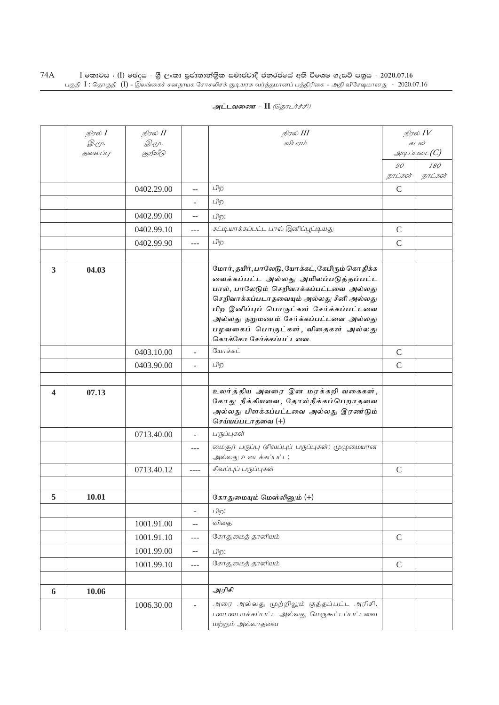|                         | நிரல் $I$    | நிரல் II      |                          | நிரல் III                                                                                                                                                                                                                                                                                                                          |               | நிரல் $\mathit{IV}$ |  |
|-------------------------|--------------|---------------|--------------------------|------------------------------------------------------------------------------------------------------------------------------------------------------------------------------------------------------------------------------------------------------------------------------------------------------------------------------------|---------------|---------------------|--|
|                         | <u>இ.மு.</u> | <i>@.</i> மு. |                          | விபரம்                                                                                                                                                                                                                                                                                                                             |               | கடன்                |  |
|                         | தலைப்பு      | குறியீடு      |                          |                                                                                                                                                                                                                                                                                                                                    |               | $\mathcal{I}$       |  |
|                         |              |               |                          |                                                                                                                                                                                                                                                                                                                                    | 90            | 180                 |  |
|                         |              |               |                          |                                                                                                                                                                                                                                                                                                                                    | நாட்கள்       | நாட்கள்             |  |
|                         |              | 0402.29.00    | --                       | பிற                                                                                                                                                                                                                                                                                                                                | $\mathcal{C}$ |                     |  |
|                         |              |               | ÷                        | பிற                                                                                                                                                                                                                                                                                                                                |               |                     |  |
|                         |              | 0402.99.00    | $\overline{a}$           | பிற:                                                                                                                                                                                                                                                                                                                               |               |                     |  |
|                         |              | 0402.99.10    | $---$                    | கட்டியாக்கப்பட்ட பால் இனிப்பூட்டியது                                                                                                                                                                                                                                                                                               | $\mathsf{C}$  |                     |  |
|                         |              | 0402.99.90    | ---                      | பிற                                                                                                                                                                                                                                                                                                                                | $\mathcal{C}$ |                     |  |
|                         |              |               |                          |                                                                                                                                                                                                                                                                                                                                    |               |                     |  |
| $\overline{\mathbf{3}}$ | 04.03        |               |                          | மோர், தயிர், பாலேடு, யோக்கட், கேபிரும் கொதிக்க<br>வைக்கப்பட்ட அல்லது அமிலப்படுத்தப்பட்ட<br>பால், பாலேடும் செறிவாக்கப்பட்டவை அல்லது<br>செறிவாக்கப்படாதவையும் அல்லது சீனி அல்லது<br>பிற இனிப்புப் பொருட்கள் சேர்க்கப்பட்டவை<br>அல்லது நறுமணம் சேர்க்கப்பட்டவை அல்லது<br>பழவகைப் பொருட்கள், விதைகள் அல்லது<br>கொக்கோ சேர்க்கப்பட்டவை. |               |                     |  |
|                         |              | 0403.10.00    | ÷.                       | யோக்கட்                                                                                                                                                                                                                                                                                                                            | $\mathcal{C}$ |                     |  |
|                         |              | 0403.90.00    |                          | பிற                                                                                                                                                                                                                                                                                                                                | $\mathsf{C}$  |                     |  |
|                         |              |               |                          |                                                                                                                                                                                                                                                                                                                                    |               |                     |  |
| 4                       | 07.13        |               |                          | உலர்த்திய அவரை இன மரக்கறி வகைகள்,<br>கோது நீக்கியவை, தோல்நீக்கப்பெறாதவை<br>அல்லது பிளக்கப்பட்டவை அல்லது இரண்டும்<br>செய்யப்படாதவை (+)                                                                                                                                                                                              |               |                     |  |
|                         |              | 0713.40.00    | $\overline{a}$           | பருப்புகள்                                                                                                                                                                                                                                                                                                                         |               |                     |  |
|                         |              |               | ---                      | மைசூர் பருப்பு (சிவப்புப் பருப்புகள்) முழுமையான<br>அல்லது உடைக்கப்பட்ட:                                                                                                                                                                                                                                                            |               |                     |  |
|                         |              | 0713.40.12    | $---$                    | சிவப்புப் பருப்புகள்                                                                                                                                                                                                                                                                                                               | $\mathcal{C}$ |                     |  |
|                         |              |               |                          |                                                                                                                                                                                                                                                                                                                                    |               |                     |  |
| 5                       | 10.01        |               |                          | கோகுமையும் மெஸ்லிலும் $(+)$                                                                                                                                                                                                                                                                                                        |               |                     |  |
|                         |              |               | $\frac{1}{2}$            | பிற:                                                                                                                                                                                                                                                                                                                               |               |                     |  |
|                         |              | 1001.91.00    | $-$                      | விதை                                                                                                                                                                                                                                                                                                                               |               |                     |  |
|                         |              | 1001.91.10    | ---                      | கோதுமைத் தானியம்                                                                                                                                                                                                                                                                                                                   | $\mathsf{C}$  |                     |  |
|                         |              | 1001.99.00    | $-$                      | பிற:                                                                                                                                                                                                                                                                                                                               |               |                     |  |
|                         |              | 1001.99.10    | $---$                    | கோதுமைத் தானியம்                                                                                                                                                                                                                                                                                                                   | $\mathcal{C}$ |                     |  |
|                         |              |               |                          |                                                                                                                                                                                                                                                                                                                                    |               |                     |  |
| 6                       | 10.06        |               |                          | அரிசி                                                                                                                                                                                                                                                                                                                              |               |                     |  |
|                         |              | 1006.30.00    | $\overline{\phantom{0}}$ | அரை அல்லது முற்றிலும் குத்தப்பட்ட அரிசி,<br>பளபளபாக்கப்பட்ட அல்லது மெருகூட்டப்பட்டவை<br>மற்றும் அல்லாதவை                                                                                                                                                                                                                           |               |                     |  |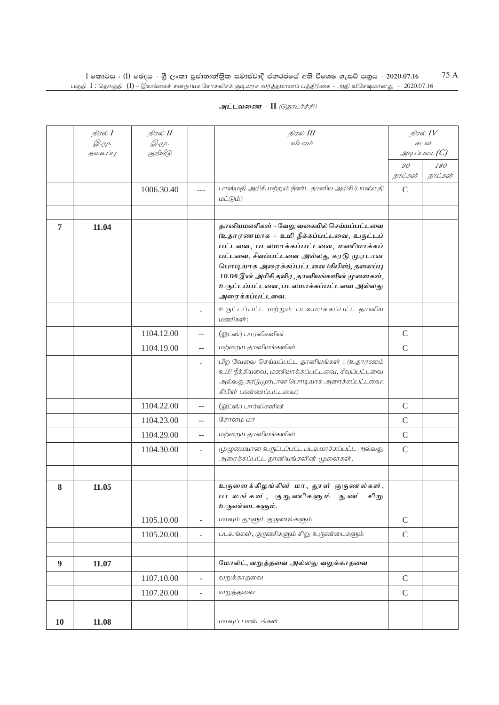|  | அட்டவணை - II <i>(தொடர்ச்சி)</i> |  |
|--|---------------------------------|--|
|  |                                 |  |

|    | நிரல் $I$    | நிரல் II      |                | நிரல் III                                                         |                           | நிரல் $IV$               |  |
|----|--------------|---------------|----------------|-------------------------------------------------------------------|---------------------------|--------------------------|--|
|    | <i>@.cp.</i> | <i>@.</i> மு. |                | விபரம்                                                            |                           | கடன்                     |  |
|    | தலைப்பு      | குறியீடு      |                |                                                                   |                           | $g_{\mu\mu}$ ப்படை $(C)$ |  |
|    |              |               |                |                                                                   | $\mathcal{G}O$<br>நாட்கள் | 180<br>நாட்கள்           |  |
|    |              | 1006.30.40    | $\overline{a}$ | பாஸ்மதி அரிசி மற்றும் நீண்ட தானிய அரிசி (பாஸ்மதி                  | $\mathcal{C}$             |                          |  |
|    |              |               |                | $L(D \dot{\mathcal{L}}(\mathcal{G})L\dot{D})$                     |                           |                          |  |
|    |              |               |                |                                                                   |                           |                          |  |
| 7  | 11.04        |               |                | தானியமணிகள் - வேறு வகையில் செய்யப்பட்டவை                          |                           |                          |  |
|    |              |               |                | (உதாரணமாக - உமி நீக்கப்பட்டவை, உருட்டப்                           |                           |                          |  |
|    |              |               |                | பட்டவை, படலமாக்கப்பட்டவை, மணியாக்கப்                              |                           |                          |  |
|    |              |               |                | பட்டவை, சீவப்பட்டவை அல்லது கரடு முரடான                            |                           |                          |  |
|    |              |               |                | பொடியாக அரைக்கப்பட்டவை (கிபிள்), தலைப்பு                          |                           |                          |  |
|    |              |               |                | 10.06 இன் அரிசி தவிர, தானியங்களின் முளைகள்,                       |                           |                          |  |
|    |              |               |                | உருட்டப்பட்டவை, படலமாக்கப்பட்டவை அல்லது<br>அரைக்கப்பட்டவை.        |                           |                          |  |
|    |              |               |                |                                                                   |                           |                          |  |
|    |              |               |                | உருட்டப்பட்ட மற்றும் படலமாக்கப்பட்ட தானிய<br>மணிகள்:              |                           |                          |  |
|    |              | 1104.12.00    | $-$            | (ஓட்ஸ்) பார்லிகளின்                                               | $\mathcal{C}$             |                          |  |
|    |              | 1104.19.00    | $\overline{a}$ | மற்றைய தானியங்களின்                                               | $\mathsf{C}$              |                          |  |
|    |              |               | ÷.             | பிற வேலை செய்யப்பட்ட தானியங்கள்: (உதாரணம்                         |                           |                          |  |
|    |              |               |                | உமி நீக்கியவை, மணியாக்கப்பட்டவை, சீவப்பட்டவை                      |                           |                          |  |
|    |              |               |                | அல்லது கரடுமுரபான பொடியாக அரைக்கப்பட்டவை:<br>கிபிள் பண்ணப்பட்டவை) |                           |                          |  |
|    |              |               |                |                                                                   |                           |                          |  |
|    |              | 1104.22.00    | $-$            | (ஓட்ஸ்) பார்லிகளின்                                               | $\mathcal{C}$             |                          |  |
|    |              | 1104.23.00    | $-$            | சோளம மா                                                           | $\mathsf{C}$              |                          |  |
|    |              | 1104.29.00    |                | மற்றைய தானியங்களின்                                               | $\mathsf C$               |                          |  |
|    |              | 1104.30.00    | ÷.             | முழுமையான உருட்டப்பட்ட படலமாக்கப்பட்ட அல்லது                      | $\mathcal{C}$             |                          |  |
|    |              |               |                | அரைக்கப்பட்ட தானியங்களின் முளைகள்.                                |                           |                          |  |
|    |              |               |                |                                                                   |                           |                          |  |
| 8  | 11.05        |               |                | உருளைக்கிழங்கின் மா, தூள் குருணல்கள்,                             |                           |                          |  |
|    |              |               |                | படலங்கள், குறுணிகளும்<br>நு ண<br>சிறு<br>உருண்டைகளும்.            |                           |                          |  |
|    |              | 1105.10.00    | $\overline{a}$ | மாவும் தூளும் குருணல்களும்                                        | $\mathsf C$               |                          |  |
|    |              |               |                | படலங்கள், குருணிகளும் சிறு உருண்டைகளும்                           |                           |                          |  |
|    |              | 1105.20.00    | $\overline{a}$ |                                                                   | $\mathbf C$               |                          |  |
|    |              |               |                | மோல்ட், வறுத்தவை அல்லது வறுக்காதவை                                |                           |                          |  |
| 9  | 11.07        |               |                |                                                                   |                           |                          |  |
|    |              | 1107.10.00    | $\overline{a}$ | வறுக்காதவை                                                        | $\mathcal{C}$             |                          |  |
|    |              | 1107.20.00    | ÷,             | வறுத்தவை                                                          | $\mathcal{C}$             |                          |  |
|    |              |               |                |                                                                   |                           |                          |  |
| 10 | 11.08        |               |                | மாவுப் பண்டங்கள்                                                  |                           |                          |  |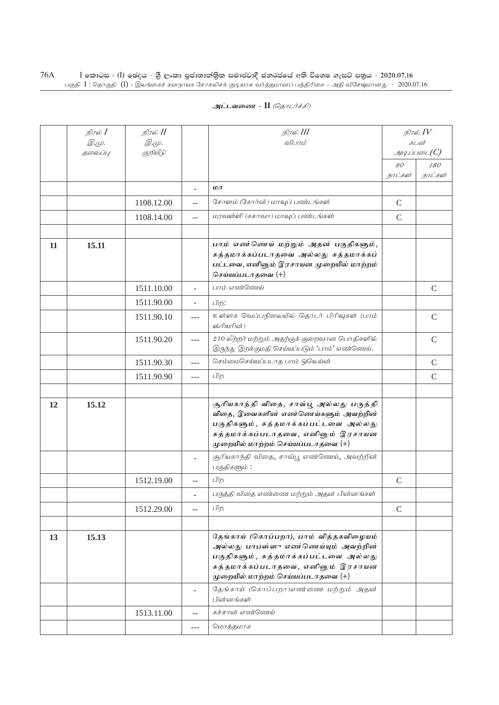|    | நிரல் $I$ | நிரல் II   |                          | நிரல் III                                                                                                                                                                                            |                           | நிரல் IV       |
|----|-----------|------------|--------------------------|------------------------------------------------------------------------------------------------------------------------------------------------------------------------------------------------------|---------------------------|----------------|
|    | Q. (L).   | @.cp.      |                          | விபரம்                                                                                                                                                                                               |                           | கடன்           |
|    | தலைப்பு   | குறியீடு   |                          |                                                                                                                                                                                                      |                           | அடிப்படை $(C)$ |
|    |           |            |                          |                                                                                                                                                                                                      | $\mathcal{G} \mathcal{O}$ | 180            |
|    |           |            |                          | LDT                                                                                                                                                                                                  | நாட்கள்                   | நாட்கள்        |
|    |           |            | ÷.                       |                                                                                                                                                                                                      |                           |                |
|    |           | 1108.12.00 | $\overline{a}$           | சோளம் (கோர்ன்) மாவுப் பண்டங்கள்                                                                                                                                                                      | $\mathcal{C}$             |                |
|    |           | 1108.14.00 | $\mathbf{u}$             | மரவள்ளி (கசாவா) மாவுப் பண்டங்கள்                                                                                                                                                                     | $\mathsf{C}$              |                |
|    |           |            |                          |                                                                                                                                                                                                      |                           |                |
| 11 | 15.11     |            |                          | பாம் எண்ணெய் மற்றும் அதன் பகுதிகளும்,<br>சுத்தமாக்கப்படாதவை அல்லது சுத்தமாக்கப்<br>பட்டவை, எனினும் இரசாயன முறையில் மாற்றம்<br>செய்யப்படாதவை $(+)$                                                    |                           |                |
|    |           | 1511.10.00 |                          | பாம் எண்ணெய்                                                                                                                                                                                         |                           | $\mathsf{C}$   |
|    |           | 1511.90.00 | $\overline{\phantom{a}}$ | பிற:                                                                                                                                                                                                 |                           |                |
|    |           | 1511.90.10 | ---                      | உள்ளக வெப்பநிலையில் தொடர் பிரிவுகள் (பாம்<br>ஸ்ரியரின்)                                                                                                                                              |                           | $\mathcal{C}$  |
|    |           | 1511.90.20 | $-$                      | 210 லீற்றர் மற்றும் அதற்குக் குறைவான பொதிகளில்<br>இருந்து இறக்குமதி செய்யப்படும் 'பாம்' எண்ணெய்.                                                                                                     |                           | $\mathcal{C}$  |
|    |           | 1511.90.30 | $---$                    | செம்மைசெய்யப்படாத பாம் ஒலெய்ன்                                                                                                                                                                       |                           | $\mathsf{C}$   |
|    |           | 1511.90.90 | $---$                    | பிற                                                                                                                                                                                                  |                           | $\mathsf{C}$   |
|    |           |            |                          |                                                                                                                                                                                                      |                           |                |
| 12 | 15.12     |            |                          | சூரியகாந்தி விதை, சாவ்பூ அல்லது பருத்தி<br>விதை, இவைகளின் எண்ணெய்களும் அவற்றின்<br>பகுதிகளும், சுத்தமாக்கப்பட்டவை அல்லது<br>சுத்தமாக்கப்படாதவை, எனினும் இரசாயன<br>முறையில் மாற்றம் செய்யப்படாதவை (+) |                           |                |
|    |           |            |                          | சூரியகாந்தி விதை, சாவ்பூ எண்ணெய், அவற்றின்<br>பகுதிகளும்:                                                                                                                                            |                           |                |
|    |           | 1512.19.00 | $\overline{a}$           | பிற                                                                                                                                                                                                  | $\mathsf{C}$              |                |
|    |           |            |                          | பருத்தி விதை எண்ணை மற்றும் அதன் பின்னங்கள்                                                                                                                                                           |                           |                |
|    |           | 1512.29.00 |                          | பிற                                                                                                                                                                                                  | $\mathcal{C}$             |                |
|    |           |            |                          |                                                                                                                                                                                                      |                           |                |
| 13 | 15.13     |            |                          | தேங்காய் (கொப்பறா), பாம் வித்தகவிழையம்<br>அல்லது பாபஸ்ஸு எண்ணெய்யும் அவற்றின்<br>பகுதிகளும், சுத்தமாக்கப்பட்டவை அல்லது<br>சுத்தமாக்கப்படாதவை, எனினும் இரசாயன<br>(முறையில் மாற்றம் செய்யப்படாதவை (+)  |                           |                |
|    |           |            | $\overline{\phantom{a}}$ | தேங்காய் (கொப்பறா)எண்ணை மற்றும் அதன்<br>பின்னங்கள்                                                                                                                                                   |                           |                |
|    |           | 1513.11.00 | $\overline{a}$           | கச்சான் எண்ணெய்                                                                                                                                                                                      |                           |                |
|    |           |            | $---$                    | மொத்தமாக                                                                                                                                                                                             |                           |                |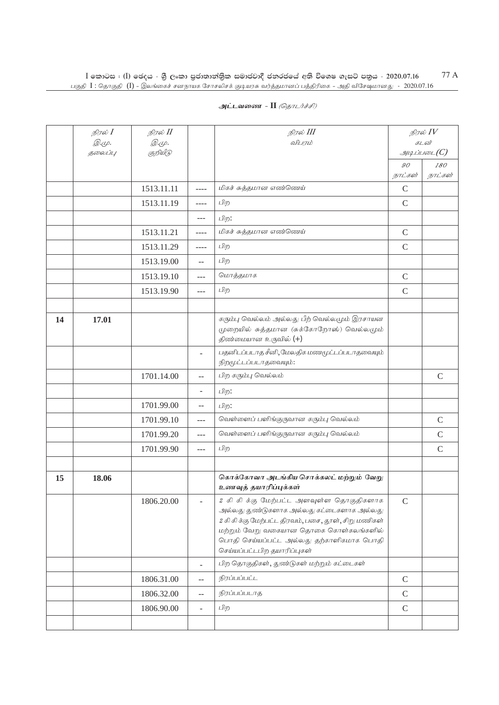|    | நிரல் I<br><i>@.cp.</i> | நிரல் II<br><i>@.cp.</i> |                          | நிரல் III<br>விபரம்                                                                                                                                                                                                                                                | நிரல் $\mathit{IV}$<br>கடன் |               |
|----|-------------------------|--------------------------|--------------------------|--------------------------------------------------------------------------------------------------------------------------------------------------------------------------------------------------------------------------------------------------------------------|-----------------------------|---------------|
|    | தலைப்பு                 | குறியீடு                 |                          |                                                                                                                                                                                                                                                                    |                             | $\mathcal{A}$ |
|    |                         |                          |                          |                                                                                                                                                                                                                                                                    | $\mathcal{GO}$<br>நாட்கள்   | 180           |
|    |                         |                          |                          | மிகச் சுத்தமான எண்ணெய்                                                                                                                                                                                                                                             |                             | நாட்கள்       |
|    |                         | 1513.11.11               | $---$                    |                                                                                                                                                                                                                                                                    | $\mathcal{C}$               |               |
|    |                         | 1513.11.19               | $- - - -$                | பிற                                                                                                                                                                                                                                                                | $\mathsf{C}$                |               |
|    |                         |                          | $---$                    | பிற:                                                                                                                                                                                                                                                               |                             |               |
|    |                         | 1513.11.21               | ----                     | மிகச் சுத்தமான எண்ணெய்                                                                                                                                                                                                                                             | $\mathcal{C}$               |               |
|    |                         | 1513.11.29               | ----                     | பிற                                                                                                                                                                                                                                                                | $\mathcal{C}$               |               |
|    |                         | 1513.19.00               | $-$                      | பிற                                                                                                                                                                                                                                                                |                             |               |
|    |                         | 1513.19.10               | $---$                    | மொத்தமாக                                                                                                                                                                                                                                                           | $\mathbf C$                 |               |
|    |                         | 1513.19.90               | $---$                    | பிற                                                                                                                                                                                                                                                                | $\mathcal{C}$               |               |
|    |                         |                          |                          |                                                                                                                                                                                                                                                                    |                             |               |
| 14 | 17.01                   |                          |                          | கரும்பு வெல்லம் அல்லது பீற் வெல்லமும் இரசாயன<br>(முறையில் சுத்தமான (சுக்கோறோஸ்) வெல்லமும்<br>திண்மையான உருவில் (+)                                                                                                                                                 |                             |               |
|    |                         |                          | ۷                        | பதனிடப்படாத சீனி, மேலதிக மணமூட்டப்படாதவையும்<br>நிறமூட்டப்படாதவையும்:                                                                                                                                                                                              |                             |               |
|    |                         | 1701.14.00               | $-$                      | பிற கரும்பு வெல்லம்                                                                                                                                                                                                                                                |                             | $\mathcal{C}$ |
|    |                         |                          | $\overline{\phantom{0}}$ | பிற:                                                                                                                                                                                                                                                               |                             |               |
|    |                         | 1701.99.00               | $-$                      | பிற:                                                                                                                                                                                                                                                               |                             |               |
|    |                         | 1701.99.10               | $---$                    | வெள்ளைப் பளிங்குருவான கரும்பு வெல்லம்                                                                                                                                                                                                                              |                             | $\mathsf{C}$  |
|    |                         | 1701.99.20               | $---$                    | வெள்ளைப் பளிங்குருவான கரும்பு வெல்லம்                                                                                                                                                                                                                              |                             | $\mathsf{C}$  |
|    |                         | 1701.99.90               | $- - -$                  | பிற                                                                                                                                                                                                                                                                |                             | $\mathsf{C}$  |
|    |                         |                          |                          |                                                                                                                                                                                                                                                                    |                             |               |
| 15 | 18.06                   |                          |                          | கொக்கோவா அடங்கிய சொக்கலட் மற்றும் வேறு<br>உணவுத் தயாரிப்புக்கள்                                                                                                                                                                                                    |                             |               |
|    |                         | 1806.20.00               |                          | 2 கி கி க்கு மேற்பட்ட அளவுள்ள தொகுதிகளாக<br>அல்லது துண்டுகளாக அல்லது கட்டைகளாக அல்லது<br>2 கி கி க்கு மேற்பட்ட திரவம், பசை, தூள், சிறு மணிகள்<br>மற்றும் வேறு வகையான தொகை கொள்கலங்களில்<br>பொதி செய்யப்பட்ட அல்லது தற்காளிகமாக பொதி<br>செய்யப்பட்டபிற தயாரிப்புகள் | $\mathsf{C}$                |               |
|    |                         |                          | ÷,                       | பிற தொகுதிகள், துண்டுகள் மற்றும் கட்டைகள்                                                                                                                                                                                                                          |                             |               |
|    |                         | 1806.31.00               | --                       | நிரப்பப்பட்ட                                                                                                                                                                                                                                                       | $\mathsf C$                 |               |
|    |                         | 1806.32.00               | $-$                      | நிரப்பப்படாத                                                                                                                                                                                                                                                       | $\mathcal{C}$               |               |
|    |                         | 1806.90.00               | ÷,                       | பிற                                                                                                                                                                                                                                                                | $\mathsf C$                 |               |
|    |                         |                          |                          |                                                                                                                                                                                                                                                                    |                             |               |
|    |                         |                          |                          |                                                                                                                                                                                                                                                                    |                             |               |

## **அட்டவணை - II** *(தொடர்ச்சி)*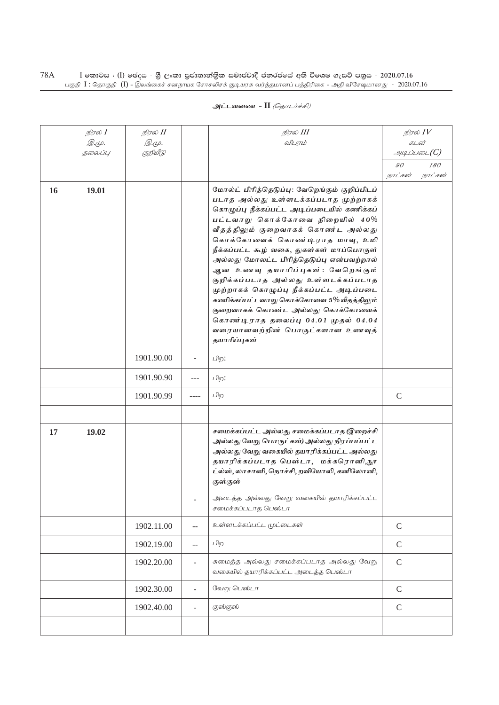| அட்டவணை - II <i>(தொடர்ச்சி)</i> |  |  |
|---------------------------------|--|--|
|---------------------------------|--|--|

|    | நிரல் $I$               | நிரல் II                 |                             | நிரல் III<br>விபரம்                                                                                                                                                                                                                                                                                                                                                                                                                                                                                                                                                                                                                     |               | நிரல் $\mathit{IV}$<br>கடன் |  |  |
|----|-------------------------|--------------------------|-----------------------------|-----------------------------------------------------------------------------------------------------------------------------------------------------------------------------------------------------------------------------------------------------------------------------------------------------------------------------------------------------------------------------------------------------------------------------------------------------------------------------------------------------------------------------------------------------------------------------------------------------------------------------------------|---------------|-----------------------------|--|--|
|    | <i>©.</i> Ψ.<br>தலைப்பு | <i>@.மு.</i><br>குறியீடு |                             |                                                                                                                                                                                                                                                                                                                                                                                                                                                                                                                                                                                                                                         |               | $\mathcal{A}$               |  |  |
|    |                         |                          |                             |                                                                                                                                                                                                                                                                                                                                                                                                                                                                                                                                                                                                                                         | $90^{\circ}$  | 180                         |  |  |
|    |                         |                          |                             |                                                                                                                                                                                                                                                                                                                                                                                                                                                                                                                                                                                                                                         | நாட்கள்       | நாட்கள்                     |  |  |
| 16 | 19.01                   |                          |                             | மோல்ட் பிரித்தெடுப்பு: வேறெங்கும் குறிப்பிடப்<br>படாத அல்லது உள்ளடக்கப்படாத முற்றாகக்<br>கொழுப்பு நீக்கப்பட்ட அடிப்படையில் கணிக்கப்<br>பட்டவாறு கொக்கோவை நிறையில் 40%<br>வீதத்திலும் குறைவாகக் கொண்ட அல்லது<br>கொக்கோவைக் கொண்டிராத மாவு, உமி<br>நீக்கப்பட்ட கூழ் வகை, துகள்கள் மாப்பொருள்<br>அல்லது மோலட்ட பிரித்தெடுப்பு என்பவற்றால்<br>ஆன உணவு தயாரிப்புகள்: வேறெங்கும்<br>குறிக்கப்படாத அல்லது உள்ளடக்கப்படாத<br>முற்றாகக் கொழுப்பு நீக்கப்பட்ட அடிப்படை<br>கணிக்கப்பட்டவாறு கொக்கோவை 5% வீதத்திலும்<br>குறைவாகக் கொண்ட அல்லது கொக்கோவைக்<br>கொண்டிராத தலைப்பு 04.01 முதல் 04.04<br>வரையானவற்றின் பொருட்களான உணவுத்<br>தயாரிப்புகள் |               |                             |  |  |
|    |                         | 1901.90.00               | ÷                           | பிற:                                                                                                                                                                                                                                                                                                                                                                                                                                                                                                                                                                                                                                    |               |                             |  |  |
|    |                         | 1901.90.90               | $---$                       | பிற:                                                                                                                                                                                                                                                                                                                                                                                                                                                                                                                                                                                                                                    |               |                             |  |  |
|    |                         | 1901.90.99               | ----                        | பிற                                                                                                                                                                                                                                                                                                                                                                                                                                                                                                                                                                                                                                     | $\mathcal{C}$ |                             |  |  |
|    |                         |                          |                             |                                                                                                                                                                                                                                                                                                                                                                                                                                                                                                                                                                                                                                         |               |                             |  |  |
| 17 | 19.02                   |                          |                             | சமைக்கப்பட்ட அல்லது சமைக்கப்படாத (இறைச்சி<br>அல்லது வேறு பொருட்கள்) அல்லது நிரப்பப்பட்ட<br>அல்லது வேறு வகையில் தயாரிக்கப்பட்ட அல்லது<br>தயாரிக்கப்படாத பெஸ்டா, மக்கரொனி,நூ<br>ட்ல்ஸ், லாசானி, நொச்சி, றவியோலி, கனிலோனி,<br>குஸ்குஸ்                                                                                                                                                                                                                                                                                                                                                                                                     |               |                             |  |  |
|    |                         |                          |                             | அடைத்த அல்லது வேறு வகையில் தயாரிக்கப்பட்ட<br>சமைக்கப்படாத பெஸ்டா                                                                                                                                                                                                                                                                                                                                                                                                                                                                                                                                                                        |               |                             |  |  |
|    |                         | 1902.11.00               | $\mathbb{L}^{\perp}$        | உள்ளடக்கப்பட்ட முட்டைகள்                                                                                                                                                                                                                                                                                                                                                                                                                                                                                                                                                                                                                | $\mathsf{C}$  |                             |  |  |
|    |                         | 1902.19.00               | $\mathcal{L} = \mathcal{L}$ | பிற                                                                                                                                                                                                                                                                                                                                                                                                                                                                                                                                                                                                                                     | $\mathcal{C}$ |                             |  |  |
|    |                         | 1902.20.00               | $\blacksquare$              | சுமைத்த அல்லது சமைக்கப்படாத அல்லது வேறு<br>வகையில் தயாரிக்கப்பட்ட அடைத்த பெஸ்டா                                                                                                                                                                                                                                                                                                                                                                                                                                                                                                                                                         | $\mathsf C$   |                             |  |  |
|    |                         | 1902.30.00               | $\overline{\phantom{a}}$    | வேறு பெஸ்டா                                                                                                                                                                                                                                                                                                                                                                                                                                                                                                                                                                                                                             | $\mathcal{C}$ |                             |  |  |
|    |                         | 1902.40.00               | ä,                          | குஸ்குஸ்                                                                                                                                                                                                                                                                                                                                                                                                                                                                                                                                                                                                                                | $\mathcal{C}$ |                             |  |  |
|    |                         |                          |                             |                                                                                                                                                                                                                                                                                                                                                                                                                                                                                                                                                                                                                                         |               |                             |  |  |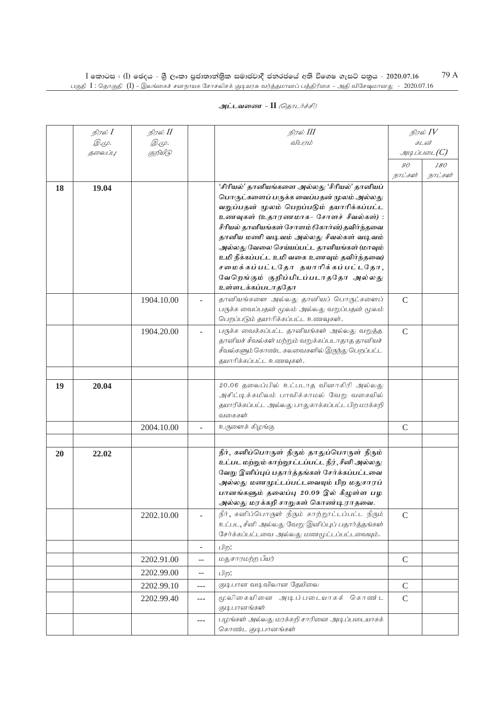|    | நிரல் <b>I</b> | நிரல் II      |                          | நிரல் III                                                                                |               | நிரல் $IV$    |
|----|----------------|---------------|--------------------------|------------------------------------------------------------------------------------------|---------------|---------------|
|    | <i>@.cp.</i>   | <i>@.</i> மு. |                          | விபரம்                                                                                   |               | கடன்          |
|    | தலைப்பு        | குறியீடு      |                          |                                                                                          |               | $\mathcal{I}$ |
|    |                |               |                          |                                                                                          | 90            | <i>180</i>    |
|    |                |               |                          |                                                                                          | நாட்கள்       | நாட்கள்       |
| 18 | 19.04          |               |                          | 'சிரியல்' தானியங்களை அல்லது 'சீரியல்' தானியப்                                            |               |               |
|    |                |               |                          | பொருட்களைப் பருக்க வைப்பதன் மூலம் அல்லது                                                 |               |               |
|    |                |               |                          | வறுப்பதன் மூலம் பெறப்படும் தயாரிக்கப்பட்ட                                                |               |               |
|    |                |               |                          | உணவுகள் (உதாரணமாக- சோளச் சீவல்கள்) :                                                     |               |               |
|    |                |               |                          | சீரியல் தானியங்கள் சோளம் (கோர்ன்) தவிர்ந்தவை                                             |               |               |
|    |                |               |                          | தானிய மணி வடிவம் அல்லது சீவல்கள் வடிவம்                                                  |               |               |
|    |                |               |                          | அல்லது வேலை செய்யப்பட்ட தானியங்கள் (மாவும்<br>உமி நீக்கப்பட்ட உமி வகை உணவும் தவிர்ந்தவை) |               |               |
|    |                |               |                          | சமைக்கப்பட்டதோ தயாரிக்கப்பட்டதோ,                                                         |               |               |
|    |                |               |                          | வேறெங்கும் குறிப்பிடப்படாததோ அல்லது                                                      |               |               |
|    |                |               |                          | உள்ளடக்கப்படாததோ                                                                         |               |               |
|    |                | 1904.10.00    |                          | தானியங்களை அல்லது தானியப் பொருட்களைப்                                                    | $\mathcal{C}$ |               |
|    |                |               |                          | பருக்க வைப்பதன் மூலம் அல்லது வறுப்பதன் மூலம்                                             |               |               |
|    |                |               |                          | பெறப்படும் தயாரிக்கப்பட்ட உணவுகள்.                                                       |               |               |
|    |                | 1904.20.00    |                          | பருக்க வைக்கப்பட்ட தானியங்கள் அல்லது வறுத்த                                              | $\mathcal{C}$ |               |
|    |                |               |                          | தானியச் சீவல்கள் மற்றும் வறுக்கப்படாதாத தானியச்                                          |               |               |
|    |                |               |                          | சீவல்களும் கொண்ட கலவைகளில் இருந்து பெறப்பட்ட                                             |               |               |
|    |                |               |                          | தயாரிக்கப்பட்ட உணவுகள்.                                                                  |               |               |
|    |                |               |                          |                                                                                          |               |               |
| 19 | 20.04          |               |                          | 20.06 தலைப்பில் உட்படாத வினாகிரி அல்லது                                                  |               |               |
|    |                |               |                          | அசிட்டிக்கமிலம் பாவிக்காமல் வேறு வகையில்                                                 |               |               |
|    |                |               |                          | தயாரிக்கப்பட்ட அல்லது பாதுகாக்கப்பட்ட பிற மரக்கறி                                        |               |               |
|    |                |               |                          | வகைகள்                                                                                   |               |               |
|    |                | 2004.10.00    |                          | உருளைக் கிழங்கு                                                                          | $\mathsf{C}$  |               |
|    |                |               |                          |                                                                                          |               |               |
| 20 | 22.02          |               |                          | நீர், கனிப்பொருள் நீரும் தாதுப்பொருள் நீரும்                                             |               |               |
|    |                |               |                          | உட்பட மற்றும் காற்றூட்டப்பட்ட நீர், சீனி அல்லது                                          |               |               |
|    |                |               |                          | வேறு இனிப்புப் பதார்த்தங்கள் சேர்க்கப்பட்டவை                                             |               |               |
|    |                |               |                          | அல்லது மணமுட்டப்பட்டவையும் பிற மதுசாரப்                                                  |               |               |
|    |                |               |                          | பானங்களும் தலைப்பு 20.09 இல் கீழுள்ள பழ                                                  |               |               |
|    |                |               |                          | அல்லது மரக்கறி சாறுகள் கொண்டிராதவை.                                                      |               |               |
|    |                | 2202.10.00    |                          | நீர், கனிப்பொருள் நீரும் காற்றூட்டப்பட்ட நீரும்                                          | $\mathcal{C}$ |               |
|    |                |               |                          | உட்பட, சீனி அல்லது வேறு இனிப்புப் பதார்த்தங்கள்                                          |               |               |
|    |                |               |                          | சேர்க்கப்பட்டவை அல்லது மணமூட்டப்பட்டவையும்.                                              |               |               |
|    |                |               | $\overline{\phantom{a}}$ | பிற:                                                                                     |               |               |
|    |                | 2202.91.00    | --                       | மதுசாரமற்ற பீயர்                                                                         | $\mathsf{C}$  |               |
|    |                | 2202.99.00    | $-$                      | பிற:                                                                                     |               |               |
|    |                | 2202.99.10    | ---                      | குடிபான வடிவிலான தேயிலை                                                                  | $\mathsf{C}$  |               |
|    |                | 2202.99.40    | ---                      | மூலிகையினை அடிப்படையாகக் கொண்ட                                                           | $\mathsf{C}$  |               |
|    |                |               |                          | குடிபானங்கள்                                                                             |               |               |
|    |                |               | $- - -$                  | பழங்கள் அல்லது மரக்கறி சாரினை அடிப்படையாகக்<br>கொண்ட குடி பானங்கள்                       |               |               |
|    |                |               |                          |                                                                                          |               |               |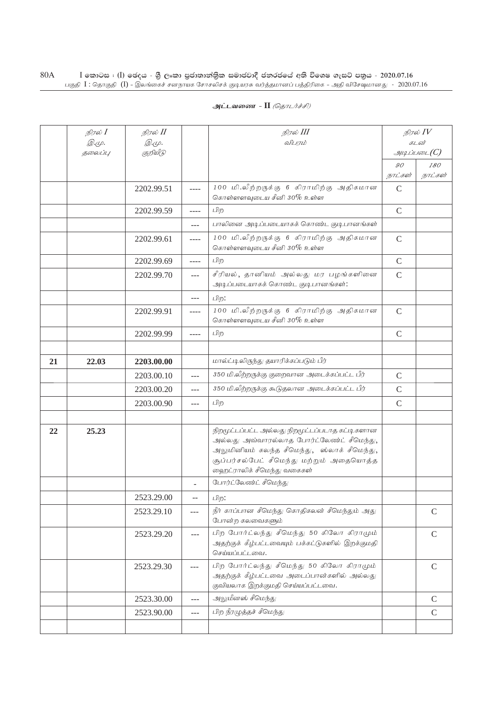|    | நிரல் $I$ | நிரல் II     |                | நிரல் III                                                                                                                                                                                                             | நிரல் $IV$    |                |
|----|-----------|--------------|----------------|-----------------------------------------------------------------------------------------------------------------------------------------------------------------------------------------------------------------------|---------------|----------------|
|    | Q.Ψ.      | <i>@.cp.</i> |                | விபரம்                                                                                                                                                                                                                |               | கடன்           |
|    | தலைப்பு   | குறியீடு     |                |                                                                                                                                                                                                                       | 90            | $\mathcal{I}$  |
|    |           |              |                |                                                                                                                                                                                                                       | நாட்கள்       | 180<br>நாட்கள் |
|    |           | 2202.99.51   | ----           | 100 மி.லீற்றருக்கு 6 கிராமிற்கு அதிகமான<br>கொள்ளளவுடைய சீனி 30% உள்ள                                                                                                                                                  | $\mathsf{C}$  |                |
|    |           | 2202.99.59   | ----           | பிற                                                                                                                                                                                                                   | $\mathsf{C}$  |                |
|    |           |              | $---$          | பாலினை அடிப்படையாகக் கொண்ட குடிபானங்கள்                                                                                                                                                                               |               |                |
|    |           | 2202.99.61   | ----           | 100 மி.லீற்றருக்கு 6 கிராமிற்கு அதிகமான<br>கொள்ளளவுடைய சீனி $30\%$ உள்ள                                                                                                                                               | $\mathsf C$   |                |
|    |           | 2202.99.69   | ----           | பிற                                                                                                                                                                                                                   | $\mathcal{C}$ |                |
|    |           | 2202.99.70   | $---$          | சீரியல், தானியம் அல்லது மர பழங்களினை<br>அடிப்படையாகக் கொண்ட குடிபானங்கள்:                                                                                                                                             | $\mathcal{C}$ |                |
|    |           |              | $---$          | பிற:                                                                                                                                                                                                                  |               |                |
|    |           | 2202.99.91   | ----           | 100 மி.லீற்றருக்கு 6 கிராமிற்கு அதிகமான<br>கொள்ளளவுடைய சீனி 30% உள்ள                                                                                                                                                  | $\mathcal{C}$ |                |
|    |           | 2202.99.99   | ----           | பிற                                                                                                                                                                                                                   |               |                |
|    |           |              |                |                                                                                                                                                                                                                       |               |                |
| 21 | 22.03     | 2203.00.00   |                | மால்ட்டிலிருந்து தயாரிக்கப்படும் பீர்                                                                                                                                                                                 |               |                |
|    |           | 2203.00.10   | ---            | 350 மி.லீற்றருக்கு குறைவான அடைக்கப்பட்ட பீர்                                                                                                                                                                          | $\mathcal{C}$ |                |
|    |           | 2203.00.20   | $---$          | 350 மி.லீற்றருக்கு கூடுதலான அடைக்கப்பட்ட பீர்                                                                                                                                                                         | $\mathsf{C}$  |                |
|    |           | 2203.00.90   | $-$            | பிற                                                                                                                                                                                                                   | $\mathsf{C}$  |                |
|    |           |              |                |                                                                                                                                                                                                                       |               |                |
| 22 | 25.23     |              |                | நிறமூட்டப்பட்ட அல்லது நிறமூட்டப்படாத கட்டி களான<br>அல்லது அவ்வாரல்லாத போர்ட்லேண்ட் சீமெந்து,<br>அலுமினியம் கலந்த சீமெந்து, ஸ்லாக் சீமெந்து,<br>சூப்பர்சல்பேட் சீமெந்து மற்றும் அதையொத்த<br>ஹைட்ராலிக் சீமெந்து வகைகள் |               |                |
|    |           |              | $\overline{a}$ | போர்ட்லேண்ட் சீமெந்து                                                                                                                                                                                                 |               |                |
|    |           | 2523.29.00   | --             | பிற:                                                                                                                                                                                                                  |               |                |
|    |           | 2523.29.10   | $---$          | நீர் காப்பான சீமெந்து கொதிகலன் சீமெந்தும் அது<br>போன்ற கலவைகளும்                                                                                                                                                      |               | $\mathsf{C}$   |
|    |           | 2523.29.20   | ---            | பிற போர்ட்லந்து சீமெந்து 50 கிலோ கிராமும்<br>அதற்குக் கீழ்பட்டவையும் பக்கட்டுகளில் இறக்குமதி<br>செய்யப்பட்டவை.                                                                                                        |               | $\mathcal{C}$  |
|    |           | 2523.29.30   | ---            | பிற போர்ட்லந்து சீமெந்து 50 கிலோ கிராமும்<br>அதற்குக் கீழ்பட்டவை அடைப்பான்களில் அல்லது<br>குவியலாக இறக்குமதி செய்யப்பட்டவை.                                                                                           |               | $\mathcal{C}$  |
|    |           | 2523.30.00   | $---$          | அலுமீனஸ் சீமெந்து                                                                                                                                                                                                     |               | $\mathcal{C}$  |
|    |           | 2523.90.00   | ---            | பிற நீரழுத்தச் சீமெந்து                                                                                                                                                                                               |               | $\mathsf{C}$   |
|    |           |              |                |                                                                                                                                                                                                                       |               |                |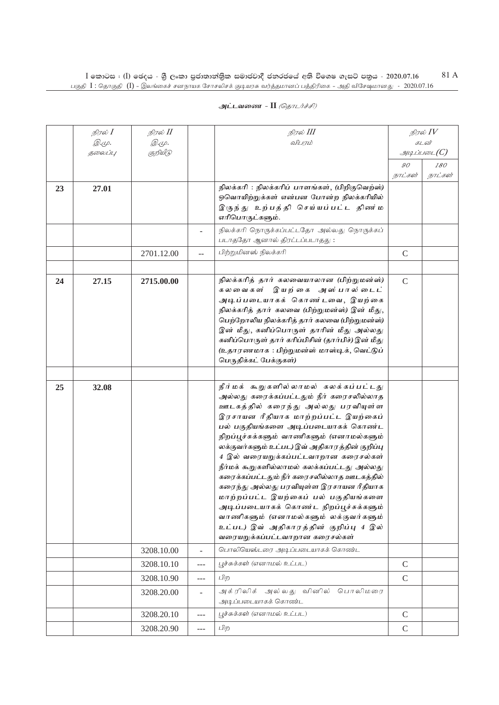| அட்டவணை - II <i>(தொடர்ச்சி)</i> |  |  |  |  |
|---------------------------------|--|--|--|--|
|---------------------------------|--|--|--|--|

|    | நிரல் I                 | நிரல் II                 |                          | நிரல் III                                                                                                                                                                                                                                                                                                                                                                                                                                                                                                                                                                                                                                                                                  |                | நிரல் $IV$                       |
|----|-------------------------|--------------------------|--------------------------|--------------------------------------------------------------------------------------------------------------------------------------------------------------------------------------------------------------------------------------------------------------------------------------------------------------------------------------------------------------------------------------------------------------------------------------------------------------------------------------------------------------------------------------------------------------------------------------------------------------------------------------------------------------------------------------------|----------------|----------------------------------|
|    | <i>@.cp.</i><br>தலைப்பு | <i>@.cp.</i><br>குறியீடு |                          | விபரம்                                                                                                                                                                                                                                                                                                                                                                                                                                                                                                                                                                                                                                                                                     |                | கடன்<br>$g_{\mu\mu}$ ப்படை $(C)$ |
|    |                         |                          |                          |                                                                                                                                                                                                                                                                                                                                                                                                                                                                                                                                                                                                                                                                                            | $\mathcal{G}O$ | 180                              |
|    |                         |                          |                          |                                                                                                                                                                                                                                                                                                                                                                                                                                                                                                                                                                                                                                                                                            | நாட்கள்        | நாட்கள்                          |
| 23 | 27.01                   |                          |                          | நிலக்கரி : நிலக்கரிப் பாளங்கள், (பிறிகுவெற்ஸ்)<br>ஒவொயிற்றுக்கள் என்பன போன்ற நிலக்கரியில்<br>இருந்து உற்பத்தி செய்யப்பட்ட திணர்ம<br>எரிபொருட்களும்.                                                                                                                                                                                                                                                                                                                                                                                                                                                                                                                                        |                |                                  |
|    |                         |                          |                          | நிலக்கரி நொருக்கப்பட்டதோ அல்லது நொருக்கப்<br>படாததோ ஆனால் திரட்டப்படாதது:                                                                                                                                                                                                                                                                                                                                                                                                                                                                                                                                                                                                                  |                |                                  |
|    |                         | 2701.12.00               |                          | பிற்றுமினஸ் நிலக்கரி                                                                                                                                                                                                                                                                                                                                                                                                                                                                                                                                                                                                                                                                       | $\mathsf{C}$   |                                  |
|    |                         |                          |                          |                                                                                                                                                                                                                                                                                                                                                                                                                                                                                                                                                                                                                                                                                            |                |                                  |
| 24 | 27.15                   | 2715.00.00               |                          | நிலக்கரித் தார் கலவையாலான (பிற்றுமன்ஸ்)<br>கலவைகள் இயற்கை அஸ்பால்டைட்<br>அடிப்படையாகக் கொண்டவை, இயற்கை<br>நிலக்கரித் தார் கலவை (பிற்றுமன்ஸ்) இன் மீது,<br>பெற்றோலிய நிலக்கரித் தார் கலவை (பிற்றுமன்ஸ்)<br>இன் மீது, கனிப்பொருள் தாரின் மீது அல்லது<br>கனிப்பொருள் தார் கரிப்பிசின் (தார்பிச்) இன் மீது<br>(உதாரணமாக : பிற்றுமன்ஸ் மாஸ்டிக், வெட்டுப்<br>பெருதிக்கட் பேக்குகள்)                                                                                                                                                                                                                                                                                                             | $\mathcal{C}$  |                                  |
|    |                         |                          |                          |                                                                                                                                                                                                                                                                                                                                                                                                                                                                                                                                                                                                                                                                                            |                |                                  |
| 25 | 32.08                   |                          |                          | நீர்மக் கூறுகளில்லாமல் கலக்கப்பட்டது<br>அல்லது கரைக்கப்பட்டதும் நீர் கரைசலில்லாத<br>ஊடகத்தில் கரைந்து அல்லது பரவியுள்ள<br>இரசாயன ரீதியாக மாற்றப்பட்ட இயற்கைப்<br>பல் பகுதியங்களை அடிப்படையாகக் கொண்ட<br>நிறப்பூச்சுக்களும் வாணிகளும் (எனாமல்களும்<br>லக்குவர்களும் உட்பட) இவ் அதிகாரத்தின் குறிப்பு<br>4 இல் வரையறுக்கப்பட்டவாறான கரைசல்கள்<br>நீர்மக் கூறுகளில்லாமல் கலக்கப்பட்டது அல்லது<br>கரைக்கப்பட்டதும் நீர் கரைசலில்லாத ஊடகத்தில்<br>கரைந்து அல்லது பரவியுள்ள இரசாயன ரீதியாக<br>மாற்றப்பட்ட இயற்கைப் பல் பகுதியங்களை<br>அடிப்படையாகக் கொண்ட நிறப்பூச்சுக்களும்<br>வாணிகளும் (எனாமல்களும் லக்குவர்களும்<br>உட்பட) இவ் அதிகாரத்தின் குறிப்பு 4 இல்<br>வரையறுக்கப்பட்டவாறான கரைசல்கள் |                |                                  |
|    |                         | 3208.10.00               | $\overline{\phantom{0}}$ | பொலியெஸ்டரை அடிப்படையாகக் கொண்ட                                                                                                                                                                                                                                                                                                                                                                                                                                                                                                                                                                                                                                                            |                |                                  |
|    |                         | 3208.10.10               | ---                      | பூச்சுக்கள் (எனாமல் உட்பட)                                                                                                                                                                                                                                                                                                                                                                                                                                                                                                                                                                                                                                                                 | $\mathcal{C}$  |                                  |
|    |                         | 3208.10.90               | ---                      | பிற                                                                                                                                                                                                                                                                                                                                                                                                                                                                                                                                                                                                                                                                                        | $\mathcal{C}$  |                                  |
|    |                         | 3208.20.00               | $\overline{\phantom{0}}$ | அக்ரிலிக் அல்லது வினில் பொலிமரை<br>அடிப்படையாகக் கொண்ட                                                                                                                                                                                                                                                                                                                                                                                                                                                                                                                                                                                                                                     |                |                                  |
|    |                         | 3208.20.10               | $---$                    | பூச்சுக்கள் (எனாமல் உட்பட)                                                                                                                                                                                                                                                                                                                                                                                                                                                                                                                                                                                                                                                                 | $\mathcal{C}$  |                                  |
|    |                         | 3208.20.90               | $---$                    | பிற                                                                                                                                                                                                                                                                                                                                                                                                                                                                                                                                                                                                                                                                                        | $\mathsf{C}$   |                                  |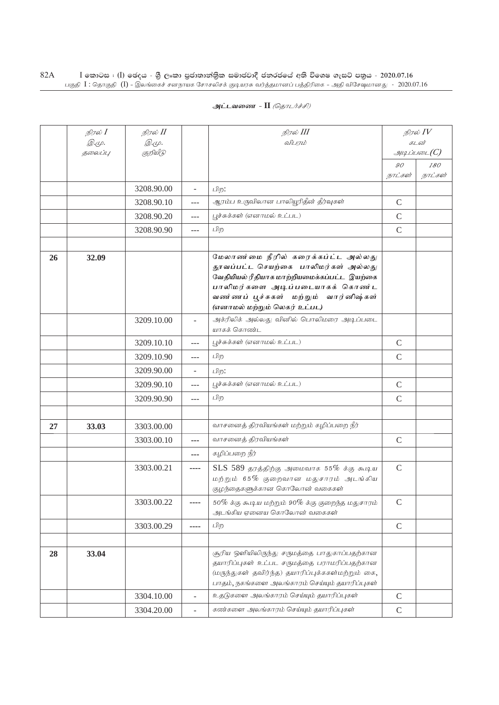|    | நிரல் I<br>Q. (L).<br>தலைப்பு | நிரல் II<br>Q. (L).<br>குறியீடு |                          | நிரல் III<br>விபாம்                                                                                                                                                                                                                 |                             | நிரல் $IV$<br>கடன்<br>$g$ uq Liuson $(C)$ |
|----|-------------------------------|---------------------------------|--------------------------|-------------------------------------------------------------------------------------------------------------------------------------------------------------------------------------------------------------------------------------|-----------------------------|-------------------------------------------|
|    |                               |                                 |                          |                                                                                                                                                                                                                                     | $\mathcal{G}O$<br>நாட்கள்   | 180<br>நாட்கள்                            |
|    |                               | 3208.90.00                      | $\overline{\phantom{a}}$ | பிற:                                                                                                                                                                                                                                |                             |                                           |
|    |                               | 3208.90.10                      | $---$                    | ஆரம்ப உருவிலான பாலியூரிதீன் தீர்வுகள்                                                                                                                                                                                               | $\mathcal{C}$               |                                           |
|    |                               | 3208.90.20                      | $---$                    | பூச்சுக்கள் (எனாமல் உட்பட)                                                                                                                                                                                                          | $\mathcal{C}$               |                                           |
|    |                               | 3208.90.90                      | $---$                    | பிற                                                                                                                                                                                                                                 | $\mathcal{C}$               |                                           |
|    |                               |                                 |                          |                                                                                                                                                                                                                                     |                             |                                           |
| 26 | 32.09                         |                                 |                          | மேலாண மை நீரில் கரைக்கப்ட்ட அல்லது<br>தூவப்பட்ட செயற்கை பாலிமர்கள் அல்லது<br>வேதியியல் ரீதியாக மாற்றியமைக்கப்பட்ட இயற்கை<br>பாலிமர்களை அடிப்படையாகக் கொண்ட<br>வணர்ணப் பூச்சுகள் மற்றும் வார்னிஷ்கள்<br>(எனாமல் மற்றும் லெகர் உட்பட) |                             |                                           |
|    |                               | 3209.10.00                      |                          | அக்ரிலிக் அல்லது வினில் பொலிமரை அடிப்படை<br>யாகக் கொண்ட                                                                                                                                                                             |                             |                                           |
|    |                               | 3209.10.10                      | $---$                    | பூச்சுக்கள் (எனாமல் உட்பட)                                                                                                                                                                                                          | $\mathsf{C}$                |                                           |
|    |                               | 3209.10.90                      | ---                      | பிற                                                                                                                                                                                                                                 | $\mathsf{C}$                |                                           |
|    |                               | 3209.90.00                      |                          | பிற:                                                                                                                                                                                                                                |                             |                                           |
|    |                               | 3209.90.10                      | $---$                    | பூச்சுக்கள் (எனாமல் உட்பட)                                                                                                                                                                                                          | $\mathsf C$                 |                                           |
|    |                               | 3209.90.90                      | $---$                    | பிற                                                                                                                                                                                                                                 | $\mathsf{C}$                |                                           |
|    |                               |                                 |                          |                                                                                                                                                                                                                                     |                             |                                           |
| 27 | 33.03                         | 3303.00.00                      |                          | வாசனைத் திரவியங்கள் மற்றும் கழிப்பறை நீர்                                                                                                                                                                                           |                             |                                           |
|    |                               | 3303.00.10                      | ---                      | வாசனைத் திரவியங்கள்                                                                                                                                                                                                                 | $\mathcal{C}$               |                                           |
|    |                               |                                 | ---                      | கழிப்பறை நீர்                                                                                                                                                                                                                       |                             |                                           |
|    |                               | 3303.00.21                      |                          | $SLS$ 589 தரத்திற்கு அமைவாக 55% க்கு கூடிய<br>மற்றும் 65% குறைவான மதுசாரம் அடங்கிய<br>குழந்தைகளுக்கான கொலோன் வகைகள்                                                                                                                 | $\mathcal{C}$               |                                           |
|    |                               | 3303.00.22                      |                          | $50\%$ க்கு கூடிய மற்றும் $90\%$ க்கு குறைந்த மதுசாரம்<br>அடங்கிய ஏனைய கொலோன் வகைகள்                                                                                                                                                | $\mathsf{C}$                |                                           |
|    |                               | 3303.00.29                      | ----                     | பிற                                                                                                                                                                                                                                 | $\mathsf C$                 |                                           |
|    |                               |                                 |                          |                                                                                                                                                                                                                                     |                             |                                           |
| 28 | 33.04                         |                                 |                          | சூரிய ஒளியிலிருந்து சருமத்தை பாதுகாப்பதற்கான<br>தயாரிப்புகள் உட்பட சருமத்தை பராமரிப்பதற்கான<br>(மருந்துகள் தவிர்ந்த) தயாரிப்புக்ககள்மற்றும் கை,<br>பாதம், நகங்களை அலங்காரம் செய்யும் தயாரிப்புகள்                                   |                             |                                           |
|    |                               | 3304.10.00                      |                          | உதடுகளை அலங்காரம் செய்யும் தயாரிப்புகள்                                                                                                                                                                                             | $\mathsf{C}$                |                                           |
|    |                               | 3304.20.00                      |                          | கண்களை அலங்காரம் செய்யும் தயாரிப்புகள்                                                                                                                                                                                              | $\mathcal{C}_{\mathcal{C}}$ |                                           |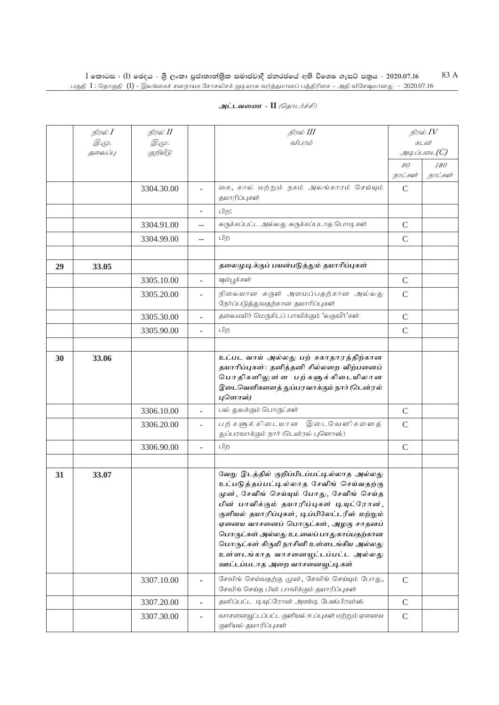| அட்டவணை - II <i>(தொடர்ச்சி)</i> |  |  |
|---------------------------------|--|--|
|                                 |  |  |

|    | நிரல் I            | நிரல் II     |                          | நிரல் III                                                                                                                                                                                                                                                                                                                                                                                                                            |               | நிரல் $IV$            |
|----|--------------------|--------------|--------------------------|--------------------------------------------------------------------------------------------------------------------------------------------------------------------------------------------------------------------------------------------------------------------------------------------------------------------------------------------------------------------------------------------------------------------------------------|---------------|-----------------------|
|    | Q. (L).<br>தலைப்பு | <i>@.cp.</i> |                          | விபரம்                                                                                                                                                                                                                                                                                                                                                                                                                               |               | கடன்<br>$\mathcal{A}$ |
|    |                    | குறியீடு     |                          |                                                                                                                                                                                                                                                                                                                                                                                                                                      | 90            | 180                   |
|    |                    |              |                          |                                                                                                                                                                                                                                                                                                                                                                                                                                      | நாட்கள்       | நாட்கள்               |
|    |                    | 3304.30.00   |                          | கை, கால் மற்றும் நகம் அலங்காரம் செய்யும்<br>தயாரிப்புகள்                                                                                                                                                                                                                                                                                                                                                                             | $\mathcal{C}$ |                       |
|    |                    |              | $\overline{\phantom{0}}$ | பிற:                                                                                                                                                                                                                                                                                                                                                                                                                                 |               |                       |
|    |                    | 3304.91.00   | $-$                      | சுருக்கப்பட்ட அல்லது சுருக்கப்படாத பொடிகள்                                                                                                                                                                                                                                                                                                                                                                                           | $\mathcal{C}$ |                       |
|    |                    | 3304.99.00   | $- -$                    | பிற                                                                                                                                                                                                                                                                                                                                                                                                                                  | $\mathcal{C}$ |                       |
|    |                    |              |                          |                                                                                                                                                                                                                                                                                                                                                                                                                                      |               |                       |
| 29 | 33.05              |              |                          | தலைமுடிக்குப் பயன்படுத்தும் தயாரிப்புகள்                                                                                                                                                                                                                                                                                                                                                                                             |               |                       |
|    |                    | 3305.10.00   | L,                       | ஷம்பூக்கள்                                                                                                                                                                                                                                                                                                                                                                                                                           | $\mathcal{C}$ |                       |
|    |                    | 3305.20.00   |                          | நிலையான சுருள் அமைப்பதற்கான அல்லது<br>நேர்ப்படுத்துவதற்கான தயாரிப்புகள்                                                                                                                                                                                                                                                                                                                                                              | $\mathcal{C}$ |                       |
|    |                    | 3305.30.00   | $\overline{\phantom{a}}$ | தலைமயிர் மெருகிடப் பாவிக்கும் 'லகுவீர்'கள்                                                                                                                                                                                                                                                                                                                                                                                           | $\mathcal{C}$ |                       |
|    |                    | 3305.90.00   | ÷.                       | பிற                                                                                                                                                                                                                                                                                                                                                                                                                                  | $\mathsf{C}$  |                       |
|    |                    |              |                          |                                                                                                                                                                                                                                                                                                                                                                                                                                      |               |                       |
| 30 | 33.06              |              |                          | உட்பட வாய் அல்லது பற் சுகாதாரத்திற்கான<br>தயாரிப்புகள்: தனித்தனி சில்லறை விற்பனைப்<br>பொதிகளிலுள்ள பற்களுக்கிடையிலான<br>இடைவெளிகளைத் துப்பரவாக்கும் நார் (டென்ரல்<br>புளொஸ்)                                                                                                                                                                                                                                                         |               |                       |
|    |                    | 3306.10.00   | ÷,                       | பல் துலக்கும் பொருட்கள்                                                                                                                                                                                                                                                                                                                                                                                                              | C             |                       |
|    |                    | 3306.20.00   | ÷                        | பற்களுக்கிடையான இடைவெளிகளைத்<br>துப்பரவாக்கும் நார் (டென்ரல் புளொஸ்)                                                                                                                                                                                                                                                                                                                                                                 | $\mathcal{C}$ |                       |
|    |                    | 3306.90.00   | $\overline{\phantom{0}}$ | பிற                                                                                                                                                                                                                                                                                                                                                                                                                                  | $\mathcal{C}$ |                       |
|    |                    |              |                          |                                                                                                                                                                                                                                                                                                                                                                                                                                      |               |                       |
| 31 | 33.07              |              |                          | வேறு இடத்தில் குறிப்பிடப்பட்டில்லாத அல்லது<br>உட்படுத்தப்பட்டில்லாத சேவிங் செய்வதற்கு<br>முன், சேவிங் செய்யும் போது, சேவிங் செய்த<br>பின் பாவிக்கும் தயாரிப்புகள் டியுட்ரோன்,<br>குளியல் தயாரிப்புகள், டிப்பிலேட்டரீஸ் மற்றும்<br>ஏனைய வாசனைப் பொருட்கள், அழகு சாதனப்<br>பொருட்கள் அல்லது உடலைப் பாதுகாப்பதற்கான<br>பொருட்கள் கிருமி நாசினி உள்ளடங்கிய அல்லது<br>உள்ளடங்காத வாசனையூட்டப்பட்ட அல்லது<br>ஊட்டப்படாத அறை வாசனையுட்டிகள் |               |                       |
|    |                    | 3307.10.00   |                          | சேவிங் செய்வதற்கு முன், சேவிங் செய்யும் போது,<br>சேவிங் செய்த பின் பாவிக்கும் தயாரிப்புகள்                                                                                                                                                                                                                                                                                                                                           | $\mathsf{C}$  |                       |
|    |                    | 3307.20.00   | ä,                       | தனிப்பட்ட டியுட்ரோன் அண்டி பேஸ்பிரன்ஸ்                                                                                                                                                                                                                                                                                                                                                                                               | $\mathsf{C}$  |                       |
|    |                    | 3307.30.00   |                          | வாசனையூட்டப்பட்ட குளியல் உப்புகள் மற்றும் ஏனைய<br>குளியல் தயாரிப்புகள்                                                                                                                                                                                                                                                                                                                                                               | $\mathcal{C}$ |                       |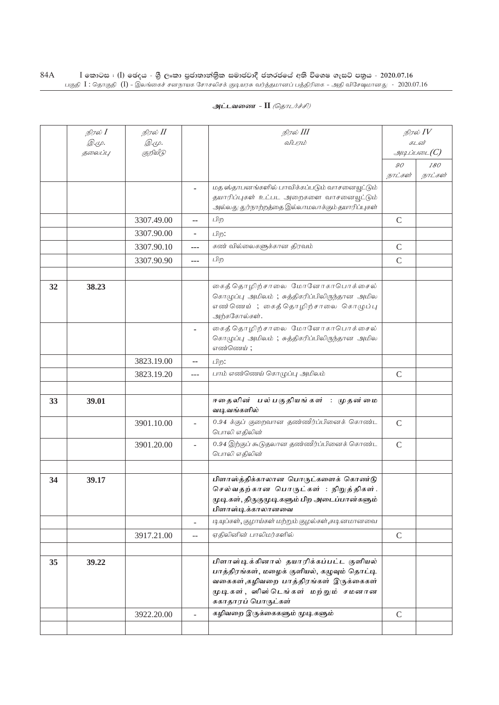| அட்டவணை - II <i>(தொடர்ச்சி)</i> |  |  |  |
|---------------------------------|--|--|--|
|---------------------------------|--|--|--|

|    | நிரல் $I$    | நிரல் II   |                   | நிரல் III                                                                            | நிரல் $IV$    |                |
|----|--------------|------------|-------------------|--------------------------------------------------------------------------------------|---------------|----------------|
|    | <i>@.cp.</i> | @.cp.      |                   | விபரம்                                                                               | கடன்          |                |
|    | தலைப்பு      | குறியீடு   |                   |                                                                                      |               | அடிப்படை $(C)$ |
|    |              |            |                   |                                                                                      | 90<br>நாட்கள் | 180<br>நாட்கள் |
|    |              |            |                   | மத ஸ்தாபனங்களில் பாவிக்கப்படும் வாசனையூட்டும்                                        |               |                |
|    |              |            |                   | தயாரிப்புகள் உட்பட அறைகளை வாசனையூட்டும்                                              |               |                |
|    |              |            |                   | அல்லது துர்நாற்றத்தை இல்லாமலாக்கும் தயாரிப்புகள்                                     |               |                |
|    |              | 3307.49.00 | ۰.                | பிற                                                                                  | $\mathcal{C}$ |                |
|    |              | 3307.90.00 |                   | பிற:                                                                                 |               |                |
|    |              | 3307.90.10 | ---               | கண் வில்லைகளுக்கான திரவம்                                                            | $\mathcal{C}$ |                |
|    |              | 3307.90.90 | ---               | பிற                                                                                  | $\mathcal{C}$ |                |
|    |              |            |                   |                                                                                      |               |                |
| 32 | 38.23        |            |                   | கைத் தொழிற்சாலை மோனோகாபொக்சைல்                                                       |               |                |
|    |              |            |                   | கொழுப்பு அமிலம்; சுத்திகரிப்பிலிருந்தான அமில                                         |               |                |
|    |              |            |                   | எண்ணெய்; கைத்தொழிற்சாலை கொழுப்பு<br>அற்ககோல்கள்.                                     |               |                |
|    |              |            |                   | கைத் தொழிற்சாலை மோனோகாபொக்சைல்                                                       |               |                |
|    |              |            |                   | கொழுப்பு அமிலம்; சுத்திகரிப்பிலிருந்தான அமில                                         |               |                |
|    |              |            |                   | எண்ணெய்;                                                                             |               |                |
|    |              | 3823.19.00 | --                | பிற:                                                                                 |               |                |
|    |              | 3823.19.20 | $-$               | பாம் எண்ணெய் கொழுப்பு அமிலம்                                                         | $\mathcal{C}$ |                |
|    |              |            |                   |                                                                                      |               |                |
| 33 | 39.01        |            |                   | ஈதைலின் பல்பகுதியங்கள் : முதன்மை<br>வடிவங்களில்                                      |               |                |
|    |              | 3901.10.00 | $\overline{a}$    | 0.94 க்குப் குறைவான தண்ணீர்ப்பினைக் கொண்ட                                            | $\mathcal{C}$ |                |
|    |              |            |                   | பொலி எதிலின்                                                                         |               |                |
|    |              | 3901.20.00 | $\overline{a}$    | 0.94 இற்குப் கூடுதலான தண்ணீர்ப்பினைக் கொண்ட                                          | $\mathsf{C}$  |                |
|    |              |            |                   | பொலி எதிலின்                                                                         |               |                |
|    |              |            |                   | பிளாஸ்த்திக்காலான பொருட்களைக் கொண்டு                                                 |               |                |
| 34 | 39.17        |            |                   | செல்வதற்கான பொருட்கள் : நிறுத்திகள்.                                                 |               |                |
|    |              |            |                   | முடிகள், திருகுமுடிகளும் பிற அடைப்பான்களும்                                          |               |                |
|    |              |            |                   | பிளாஸ்டிக்காலானவை                                                                    |               |                |
|    |              |            | $\qquad \qquad -$ | டியுப்கள், குழாய்கள் மற்றும் குழல்கள்,கடினமானவை                                      |               |                |
|    |              | 3917.21.00 | --                | ஏதிலினின் பாலிமர்களில்                                                               | $\mathcal{C}$ |                |
|    |              |            |                   |                                                                                      |               |                |
| 35 | 39.22        |            |                   | பிளாஸ்டிக்கினால் தயாரிக்கப்பட்ட குளியல்                                              |               |                |
|    |              |            |                   | பாத்திரங்கள், மழைக் குளியல், கழுவும் தொட்டி<br>வகைகள்,கழிவறை பாத்திரங்கள் இருக்கைகள் |               |                |
|    |              |            |                   | முடிகள், ஸிஸ்டெங்கள் மற்றும் சமனான                                                   |               |                |
|    |              |            |                   | சுகாதாரப் பொருட்கள்                                                                  |               |                |
|    |              | 3922.20.00 |                   | கழிவறை இருக்கைகளும் முடிகளும்                                                        | $\mathcal{C}$ |                |
|    |              |            |                   |                                                                                      |               |                |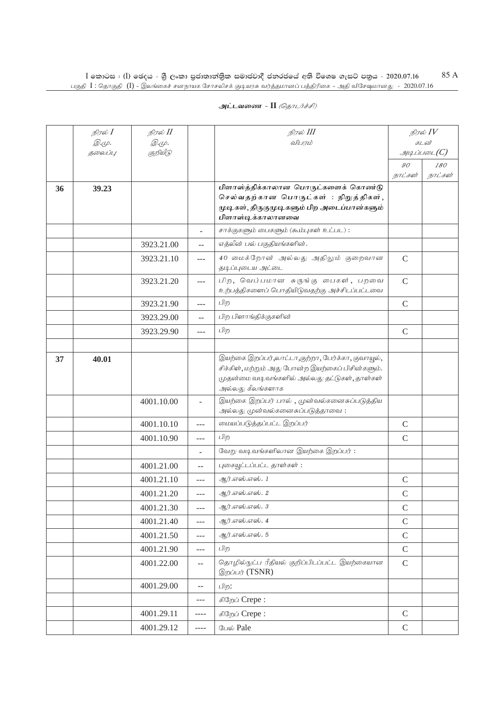| அட்டவணை - II <i>(தொடர்ச்சி)</i> |  |  |
|---------------------------------|--|--|
|                                 |  |  |

|    | நிரல் $I$     | நிரல் II     |                          | நிரல் III                                                                                                                                                                  | நிரல் $IV$    |                      |
|----|---------------|--------------|--------------------------|----------------------------------------------------------------------------------------------------------------------------------------------------------------------------|---------------|----------------------|
|    | <i>@.</i> மு. | <i>@.cp.</i> |                          | விபாம்                                                                                                                                                                     |               | கடன்                 |
|    | தலைப்பு       | குறியீடு     |                          |                                                                                                                                                                            | 90            | $\mathcal{I}$<br>180 |
|    |               |              |                          |                                                                                                                                                                            | நாட்கள்       | நாட்கள்              |
| 36 | 39.23         |              |                          | பிளாஸ்த்திக்காலான பொருட்களைக் கொண்டு<br>செல்வதற்கான பொருட்கள் : நிறுத்திகள்,<br>முடிகள், திருகுமுடிகளும் பிற அடைப்பான்களும்<br>பிளாஸ்டிக்காலானவை                           |               |                      |
|    |               |              | L.                       | சாக்குகளும் பைகளும் (சும்புகள் உட்பட):                                                                                                                                     |               |                      |
|    |               | 3923.21.00   | $-$                      | எத்லீன் பல் பகுதியங்களின்.                                                                                                                                                 |               |                      |
|    |               | 3923.21.10   | ---                      | 40 மைக்றோன் அல்லது அதிலும் குறைவான<br>தடிப்புடைய அட்டை                                                                                                                     | $\mathsf{C}$  |                      |
|    |               | 3923.21.20   | $\overline{a}$           | பிற, வெப்பமான சுருங்கு பைகள், பறவை<br>உற்பத்திகளைப் பொதியிடுவதற்கு அச்சிடப்பட்டவை                                                                                          | $\mathsf{C}$  |                      |
|    |               | 3923.21.90   | ---                      | பிற                                                                                                                                                                        | $\mathsf{C}$  |                      |
|    |               | 3923.29.00   | $-$                      | பிற பிளாங்திக்குகளின்                                                                                                                                                      |               |                      |
|    |               | 3923.29.90   | $\overline{a}$           | பிற                                                                                                                                                                        | $\mathcal{C}$ |                      |
|    |               |              |                          |                                                                                                                                                                            |               |                      |
| 37 | 40.01         |              |                          | இயற்கை இறப்பர்,லாட்டா,குற்றா, பேர்க்கா, குவாயூல்,<br>சிக்கிள், மற்றும் அது போன்ற இயற்கைப் பிசின்களும்.<br>முதன்மை வடிவங்களில் அல்லது தட்டுகள், தாள்கள்<br>அல்லது கீலங்களாக |               |                      |
|    |               | 4001.10.00   |                          | இயற்கை இறப்பர் பால், முன்வல்கனைசுப்படுத்திய<br>அல்லது முன்வல்களைசுப்படுத்தாவை:                                                                                             |               |                      |
|    |               | 4001.10.10   | $\overline{a}$           | மையப்படுத்தப்பட்ட இறப்பர்                                                                                                                                                  | $\mathsf{C}$  |                      |
|    |               | 4001.10.90   | $---$                    | பிற                                                                                                                                                                        | $\mathcal{C}$ |                      |
|    |               |              |                          | வேறு வடிவங்களிலான இயற்கை இறப்பர்:                                                                                                                                          |               |                      |
|    |               | 4001.21.00   | $-$                      | புகையூட்டப்பட்ட தாள்கள்:                                                                                                                                                   |               |                      |
|    |               | 4001.21.10   | $- - -$                  | ஆர்.எஸ்.எஸ். 1                                                                                                                                                             | $\mathcal{C}$ |                      |
|    |               | 4001.21.20   | $---$                    | ஆர்.எஸ்.எஸ். 2                                                                                                                                                             | $\mathcal{C}$ |                      |
|    |               | 4001.21.30   | $---$                    | ஆர்.எஸ்.எஸ். 3                                                                                                                                                             | $\mathsf{C}$  |                      |
|    |               | 4001.21.40   | $---$                    | ஆர்.எஸ்.எஸ். 4                                                                                                                                                             | $\mathsf C$   |                      |
|    |               | 4001.21.50   | $---$                    | ஆர்.எஸ்.எஸ். 5                                                                                                                                                             | $\mathcal{C}$ |                      |
|    |               | 4001.21.90   | $-$                      | பிற                                                                                                                                                                        | $\mathbf C$   |                      |
|    |               | 4001.22.00   | $\overline{\phantom{m}}$ | தொழில்நுட்ப ரீதியல் குறிப்பிடப்பட்ட இயற்கையான<br>இறப்பர் (TSNR)                                                                                                            | $\mathcal{C}$ |                      |
|    |               | 4001.29.00   | $-$                      | பிற:                                                                                                                                                                       |               |                      |
|    |               |              | $---$                    | கிறேப் Crepe:                                                                                                                                                              |               |                      |
|    |               | 4001.29.11   | $---$                    | கிறேப் Crepe:                                                                                                                                                              | $\mathcal{C}$ |                      |
|    |               | 4001.29.12   | $---$                    | பேல் Pale                                                                                                                                                                  | $\mathcal{C}$ |                      |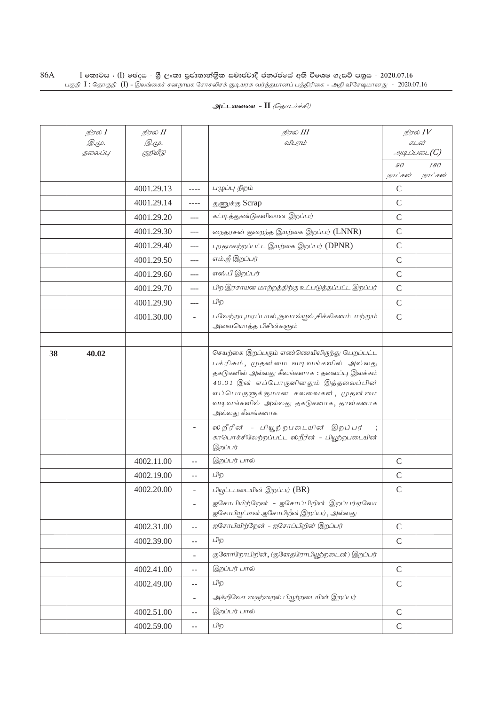| அட்டவணை - II <i>(தொடர்ச்சி)</i> |  |
|---------------------------------|--|
|---------------------------------|--|

|    | நிரல் $I$    | நிரல் II     |                                               | நிரல் III                                                                                                                                                                                                                                                                       | நிரல் $\mathit{IV}$   |                |
|----|--------------|--------------|-----------------------------------------------|---------------------------------------------------------------------------------------------------------------------------------------------------------------------------------------------------------------------------------------------------------------------------------|-----------------------|----------------|
|    | <u>இ.மு.</u> | <i>@.மு.</i> |                                               | விபரம்                                                                                                                                                                                                                                                                          | கடன்<br>$\mathcal{I}$ |                |
|    | தலைப்பு      | குறியீடு     |                                               |                                                                                                                                                                                                                                                                                 | 90                    |                |
|    |              |              |                                               |                                                                                                                                                                                                                                                                                 | நாட்கள்               | 180<br>நாட்கள் |
|    |              | 4001.29.13   | ----                                          | பழுப்பு நிறம்                                                                                                                                                                                                                                                                   | $\mathsf C$           |                |
|    |              | 4001.29.14   | $- - - -$                                     | துணுக்கு Scrap                                                                                                                                                                                                                                                                  | $\mathcal{C}$         |                |
|    |              | 4001.29.20   | $\overline{a}$                                | கட்டித்துண்டுகளிலான இறப்பர்                                                                                                                                                                                                                                                     | $\mathcal{C}$         |                |
|    |              | 4001.29.30   | $---$                                         | நைதரசன் குறைந்த இயற்கை இறப்பர் (LNNR)                                                                                                                                                                                                                                           | $\mathsf{C}$          |                |
|    |              | 4001.29.40   | $---$                                         | புரதமகற்றப்பட்ட இயற்கை இறப்பர் (DPNR)                                                                                                                                                                                                                                           | $\mathsf C$           |                |
|    |              | 4001.29.50   | $---$                                         | எம்.ஜீ இறப்பர்                                                                                                                                                                                                                                                                  | $\mathcal{C}$         |                |
|    |              | 4001.29.60   | $ -$                                          | எஸ்.பீ இறப்பர்                                                                                                                                                                                                                                                                  | $\mathbf C$           |                |
|    |              | 4001.29.70   | $---$                                         | பிற இரசாயன மாற்றத்திற்கு உட்படுத்தப்பட்ட இறப்பர்                                                                                                                                                                                                                                | $\mathsf{C}$          |                |
|    |              | 4001.29.90   | $-$                                           | பிற                                                                                                                                                                                                                                                                             | $\mathsf{C}$          |                |
|    |              | 4001.30.00   | $\sim$                                        | பலேற்றா,மரப்பால்,குவால்யூல்,சிக்கிகளம் மற்றும்<br>அவையொத்த பிசின்களும்                                                                                                                                                                                                          | $\mathcal{C}$         |                |
|    |              |              |                                               |                                                                                                                                                                                                                                                                                 |                       |                |
| 38 | 40.02        |              |                                               | செயற்கை இறப்பரும் எண்ணெயிலிருந்து பெறப்பட்ட<br>பக்ரிசும், முதன்மை வடிவங்களில் அல்லது<br>தகடுகளில் அல்லது கீலங்களாக : தலைப்பு இலக்கம்<br>40.01 இன் எப்பொருளினதும் இத்தலைப்பின்<br>எப்பொருளுக்குமான கலவைகள், முதன்மை<br>வடிவங்களில் அல்லது தகடுகளாக, தாள்களாக<br>அல்லது கீலங்களாக |                       |                |
|    |              |              |                                               | ஸ் றீரீன் - பியூற்றபடையின் இறப்பர்<br>காபொக்சிலேற்றப்பட்ட ஸ்றீரீன் - பியூற்றபடையின்<br>இறப்பர்                                                                                                                                                                                  |                       |                |
|    |              | 4002.11.00   | $-$                                           | இறப்பர் பால்                                                                                                                                                                                                                                                                    | $\mathcal{C}$         |                |
|    |              | 4002.19.00   | $-$                                           | பிற                                                                                                                                                                                                                                                                             | $\mathcal{C}$         |                |
|    |              | 4002.20.00   |                                               | பியூட்டபடையின் இறப்பர் (BR)                                                                                                                                                                                                                                                     | $\mathsf C$           |                |
|    |              |              |                                               | ஐசோபியிற்றேன் - ஐசோப்பிறின் இறப்பர்ஏலோ<br>ஐசோபியூட்டீன்.ஐசோபிறீன்,இறப்பர், அல்லது                                                                                                                                                                                               |                       |                |
|    |              | 4002.31.00   | $\mathbb{L}^{\mathbb{L}}$                     | ஐசோபியிற்றேன் - ஐசோப்பிறின் இறப்பர்                                                                                                                                                                                                                                             | $\mathbf C$           |                |
|    |              | 4002.39.00   | $\overline{a}$                                | பிற                                                                                                                                                                                                                                                                             | $\mathsf{C}$          |                |
|    |              |              | $\overline{\phantom{a}}$                      | குளோறோபிறின், (குளேதரோபியூற்றடைன்) இறப்பர்                                                                                                                                                                                                                                      |                       |                |
|    |              | 4002.41.00   | $\mathbb{L}^{\mathbb{L}}$                     | இறப்பர் பால்                                                                                                                                                                                                                                                                    | $\mathcal{C}$         |                |
|    |              | 4002.49.00   | $\mathord{\hspace{1pt}\text{--}\hspace{1pt}}$ | பிற                                                                                                                                                                                                                                                                             | $\mathsf{C}$          |                |
|    |              |              | $\overline{\phantom{a}}$                      | அக்றிலோ நைற்றைல் பியூற்றடையின் இறப்பர்                                                                                                                                                                                                                                          |                       |                |
|    |              | 4002.51.00   | $\overline{a}$                                | இறப்பர் பால்                                                                                                                                                                                                                                                                    | $\mathsf{C}$          |                |
|    |              | 4002.59.00   | $\overline{\phantom{a}}$                      | பிற                                                                                                                                                                                                                                                                             | $\mathsf{C}$          |                |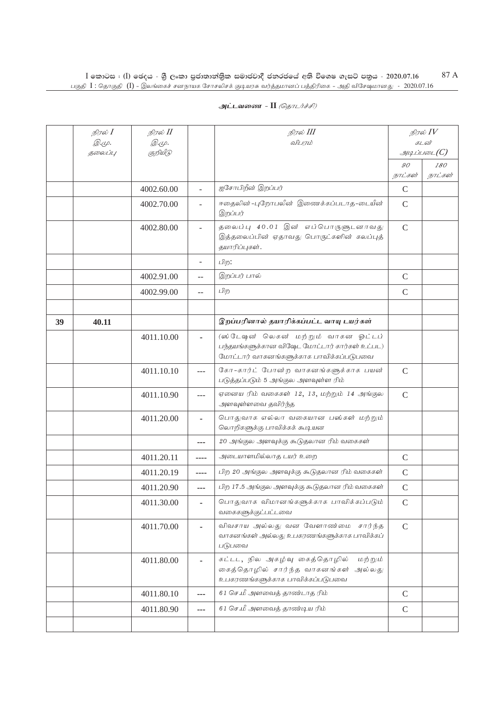|    | நிரல் I<br><i>@.cp.</i> | நிரல் II<br><i>@.cp.</i> |                | நிரல் III<br>விபரம்                                                                                                            |               | நிரல் $IV$<br>கடன் |
|----|-------------------------|--------------------------|----------------|--------------------------------------------------------------------------------------------------------------------------------|---------------|--------------------|
|    | தலைப்பு                 | குறியீடு                 |                |                                                                                                                                |               | $\mathcal{I}$      |
|    |                         |                          |                |                                                                                                                                | 90            | 180                |
|    |                         |                          |                |                                                                                                                                | நாட்கள்       | நாட்கள்            |
|    |                         | 4002.60.00               |                | ஐசோபிறீன் இறப்பர்                                                                                                              | $\mathsf{C}$  |                    |
|    |                         | 4002.70.00               |                | ஈதைலின் -புறோபலீன் இணைக்கப்படாத-டையீன்<br>இறப்பர்                                                                              | $\mathsf{C}$  |                    |
|    |                         | 4002.80.00               |                | தலைப்பு 40.01 இன் எப்பொருளுடனாவது<br>இத்தலைப்பின் ஏதாவது பொருட்களின் கலப்புத்<br>தயாரிப்புகள்.                                 | $\mathsf{C}$  |                    |
|    |                         |                          | ÷              | பிற:                                                                                                                           |               |                    |
|    |                         | 4002.91.00               | $-$            | இறப்பர் பால்                                                                                                                   | $\mathcal{C}$ |                    |
|    |                         | 4002.99.00               | $-$            | பிற                                                                                                                            | $\mathcal{C}$ |                    |
|    |                         |                          |                |                                                                                                                                |               |                    |
| 39 | 40.11                   |                          |                | இறப்பரினால் தயாரிக்கப்பட்ட வாயு டயர்கள்                                                                                        |               |                    |
|    |                         | 4011.10.00               | $\blacksquare$ | (ஸ்டேஷன் லெகன் மற்றும் வாகன ஓட்டப்<br>பந்தயங்களுக்கான விஷேட மோட்டார் கார்கள் உட்பட)<br>மோட்டார் வாகனங்களுக்காக பாவிக்கப்படுபவை |               |                    |
|    |                         | 4011.10.10               | $---$          | கோ-கார்ட் போன்ற வாகனங்களுக்காக பயன்<br>படுத்தப்படும் 5 அங்குல அளவுள்ள ரிம்                                                     | $\mathcal{C}$ |                    |
|    |                         | 4011.10.90               | $---$          | ஏனைய ரிம் வகைகள் 12, 13, மற்றும் 14 அங்குல<br>அளவுள்ளவை தவிர்ந்த                                                               | $\mathcal{C}$ |                    |
|    |                         | 4011.20.00               |                | பொதுவாக எல்லா வகையான பஸ்கள் மற்றும்<br>லொறிகளுக்கு பாவிக்கக் கூடியன                                                            |               |                    |
|    |                         |                          | ---            | 20 அங்குல அளவுக்கு கூடுதலான ரிம் வகைகள்                                                                                        |               |                    |
|    |                         | 4011.20.11               | ----           | அடையாளமில்லாத டயர் உறை                                                                                                         | $\mathcal{C}$ |                    |
|    |                         | 4011.20.19               | ----           | பிற 20 அங்குல அளவுக்கு கூடுதலான ரிம் வகைகள்                                                                                    | $\mathcal{C}$ |                    |
|    |                         | 4011.20.90               | $---$          | பிற 17.5 அங்குல அளவுக்கு கூடுதலான ரிம் வகைகள்                                                                                  | $\mathsf{C}$  |                    |
|    |                         | 4011.30.00               |                | பொதுவாக விமானங்களுக்காக பாவிக்கப்படும்<br>வகைகளுக்குட்பட்டவை                                                                   | $\mathsf{C}$  |                    |
|    |                         | 4011.70.00               |                | விவசாய அல்லது வன வேளாண்மை சார்ந்த<br>வாகனங்கள் அல்லது உபகரணங்களுக்காக பாவிக்கப்<br>படுபவை                                      | $\mathcal{C}$ |                    |
|    |                         | 4011.80.00               |                | கட்டட, நில அகழ்வு கைத்தொழில்<br>மற்றும்<br>கைத்தொழில் சார்ந்த வாகனங்கள்<br>அல்லது<br>உபகரணங்களுக்காக பாவிக்கப்படுபவை           |               |                    |
|    |                         | 4011.80.10               | ---            | 61 செ.மீ அளவைத் தாண்டாத ரிம்                                                                                                   | $\mathsf C$   |                    |
|    |                         | 4011.80.90               |                | 61 செ.மீ அளவைத் தாண்டிய ரிம்                                                                                                   | $\mathcal{C}$ |                    |
|    |                         |                          |                |                                                                                                                                |               |                    |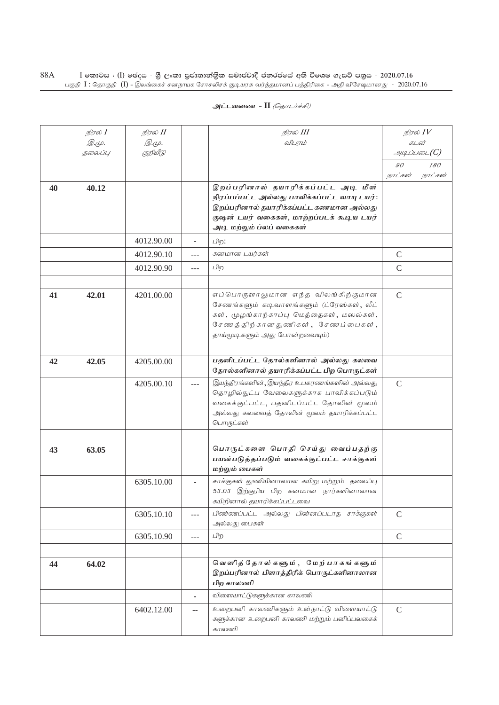|    | நிரல் <b>I</b> | நிரல் II     |       | நிரல் III                                                                                                                                                                                               | நிரல் $\mathit{IV}$                          |                |
|----|----------------|--------------|-------|---------------------------------------------------------------------------------------------------------------------------------------------------------------------------------------------------------|----------------------------------------------|----------------|
|    | <i>@.cp.</i>   | <i>@.cp.</i> |       | விபரம்                                                                                                                                                                                                  | கடன்<br>$\mathcal{A}\mathcal{A}$ ப்படை $(C)$ |                |
|    | தலைப்பு        | குறியீடு     |       |                                                                                                                                                                                                         |                                              |                |
|    |                |              |       |                                                                                                                                                                                                         | 90<br>நாட்கள்                                | 180<br>நாட்கள் |
| 40 | 40.12          |              |       | இறப்பரினால் தயாரிக்கப்பட்ட அடி மீள்<br>நிரப்பப்பட்ட அல்லது பாவிக்கப்பட்ட வாயு டயர்:<br>இறப்பரினால் தயாரிக்கப்பட்ட கணமான அல்லது<br>குஷன் டயர் வகைகள், மாற்றப்படக் கூடிய டயர்<br>அடி மற்றும் ப்லப் வகைகள் |                                              |                |
|    |                | 4012.90.00   | ÷.    | பிற:                                                                                                                                                                                                    |                                              |                |
|    |                | 4012.90.10   | ---   | கனமான டயர்கள்                                                                                                                                                                                           | $\mathcal{C}$                                |                |
|    |                | 4012.90.90   | $---$ | பிற                                                                                                                                                                                                     | $\mathcal{C}$                                |                |
|    |                |              |       |                                                                                                                                                                                                         |                                              |                |
| 41 | 42.01          | 4201.00.00   |       | எப்பொருளாலுமான எந்த விலங்கிற்குமான<br>சேணங்களும் கடிவாளங்களும் (ட்ரேஸ்கள், லீட்<br>கள், முழங்காற்காப்பு மெத்தைகள், மஸல்கள்,<br>சேணத்திற்கானதுணிகள், சேணப்பைகள்,<br>தாய்மூடிகளும் அது போன்றவையும்)       | $\mathcal{C}$                                |                |
|    |                |              |       |                                                                                                                                                                                                         |                                              |                |
| 42 | 42.05          | 4205.00.00   |       | பதனிடப்பட்ட தோல்களினால் அல்லது கலவை<br>தோல்களினால் தயாரிக்கப்பட்ட பிற பொருட்கள்                                                                                                                         |                                              |                |
|    |                | 4205.00.10   |       | இயந்திரங்களின், இயந்திர உபகரணங்களின் அல்லது<br>தொழில்நுட்ப வேலைகளுக்காக பாவிக்கப்படும்<br>வகைக்குட்பட்ட, பதனிடப்பட்ட தோலின் மூலம்<br>அல்லது கலவைத் தோலின் மூலம் தயாரிக்கப்பட்ட<br>பொருட்கள்             | $\mathcal{C}$                                |                |
|    |                |              |       |                                                                                                                                                                                                         |                                              |                |
| 43 | 63.05          |              |       | பொருட்களை பொதி செய்து வைப்பதற்கு<br>பயன்படுத்தப்படும் வகைக்குட்பட்ட சாக்குகள்<br>மற்றும் பைகள்                                                                                                          |                                              |                |
|    |                | 6305.10.00   |       | சாக்குகள் துணியினாலான கயிறு மற்றும் தலைப்பு<br>53.03 இற்குரிய பிற கனமான நார்களினாலான<br>கயிறினால் தயாரிக்கப்பட்டவை                                                                                      |                                              |                |
|    |                | 6305.10.10   | ---   | பிண்ணப்பட்ட அல்லது பின்னப்படாத சாக்குகள்<br>அல்லது பைகள்                                                                                                                                                | $\mathcal{C}$                                |                |
|    |                | 6305.10.90   | $---$ | பிற                                                                                                                                                                                                     | $\mathcal{C}$                                |                |
|    |                |              |       |                                                                                                                                                                                                         |                                              |                |
| 44 | 64.02          |              |       | வெளித்தோல்களும், மேற்பாகங்களும்<br>இறப்பரினால் பிளாத்திரிக் பொருட்களினாலான<br>பிற காலணி                                                                                                                 |                                              |                |
|    |                |              |       | விளையாட்டுகளுக்கான காலணி                                                                                                                                                                                |                                              |                |
|    |                | 6402.12.00   | ۰.    | உறைபனி காலணிகளும் உள்நாட்டு விளையாட்டு<br>களுக்கான உறைபனி காலணி மற்றும் பனிப்பலகைக்<br>காலணி                                                                                                            | $\mathcal{C}$                                |                |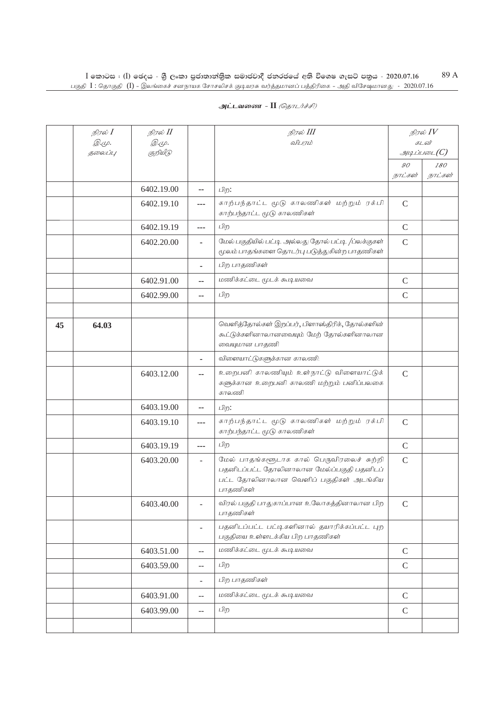| அட்டவணை - II <i>(தொடர்ச்சி)</i> |  |
|---------------------------------|--|
|---------------------------------|--|

|    | நிரல் <b>I</b><br><i>@.cp.</i> | நிரல் II<br><i>@.cp.</i> |                | நிரல் III<br>விபரம்                                                                                                                         | நிரல் $IV$<br>கடன் |               |
|----|--------------------------------|--------------------------|----------------|---------------------------------------------------------------------------------------------------------------------------------------------|--------------------|---------------|
|    | தலைப்பு                        | குறியீடு                 |                |                                                                                                                                             |                    | $\mathcal{A}$ |
|    |                                |                          |                |                                                                                                                                             | 90                 | 180           |
|    |                                |                          |                |                                                                                                                                             | நாட்கள்            | நாட்கள்       |
|    |                                | 6402.19.00               | --             | பிற:                                                                                                                                        |                    |               |
|    |                                | 6402.19.10               | ---            | காற்பந்தாட்ட மூடு காலணிகள் மற்றும் ரக்பி<br>காற்பந்தாட்ட மூடு காலணிகள்                                                                      | $\mathcal{C}$      |               |
|    |                                | 6402.19.19               | $---$          | பிற                                                                                                                                         | $\mathsf{C}$       |               |
|    |                                | 6402.20.00               |                | மேல் பகுதியில் பட்டி அல்லது தோல் பட்டி /பலக்குகள்<br>மூலம் பாதங்களை தொடர்பு படுத்துகின்ற பாதணிகள்                                           | $\mathsf{C}$       |               |
|    |                                |                          | ٠              | பிற பாதணிகள்                                                                                                                                |                    |               |
|    |                                | 6402.91.00               | --             | மணிக்கட்டை மூடக் கூடியவை                                                                                                                    | $\mathsf{C}$       |               |
|    |                                | 6402.99.00               | ۰.             | பிற                                                                                                                                         | $\mathcal{C}$      |               |
|    |                                |                          |                |                                                                                                                                             |                    |               |
| 45 | 64.03                          |                          |                | வெளித்தோல்கள் இறப்பர், பிளாஸ்திரிக், தோல்களின்<br>கூட்டுக்களினாலானவையும் மேற் தோல்களினாலான<br>வையுமான பாதணி                                 |                    |               |
|    |                                |                          | $\blacksquare$ | விளையாட்டுகளுக்கான காலணி:                                                                                                                   |                    |               |
|    |                                | 6403.12.00               |                | உறைபனி காலணியும் உள்நாட்டு விளையாட்டுக்<br>களுக்கான உறைபனி காலணி மற்றும் பனிப்பலகை<br>காலணி                                                 | $\mathsf{C}$       |               |
|    |                                | 6403.19.00               | ۰.             | பிற:                                                                                                                                        |                    |               |
|    |                                | 6403.19.10               | ---            | காற்பந்தாட்ட மூடு காலணிகள் மற்றும் ரக்பி<br>காற்பந்தாட்ட மூடு காலணிகள்                                                                      | $\mathsf{C}$       |               |
|    |                                | 6403.19.19               | $---$          | பிற                                                                                                                                         | $\mathsf{C}$       |               |
|    |                                | 6403.20.00               | ÷.             | மேல் பாதங்களூடாக கால் பெருவிரலைச் சுற்றி<br>பதனிடப்பட்ட தோலினாலான மேல்ப்பகுதி பதனிடப்<br>பட்ட தோலினாலான வெளிப் பகுதிகள் அடங்கிய<br>பாதணிகள் | $\mathcal{C}$      |               |
|    |                                | 6403.40.00               | $\overline{a}$ | விரல் பகுதி பாதுகாப்பான உலோகத்தினாலான பிற<br>பாதணிகள்                                                                                       | $\mathcal{C}$      |               |
|    |                                |                          | $\overline{a}$ | பதனிடப்பட்ட பட்டிகளினால் தயாரிக்கப்பட்ட புற<br>பகுதியை உள்ளடக்கிய பிற பாதணிகள்                                                              |                    |               |
|    |                                | 6403.51.00               | $\overline{a}$ | மணிக்கட்டை மூடக் கூடியவை                                                                                                                    | $\mathcal{C}$      |               |
|    |                                | 6403.59.00               | $\overline{a}$ | பிற                                                                                                                                         | $\mathcal{C}$      |               |
|    |                                |                          | ÷,             | பிற பாதணிகள்                                                                                                                                |                    |               |
|    |                                | 6403.91.00               | $-$            | மணிக்கட்டை மூடக் கூடியவை                                                                                                                    | $\mathcal{C}$      |               |
|    |                                | 6403.99.00               | $- -$          | பிற                                                                                                                                         | $\mathsf{C}$       |               |
|    |                                |                          |                |                                                                                                                                             |                    |               |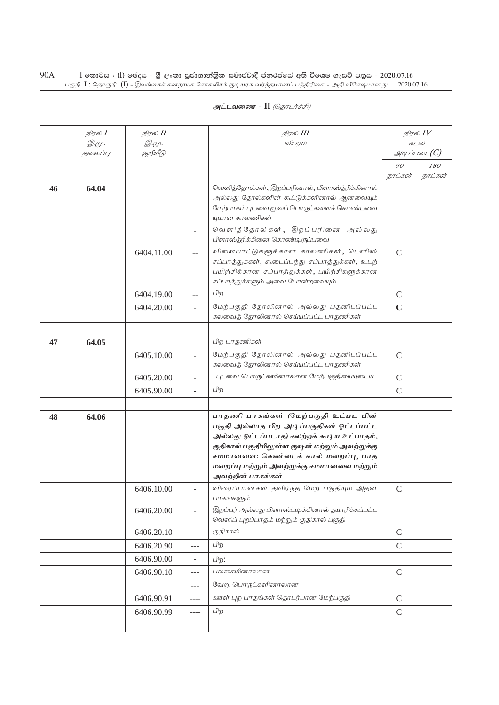|    | நிரல் <b>I</b> | நிரல் II   |                          | நிரல் III                                                                                        | நிரல் $\mathit{IV}$ |                                      |
|----|----------------|------------|--------------------------|--------------------------------------------------------------------------------------------------|---------------------|--------------------------------------|
|    | <i>@.cp.</i>   | @.மு.      |                          | விபரம்                                                                                           | கடன்                |                                      |
|    | தலைப்பு        | குறியீடு   |                          |                                                                                                  |                     | $\mathcal{A}\mathcal{A}$ ப்படை $(C)$ |
|    |                |            |                          |                                                                                                  | 90<br>நாட்கள்       | 180<br>நாட்கள்                       |
|    | 64.04          |            |                          | வெளித்தோல்கள், இறப்பரினால், பிளாஸ்த்ரிக்கினால்                                                   |                     |                                      |
| 46 |                |            |                          | அல்லது தோல்களின் கூட்டுக்களினால் ஆனவையும்                                                        |                     |                                      |
|    |                |            |                          | மேற்பாகம் புடவை மூலப் பொருட்களைக் கொண்டவை                                                        |                     |                                      |
|    |                |            |                          | யுமான காலணிகள்                                                                                   |                     |                                      |
|    |                |            |                          | வெளித்தோல்கள், இறப்பரினை<br>அல் லது                                                              |                     |                                      |
|    |                |            |                          | பிளாஸ்த்ரிக்கினை கொண்டிருப்பவை                                                                   |                     |                                      |
|    |                | 6404.11.00 | --                       | விளையாட்டுகளுக்கான காலணிகள், டெனிஸ்                                                              | $\mathcal{C}$       |                                      |
|    |                |            |                          | சப்பாத்துக்கள், கூடைப்பந்து சப்பாத்துக்கள், உடற்<br>பயிற்சிக்கான சப்பாத்துக்கள், பயிற்சிகளுக்கான |                     |                                      |
|    |                |            |                          | சப்பாத்துக்களும் அவை போன்றவையும்                                                                 |                     |                                      |
|    |                | 6404.19.00 | $-$                      | பிற                                                                                              | $\mathcal{C}$       |                                      |
|    |                | 6404.20.00 | $\overline{a}$           | மேற்பகுதி தோலினால் அல்லது பதனிடப்பட்ட                                                            | $\mathbf C$         |                                      |
|    |                |            |                          | கலவைத் தோலினால் செய்யப்பட்ட பாதணிகள்                                                             |                     |                                      |
|    |                |            |                          |                                                                                                  |                     |                                      |
| 47 | 64.05          |            |                          | பிற பாதணிகள்                                                                                     |                     |                                      |
|    |                | 6405.10.00 |                          | மேற்பகுதி தோலினால் அல்லது பதனிடப்பட்ட                                                            | $\mathcal{C}$       |                                      |
|    |                |            |                          | கலவைத் தோலினால் செய்யப்பட்ட பாதணிகள்                                                             |                     |                                      |
|    |                | 6405.20.00 |                          | புடவை பொருட்களினாலான மேற்பகுதியையுடைய                                                            | $\mathcal{C}$       |                                      |
|    |                | 6405.90.00 |                          | பிற                                                                                              | $\mathsf{C}$        |                                      |
|    |                |            |                          |                                                                                                  |                     |                                      |
| 48 | 64.06          |            |                          | பாதணி பாகங்கள் (மேற்பகுதி உட்பட பின்                                                             |                     |                                      |
|    |                |            |                          | பகுதி அல்லாத பிற அடிப்பகுதிகள் ஒட்டப்பட்ட<br>அல்லது ஒட்டப்படாத) கலற்றக் கூடிய உட்பாதம்,          |                     |                                      |
|    |                |            |                          | குதிகால் பகுதியிலுள்ள குஷன் மற்றும் அவற்றுக்கு                                                   |                     |                                      |
|    |                |            |                          | சமமானவை: கெண்டைக் கால் மறைப்பு, பாத                                                              |                     |                                      |
|    |                |            |                          | மறைப்பு மற்றும் அவற்றுக்கு சமமானவை மற்றும்                                                       |                     |                                      |
|    |                |            |                          | அவற்றின் பாகங்கள்                                                                                |                     |                                      |
|    |                | 6406.10.00 | $\overline{a}$           | விரைப்பான்கள் தவிர்ந்த மேற் பகுதியும் அதன்<br>பாகங்களும்                                         | $\mathcal{C}$       |                                      |
|    |                | 6406.20.00 | $\overline{a}$           | இறப்பர் அல்லது பிளாஸ்ட்டிக்கினால் தயாரிக்கப்பட்ட                                                 |                     |                                      |
|    |                |            |                          | வெளிப் புறப்பாதம் மற்றும் குதிகால் பகுதி                                                         |                     |                                      |
|    |                | 6406.20.10 | ---                      | குதிகால்                                                                                         | $\mathsf{C}$        |                                      |
|    |                | 6406.20.90 | ---                      | பிற                                                                                              | $\mathsf{C}$        |                                      |
|    |                | 6406.90.00 | $\overline{\phantom{0}}$ | பிற:                                                                                             |                     |                                      |
|    |                | 6406.90.10 | $---$                    | பலகையினாலான                                                                                      | $\mathbf C$         |                                      |
|    |                |            | $---$                    | வேறு பொருட்களினாலான                                                                              |                     |                                      |
|    |                | 6406.90.91 | ----                     | ஊள் புற பாதங்கள் தொடர்பான மேற்பகுதி                                                              | $\mathsf{C}$        |                                      |
|    |                | 6406.90.99 | ----                     | பிற                                                                                              | $\mathsf{C}$        |                                      |
|    |                |            |                          |                                                                                                  |                     |                                      |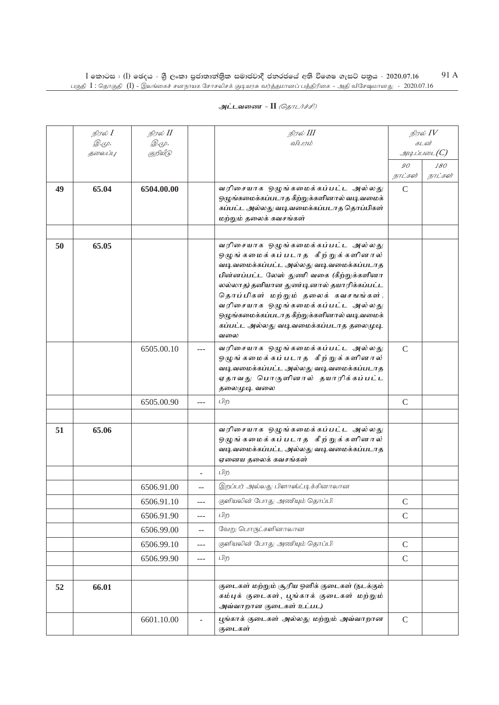| அட்டவணை - II <i>(தொடர்ச்சி)</i> |  |  |  |
|---------------------------------|--|--|--|
|---------------------------------|--|--|--|

|    | நிரல் $I$ | நிரல் II      |         | நிரல் III                                                                        |               | நிரல் $\mathit{IV}$ |
|----|-----------|---------------|---------|----------------------------------------------------------------------------------|---------------|---------------------|
|    | Q.Ψ.      | <i>@.</i> மு. |         | விபரம்                                                                           |               | கடன்                |
|    | தலைப்பு   | குறியீடு      |         |                                                                                  |               | $\mathcal{I}$       |
|    |           |               |         |                                                                                  | 90<br>நாட்கள் | 180<br>நாட்கள்      |
| 49 | 65.04     | 6504.00.00    |         | வரிசையாக ஒழுங்கமைக்கப்பட்ட அல்லது                                                | $\mathcal{C}$ |                     |
|    |           |               |         | ஒழுங்கமைக்கப்படாத கீற்றுக்களினால் வடிவமைக்                                       |               |                     |
|    |           |               |         | கப்பட்ட அல்லது வடிவமைக்கப்படாத தொப்பிகள்                                         |               |                     |
|    |           |               |         | மற்றும் தலைக் கவசங்கள்                                                           |               |                     |
|    |           |               |         |                                                                                  |               |                     |
| 50 | 65.05     |               |         | வரிசையாக ஒழுங்கமைக்கப்பட்ட அல்லது                                                |               |                     |
|    |           |               |         | ஒழுங்கமைக்கப்படாத கீற்றுக்களினால்<br>வடிவமைக்கப்பட்ட அல்லது வடிவமைக்கப்படாத      |               |                     |
|    |           |               |         | பின்னப்பட்ட லேஸ் துணி வகை (கீற்றுக்களினா                                         |               |                     |
|    |           |               |         | லல்லாத) தனியான துண்டினால் தயாரிக்கப்பட்ட                                         |               |                     |
|    |           |               |         | தொப்பிகள் மற்றும் தலைக் கவசஙங்கள்.                                               |               |                     |
|    |           |               |         | வரிசையாக ஒழுங்கமைக்கப்பட்ட அல்லது<br>ஒழுங்கமைக்கப்படாத கீற்றுக்களினால் வடி வமைக் |               |                     |
|    |           |               |         | கப்பட்ட அல்லது வடிவமைக்கப்படாத தலைமுடி                                           |               |                     |
|    |           |               |         | வலை                                                                              |               |                     |
|    |           | 6505.00.10    |         | வரிசையாக ஒழுங்கமைக்கப்பட்ட அல்லது                                                | $\mathcal{C}$ |                     |
|    |           |               |         | ஒழுங்கமைக்கப்படாத கீற்றுக்களினால்                                                |               |                     |
|    |           |               |         | வடிவமைக்கப்பட்ட அல்லது வடிவமைக்கப்படாத<br>ஏதாவது பொருளினால் தயாரிக்கப்பட்ட       |               |                     |
|    |           |               |         | தலைமுடி வலை                                                                      |               |                     |
|    |           | 6505.00.90    | $- - -$ | பிற                                                                              | $\mathsf{C}$  |                     |
|    |           |               |         |                                                                                  |               |                     |
| 51 | 65.06     |               |         | வரிசையாக ஒழுங்கமைக்கப்பட்ட அல்லது                                                |               |                     |
|    |           |               |         | ஒழுங்கமைக்கப்படாத கீற்றுக்களினால்                                                |               |                     |
|    |           |               |         | வடிவமைக்கப்பட்ட அல்லது வடிவமைக்கப்படாத                                           |               |                     |
|    |           |               |         | ஏனைய தலைக் கவசங்கள்                                                              |               |                     |
|    |           |               |         | பிற                                                                              |               |                     |
|    |           | 6506.91.00    | $-$     | இறப்பர் அல்லது பிளாஸ்ட்டிக்கினாலான                                               |               |                     |
|    |           | 6506.91.10    | $---$   | குளியலின் போது அணியும் தொப்பி                                                    | $\mathsf C$   |                     |
|    |           | 6506.91.90    | ---     | பிற                                                                              | $\mathcal{C}$ |                     |
|    |           | 6506.99.00    | $-$     | வேறு பொருட்களினாலான                                                              |               |                     |
|    |           | 6506.99.10    | $---$   | குளியலின் போது அணியும் தொப்பி                                                    | $\mathcal{C}$ |                     |
|    |           | 6506.99.90    | ---     | பிற                                                                              | $\mathcal{C}$ |                     |
|    |           |               |         |                                                                                  |               |                     |
| 52 | 66.01     |               |         | குடைகள் மற்றும் சூரிய ஒளிக் குடைகள் (நடக்கும்                                    |               |                     |
|    |           |               |         | கம்புக் குடைகள், பூங்காக் குடைகள் மற்றும்                                        |               |                     |
|    |           |               |         | அவ்வாறான குடைகள் உட்பட)                                                          |               |                     |
|    |           | 6601.10.00    |         | பூங்காக் குடைகள் அல்லது மற்றும் அவ்வாறான<br>குடைகள்                              | $\mathcal{C}$ |                     |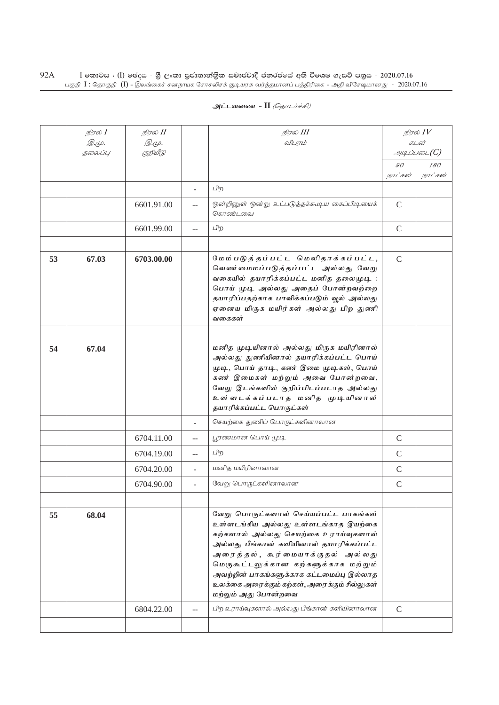| அட்டவணை - II <i>(தொடர்ச்சி)</i> |  |  |
|---------------------------------|--|--|
|---------------------------------|--|--|

|    | நிரல் I           | நிரல் II          |                | நிரல் III                                                                                                                                                                                                                                                                                                                                                        |               | நிரல் $\mathit{IV}$  |  |
|----|-------------------|-------------------|----------------|------------------------------------------------------------------------------------------------------------------------------------------------------------------------------------------------------------------------------------------------------------------------------------------------------------------------------------------------------------------|---------------|----------------------|--|
|    | இ.மு.<br>5000LIL/ | இ.மு.<br>குறியீடு |                | விபாம்                                                                                                                                                                                                                                                                                                                                                           |               | கடன்<br>$\mathcal G$ |  |
|    |                   |                   |                |                                                                                                                                                                                                                                                                                                                                                                  | 90            | 180                  |  |
|    |                   |                   |                |                                                                                                                                                                                                                                                                                                                                                                  | நாட்கள்       | நாட்கள்              |  |
|    |                   |                   | ÷.             | பிற                                                                                                                                                                                                                                                                                                                                                              |               |                      |  |
|    |                   | 6601.91.00        |                | ஒன்றினுள் ஒன்று உட்படுத்தக்கூடிய கைப்பிடியைக்<br>கொண்டவை                                                                                                                                                                                                                                                                                                         | $\mathcal{C}$ |                      |  |
|    |                   | 6601.99.00        | $-$            | பிற                                                                                                                                                                                                                                                                                                                                                              | $\mathcal{C}$ |                      |  |
|    |                   |                   |                |                                                                                                                                                                                                                                                                                                                                                                  |               |                      |  |
| 53 | 67.03             | 6703.00.00        |                | மேம்படுத்தப்பட்ட மெலிதாக்கப்பட்ட,<br>வெண மைமப்படுத்தப்பட்ட அல்லது வேறு<br>வகையில் தயாரிக்கப்பட்ட மனித தலைமுடி :<br>பொய் முடி அல்லது அதைப் போன்றவற்றை<br>தயாரிப்பதற்காக பாவிக்கப்படும் வூல் அல்லது<br>ஏனைய மிருக மயிர்கள் அல்லது பிற துணி<br>வகைகள்                                                                                                               | $\mathcal{C}$ |                      |  |
|    |                   |                   |                |                                                                                                                                                                                                                                                                                                                                                                  |               |                      |  |
| 54 | 67.04             |                   |                | மனித முடியினால் அல்லது மிருக மயிரினால்<br>அல்லது துணியினால் தயாரிக்கப்பட்ட பொய்<br>முடி, பொய் தாடி, கண் இமை முடிகள், பொய்<br>கண் இமைகள் மற்றும் அவை போன்றவை,<br>வேறு இடங்களில் குறிப்பிடப்படாத அல்லது<br>உள்ளடக்கப்படாத மனித முடியினால்<br>தயாரிக்கப்பட்ட பொருட்கள்                                                                                              |               |                      |  |
|    |                   |                   |                | செயற்கை துணிப் பொருட்களினாலான                                                                                                                                                                                                                                                                                                                                    |               |                      |  |
|    |                   | 6704.11.00        | $-$            | பூரணமான பொய் முடி                                                                                                                                                                                                                                                                                                                                                | $\mathcal{C}$ |                      |  |
|    |                   | 6704.19.00        | $\overline{a}$ | பிற                                                                                                                                                                                                                                                                                                                                                              | $\mathcal{C}$ |                      |  |
|    |                   | 6704.20.00        | $\overline{a}$ | மனித மயிரினாலான                                                                                                                                                                                                                                                                                                                                                  | $\mathcal{C}$ |                      |  |
|    |                   | 6704.90.00        | L.             | வேறு பொருட்களினாலான                                                                                                                                                                                                                                                                                                                                              | $\mathcal{C}$ |                      |  |
|    |                   |                   |                |                                                                                                                                                                                                                                                                                                                                                                  |               |                      |  |
| 55 | 68.04             |                   |                | வேறு பொருட்களால் செய்யப்பட்ட பாகங்கள்<br>உள்ளடங்கிய அல்லது உள்ளடங்காத இயற்கை<br>கற்களால் அல்லது செயற்கை உராய்வுகளால்<br>அல்லது பீங்கான் களியினால் தயாரிக்கப்பட்ட<br>அரைத்தல், சுூர்மையாக்குதல் அல்லது<br>மெருகூட்டலுக்கான கற்களுக்காக மற்றும்<br>அவற்றின் பாகங்களுக்காக கட்டமைப்பு இல்லாத<br>உலக்கை அரைக்கும் கற்கள், அரைக்கும் சில்லுகள்<br>மற்றும் அது போன்றவை |               |                      |  |
|    |                   | 6804.22.00        | $-$            | பிற உராய்வுகளால் அல்லது பீங்கான் களியினாலான                                                                                                                                                                                                                                                                                                                      | $\mathcal{C}$ |                      |  |
|    |                   |                   |                |                                                                                                                                                                                                                                                                                                                                                                  |               |                      |  |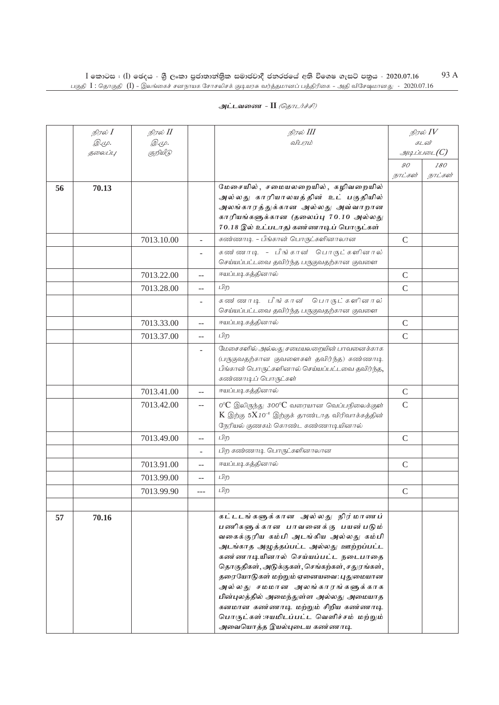|    | நிரல் $I$    | நிரல் II     |     | நிரல் III                                                                                                                   |                | நிரல் $\mathit{IV}$ |
|----|--------------|--------------|-----|-----------------------------------------------------------------------------------------------------------------------------|----------------|---------------------|
|    | <i>@.cp.</i> | <i>@.cp.</i> |     | விபரம்                                                                                                                      |                | கடன்                |
|    | தலைப்பு      | குறியீடு     |     |                                                                                                                             |                | $\mathcal G$        |
|    |              |              |     |                                                                                                                             | 90             | 180                 |
|    |              |              |     |                                                                                                                             | நாட்கள்        | நாட்கள்             |
| 56 | 70.13        |              |     | மேசையில், சமையலறையில், கழிவறையில்<br>அல்லது காரியாலயத்தின் உட் பகுதியில்                                                    |                |                     |
|    |              |              |     | அலங்காரத்துக்கான அல்லது அவ்வாறான                                                                                            |                |                     |
|    |              |              |     | காரியங்களுக்கான (தலைப்பு 70.10 அல்லது                                                                                       |                |                     |
|    |              |              |     | 70.18 இல் உட்படாத) கண்ணாடிப் பொருட்கள்                                                                                      |                |                     |
|    |              | 7013.10.00   | ÷.  | கண்ணாடி - பீங்கான் பொருட்களினாலான                                                                                           | $\mathcal{C}$  |                     |
|    |              |              |     | கண ்ணாடி - பீங்கான் பொருட்களினால்<br>செய்யப்பட்டவை தவிர்ந்த பருகுவதற்கான குவளை                                              |                |                     |
|    |              | 7013.22.00   | $-$ | ஈயப்படிகத்தினால்                                                                                                            | $\mathsf{C}$   |                     |
|    |              | 7013.28.00   | $-$ | பிற                                                                                                                         | $\overline{C}$ |                     |
|    |              |              | ÷,  | கண ்ணாடி பீங்கான பொருட்களினால்                                                                                              |                |                     |
|    |              |              |     | செய்யப்பட்டவை தவிர்ந்த பருகுவதற்கான குவளை                                                                                   |                |                     |
|    |              | 7013.33.00   | $-$ | ஈயப்படிகத்தினால்                                                                                                            | $\mathcal{C}$  |                     |
|    |              | 7013.37.00   | $-$ | பிற                                                                                                                         | $\mathcal{C}$  |                     |
|    |              |              | ä,  | மேசைகளில் அல்லது சமையலறையின் பாவனைக்காக                                                                                     |                |                     |
|    |              |              |     | (பருகுவதற்கான குவளைகள் தவிர்ந்த) கண்ணாடி                                                                                    |                |                     |
|    |              |              |     | பீங்கான் பொருட்களினால் செய்யப்பட்டவை தவிர்ந்த,                                                                              |                |                     |
|    |              | 7013.41.00   |     | கண்ணாடிப் பொருட்கள்<br>ஈயப்படிகத்தினால்                                                                                     |                |                     |
|    |              |              | $-$ |                                                                                                                             | $\mathcal{C}$  |                     |
|    |              | 7013.42.00   | $-$ | $0^{\circ}$ $C$ இலிருந்து $300^{\circ}$ $C$ வரையான வெப்பநிலைக்குள்<br>$K$ இற்கு $5X10^{-6}$ இற்குக் தாண்டாத விரிவாக்கத்தின் | $\mathcal{C}$  |                     |
|    |              |              |     | நேரியல் குணகம் கொண்ட கண்ணாடியினால்                                                                                          |                |                     |
|    |              | 7013.49.00   | $-$ | பிற                                                                                                                         | $\mathcal{C}$  |                     |
|    |              |              | ۷   | பிற கண்ணாடி பொருட்களினாலான                                                                                                  |                |                     |
|    |              | 7013.91.00   | $-$ | ஈயப்படிகத்தினால்                                                                                                            | $\mathcal{C}$  |                     |
|    |              | 7013.99.00   | $-$ | பிற                                                                                                                         |                |                     |
|    |              | 7013.99.90   | --- | பிற                                                                                                                         | $\mathcal{C}$  |                     |
|    |              |              |     |                                                                                                                             |                |                     |
| 57 | 70.16        |              |     | கட்டடங்களுக்கான அல்லது நிர்மாணப்                                                                                            |                |                     |
|    |              |              |     | பணிகளுக்கான பாவனைக்கு பயன்படும்                                                                                             |                |                     |
|    |              |              |     | வகைக்குரிய கம்பி அடங்கிய அல்லது கம்பி                                                                                       |                |                     |
|    |              |              |     | அடங்காத அழுத்தப்பட்ட அல்லது ஊற்றப்பட்ட                                                                                      |                |                     |
|    |              |              |     | கண ணாடியினால் செய்யப்பட்ட நடைபாதை<br>தொகுதிகள், அடுக்குகள், செங்கற்கள், சதுரங்கள்,                                          |                |                     |
|    |              |              |     | தரையோடுகள் மற்றும் ஏனையவை: புதுமையான                                                                                        |                |                     |
|    |              |              |     | அலல்து சமமான அலங்காரங்களுக்காக                                                                                              |                |                     |
|    |              |              |     | பின்புலத்தில் அமைந்துள்ள அல்லது அமையாத                                                                                      |                |                     |
|    |              |              |     | கனமான கண்ணாடி மற்றும் சிறிய கண்ணாடி                                                                                         |                |                     |
|    |              |              |     | பொருட்கள்:ஈயமிடப்பட்ட வெளிச்சம் மற்றும்                                                                                     |                |                     |
|    |              |              |     | அவையொத்த இயல்புடைய கண்ணாடி                                                                                                  |                |                     |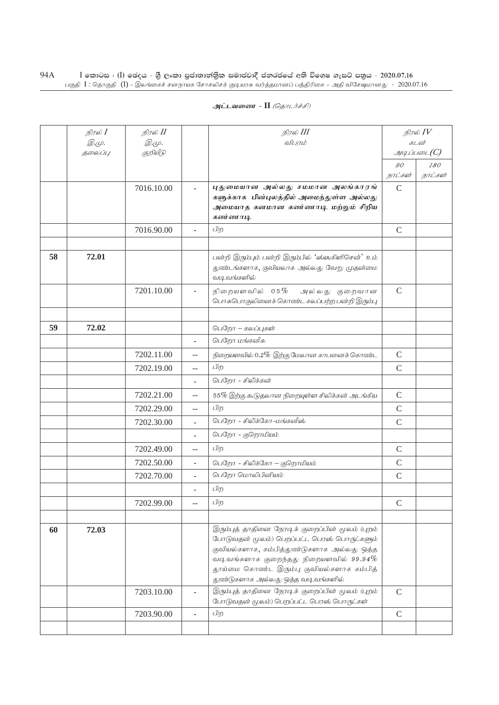|    | நிரல் <b>I</b> | நிரல் II     |                          | நிரல் III                                                                                                                                                                                                                                                                    | நிரல் $\mathit{IV}$         |                |
|----|----------------|--------------|--------------------------|------------------------------------------------------------------------------------------------------------------------------------------------------------------------------------------------------------------------------------------------------------------------------|-----------------------------|----------------|
|    | <i>©.</i> Ψ.   | <i>@.மு.</i> |                          | விபரம்                                                                                                                                                                                                                                                                       | கடன்<br>$g$ uq Liuson $(C)$ |                |
|    | தலைப்பு        | குறியீடு     |                          |                                                                                                                                                                                                                                                                              |                             |                |
|    |                |              |                          |                                                                                                                                                                                                                                                                              | 90<br>நாட்கள்               | 180<br>நாட்கள் |
|    |                | 7016.10.00   |                          | புதுமையான அல்லது சமமான அலங்காரங்                                                                                                                                                                                                                                             | $\mathcal{C}$               |                |
|    |                |              |                          | களுக்காக பின்புலத்தில் அமைந்துள்ள அல்லது                                                                                                                                                                                                                                     |                             |                |
|    |                |              |                          | அமையாத கனமான கண்ணாடி மற்றும் சிறிய<br>கண்ணாடி                                                                                                                                                                                                                                |                             |                |
|    |                | 7016.90.00   | ÷.                       | பிற                                                                                                                                                                                                                                                                          | $\mathcal{C}$               |                |
|    |                |              |                          |                                                                                                                                                                                                                                                                              |                             |                |
| 58 | 72.01          |              |                          | பன்றி இரும்பும் பன்றி இரும்பில் 'ஸ்ஸகிளிசென்' உம்<br>துண்டங்களாக, குவியலாக அல்லது வேறு முதன்மை<br>வடிவங்களில்                                                                                                                                                                |                             |                |
|    |                | 7201.10.00   |                          | நிறையளவில் 05%<br>அல்லது குறைவான<br>பொசுபொகுலினைக் கொண்ட கலப்பற்ற பன்றி இரும்பு                                                                                                                                                                                              | $\mathcal{C}$               |                |
|    |                |              |                          |                                                                                                                                                                                                                                                                              |                             |                |
| 59 | 72.02          |              |                          | பெறோ – கலப்புகள்                                                                                                                                                                                                                                                             |                             |                |
|    |                |              |                          | பெறோ மங்கனீசு:                                                                                                                                                                                                                                                               |                             |                |
|    |                | 7202.11.00   | $-$                      | நிறையளவில் $0.2\%$ இற்கு மேலான காபனைக் கொண்ட                                                                                                                                                                                                                                 | $\mathsf C$                 |                |
|    |                | 7202.19.00   | $- -$                    | பிற                                                                                                                                                                                                                                                                          | $\mathcal{C}$               |                |
|    |                |              |                          | பெறோ - சிலிக்கன்                                                                                                                                                                                                                                                             |                             |                |
|    |                | 7202.21.00   | $\overline{a}$           | 55% இற்கு கூடுதலான நிறையுள்ள சிலிக்கன் அடங்கிய                                                                                                                                                                                                                               | $\mathcal{C}$               |                |
|    |                | 7202.29.00   | $-$                      | பிற                                                                                                                                                                                                                                                                          | $\mathbf C$                 |                |
|    |                | 7202.30.00   | $\overline{a}$           | பெறோ – சிலிக்கோ–மங்கனீஸ்                                                                                                                                                                                                                                                     | $\mathsf{C}$                |                |
|    |                |              | ÷.                       | பெறோ - குறொமியம்                                                                                                                                                                                                                                                             |                             |                |
|    |                | 7202.49.00   | $-$                      | பிற                                                                                                                                                                                                                                                                          | $\mathcal{C}$               |                |
|    |                | 7202.50.00   | $\overline{\phantom{a}}$ | பெறோ - சிலிக்கோ – குறொமியம்                                                                                                                                                                                                                                                  | $\mathsf{C}$                |                |
|    |                | 7202.70.00   | $\overline{\phantom{a}}$ | பெறோ மொலிபினியம்                                                                                                                                                                                                                                                             | $\mathcal{C}$               |                |
|    |                |              |                          | பிற                                                                                                                                                                                                                                                                          |                             |                |
|    |                | 7202.99.00   | $\overline{a}$           | பிற                                                                                                                                                                                                                                                                          | $\mathcal{C}$               |                |
|    |                |              |                          |                                                                                                                                                                                                                                                                              |                             |                |
| 60 | 72.03          |              |                          | இரும்புத் தாதினை நேரடிக் குறைப்பின் மூலம் (புறம்<br>போடுவதன் மூலம்) பெறப்பட்ட பெரஸ் பொருட்களும்<br>குவியல்களாக, கம்பித்துண்டுகளாக அல்லது ஒத்த<br>வடிவங்களாக குறைந்தது நிறையளவில் $99.94\%$<br>தூய்மை கொண்ட இரும்பு குவியல்களாக கம்பித்<br>துண்டுகளாக அல்லது ஒத்த வடிவங்களில் |                             |                |
|    |                | 7203.10.00   |                          | இரும்புத் தாதினை நேரடிக் குறைப்பின் மூலம் (புறம்<br>போடுவதன் மூலம்) பெறப்பட்ட பெரஸ் பொருட்கள்                                                                                                                                                                                | $\mathcal{C}$               |                |
|    |                | 7203.90.00   | $\overline{\phantom{a}}$ | பிற                                                                                                                                                                                                                                                                          | $\mathcal{C}$               |                |
|    |                |              |                          |                                                                                                                                                                                                                                                                              |                             |                |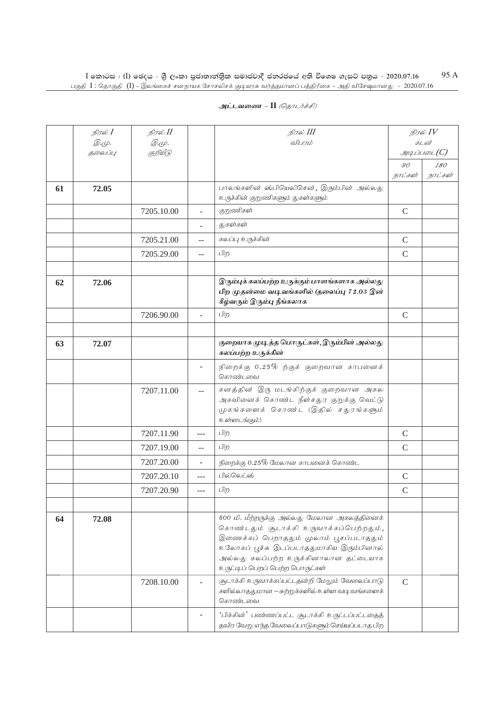|    | நிரல் I      | நிரல் II   |                          | நிரல் III                                                                                                                                                                                                                                                   |                | நிரல் $IV$                      |
|----|--------------|------------|--------------------------|-------------------------------------------------------------------------------------------------------------------------------------------------------------------------------------------------------------------------------------------------------------|----------------|---------------------------------|
|    | <i>@.cp.</i> | @.cp.      |                          | விபரம்                                                                                                                                                                                                                                                      |                | கடன்                            |
|    | தலைப்பு      | குறியீடு   |                          |                                                                                                                                                                                                                                                             | $\mathcal{G}O$ | $g_{\mu\mu}$ ப்படை $(C)$<br>180 |
|    |              |            |                          |                                                                                                                                                                                                                                                             | நாட்கள்        | நாட்கள்                         |
| 61 | 72.05        |            |                          | பாலங்களின் ஸ்பியெலிசென், இரும்பின் அல்லது<br>உருக்கின் குறுணிகளும் துகள்களும்                                                                                                                                                                               |                |                                 |
|    |              | 7205.10.00 | ÷.                       | குறுணிகள்                                                                                                                                                                                                                                                   | $\mathsf{C}$   |                                 |
|    |              |            | ÷                        | துகள்கள்                                                                                                                                                                                                                                                    |                |                                 |
|    |              | 7205.21.00 | $-$                      | கலப்பு உருக்கின்                                                                                                                                                                                                                                            | $\mathsf{C}$   |                                 |
|    |              | 7205.29.00 | $\overline{\phantom{a}}$ | பிற                                                                                                                                                                                                                                                         | $\mathcal{C}$  |                                 |
| 62 | 72.06        |            |                          | இரும்புக் கலப்பற்ற உருக்கும் பாளங்களாக அல்லது<br>பிற முதன்மை வடிவங்களில் (தலைப்பு 72.03 இன்<br>கீழ்வரும் இரும்பு நீங்கலாக                                                                                                                                   |                |                                 |
|    |              | 7206.90.00 | ÷.                       | பிற                                                                                                                                                                                                                                                         | $\mathcal{C}$  |                                 |
|    |              |            |                          |                                                                                                                                                                                                                                                             |                |                                 |
| 63 | 72.07        |            |                          | குறையாக முடித்த பொருட்கள், இரும்பின் அல்லது<br>கலப்பற்ற உருக்கின்                                                                                                                                                                                           |                |                                 |
|    |              |            | $\overline{\phantom{a}}$ | நிறைக்கு $0.25\%$ ற்குக் குறைவான காபனைக்<br>கொண்டவை                                                                                                                                                                                                         |                |                                 |
|    |              | 7207.11.00 | $\mathbf{u}$             | கனத்தின் இரு மடங்கிற்குக் குறைவான அகல<br>அகவினைக் கொண்ட நீள்சதுர குறுக்கு வெட்டு<br>முகங்களைக் கொண்ட (இதில் சதுரங்களும்<br>உள்ளடங்கும்)                                                                                                                     |                |                                 |
|    |              | 7207.11.90 | $- - -$                  | பிற                                                                                                                                                                                                                                                         | $\mathcal{C}$  |                                 |
|    |              | 7207.19.00 | $\mathbf{u}$             | பிற                                                                                                                                                                                                                                                         | $\mathcal{C}$  |                                 |
|    |              | 7207.20.00 | $\overline{\phantom{a}}$ | நிறைக்கு $0.25\%$ மேலான காபனைக் கொண்ட                                                                                                                                                                                                                       |                |                                 |
|    |              | 7207.20.10 | $\frac{1}{2}$            | பில்லெட்ஸ்                                                                                                                                                                                                                                                  | $\mathcal{C}$  |                                 |
|    |              | 7207.20.90 | $\overline{a}$           | பிற                                                                                                                                                                                                                                                         | $\mathcal{C}$  |                                 |
|    |              |            |                          |                                                                                                                                                                                                                                                             |                |                                 |
| 64 | 72.08        |            |                          | 600 மி. மீற்றருக்கு அல்லது மேலான அகலத்தினைக்<br>கொண்டதும் சூடாக்கி உருவாக்கப்பெற்றதும்,<br>இணைக்கப் பெறாததும் முலாம் பூசப்படாததும்<br>உலோகப் பூச்சு இடப்படாததுமாகிய இரும்பினால்<br>அல்லது கலப்பற்ற உருக்கினாலான தட்டையாக<br>உருட்டிப் பெறப் பெற்ற பொருட்கள் |                |                                 |
|    |              | 7208.10.00 |                          | சூடாக்கி உருவாக்கப்பட்டதன்றி மேலும் வேலைப்பாடு<br>களில்லாததுமான — சுற்றுக்களில் உள்ள வடி வங்களைக்<br>கொண்டவை                                                                                                                                                | $\mathcal{C}$  |                                 |
|    |              |            |                          | 'பிக்கின்' பண்ணப்பட்ட சூடாக்கி உருட்டப்பட்டதைத்<br>தவிர வேறு எந்த வேலைப்பாடுகளும் செய்யப்படாத பிற                                                                                                                                                           |                |                                 |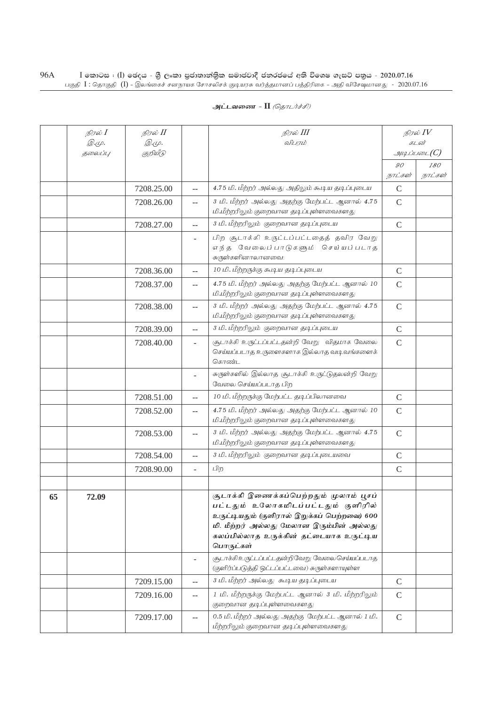| அட்டவணை - II <i>(தொடர்ச்சி)</i> |  |  |
|---------------------------------|--|--|
|---------------------------------|--|--|

|    | நிரல் I | நிரல் II   |                | நிரல் III                                                                                                                                                                                                                           | நிரல் $IV$    |                |
|----|---------|------------|----------------|-------------------------------------------------------------------------------------------------------------------------------------------------------------------------------------------------------------------------------------|---------------|----------------|
|    | இ.மு.   | @.cp.      |                | விபரம்                                                                                                                                                                                                                              | கடன்          |                |
|    | தலைப்பு | குறியீடு   |                |                                                                                                                                                                                                                                     |               | g              |
|    |         |            |                |                                                                                                                                                                                                                                     | 90<br>நாட்கள் | 180<br>நாட்கள் |
|    |         | 7208.25.00 | $\overline{a}$ | 4.75 மி. மீற்றர் அல்லது அதிலும் கூடிய தடிப்புடைய                                                                                                                                                                                    | $\mathbf C$   |                |
|    |         | 7208.26.00 | $\overline{a}$ | 3 மி. மீற்றர் அல்லது அதற்கு மேற்பட்ட ஆனால் 4.75                                                                                                                                                                                     | $\mathcal{C}$ |                |
|    |         |            |                | மி.மீற்றரிலும் குறைவான தடிப்புள்ளவைகளது                                                                                                                                                                                             |               |                |
|    |         | 7208.27.00 | $- -$          | 3 மி. மீற்றரிலும் குறைவான தடிப்புடைய                                                                                                                                                                                                | $\mathsf{C}$  |                |
|    |         |            |                | பிற சூடாக்கி உருட்டப்பட்டதைத் தவிர வேறு<br>எந்த வேலைப்பாடுகளும் செய்யப்படாத<br>சுருள்களினாலானவை:                                                                                                                                    |               |                |
|    |         | 7208.36.00 | $-$            | 10 மி. மீற்றருக்கு சுபடிய தடிப்புடைய                                                                                                                                                                                                | $\mathsf{C}$  |                |
|    |         | 7208.37.00 | $-$            | 4.75 மி. மீற்றர் அல்லது அதற்கு மேற்பட்ட ஆனால் 10<br>மி.மீற்றரிலும் குறைவான தடிப்புள்ளவைகளது                                                                                                                                         | $\mathbf C$   |                |
|    |         | 7208.38.00 | $-$            | 3 மி. மீற்றர் அல்லது அதற்கு மேற்பட்ட ஆனால் 4.75<br>மி.மீற்றரிலும் குறைவான தடிப்புள்ளவைகளது                                                                                                                                          | $\mathsf{C}$  |                |
|    |         | 7208.39.00 | $\overline{a}$ | 3 மி. மீற்றரிலும் குறைவான தடிப்புடைய                                                                                                                                                                                                | $\mathsf{C}$  |                |
|    |         | 7208.40.00 | Ξ.             | சூடாக்கி உருட்டப்பட்டதன்றி வேறு விதமாக வேலை<br>செய்யப்படாத உருளைகளாக இல்லாத வடிவங்களைக்<br>கொண்ட                                                                                                                                    | $\mathsf{C}$  |                |
|    |         |            |                | சுருள்களில் இல்லாத சூடாக்கி உருட்டுதலன்றி வேறு<br>வேலை செய்யப்படாத பிற                                                                                                                                                              |               |                |
|    |         | 7208.51.00 | $-$            | 10 மி. மீற்றருக்கு மேற்பட்ட தடிப்பிலானவை                                                                                                                                                                                            | $\mathsf{C}$  |                |
|    |         | 7208.52.00 | $-$            | 4.75 மி. மீற்றர் அல்லது அதற்கு மேற்பட்ட ஆனால் 10<br>மி.மீற்றரிலும் குறைவான தடிப்புள்ளவைகளது                                                                                                                                         | $\mathsf{C}$  |                |
|    |         | 7208.53.00 | $-$            | 3 மி. மீற்றர் அல்லது அதற்கு மேற்பட்ட ஆனால் 4.75<br>மி.மீற்றரிலும் குறைவான தடிப்புள்ளவைகளது                                                                                                                                          | $\mathsf{C}$  |                |
|    |         | 7208.54.00 | $- -$          | 3 மி. மீற்றரிலும் குறைவான தடிப்புடையவை                                                                                                                                                                                              | $\mathcal{C}$ |                |
|    |         | 7208.90.00 | $\overline{a}$ | பிற                                                                                                                                                                                                                                 | $\mathcal{C}$ |                |
|    |         |            |                |                                                                                                                                                                                                                                     |               |                |
| 65 | 72.09   |            |                | சூடாக்கி இணைக்கப்பெற்றதும் முலாம் பூசப்<br>பட்டதும் உலோகமிடப்பட்டதும் குளிரில்<br>உருட்டியதும் (குளிரால் இறுக்கப் பெற்றவை) 600<br>மி. மீற்றர் அல்லது மேலான இரும்பின் அல்லது<br>கலப்பில்லாத உருக்கின் தட்டையாக உருட்டிய<br>பொருட்கள் |               |                |
|    |         |            | $\overline{a}$ | சூடாக்கிஉருட்டப்பட்டதன்றிவேறு வேலை செய்யப்படாத<br>(குளிர்ப்படுத்தி ஒட்டப்பட்டவை) சுருள்களாயுள்ள                                                                                                                                     |               |                |
|    |         | 7209.15.00 | $-$            | 3 மி. மீற்றர் அல்லது கூடிய தடிப்புடைய                                                                                                                                                                                               | $\mathcal{C}$ |                |
|    |         | 7209.16.00 | --             | 1 மி. மீற்றருக்கு மேற்பட்ட ஆனால் 3 மி. மீற்றரிலும்<br>குறைவான தடிப்புள்ளவைகளது                                                                                                                                                      | $\mathcal{C}$ |                |
|    |         | 7209.17.00 | --             | 0.5 மி. மீற்றர் அல்லது அதற்கு மேற்பட்ட ஆனால் 1 மி.<br>மீற்றரிலும் குறைவான தடிப்புள்ளவைகளது                                                                                                                                          | $\mathcal{C}$ |                |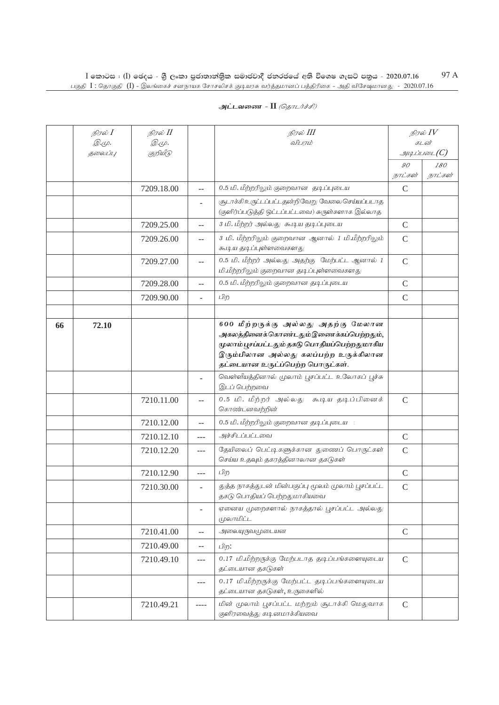|    | நிரல் <b>I</b><br>$\mathcal{D} \infty$ .<br>தலைப்பு | நிரல் II<br><i>@.cp.</i><br>குறியீடு |                | நிரல் III<br>விபரம்                                                                                                                                                                                        |               | நிரல் $IV$<br>கடன்<br>$\mathcal{A}$ |
|----|-----------------------------------------------------|--------------------------------------|----------------|------------------------------------------------------------------------------------------------------------------------------------------------------------------------------------------------------------|---------------|-------------------------------------|
|    |                                                     |                                      |                |                                                                                                                                                                                                            | 90<br>நாட்கள் | 180<br>நாட்கள்                      |
|    |                                                     | 7209.18.00                           |                | 0.5 மி. மீற்றரிலும் குறைவான தடிப்புடைய                                                                                                                                                                     | $\mathcal{C}$ |                                     |
|    |                                                     |                                      |                | சூடாக்கிஉருட்டப்பட்டதன்றிவேறு வேலை செய்யப்படாத<br>(குளிர்ப்படுத்தி ஒட்டப்பட்டவை) சுருள்களாக இல்லாத                                                                                                         |               |                                     |
|    |                                                     | 7209.25.00                           | $-$            | 3 மி. மீற்றர் அல்லது சு.டிய தடிப்புடைய                                                                                                                                                                     | $\mathcal{C}$ |                                     |
|    |                                                     | 7209.26.00                           | $-$            | 3 மி. மீற்றரிலும் குறைவான ஆனால் 1 மி.மீற்றரிலும்<br>சு.டி.ய தடிப்புள்ளவைகளது                                                                                                                               | $\mathcal{C}$ |                                     |
|    |                                                     | 7209.27.00                           | $\overline{a}$ | 0.5 மி. மீற்றர் அல்லது அதற்கு மேற்பட்ட ஆனால் 1<br>மி.மீற்றரிலும் குறைவான தடிப்புள்ளவைகளது                                                                                                                  | $\mathcal{C}$ |                                     |
|    |                                                     | 7209.28.00                           | $-1$           | 0.5 மி. மீற்றரிலும் குறைவான தடிப்புடைய                                                                                                                                                                     | $\mathcal{C}$ |                                     |
|    |                                                     | 7209.90.00                           |                | பிற                                                                                                                                                                                                        | $\mathcal{C}$ |                                     |
|    |                                                     |                                      |                |                                                                                                                                                                                                            |               |                                     |
| 66 | 72.10                                               |                                      |                | 600 மீற்றருக்கு அல்லது அதற்கு மேலான<br>அகலத்தினைக்கொண்டதும்இணைக்கப்பெற்றதும்,<br>முலாம்பூசப்பட்டதும் தகடு பொதியப்பெற்றதுமாகிய<br>இரும்பிலான அல்லது கலப்பற்ற உருக்கிலான<br>தட்டையான உருட்ப்பெற்ற பொருட்கள். |               |                                     |
|    |                                                     |                                      | ä,             | வெள்ளீயத்தினால் முலாம் பூசப்பட்ட உலோகப் பூச்சு<br>இடப் பெற்றவை                                                                                                                                             |               |                                     |
|    |                                                     | 7210.11.00                           |                | 0.5 மி. மீற்றர் அல்லது சு.டிய தடிப்பினைக்<br>கொண்டனவற்றின்                                                                                                                                                 | $\mathcal{C}$ |                                     |
|    |                                                     | 7210.12.00                           | $-$            | 0.5 மி. மீற்றரிலும் குறைவான தடிப்புடைய                                                                                                                                                                     |               |                                     |
|    |                                                     | 7210.12.10                           | $\overline{a}$ | அச்சிடப்பட்டவை                                                                                                                                                                                             | $\mathcal{C}$ |                                     |
|    |                                                     | 7210.12.20                           | $- - -$        | தேயிலைப் பெட்டிகளுக்கான துணைப் பொருட்கள்<br>செய்ய உதவும் தகரத்தினாலான தகடுகள்                                                                                                                              | $\mathcal{C}$ |                                     |
|    |                                                     | 7210.12.90                           |                | பிற                                                                                                                                                                                                        | $\mathsf{C}$  |                                     |
|    |                                                     | 7210.30.00                           | ÷,             | துத்த நாகத்துடன் மின்பகுப்பு மூலம் முலாம் பூசப்பட்ட<br>தகடு பொதியப் பெற்றதுமாகியவை                                                                                                                         | $\mathcal{C}$ |                                     |
|    |                                                     |                                      |                | ஏனைய முறைகளால் நாகத்தால் பூசப்பட்ட அல்லது<br>முலாமிட்ட                                                                                                                                                     |               |                                     |
|    |                                                     | 7210.41.00                           | $-$            | அலையுருவமுடையன                                                                                                                                                                                             | $\mathcal{C}$ |                                     |
|    |                                                     | 7210.49.00                           | $-$            | பிற:                                                                                                                                                                                                       |               |                                     |
|    |                                                     | 7210.49.10                           | ---            | 0.17 மி.மீற்றருக்கு மேற்படாத தடிப்பங்களையுடைய<br>தட்டையான தகடுகள்                                                                                                                                          | $\mathcal{C}$ |                                     |
|    |                                                     |                                      | $---$          | 0.17 மி.மீற்றருக்கு மேற்பட்ட தடிப்பங்களையுடைய<br>தட்டையான தகடுகள், உருகைளில்                                                                                                                               |               |                                     |
|    |                                                     | 7210.49.21                           |                | மின் முலாம் பூசப்பட்ட மற்றும் சூடாக்கி மெதுவாக                                                                                                                                                             | $\mathcal{C}$ |                                     |

குளிரவைத்து கடினமாக்கியவை

# **அட்டவணை - II** *(தொடர்ச்சி)*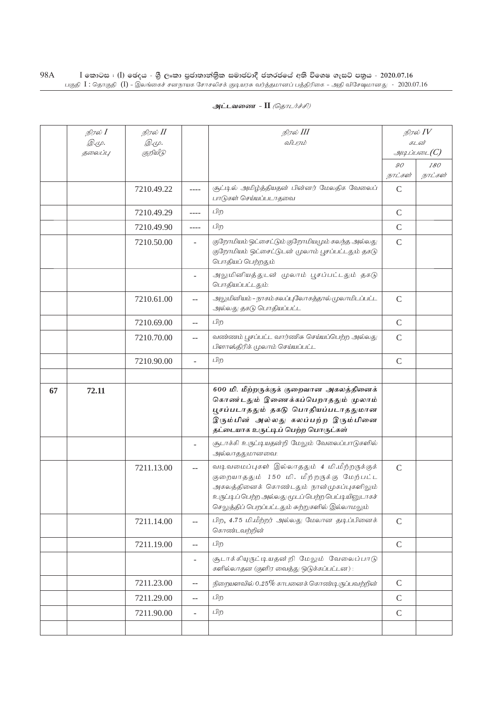|    | நிரல் $I$       | நிரல் II          |                          | நிரல் III                                                                                                                                                                                                                                     |               | நிரல் $\mathit{IV}$   |
|----|-----------------|-------------------|--------------------------|-----------------------------------------------------------------------------------------------------------------------------------------------------------------------------------------------------------------------------------------------|---------------|-----------------------|
|    | Q.Ψ.<br>தலைப்பு | @.cp.<br>குறியீடு |                          | விபரம்                                                                                                                                                                                                                                        |               | கடன்<br>$\mathcal{A}$ |
|    |                 |                   |                          |                                                                                                                                                                                                                                               | 90            | <i>180</i>            |
|    |                 |                   |                          |                                                                                                                                                                                                                                               | நாட்கள்       | நாட்கள்               |
|    |                 | 7210.49.22        | ----                     | சூட்டில் அமிழ்த்தியதன் பின்னர் மேலதிக வேலைப்<br>பாடுகள் செய்யப்படாதவை                                                                                                                                                                         | $\mathsf{C}$  |                       |
|    |                 | 7210.49.29        | $---$                    | பிற                                                                                                                                                                                                                                           | $\mathsf{C}$  |                       |
|    |                 | 7210.49.90        | $- - - -$                | பிற                                                                                                                                                                                                                                           | $\mathsf{C}$  |                       |
|    |                 | 7210.50.00        | $\overline{\phantom{a}}$ | குறோமியம் ஒட்சைட்டும் குறோமியமும் கலந்த அல்லது<br>குறோமியம் ஒட்சைட்டுடன் முலாம் பூசப்பட்டதும் தகடு<br>பொதியப் பெற்றதும்                                                                                                                       | $\mathsf{C}$  |                       |
|    |                 |                   |                          | அலுமினியத்துடன் முலாம் பூசப்பட்டதும் தகடு<br>பொதியப்பட்டதும்:                                                                                                                                                                                 |               |                       |
|    |                 | 7210.61.00        | --                       | அலுமினியம் – நாகம் கலப்புலோகத்தால் முலாமிடப்பட்ட<br>அல்லது தகடு பொதியப்பட்ட                                                                                                                                                                   | $\mathsf{C}$  |                       |
|    |                 | 7210.69.00        | $\overline{a}$           | பிற                                                                                                                                                                                                                                           | $\mathsf{C}$  |                       |
|    |                 | 7210.70.00        | --                       | வண்ணம் பூசப்பட்ட வார்ணிசு செய்யப்பெற்ற அல்லது<br>பிளாஸ்திரிக் முலாம் செய்யப்பட்ட                                                                                                                                                              | $\mathcal{C}$ |                       |
|    |                 | 7210.90.00        | $\overline{a}$           | பிற                                                                                                                                                                                                                                           | $\mathsf{C}$  |                       |
|    |                 |                   |                          |                                                                                                                                                                                                                                               |               |                       |
| 67 | 72.11           |                   |                          | 600 மி. மீற்றருக்குக் குறைவான அகலத்தினைக்<br>கொண்டதும் இணைக்கப்பெறாததும் முலாம்<br>பூசப்படாததும் தகடு பொதியப்படாததுமான<br>இரும்பின் அல்லது கலப்பற்ற இரும்பினை<br>தட்டையாக உருட்டிப் பெற்ற பொருட்கள்                                           |               |                       |
|    |                 |                   | $\overline{a}$           | சூடாக்கி உருட்டியதன்றி மேலும் வேலைப்பாடுகளில்<br>அல்லாததுமானவை:                                                                                                                                                                               |               |                       |
|    |                 | 7211.13.00        |                          | வடிவமைப்புகள் இல்லாததும் 4 மி.மீற்றருக்குக்<br>குறையாததும் 150 மி. மீற்றருக்கு மேற்பட்ட<br>அகலத்தினைக் கொண்டதும் நான்முகப்புகளிலும்<br>உருப்பு ப் பெற்ற அல்லது மூடப் பெற்ற பெப்டியினுடாகச்<br>செலுத்திப் பெறப்பட்டதும் சுற்றுகளில் இல்லாமலும் | $\mathsf{C}$  |                       |
|    |                 | 7211.14.00        | --                       | பிற, 4.75 மி.மீற்றர் அல்லது மேலான தடிப்பினைக்<br>கொண்டவற்றின்                                                                                                                                                                                 | $\mathsf{C}$  |                       |
|    |                 | 7211.19.00        | $\overline{a}$           | பிற                                                                                                                                                                                                                                           | $\mathsf{C}$  |                       |
|    |                 |                   | $\overline{a}$           | சூடாக்கியுருட்டியதன்றி மேலும் வேலைப்பாடு<br>களில்லாதன (குளிர வைத்து ஒடுக்கப்பட்டன):                                                                                                                                                           |               |                       |
|    |                 | 7211.23.00        | --                       | நிறையளவில் 0.25% காபனைக் கொண்டிருப்பவற்றின்                                                                                                                                                                                                   | $\mathcal{C}$ |                       |
|    |                 | 7211.29.00        | $-$                      | பிற                                                                                                                                                                                                                                           | $\mathsf{C}$  |                       |
|    |                 | 7211.90.00        | $\overline{\phantom{0}}$ | பிற                                                                                                                                                                                                                                           | $\mathsf{C}$  |                       |
|    |                 |                   |                          |                                                                                                                                                                                                                                               |               |                       |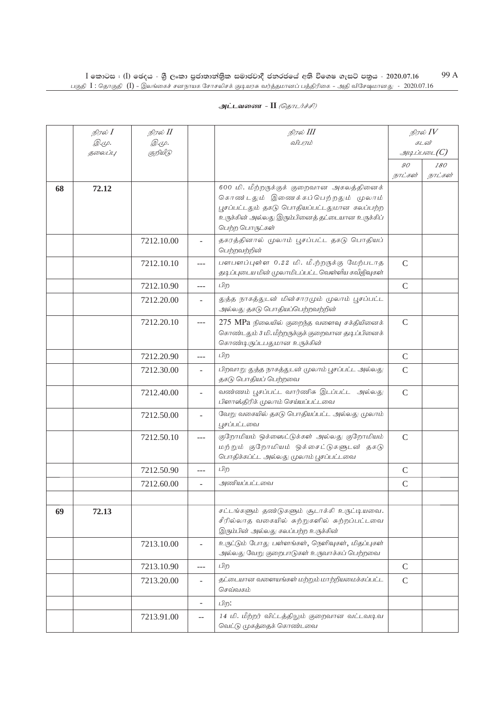| அட்டவணை - II <i>(தொடர்ச்சி)</i> |  |
|---------------------------------|--|
|---------------------------------|--|

|    | நிரல் $I$<br><i>@.cp.</i> | நிரல் II<br><i>@.cp.</i> |                          | நிரல் III<br>விபரம்                                                                                                                                                                                   | நிரல் $IV$<br>கடன் |                          |
|----|---------------------------|--------------------------|--------------------------|-------------------------------------------------------------------------------------------------------------------------------------------------------------------------------------------------------|--------------------|--------------------------|
|    | தலைப்பு                   | குறியீடு                 |                          |                                                                                                                                                                                                       |                    | $\mathcal{A}\mathcal{A}$ |
|    |                           |                          |                          |                                                                                                                                                                                                       | 90                 | 180                      |
|    |                           |                          |                          |                                                                                                                                                                                                       | நாட்கள்            | நாட்கள்                  |
| 68 | 72.12                     |                          |                          | 600 மி. மீற்றருக்குக் குறைவான அகலத்தினைக்<br>கொண்டதும் இணைக்கப்பெற்றதும் முலாம்<br>பூசப்பட்டதும் தகடு பொதியப்பட்டதுமான கலப்பற்ற<br>உருக்கின் அல்லது இரும்பினைத் தட்டையான உருக்கிப்<br>பெற்ற பொருட்கள் |                    |                          |
|    |                           | 7212.10.00               |                          | தகரத்தினால் முலாம் பூசப்பட்ட தகடு பொதியப்<br>பெற்றவற்றின்                                                                                                                                             |                    |                          |
|    |                           | 7212.10.10               | $---$                    | பளபளப்புள்ள 0.22 மி. மீ.ற்றருக்கு மேற்படாத<br>தடிப்புடைய மின் முலாமிடப்பட்ட வெள்ளீய கவீஜிவுகள்                                                                                                        | $\mathsf{C}$       |                          |
|    |                           | 7212.10.90               | $ -$                     | பிற                                                                                                                                                                                                   | $\mathsf C$        |                          |
|    |                           | 7212.20.00               |                          | துத்த நாகத்துடன் மின்சாரமும் முலாம் பூசப்பட்ட<br>அல்லது தகடு பொதியப்பெற்றவற்றின்                                                                                                                      |                    |                          |
|    |                           | 7212.20.10               | ---                      | $275$ MPa நிலையில் குறைந்த வளைவு சக்தியினைக்<br>கொண்டதும் 3 மி. மீற்றருக்குக் குறைவான தடிப்பினைக்<br>கொண்டிருப்டபதுமான உருக்கின்                                                                      | $\mathcal{C}$      |                          |
|    |                           | 7212.20.90               | ---                      | பிற                                                                                                                                                                                                   | $\mathcal{C}$      |                          |
|    |                           | 7212.30.00               |                          | பிறவாறு துத்த நாகத்துடன் முலாம் பூசப்பட்ட அல்லது<br>தகடு பொதியப் பெற்றவை                                                                                                                              | $\mathsf{C}$       |                          |
|    |                           | 7212.40.00               | ÷.                       | வண்ணம் பூசப்பட்ட வார்ணிசு இடப்பட்ட அல்லது<br>பிளாஸ்திரிக் முலாம் செய்யப்பட்டவை                                                                                                                        | $\mathsf{C}$       |                          |
|    |                           | 7212.50.00               | $\overline{\phantom{0}}$ | வேறு வகையில் தகடு பொதியப்பட்ட அல்லது முலாம்<br>பூசப்பட்டவை                                                                                                                                            |                    |                          |
|    |                           | 7212.50.10               | $---$                    | குறோமியம் ஒக்ஸைட்டுக்கள் அல்லது குறோமியம்<br>மற்றும் குறோமியம் ஒக்சைட்டுகளுடன் தகடு<br>பொதிக்கப்ட்ட அல்லது முலாம் பூசப்பட்டவை                                                                         | $\mathcal{C}$      |                          |
|    |                           | 7212.50.90               | ---                      | பிற                                                                                                                                                                                                   | $\mathcal{C}$      |                          |
|    |                           | 7212.60.00               |                          | அணியப்பட்டவை                                                                                                                                                                                          | $\mathcal{C}$      |                          |
|    |                           |                          |                          |                                                                                                                                                                                                       |                    |                          |
| 69 | 72.13                     |                          |                          | சட்டங்களும் தண்டுகளும் சூடாக்கி உருட்டியவை.<br>சீரில்லாத வகையில் சுற்றுகளில் சுற்றப்பட்டவை<br>இரும்பின் அல்லது கலப்பற்ற உருக்கின்                                                                     |                    |                          |
|    |                           | 7213.10.00               |                          | உருட்டும் போது பள்ளங்கள், நெளிவுகள், மிதப்புகள்<br>அல்லது வேறு குறைபாடுகள் உருவாக்கப் பெற்றவை                                                                                                         |                    |                          |
|    |                           | 7213.10.90               | $---$                    | பிற                                                                                                                                                                                                   | $\mathcal{C}$      |                          |
|    |                           | 7213.20.00               |                          | தட்டையான வளையங்கள் மற்றும் மாற்றியமைக்கப்பட்ட<br>செவ்வகம்                                                                                                                                             | $\mathcal{C}$      |                          |
|    |                           |                          | $\overline{\phantom{a}}$ | பிற:                                                                                                                                                                                                  |                    |                          |
|    |                           | 7213.91.00               | $-$                      | 14 மி. மீற்றர் விட்டத்திலும் குறைவான வட்டவடிவ<br>வெட்டு முகத்தைக் கொண்டவை                                                                                                                             |                    |                          |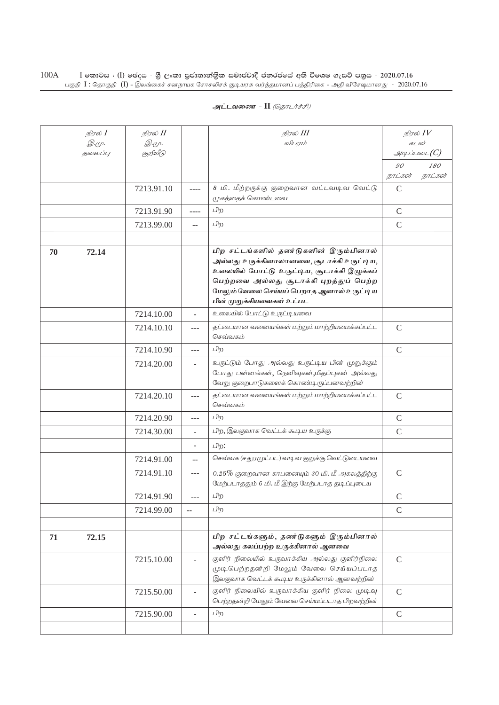| அட்டவணை - II <i>(தொடர்ச்சி)</i> |  |  |  |  |
|---------------------------------|--|--|--|--|
|---------------------------------|--|--|--|--|

|    | நிரல் <b>I</b> | நிரல் II   |                | நிரல் III                                                                                                                                                                                                                                             | நிரல் $IV$    |          |
|----|----------------|------------|----------------|-------------------------------------------------------------------------------------------------------------------------------------------------------------------------------------------------------------------------------------------------------|---------------|----------|
|    | <i>@.cp.</i>   | @.cp.      |                | விபரம்                                                                                                                                                                                                                                                |               | கடன்     |
|    | தலைப்பு        | குறியீடு   |                |                                                                                                                                                                                                                                                       | 90            | g<br>180 |
|    |                |            |                |                                                                                                                                                                                                                                                       | நாட்கள்       | நாட்கள்  |
|    |                | 7213.91.10 | ----           | 8 மி. மீற்றருக்கு குறைவான வட்டவடிவ வெட்டு<br>முகத்தைக் கொண்டவை                                                                                                                                                                                        | $\mathcal{C}$ |          |
|    |                | 7213.91.90 | ----           | பிற                                                                                                                                                                                                                                                   | $\mathsf{C}$  |          |
|    |                | 7213.99.00 | $-$            | பிற                                                                                                                                                                                                                                                   | $\mathsf{C}$  |          |
|    |                |            |                |                                                                                                                                                                                                                                                       |               |          |
| 70 | 72.14          |            |                | பிற சட்டங்களில் தண டுகளின் இரும்பினால்<br>அல்லது உருக்கினாலானவை, சூடாக்கி உருட்டிய,<br>உலையில் போட்டு உருட்டிய, சூடாக்கி இழுக்கப்<br>பெற்றவை அல்லது சூடாக்கி புறத்துப் பெற்ற<br>மேலும் வேலை செய்யப் பெறாத ஆனால் உருட்டிய<br>பின் முறுக்கியவைகள் உட்பட |               |          |
|    |                | 7214.10.00 |                | உலையில் போட்டு உருட்டியவை                                                                                                                                                                                                                             |               |          |
|    |                | 7214.10.10 | ---            | தட்டையான வளையங்கள் மற்றும் மாற்றியமைக்கப்பட்ட<br>செவ்வகம்                                                                                                                                                                                             | $\mathcal{C}$ |          |
|    |                | 7214.10.90 | ---            | பிற                                                                                                                                                                                                                                                   | $\mathsf{C}$  |          |
|    |                | 7214.20.00 | $\equiv$       | உருட்டும் போது அல்லது உருட்டிய பின் முறுக்கும்<br>போது பள்ளங்கள், நெளிவுகள்,மிதப்புகள் அல்லது<br>வேறு குறைபாடுகளைக் கொண்டிருப்பனவற்றின்                                                                                                               |               |          |
|    |                | 7214.20.10 | $---$          | தட்டையான வளையங்கள் மற்றும் மாற்றியமைக்கப்பட்ட<br>செவ்வகம்                                                                                                                                                                                             | $\mathcal{C}$ |          |
|    |                | 7214.20.90 | $---$          | பிற                                                                                                                                                                                                                                                   | $\mathcal{C}$ |          |
|    |                | 7214.30.00 | $\overline{a}$ | பிற, இலகுவாக வெட்டக் கூடிய உருக்கு                                                                                                                                                                                                                    | $\mathsf{C}$  |          |
|    |                |            |                | பிற:                                                                                                                                                                                                                                                  |               |          |
|    |                | 7214.91.00 | $-$            | செவ்வக (சதுரமுட்பட) வடிவ குறுக்கு வெட்டுடையவை                                                                                                                                                                                                         |               |          |
|    |                | 7214.91.10 | $---$          | 0.25% குறைவான காபனையும் 30 மி. மீ அகலத்திற்கு<br>மேற்படாததும் 6 மி. மீ இற்கு மேற்படாத தடிப்புடைய                                                                                                                                                      | $\mathcal{C}$ |          |
|    |                | 7214.91.90 | ---            | பிற                                                                                                                                                                                                                                                   | $\mathcal{C}$ |          |
|    |                | 7214.99.00 | $-$            | பிற                                                                                                                                                                                                                                                   | $\mathcal{C}$ |          |
|    |                |            |                |                                                                                                                                                                                                                                                       |               |          |
| 71 | 72.15          |            |                | பிற சட்டங்களும், தண்டுகளும் இரும்பினால்<br>அல்லது கலப்பற்ற உருக்கினால் ஆனவை                                                                                                                                                                           |               |          |
|    |                | 7215.10.00 | ÷.             | குளிர் நிலையில் உருவாக்கிய அல்லது குளிர்நிலை<br>முடிபெற்றதன்றி மேலும் வேலை செய்யப்படாத<br>இலகுவாக வெட்டக் கூடிய உருக்கினால் ஆனவற்றின்                                                                                                                 | $\mathcal{C}$ |          |
|    |                | 7215.50.00 |                | குளிர் நிலையில் உருவாக்கிய குளிர் நிலை முடிவு<br>பெற்றதன்றி மேலும் வேலை செய்யப்படாத பிறவற்றின்                                                                                                                                                        | $\mathsf{C}$  |          |
|    |                | 7215.90.00 |                | பிற                                                                                                                                                                                                                                                   | $\mathcal{C}$ |          |
|    |                |            |                |                                                                                                                                                                                                                                                       |               |          |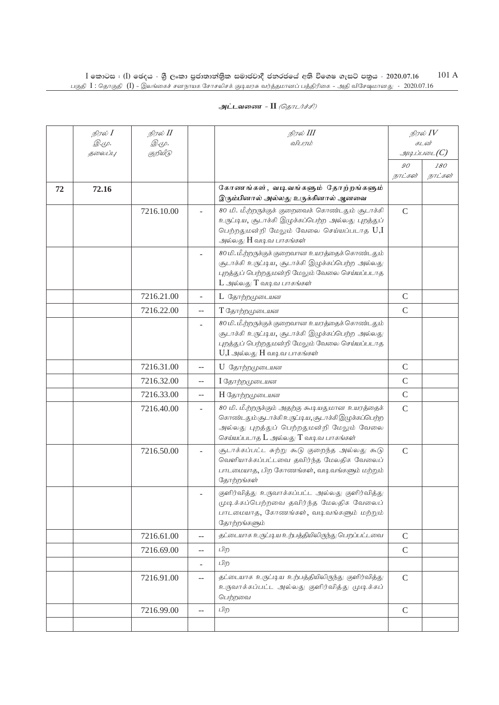|    | நிரல் <b>I</b><br><i>@.cp.</i> | நிரல் II                 |                | நிரல் III<br>விபரம்                                                                                                                                                                                |               | நிரல் $IV$<br>கடன்       |
|----|--------------------------------|--------------------------|----------------|----------------------------------------------------------------------------------------------------------------------------------------------------------------------------------------------------|---------------|--------------------------|
|    | தலைப்பு                        | <i>@.cp.</i><br>குறியீடு |                |                                                                                                                                                                                                    |               | $\mathcal{A}\mathcal{A}$ |
|    |                                |                          |                |                                                                                                                                                                                                    | 90            | 180                      |
|    |                                |                          |                |                                                                                                                                                                                                    | நாட்கள்       | நாட்கள்                  |
| 72 | 72.16                          |                          |                | கோணங்கள், வடிவங்களும் தோற்றங்களும்                                                                                                                                                                 |               |                          |
|    |                                |                          |                | இரும்பினால் அல்லது உருக்கினால் ஆனவை                                                                                                                                                                |               |                          |
|    |                                | 7216.10.00               |                | 80 மி. மீ.ற்றருக்குக் குறைவைக் கொண்டதும் சூடாக்கி<br>உருட்டிய, சூடாக்கி இழுக்கப்பெற்ற அல்லது புறத்துப்<br>பெற்றதுமன்றி மேலும் வேலை செய்யப்படாத $U,I$<br>அல்லது H வடிவ பாகங்கள்                     | $\mathsf{C}$  |                          |
|    |                                |                          |                | 80 மி. மீ.ற்றருக்குக் குறைவான உயரத்தைக் கொண்டதும்<br>சூடாக்கி உருட்டிய, சூடாக்கி இழுக்கப்பெற்ற அல்லது<br>புறத்துப் பெற்றதுமன்றி மேலும் வேலை செய்யப்படாத<br>$L$ அல்லது $T$ வடிவ பாகங்கள்            |               |                          |
|    |                                | 7216.21.00               | ÷,             | L தோற்றமுடையன                                                                                                                                                                                      | $\mathsf{C}$  |                          |
|    |                                | 7216.22.00               | $-$            | T தோற்றமுடையன                                                                                                                                                                                      | $\mathsf{C}$  |                          |
|    |                                |                          |                | 80 மி. மீ.ற்றருக்குக் குறைவான உயரத்தைக் கொண்டதும்<br>சூடாக்கி உருட்டிய, சூடாக்கி இழுக்கப்பெற்ற அல்லது<br>புறத்துப் பெற்றதுமன்றி மேலும் வேலை செய்யப்படாத<br>$U, I$ அல்லது $H$ வடிவ பாகங்கள்         |               |                          |
|    |                                | 7216.31.00               | $-$            | U தோற்றமுடையன                                                                                                                                                                                      | $\mathsf{C}$  |                          |
|    |                                | 7216.32.00               | $-$            | I தோற்றமுடையன                                                                                                                                                                                      | $\mathcal{C}$ |                          |
|    |                                | 7216.33.00               | $-$            | H தோற்றமுடையன                                                                                                                                                                                      | $\mathcal{C}$ |                          |
|    |                                | 7216.40.00               | ÷.             | 80 மி. மீ.ற்றருக்கும் அதற்கு கூடியதுமான உயரத்தைக்<br>கொண்டதும் சூடாக்கி உருப்டிய, சூடாக்கி இழுக்கப்பெற்ற<br>அல்லது புறத்துப் பெற்றதுமன்றி மேலும் வேலை<br>செய்யப்படாத $L$ அல்லது $T$ வடி வ பாகங்கள் | $\mathcal{C}$ |                          |
|    |                                | 7216.50.00               |                | சூடாக்கப்பட்ட சுற்று கூடு குறைந்த அல்லது கூடு<br>வெளியாக்கப்பட்டவை தவிர்ந்த மேலதிக வேலைப்<br>பாடமையாத, பிற கோணங்கள், வடிவங்களும் மற்றும்<br>தோற்றங்கள்                                             | $\mathcal{C}$ |                          |
|    |                                |                          |                | குளிர்வித்து உருவாக்கப்பட்ட அல்லது குளிர்வித்து<br>முடிக்கப்பெற்றவை தவிர்ந்த மேலதிக வேலைப்<br>பாடமையாத, கோணங்கள், வடிவங்களும் மற்றும்<br>தோற்றங்களும்                                              |               |                          |
|    |                                | 7216.61.00               | $-$            | தட்டையாக உருப்டிய உற்பத்தியிலிருந்து பெறப்பட்டவை                                                                                                                                                   | $\mathsf{C}$  |                          |
|    |                                | 7216.69.00               | $-$            | பிற                                                                                                                                                                                                | $\mathcal{C}$ |                          |
|    |                                |                          | ÷.             | பிற                                                                                                                                                                                                |               |                          |
|    |                                | 7216.91.00               | $\overline{a}$ | தட்டையாக உருட்டிய உற்பத்தியிலிருந்து குளிர்வித்து<br>உருவாக்கப்பட்ட அல்லது குளிர்வித்து முடிக்கப்<br>பெற்றவை                                                                                       | $\mathsf{C}$  |                          |
|    |                                | 7216.99.00               | $-$            | பிற                                                                                                                                                                                                | $\mathcal{C}$ |                          |
|    |                                |                          |                |                                                                                                                                                                                                    |               |                          |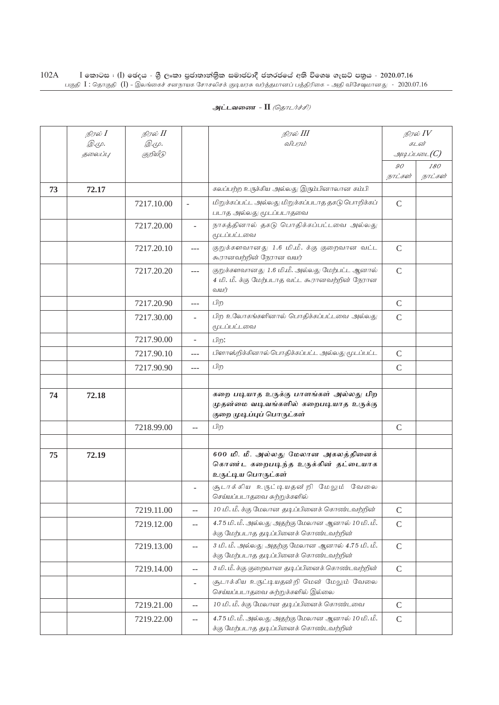| அட்டவணை - II <i>(தொடர்ச்சி)</i> |  |  |  |
|---------------------------------|--|--|--|
|---------------------------------|--|--|--|

|    | நிரல் <b>I</b>          | நிரல் II                 |                          | நிரல் III                                                                                                 | நிரல் $IV$<br>கடன்        |                |
|----|-------------------------|--------------------------|--------------------------|-----------------------------------------------------------------------------------------------------------|---------------------------|----------------|
|    | <i>@.cp.</i><br>தலைப்பு | <i>@.cp.</i><br>குறியீடு |                          | விபரம்                                                                                                    |                           | அடிப்படை $(C)$ |
|    |                         |                          |                          |                                                                                                           |                           |                |
|    |                         |                          |                          |                                                                                                           | $\mathcal{G}O$<br>நாட்கள் | 180<br>நாட்கள் |
| 73 | 72.17                   |                          |                          | கலப்பற்ற உருக்கிய அல்லது இரும்பினாலான கம்பி                                                               |                           |                |
|    |                         | 7217.10.00               | $\overline{\phantom{a}}$ | மிறுக்கப்பட்ட அல்லது மிறுக்கப்படாத தகடு பொறிக்கப்                                                         | $\mathcal{C}$             |                |
|    |                         |                          |                          | படாத அல்லது மூடப்படாதவை                                                                                   |                           |                |
|    |                         | 7217.20.00               |                          | நாகத்தினால் தகடு பொதிக்கப்பட்டவை அல்லது<br>மூடப்பட்டவை                                                    |                           |                |
|    |                         | 7217.20.10               | $---$                    | குறுக்களவானது 1.6 மி.மீ. க்கு குறைவான வட்ட<br>கூரானவற்றின் நேரான வயர்                                     | $\mathcal{C}$             |                |
|    |                         | 7217.20.20               | ---                      | குறுக்களவானது 1.6 மி.மீ. அல்லது மேற்பட்ட ஆனால்<br>4 மி. மீ. க்கு மேற்படாத வட்ட கூரானவற்றின் நேரான<br>வயர் | $\mathcal{C}$             |                |
|    |                         | 7217.20.90               | ---                      | பிற                                                                                                       | $\mathcal{C}$             |                |
|    |                         | 7217.30.00               | Ξ.                       | பிற உலோகங்களினால் பொதிக்கப்பட்டவை அல்லது<br>மூடப்பட்டவை                                                   | $\mathcal{C}$             |                |
|    |                         | 7217.90.00               | $\overline{a}$           | பிற:                                                                                                      |                           |                |
|    |                         | 7217.90.10               | $---$                    | பிளாஸ்றிக்கினால் பொதிக்கப்பட்ட அல்லது மூடப்பட்ட                                                           | $\mathcal{C}$             |                |
|    |                         | 7217.90.90               | $---$                    | பிற                                                                                                       | $\mathcal{C}$             |                |
|    |                         |                          |                          |                                                                                                           |                           |                |
| 74 | 72.18                   |                          |                          | கறை படியாத உருக்கு பாளங்கள் அல்லது பிற                                                                    |                           |                |
|    |                         |                          |                          | முதன்மை வடிவங்களில் கறைபடியாத உருக்கு<br>குறை முடிப்புப் பொருட்கள்                                        |                           |                |
|    |                         |                          |                          |                                                                                                           |                           |                |
|    |                         | 7218.99.00               | $-$                      | பிற                                                                                                       | $\mathcal{C}$             |                |
|    |                         |                          |                          | 600 மி. மீ. அல்லது மேலான அகலத்தினைக்                                                                      |                           |                |
| 75 | 72.19                   |                          |                          | கொண்ட கறைபடிந்த உருக்கின் தட்டையாக                                                                        |                           |                |
|    |                         |                          |                          | உருட்டிய பொருட்கள்                                                                                        |                           |                |
|    |                         |                          |                          | சூடாக்கிய உருட்டியதன்றி மேலும் வேலை<br>செய்யப்படாதவை சுற்றுக்களில்                                        |                           |                |
|    |                         | 7219.11.00               | 44                       | 10 மி. மீ. க்கு மேலான தடிப்பினைக் கொண்டவற்றின்                                                            | $\mathsf{C}$              |                |
|    |                         | 7219.12.00               | --                       | 4.75 மி. மீ. அல்லது அதற்கு மேலான ஆனால் 10 மி. மீ.<br>க்கு மேற்படாத தடிப்பினைக் கொண்டவற்றின்               | $\mathsf C$               |                |
|    |                         | 7219.13.00               | $-$                      | 3 மி. மீ. அல்லது அதற்கு மேலான ஆனால் 4.75 மி. மீ.<br>க்கு மேற்படாத தடிப்பினைக் கொண்டவற்றின்                | $\mathsf{C}$              |                |
|    |                         | 7219.14.00               | $-$                      | 3 மி. மீ. க்கு குறைவான தடிப்பினைக் கொண்டவற்றின்                                                           | $\mathcal{C}$             |                |
|    |                         |                          | $\overline{a}$           | சூடாக்கிய உருட்டியதன்றி மென் மேலும் வேலை<br>செய்யப்படாதவை சுற்றுக்களில் இல்லை                             |                           |                |
|    |                         | 7219.21.00               | $-$                      | 10 மி. மீ. க்கு மேலான தடிப்பினைக் கொண்டவை                                                                 | $\mathsf C$               |                |
|    |                         | 7219.22.00               | --                       | 4.75 மி. மீ. அல்லது அதற்கு மேலான ஆனால் 10 மி. மீ.<br>க்கு மேற்படாத தடிப்பினைக் கொண்டவற்றின்               | $\mathcal{C}$             |                |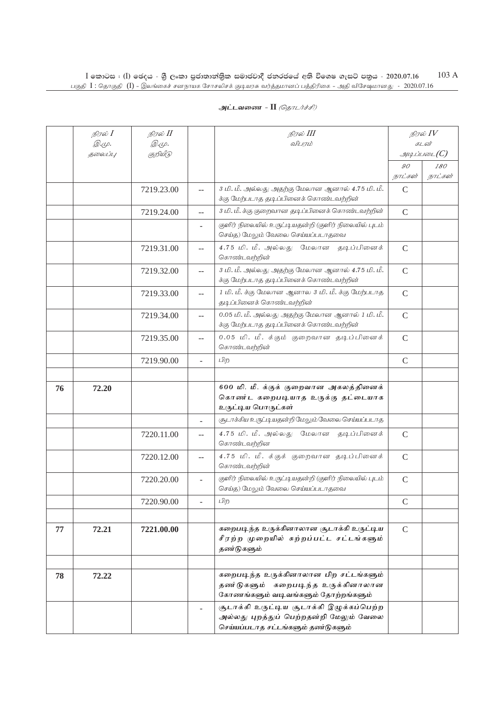### **அட்டவணை - II** *(தொடர்ச்சி)*

|    | நிரல் I                 | நிரல் II                 |                | நிரல் III                                                                                                                 |               | நிரல் $IV$                       |
|----|-------------------------|--------------------------|----------------|---------------------------------------------------------------------------------------------------------------------------|---------------|----------------------------------|
|    | <i>@.cp.</i><br>தலைப்பு | <i>@.cp.</i><br>குறியீடு |                | விபரம்                                                                                                                    |               | கடன்<br>$\mathcal{A}\mathcal{A}$ |
|    |                         |                          |                |                                                                                                                           | 90            | 180                              |
|    |                         |                          |                |                                                                                                                           | நாட்கள்       | நாட்கள்                          |
|    |                         | 7219.23.00               |                | 3 மி. மீ. அல்லது அதற்கு மேலான ஆனால் 4.75 மி. மீ.<br>க்கு மேற்படாத தடிப்பினைக் கொண்டவற்றின்                                | $\mathsf{C}$  |                                  |
|    |                         | 7219.24.00               | $-$            | 3 மி. மீ. க்கு குறைவான தடிப்பினைக் கொண்டவற்றின்                                                                           | $\mathcal{C}$ |                                  |
|    |                         |                          |                | குளிர் நிலையில் உருட்டியதன்றி (குளிர் நிலையில் புடம்<br>செய்த) மேலும் வேலை செய்யப்படாதவை                                  |               |                                  |
|    |                         | 7219.31.00               | --             | 4.75 மி. மீ. அல்லது மேலான தடிப்பினைக்<br>கொண்டவற்றின்                                                                     | $\mathsf{C}$  |                                  |
|    |                         | 7219.32.00               | --             | 3 மி. மீ. அல்லது அதற்கு மேலான ஆனால் 4.75 மி. மீ.<br>க்கு மேற்படாத தடிப்பினைக் கொண்டவற்றின்                                | $\mathcal{C}$ |                                  |
|    |                         | 7219.33.00               | $\overline{a}$ | 1 மி. மீ. க்கு மேலான ஆனால 3 மி. மீ. க்கு மேற்படாத<br>தடிப்பினைக் கொண்டவற்றின்                                             | $\mathsf{C}$  |                                  |
|    |                         | 7219.34.00               | $- -$          | 0.05 மி. மீ. அல்லது அதற்கு மேலான ஆனால் 1 மி. மீ.<br>க்கு மேற்படாத தடிப்பினைக் கொண்டவற்றின்                                | $\mathsf{C}$  |                                  |
|    |                         | 7219.35.00               | $-$            | 0.05 மி. மீ. க்கும் குறைவான தடிப்பினைக்<br>கொண்டவற்றின்                                                                   | $\mathsf{C}$  |                                  |
|    |                         | 7219.90.00               |                | பிற                                                                                                                       | $\mathsf{C}$  |                                  |
|    |                         |                          |                |                                                                                                                           |               |                                  |
| 76 | 72.20                   |                          |                | 600 மி. மீ. க்குக் குறைவான அகலத்தினைக்<br>கொண்ட கறைபடியாத உருக்கு தட்டையாக<br>உருட்டிய பொருட்கள்                          |               |                                  |
|    |                         |                          | ۷              | சூடாக்கிய உருட்டியதன்றி மேலும் வேலை செய்யப்படாத                                                                           |               |                                  |
|    |                         | 7220.11.00               | $-$            | 4.75 மி. மீ. அல்லது மேலான தடிப்பினைக்<br>கொண்டவற்றின                                                                      | $\mathsf{C}$  |                                  |
|    |                         | 7220.12.00               | $-$            | 4.75 மி. மீ. க்குக் குறைவான தடிப்பினைக்<br>கொண்டவற்றின்                                                                   | $\mathsf{C}$  |                                  |
|    |                         | 7220.20.00               | ÷.             | குளிர் நிலையில் உருட்டியதன்றி (குளிர் நிலையில் புடம்<br>செய்த) மேலும் வேலை செய்யப்படாதவை                                  | $\mathsf{C}$  |                                  |
|    |                         | 7220.90.00               |                | பிற                                                                                                                       | C             |                                  |
|    |                         |                          |                |                                                                                                                           |               |                                  |
| 77 | 72.21                   | 7221.00.00               |                | கறைபடிந்த உருக்கினாலான சூடாக்கி உருட்டிய<br>சீரற்ற முறையில் சுற்றப்பட்ட சட்டங்களும்<br>தண்டுகளும்                         | $\mathcal{C}$ |                                  |
|    |                         |                          |                |                                                                                                                           |               |                                  |
| 78 | 72.22                   |                          |                | கறைபடிந்த உருக்கினாலான பிற சட்டங்களும்<br>தணர்டுகளும் கறைபடிந்த உருக்கினாலான<br>கோணங்களும் வடிவங்களும் தோற்றங்களும்       |               |                                  |
|    |                         |                          |                | சூடாக்கி உருட்டிய சூடாக்கி இழுக்கப்பெற்ற<br>அல்லது புறத்துப் பெற்றதன்றி மேலும் வேலை<br>செய்யப்படாத சட்டங்களும் தண்டுகளும் |               |                                  |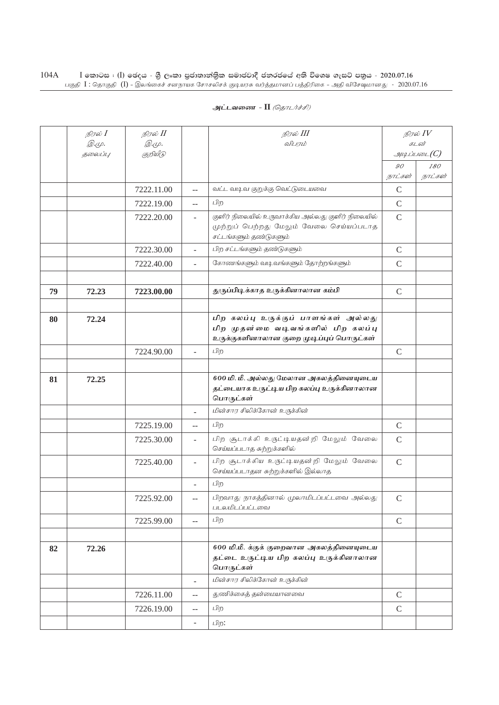| அட்டவணை - II <i>(தொடர்ச்சி)</i> |  |  |  |
|---------------------------------|--|--|--|
|---------------------------------|--|--|--|

|    | நிரல் $I$ | நிரல் II   |                          | நிரல் III                                                                                                               | நிரல் $IV$    |                             |
|----|-----------|------------|--------------------------|-------------------------------------------------------------------------------------------------------------------------|---------------|-----------------------------|
|    | Q.Ψ.      | @.cp.      |                          | விபரம்                                                                                                                  |               | கடன்<br>$g$ uq Liuson $(C)$ |
|    | தலைப்பு   | குறியீடு   |                          |                                                                                                                         | 90            | 180                         |
|    |           |            |                          |                                                                                                                         | நாட்கள்       | நாட்கள்                     |
|    |           | 7222.11.00 | --                       | வட்ட வடிவ குறுக்கு வெட்டுடையவை                                                                                          | $\mathcal{C}$ |                             |
|    |           | 7222.19.00 | --                       | பிற                                                                                                                     | $\mathcal{C}$ |                             |
|    |           | 7222.20.00 | $\overline{a}$           | குளிர் நிலையில் உருவாக்கிய அல்லது குளிர் நிலையில்<br>முற்றுப் பெற்றது மேலும் வேலை செய்யப்படாத<br>சட்டங்களும் தண்டுகளும் | $\mathcal{C}$ |                             |
|    |           | 7222.30.00 |                          | பிற சட்டங்களும் தண்டுகளும்                                                                                              | $\mathcal{C}$ |                             |
|    |           | 7222.40.00 | $\overline{a}$           | கோணங்களும் வடிவங்களும் தோற்றங்களும்                                                                                     | $\mathcal{C}$ |                             |
|    |           |            |                          |                                                                                                                         |               |                             |
| 79 | 72.23     | 7223.00.00 |                          | துருப்பிடிக்காத உருக்கினாலான கம்பி                                                                                      | $\mathcal{C}$ |                             |
|    |           |            |                          |                                                                                                                         |               |                             |
| 80 | 72.24     |            |                          | பிற கலப்பு உருக்குப் பாளங்கள் அல்லது<br>பிற முதன்மை வடிவங்களில் பிற கலப்பு<br>உருக்குகளினாலான குறை முடிப்புப் பொருட்கள் |               |                             |
|    |           | 7224.90.00 |                          | பிற                                                                                                                     | $\mathcal{C}$ |                             |
|    |           |            |                          |                                                                                                                         |               |                             |
| 81 | 72.25     |            |                          | 600 மி. மீ. அல்லது மேலான அகலத்தினையுடைய<br>தட்டையாக உருட்டிய பிற கலப்பு உருக்கினாலான<br>பொருட்கள்                       |               |                             |
|    |           |            | ÷.                       | மின்சார சிலிக்கோன் உருக்கின்                                                                                            |               |                             |
|    |           | 7225.19.00 |                          | பிற                                                                                                                     | $\mathcal{C}$ |                             |
|    |           | 7225.30.00 | $\overline{\phantom{a}}$ | பிற சூடாக்கி உருட்டியதன்றி மேலும் வேலை<br>செய்யப்படாத சுற்றுக்களில்                                                     | $\mathcal{C}$ |                             |
|    |           | 7225.40.00 |                          | பிற சூடாக்கிய உருட்டியதன்றி மேலும் வேலை<br>செய்யப்படாதன சுற்றுக்களில் இல்லாத                                            | $\mathcal{C}$ |                             |
|    |           |            | $\overline{\phantom{a}}$ | பிற                                                                                                                     |               |                             |
|    |           | 7225.92.00 | $-$                      | பிறவாது நாகத்தினால் முலாமிடப்பட்டவை அல்லது<br>படலமிடப்பட்டவை                                                            | $\mathsf{C}$  |                             |
|    |           | 7225.99.00 | $-$                      | பிற                                                                                                                     | $\mathcal{C}$ |                             |
|    |           |            |                          |                                                                                                                         |               |                             |
| 82 | 72.26     |            |                          | 600 மி.மீ. க்குக் குறைவான அகலத்தினையுடைய<br>தட்டை உருட்டிய பிற கலப்பு உருக்கினாலான<br>பொருட்கள்                         |               |                             |
|    |           |            | $\overline{a}$           | மின்சார சிலிக்கோன் உருக்கின்                                                                                            |               |                             |
|    |           | 7226.11.00 | $- -$                    | துணிக்கைத் தன்மையானவை                                                                                                   | $\mathsf{C}$  |                             |
|    |           | 7226.19.00 | $\overline{a}$           | பிற                                                                                                                     | $\mathcal{C}$ |                             |
|    |           |            | $\overline{\phantom{a}}$ | பிற:                                                                                                                    |               |                             |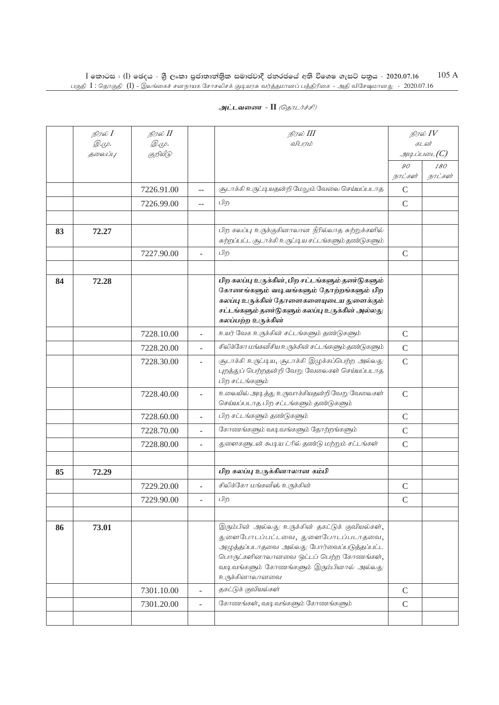|    | நிரல் <b>I</b> | நிரல் II   |                | நிரல் III                                                                                                                                                                                                                                    | நிரல் $IV$            |                |
|----|----------------|------------|----------------|----------------------------------------------------------------------------------------------------------------------------------------------------------------------------------------------------------------------------------------------|-----------------------|----------------|
|    | <i>@.cp.</i>   | Q.Ψ.       |                | விபரம்                                                                                                                                                                                                                                       | கடன்<br>$\mathcal{I}$ |                |
|    | தலைப்பு        | குறியீடு   |                |                                                                                                                                                                                                                                              |                       |                |
|    |                |            |                |                                                                                                                                                                                                                                              | 90<br>நாட்கள்         | 180<br>நாட்கள் |
|    |                | 7226.91.00 | $-$            | சூடாக்கி உருட்டியதன்றி மேலும் வேலை செய்யப்படாத                                                                                                                                                                                               | $\mathsf{C}$          |                |
|    |                | 7226.99.00 | $\overline{a}$ | பிற                                                                                                                                                                                                                                          | $\mathsf{C}$          |                |
|    |                |            |                |                                                                                                                                                                                                                                              |                       |                |
|    |                |            |                | பிற கலப்பு உருக்குகினாலான நீரில்லாத சுற்றுக்களில்                                                                                                                                                                                            |                       |                |
| 83 | 72.27          |            |                | சுற்றப்பட்ட சூடாக்கி உருட்டிய சட்டங்களும் தண்டுகளும்                                                                                                                                                                                         |                       |                |
|    |                | 7227.90.00 | $\overline{a}$ | பிற                                                                                                                                                                                                                                          | $\mathcal{C}$         |                |
|    |                |            |                |                                                                                                                                                                                                                                              |                       |                |
| 84 | 72.28          |            |                | பிற கலப்பு உருக்கின், பிற சட்டங்களும் தண்டுகளும்<br>கோணங்களும் வடிவங்களும் தோற்றங்களும் பிற<br>கலப்பு உருக்கின் தோளைகளையுடைய துளைக்கும்<br>சட்டங்களும் தண்டுகளும் கலப்பு உருக்கின் அல்லது<br>கலப்பற்ற உருக்கின்                              |                       |                |
|    |                | 7228.10.00 | $\overline{a}$ | உயர் வேக உருக்கின் சட்டங்களும் தண்டுகளும்                                                                                                                                                                                                    | $\mathcal{C}$         |                |
|    |                | 7228.20.00 | ÷.             | சிலிக்கோ மங்கனீசிய உருக்கின் சட்டங்களும் தண்டுகளும்                                                                                                                                                                                          | $\mathcal{C}$         |                |
|    |                | 7228.30.00 | ۷              | சூடாக்கி உருட்டிய, சூடாக்கி இழுக்கப்பெற்ற அல்லது<br>புறத்துப் பெற்றதன்றி வேறு வேலைகள் செய்யப்படாத<br>பிற சட்டங்களும்                                                                                                                         | $\mathcal{C}$         |                |
|    |                | 7228.40.00 | ÷.             | உலையில் அடித்து உருவாக்கியதன்றி வேறு வேலைகள்<br>செய்யப்படாத பிற சட்டங்களும் தண்டுகளும்                                                                                                                                                       | $\mathsf{C}$          |                |
|    |                | 7228.60.00 | ÷              | பிற சட்டங்களும் தண்டுகளும்                                                                                                                                                                                                                   | $\mathsf{C}$          |                |
|    |                | 7228.70.00 | L              | கோணங்களும் வடிவங்களும் தோற்றங்களும்                                                                                                                                                                                                          | $\mathcal{C}$         |                |
|    |                | 7228.80.00 | ÷.             | துளைகளுடன் கூடிய ட்ரில் தண்டு மற்றும் சட்டங்கள்                                                                                                                                                                                              | $\mathsf{C}$          |                |
|    |                |            |                |                                                                                                                                                                                                                                              |                       |                |
| 85 | 72.29          |            |                | பிற கலப்பு உருக்கினாலான கம்பி                                                                                                                                                                                                                |                       |                |
|    |                | 7229.20.00 |                | சிலிக்கோ மங்கனீஸ் உருக்கின்                                                                                                                                                                                                                  | $\mathcal{C}$         |                |
|    |                | 7229.90.00 |                | பிற                                                                                                                                                                                                                                          | $\mathcal{C}$         |                |
|    |                |            |                |                                                                                                                                                                                                                                              |                       |                |
| 86 | 73.01          |            |                | இரும்பின் அல்லது உருக்கின் தகட்டுக் குவியல்கள்,<br>துளைபோடப்பட்டவை, துளைபோடப்படாதவை,<br>அழுத்தப்படாதவை அல்லது போர்வைப்படுத்தப்பட்ட<br>பொருட்களினாலானவை ஒட்டப் பெற்ற கோணங்கள்,<br>வடிவங்களும் கோணங்களும் இரும்பினால் அல்லது<br>உருக்கினாலானவை |                       |                |
|    |                | 7301.10.00 |                | தகட்டுக் குவியல்கள்                                                                                                                                                                                                                          | $\mathcal{C}$         |                |
|    |                | 7301.20.00 | $\equiv$       | கோணங்கள், வடிவங்களும் கோணங்களும்                                                                                                                                                                                                             | $\mathsf{C}$          |                |
|    |                |            |                |                                                                                                                                                                                                                                              |                       |                |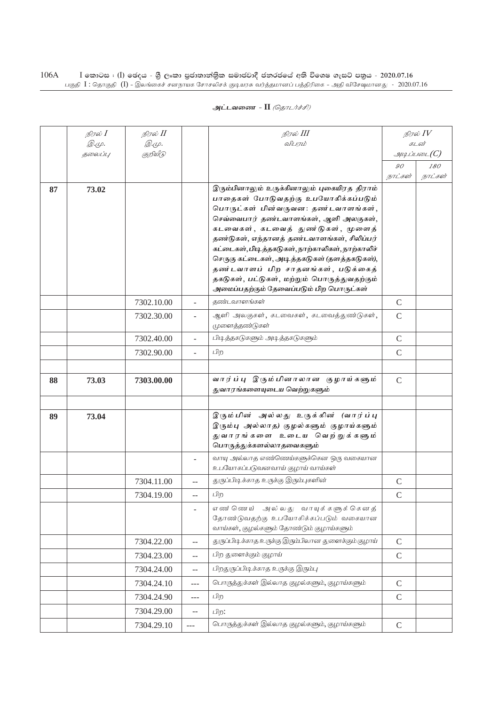|    | நிரல் $I$ | நிரல் II     |                          | நிரல் III                                                                 | நிரல் $\mathit{IV}$ |              |
|----|-----------|--------------|--------------------------|---------------------------------------------------------------------------|---------------------|--------------|
|    | இ.மு.     | <i>@.cp.</i> |                          | விபாம்                                                                    | கடன்                |              |
|    | தலைப்பு   | குறியீடு     |                          |                                                                           |                     | $\mathcal G$ |
|    |           |              |                          |                                                                           | 90                  | 180          |
|    |           |              |                          |                                                                           | நாட்கள்             | நாட்கள்      |
| 87 | 73.02     |              |                          | இரும்பினாலும் உருக்கினாலும் புகையிரத திராம்                               |                     |              |
|    |           |              |                          | பாதைகள் போடுவதற்கு உபயோகிக்கப்படும்<br>பொருட்கள் பின்வருவன: தண்டவாளங்கள், |                     |              |
|    |           |              |                          | செவ்வைபார் தண்டவாளங்கள், ஆளி அலகுகள்,                                     |                     |              |
|    |           |              |                          | கடவைகள், கடவைத் துண ்டுகள், முளைத்                                        |                     |              |
|    |           |              |                          | தண்டுகள், எந்தானத் தண்டவாளங்கள், சிலிப்பர்                                |                     |              |
|    |           |              |                          | கட்டைகள்,பிடித்தகடுகள், நாற்காலிகள், நாற்காலிச்                           |                     |              |
|    |           |              |                          | செருகு கட்டைகள், அடித்தகடுகள் (தளத்தகடுகள்),                              |                     |              |
|    |           |              |                          | தண்டவாளப் பிற சாதனங்கள், படுக்கைத்                                        |                     |              |
|    |           |              |                          | தகடுகள், பட்டுகள், மற்றும் பொருத்துவதற்கும்                               |                     |              |
|    |           |              |                          | அமைப்பதற்கும் தேவைப்படும் பிற பொருட்கள்                                   |                     |              |
|    |           | 7302.10.00   |                          | குண்டவாளங்கள்                                                             | $\mathcal{C}$       |              |
|    |           | 7302.30.00   |                          | ஆளி அலகுகள், கடவைகள், கடவைத்துண்டுகள்,                                    | $\mathcal{C}$       |              |
|    |           |              |                          | முளைத்தண்டுகள்                                                            |                     |              |
|    |           | 7302.40.00   | $\overline{\phantom{a}}$ | பிடித்தகடுகளும் அடித்தகடுகளும்                                            | $\mathcal{C}$       |              |
|    |           | 7302.90.00   | $\overline{a}$           | பிற                                                                       | $\mathsf C$         |              |
|    |           |              |                          |                                                                           |                     |              |
| 88 | 73.03     | 7303.00.00   |                          | வார்ப்பு இரும்பினாலான குழாய்களும்                                         | $\mathcal{C}$       |              |
|    |           |              |                          | துவாரங்களையுடைய வெற்றுகளும்                                               |                     |              |
|    |           |              |                          |                                                                           |                     |              |
| 89 | 73.04     |              |                          | இரும்பின் அல்லது உருக்கின் (வார்ப்பு                                      |                     |              |
|    |           |              |                          | இரும்பு அல்லாத) குழல்களும் குழாய்களும்                                    |                     |              |
|    |           |              |                          | துவாரங்களை உடைய வெற்றுக்களும்<br>பொருத்துக்களல்லாதவைகளும்                 |                     |              |
|    |           |              |                          |                                                                           |                     |              |
|    |           |              | $\overline{\phantom{a}}$ | வாயு அல்லாத எண்ணெய்களுக்கென ஒரு வகையான<br>உபயோகப்படுவனவாய் குழாய் வாய்கள் |                     |              |
|    |           | 7304.11.00   | $-$                      | துருப்பிடிக்காத உருக்கு இரும்புகளின்                                      | $\mathcal{C}$       |              |
|    |           | 7304.19.00   | $-$                      | பிற                                                                       | $\mathcal{C}$       |              |
|    |           |              |                          | எண்ணெய் அல்லது வாயுக்களுக்கெனத்                                           |                     |              |
|    |           |              |                          | தோண்டுவதற்கு உபயோகிக்கப்படும் வகையான                                      |                     |              |
|    |           |              |                          | வாய்கள், குழல்களும் தோண்டும் குழாய்களும்                                  |                     |              |
|    |           | 7304.22.00   | $-$                      | துருப்பிடிக்காத உருக்கு இரும்பிலான துளைக்கும் குழாய்                      | $\mathsf{C}$        |              |
|    |           | 7304.23.00   | --                       | பிற துளைக்கும் குழாய்                                                     | $\mathsf C$         |              |
|    |           | 7304.24.00   | --                       | பிறதுருப்பிடிக்காத உருக்கு இரும்பு                                        |                     |              |
|    |           | 7304.24.10   | ---                      | பொருத்துக்கள் இல்லாத குழல்களும், குழாய்களும்                              | $\mathcal{C}$       |              |
|    |           | 7304.24.90   | ---                      | பிற                                                                       | $\mathsf{C}$        |              |
|    |           | 7304.29.00   | --                       | பிற:                                                                      |                     |              |
|    |           | 7304.29.10   | $-$                      | பொருத்துக்கள் இல்லாத குழல்களும், குழாய்களும்                              | $\mathsf{C}$        |              |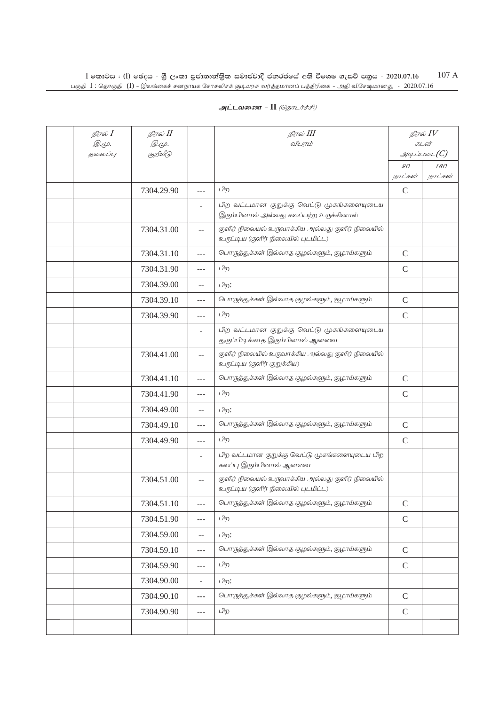| நிரல் I                  | நிரல் II                 |                | நிரல் III                                                                               | நிரல் $IV$                       |         |
|--------------------------|--------------------------|----------------|-----------------------------------------------------------------------------------------|----------------------------------|---------|
| <i>@.</i> மு.<br>தலைப்பு | <i>@.cp.</i><br>குறியீடு |                | விபரம்                                                                                  | கடன்<br>$\mathcal{A}\mathcal{A}$ |         |
|                          |                          |                |                                                                                         | 90                               | 180     |
|                          |                          |                |                                                                                         | நாட்கள்                          | நாட்கள் |
|                          | 7304.29.90               | $\overline{a}$ | பிற                                                                                     | $\mathcal{C}$                    |         |
|                          |                          | ÷              | பிற வட்டமான குறுக்கு வெட்டு முகங்களையுடைய<br>இரும்பினால் அல்லது கலப்பற்ற உருக்கினால்    |                                  |         |
|                          | 7304.31.00               | $- -$          | குளிர் நிலையல் உருவாக்கிய அல்லது குளிர் நிலையில்<br>உருட்டிய (குளிர் நிலையில் புடமிட்ட) |                                  |         |
|                          | 7304.31.10               | ---            | பொருத்துக்கள் இல்லாத குழல்களும், குழாய்களும்                                            | $\mathsf C$                      |         |
|                          | 7304.31.90               | ---            | பிற                                                                                     | $\mathsf{C}$                     |         |
|                          | 7304.39.00               | $-$            | பிற:                                                                                    |                                  |         |
|                          | 7304.39.10               | $---$          | பொருத்துக்கள் இல்லாத குழல்களும், குழாய்களும்                                            | $\mathsf{C}$                     |         |
|                          | 7304.39.90               | $---$          | பிற                                                                                     | $\mathsf{C}$                     |         |
|                          |                          |                | பிற வட்டமான குறுக்கு வெட்டு முகங்களையுடைய<br>துருப்பிடிக்காத இரும்பினால் ஆனவை           |                                  |         |
|                          | 7304.41.00               | $-$            | குளிர் நிலையில் உருவாக்கிய அல்லது குளிர் நிலையில்<br>உருட்டிய (குளிர் குறுக்கிய)        |                                  |         |
|                          | 7304.41.10               | $---$          | பொருத்துக்கள் இல்லாத குழல்களும், குழாய்களும்                                            | $\mathcal{C}$                    |         |
|                          | 7304.41.90               | ---            | பிற                                                                                     | $\mathsf{C}$                     |         |
|                          | 7304.49.00               | --             | பிற:                                                                                    |                                  |         |
|                          | 7304.49.10               | ---            | பொருத்துக்கள் இல்லாத குழல்களும், குழாய்களும்                                            | $\mathsf C$                      |         |
|                          | 7304.49.90               | $\cdots$       | பிற                                                                                     | $\mathsf{C}$                     |         |
|                          |                          | ٠              | பிற வட்டமான குறுக்கு வெட்டு முகங்களையுடைய பிற<br>கலப்பு இரும்பினால் ஆனவை                |                                  |         |
|                          | 7304.51.00               | $\overline{a}$ | குளிர் நிலையல் உருவாக்கிய அல்லது குளிர் நிலையில்<br>உருட்டிய (குளிர் நிலையில் புடமிட்ட) |                                  |         |
|                          | 7304.51.10               | $---$          | பொருத்துக்கள் இல்லாத குழல்களும், குழாய்களும்                                            | $\mathcal{C}$                    |         |
|                          | 7304.51.90               | ---            | பிற                                                                                     | $\mathcal{C}$                    |         |
|                          | 7304.59.00               | $- -$          | பிற:                                                                                    |                                  |         |
|                          | 7304.59.10               | ---            | பொருத்துக்கள் இல்லாத குழல்களும், குழாய்களும்                                            | $\mathcal{C}$                    |         |
|                          | 7304.59.90               | $---$          | பிற                                                                                     | $\mathsf{C}$                     |         |
|                          | 7304.90.00               | ÷,             | பிற:                                                                                    |                                  |         |
|                          | 7304.90.10               | $---$          | பொருத்துக்கள் இல்லாத குழல்களும், குழாய்களும்                                            | $\mathcal{C}$                    |         |
|                          | 7304.90.90               | ---            | பிற                                                                                     | $\mathcal{C}$                    |         |
|                          |                          |                |                                                                                         |                                  |         |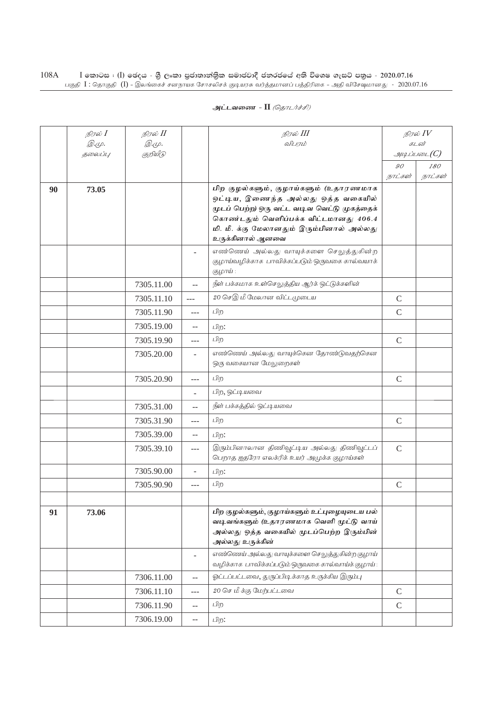|    | நிரல் $I$        | நிரல் II                 |                | நிரல் III                                                                            | நிரல் $\mathit{IV}$         |         |
|----|------------------|--------------------------|----------------|--------------------------------------------------------------------------------------|-----------------------------|---------|
|    | இ.மு.<br>தலைப்பு | <i>@.cp.</i><br>குறியீடு |                | விபரம்                                                                               | கடன்<br>$g$ uq Liuson $(C)$ |         |
|    |                  |                          |                |                                                                                      | 90                          | 180     |
|    |                  |                          |                |                                                                                      | நாட்கள்                     | நாட்கள் |
| 90 | 73.05            |                          |                | பிற குழல்களும், குழாய்களும் (உதாரணமாக                                                |                             |         |
|    |                  |                          |                | ஒட்டிய, இணைந்த அல்லது ஒத்த வகையில்                                                   |                             |         |
|    |                  |                          |                | முடப் பெற்ற) ஒரு வட்ட வடிவ வெட்டு முகத்தைக்<br>கொண்டதும் வெளிப்பக்க விட்டமானது 406.4 |                             |         |
|    |                  |                          |                | மி. மீ. க்கு மேலானதும் இரும்பினால் அல்லது                                            |                             |         |
|    |                  |                          |                | உருக்கினால் ஆனவை                                                                     |                             |         |
|    |                  |                          |                | எண்ணெய் அல்லது வாயுக்களை செலுத்துகின்ற                                               |                             |         |
|    |                  |                          |                | குழாய்வழிக்காக பாவிக்கப்படும் ஒருவகை கால்வயாக்                                       |                             |         |
|    |                  |                          |                | குழாய் :                                                                             |                             |         |
|    |                  | 7305.11.00               | ωü,            | நீள் பக்கமாக உள்செலுத்திய ஆர்க் ஒட்டுக்களின்                                         |                             |         |
|    |                  | 7305.11.10               | $\frac{1}{2}$  | 20 செஇ மீ மேலான விட்டமுடைய                                                           | $\mathcal{C}$               |         |
|    |                  | 7305.11.90               | ---            | பிற                                                                                  | $\mathsf{C}$                |         |
|    |                  | 7305.19.00               | $-$            | பிற:                                                                                 |                             |         |
|    |                  | 7305.19.90               | ---            | பிற                                                                                  | $\mathcal{C}$               |         |
|    |                  | 7305.20.00               | ÷.             | எண்ணெய் அல்லது வாயுக்கென தோண்டுவதற்கென                                               |                             |         |
|    |                  |                          |                | ஒரு வகையான மேலுறைகள்                                                                 |                             |         |
|    |                  | 7305.20.90               | $---$          | பிற                                                                                  | $\mathcal{C}$               |         |
|    |                  |                          |                | பிற, ஒட்டியவை                                                                        |                             |         |
|    |                  | 7305.31.00               | $- -$          | நீள் பக்கத்தில் ஒட்டியவை                                                             |                             |         |
|    |                  | 7305.31.90               | ---            | பிற                                                                                  | $\mathcal{C}$               |         |
|    |                  | 7305.39.00               | $- -$          | பிற:                                                                                 |                             |         |
|    |                  | 7305.39.10               | ---            | இரும்பினாலான திணிவூட்டிய அல்லது திணிவூட்டப்                                          | $\mathcal{C}$               |         |
|    |                  |                          |                | பெறாத ஐதரோ எலக்ரிக் உயர் அமுக்க குழாய்கள்                                            |                             |         |
|    |                  | 7305.90.00               | $\overline{a}$ | பிற:                                                                                 |                             |         |
|    |                  | 7305.90.90               | $---$          | பிற                                                                                  | $\mathcal{C}$               |         |
|    |                  |                          |                |                                                                                      |                             |         |
| 91 | 73.06            |                          |                | பிற குழல்களும், குழாய்களும் உட்புழையுடைய பல்                                         |                             |         |
|    |                  |                          |                | வடிவங்களும் (உதாரணமாக வெளி முட்டு வாய்<br>அல்லது ஒத்த வகையில் மூடப்பெற்ற இரும்பின்   |                             |         |
|    |                  |                          |                | அல்லது உருக்கின்                                                                     |                             |         |
|    |                  |                          |                | எண்ணெய் அல்லது வாயுக்களை செலுத்துகின்ற குழாய்                                        |                             |         |
|    |                  |                          |                | வழிக்காக பாவிக்கப்படும் ஒருவகை கால்வாய்க் குழாய்:                                    |                             |         |
|    |                  | 7306.11.00               | --             | ஓட்டப்பட்டவை, துருப்பிடிக்காத உருக்கிய இரும்பு                                       |                             |         |
|    |                  | 7306.11.10               | ---            | 20 செ மீ க்கு மேற்பட்டவை                                                             | $\mathsf C$                 |         |
|    |                  | 7306.11.90               | --             | பிற                                                                                  | $\mathcal{C}$               |         |
|    |                  | 7306.19.00               | $-$            | பிற:                                                                                 |                             |         |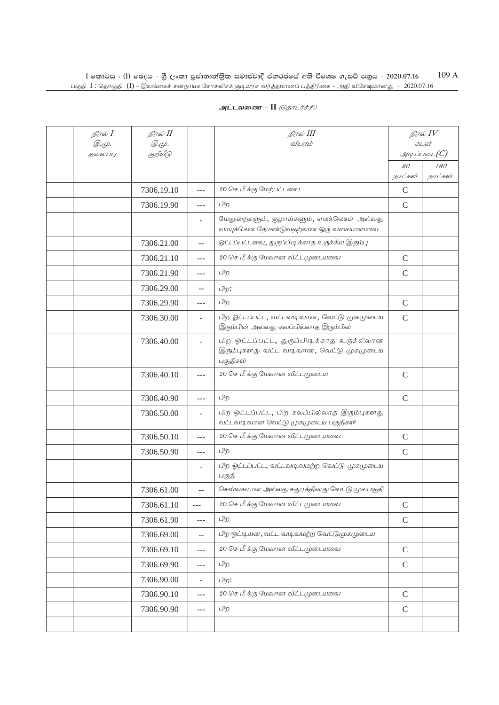| நிரல் I                 | நிரல் II                 |                          | நிரல் III                                                                                          |               | நிரல் $IV$<br>கடன்       |
|-------------------------|--------------------------|--------------------------|----------------------------------------------------------------------------------------------------|---------------|--------------------------|
| <i>@.cp.</i><br>தலைப்பு | <i>@.cp.</i><br>குறியீடு |                          | விபரம்                                                                                             |               | $\mathcal{A}\mathcal{A}$ |
|                         |                          |                          |                                                                                                    | 90            | 180                      |
|                         |                          |                          |                                                                                                    | நாட்கள்       | நாட்கள்                  |
|                         | 7306.19.10               | $\overline{a}$           | 20 செ மீ க்கு மேற்பட்டவை                                                                           | $\mathcal{C}$ |                          |
|                         | 7306.19.90               | ---                      | பிற                                                                                                | $\mathsf{C}$  |                          |
|                         |                          | ۳                        | மேலுறைகளும், குழாய்களும், எண்ணெய் அல்லது<br>வாயுக்கென தோண்டுவதற்கான ஒரு வகையானவை                   |               |                          |
|                         | 7306.21.00               | $\equiv$                 | ஓட்டப்பட்டவை, துருப்பிடிக்காத உருக்கிய இரும்பு                                                     |               |                          |
|                         | 7306.21.10               | $---$                    | 20 செ மீ க்கு மேலான விட்டமுடையவை                                                                   | $\mathcal{C}$ |                          |
|                         | 7306.21.90               | $---$                    | பிற                                                                                                | $\mathcal{C}$ |                          |
|                         | 7306.29.00               | $-$                      | பிற:                                                                                               |               |                          |
|                         | 7306.29.90               | $---$                    | பிற                                                                                                | $\mathcal{C}$ |                          |
|                         | 7306.30.00               | $\overline{\phantom{a}}$ | பிற ஓட்டப்பட்ட, வட்டவடிவான, வெட்டு முகமுடைய<br>இரும்பின் அல்லது கலப்பில்லாத இரும்பின்              | $\mathsf{C}$  |                          |
|                         | 7306.40.00               | ÷                        | பிற ஓட்டப்பட்ட, துருப்பிடிக்காத உருக்கிலான<br>இரும்புகளது வட்ட வடிவான, வெட்டு முகமுடைய<br>பகுதிகள் |               |                          |
|                         | 7306.40.10               | $---$                    | 20 செ மீ க்கு மேலான விட்டமுடைய                                                                     | $\mathsf{C}$  |                          |
|                         | 7306.40.90               | ---                      | பிற                                                                                                | $\mathsf{C}$  |                          |
|                         | 7306.50.00               | ÷.                       | பிற ஓட்டப்பட்ட, பிற கலப்பில்லாத இரும்புகளது<br>வட்டவடிவான வெட்டு முகமுடைய பகுதிகள்                 |               |                          |
|                         | 7306.50.10               | $---$                    | 20 செ மீ க்கு மேலான விட்டமுடையவை                                                                   | $\mathcal{C}$ |                          |
|                         | 7306.50.90               | $---$                    | பிற                                                                                                | $\mathcal{C}$ |                          |
|                         |                          |                          | பிற ஓட்டப்பட்ட, வட்டவடிவமற்ற வெட்டு முகமுடைய<br>பகுதி                                              |               |                          |
|                         | 7306.61.00               | $\overline{a}$           | செவ்வகமான அல்லது சதுரத்தினது வெட்டு முக பகுதி                                                      |               |                          |
|                         | 7306.61.10               | $---$                    | 20 செ மீ க்கு மேலான விட்டமுடையவை                                                                   | $\mathcal{C}$ |                          |
|                         | 7306.61.90               | $---$                    | பிற                                                                                                | $\mathbf C$   |                          |
|                         | 7306.69.00               | $\overline{\phantom{a}}$ | பிற ஒட்டியன, வட்ட வடிவமற்ற வெட்டுமுகமுடைய                                                          |               |                          |
|                         | 7306.69.10               | $ -$                     | 20 செ மீ க்கு மேலான விட்டமுடையவை                                                                   | $\mathcal{C}$ |                          |
|                         | 7306.69.90               | ---                      | பிற                                                                                                | $\mathcal{C}$ |                          |
|                         | 7306.90.00               | ÷,                       | பிற:                                                                                               |               |                          |
|                         | 7306.90.10               | $-$                      | 20 செ மீ க்கு மேலான விட்டமுடையவை                                                                   | $\mathsf C$   |                          |
|                         | 7306.90.90               | $ -$                     | பிற                                                                                                | $\mathcal{C}$ |                          |
|                         |                          |                          |                                                                                                    |               |                          |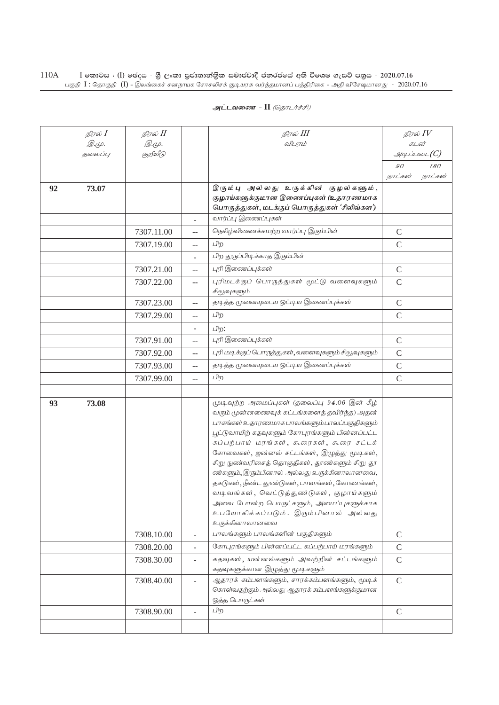| அட்டவணை - II <i>(தொடர்ச்சி)</i> |  |  |  |
|---------------------------------|--|--|--|
|---------------------------------|--|--|--|

|    | நிரல் $I$    | நிரல் <b>II</b>          |                          | நிரல் III                                                                               |                | நிரல் $IV$            |
|----|--------------|--------------------------|--------------------------|-----------------------------------------------------------------------------------------|----------------|-----------------------|
|    | <i>@.cp.</i> | <i>@.cp.</i><br>குறியீடு |                          | விபரம்                                                                                  |                | கடன்<br>$\mathcal{I}$ |
|    | தலைப்பு      |                          |                          |                                                                                         |                |                       |
|    |              |                          |                          |                                                                                         | 90<br>நாட்கள்  | 180<br>நாட்கள்        |
| 92 | 73.07        |                          |                          | இரும்பு அல்லது உருக்கின் குழல்களும்,                                                    |                |                       |
|    |              |                          |                          | குழாய்களுக்குமான இணைப்புகள் (உதாரணமாக                                                   |                |                       |
|    |              |                          |                          | பொருத்துகள், மடக்குப் பொருத்துகள் 'சிலிவ்கள')                                           |                |                       |
|    |              |                          |                          | வார்ப்பு இணைப்புகள்                                                                     |                |                       |
|    |              | 7307.11.00               | $-$                      | நெகிழ்விணைக்கமற்ற வார்ப்பு இரும்பின்                                                    | $\mathcal{C}$  |                       |
|    |              | 7307.19.00               | --                       | பிற                                                                                     | $\mathsf{C}$   |                       |
|    |              |                          | $\overline{\phantom{a}}$ | பிற துருப்பிடிக்காத இரும்பின்                                                           |                |                       |
|    |              | 7307.21.00               | $-$                      | புரி இணைப்புக்கள்                                                                       | $\mathsf{C}$   |                       |
|    |              | 7307.22.00               | --                       | புரிமடக்குப் பொருத்துகள் மூட்டு வளைவுகளும்                                              | $\mathsf{C}$   |                       |
|    |              |                          |                          | சிலுவுகளும்                                                                             |                |                       |
|    |              | 7307.23.00               | $\overline{a}$           | தடித்த முனையுடைய ஒட்டிய இணைப்புக்கள்                                                    | $\mathcal{C}$  |                       |
|    |              | 7307.29.00               | $-$                      | பிற                                                                                     | $\overline{C}$ |                       |
|    |              |                          | $\overline{\phantom{a}}$ | பிற:                                                                                    |                |                       |
|    |              | 7307.91.00               | $-$                      | புரி இணைப்புக்கள்                                                                       | $\mathcal{C}$  |                       |
|    |              | 7307.92.00               | --                       | புரி மடிக்குப் பொருத்துகள், வளைவுகளும் சிலுவுகளும்                                      | $\mathcal{C}$  |                       |
|    |              | 7307.93.00               | --                       | தடித்த முனையுடைய ஒட்டிய இணைப்புக்கள்                                                    | $\mathcal{C}$  |                       |
|    |              | 7307.99.00               | $-$                      | பிற                                                                                     | $\mathsf{C}$   |                       |
|    |              |                          |                          |                                                                                         |                |                       |
| 93 | 73.08        |                          |                          | முடிவுற்ற அமைப்புகள் (தலைப்பு 94.06 இன் கீழ்                                            |                |                       |
|    |              |                          |                          | வரும் முன்னணைவுக் கட்டங்களைத் தவிர்ந்த) அதன்                                            |                |                       |
|    |              |                          |                          | பாகங்கள் உதாரணமாக பாலங்களும் பாலப்பகுதிகளும்                                            |                |                       |
|    |              |                          |                          | பூட்டுவாயிற் கதவுகளும் கோபுரங்களும் பின்னப்பட்ட                                         |                |                       |
|    |              |                          |                          | கப்பற்பாய் மரங்கள், கூரைகள், கூரை சட்டக்<br>கோவைகள், ஜன்னல் சட்டங்கள், இழுத்து மூடிகள், |                |                       |
|    |              |                          |                          | சிறு நுண்வரிசைத் தொகுதிகள், தூண்களும் சிறு தூ                                           |                |                       |
|    |              |                          |                          | ண்களும், இரும்பினால் அல்லது உருக்கினாலானவை,                                             |                |                       |
|    |              |                          |                          | தகடுகள், நீண்ட துண்டுகள், பாளங்கள், கோணங்கள்,                                           |                |                       |
|    |              |                          |                          | வடிவங்கள், வெட்டுத்துண்டுகள், குழாய்களும்                                               |                |                       |
|    |              |                          |                          | அவை போன்ற பொருட்களும், அமைப்புகளுக்காக                                                  |                |                       |
|    |              |                          |                          | உபயோகிக்கப்படும். இரும்பினால் அல்லது<br>உருக்கினாலானவை                                  |                |                       |
|    |              | 7308.10.00               | $\overline{a}$           | பாலங்களும் பாலங்களின் பகுதிகளும்                                                        | $\mathbf C$    |                       |
|    |              | 7308.20.00               | $\overline{a}$           | கோபுரங்களும் பின்னப்பட்ட கப்பற்பாய் மரங்களும்                                           | $\mathcal{C}$  |                       |
|    |              | 7308.30.00               | $\overline{\phantom{a}}$ | கதவுகள், யன்னல்களும் அவற்றின் சட்டங்களும்                                               | $\mathcal{C}$  |                       |
|    |              |                          |                          | கதவுகளுக்கான இழுத்து மூடிகளும்                                                          |                |                       |
|    |              | 7308.40.00               | Ξ.                       | ஆதாரக் கம்பளங்களும், சாரக்கம்பளங்களும், மூடிக்                                          | $\mathsf{C}$   |                       |
|    |              |                          |                          | கொள்வதற்கும் அல்லது ஆதாரக் கம்பளங்களுக்குமான<br>ஒத்த பொருட்கள்                          |                |                       |
|    |              | 7308.90.00               |                          | பிற                                                                                     | $\mathsf{C}$   |                       |
|    |              |                          |                          |                                                                                         |                |                       |
|    |              |                          |                          |                                                                                         |                |                       |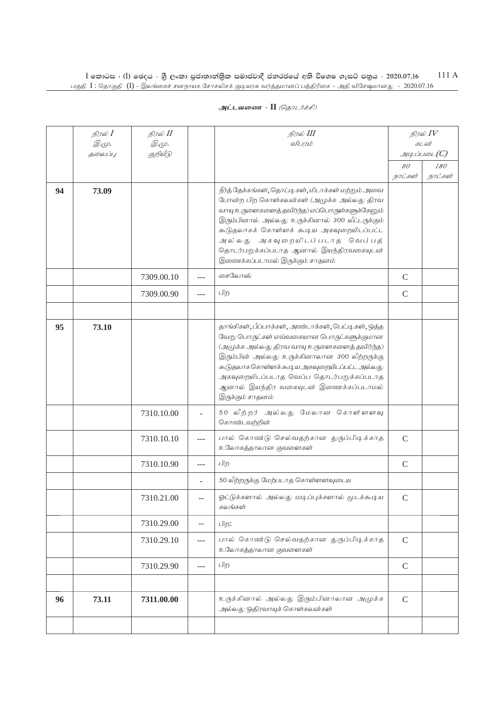|    | நிரல் I<br><i>@.cp.</i> | நிரல் II<br><i>@.cp.</i> |         | நிரல் III<br>விபரம்                                                                                                                                                                                                                                                                                                                                                |                           | நிரல் $\mathit{IV}$<br>கடன் |
|----|-------------------------|--------------------------|---------|--------------------------------------------------------------------------------------------------------------------------------------------------------------------------------------------------------------------------------------------------------------------------------------------------------------------------------------------------------------------|---------------------------|-----------------------------|
|    | தலைப்பு                 | குறியீடு                 |         |                                                                                                                                                                                                                                                                                                                                                                    |                           | $\mathcal G$                |
|    |                         |                          |         |                                                                                                                                                                                                                                                                                                                                                                    | $\mathcal{GO}$<br>நாட்கள் | <i>180</i><br>நாட்கள்       |
| 94 | 73.09                   |                          |         | நீர்த் தேக்கங்கள், தொட்டிகள், மிடாக்கள் மற்றும் அவை<br>போன்ற பிற கொள்கலன்கள் (அமுக்க அல்லது திரவ<br>வாயு உருளைகளைத் தவிர்ந்த) எப்பொருள்களுக்கேனும்<br>இரும்பினால் அல்லது உருக்கினால் 300 லீட்டருக்கும்<br>கூடுதலாகக் கொள்ளக் கூடிய அகவுறையிடப்பட்ட<br>அல்லது அகவுறையிடப்படாத வெப்பத்<br>தொடர்பறுக்கப்படாத ஆனால் இயந்திரவகையுடன்<br>இணைக்கப்படாமல் இருக்கும் சாதனம் |                           |                             |
|    |                         | 7309.00.10               | $---$   | சைலோஸ்                                                                                                                                                                                                                                                                                                                                                             | $\mathcal{C}$             |                             |
|    |                         | 7309.00.90               | $---$   | பிற                                                                                                                                                                                                                                                                                                                                                                | $\mathcal{C}$             |                             |
|    |                         |                          |         |                                                                                                                                                                                                                                                                                                                                                                    |                           |                             |
| 95 | 73.10                   |                          |         | தாங்கிகள், பீப்பாக்கள், அண்டாக்கள், பெட்டி கள், ஒத்த<br>வேறு பொருட்கள் எவ்வகையான பொருட்களுக்குமான<br>(அமுக்க அல்லது திரவ வாயு உருளைகளைத் தவிர்ந்த)<br>இரும்பின் அல்லது உருக்கினாலான 300 லீற்றருக்கு<br>கூடுதலாக கொள்ளக்கூடிய அகவுறையிடப்பட்ட அல்லது<br>அகவுறையிடப்படாத வெப்ப தொடர்பறுக்கப்படாத<br>ஆனால் இயந்திர வகையுடன் இணைக்கப்படாமல்<br>இருக்கும் சாதனம்        |                           |                             |
|    |                         | 7310.10.00               |         | 50 லீற்றர் அல்லது மேலான கொள்ளளவு<br>கொண்டவற்றின்                                                                                                                                                                                                                                                                                                                   |                           |                             |
|    |                         | 7310.10.10               | $- - -$ | பால் கொண்டு செல்வதற்கான துருப்பிடிக்காத<br>உலோகத்தாலான குவளைகள்                                                                                                                                                                                                                                                                                                    | $\mathcal{C}$             |                             |
|    |                         | 7310.10.90               | $---$   | பிற                                                                                                                                                                                                                                                                                                                                                                | $\mathbf C$               |                             |
|    |                         |                          |         | 50 லீற்றருக்கு மேற்படாத கொள்ளளவுடைய                                                                                                                                                                                                                                                                                                                                |                           |                             |
|    |                         | 7310.21.00               | $-$     | ஓட்டுக்களால் அல்லது மடிப்புக்களால் மூடக்கூடிய<br>கலங்கள்                                                                                                                                                                                                                                                                                                           | $\mathcal{C}$             |                             |
|    |                         | 7310.29.00               | $-$     | பிற:                                                                                                                                                                                                                                                                                                                                                               |                           |                             |
|    |                         | 7310.29.10               | ---     | பால் கொண்டு செல்வதற்கான துருப்பிடிக்காத<br>உலோகத்தாலான குவளைகள்                                                                                                                                                                                                                                                                                                    | $\mathcal{C}$             |                             |
|    |                         | 7310.29.90               | ---     | பிற                                                                                                                                                                                                                                                                                                                                                                | $\mathcal{C}$             |                             |
|    |                         |                          |         |                                                                                                                                                                                                                                                                                                                                                                    |                           |                             |
| 96 | 73.11                   | 7311.00.00               |         | உருக்கினால் அல்லது இரும்பினாலான அமுக்க<br>அல்லது ஒதிரவாயுக் கொள்கலன்கள்                                                                                                                                                                                                                                                                                            | $\mathcal{C}$             |                             |
|    |                         |                          |         |                                                                                                                                                                                                                                                                                                                                                                    |                           |                             |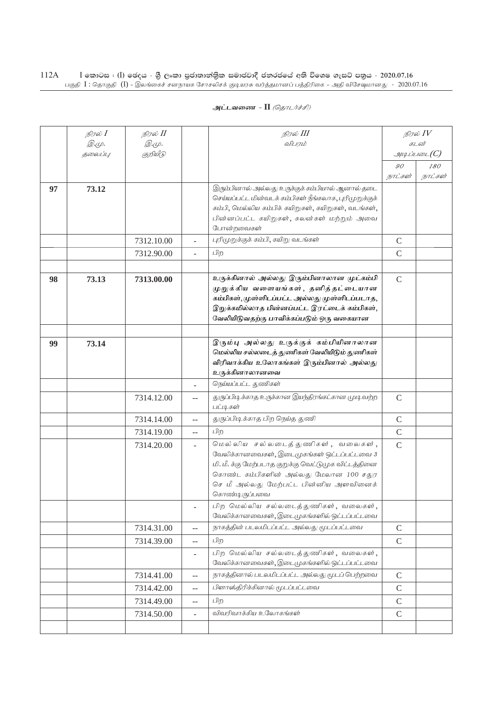| அட்டவணை - II <i>(தொடர்ச்சி)</i> |  |  |  |
|---------------------------------|--|--|--|
|---------------------------------|--|--|--|

|    | நிரல் $I$<br><i>©.ψ.</i> | நிரல் II<br><i>@.மு.</i> |                          | நிரல் III<br>விபரம்                                                                                                                                                                                                                         |               | நிரல் $\mathit{IV}$<br>கடன் |
|----|--------------------------|--------------------------|--------------------------|---------------------------------------------------------------------------------------------------------------------------------------------------------------------------------------------------------------------------------------------|---------------|-----------------------------|
|    | 5000U1L                  | குறியீடு                 |                          |                                                                                                                                                                                                                                             |               | $\mathcal G$                |
|    |                          |                          |                          |                                                                                                                                                                                                                                             | 90            | 180                         |
|    |                          |                          |                          |                                                                                                                                                                                                                                             | நாட்கள்       | நாட்கள்                     |
| 97 | 73.12                    |                          |                          | இரும்பினால் அல்லது உருக்குக் கம்பியால் ஆனால் தடை<br>செய்யப்பட்ட மின்வடக் கம்பிகள் நீங்கலாக, புரிமுறுக்குக்<br>கம்பி, மெல்லிய கம்பிக் கயிறுகள், கயிறுகள், வடங்கள்,<br>பின்னப்பட்ட கயிறுகள், கலன்கள் மற்றும் அவை<br>போன்றவைகள்                |               |                             |
|    |                          | 7312.10.00               |                          | புரிமுறுக்குக் கம்பி, கயிறு வடங்கள்                                                                                                                                                                                                         | $\mathcal{C}$ |                             |
|    |                          | 7312.90.00               | L.                       | பிற                                                                                                                                                                                                                                         | $\mathcal{C}$ |                             |
|    |                          |                          |                          |                                                                                                                                                                                                                                             |               |                             |
| 98 | 73.13                    | 7313.00.00               |                          | உருக்கினால் அல்லது இரும்பினாலான முட்கம்பி<br>முறுக்கிய வளையங்கள், தனித்தட்டையான<br>கம்பிகள், முள்ளிடப்பட்ட அல்லது முள்ளிடப்படாத,<br>இறுக்கமில்லாத பின்னப்பட்ட இரட்டைக் கம்பிகள்,<br>வேலியிடுவதற்கு பாவிக்கப்படும் ஒரு வகையான                | $\mathcal{C}$ |                             |
|    |                          |                          |                          |                                                                                                                                                                                                                                             |               |                             |
| 99 | 73.14                    |                          |                          | இரும்பு அல்லது உருக்குக் கம்பியினாலான<br>மெல்லிய சல்லடைத் துணிகள் வேலியிடும் துணிகள்<br>விரிவாக்கிய உலோகங்கள் இரும்பினால் அல்லது<br>உருக்கினாலானவை                                                                                          |               |                             |
|    |                          |                          |                          | நெய்யப்பட்ட துணிகள்                                                                                                                                                                                                                         |               |                             |
|    |                          | 7314.12.00               | $-$                      | துருப்பிடிக்காத உருக்கான இயந்திரங்கட்கான முடி வற்ற<br>பட்டிகள்                                                                                                                                                                              | $\mathsf{C}$  |                             |
|    |                          | 7314.14.00               | $\overline{a}$           | துருப்பிடிக்காத பிற நெய்த துணி                                                                                                                                                                                                              | $\mathcal{C}$ |                             |
|    |                          | 7314.19.00               | $\overline{a}$           | பிற                                                                                                                                                                                                                                         | $\mathcal{C}$ |                             |
|    |                          | 7314.20.00               | ÷.                       | மெல்லிய சல்லடைத்துணிகள், வலைகள்,<br>வேலிக்கானவைகள், இடைமுகங்கள் ஒட்டப்பட்டவை 3<br>மி. மீ. க்கு மேற்படாத குறுக்கு வெட்டுமுக விட்டத்தினை<br>கொண்ட கம்பிகளின் அல்லது மேலான 100 சதுர<br>செ மீ அல்லது மேற்பட்ட பின்னிய அளவினைக்<br>கொண்டிருப்பவை | $\mathcal{C}$ |                             |
|    |                          |                          |                          | பிற மெல்லிய சல்லடைத்துணிகள், வலைகள்,<br>வேலிக்கானவைகள், இடைமுகங்களில் ஒட்டப்பட்டவை                                                                                                                                                          |               |                             |
|    |                          | 7314.31.00               | $\overline{a}$           | நாகத்தின் படலமிடப்பட்ட அல்லது மூடப்பட்டவை                                                                                                                                                                                                   | $\mathcal{C}$ |                             |
|    |                          | 7314.39.00               | $\overline{a}$           | பிற                                                                                                                                                                                                                                         | $\mathsf{C}$  |                             |
|    |                          |                          | $\overline{\phantom{0}}$ | பிற மெல்லிய சல்லடைத்துணிகள், வலைகள்,<br>வேலிக்கானவைகள், இடைமுகங்களில் ஒட்டப்பட்டவை                                                                                                                                                          |               |                             |
|    |                          | 7314.41.00               | $-$                      | நாகத்தினால் படலமிடப்பட்ட அல்லது மூடப் பெற்றவை                                                                                                                                                                                               | $\mathsf C$   |                             |
|    |                          | 7314.42.00               | $\overline{\phantom{a}}$ | பிளாஸ்திரிக்கினால் மூடப்பட்டவை                                                                                                                                                                                                              | $\mathcal{C}$ |                             |
|    |                          | 7314.49.00               | --                       | பிற                                                                                                                                                                                                                                         | $\mathcal{C}$ |                             |
|    |                          | 7314.50.00               | $\overline{\phantom{a}}$ | விவரிவாக்கிய உலோகங்கள்                                                                                                                                                                                                                      | $\mathbf C$   |                             |
|    |                          |                          |                          |                                                                                                                                                                                                                                             |               |                             |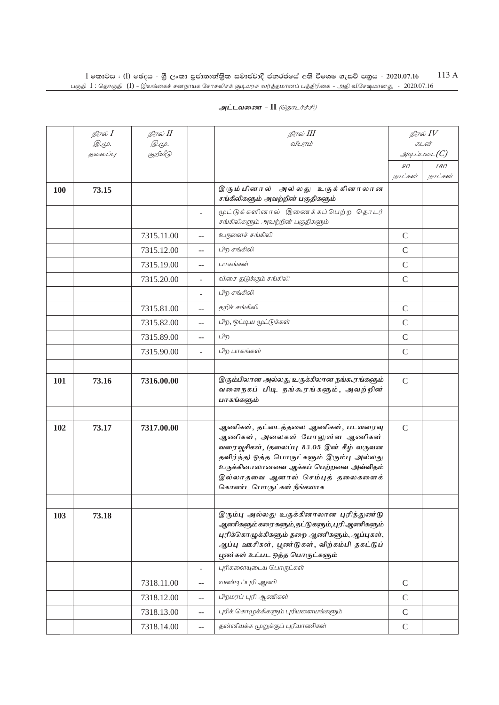|            | நிரல் I<br><i>@.cp.</i> | நிரல் II<br><i>@.cp.</i> |        | நிரல் III<br>விபரம்                                                                                                                                                                                                                                                      |               | நிரல் $IV$<br>கடன்             |
|------------|-------------------------|--------------------------|--------|--------------------------------------------------------------------------------------------------------------------------------------------------------------------------------------------------------------------------------------------------------------------------|---------------|--------------------------------|
|            | தலைப்பு                 | குறியீடு                 |        |                                                                                                                                                                                                                                                                          |               | $g_{\mu\mu\mu\nu\delta\nu}(C)$ |
|            |                         |                          |        |                                                                                                                                                                                                                                                                          | 90            | 180                            |
|            |                         |                          |        |                                                                                                                                                                                                                                                                          | நாட்கள்       | நாட்கள்                        |
| <b>100</b> | 73.15                   |                          |        | இரும்பினால் அல்லது உருக்கினாலான<br>சங்கிலிகளும் அவற்றின் பகுதிகளும்                                                                                                                                                                                                      |               |                                |
|            |                         |                          | ÷,     | மூட்டுக்களினால் இணைக்கப்பெற்ற தொடர்<br>சங்கிலிகளும் அவற்றின் பகுதிகளும்                                                                                                                                                                                                  |               |                                |
|            |                         | 7315.11.00               | $\sim$ | உருளைச் சங்கிலி                                                                                                                                                                                                                                                          | $\mathsf{C}$  |                                |
|            |                         | 7315.12.00               | $-$    | பிற சங்கிலி                                                                                                                                                                                                                                                              | $\mathsf{C}$  |                                |
|            |                         | 7315.19.00               | --     | பாகங்கள்                                                                                                                                                                                                                                                                 | $\mathsf{C}$  |                                |
|            |                         | 7315.20.00               |        | விசை தடுக்கும் சங்கிலி                                                                                                                                                                                                                                                   | $\mathsf{C}$  |                                |
|            |                         |                          |        | பிற சங்கிலி                                                                                                                                                                                                                                                              |               |                                |
|            |                         | 7315.81.00               | $-$    | தறிச் சங்கிலி                                                                                                                                                                                                                                                            | $\mathsf C$   |                                |
|            |                         | 7315.82.00               | $- -$  | பிற, ஒட்டிய மூட்டுக்கள்                                                                                                                                                                                                                                                  | $\mathcal{C}$ |                                |
|            |                         | 7315.89.00               | $- -$  | பிற                                                                                                                                                                                                                                                                      | $\mathcal{C}$ |                                |
|            |                         | 7315.90.00               | ÷.     | பிற பாகங்கள்                                                                                                                                                                                                                                                             | $\mathcal{C}$ |                                |
|            |                         |                          |        |                                                                                                                                                                                                                                                                          |               |                                |
| 101        | 73.16                   | 7316.00.00               |        | இரும்பிலான அல்லது உருக்கிலான நங்கூரங்களும்<br>வளைநகப் பிடி நங்கூரங்களும், அவற்றின்<br>பாகங்களும்                                                                                                                                                                         | $\mathcal{C}$ |                                |
|            |                         |                          |        |                                                                                                                                                                                                                                                                          |               |                                |
| 102        | 73.17                   | 7317.00.00               |        | ஆணிகள், தட்டைத்தலை ஆணிகள், படவரைவு<br>ஆணிகள், அலைகள் போலுள்ள ஆணிகள்,<br>வரைவூசிகள், (தலைப்பு 83.05 இன் கீழ் வருவன<br>தவிர்ந்த) ஒத்த பொருட்களும் இரும்பு அல்லது<br>உருக்கினாலானவை ஆக்கப் பெற்றவை அவ்விதம்<br>இல்லாதவை ஆனால் செம்புத் தலைகளைக்<br>கொண்ட பொருட்கள் நீங்கலாக | $\mathcal{C}$ |                                |
|            |                         |                          |        |                                                                                                                                                                                                                                                                          |               |                                |
| 103        | 73.18                   |                          |        | இரும்பு அல்லது உருக்கினாலான புரித்துண்டு<br>ஆணிகளும்கரைகளும்,நட்டுகளும்,புரி ஆணிகளும்<br>புரிக்கொழுக்கிகளும் தறை ஆணிகளும், ஆப்புகள்,<br>ஆப்பு ஊசிகள், பூண்டுகள், விற்கம்பி தகட்டுப்<br>பூண்கள் உட்பட ஒத்த பொருட்களும்                                                    |               |                                |
|            |                         |                          | ÷.     | புரிகளையுடைய பொருட்கள்                                                                                                                                                                                                                                                   |               |                                |
|            |                         | 7318.11.00               | $-$    | வண்டிப்புரி ஆணி                                                                                                                                                                                                                                                          | $\mathcal{C}$ |                                |
|            |                         | 7318.12.00               | $-$    | பிறமரப் புரி ஆணிகள்                                                                                                                                                                                                                                                      | $\mathcal{C}$ |                                |
|            |                         | 7318.13.00               | $-$    | புரிக் கொழுக்கிகளும் புரியளையங்களும்                                                                                                                                                                                                                                     | $\mathcal{C}$ |                                |
|            |                         | 7318.14.00               | $--$   | தன்னியக்க முறுக்குப் புரியாணிகள்                                                                                                                                                                                                                                         | $\mathsf{C}$  |                                |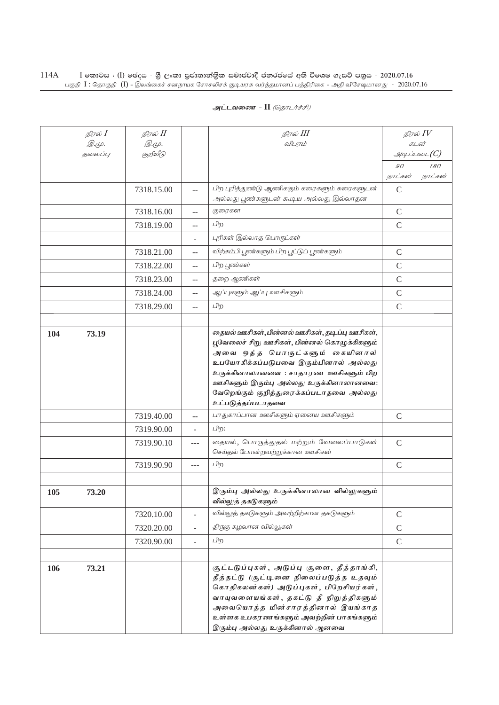| அட்டவணை - II <i>(தொடர்ச்சி)</i> |  |  |  |
|---------------------------------|--|--|--|
|---------------------------------|--|--|--|

|     | நிரல் $I$               | நிரல் II                 |                          | நிரல் III                                                                                                                                                                                                                                                                                                                |                | நிரல் $IV$                  |
|-----|-------------------------|--------------------------|--------------------------|--------------------------------------------------------------------------------------------------------------------------------------------------------------------------------------------------------------------------------------------------------------------------------------------------------------------------|----------------|-----------------------------|
|     | <i>@.cp.</i><br>தலைப்பு | <i>@.cp.</i><br>குறியீடு |                          | விபரம்                                                                                                                                                                                                                                                                                                                   |                | கடன்<br>$g$ uq Liuson $(C)$ |
|     |                         |                          |                          |                                                                                                                                                                                                                                                                                                                          | $\mathcal{G}O$ | 180                         |
|     |                         |                          |                          |                                                                                                                                                                                                                                                                                                                          | நாட்கள்        | நாட்கள்                     |
|     |                         | 7318.15.00               | $-$                      | பிற புரித்துண்டு ஆணிககும் கரைகளும் கரைகளுடன்<br>அல்லது பூண்களுடன் கூடிய அல்லது இல்லாதன                                                                                                                                                                                                                                   | $\mathsf{C}$   |                             |
|     |                         | 7318.16.00               | $-$                      | குரைகள                                                                                                                                                                                                                                                                                                                   | $\mathcal{C}$  |                             |
|     |                         | 7318.19.00               | $\overline{a}$           | பிற                                                                                                                                                                                                                                                                                                                      | $\mathsf{C}$   |                             |
|     |                         |                          |                          | புரிகள் இல்லாத பொருட்கள்                                                                                                                                                                                                                                                                                                 |                |                             |
|     |                         | 7318.21.00               | $-$                      | விற்கம்பி பூண்களும் பிற பூட்டுப் பூண்களும்                                                                                                                                                                                                                                                                               | $\mathsf{C}$   |                             |
|     |                         | 7318.22.00               | $-$                      | பிற பூண்கள்                                                                                                                                                                                                                                                                                                              | $\mathcal{C}$  |                             |
|     |                         | 7318.23.00               |                          | தறை ஆணிகள்                                                                                                                                                                                                                                                                                                               | $\mathsf{C}$   |                             |
|     |                         | 7318.24.00               | --                       | ஆப்புகளும் ஆப்பு ஊசிகளும்                                                                                                                                                                                                                                                                                                | $\mathcal{C}$  |                             |
|     |                         | 7318.29.00               | $-$                      | பிற                                                                                                                                                                                                                                                                                                                      | $\mathsf{C}$   |                             |
|     |                         |                          |                          |                                                                                                                                                                                                                                                                                                                          |                |                             |
| 104 | 73.19                   |                          |                          | தையல் ஊசிகள், பின்னல் ஊசிகள், தடிப்பு ஊசிகள்,<br>புவேலைச் சிறு ஊசிகள், பின்னல் கொழுக்கிகளும்<br>அவை ஒத்த பொருட்களும் கையினால்<br>உபயோகிக்கப்படுபவை இரும்பினால் அல்லது<br>உருக்கினாலானவை : சாதாரண ஊசிகளும் பிற<br>ஊசிகளும் இரும்பு அல்லது உருக்கினாலானவை:<br>வேறெங்கும் குறித்துரைக்கப்படாதவை அல்லது<br>உட்படுத்தப்படாதவை |                |                             |
|     |                         | 7319.40.00               | $-$                      | பாதுகாப்பான ஊசிகளும் ஏனைய ஊசிகளும்                                                                                                                                                                                                                                                                                       | $\mathcal{C}$  |                             |
|     |                         | 7319.90.00               | $\overline{a}$           | பிற:                                                                                                                                                                                                                                                                                                                     |                |                             |
|     |                         | 7319.90.10               | $---$                    | தையல், பொருத்துதல் மற்றும் வேலைப்பாடுகள்<br>செய்தல் போன்றவற்றுக்கான ஊசிகள்                                                                                                                                                                                                                                               | $\mathbf C$    |                             |
|     |                         | 7319.90.90               |                          | பிற                                                                                                                                                                                                                                                                                                                      | $\mathcal{C}$  |                             |
|     |                         |                          |                          |                                                                                                                                                                                                                                                                                                                          |                |                             |
| 105 | 73.20                   |                          |                          | இரும்பு அல்லது உருக்கினாலான வில்லுகளும்<br>வில்லுத் தகடுகளும்                                                                                                                                                                                                                                                            |                |                             |
|     |                         | 7320.10.00               | $\overline{a}$           | வில்லுத் தகடுகளும் அவற்றிற்கான தகடுகளும்                                                                                                                                                                                                                                                                                 | $\mathcal{C}$  |                             |
|     |                         | 7320.20.00               | $\overline{\phantom{0}}$ | திருகு கழலான வில்லுகள்                                                                                                                                                                                                                                                                                                   | $\mathcal{C}$  |                             |
|     |                         | 7320.90.00               | $\overline{a}$           | பிற                                                                                                                                                                                                                                                                                                                      | $\mathcal{C}$  |                             |
|     |                         |                          |                          |                                                                                                                                                                                                                                                                                                                          |                |                             |
| 106 | 73.21                   |                          |                          | சூட்டடுப்புகள், அடுப்பு சூளை, தீத்தாங்கி,<br>தீத்தட்டு (சூட்டினை நிலைப்படுத்த உதவும்<br>கொதிகலன்கள்) அடுப்புகள், பிறேசியர்கள்,<br>வாயுவளையங்கள், தகட்டு தீ நிறுத்திகளும்<br>அவையொத்த மின்சாரத்தினால் இயங்காத<br>உள்ளக உபகரணங்களும் அவற்றின் பாகங்களும்<br>இரும்பு அல்லது உருக்கினால் ஆனவை                                |                |                             |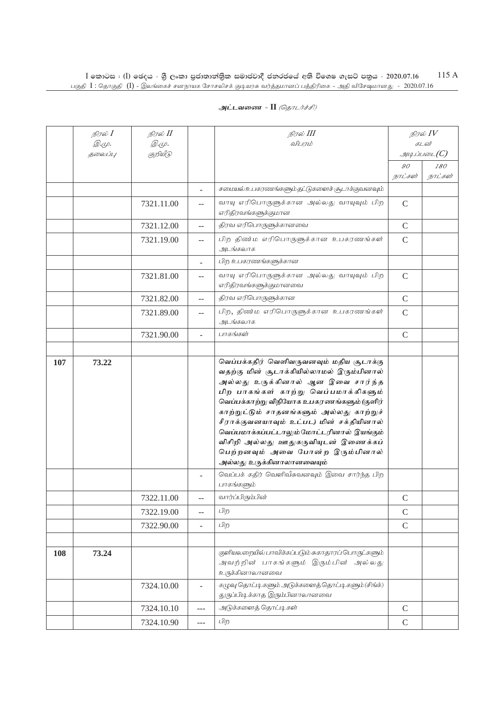## **அட்டவணை - II** *(தொடர்ச்சி)*

|     | நிரல் $I$        | நிரல் II                 |                | நிரல் III                                                                                                                                                                                                                                                                                                                                                                                                                                                       |               | நிரல் $IV$                       |
|-----|------------------|--------------------------|----------------|-----------------------------------------------------------------------------------------------------------------------------------------------------------------------------------------------------------------------------------------------------------------------------------------------------------------------------------------------------------------------------------------------------------------------------------------------------------------|---------------|----------------------------------|
|     | @.cp.<br>தலைப்பு | <i>@.cp.</i><br>குறியீடு |                | விபரம்                                                                                                                                                                                                                                                                                                                                                                                                                                                          |               | கடன்<br>$\mathcal{A}\mathcal{A}$ |
|     |                  |                          |                |                                                                                                                                                                                                                                                                                                                                                                                                                                                                 | 90            | 180                              |
|     |                  |                          |                |                                                                                                                                                                                                                                                                                                                                                                                                                                                                 | நாட்கள்       | நாட்கள்                          |
|     |                  |                          |                | சமையல் உபகரணங்களும் தட்டுகளைச் சூடாக்குவனவும்                                                                                                                                                                                                                                                                                                                                                                                                                   |               |                                  |
|     |                  | 7321.11.00               | $-$            | வாயு எரிபொருளுக்கான அல்லது வாயுவும் பிற<br>எரிதிரவங்களுக்குமான                                                                                                                                                                                                                                                                                                                                                                                                  | $\mathsf{C}$  |                                  |
|     |                  | 7321.12.00               | $-$            | திரவ எரிபொருளுக்கானவை                                                                                                                                                                                                                                                                                                                                                                                                                                           | $\mathsf C$   |                                  |
|     |                  | 7321.19.00               | $-$            | பிற திண்ம எரிபொருளுக்கான உபகரணங்கள்<br>அடங்கலாக                                                                                                                                                                                                                                                                                                                                                                                                                 | $\mathsf{C}$  |                                  |
|     |                  |                          | ÷.             | பிற உபகரணங்களுக்கான                                                                                                                                                                                                                                                                                                                                                                                                                                             |               |                                  |
|     |                  | 7321.81.00               | $-$            | வாயு எரிபொருளுக்கான அல்லது வாயுவும் பிற<br>எரிதிரவங்களுக்குமானவை                                                                                                                                                                                                                                                                                                                                                                                                | $\mathcal{C}$ |                                  |
|     |                  | 7321.82.00               | $-$            | திரவ எரிபொருளுக்கான                                                                                                                                                                                                                                                                                                                                                                                                                                             | $\mathsf{C}$  |                                  |
|     |                  | 7321.89.00               | --             | பிற, திண்ம எரிபொருளுக்கான உபகரணங்கள்<br>அடங்கலாக                                                                                                                                                                                                                                                                                                                                                                                                                | $\mathcal{C}$ |                                  |
|     |                  | 7321.90.00               | L.             | பாகங்கள்                                                                                                                                                                                                                                                                                                                                                                                                                                                        | $\mathsf{C}$  |                                  |
|     |                  |                          |                |                                                                                                                                                                                                                                                                                                                                                                                                                                                                 |               |                                  |
| 107 | 73.22            |                          |                | வெப்பக்கதிர் வெளிவருவனவும் மதிய சூடாக்கு<br>வதற்கு மின் சூடாக்கியில்லாமல் இரும்பினால்<br>அல்லது உருக்கினால் ஆன இவை சார்ந்த<br>பிற பாகங்கள் காற்று வெப்பமாக்கிகளும்<br>வெப்பக்காற்று விநியோக உபகரணங்களும் (குளிர்<br>காற்றுட்டும் சாதனங்களும் அல்லது காற்றுச்<br>சீராக்குவனயாவும் உட்பட) மின் சக்தியினால்<br>வெப்பமாக்கப்பட்டாலும் மோட்டரினால் இயங்கும்<br>விசிறி அல்லது ஊதுகருவியுடன் இணைக்கப்<br>பெற்றனவும் அவை போன்ற இரும்பினால்<br>அல்லது உருக்கினாலானவையும் |               |                                  |
|     |                  |                          |                | வெப்பக் கதிர் வெளிவீசுவனவும் இவை சார்ந்த பிற<br>பாகங்களும்                                                                                                                                                                                                                                                                                                                                                                                                      |               |                                  |
|     |                  | 7322.11.00               |                | வார்ப்பிரும்பின்                                                                                                                                                                                                                                                                                                                                                                                                                                                | $\mathsf{C}$  |                                  |
|     |                  | 7322.19.00               | --             | பிற                                                                                                                                                                                                                                                                                                                                                                                                                                                             | $\mathsf C$   |                                  |
|     |                  | 7322.90.00               | $\overline{a}$ | பிற                                                                                                                                                                                                                                                                                                                                                                                                                                                             | $\mathcal{C}$ |                                  |
|     |                  |                          |                |                                                                                                                                                                                                                                                                                                                                                                                                                                                                 |               |                                  |
| 108 | 73.24            |                          |                | குளியலறையில் பாவிக்கப்படும் சுகாதாரப் பொருட்களும்<br>அவற்றின் பாகங்களும் இரும்பின் அல்லது<br>உருக்கினாலானவை                                                                                                                                                                                                                                                                                                                                                     |               |                                  |
|     |                  | 7324.10.00               | ÷.             | கழுவு தொட்டிகளும் அடுக்களைத் தொட்டிகளும் (சிங்க்)<br>துருப்பிடிக்காத இரும்பினாலானவை                                                                                                                                                                                                                                                                                                                                                                             |               |                                  |
|     |                  | 7324.10.10               | ---            | அடுக்களைத் தொட்டிகள்                                                                                                                                                                                                                                                                                                                                                                                                                                            | $\mathcal{C}$ |                                  |
|     |                  | 7324.10.90               | ---            | பிற                                                                                                                                                                                                                                                                                                                                                                                                                                                             | $\mathcal{C}$ |                                  |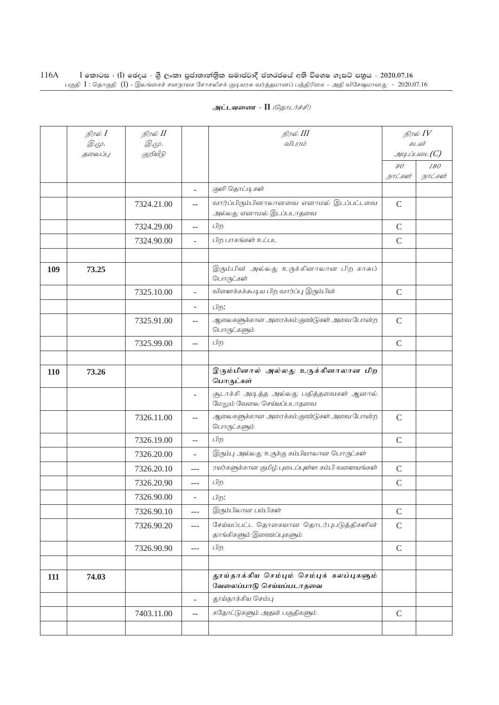|     | நிரல் $I$<br>$\mathcal{D}.\varphi.$ | நிரல் II<br><i>@.cp.</i> |                | நிரல் III<br>விபரம்                                                   |                | நிரல் $IV$<br>கடன் |
|-----|-------------------------------------|--------------------------|----------------|-----------------------------------------------------------------------|----------------|--------------------|
|     | தலைப்பு                             | குறியீடு                 |                |                                                                       |                | $\mathcal{I}$      |
|     |                                     |                          |                |                                                                       | $\mathcal{G}O$ | 180                |
|     |                                     |                          |                |                                                                       | நாட்கள்        | நாட்கள்            |
|     |                                     |                          | ÷.             | குளி தொட்டிகள்                                                        |                |                    |
|     |                                     | 7324.21.00               | --             | வார்ப்பிரும்பினாலானவை எனாமல் இடப்பட்டவை<br>அல்லது எனாமல் இடப்படாதவை   | $\mathsf{C}$   |                    |
|     |                                     | 7324.29.00               | --             | பிற                                                                   | $\mathcal{C}$  |                    |
|     |                                     | 7324.90.00               |                | பிற பாகங்கள் உட்பட                                                    | $\mathcal{C}$  |                    |
|     |                                     |                          |                |                                                                       |                |                    |
| 109 | 73.25                               |                          |                | இரும்பின் அல்லது உருக்கினாலான பிற காசுப்<br>பொருட்கள்                 |                |                    |
|     |                                     | 7325.10.00               | L.             | விளைக்கக்கூடிய பிற வார்ப்பு இரும்பின்                                 | $\mathsf{C}$   |                    |
|     |                                     |                          | L.             | பிற:                                                                  |                |                    |
|     |                                     | 7325.91.00               | --             | ஆலைகளுக்கான அரைக்கம் குண்டுகள் அவை போன்ற<br>பொருட்களும்               | $\mathcal{C}$  |                    |
|     |                                     | 7325.99.00               | $\overline{a}$ | பிற                                                                   | $\mathcal{C}$  |                    |
|     |                                     |                          |                |                                                                       |                |                    |
| 110 | 73.26                               |                          |                | இரும்பினால் அல்லது உருக்கினாலான பிற<br>பொருட்கள்                      |                |                    |
|     |                                     |                          | L,             | சூடாக்கி அடித்த அல்லது பதித்தவைகள் ஆனால்<br>மேலும் வேலை செய்யப்படாதவை |                |                    |
|     |                                     | 7326.11.00               | $-$            | ஆலைகளுக்கான அரைக்கம் குண்டுகள் அவை போன்ற<br>பொருட்களும்               | $\mathcal{C}$  |                    |
|     |                                     | 7326.19.00               | --             | பிற                                                                   | $\mathcal{C}$  |                    |
|     |                                     | 7326.20.00               | L.             | இரும்பு அல்லது உருக்கு கம்பியாலான பொருட்கள்                           |                |                    |
|     |                                     | 7326.20.10               | $---$          | ரயர்களுக்கான குமிழ் புடைப்புள்ள கம்பி வளையங்கள்                       | $\mathcal{C}$  |                    |
|     |                                     | 7326.20.90               | $---$          | பிற                                                                   | $\mathcal{C}$  |                    |
|     |                                     | 7326.90.00               | L.             | பிற:                                                                  |                |                    |
|     |                                     | 7326.90.10               | $---$          | இரும்பிலான பம்பிகள்                                                   | $\mathsf{C}$   |                    |
|     |                                     | 7326.90.20               | $---$          | சேய்யப்பட்ட தொகையான தொடர்புபடுத்திகளின்<br>தாங்கிகளும் இணைப்புகளும்   | $\mathsf{C}$   |                    |
|     |                                     | 7326.90.90               | $ -$           | பிற                                                                   | $\mathsf{C}$   |                    |
|     |                                     |                          |                |                                                                       |                |                    |
| 111 | 74.03                               |                          |                | தூய்தாக்கிய செம்பும் செம்புக் கலப்புகளும்<br>வேலைப்பாடு செய்யப்படாதவை |                |                    |
|     |                                     |                          | $\overline{a}$ | தூய்தாக்கிய செம்பு                                                    |                |                    |
|     |                                     | 7403.11.00               | $-$            | கதோட்டுகளும் அதன் பகுதிகளும்                                          | $\mathsf{C}$   |                    |
|     |                                     |                          |                |                                                                       |                |                    |
|     |                                     |                          |                |                                                                       |                |                    |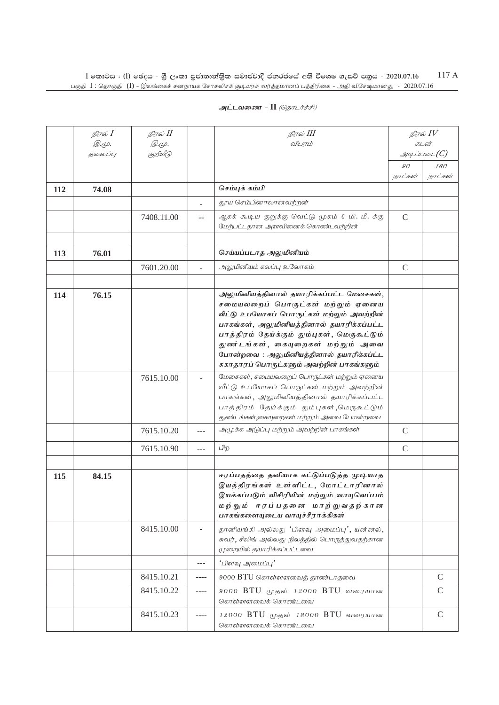|     | நிரல் <b>I</b><br><i>@.cp.</i> | நிரல் II<br><i>@.cp.</i> |                          | நிரல் III<br>விபரம்                                                                                                                                                                                                                                                                                                                                  |               | நிரல் $IV$<br>கடன் |
|-----|--------------------------------|--------------------------|--------------------------|------------------------------------------------------------------------------------------------------------------------------------------------------------------------------------------------------------------------------------------------------------------------------------------------------------------------------------------------------|---------------|--------------------|
|     | தலைப்பு                        | குறியீடு                 |                          |                                                                                                                                                                                                                                                                                                                                                      |               | $\mathcal{A}$      |
|     |                                |                          |                          |                                                                                                                                                                                                                                                                                                                                                      | 90            | 180                |
|     |                                |                          |                          |                                                                                                                                                                                                                                                                                                                                                      | நாட்கள்       | நாட்கள்            |
| 112 | 74.08                          |                          |                          | செம்புக் கம்பி                                                                                                                                                                                                                                                                                                                                       |               |                    |
|     |                                |                          |                          | தூய செம்பினாலானவற்றன்                                                                                                                                                                                                                                                                                                                                |               |                    |
|     |                                | 7408.11.00               | $-$                      | ஆகக் கூடிய குறுக்கு வெட்டு முகம் 6 மி. மீ. க்கு<br>மேற்பட்டதான அளவினைக் கொண்டவற்றின்                                                                                                                                                                                                                                                                 | $\mathcal{C}$ |                    |
|     |                                |                          |                          |                                                                                                                                                                                                                                                                                                                                                      |               |                    |
| 113 | 76.01                          |                          |                          | செய்யப்படாத அலுமினியம்                                                                                                                                                                                                                                                                                                                               |               |                    |
|     |                                | 7601.20.00               | $\overline{\phantom{a}}$ | அலுமினியம் கலப்பு உலோகம்                                                                                                                                                                                                                                                                                                                             | $\mathcal{C}$ |                    |
|     |                                |                          |                          |                                                                                                                                                                                                                                                                                                                                                      |               |                    |
| 114 | 76.15                          |                          |                          | அலுமினியத்தினால் தயாரிக்கப்பட்ட மேசைகள்,<br>சமையலறைப் பொருட்கள் மற்றும் ஏனைய<br>வீட்டு உபயோகப் பொருட்கள் மற்றும் அவற்றின்<br>பாகங்கள், அலுமினியத்தினால் தயாரிக்கப்பட்ட<br>பாத்திரம் தேய்க்கும் தும்புகள், மெருகூட்டும்<br>துணர்டங்கள், கையுறைகள் மற்றும் அவை<br>போன்றவை: அலுமினியத்தினால் தயாரிக்கப்ட்ட<br>சுகாதாரப் பொருட்களும் அவற்றின் பாகங்களும் |               |                    |
|     |                                | 7615.10.00               |                          | மேசைகள், சமையலறைப் பொருட்கள் மற்றும் ஏனைய<br>வீட்டு உபயோகப் பொருட்கள் மற்றும் அவற்றின்<br>பாகங்கள், அலுமினியத்தினால் தயாரிக்கப்பட்ட<br>பாத்திரம் தேய்க்கும் தும்புகள்,மெருகூட்டும்<br>துண்டங்கள்,கையுறைகள் மற்றும் அவை போன்றவை                                                                                                                       |               |                    |
|     |                                | 7615.10.20               | $---$                    | அமுக்க அடுப்பு மற்றும் அவற்றின் பாகங்கள்                                                                                                                                                                                                                                                                                                             | $\mathsf{C}$  |                    |
|     |                                | 7615.10.90               | ---                      | பிற                                                                                                                                                                                                                                                                                                                                                  | $\mathcal{C}$ |                    |
| 115 | 84.15                          |                          |                          | ஈரப்பதத்தை தனியாக கட்டுப்படுத்த முடியாத<br>இயந்திரங்கள் உள்ளிட்ட, மோட்டாரினால்<br>இயக்கப்படும் விசிரியின் மற்றும் வாயுவெப்பம்<br>மற்றும் ஈரப்பதனை மாற்றுவதற்கான<br>பாகங்களையுடைய வாயுச்சீராக்கிகள்                                                                                                                                                   |               |                    |
|     |                                | 8415.10.00               |                          | தானியங்கி அல்லது 'பிளவு அமைப்பு', யன்னல்,<br>சுவர், சீலிங் அல்லது நிலத்தில் பொருத்துவதற்கான<br>முறையில் தயாரிக்கப்பட்டவை                                                                                                                                                                                                                             |               |                    |
|     |                                |                          | ---                      | 'பிளவு அமைப்பு'                                                                                                                                                                                                                                                                                                                                      |               |                    |
|     |                                | 8415.10.21               | ----                     | 9000 BTU கொள்ளளவைத் தாண்டாதவை                                                                                                                                                                                                                                                                                                                        |               | $\mathcal{C}$      |
|     |                                | 8415.10.22               | ----                     | 9000 BTU முதல் 12000 BTU வரையான<br>கொள்ளளவைக் கொண்டவை                                                                                                                                                                                                                                                                                                |               | $\mathcal{C}$      |
|     |                                | 8415.10.23               | ----                     | 12000 BTU முதல் 18000 BTU வரையான<br>கொள்ளளவைக் கொண்டவை                                                                                                                                                                                                                                                                                               |               | $\mathcal{C}$      |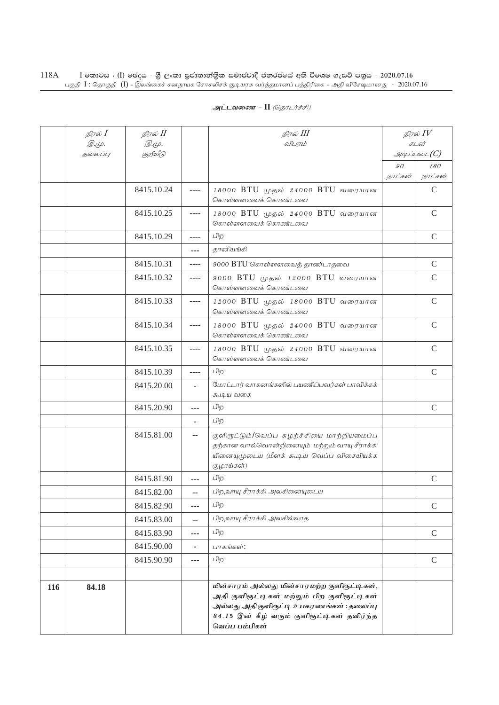## **அட்டவணை - II** *(தொடர்ச்சி)*

|     | நிரல் $I$        | நிரல் II                |      | நிரல் III                                                                                                                                                                                                |         | நிரல் $IV$            |
|-----|------------------|-------------------------|------|----------------------------------------------------------------------------------------------------------------------------------------------------------------------------------------------------------|---------|-----------------------|
|     | இ.மு.<br>தலைப்பு | <i>©.Ψ.</i><br>குறியீடு |      | விபாம்                                                                                                                                                                                                   |         | கடன்<br>$\mathcal{A}$ |
|     |                  |                         |      |                                                                                                                                                                                                          | 90      | 180                   |
|     |                  |                         |      |                                                                                                                                                                                                          | நாட்கள் | நாட்கள்               |
|     |                  | 8415.10.24              | ---- | 18000 BTU முதல் 24000 BTU வரையான<br>கொள்ளளவைக் கொண்டவை                                                                                                                                                   |         | $\mathcal{C}$         |
|     |                  | 8415.10.25              | ---- | 18000 BTU முதல் 24000 BTU வரையான<br>கொள்ளளவைக் கொண்டவை                                                                                                                                                   |         | $\mathsf{C}$          |
|     |                  | 8415.10.29              | ---- | பிற                                                                                                                                                                                                      |         | $\mathsf{C}$          |
|     |                  |                         | ---  | தானியங்கி                                                                                                                                                                                                |         |                       |
|     |                  | 8415.10.31              | ---- | 9000 BTU கொள்ளளவைத் தாண்டாதவை                                                                                                                                                                            |         | $\mathsf{C}$          |
|     |                  | 8415.10.32              | ---- | 9000 BTU முதல் 12000 BTU வரையான<br>கொள்ளளவைக் கொண்டவை                                                                                                                                                    |         | $\mathcal{C}$         |
|     |                  | 8415.10.33              | ---- | 12000 BTU முதல் 18000 BTU வரையான<br>கொள்ளளவைக் கொண்டவை                                                                                                                                                   |         | $\mathcal{C}$         |
|     |                  | 8415.10.34              | ---- | 18000 BTU முதல் 24000 BTU வரையான<br>கொள்ளளவைக் கொண்டவை                                                                                                                                                   |         | $\mathcal{C}$         |
|     |                  | 8415.10.35              | ---- | 18000 BTU முதல் 24000 BTU வரையான<br>கொள்ளளவைக் கொண்டவை                                                                                                                                                   |         | $\mathsf{C}$          |
|     |                  | 8415.10.39              | ---- | பிற                                                                                                                                                                                                      |         | $\mathcal{C}$         |
|     |                  | 8415.20.00              |      | மோட்டார் வாகனங்களில் பயணிப்பவர்கள் பாவிக்கக்<br>கூடிய வகை                                                                                                                                                |         |                       |
|     |                  | 8415.20.90              | ---  | பிற                                                                                                                                                                                                      |         | $\mathcal{C}$         |
|     |                  |                         |      | பிற                                                                                                                                                                                                      |         |                       |
|     |                  | 8415.81.00              | ۰.   | குளிரூட்டும்/வெப்ப சுழற்ச்சியை மாற்றியமைப்ப<br>தற்கான வால்வொன்றினையும் மற்றும் வாயு சீராக்கி<br>யினையுமுடைய (மீளக் கூடிய வெப்ப விசையியக்க<br>குழாய்கள்)                                                  |         |                       |
|     |                  | 8415.81.90              | ---  | பிற                                                                                                                                                                                                      |         | $\mathcal{C}$         |
|     |                  | 8415.82.00              | ۵.   | பிற,வாயு சீராக்கி அலகினையுடைய                                                                                                                                                                            |         |                       |
|     |                  | 8415.82.90              | ---  | பிற                                                                                                                                                                                                      |         | $\mathsf{C}$          |
|     |                  | 8415.83.00              | --   | பிற,வாயு சீராக்கி அலகில்லாத                                                                                                                                                                              |         |                       |
|     |                  | 8415.83.90              | ---  | பிற                                                                                                                                                                                                      |         | $\mathcal{C}$         |
|     |                  | 8415.90.00              | ۰    | பாகங்கள்:                                                                                                                                                                                                |         |                       |
|     |                  | 8415.90.90              | ---  | பிற                                                                                                                                                                                                      |         | $\mathsf{C}$          |
|     |                  |                         |      |                                                                                                                                                                                                          |         |                       |
| 116 | 84.18            |                         |      | மின்சாரம் அல்லது மின்சாரமற்ற குளிரூட்டிகள்,<br>அதி குளிரூட்டிகள் மற்றும் பிற குளிரூட்டிகள்<br>அல்லது அதிகுளிரூட்டி உபகரணங்கள் : தலைப்பு<br>84.15 இன் கீழ் வரும் குளிரூட்டிகள் தவிர்ந்த<br>வெப்ப பம்பிகள் |         |                       |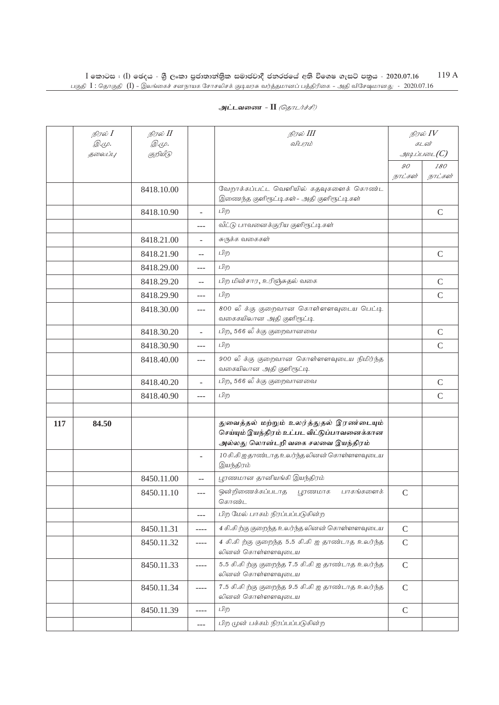|     | நிரல் $I$               | நிரல் II                 |                          | நிரல் III                                                                                                                    | நிரல் $IV$<br>கடன் |               |
|-----|-------------------------|--------------------------|--------------------------|------------------------------------------------------------------------------------------------------------------------------|--------------------|---------------|
|     | <i>@.cp.</i><br>தலைப்பு | <i>@.cp.</i><br>குறியீடு |                          | விபரம்                                                                                                                       |                    | $\mathcal{I}$ |
|     |                         |                          |                          |                                                                                                                              | 90                 | 180           |
|     |                         |                          |                          |                                                                                                                              | நாட்கள்            | நாட்கள்       |
|     |                         | 8418.10.00               |                          | வேறாக்கப்பட்ட வெளியில் கதவுகளைக் கொண்ட<br>இணைந்த குளிரூட்டிகள் - அதி குளிரூட்டிகள்                                           |                    |               |
|     |                         | 8418.10.90               | L.                       | பிற                                                                                                                          |                    | $\mathcal{C}$ |
|     |                         |                          | $---$                    | வீட்டு பாவனைக்குரிய குளிரூட்டிகள்                                                                                            |                    |               |
|     |                         | 8418.21.00               |                          | சுருக்க வகைகள்                                                                                                               |                    |               |
|     |                         | 8418.21.90               | $-$                      | பிற                                                                                                                          |                    | $\mathcal{C}$ |
|     |                         | 8418.29.00               | ---                      | பிற                                                                                                                          |                    |               |
|     |                         | 8418.29.20               | $\sim$                   | பிற மின்சார, உரிஞ்சுதல் வகை                                                                                                  |                    | $\mathcal{C}$ |
|     |                         | 8418.29.90               | $---$                    | பிற                                                                                                                          |                    | $\mathsf{C}$  |
|     |                         | 8418.30.00               | ---                      | 800 லீ க்கு குறைவான கொள்ளளவுடைய பெட்டி<br>வகைகயிலான அதி குளிரூட்டி                                                           |                    |               |
|     |                         | 8418.30.20               | L.                       | பிற, 566 லீ க்கு குறைவானவை                                                                                                   |                    | $\mathsf{C}$  |
|     |                         | 8418.30.90               | ---                      | பிற                                                                                                                          |                    | $\mathsf{C}$  |
|     |                         | 8418.40.00               | ---                      | 900 லீ க்கு குறைவான கொள்ளளவுடைய நிமிர்ந்த<br>வகையிலான அதி குளிரூட்டி                                                         |                    |               |
|     |                         | 8418.40.20               | ÷,                       | பிற, 566 லீ க்கு குறைவானவை                                                                                                   |                    | $\mathcal{C}$ |
|     |                         | 8418.40.90               | $---$                    | பிற                                                                                                                          |                    | $\mathcal{C}$ |
|     |                         |                          |                          |                                                                                                                              |                    |               |
| 117 | 84.50                   |                          |                          | துவைத்தல் மற்றும் உலர்த்துதல் இரண்டையும்<br>செய்யும் இயந்திரம் உட்பட வீட்டுப்பாவனைக்கான<br>அல்லது லொன்டறி வகை சலவை இயந்திரம் |                    |               |
|     |                         |                          | $\overline{\phantom{0}}$ | 10 கி.கி ஐ தாண்டாத உலர்ந்த லினன் கொள்ளளவுடைய<br>இயந்திரம்                                                                    |                    |               |
|     |                         | 8450.11.00               | $-$                      | பூரணமான தானியங்கி இயந்திரம்                                                                                                  |                    |               |
|     |                         | 8450.11.10               | ---                      | ஒன்றிணைக்கப்படாத பூரணமாக<br>பாகங்களைக்<br>கொண்ட                                                                              | $\mathcal{C}$      |               |
|     |                         |                          | ---                      | பிற மேல் பாகம் நிரப்பப்படுகின்ற                                                                                              |                    |               |
|     |                         | 8450.11.31               | ----                     | 4 கி.கி ற்கு குறைந்த உலர்ந்த லினன் கொள்ளளவுடைய                                                                               | $\mathsf{C}$       |               |
|     |                         | 8450.11.32               | ----                     | 4 கி.கி ற்கு குறைந்த 5.5 கி.கி ஐ தாண்டாத உலர்ந்த<br>லினன் கொள்ளளவுடைய                                                        | $\mathcal{C}$      |               |
|     |                         | 8450.11.33               | $---$                    | 5.5 கி.கிற்கு குறைந்த 7.5 கி.கி ஐ தாண்டாத உலர்ந்த<br>லினன் கொள்ளளவுடைய                                                       | $\mathcal{C}$      |               |
|     |                         | 8450.11.34               | $---$                    | 7.5 கி.கி ற்கு குறைந்த 9.5 கி.கி ஐ தாண்டாத உலர்ந்த<br>லினன் கொள்ளளவுடைய                                                      | $\mathcal{C}$      |               |
|     |                         | 8450.11.39               | $- - - -$                | பிற                                                                                                                          | $\mathsf C$        |               |
|     |                         |                          | $---$                    | பிற முன் பக்கம் நிரப்பப்படுகின்ற                                                                                             |                    |               |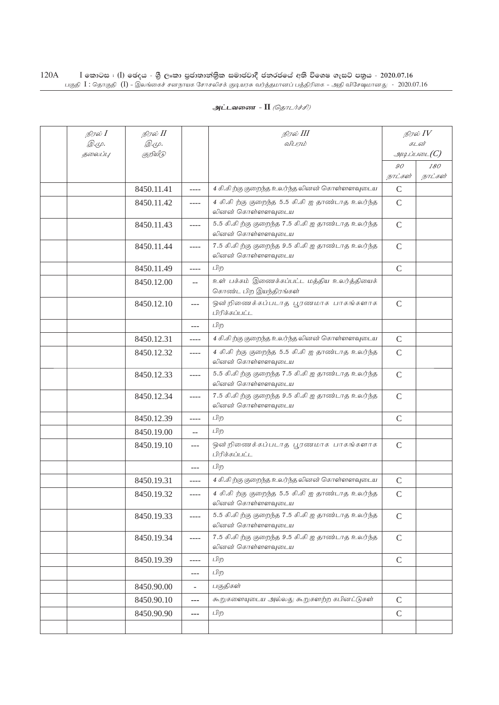| அட்டவணை - II <i>(தொடர்ச்சி)</i> |  |  |
|---------------------------------|--|--|
|---------------------------------|--|--|

| நிரல் $I$<br>$\mathcal{D}.\varphi.$ | நிரல் II<br><i>©.Ψ.</i> |                          | நிரல் III<br>விபரம்                                                     |                | நிரல் $\mathit{IV}$<br>கடன்          |
|-------------------------------------|-------------------------|--------------------------|-------------------------------------------------------------------------|----------------|--------------------------------------|
| 5000U1L                             | குறியீடு                |                          |                                                                         |                | $\mathcal{A}\mathcal{A}$ ப்படை $(C)$ |
|                                     |                         |                          |                                                                         | $\mathcal{G}O$ | 180                                  |
|                                     |                         |                          |                                                                         | நாட்கள்        | நாட்கள்                              |
|                                     | 8450.11.41              | $---$                    | 4 கி.கிற்கு குறைந்த உலர்ந்த லினன் கொள்ளளவுடைய                           | $\mathcal{C}$  |                                      |
|                                     | 8450.11.42              | ----                     | 4 கி.கி ற்கு குறைந்த 5.5 கி.கி ஐ தாண்டாத உலர்ந்த<br>லினன் கொள்ளளவுடைய   | $\mathcal{C}$  |                                      |
|                                     | 8450.11.43              | ----                     | 5.5 கி.கி ற்கு குறைந்த 7.5 கி.கி ஐ தாண்டாத உலர்ந்த<br>லினன் கொள்ளளவுடைய | $\mathsf{C}$   |                                      |
|                                     | 8450.11.44              | $- - - -$                | 7.5 கி.கி ற்கு குறைந்த 9.5 கி.கி ஐ தாண்டாத உலர்ந்த<br>லினன் கொள்ளளவுடைய | $\mathcal{C}$  |                                      |
|                                     | 8450.11.49              | ----                     | பிற                                                                     | $\mathcal{C}$  |                                      |
|                                     | 8450.12.00              | $\overline{a}$           | உள் பக்கம் இணைக்கப்பட்ட மத்திய உலர்த்தியைக்<br>கொண்ட பிற இயந்திரங்கள்   |                |                                      |
|                                     | 8450.12.10              | $---$                    | ஒன்றிணைக்கப்படாத பூரணமாக பாகங்களாக<br>பிரிக்கப்பட்ட                     | $\mathcal{C}$  |                                      |
|                                     |                         | $---$                    | பிற                                                                     |                |                                      |
|                                     | 8450.12.31              | ----                     | 4 கி.கிற்கு குறைந்த உலர்ந்த லினன் கொள்ளளவுடைய                           | $\mathcal{C}$  |                                      |
|                                     | 8450.12.32              | ----                     | 4 கி.கிற்கு குறைந்த 5.5 கி.கி ஐ தாண்டாத உலர்ந்த<br>லினன் கொள்ளளவுடைய    | $\mathcal{C}$  |                                      |
|                                     | 8450.12.33              | ----                     | 5.5 கி.கிற்கு குறைந்த 7.5 கி.கி ஐ தாண்டாத உலர்ந்த<br>லினன் கொள்ளளவுடைய  | $\mathsf{C}$   |                                      |
|                                     | 8450.12.34              | ----                     | 7.5 கி.கிற்கு குறைந்த 9.5 கி.கி ஐ தாண்டாத உலர்ந்த<br>லினன் கொள்ளளவுடைய  | $\mathcal{C}$  |                                      |
|                                     | 8450.12.39              | ----                     | பிற                                                                     | $\mathcal{C}$  |                                      |
|                                     | 8450.19.00              | $\sim$                   | பிற                                                                     |                |                                      |
|                                     | 8450.19.10              | $---$                    | ஒன்றிணைக்கப்படாத பூரணமாக பாகங்களாக<br>பிரிக்கப்பட்ட                     | $\mathsf{C}$   |                                      |
|                                     |                         | $-$ --                   | பிற                                                                     |                |                                      |
|                                     | 8450.19.31              | ----                     | 4 கி.கி ற்கு குறைந்த உலர்ந்த லினன் கொள்ளளவுடைய                          | $\mathcal{C}$  |                                      |
|                                     | 8450.19.32              | ----                     | 4 கி.கி ற்கு குறைந்த 5.5 கி.கி ஐ தாண்டாத உலர்ந்த<br>லினன் கொள்ளளவுடைய   | $\mathsf{C}$   |                                      |
|                                     | 8450.19.33              | ----                     | 5.5 கி.கி ற்கு குறைந்த 7.5 கி.கி ஐ தாண்டாத உலர்ந்த<br>லினன் கொள்ளளவுடைய | $\mathsf{C}$   |                                      |
|                                     | 8450.19.34              | ----                     | 7.5 கி.கி ற்கு குறைந்த 9.5 கி.கி ஐ தாண்டாத உலர்ந்த<br>லினன் கொள்ளளவுடைய | $\mathcal{C}$  |                                      |
|                                     | 8450.19.39              | $---$                    | பிற                                                                     | $\mathbf C$    |                                      |
|                                     |                         | $---$                    | பிற                                                                     |                |                                      |
|                                     | 8450.90.00              | $\overline{\phantom{0}}$ | பகுதிகள்                                                                |                |                                      |
|                                     | 8450.90.10              | ---                      | கூறுகளையுடைய அல்லது கூறுகளற்ற கபினட்டுகள்                               | $\mathsf{C}$   |                                      |
|                                     | 8450.90.90              | ---                      | பிற                                                                     | $\mathsf{C}$   |                                      |
|                                     |                         |                          |                                                                         |                |                                      |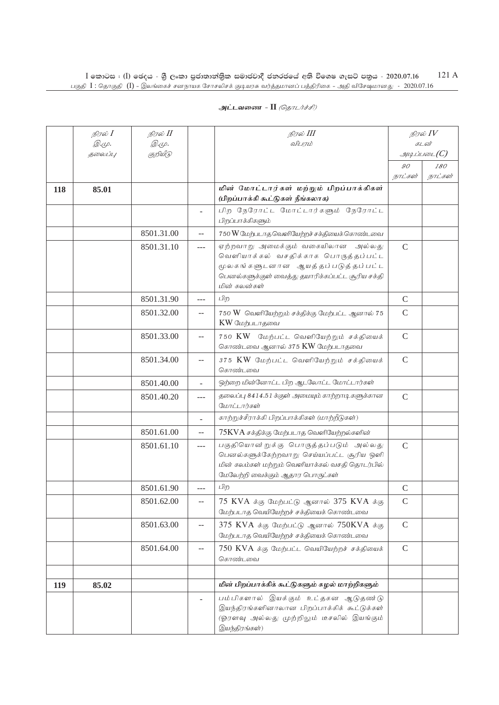|     | நிரல் <b>I</b> | நிரல் II     |                   | நிரல் III                                                                                                                                                                             |               | நிரல் $IV$                      |  |
|-----|----------------|--------------|-------------------|---------------------------------------------------------------------------------------------------------------------------------------------------------------------------------------|---------------|---------------------------------|--|
|     | <i>@.cp.</i>   | <i>@.cp.</i> |                   | விபரம்                                                                                                                                                                                |               | கடன்                            |  |
|     | தலைப்பு        | குறியீடு     |                   |                                                                                                                                                                                       | 90            | $\mathcal{A}\mathcal{A}$<br>180 |  |
|     |                |              |                   |                                                                                                                                                                                       | நாட்கள்       | நாட்கள்                         |  |
| 118 | 85.01          |              |                   | மின் மோட்டார்கள் மற்றும் பிறப்பாக்கிகள்<br>(பிறப்பாக்கி கூட்டுகள் நீங்கலாக)                                                                                                           |               |                                 |  |
|     |                |              | ٠                 | பிற நேரோட்ட மோட்டார்களும் நேரோட்ட<br>பிறப்பாக்கிகளும்                                                                                                                                 |               |                                 |  |
|     |                | 8501.31.00   | $-$               | 750 W மேற்படாத வெளியேற்றச் சக்தியைக் கொண்டவை                                                                                                                                          |               |                                 |  |
|     |                | 8501.31.10   | $\frac{1}{2}$     | ஏற்றவாறு அமைக்கும் வகையிலான<br>அல்லகு<br>வெளியாக்கல் வசதிக்காக பொருத்தப்பட்ட<br>மூலகங்களுடனான ஆயத்தப்படுத்தப்பட்ட<br>பெனல்களுக்குள் வைத்து தயாரிக்கப்பட்ட சூரிய சக்தி<br>மின் கலன்கள் | $\mathsf{C}$  |                                 |  |
|     |                | 8501.31.90   | ---               | பிற                                                                                                                                                                                   | $\mathsf{C}$  |                                 |  |
|     |                | 8501.32.00   | $- -$             | 750 W வெளியேற்றும் சக்திக்கு மேற்பட்ட ஆனால் 75<br>KW மேற்படாதவை                                                                                                                       | $\mathsf{C}$  |                                 |  |
|     |                | 8501.33.00   | $-$               | 750 KW மேற்பட்ட வெளியேற்றும் சக்தியைக்<br>கொண்டவை ஆனால் 375 KW மேற்படாதவை                                                                                                             | $\mathcal{C}$ |                                 |  |
|     |                | 8501.34.00   | --                | 375 KW மேற்பட்ட வெளியேற்றும் சக்தியைக்<br>கொண்டவை                                                                                                                                     | $\mathsf{C}$  |                                 |  |
|     |                | 8501.40.00   | ÷,                | ஒற்றை மின்னோட்ட பிற ஆடலோட்ட மோட்டார்கள்                                                                                                                                               |               |                                 |  |
|     |                | 8501.40.20   | $---$             | தலைப்பு 8414.51 க்குள் அமையும் காற்றாடி களுக்கான<br>மோட்டார்கள்                                                                                                                       | $\mathsf{C}$  |                                 |  |
|     |                |              | ÷,                | காற்றுச்சீராக்கி பிறப்பாக்கிகள் (மாற்றீடுகள்)                                                                                                                                         |               |                                 |  |
|     |                | 8501.61.00   | $-$               | 75KVA சக்திக்கு மேற்படாத வெளியேற்றல்களின்                                                                                                                                             |               |                                 |  |
|     |                | 8501.61.10   | $---$             | பகுதியொன்றுக்கு பொருத்தப்படும் அல்லது<br>பெனல்களுக்கேற்றவாறு செய்யப்பட்ட சூரிய ஒளி<br>மின் கலம்கள் மற்றும் வெளியாக்கல் வசதி தொடர்பில்<br>மேலேற்றி வைக்கும் ஆதார பொருட்கள்             | $\mathsf{C}$  |                                 |  |
|     |                | 8501.61.90   | $---$             | பிற                                                                                                                                                                                   | $\mathsf{C}$  |                                 |  |
|     |                | 8501.62.00   | $\qquad \qquad -$ | 75 KVA க்கு மேற்பட்டு ஆனால் 375 KVA க்கு<br>மேற்படாத வெயியேற்றச் சக்தியைக் கொண்டவை                                                                                                    | $\mathcal{C}$ |                                 |  |
|     |                | 8501.63.00   | $-$               | 375 KVA க்கு மேற்பட்டு ஆனால் 750KVA க்கு<br>மேற்படாத வெயியேற்றச் சக்தியைக் கொண்டவை                                                                                                    | $\mathsf C$   |                                 |  |
|     |                | 8501.64.00   | $- -$             | 750 KVA க்கு மேற்பட்ட வெயியேற்றச் சக்தியைக்<br>கொண்டவை                                                                                                                                | $\mathcal{C}$ |                                 |  |
|     |                |              |                   |                                                                                                                                                                                       |               |                                 |  |
| 119 | 85.02          |              |                   | மின் பிறப்பாக்கிக் கூட்டுகளும் சுழல் மாற்றிகளும்                                                                                                                                      |               |                                 |  |
|     |                |              |                   | பம்பிகளால் இயக்கும் உட்தகன ஆடுதண டு<br>இயந்திரங்களினாலான பிறப்பாக்கிக் கூட்டுக்கள்<br>(ஓரளவு அல்லது முற்றிலும் டீசலில் இயங்கும்<br>இயந்திரங்கள்)                                      |               |                                 |  |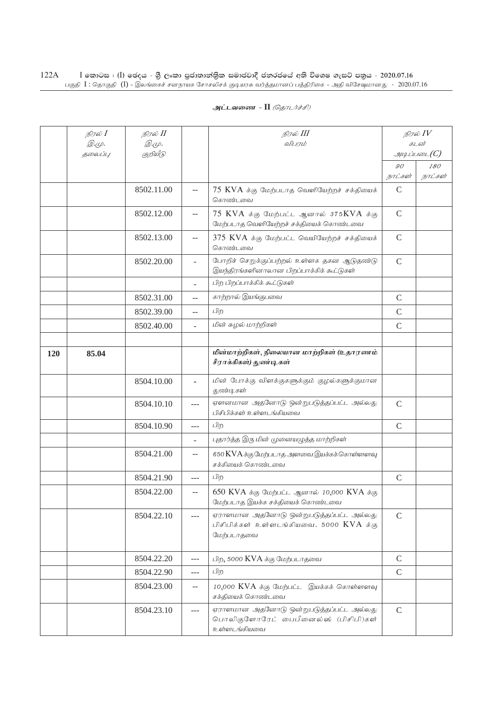| அட்டவணை - II <i>(தொடர்ச்சி)</i> |  |  |  |
|---------------------------------|--|--|--|
|---------------------------------|--|--|--|

|     | நிரல் $I$<br><i>@.cp.</i> | நிரல் II<br><i>@.cp.</i> |                | நிரல் III<br>விபரம்                                                                                          |               | நிரல் IV<br>கடன் |
|-----|---------------------------|--------------------------|----------------|--------------------------------------------------------------------------------------------------------------|---------------|------------------|
|     | தலைப்பு                   | குறியீடு                 |                |                                                                                                              |               | $\mathcal{A}$    |
|     |                           |                          |                |                                                                                                              | 90            | 180              |
|     |                           |                          |                |                                                                                                              | நாட்கள்       | நாட்கள்          |
|     |                           | 8502.11.00               | $-$            | 75 KVA க்கு மேற்படாத வெளியேற்றச் சக்தியைக்<br>கொண்டவை                                                        | $\mathcal{C}$ |                  |
|     |                           | 8502.12.00               | --             | $75$ KVA $\dot{\sigma}$ கு மேற்பட்ட ஆனால் 375KVA $\dot{\sigma}$ கு<br>மேற்படாத வெளியேற்றச் சக்தியைக் கொண்டவை | $\mathcal{C}$ |                  |
|     |                           | 8502.13.00               | $\overline{a}$ | 375 KVA க்கு மேற்பட்ட வெயியேற்றச் சக்தியைக்<br>கொண்டவை                                                       | $\mathsf C$   |                  |
|     |                           | 8502.20.00               |                | போறிச் செறுக்குப்பற்றல் உள்ளக தகன ஆடுதண்டு<br>இயந்திரங்களினாலான பிறப்பாக்கிக் கூட்டுகள்                      | $\mathcal{C}$ |                  |
|     |                           |                          | L.             | பிற பிறப்பாக்கிக் கூட்டுகள்                                                                                  |               |                  |
|     |                           | 8502.31.00               | --             | காற்றால் இயங்குபவை                                                                                           | $\mathcal{C}$ |                  |
|     |                           | 8502.39.00               | $-$            | பிற                                                                                                          | $\mathcal{C}$ |                  |
|     |                           | 8502.40.00               | $\overline{a}$ | மின் சுழல் மாற்றிகள்                                                                                         | $\mathsf{C}$  |                  |
|     |                           |                          |                |                                                                                                              |               |                  |
| 120 | 85.04                     |                          |                | மின்மாற்றிகள், நிலையான மாற்றிகள் (உதாரணம்<br>சீராக்கிகள்) துண்டிகள்                                          |               |                  |
|     |                           | 8504.10.00               |                | மின் போக்கு விளக்குகளுக்கும் குழல்களுக்குமான<br>துண்டிகள்                                                    |               |                  |
|     |                           | 8504.10.10               | $---$          | ஏளனமான அதனோடு ஒன்றுபடுத்தப்பட்ட அல்லது<br>பிசிபிக்கள் உள்ளடங்கியவை                                           | $\mathsf{C}$  |                  |
|     |                           | 8504.10.90               | ---            | பிற                                                                                                          | $\mathcal{C}$ |                  |
|     |                           |                          |                | புதார்த்த இரு மின் முனையழுத்த மாற்றிகள்                                                                      |               |                  |
|     |                           | 8504.21.00               | $-$            | 650 KVA க்கு மேற்படாத அளவை இயக்கக் கொள்ளளவு<br>சக்கியைக் கொண்டவை                                             |               |                  |
|     |                           | 8504.21.90               | $---$          | பிற                                                                                                          | $\mathcal{C}$ |                  |
|     |                           | 8504.22.00               | $-$            | 650 KVA க்கு மேற்பட்ட ஆனால் 10,000 KVA க்கு<br>மேற்படாத இயக்க சக்தியைக் கொண்டவை                              |               |                  |
|     |                           | 8504.22.10               | $---$          | ஏராளமான அதனோடு ஒன்றுபடுத்தப்பட்ட அல்லது<br>பிசிபிக்கள் உள்ளடங்கியவை. 5000 KVA க்கு<br>மேற்படாதவை             | $\mathcal{C}$ |                  |
|     |                           | 8504.22.20               | ---            | பிற, 5000 KVA க்கு மேற்படாதவை                                                                                | $\mathcal{C}$ |                  |
|     |                           | 8504.22.90               | $---$          | பிற                                                                                                          | $\mathcal{C}$ |                  |
|     |                           | 8504.23.00               | --             | 10,000 KVA க்கு மேற்பட்ட இயக்கக் கொள்ளளவு<br>சக்தியைக் கொண்டவை                                               |               |                  |
|     |                           | 8504.23.10               | ---            | ஏராளமான அதனோடு ஒன்றுபடுத்தப்பட்ட அல்லது<br>பொலிகுளோரேட் பைபீனைல்ஸ் (பிசிபி)கள்<br>உள்ளடங்கியவை               | $\mathcal{C}$ |                  |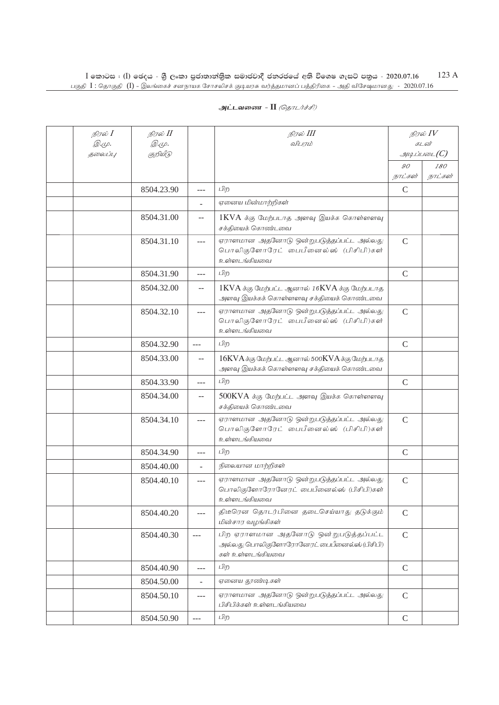| நிரல் $I$               | நிரல் II         |                                               | நிரல் III                                                                                              |               | நிரல் $IV$                       |
|-------------------------|------------------|-----------------------------------------------|--------------------------------------------------------------------------------------------------------|---------------|----------------------------------|
| <i>@.cp.</i><br>தலைப்பு | Q.Ψ.<br>குறியீடு |                                               | விபரம்                                                                                                 |               | கடன்<br>$\mathcal{A}\mathcal{A}$ |
|                         |                  |                                               |                                                                                                        | 90            | 180                              |
|                         |                  |                                               |                                                                                                        | நாட்கள்       | நாட்கள்                          |
|                         | 8504.23.90       | $\overline{a}$                                | பிற                                                                                                    | $\mathcal{C}$ |                                  |
|                         |                  | ÷.                                            | ஏனைய மின்மாற்றிகள்                                                                                     |               |                                  |
|                         | 8504.31.00       | $-$                                           | $1\text{KVA}$ க்கு மேற்படாத அளவு இயக்க கொள்ளளவு<br>சக்தியைக் கொண்டவை                                   |               |                                  |
|                         | 8504.31.10       | ---                                           | ஏராளமான அதனோடு ஒன்றுபடுத்தப்பட்ட அல்லது<br>பொலிகுளோரேட் பைபீனைல்ஸ் (பிசிபி)கள்<br>உள்ளடங்கியவை         | $\mathsf{C}$  |                                  |
|                         | 8504.31.90       | ---                                           | பிற                                                                                                    | $\mathsf{C}$  |                                  |
|                         | 8504.32.00       | --                                            | $1$ KVA க்கு மேற்பட்ட ஆனால் 16KVA க்கு மேற்படாத<br>அளவு இயக்கக் கொள்ளளவு சக்தியைக் கொண்டவை             |               |                                  |
|                         | 8504.32.10       | ---                                           | ஏராளமான அதனோடு ஒன்றுபடுத்தப்பட்ட அல்லது<br>பொலிகுளோரேட் பைபீனைல்ஸ் (பிசிபி)கள்<br>உள்ளடங்கியவை         | $\mathsf{C}$  |                                  |
|                         | 8504.32.90       | $\overline{a}$                                | பிற                                                                                                    | $\mathcal{C}$ |                                  |
|                         | 8504.33.00       | $\mathord{\hspace{1pt}\text{--}\hspace{1pt}}$ | 16KVA க்கு மேற்பட்ட ஆனால் 500KVA க்கு மேற்படாத<br>அளவு இயக்கக் கொள்ளளவு சக்தியைக் கொண்டவை              |               |                                  |
|                         | 8504.33.90       | ---                                           | பிற                                                                                                    | $\mathcal{C}$ |                                  |
|                         | 8504.34.00       | $-$                                           | 500KVA க்கு மேற்பட்ட அளவு இயக்க கொள்ளளவு<br>சக்தியைக் கொண்டவை                                          |               |                                  |
|                         | 8504.34.10       | $ -$                                          | ஏராளமான அதனோடு ஒன்றுபடுத்தப்பட்ட அல்லது<br>பொலிகுளோரேட் பைபீனைல்ஸ் (பிசிபி)கள்<br>உள்ளடங்கியவை         | $\mathsf{C}$  |                                  |
|                         | 8504.34.90       | ---                                           | பிற                                                                                                    | $\mathcal{C}$ |                                  |
|                         | 8504.40.00       | ÷.                                            | நிலையான மாற்றிகள்                                                                                      |               |                                  |
|                         | 8504.40.10       | $-$                                           | ஏராளமான அதனோடு ஒன்றுபடுத்தப்பட்ட அல்லது<br>பொலிகுளோரோனேரட் பைபீனைல்ஸ் (பிசிபி)கள்<br>உள்ளடங்கியவை      | $\mathsf{C}$  |                                  |
|                         | 8504.40.20       | $---$                                         | திடீரென தொடர்பினை தடைசெய்யாது தடுக்கும்<br>மின்சார வழங்கிகள்                                           | $\mathsf C$   |                                  |
|                         | 8504.40.30       | $\overline{a}$                                | பிற ஏராளமான அதனோடு ஒன்றுபடுத்தப்பட்ட<br>அல்லது பொலிகுளோரோனேரட் பைபீனைல்ஸ் (பிசிபி)<br>கள் உள்ளடங்கியவை | $\mathsf{C}$  |                                  |
|                         | 8504.40.90       | ---                                           | பிற                                                                                                    | $\mathcal{C}$ |                                  |
|                         | 8504.50.00       | $\overline{\phantom{0}}$                      | ஏனைய தூண்டிகள்                                                                                         |               |                                  |
|                         | 8504.50.10       | ---                                           | ஏராளமான அதனோடு ஒன்றுபடுத்தப்பட்ட அல்லது<br>பிசிபிக்கள் உள்ளடங்கியவை                                    | $\mathsf C$   |                                  |
|                         | 8504.50.90       | $\sim$ $\sim$ $\sim$                          | பிற                                                                                                    | $\mathcal{C}$ |                                  |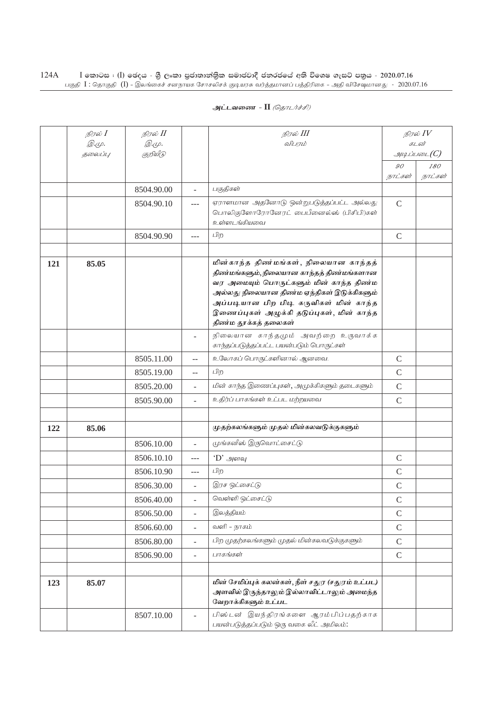| அட்டவணை - II <i>(தொடர்ச்சி)</i> |  |  |  |
|---------------------------------|--|--|--|
|---------------------------------|--|--|--|

|     | நிரல் $I$    | நிரல் II     |                          | நிரல் III                                                                                                                                                                                                                                                                                  |                           | நிரல் $IV$     |
|-----|--------------|--------------|--------------------------|--------------------------------------------------------------------------------------------------------------------------------------------------------------------------------------------------------------------------------------------------------------------------------------------|---------------------------|----------------|
|     | <i>@.cp.</i> | <i>@.cp.</i> |                          | விபரம்                                                                                                                                                                                                                                                                                     |                           | கடன்           |
|     | தலைப்பு      | குறியீடு     |                          |                                                                                                                                                                                                                                                                                            |                           | g              |
|     |              |              |                          |                                                                                                                                                                                                                                                                                            | $\mathcal{G}O$<br>நாட்கள் | 180<br>நாட்கள் |
|     |              | 8504.90.00   | ÷.                       | பகுதிகள்                                                                                                                                                                                                                                                                                   |                           |                |
|     |              | 8504.90.10   | ---                      | ஏராளமான அதனோடு ஒன்றுபடுத்தப்பட்ட அல்லது                                                                                                                                                                                                                                                    | $\mathcal{C}$             |                |
|     |              |              |                          | பொலிகுளோரோனேரட் பைபீனைல்ஸ் (பிசிபி)கள்<br>உள்ளடங்கியவை                                                                                                                                                                                                                                     |                           |                |
|     |              | 8504.90.90   | $---$                    | பிற                                                                                                                                                                                                                                                                                        | $\mathcal{C}$             |                |
|     |              |              |                          |                                                                                                                                                                                                                                                                                            |                           |                |
| 121 | 85.05        |              |                          | மின்காந்த திண்மங்கள், நிலையான காந்தத்<br>திண்மங்களும், நிலையான காந்தத் திண்மங்களான<br>வர அமையும் பொருட்களும் மின் காந்த திண்ம<br>அல்லது நிலையான திண்ம ஏந்திகள் இடுக்கிகளும்<br>அப்படியான பிற பிடி கருவிகள் மின் காந்த<br>இணைப்புகள் அழுக்கி தடுப்புகள், மின் காந்த<br>திண்ம தூக்கத் தலைகள் |                           |                |
|     |              |              |                          | நிலையான காந்தமும் அவற்றை உருவாக்க<br>காந்தப்படுத்தப்பட்ட பயன்படும் பொருட்கள்                                                                                                                                                                                                               |                           |                |
|     |              | 8505.11.00   | $-$                      | உலோகப் பொருட்களினால் ஆனவை.                                                                                                                                                                                                                                                                 | $\mathcal{C}$             |                |
|     |              | 8505.19.00   | $-$                      | பிற                                                                                                                                                                                                                                                                                        | $\mathsf{C}$              |                |
|     |              | 8505.20.00   | $\overline{a}$           | மின் காந்த இணைப்புகள், அமுக்கிகளும் தடைகளும்                                                                                                                                                                                                                                               | $\mathbf C$               |                |
|     |              | 8505.90.00   | $\overline{a}$           | உதிர்ப் பாகங்கள் உட்பட மற்றயவை                                                                                                                                                                                                                                                             | $\mathsf{C}$              |                |
|     |              |              |                          |                                                                                                                                                                                                                                                                                            |                           |                |
| 122 | 85.06        |              |                          | முதற்கலங்களும் முதல் மின்கலவடுக்குகளும்                                                                                                                                                                                                                                                    |                           |                |
|     |              | 8506.10.00   | $\overline{a}$           | முங்கனீஸ் இருவொட்சைட்டு                                                                                                                                                                                                                                                                    |                           |                |
|     |              | 8506.10.10   | $---$                    | $\cdot$ D' அளவு                                                                                                                                                                                                                                                                            | $\mathcal{C}$             |                |
|     |              | 8506.10.90   | $---$                    | பிற                                                                                                                                                                                                                                                                                        | $\mathcal{C}$             |                |
|     |              | 8506.30.00   |                          | இரச ஒட்சைட்டு                                                                                                                                                                                                                                                                              | $\mathsf{C}$              |                |
|     |              | 8506.40.00   |                          | வெள்ளி ஒட்சைட்டு                                                                                                                                                                                                                                                                           | $\mathcal{C}$             |                |
|     |              | 8506.50.00   | ä,                       | இலத்தியம்                                                                                                                                                                                                                                                                                  | $\mathcal{C}$             |                |
|     |              | 8506.60.00   | $\overline{\phantom{0}}$ | வளி – நாகம்                                                                                                                                                                                                                                                                                | $\mathcal{C}$             |                |
|     |              | 8506.80.00   | $\overline{\phantom{0}}$ | பிற முதற்கலங்களும் முதல் மின்கலவடுக்குகளும்                                                                                                                                                                                                                                                | $\mathcal{C}$             |                |
|     |              | 8506.90.00   | $\frac{1}{2}$            | பாகங்கள்                                                                                                                                                                                                                                                                                   | $\mathsf C$               |                |
|     |              |              |                          |                                                                                                                                                                                                                                                                                            |                           |                |
| 123 | 85.07        |              |                          | மின் சேமிப்புக் கலன்கள், நீள் சதுர (சதுரம் உட்பட)<br>அளவில் இருந்தாலும் இல்லாவிட்டாலும் அமைந்த<br>வேறாக்கிகளும் உட்பட                                                                                                                                                                      |                           |                |
|     |              | 8507.10.00   |                          | பிஸ்டன் இயந்திரங்களை ஆரம்பிப்பதற்காக<br>பயன்படுத்தப்படும் ஒரு வகை லீட் அமிலம்:                                                                                                                                                                                                             |                           |                |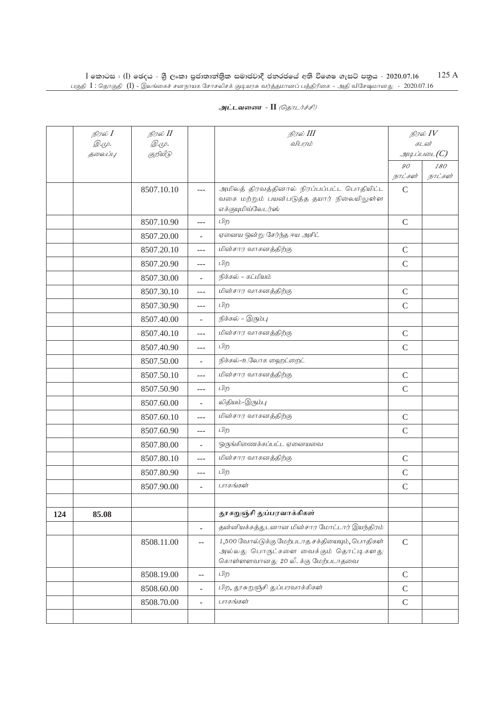## **அட்டவணை - II** *(தொடர்ச்சி)*

|     | நிரல் $I$<br><i>@.cp.</i> | நிரல் II<br>$\mathcal{D}.\varphi.$ |                          | நிரல் III<br>விபரம்                                                                                                          |                | நிரல் $IV$<br>கடன் |
|-----|---------------------------|------------------------------------|--------------------------|------------------------------------------------------------------------------------------------------------------------------|----------------|--------------------|
|     | தலைப்பு                   | குறியீடு                           |                          |                                                                                                                              |                | $\mathcal{I}$      |
|     |                           |                                    |                          |                                                                                                                              | $\mathcal{GO}$ | 180                |
|     |                           |                                    |                          |                                                                                                                              | நாட்கள்        | நாட்கள்            |
|     |                           | 8507.10.10                         | $\frac{1}{2}$            | அமிலத் திரவத்தினால் நிரப்பப்பட்ட பொதியிட்ட<br>வகை மற்றும் பயன்படுத்த தயார் நிலையிலுள்ள<br>எக்குயுமிவ்லேடர்ஸ்                 | $\mathcal{C}$  |                    |
|     |                           | 8507.10.90                         | $---$                    | பிற                                                                                                                          | $\mathcal{C}$  |                    |
|     |                           | 8507.20.00                         | ÷,                       | ஏனைய ஒன்று சேர்ந்த ஈய அசிட்                                                                                                  |                |                    |
|     |                           | 8507.20.10                         | $\overline{a}$           | மின்சார வாகனத்திற்கு                                                                                                         | $\mathsf{C}$   |                    |
|     |                           | 8507.20.90                         | ---                      | பிற                                                                                                                          | $\mathsf{C}$   |                    |
|     |                           | 8507.30.00                         | ÷.                       | நிக்கல் - கட்மியம்                                                                                                           |                |                    |
|     |                           | 8507.30.10                         | $\overline{a}$           | மின்சார வாகனத்திற்கு                                                                                                         | $\mathsf{C}$   |                    |
|     |                           | 8507.30.90                         | $---$                    | பிற                                                                                                                          | $\mathsf{C}$   |                    |
|     |                           | 8507.40.00                         | ÷,                       | நிக்கல் – இரும்பு                                                                                                            |                |                    |
|     |                           | 8507.40.10                         | ---                      | மின்சார வாகனத்திற்கு                                                                                                         | $\mathcal{C}$  |                    |
|     |                           | 8507.40.90                         | $---$                    | பிற                                                                                                                          | $\mathcal{C}$  |                    |
|     |                           | 8507.50.00                         | ÷,                       | நிக்கல்-உலோக ஹைட்றைட்                                                                                                        |                |                    |
|     |                           | 8507.50.10                         | $---$                    | மின்சார வாகனத்திற்கு                                                                                                         | $\mathsf C$    |                    |
|     |                           | 8507.50.90                         | $---$                    | பிற                                                                                                                          | $\mathsf{C}$   |                    |
|     |                           | 8507.60.00                         | L.                       | லிதியம்-இரும்பு                                                                                                              |                |                    |
|     |                           | 8507.60.10                         | $---$                    | மின்சார வாகனத்திற்கு                                                                                                         | $\mathcal{C}$  |                    |
|     |                           | 8507.60.90                         | ---                      | பிற                                                                                                                          | $\mathsf{C}$   |                    |
|     |                           | 8507.80.00                         | L.                       | ஒருங்கிணைக்கப்பட்ட ஏனையவை                                                                                                    |                |                    |
|     |                           | 8507.80.10                         | $\frac{1}{2}$            | மின்சார வாகனத்திற்கு                                                                                                         | $\mathcal{C}$  |                    |
|     |                           | 8507.80.90                         | ---                      | பிற                                                                                                                          | $\mathcal{C}$  |                    |
|     |                           | 8507.90.00                         | $\overline{\phantom{0}}$ | பாகங்கள்                                                                                                                     | $\mathsf{C}$   |                    |
|     |                           |                                    |                          |                                                                                                                              |                |                    |
| 124 | 85.08                     |                                    |                          | தூசுறுஞ்சி துப்பரவாக்கிகள்                                                                                                   |                |                    |
|     |                           |                                    | ÷,                       | தன்னியக்கத்துடனான மின்சார மோட்டார் இயந்திரம்                                                                                 |                |                    |
|     |                           | 8508.11.00                         | $-$                      | 1,500 வோல்டுக்கு மேற்படாத சக்தியையும், பொதிகள்<br>அல்லது பொருட்களை வைக்கும் தொட்டிகளது<br>கொள்ளளவானது 20 லீ. க்கு மேற்படாதவை | $\mathsf{C}$   |                    |
|     |                           | 8508.19.00                         | $\overline{a}$           | பிற                                                                                                                          | $\mathsf C$    |                    |
|     |                           | 8508.60.00                         | ÷.                       | பிற, தூசுறுஞ்சி துப்பரவாக்கிகள்                                                                                              | $\mathcal{C}$  |                    |
|     |                           | 8508.70.00                         | ÷.                       | பாகங்கள்                                                                                                                     | $\mathcal{C}$  |                    |
|     |                           |                                    |                          |                                                                                                                              |                |                    |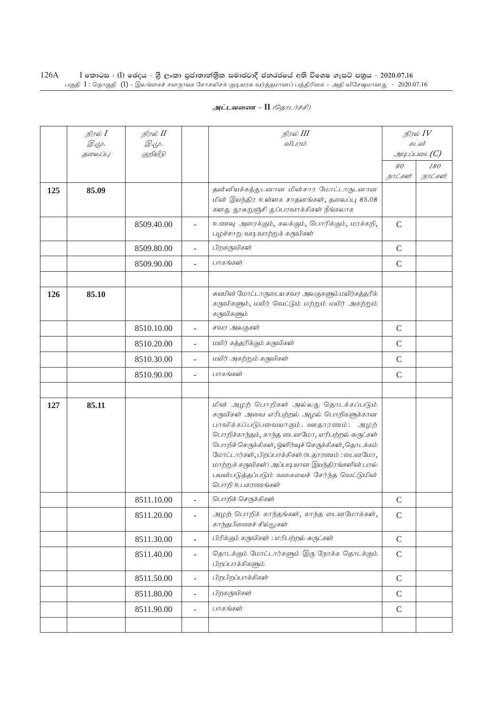| அட்டவணை - II <i>(தொடர்ச்சி)</i> |  |  |  |
|---------------------------------|--|--|--|
|---------------------------------|--|--|--|

|     | நிரல் $I$<br><i>©.</i> Ψ. | நிரல் <b>II</b><br>@.மு. |                | நிரல் III<br>விபரம்                                                                                                                                                                                                                                                                                                                                                                                         |                           | நிரல் $IV$<br>கடன் |
|-----|---------------------------|--------------------------|----------------|-------------------------------------------------------------------------------------------------------------------------------------------------------------------------------------------------------------------------------------------------------------------------------------------------------------------------------------------------------------------------------------------------------------|---------------------------|--------------------|
|     | 5000U1L                   | குறியீடு                 |                |                                                                                                                                                                                                                                                                                                                                                                                                             |                           | $\mathcal{I}$      |
|     |                           |                          |                |                                                                                                                                                                                                                                                                                                                                                                                                             | $\mathcal{GO}$<br>நாட்கள் | 180<br>நாட்கள்     |
| 125 | 85.09                     |                          |                | தன்னியக்கத்துடனான மின்சார மோட்டாருடனான<br>மின் இயந்திர உள்ளக சாதனங்கள், தலைப்பு 85.08<br>களது தூசுறுஞ்சி துப்பரவாக்கிகள் நீங்கலாக                                                                                                                                                                                                                                                                           |                           |                    |
|     |                           | 8509.40.00               |                | உணவு அரைக்கும், கலக்கும், பொரிக்கும், மரக்கறி,<br>பழச்சாறு வடிவாற்றுக் கருவிகள்                                                                                                                                                                                                                                                                                                                             | $\mathcal{C}$             |                    |
|     |                           | 8509.80.00               | L.             | பிறகருவிகள்                                                                                                                                                                                                                                                                                                                                                                                                 | $\mathsf C$               |                    |
|     |                           | 8509.90.00               | L.             | பாகங்கள்                                                                                                                                                                                                                                                                                                                                                                                                    | $\mathsf{C}$              |                    |
|     |                           |                          |                |                                                                                                                                                                                                                                                                                                                                                                                                             |                           |                    |
| 126 | 85.10                     |                          |                | சுயமின் மோட்டாருடைய சவர அலகுகளும் மயிர்கத்தரிக்<br>கருவிகளும், மயிர் வெட்டும் மற்றும் மயிர் அகற்றும்<br>கருவிகளும்                                                                                                                                                                                                                                                                                          |                           |                    |
|     |                           | 8510.10.00               | $\overline{a}$ | சவர அலகுகள்                                                                                                                                                                                                                                                                                                                                                                                                 | $\mathbf C$               |                    |
|     |                           | 8510.20.00               |                | மயிர் கத்தரிக்கும் கருவிகள்                                                                                                                                                                                                                                                                                                                                                                                 | $\mathsf{C}$              |                    |
|     |                           | 8510.30.00               | L.             | மயிர் அகற்றும் கருவிகள்                                                                                                                                                                                                                                                                                                                                                                                     | $\mathsf C$               |                    |
|     |                           | 8510.90.00               |                | பாகங்கள்                                                                                                                                                                                                                                                                                                                                                                                                    | $\mathsf{C}$              |                    |
|     |                           |                          |                |                                                                                                                                                                                                                                                                                                                                                                                                             |                           |                    |
| 127 | 85.11                     |                          |                | மின் அழற் பொறிகள் அல்லது தொடக்கப்படும்<br>கருவிகள் அவை எரிபற்றல் அழல் பொறிகளுக்கான<br>பாவிக்கப்படுபவையாகும். ஊதாரணம்: அழற்<br>பொறிக்காந்தம், காந்த டைனமோ, எரிபற்றல் சுருட்கள்<br>பொறிச் செருக்கிகள், ஒளிர்வுச் செருக்கிகள், தொடக்கம்<br>மோட்டார்கள், பிறப்பாக்கிகள் (உதாரணம்: டைனமோ,<br>மாற்றுக் கருவிகள்) அப்படியான இயந்திரங்களின் பால்<br>பயன்படுத்தப்படும் வகையைச் சேர்ந்த வெட்டுமின்<br>பொறி உபகரணங்கள் |                           |                    |
|     |                           | 8511.10.00               |                | பொறிச் செருக்கிகள்                                                                                                                                                                                                                                                                                                                                                                                          | $\mathcal{C}$             |                    |
|     |                           | 8511.20.00               | $\overline{a}$ | அழற் பொறிக் காந்தங்கள், காந்த டைனமோக்கள்,<br>காந்தபிணைச் சில்லுகள்                                                                                                                                                                                                                                                                                                                                          | $\mathsf C$               |                    |
|     |                           | 8511.30.00               | $\overline{a}$ | பிரிக்கும் கருவிகள் : எரிபற்றல் சுருட்கள்                                                                                                                                                                                                                                                                                                                                                                   | $\mathsf C$               |                    |
|     |                           | 8511.40.00               | $\blacksquare$ | தொடக்கும் மோட்டார்களும் இரு நோக்க தொடக்கும்<br>பிறப்பாக்கிகளும்                                                                                                                                                                                                                                                                                                                                             | $\mathsf C$               |                    |
|     |                           | 8511.50.00               | $\overline{a}$ | பிறபிறப்பாக்கிகள்                                                                                                                                                                                                                                                                                                                                                                                           | $\mathsf C$               |                    |
|     |                           | 8511.80.00               | ÷,             | பிறகருவிகள்                                                                                                                                                                                                                                                                                                                                                                                                 | $\mathsf C$               |                    |
|     |                           | 8511.90.00               | $\overline{a}$ | பாகங்கள்                                                                                                                                                                                                                                                                                                                                                                                                    | $\mathcal{C}$             |                    |
|     |                           |                          |                |                                                                                                                                                                                                                                                                                                                                                                                                             |                           |                    |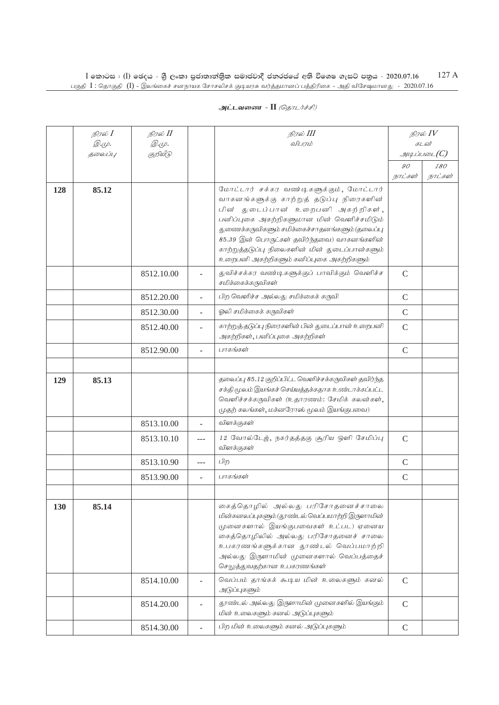|     | நிரல் <b>I</b><br><i>@.cp.</i> | நிரல் II<br>@.cp. |       | நிரல் III<br>விபாம்                                                                                                                                                                                                                                                                                                                                                  |               | நிரல் IV<br>கடன்            |
|-----|--------------------------------|-------------------|-------|----------------------------------------------------------------------------------------------------------------------------------------------------------------------------------------------------------------------------------------------------------------------------------------------------------------------------------------------------------------------|---------------|-----------------------------|
|     | தலைப்பு                        | குறியீடு          |       |                                                                                                                                                                                                                                                                                                                                                                      |               | $g$ uq Liu vad $\angle$ (C) |
|     |                                |                   |       |                                                                                                                                                                                                                                                                                                                                                                      | 90<br>நாட்கள் | 180<br>நாட்கள்              |
| 128 | 85.12                          |                   |       | மோட்டார் சக்கர வண்டிகளுக்கும், மோட்டார்<br>வாகனங்களுக்கு காற்றுத் தடுப்பு நிரைகளின்<br>பின் துடைப்பான் உறைபனி அகற்றிகள்,<br>பனிப்புகை அகற்றிகளுமான மின் வெளிச்சமிடும்<br>துணைக்கருவிகளும் சமிக்கைச்சாதனங்களும் (தலைப்பு<br>85.39 இன் பொருட்கள் தவிர்ந்தவை) வாகனங்களின்<br>காற்றுத்தடுப்பு நிலைகளின் மின் துடைப்பான்களும்<br>உறைபனி அகற்றிகளும் கனிப்புகை அகற்றிகளும் |               |                             |
|     |                                | 8512.10.00        |       | துவிச்சக்கர வண்டிகளுக்குப் பாவிக்கும் வெளிச்ச<br>சமிக்கைக்கருவிகள்                                                                                                                                                                                                                                                                                                   | $\mathcal{C}$ |                             |
|     |                                | 8512.20.00        |       | பிற வெளிச்ச அல்லது சமிக்கைக் கருவி                                                                                                                                                                                                                                                                                                                                   | $\mathcal{C}$ |                             |
|     |                                | 8512.30.00        |       | ஓலி சமிக்கைக் கருவிகள்                                                                                                                                                                                                                                                                                                                                               | $\mathcal{C}$ |                             |
|     |                                | 8512.40.00        |       | காற்றுத் தடுப்பு நிரைகளின் பின் துடைப்பான் உறைபனி<br>அகற்றிகள், பனிப்புகை அகற்றிகள்                                                                                                                                                                                                                                                                                  | $\mathsf{C}$  |                             |
|     |                                | 8512.90.00        | ÷.    | பாகங்கள்                                                                                                                                                                                                                                                                                                                                                             | $\mathcal{C}$ |                             |
|     |                                |                   |       |                                                                                                                                                                                                                                                                                                                                                                      |               |                             |
| 129 | 85.13                          |                   |       | தலைப்பு 85.12 குறிப்பிட்ட வெளிச்சக்கருவிகள் தவிர்ந்த<br>சக்தி மூலம் இயங்கச் செய்யத்தக்கதாக உண்டாக்கப்பட்ட<br>வெளிச்சக்கருவிகள் (உதாரணம்: சேமிக் கலன்கள்,<br>(முதற் கலங்கள், மக்னரோஸ் மூலம் இயங்குபவை)                                                                                                                                                                |               |                             |
|     |                                | 8513.10.00        |       | விளக்குகள்                                                                                                                                                                                                                                                                                                                                                           |               |                             |
|     |                                | 8513.10.10        |       | 12 வோல்டேஜ், நகர்தத்தகு சூரிய ஒளி சேமிப்பு<br>விளக்குகள்                                                                                                                                                                                                                                                                                                             | $\mathcal{C}$ |                             |
|     |                                | 8513.10.90        | $---$ | பிற                                                                                                                                                                                                                                                                                                                                                                  | $\mathcal{C}$ |                             |
|     |                                | 8513.90.00        | ÷.    | பாகங்கள்                                                                                                                                                                                                                                                                                                                                                             | $\mathcal{C}$ |                             |
|     |                                |                   |       |                                                                                                                                                                                                                                                                                                                                                                      |               |                             |
| 130 | 85.14                          |                   |       | கைத்தொழில் அல்லது பரிசோதனைச்சாலை<br>மின்கனலப்புகளும் (தூண்டல் வெப்பமாற்றி இருளாமின்<br>முனைகளால் இயங்குபவைகள் உட்பட) ஏனைய<br>கைத்தொழிலில் அல்லது பரிசோதனைச் சாலை<br>உபகரணங்களுக்கான தூண்டல் வெப்பமாற்றி<br>அல்லது இருளாமின் முனைகளால் வெப்பத்தைச்<br>செலுத்துவதற்கான உபகரணங்கள்                                                                                      |               |                             |
|     |                                | 8514.10.00        |       | வெப்பம் தாங்கக் கூடிய மின் உலைகளும் கனல்<br>அடுப்புகளும்                                                                                                                                                                                                                                                                                                             | $\mathcal{C}$ |                             |
|     |                                | 8514.20.00        |       | தூண்டல் அல்லது இருளாமின் முனைகளில் இயங்கும்<br>மின் உலைகளும் கனல் அடுப்புகளும்                                                                                                                                                                                                                                                                                       | $\mathcal{C}$ |                             |
|     |                                | 8514.30.00        |       | பிற மின் உலைகளும் கனல் அடுப்புகளும்                                                                                                                                                                                                                                                                                                                                  | $\mathcal{C}$ |                             |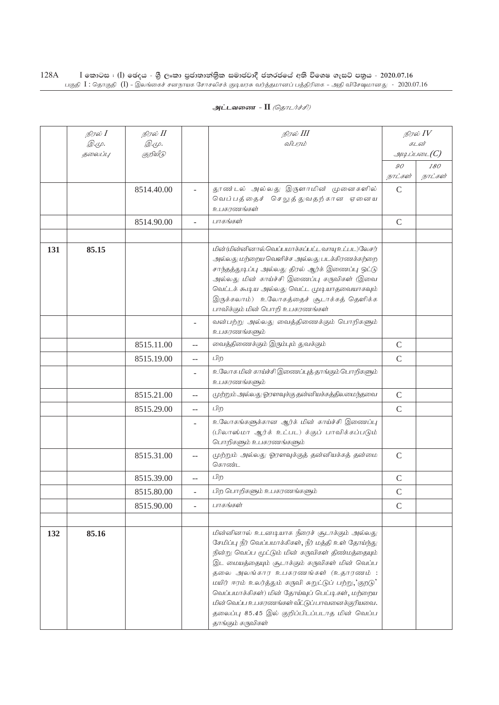|     | நிரல் $I$<br><i>©.Ψ.</i> | நிரல் II<br>இ.மு. |                | நிரல் III<br>விபரம்                                                                                                                                                                                                                                                                                                                                                                                                                                                                |               | நிரல் $IV$<br>கடன் |
|-----|--------------------------|-------------------|----------------|------------------------------------------------------------------------------------------------------------------------------------------------------------------------------------------------------------------------------------------------------------------------------------------------------------------------------------------------------------------------------------------------------------------------------------------------------------------------------------|---------------|--------------------|
|     | தலைப்பு                  | குறியீடு          |                |                                                                                                                                                                                                                                                                                                                                                                                                                                                                                    |               | $\mathcal{I}$      |
|     |                          |                   |                |                                                                                                                                                                                                                                                                                                                                                                                                                                                                                    | 90            | 180                |
|     |                          |                   |                |                                                                                                                                                                                                                                                                                                                                                                                                                                                                                    | நாட்கள்       | நாட்கள்            |
|     |                          | 8514.40.00        |                | தூண்டல் அல்லது இருளாமின் முனைகளில்                                                                                                                                                                                                                                                                                                                                                                                                                                                 | $\mathcal{C}$ |                    |
|     |                          |                   |                | வெப்பத்தைச் செலுத்துவதற்கான ஏனைய<br>உபகரணங்க <b>ள்</b>                                                                                                                                                                                                                                                                                                                                                                                                                             |               |                    |
|     |                          | 8514.90.00        |                | பாகங்கள்                                                                                                                                                                                                                                                                                                                                                                                                                                                                           | $\mathbf C$   |                    |
|     |                          |                   |                |                                                                                                                                                                                                                                                                                                                                                                                                                                                                                    |               |                    |
| 131 | 85.15                    |                   |                | மின் (மின்னினால்வெப்பமாக்கப்பட்ட வாயு உட்பட)லேசர்<br>அல்லது மற்றைய வெளிச்ச அல்லது படக்கிரணக்கற்றை<br>சாந்தத்துடிப்பு அல்லது திரல் ஆர்க் இணைப்பு ஒட்டு<br>அல்லது மின் காய்ச்சி இணைப்பு கருவிகள் (இவை<br>வெட்டக் கூடிய அல்லது வெட்ட முடியாதவையாகவும்<br>இருக்கலாம்) உலோகத்தைச் சூடாக்கத் தெளிக்க<br>பாவிக்கும் மின் பொறி உபகரணங்கள்                                                                                                                                                  |               |                    |
|     |                          |                   |                | வன்பற்று அல்லது வைத்திணைக்கும் பொறிகளும்<br>உபகரணங்களும்                                                                                                                                                                                                                                                                                                                                                                                                                           |               |                    |
|     |                          | 8515.11.00        |                | வைத்திணைக்கும் இரும்பும் துவக்கும்                                                                                                                                                                                                                                                                                                                                                                                                                                                 | $\mathsf C$   |                    |
|     |                          | 8515.19.00        | $-$            | பிற                                                                                                                                                                                                                                                                                                                                                                                                                                                                                | $\mathsf{C}$  |                    |
|     |                          |                   |                | உலோக மின் காய்ச்சி இணைப்புத் தாங்கும் பொறிகளும்<br>உபகரணங்களும்                                                                                                                                                                                                                                                                                                                                                                                                                    |               |                    |
|     |                          | 8515.21.00        |                | முற்றும் அல்லது ஓரளவுக்கு தன்னியக்கத்திலமைந்தவை                                                                                                                                                                                                                                                                                                                                                                                                                                    | $\mathsf C$   |                    |
|     |                          | 8515.29.00        | $-$            | பிற                                                                                                                                                                                                                                                                                                                                                                                                                                                                                | $\mathcal{C}$ |                    |
|     |                          |                   | $\overline{a}$ | உலோகங்களுக்கான ஆர்க் மின் காய்ச்சி இணைப்பு<br>(பிலாஸ்மா ஆர்க் உட்பட) க்குப் பாவிக்கப்படும்<br>பொறிகளும் உபகரணங்களும்                                                                                                                                                                                                                                                                                                                                                               |               |                    |
|     |                          | 8515.31.00        | --             | முற்றும் அல்லது ஓரளவுக்குத் தன்னியக்கத் தன்மை<br>கொண்ட                                                                                                                                                                                                                                                                                                                                                                                                                             | $\mathbf C$   |                    |
|     |                          | 8515.39.00        | $-$            | பிற                                                                                                                                                                                                                                                                                                                                                                                                                                                                                | $\mathsf C$   |                    |
|     |                          | 8515.80.00        | ÷.             | பிற பொறிகளும் உபகரணங்களும்                                                                                                                                                                                                                                                                                                                                                                                                                                                         | $\mathcal{C}$ |                    |
|     |                          | 8515.90.00        |                | பாகங்கள்                                                                                                                                                                                                                                                                                                                                                                                                                                                                           | $\mathcal{C}$ |                    |
|     |                          |                   |                |                                                                                                                                                                                                                                                                                                                                                                                                                                                                                    |               |                    |
| 132 | 85.16                    |                   |                | மின்னினால் உடனடியாக நீரைச் சூடாக்கும் அல்லது<br>சேமிப்பு நீர் வெப்பமாக்கிகள், நீர் மத்தி உள் தோய்ந்து<br>நின்று வெப்ப மூட்டும் மின் கருவிகள் திண்மத்தையும்<br>இட மையத்தையும் சூடாக்கும் கருவிகள் மின் வெப்ப<br>தலை அலங்கார உபகரணங்கள் (உதாரணம் :<br>மயிர் ஈரம் உலர்த்தும் கருவி சுறுட்டுப் பற்று,'குறடு'<br>வெப்பமாக்கிகள்) மின் தோய்வுப் பெட்டிகள், மற்றைய<br>மின் வெப்ப உபகரணங்கள் வீட்டுப் பாவனைக்குரியவை.<br>தலைப்பு 85.45 இல் குறிப்பிடப்படாத மின் வெப்ப<br>தாங்கும் கருவிகள் |               |                    |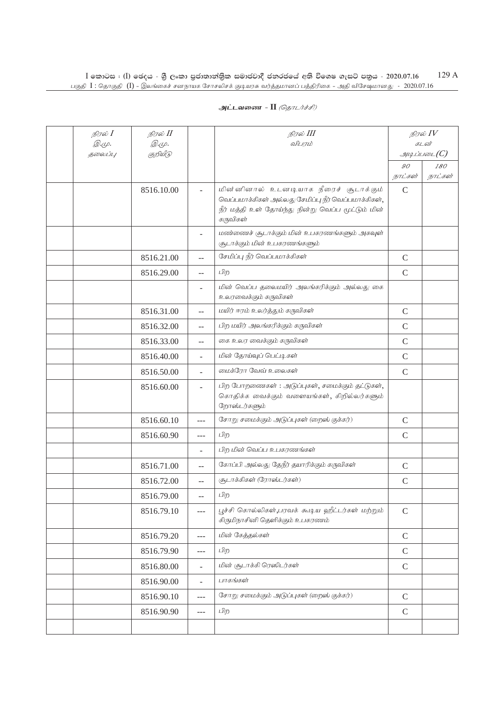| நிரல் I<br><i>@.cp.</i> | நிரல் II<br><i>@.</i> மு. |                | நிரல் III<br>விபரம்                                                                                                                                            |               | நிரல் $IV$<br>கடன் |
|-------------------------|---------------------------|----------------|----------------------------------------------------------------------------------------------------------------------------------------------------------------|---------------|--------------------|
| தலைப்பு                 | குறியீடு                  |                |                                                                                                                                                                |               | $\mathcal{I}$      |
|                         |                           |                |                                                                                                                                                                | 90            | 180                |
|                         |                           |                |                                                                                                                                                                | நாட்கள்       | நாட்கள்            |
|                         | 8516.10.00                |                | மின்னினால் உடனடியாக நீரைச் சூடாக்கும்<br>வெப்பமாக்கிகள் அல்லது சேமிப்பு நீர் வெப்பமாக்கிகள்,<br>நீர் மத்தி உள் தோய்ந்து நின்று வெப்ப மூட்டும் மின்<br>கருவிகள் | $\mathsf{C}$  |                    |
|                         |                           |                | மண்ணைச் சூடாக்கும் மின் உபகரணங்களும் அகவுள்<br>சூடாக்கும் மின் உபகரணங்களும்                                                                                    |               |                    |
|                         | 8516.21.00                | $-$            | சேமிப்பு நீர் வெப்பமாக்கிகள்                                                                                                                                   | $\mathcal{C}$ |                    |
|                         | 8516.29.00                | $\overline{a}$ | பிற                                                                                                                                                            | $\mathcal{C}$ |                    |
|                         |                           | ÷              | மின் வெப்ப தலைமயிர் அலங்கரிக்கும் அல்லது கை<br>உலரவைக்கும் கருவிகள்                                                                                            |               |                    |
|                         | 8516.31.00                | $-$            | மயிர் ஈரம் உலர்த்தும் கருவிகள்                                                                                                                                 | $\mathcal{C}$ |                    |
|                         | 8516.32.00                | $-$            | பிற மயிர் அலங்கரிக்கும் கருவிகள்                                                                                                                               | $\mathcal{C}$ |                    |
|                         | 8516.33.00                | $-$            | கை உலர வைக்கும் கருவிகள்                                                                                                                                       | $\mathcal{C}$ |                    |
|                         | 8516.40.00                | ٠              | மின் தோய்வுப் பெட்டிகள்                                                                                                                                        | $\mathcal{C}$ |                    |
|                         | 8516.50.00                |                | மைக்ரோ வேவ் உலைகள்                                                                                                                                             | $\mathcal{C}$ |                    |
|                         | 8516.60.00                |                | பிற போறணைகள்: அடுப்புகள், சமைக்கும் தட்டுகள்,<br>கொதிக்க வைக்கும் வளையங்கள், கிறில்லர்களும்<br>றோஸ்டர்களும்                                                    |               |                    |
|                         | 8516.60.10                | $---$          | சோறு சமைக்கும் அடுப்புகள் (றைஸ் குக்கர்)                                                                                                                       | $\mathsf{C}$  |                    |
|                         | 8516.60.90                | $---$          | பிற                                                                                                                                                            | $\mathsf{C}$  |                    |
|                         |                           | ÷              | பிற மின் வெப்ப உபகரணங்கள்                                                                                                                                      |               |                    |
|                         | 8516.71.00                | $-$            | கோப்பி அல்லது தேநீர் தயாரிக்கும் கருவிகள்                                                                                                                      | $\mathcal{C}$ |                    |
|                         | 8516.72.00                | $-$            | (சூடாக்கிகள் (ரோஸ்டர்கள்)                                                                                                                                      | $\mathcal{C}$ |                    |
|                         | 8516.79.00                | $-$            | பிற                                                                                                                                                            |               |                    |
|                         | 8516.79.10                | ---            | பூச்சி கொல்லிகள்,பரவக் கூடிய ஹீட்டர்கள் மற்றும்<br>கிருமிநாசினி தெளிக்கும் உபகரணம்                                                                             | $\mathsf C$   |                    |
|                         | 8516.79.20                | $ -$           | மின் கேத்தல்கள்                                                                                                                                                | $\mathsf C$   |                    |
|                         | 8516.79.90                | ---            | பிற                                                                                                                                                            | $\mathsf C$   |                    |
|                         | 8516.80.00                | $\frac{1}{2}$  | மின் சூடாக்கி ரெஸிடர்கள்                                                                                                                                       | $\mathsf C$   |                    |
|                         | 8516.90.00                | ÷,             | பாகங்கள்                                                                                                                                                       |               |                    |
|                         | 8516.90.10                | ---            | சோறு சமைக்கும் அடுப்புகள் (றைஸ் குக்கர்)                                                                                                                       | $\mathsf C$   |                    |
|                         | 8516.90.90                | ---            | பிற                                                                                                                                                            | $\mathsf C$   |                    |
|                         |                           |                |                                                                                                                                                                |               |                    |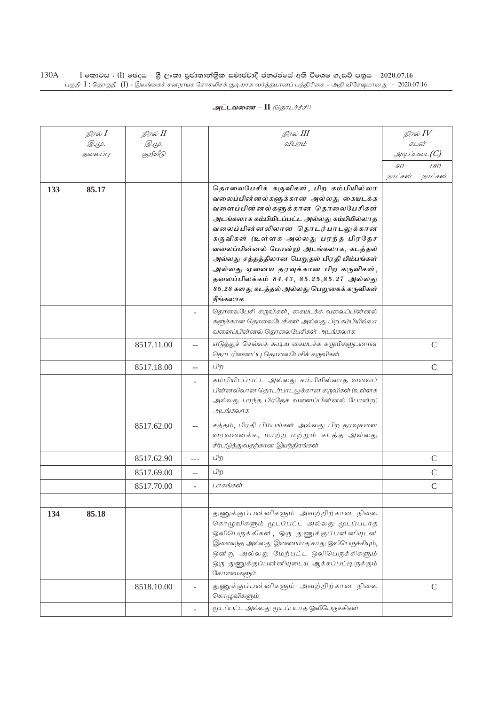|     | நிரல் $I$    | நிரல் II     |        | நிரல் III                                                                                                                                                                                                                                                                                                                                                                                                                                                                     |         | நிரல் $IV$     |
|-----|--------------|--------------|--------|-------------------------------------------------------------------------------------------------------------------------------------------------------------------------------------------------------------------------------------------------------------------------------------------------------------------------------------------------------------------------------------------------------------------------------------------------------------------------------|---------|----------------|
|     | <i>@.cp.</i> | <i>@.மு.</i> |        | விபாம்                                                                                                                                                                                                                                                                                                                                                                                                                                                                        |         | கடன்           |
|     | 5000U1L      | குறியீடு     |        |                                                                                                                                                                                                                                                                                                                                                                                                                                                                               | 90      | $\mathcal G$   |
|     |              |              |        |                                                                                                                                                                                                                                                                                                                                                                                                                                                                               | நாட்கள் | 180<br>நாட்கள் |
| 133 | 85.17        |              |        | தொலைபேசிக் கருவிகள், பிற கம்பியில்லா<br>வலைப்பின்னல்களுக்கான அல்லது கையடக்க<br>வளைப்பின்னல்களுக்கான தொலைபேசிகள்<br>அடங்கலாக கம்பியிடப்பட்ட அல்லது கம்பியில்லாத<br>வலைப்பின்னலிலான தொடர்பாடலுக்கான<br>கருவிகள் (உள்ளக அல்லது பரந்த பிரதேச<br>வலைப்பின்னல் போன்ற) அடங்கலாக, கடத்தல்<br>அல்லது சத்தத்திலான பெறுதல் பிரதி பிம்பங்கள்<br>அல்லது ஏனைய தரவுக்கான பிற கருவிகள்,<br>தலைப்பிலக்கம் 84.43, 85.25,85.27 அல்லது<br>85.28 களது கடத்தல் அல்லது பெறுகைக் கருவிகள்<br>நீங்கலாக |         |                |
|     |              |              |        | தொலைபேசி கருவிகள், கையடக்க வலைப்பின்னல்<br>களுக்கான தொலைபேசிகள் அல்லது பிற கம்பியில்லா<br>வளைப்பின்னல் தொலைபேசிகள் அடங்கலாக                                                                                                                                                                                                                                                                                                                                                   |         |                |
|     |              | 8517.11.00   | $\sim$ | எடுத்துச் செல்லக் கூடிய கையடக்க கருவிகளுடனான<br>தொடரிணைப்பு தொலைபேசிக் கருவிகள்                                                                                                                                                                                                                                                                                                                                                                                               |         | $\mathsf{C}$   |
|     |              | 8517.18.00   | $-$    | பிற                                                                                                                                                                                                                                                                                                                                                                                                                                                                           |         | $\mathcal{C}$  |
|     |              |              |        | கம்பியிடப்பட்ட அல்லது கம்பியில்லாத வலைப்<br>பின்னலிலான தொடர்பாடலுக்கான கருவிகள் (உள்ளக<br>அல்லது பரந்த பிரதேச வளைப்பின்னல் போன்ற)<br>அடங்கலாக                                                                                                                                                                                                                                                                                                                                 |         |                |
|     |              | 8517.62.00   |        | சத்தம், பிரதி பிம்பங்கள் அல்லது பிற தரவுகளை<br>வரவளைக்க, மாற்ற மற்றும் கடத்த அல்லது<br>சீர்படுத்துவதற்கான இயந்திரங்கள்                                                                                                                                                                                                                                                                                                                                                        |         |                |
|     |              | 8517.62.90   | ---    | பிற                                                                                                                                                                                                                                                                                                                                                                                                                                                                           |         | $\mathcal{C}$  |
|     |              | 8517.69.00   | --     | பிற                                                                                                                                                                                                                                                                                                                                                                                                                                                                           |         | $\mathcal{C}$  |
|     |              | 8517.70.00   |        | பாகங்கள்                                                                                                                                                                                                                                                                                                                                                                                                                                                                      |         | $\mathcal{C}$  |
|     |              |              |        |                                                                                                                                                                                                                                                                                                                                                                                                                                                                               |         |                |
| 134 | 85.18        |              |        | துணுக்குப்பன்னிகளும் அவற்றிற்கான நிலை<br>கொழுவிகளும் மூடப்பட்ட அல்லது மூடப்படாத<br>ஒலிபெருக்கிகள், ஒரு துணுக்குப்பன்னியுடன்<br>இணைந்த அல்லது இணையாத காது ஒலிபெருக்கியும்,<br>ஒன்று அல்லது மேற்பட்ட ஒலிபெருக்கிகளும்<br>ஒரு துணுக்குப்பன்னியுடைய ஆக்கப்பட்டிருக்கும்<br>கோவைகளும்                                                                                                                                                                                              |         |                |
|     |              | 8518.10.00   |        | துணுக்குப்பன்னிகளும் அவற்றிற்கான நிலை<br>கொழுவிகளும்                                                                                                                                                                                                                                                                                                                                                                                                                          |         | C              |
|     |              |              |        | மூடப்பட்ட அல்லது மூடப்படாத ஒலிபெருக்கிகள்                                                                                                                                                                                                                                                                                                                                                                                                                                     |         |                |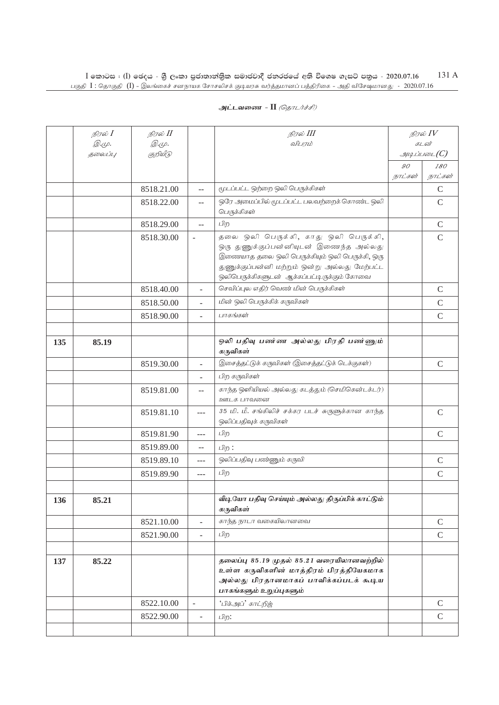|     | நிரல் I                  | நிரல் II                 |                          | நிரல் III                                                                                                                                                                                                                      |         | நிரல் $IV$            |
|-----|--------------------------|--------------------------|--------------------------|--------------------------------------------------------------------------------------------------------------------------------------------------------------------------------------------------------------------------------|---------|-----------------------|
|     | <i>@.</i> மு.<br>தலைப்பு | <i>@.cp.</i><br>குறியீடு |                          | விபரம்                                                                                                                                                                                                                         |         | கடன்<br>$\mathcal{I}$ |
|     |                          |                          |                          |                                                                                                                                                                                                                                | 90      | 180                   |
|     |                          |                          |                          |                                                                                                                                                                                                                                | நாட்கள் | நாட்கள்               |
|     |                          | 8518.21.00               | $-$                      | மூடப்பட்ட ஒற்றை ஒலி பெருக்கிகள்                                                                                                                                                                                                |         | $\mathcal{C}$         |
|     |                          | 8518.22.00               | $-$                      | ஒரே அமைப்பில் மூடப்பட்ட பலவற்றைக் கொண்ட ஒலி<br>பெருக்கிகள்                                                                                                                                                                     |         | $\mathcal{C}$         |
|     |                          | 8518.29.00               | $-$                      | பிற                                                                                                                                                                                                                            |         | $\mathsf{C}$          |
|     |                          | 8518.30.00               | $\overline{\phantom{a}}$ | தலை ஒலி பெருக்கி, காது ஒலி பெருக்கி,<br>ஒரு துணுக்குப்பன்னியுடன் இணைந்த அல்லது<br>இணையாத தலை ஒலி பெருக்கியும் ஒலி பெருக்கி, ஒரு<br>துணுக்குப்பன்னி மற்றும் ஒன்று அல்லது மேற்பட்ட<br>ஒலிபெருக்கிகளுடன் ஆக்கப்பட்டிருக்கும் கோவை |         | $\mathcal{C}$         |
|     |                          | 8518.40.00               | $\overline{\phantom{0}}$ | செவிப்புல எதிர் வெண் மின் பெருக்கிகள்                                                                                                                                                                                          |         | $\mathcal{C}$         |
|     |                          | 8518.50.00               | L.                       | மின் ஒலி பெருக்கிக் கருவிகள்                                                                                                                                                                                                   |         | $\mathsf{C}$          |
|     |                          | 8518.90.00               | $\overline{\phantom{a}}$ | பாகங்கள்                                                                                                                                                                                                                       |         | $\mathbf C$           |
|     |                          |                          |                          |                                                                                                                                                                                                                                |         |                       |
| 135 | 85.19                    |                          |                          | ஒலி பதிவு பண்ண அல்லது பிரதி பண்ணும்<br>கருவிகள்                                                                                                                                                                                |         |                       |
|     |                          | 8519.30.00               | $\overline{a}$           | இசைத்தட்டுக் கருவிகள் (இசைத்தட்டுக் டெக்குகள்)                                                                                                                                                                                 |         | $\mathcal{C}$         |
|     |                          |                          |                          | பிற கருவிகள்                                                                                                                                                                                                                   |         |                       |
|     |                          | 8519.81.00               | $-$                      | காந்த ஒளியியல் அல்லது கடத்தும் (செமிகென்டக்டர்)<br>ஊடக பாவனை                                                                                                                                                                   |         |                       |
|     |                          | 8519.81.10               | $- - -$                  | 35 மி. மீ. சங்கிலிச் சக்கர படச் சுருளுக்கான காந்த<br>ஒலிப்பதிவுக் கருவிகள்                                                                                                                                                     |         | $\mathcal{C}$         |
|     |                          | 8519.81.90               | ---                      | பிற                                                                                                                                                                                                                            |         | $\mathcal{C}$         |
|     |                          | 8519.89.00               | $-$                      | பிற :                                                                                                                                                                                                                          |         |                       |
|     |                          | 8519.89.10               | ---                      | ஒலிப்பதிவு பண்ணும் கருவி                                                                                                                                                                                                       |         | $\mathcal{C}$         |
|     |                          | 8519.89.90               | $\overline{a}$           | பிற                                                                                                                                                                                                                            |         | $\mathbf C$           |
|     |                          |                          |                          |                                                                                                                                                                                                                                |         |                       |
| 136 | 85.21                    |                          |                          | வீடியோ பதிவு செய்யும் அல்லது திருப்பிக் காட்டும்<br>கருவிகள்                                                                                                                                                                   |         |                       |
|     |                          | 8521.10.00               | $\equiv$                 | காந்த நாடா வகையிலானவை                                                                                                                                                                                                          |         | $\mathcal{C}$         |
|     |                          | 8521.90.00               | $\overline{a}$           | பிற                                                                                                                                                                                                                            |         | $\mathsf{C}$          |
|     |                          |                          |                          |                                                                                                                                                                                                                                |         |                       |
| 137 | 85.22                    |                          |                          | தலைப்பு 85.19 முதல் 85.21 வரையிலானவற்றில்<br>உள்ள கருவிகளின் மாத்திரம் பிரத்தியேகமாக<br>அல்லது பிரதானமாகப் பாவிக்கப்படக் கூடிய<br>பாகங்களும் உறுப்புகளும்                                                                      |         |                       |
|     |                          | 8522.10.00               | $\overline{\phantom{a}}$ | 'பிக்அப்' காட்றித்                                                                                                                                                                                                             |         | $\mathcal{C}$         |
|     |                          | 8522.90.00               | $\overline{\phantom{a}}$ | பிற:                                                                                                                                                                                                                           |         | $\mathcal{C}$         |
|     |                          |                          |                          |                                                                                                                                                                                                                                |         |                       |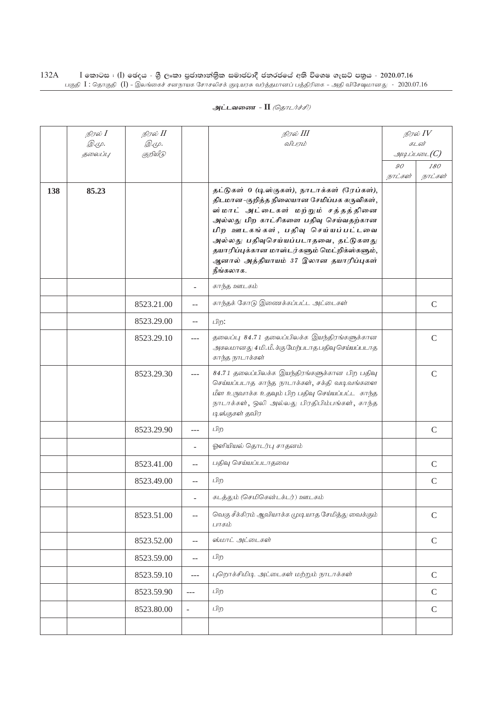| அட்டவணை - II <i>(தொடர்ச்சி)</i> |  |  |  |
|---------------------------------|--|--|--|
|---------------------------------|--|--|--|

|     | நிரல் $I$<br><i>©.</i> Ψ. | நிரல் II<br><i>@.cp.</i> |                          | நிரல் III<br>விபரம்                                                                                                                                                                                                                                                                                                                                          |         | நிரல் $IV$<br>கடன் |
|-----|---------------------------|--------------------------|--------------------------|--------------------------------------------------------------------------------------------------------------------------------------------------------------------------------------------------------------------------------------------------------------------------------------------------------------------------------------------------------------|---------|--------------------|
|     | தலைப்பு                   | குறியீடு                 |                          |                                                                                                                                                                                                                                                                                                                                                              |         | $\mathcal{A}$      |
|     |                           |                          |                          |                                                                                                                                                                                                                                                                                                                                                              | 90      | 180                |
| 138 | 85.23                     |                          |                          | தட்டுகள் 0 (டிஸ்குகள்), நாடாக்கள் (ரேப்கள்),<br>திடமான-குறித்த நிலையான சேமிப்பக கருவிகள்,<br>ஸ்மாட் அட்டைகள் மற்றும் சத்தத்தினை<br>அல்லது பிற காட்சிகளை பதிவு செய்வதற்கான<br>பிற ஊடகங்கள், பதிவு செய்யப்பட்டவை<br>அல்லது பதிவுசெய்யப்படாதவை, தட்டுகளது<br>தயாரிப்புக்கான மாஸ்டர்களும் மெட்றிக்ஸ்களும்,<br>ஆனால் அத்தியாயம் 37 இலான தயாரிப்புகள்<br>நீங்கலாக. | நாட்கள் | நாட்கள்            |
|     |                           |                          | ۰                        | காந்த ஊடகம்                                                                                                                                                                                                                                                                                                                                                  |         |                    |
|     |                           | 8523.21.00               | $-$                      | காந்தக் கோடு இணைக்கப்பட்ட அட்டைகள்                                                                                                                                                                                                                                                                                                                           |         | $\mathcal{C}$      |
|     |                           | 8523.29.00               | $\overline{a}$           | பிற:                                                                                                                                                                                                                                                                                                                                                         |         |                    |
|     |                           | 8523.29.10               | $---$                    | தலைப்பு 84.71 தலைப்பிலக்க இயந்திரங்களுக்கான<br>அகலமானது 4 மி. மீ. க்கு மேற்படாத பதிவு செய்யப்படாத<br>காந்த நாடாக்கள்                                                                                                                                                                                                                                         |         | $\mathcal{C}$      |
|     |                           | 8523.29.30               | ---                      | 84.71 தலைப்பிலக்க இயந்திரங்களுக்கான பிற பதிவு<br>செய்யப்படாத காந்த நாடாக்கள், சக்தி வடிவங்களை<br>மீள உருவாக்க உதவும் பிற பதிவு செய்யப்பட்ட காந்த<br>நாடாக்கள், ஒலி அல்லது பிரதிபிம்பங்கள், காந்த<br>டிஸ்குகள் தவிர                                                                                                                                           |         | $\mathsf{C}$       |
|     |                           | 8523.29.90               | ---                      | பிற                                                                                                                                                                                                                                                                                                                                                          |         | $\mathcal{C}$      |
|     |                           |                          | L.                       | ஓளியியல் தொடர்பு சாதனம்                                                                                                                                                                                                                                                                                                                                      |         |                    |
|     |                           | 8523.41.00               | $\overline{a}$           | பதிவு செய்யப்படாதவை                                                                                                                                                                                                                                                                                                                                          |         | $\mathcal{C}$      |
|     |                           | 8523.49.00               | $\overline{a}$           | பிற                                                                                                                                                                                                                                                                                                                                                          |         | $\mathcal{C}$      |
|     |                           |                          | -                        | கடத்தும் (செமிகென்டக்டர்) ஊடகம்                                                                                                                                                                                                                                                                                                                              |         |                    |
|     |                           | 8523.51.00               | $-$                      | வெகு சீக்கிரம் ஆவியாக்க முடியாத சேமித்து வைக்கும்<br>பாகம்                                                                                                                                                                                                                                                                                                   |         | $\mathcal{C}$      |
|     |                           | 8523.52.00               | $\overline{a}$           | ஸ்மாட் அட்டைகள்                                                                                                                                                                                                                                                                                                                                              |         | $\mathsf{C}$       |
|     |                           | 8523.59.00               | $\overline{a}$           | பிற                                                                                                                                                                                                                                                                                                                                                          |         |                    |
|     |                           | 8523.59.10               | $---$                    | புறொக்சிமிடி அட்டைகள் மற்றும் நாடாக்கள்                                                                                                                                                                                                                                                                                                                      |         | $\mathcal{C}$      |
|     |                           | 8523.59.90               | $\sim$ $\sim$ $\sim$     | பிற                                                                                                                                                                                                                                                                                                                                                          |         | $\mathcal{C}$      |
|     |                           | 8523.80.00               | $\overline{\phantom{a}}$ | பிற                                                                                                                                                                                                                                                                                                                                                          |         | $\mathcal{C}$      |
|     |                           |                          |                          |                                                                                                                                                                                                                                                                                                                                                              |         |                    |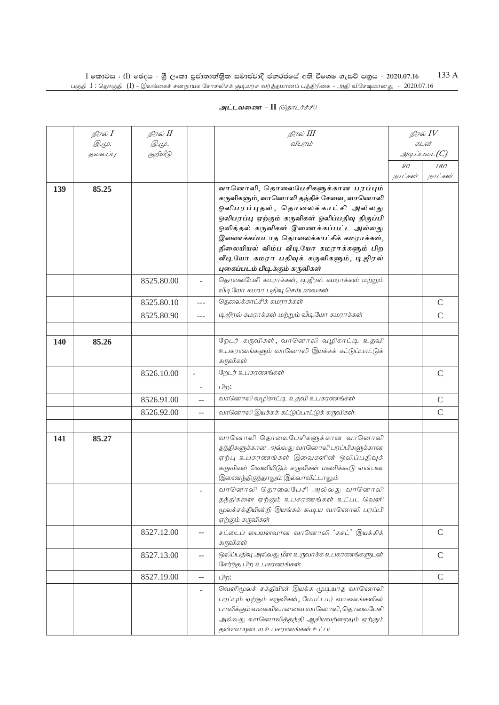|            | நிரல் I | நிரல் II     |                          | நிரல் III                                                                        |                | நிரல் IV            |
|------------|---------|--------------|--------------------------|----------------------------------------------------------------------------------|----------------|---------------------|
|            | Q.Ψ.    | <i>@.cp.</i> |                          | விபரம்                                                                           |                | கடன்                |
|            | தலைப்பு | குறியீடு     |                          |                                                                                  |                | $g$ uq Liuson $(C)$ |
|            |         |              |                          |                                                                                  | $\mathcal{O}O$ | 180                 |
|            |         |              |                          |                                                                                  | நாட்கள்        | நாட்கள்             |
| 139        | 85.25   |              |                          | வானொலி, தொலைபேசிகளுக்கான பரப்பும்                                                |                |                     |
|            |         |              |                          | கருவிகளும், வானொலி தந்திச் சேவை, வானொலி                                          |                |                     |
|            |         |              |                          | ஒலிபரப்புதல், தொலைக்காட்சி அல்லது                                                |                |                     |
|            |         |              |                          | ஒலிபரப்பு ஏற்கும் கருவிகள் ஒலிப்பதிவு திருப்பி                                   |                |                     |
|            |         |              |                          | ஒலித்தல் கருவிகள் இணைக்கப்பட்ட அல்லது                                            |                |                     |
|            |         |              |                          | இணைக்கப்படாத தொலைக்காட்சிக் கமராக்கள்,<br>நிலையியல் விம்ப வீடியோ கமராக்களும் பிற |                |                     |
|            |         |              |                          | வீடியோ கமரா பதிவுக் கருவிகளும், டிஜிரல்                                          |                |                     |
|            |         |              |                          | புகைப்படம் பிடிக்கும் கருவிகள்                                                   |                |                     |
|            |         | 8525.80.00   | $\overline{\phantom{0}}$ | தொலைபேசி கமராக்கள், டிஜிரல் கமராக்கள் மற்றும்                                    |                |                     |
|            |         |              |                          | வீடியோ கமரா பதிவு செய்பவைகள்                                                     |                |                     |
|            |         | 8525.80.10   | $\overline{a}$           | தெலைக்காட்சிக் கமராக்கள்                                                         |                | $\mathcal{C}$       |
|            |         | 8525.80.90   | $---$                    | டி ஜிரல் கமராக்கள் மற்றும் வீடியோ கமராக்கள்                                      |                | $\mathsf{C}$        |
|            |         |              |                          |                                                                                  |                |                     |
| <b>140</b> | 85.26   |              |                          | றேடர் கருவிகள், வானொலி வழிகாட்டி உதவி                                            |                |                     |
|            |         |              |                          | உபகரணங்களும் வானொலி இயக்கக் கட்டுப்பாட்டுக்                                      |                |                     |
|            |         |              |                          | கருவிகள்                                                                         |                |                     |
|            |         | 8526.10.00   | $\overline{\phantom{a}}$ | றேடர் உபகரணங்கள்                                                                 |                | $\mathsf{C}$        |
|            |         |              | $\overline{\phantom{a}}$ | பிற:                                                                             |                |                     |
|            |         | 8526.91.00   | $-$                      | வானொலி வழிகாட்டி உதவி உபகரணங்கள்                                                 |                | C                   |
|            |         | 8526.92.00   | --                       | வானொலி இயக்கக் கட்டுப்பாட்டுக் கருவிகள்:                                         |                | $\mathsf{C}$        |
|            |         |              |                          |                                                                                  |                |                     |
| 141        | 85.27   |              |                          | வானொலி தொலைபேசிகளுக்கான வானொலி                                                   |                |                     |
|            |         |              |                          | தந்திகளுக்கான அல்லது வானொலி பரப்பிகளுக்கான                                       |                |                     |
|            |         |              |                          | ஏற்பு உபகரணங்கள் இவைகளின் ஒலிப்பதிவுக்                                           |                |                     |
|            |         |              |                          | கருவிகள் வெளியிடும் கருவிகள் மணிக்கூடு என்பன                                     |                |                     |
|            |         |              |                          | இணைந்திருந்தாலும் இல்லாவிட்டாலும்                                                |                |                     |
|            |         |              |                          | வானொலி தொலைபேசி அல்லது வானொலி                                                    |                |                     |
|            |         |              |                          | தந்திகளை ஏற்கும் உபகரணங்கள் உட்பட வெளி                                           |                |                     |
|            |         |              |                          | மூலச்சக்தியின்றி இயங்கக் கூடிய வானொலி பரப்பி                                     |                |                     |
|            |         |              |                          | ஏற்கும் கருவிகள்                                                                 |                |                     |
|            |         | 8527.12.00   | $- -$                    | சட்டைப் பையளவான வானொலி 'கசட்' இயக்கிக்<br>கருவிகள்                               |                | $\mathcal{C}$       |
|            |         | 8527.13.00   | $-$                      | ஒலிப்பதிவு அல்லது மீள உருவாக்க உபகரணங்களுடன்                                     |                | $\mathcal{C}$       |
|            |         |              |                          | சேர்ந்த பிற உபகரணங்கள்                                                           |                |                     |
|            |         | 8527.19.00   | $-$                      | பிற:                                                                             |                | $\mathcal{C}$       |
|            |         |              | ÷                        | வெளிமூலச் சக்தியின் இயக்க முடியாத வானொலி                                         |                |                     |
|            |         |              |                          | பரப்பும் ஏற்கும் கருவிகள், மோட்டார் வாகனங்களின்                                  |                |                     |
|            |         |              |                          | பாவிக்கும் வகையிலானவை வானொலி, தொலைபேசி                                           |                |                     |
|            |         |              |                          | அல்லது வானொலித்தந்தி ஆகியவற்றையும் ஏற்கும்<br><i>ன்</i> பையடைய உபாரணங்ாள் உட்பட  |                |                     |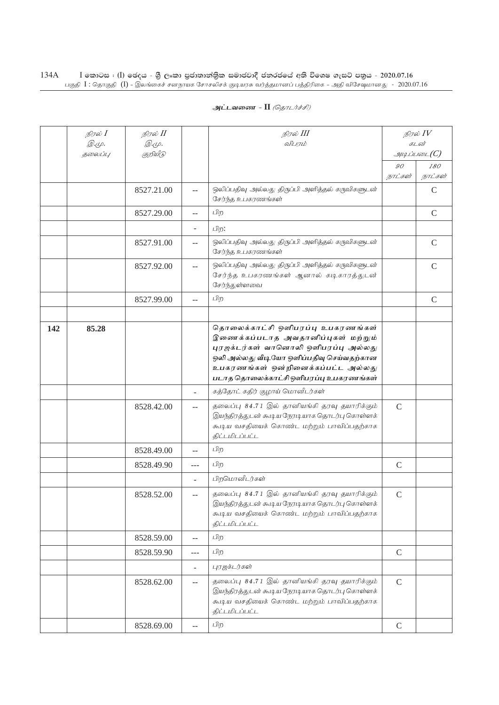|     | நிரல் <b>I</b><br>$\mathcal{D}.\varphi.$ | நிரல் II<br><i>©.Ψ.</i> |                          | நிரல் III<br>விபரம்                                                                                                                                                                                                                         |               | நிரல் $\mathit{IV}$<br>கடன் |
|-----|------------------------------------------|-------------------------|--------------------------|---------------------------------------------------------------------------------------------------------------------------------------------------------------------------------------------------------------------------------------------|---------------|-----------------------------|
|     | தலைப்பு                                  | குறியீடு                |                          |                                                                                                                                                                                                                                             |               | g                           |
|     |                                          |                         |                          |                                                                                                                                                                                                                                             | 90<br>நாட்கள் | 180<br>நாட்கள்              |
|     |                                          | 8527.21.00              | $-$                      | ஒலிப்பதிவு அல்லது திருப்பி அளித்தல் கருவிகளுடன்<br>சேர்ந்த உபகரணங்கள்                                                                                                                                                                       |               | $\mathcal{C}$               |
|     |                                          | 8527.29.00              | $-$                      | பிற                                                                                                                                                                                                                                         |               | $\mathsf{C}$                |
|     |                                          |                         | ÷.                       | பிற:                                                                                                                                                                                                                                        |               |                             |
|     |                                          | 8527.91.00              | $-$                      | ஒலிப்பதிவு அல்லது திருப்பி அளித்தல் கருவிகளுடன்<br>சேர்ந்த உபகரணங்கள்                                                                                                                                                                       |               | $\mathsf{C}$                |
|     |                                          | 8527.92.00              | $-$                      | ஒலிப்பதிவு அல்லது திருப்பி அளித்தல் கருவிகளுடன்<br>சேர்ந்த உபகரணங்கள் ஆனால் கடிகாரத்துடன்<br>சேர்ந்துள்ளவை                                                                                                                                  |               | $\mathsf{C}$                |
|     |                                          | 8527.99.00              | $-$                      | பிற                                                                                                                                                                                                                                         |               | $\mathcal{C}$               |
|     |                                          |                         |                          |                                                                                                                                                                                                                                             |               |                             |
| 142 | 85.28                                    |                         |                          | தொலைக்காட்சி ஒளிபரப்பு உபகரணங்கள்<br>இணைக்கப்படாத அவதானிப்புகள் மற்றும்<br>புரஜக்டர்கள் வானொலி ஒளிபரப்பு அல்லது<br>ஒலி அல்லது வீடியோ ஒளிப்பதிவு செய்வதற்கான<br>உபகரணங்கள் ஒன்றினைக்கப்பட்ட அல்லது<br>படாத தொலைக்காட்சி ஒளிபரப்பு உபகரணங்கள் |               |                             |
|     |                                          |                         | ÷.                       | கத்தோட் கதிர் குழாய் மொனீடர்கள்                                                                                                                                                                                                             |               |                             |
|     |                                          | 8528.42.00              | $-$                      | தலைப்பு 84.71 இல் தானியங்கி தரவு தயாரிக்கும்<br>இயந்திரத்துடன் கூடிய நேரடியாக தொடர்பு கொள்ளக்<br>கூடிய வசதியைக் கொண்ட மற்றும் பாவிப்பதற்காக<br>திட்டமிடப்பட்ட                                                                               | $\mathcal{C}$ |                             |
|     |                                          | 8528.49.00              | $-$                      | பிற                                                                                                                                                                                                                                         |               |                             |
|     |                                          | 8528.49.90              | ---                      | பிற                                                                                                                                                                                                                                         | $\mathcal{C}$ |                             |
|     |                                          |                         |                          | பிறமொனீடர்கள்                                                                                                                                                                                                                               |               |                             |
|     |                                          | 8528.52.00              | $-$                      | தலைப்பு 84.71 இல் தானியங்கி தரவு தயாரிக்கும்<br>இயந்திரத்துடன் கூடிய நேரடியாக தொடர்பு கொள்ளக்<br>கூடிய வசதியைக் கொண்ட மற்றும் பாவிப்பதற்காக<br>திட்டமிடப்பட்ட                                                                               | $\mathsf C$   |                             |
|     |                                          | 8528.59.00              | $-$                      | பிற                                                                                                                                                                                                                                         |               |                             |
|     |                                          | 8528.59.90              | ---                      | பிற                                                                                                                                                                                                                                         | $\mathcal{C}$ |                             |
|     |                                          |                         | $\overline{\phantom{0}}$ | புரஜக்டர்கள்                                                                                                                                                                                                                                |               |                             |
|     |                                          | 8528.62.00              | $-$                      | தலைப்பு 84.71 இல் தானியங்கி தரவு தயாரிக்கும்<br>இயந்திரத்துடன் கூடிய நேரடியாக தொடர்பு கொள்ளக்<br>கூடிய வசதியைக் கொண்ட மற்றும் பாவிப்பதற்காக<br>திட்டமிடப்பட்ட                                                                               | $\mathcal{C}$ |                             |
|     |                                          | 8528.69.00              | $-$                      | பிற                                                                                                                                                                                                                                         | $\mathsf C$   |                             |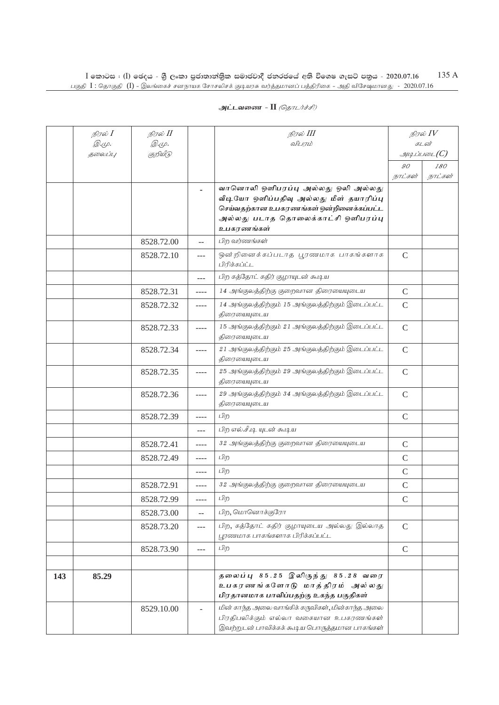|     | நிரல் $I$    | நிரல் II     |                | நிரல் III                                                                                                                                                      |                         | நிரல் $\mathit{IV}$      |
|-----|--------------|--------------|----------------|----------------------------------------------------------------------------------------------------------------------------------------------------------------|-------------------------|--------------------------|
|     | <i>@.cp.</i> | <i>@.cp.</i> |                | விபரம்                                                                                                                                                         |                         | கடன்                     |
|     | தலைப்பு      | குறியீடு     |                |                                                                                                                                                                |                         | $\mathcal{A}\mathcal{A}$ |
|     |              |              |                |                                                                                                                                                                | $90^{\circ}$<br>நாட்கள் | 180<br>நாட்கள்           |
|     |              |              |                | வானொலி ஒளிபரப்பு அல்லது ஒலி அல்லது<br>வீடியோ ஒளிப்பதிவு அல்லது மீள் தயாரிப்பு<br>செய்வதற்கான உபகரணங்கள் ஒன்றினைக்கப்பட்ட<br>அல்லது படாத தொலைக்காட்சி ஒளிபரப்பு |                         |                          |
|     |              | 8528.72.00   |                | உபகரணங்கள்<br>பிற வர்ணங்கள்                                                                                                                                    |                         |                          |
|     |              |              | $-$            |                                                                                                                                                                |                         |                          |
|     |              | 8528.72.10   | ---            | ஒன்றினைக்கப்படாத பூரணமாக பாகங்களாக<br>பிரிக்கப்ட்ட                                                                                                             | $\mathsf{C}$            |                          |
|     |              |              | $---$          | பிற கத்தோட் கதிர் குழாயுடன் கூடிய                                                                                                                              |                         |                          |
|     |              | 8528.72.31   | $--- -$        | 14 அங்குலத்திற்கு குறைவான திரையையுடைய                                                                                                                          | $\mathcal{C}$           |                          |
|     |              | 8528.72.32   | $--- -$        | 14 அங்குலத்திற்கும் 15 அங்குலத்திற்கும் இடைப்பட்ட<br>திரையையுடைய                                                                                               | $\mathcal{C}$           |                          |
|     |              | 8528.72.33   | $--- -$        | 15 அங்குலத்திற்கும் 21 அங்குலத்திற்கும் இடைப்பட்ட<br>திரையையுடைய                                                                                               | $\mathcal{C}$           |                          |
|     |              | 8528.72.34   | ----           | 21 அங்குலத்திற்கும் 25 அங்குலத்திற்கும் இடைப்பட்ட<br>திரையையுடைய                                                                                               | $\mathsf{C}$            |                          |
|     |              | 8528.72.35   | ----           | 25 அங்குலத்திற்கும் 29 அங்குலத்திற்கும் இடைப்பட்ட<br>திரையையுடைய                                                                                               | $\mathsf{C}$            |                          |
|     |              | 8528.72.36   | ----           | 29 அங்குலத்திற்கும் 34 அங்குலத்திற்கும் இடைப்பட்ட<br>திரையையுடைய                                                                                               | $\mathsf{C}$            |                          |
|     |              | 8528.72.39   | ----           | பிற                                                                                                                                                            | $\mathsf{C}$            |                          |
|     |              |              | $- - -$        | பிற எல்.சீ.டி யுடன் கூடிய                                                                                                                                      |                         |                          |
|     |              | 8528.72.41   | ----           | 32 அங்குலத்திற்கு குறைவான திரையையுடைய                                                                                                                          | $\mathsf C$             |                          |
|     |              | 8528.72.49   | ----           | பிற                                                                                                                                                            | $\mathcal{C}$           |                          |
|     |              |              | ----           | பிற                                                                                                                                                            | $\mathcal{C}$           |                          |
|     |              | 8528.72.91   | ----           | 32 அங்குலத்திற்கு குறைவான திரையையுடைய                                                                                                                          | $\mathcal{C}$           |                          |
|     |              | 8528.72.99   |                | பிற                                                                                                                                                            | $\mathcal{C}$           |                          |
|     |              | 8528.73.00   | $\overline{a}$ | பிற, மொனொக்குரோ                                                                                                                                                |                         |                          |
|     |              | 8528.73.20   | $---$          | பிற, கத்தோட் கதிர் குழாயுடைய அல்லது இல்லாத<br>பூரணமாக பாகங்களாக பிரிக்கப்பட்ட                                                                                  | $\mathsf{C}$            |                          |
|     |              | 8528.73.90   | ---            | பிற                                                                                                                                                            | $\mathcal{C}$           |                          |
|     |              |              |                |                                                                                                                                                                |                         |                          |
| 143 | 85.29        |              |                | தலைப்பு 85.25 இலிருந்து 85.28 வரை<br>உபகரணங்களோடு மாத்திரம் அல்லது<br>பிரதானமாக பாவிப்பதற்கு உகந்த பகுதிகள்                                                    |                         |                          |
|     |              | 8529.10.00   |                | மின் காந்த அலை வாங்கிக் கருவிகள், மின்காந்த அலை<br>பிரதிபலிக்கும் எல்லா வகையான உபகரணங்கள்<br>இவற்றுடன் பாவிக்கக் கூடிய பொருத்தமான பாகங்கள்                     |                         |                          |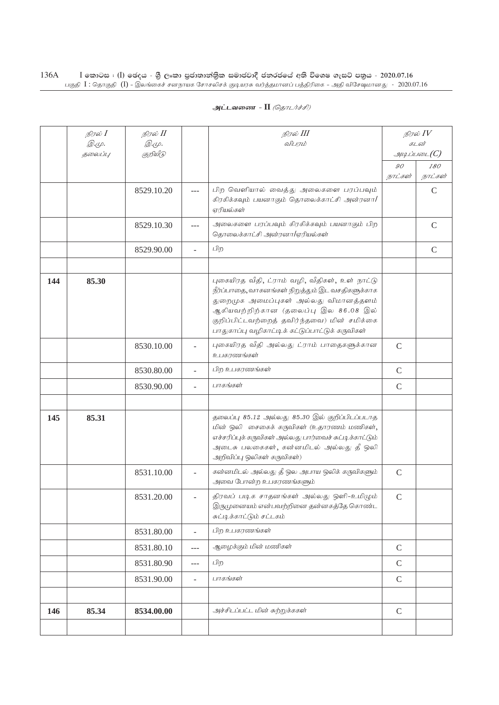|     | நிரல் $I$               | நிரல் II                |                | நிரல் III                                                                                                                                                                                                                                                                             |               | நிரல் $\mathit{IV}$                          |
|-----|-------------------------|-------------------------|----------------|---------------------------------------------------------------------------------------------------------------------------------------------------------------------------------------------------------------------------------------------------------------------------------------|---------------|----------------------------------------------|
|     | <i>©.</i> Ψ.<br>தலைப்பு | <i>©.Ψ.</i><br>குறியீடு |                | விபரம்                                                                                                                                                                                                                                                                                |               | கடன்<br>$\mathcal{A}\mathcal{A}$ ப்படை $(C)$ |
|     |                         |                         |                |                                                                                                                                                                                                                                                                                       | 90            | 180                                          |
|     |                         |                         |                |                                                                                                                                                                                                                                                                                       | நாட்கள்       | நாட்கள்                                      |
|     |                         | 8529.10.20              | $---$          | பிற வெளியால் வைத்து அலைகளை பரப்பவும்<br>கிரகிக்கவும் பயனாகும் தொலைக்காட்சி அன்ரனா/                                                                                                                                                                                                    |               | $\mathcal{C}$                                |
|     |                         |                         |                | ஏரியல்கள்                                                                                                                                                                                                                                                                             |               |                                              |
|     |                         | 8529.10.30              | $---$          | அலைகளை பரப்பவும் கிரகிக்கவும் பயனாகும் பிற<br>தொலைக்காட்சி அன்ரனா/ஏரியல்கள்                                                                                                                                                                                                           |               | $\mathsf{C}$                                 |
|     |                         | 8529.90.00              | $\overline{a}$ | பிற                                                                                                                                                                                                                                                                                   |               | $\mathsf C$                                  |
|     |                         |                         |                |                                                                                                                                                                                                                                                                                       |               |                                              |
| 144 | 85.30                   |                         |                | புகையிரத வீதி, ட்ராம் வழி, வீதிகள், உள் நாட்டு<br>நீர்ப்பாதை, வாகனங்கள் நிறுத்தும் இட வசதிகளுக்காக<br>துறைமுக அமைப்புகள் அல்லது விமானத்தளம்<br>ஆகியவற்றிற்கான (தலைப்பு இல 86.08 இல்<br>குறிப்பிட்டவற்றைத் தவிர்ந்தவை) மின் சமிக்கை<br>பாதுகாப்பு வழிகாட்டிக் கட்டுப்பாட்டுக் கருவிகள் |               |                                              |
|     |                         | 8530.10.00              |                | புகையிரத வீதி அல்லது ட்ராம் பாதைகளுக்கான<br>உபகரணங்கள்                                                                                                                                                                                                                                | $\mathcal{C}$ |                                              |
|     |                         | 8530.80.00              | $\overline{a}$ | பிற உபகரணங்கள்                                                                                                                                                                                                                                                                        | $\mathsf{C}$  |                                              |
|     |                         | 8530.90.00              | L.             | பாகங்கள்                                                                                                                                                                                                                                                                              | $\mathcal{C}$ |                                              |
|     |                         |                         |                |                                                                                                                                                                                                                                                                                       |               |                                              |
| 145 | 85.31                   |                         |                | தலைப்பு 85.12 அல்லது 85.30 இல் குறிப்பிடப்படாத<br>மின் ஒலி சைகைக் கருவிகள் (உதாரணம் மணிகள்,<br>எச்சரிப்புக் கருவிகள் அல்லது பார்வைச் சுட்டிக்காட்டும்<br>அடைசு பலகைகள், கன்னமிடல் அல்லது தீ ஒலி<br>அறிவிப்பு ஒலிகள் கருவிகள்)                                                         |               |                                              |
|     |                         | 8531.10.00              |                | கன்னமிடல் அல்லது தீ ஒல அபாய ஒலிக் கருவிகளும்<br>அவை போன்ற உபகரணங்களும்                                                                                                                                                                                                                | $\mathcal{C}$ |                                              |
|     |                         | 8531.20.00              |                | திரவப் படிக சாதனங்கள் அல்லது ஒளி-உமிழும்<br>இருமுனையம் என்பவற்றினை தன்னகத்தே கொண்ட<br>சுட்டிக்காட்டும் சட்டகம்                                                                                                                                                                        | $\mathsf C$   |                                              |
|     |                         | 8531.80.00              | $\overline{a}$ | பிற உபகரணங்கள்                                                                                                                                                                                                                                                                        |               |                                              |
|     |                         | 8531.80.10              | $---$          | ஆழைக்கும் மின் மணிகள்                                                                                                                                                                                                                                                                 | $\mathcal{C}$ |                                              |
|     |                         | 8531.80.90              | ---            | பிற                                                                                                                                                                                                                                                                                   | $\mathcal{C}$ |                                              |
|     |                         | 8531.90.00              | $\overline{a}$ | பாகங்கள்                                                                                                                                                                                                                                                                              | $\mathcal{C}$ |                                              |
|     |                         |                         |                |                                                                                                                                                                                                                                                                                       |               |                                              |
| 146 | 85.34                   | 8534.00.00              |                | அச்சிடப்பட்ட மின் சுற்றுக்ககள்                                                                                                                                                                                                                                                        | $\mathsf C$   |                                              |
|     |                         |                         |                |                                                                                                                                                                                                                                                                                       |               |                                              |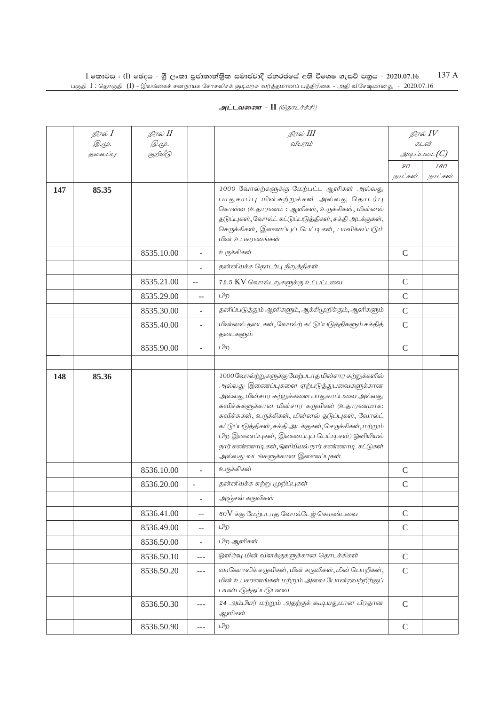|     | நிரல் I<br><i>@.cp.</i> | நிரல் II<br><i>@.cp.</i> |                          | நிரல் III<br>விபரம்                                                                                                                                                                                                                                                                                                                                                                                                                                      |                           | நிரல் IV<br>கடன்      |
|-----|-------------------------|--------------------------|--------------------------|----------------------------------------------------------------------------------------------------------------------------------------------------------------------------------------------------------------------------------------------------------------------------------------------------------------------------------------------------------------------------------------------------------------------------------------------------------|---------------------------|-----------------------|
|     | தலைப்பு                 | குறியீடு                 |                          |                                                                                                                                                                                                                                                                                                                                                                                                                                                          |                           | $\mathcal{A}$         |
|     |                         |                          |                          |                                                                                                                                                                                                                                                                                                                                                                                                                                                          | $\mathcal{O}O$<br>நாட்கள் | <i>180</i><br>நாட்கள் |
| 147 | 85.35                   |                          |                          | 1000 வோல்ற்களுக்கு மேற்பட்ட ஆளிகள் அல்லது<br>பாதுகாப்பு மின்சுற்றுக்கள் அல்லது தொடர்பு<br>கொள்ள (உதாரணம்: ஆளிகள், உருக்கிகள், மின்னல்<br>தடுப்புகள், வோல்ட் கட்டுப்படுத்திகள், சக்தி அடக்குகள்,<br>செருக்கிகள், இணைப்புப் பெட்டிகள், பாவிக்கப்படும்<br>மின் உபகரணங்கள்                                                                                                                                                                                   |                           |                       |
|     |                         | 8535.10.00               | $\overline{\phantom{a}}$ | உருக்கிகள்                                                                                                                                                                                                                                                                                                                                                                                                                                               | $\mathcal{C}$             |                       |
|     |                         |                          |                          | தன்னியக்க தொடர்பு நிறுத்திகள்                                                                                                                                                                                                                                                                                                                                                                                                                            |                           |                       |
|     |                         | 8535.21.00               | $-$                      | 72.5 KV வொல்டறுகளுக்கு உட்பட்டவை                                                                                                                                                                                                                                                                                                                                                                                                                         | $\mathcal{C}$             |                       |
|     |                         | 8535.29.00               | $-$                      | பிற                                                                                                                                                                                                                                                                                                                                                                                                                                                      | $\mathcal{C}$             |                       |
|     |                         | 8535.30.00               | $\overline{\phantom{a}}$ | தனிப்படுத்தும் ஆளிகளும், ஆக்கிமுறிக்கும், ஆளிகளும்                                                                                                                                                                                                                                                                                                                                                                                                       | $\mathsf{C}$              |                       |
|     |                         | 8535.40.00               | $\overline{a}$           | மின்னல் தடைகள், வோல்ற் கட்டுப்படுத்திகளும் சக்தித்<br>தடைகளும்                                                                                                                                                                                                                                                                                                                                                                                           | $\mathcal{C}$             |                       |
|     |                         | 8535.90.00               | ٠                        | பிற                                                                                                                                                                                                                                                                                                                                                                                                                                                      | $\mathsf C$               |                       |
|     |                         |                          |                          |                                                                                                                                                                                                                                                                                                                                                                                                                                                          |                           |                       |
| 148 | 85.36                   |                          |                          | 1000 வோல்ற்றுகளுக்கு மேற்படாத மின்சார சுற்றுக்களில்<br>அல்லது இணைப்புகளை ஏற்படுத்துபவைகளுக்கான<br>அல்லது மின்சார சுற்றுக்களை பாதுகாப்பவை அல்லது<br>சுவிச்சுகளுக்கான மின்சார கருவிகள் (உதாரணமாக:<br>சுவிச்சுகள், உருக்கிகள், மின்னல் தடுப்புகள், வோல்ட்<br>கட்டுப்படுத்திகள், சக்தி அடக்குகள், செருக்கிகள், மற்றும்<br>பிற இணைப்புகள், இணைப்புப் பெட்டிகள்) ஒளியியல்<br>நார் கண்ணாடிகள், ஒளியியல் நார் கண்ணாடி கட்டுகள்<br>அல்லது வடங்களுக்கான இணைப்புகள் |                           |                       |
|     |                         | 8536.10.00               | $\overline{a}$           | உருக்கிகள்                                                                                                                                                                                                                                                                                                                                                                                                                                               | $\mathsf{C}$              |                       |
|     |                         | 8536.20.00               | $\overline{\phantom{a}}$ | தன்னியக்க சுற்று முறிப்புகள்                                                                                                                                                                                                                                                                                                                                                                                                                             | $\mathcal{C}$             |                       |
|     |                         |                          |                          | அஞ்சல் கருவிகள்                                                                                                                                                                                                                                                                                                                                                                                                                                          |                           |                       |
|     |                         | 8536.41.00               | $-$                      | 60V க்கு மேற்படாத வோல்டேத் கொண்டவை                                                                                                                                                                                                                                                                                                                                                                                                                       | $\mathcal{C}$             |                       |
|     |                         | 8536.49.00               | $\overline{a}$           | பிற                                                                                                                                                                                                                                                                                                                                                                                                                                                      | $\mathsf C$               |                       |
|     |                         | 8536.50.00               | $\overline{\phantom{a}}$ | பிற ஆளிகள்                                                                                                                                                                                                                                                                                                                                                                                                                                               |                           |                       |
|     |                         | 8536.50.10               | $---$                    | ஓளிர்வு மின் விளக்குகளுக்கான தொடக்கிகள்                                                                                                                                                                                                                                                                                                                                                                                                                  | $\mathsf C$               |                       |
|     |                         | 8536.50.20               | $---$                    | வானொலிக் கருவிகள், மின் கருவிகள், மின் பொறிகள்,<br>மின் உபகரணங்கள் மற்றும் அவை போன்றவற்றிற்குப்<br>பயன்படுத்தப்படுபவை                                                                                                                                                                                                                                                                                                                                    | $\mathcal{C}$             |                       |
|     |                         | 8536.50.30               | ---                      | 24 அம்பியர் மற்றும் அதற்குக் கூடியதுமான பிரதான<br>ஆளிகள்                                                                                                                                                                                                                                                                                                                                                                                                 | $\mathsf{C}$              |                       |
|     |                         | 8536.50.90               |                          | பிற                                                                                                                                                                                                                                                                                                                                                                                                                                                      | $\Gamma$                  |                       |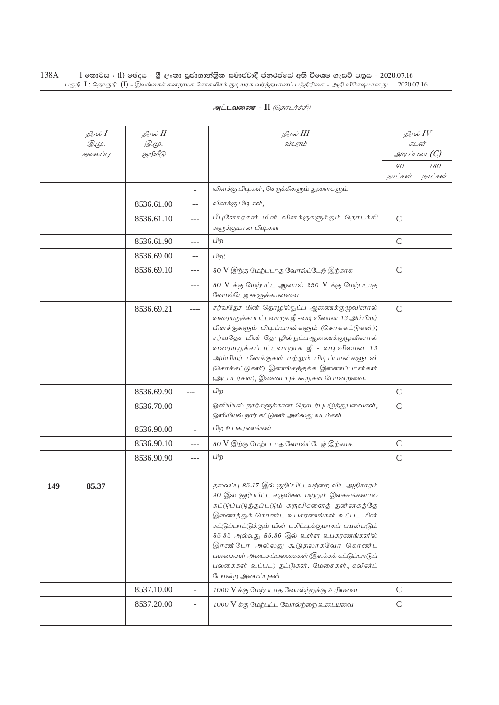| அட்டவணை - II <i>(தொடர்ச்சி)</i> |  |  |  |
|---------------------------------|--|--|--|
|---------------------------------|--|--|--|

|     | நிரல் $I$<br><i>©.</i> Ψ.<br>தலைப்பு | நிரல் II<br>Q.ψ.<br>குறியீடு |                          | நிரல் III<br>விபரம்                                                                                                                                                                                                                                                                                                                                                                                                                              | 90            | நிரல் IV<br>கடன்<br>$g$ uq Liuson $(C)$<br>180 |
|-----|--------------------------------------|------------------------------|--------------------------|--------------------------------------------------------------------------------------------------------------------------------------------------------------------------------------------------------------------------------------------------------------------------------------------------------------------------------------------------------------------------------------------------------------------------------------------------|---------------|------------------------------------------------|
|     |                                      |                              |                          |                                                                                                                                                                                                                                                                                                                                                                                                                                                  | நாட்கள்       | நாட்கள்                                        |
|     |                                      |                              | ÷.                       | விளக்கு பிடிகள், செருக்கிகளும் துளைகளும்                                                                                                                                                                                                                                                                                                                                                                                                         |               |                                                |
|     |                                      | 8536.61.00                   | $\overline{a}$           | விளக்கு பிடிகள்,                                                                                                                                                                                                                                                                                                                                                                                                                                 |               |                                                |
|     |                                      | 8536.61.10                   | ---                      | பீபுளோரசன் மின் விளக்குகளுக்கும் தொடக்கி<br>களுக்குமான பிடிகள்                                                                                                                                                                                                                                                                                                                                                                                   | $\mathsf C$   |                                                |
|     |                                      | 8536.61.90                   | $---$                    | பிற                                                                                                                                                                                                                                                                                                                                                                                                                                              | $\mathsf{C}$  |                                                |
|     |                                      | 8536.69.00                   | --                       | பிற:                                                                                                                                                                                                                                                                                                                                                                                                                                             |               |                                                |
|     |                                      | 8536.69.10                   | ---                      | 80 V இற்கு மேற்படாத வோல்ட்டேஜ் இற்காக                                                                                                                                                                                                                                                                                                                                                                                                            | $\mathcal{C}$ |                                                |
|     |                                      |                              | ---                      | 80 V க்கு மேற்பட்ட ஆனால் 250 V க்கு மேற்படாத<br>வோல்டேஜுகளுக்கானவை                                                                                                                                                                                                                                                                                                                                                                               |               |                                                |
|     |                                      | 8536.69.21                   | ----                     | சர்வதேச மின் தொழில்நுட்ப ஆணைக்குழுவினால்<br>வரையறுக்கப்பட்டவாறக ஜீ -வடிவிலான 13 அம்பியர்<br>பிளக்குகளும் பிடிப்பான்களும் (சொக்கட்டுகள்);<br>சர்வதேச மின் தொழில்நுட்பஆணைக்குழுவினால்<br>வரையறுக்கப்பட்டவாறாக ஜீ - வடிவிலான 13<br>அம்பியர் பிளக்குகள் மற்றும் பிடிப்பான்களுடன்<br>(சொக்கட்டுகள்) இணங்கத்தக்க இணைப்பான்கள்<br>(அடப்டர்கள்), இணைப்புக் கூறுகள் போன்றவை.                                                                              | $\mathsf{C}$  |                                                |
|     |                                      | 8536.69.90                   | $---$                    | பிற                                                                                                                                                                                                                                                                                                                                                                                                                                              | $\mathcal{C}$ |                                                |
|     |                                      | 8536.70.00                   |                          | ஓளியியல் நார்களுக்கான தொடர்புபடுத்துபவைகள்,<br>ஒளியியல் நார் கட்டுகள் அல்லது வடம்கள்                                                                                                                                                                                                                                                                                                                                                             | $\mathsf{C}$  |                                                |
|     |                                      | 8536.90.00                   | L.                       | பிற உபகரணங்கள்                                                                                                                                                                                                                                                                                                                                                                                                                                   |               |                                                |
|     |                                      | 8536.90.10                   | ---                      | 80 V இற்கு மேற்படாத வோல்ட்டேஜ் இற்காக                                                                                                                                                                                                                                                                                                                                                                                                            | $\mathcal{C}$ |                                                |
|     |                                      | 8536.90.90                   | ---                      | பிற                                                                                                                                                                                                                                                                                                                                                                                                                                              | $\mathcal{C}$ |                                                |
|     |                                      |                              |                          |                                                                                                                                                                                                                                                                                                                                                                                                                                                  |               |                                                |
| 149 | 85.37                                |                              |                          | தலைப்பு 85.17 இல் குறிப்பிட்டவற்றை விட அதிகாரம்<br>90 இல் குறிப்பிட்ட கருவிகள் மற்றும் இலக்கங்களால்<br>கட்டுப்படுத்தப்படும் கருவிகளைத் தன்னகத்தே<br>இணைத்துக் கொண்ட உபகரணங்கள் உட்பட மின்<br>கட்டுப்பாட்டுக்கும் மின் பகிட்டிக்குமாகப் பயன்படும்<br>85.35 அல்லது 85.36 இல் உள்ள உபகரணங்களில்<br>இரண்டோ அல்லது கூடுதலாகவோ கொண்ட<br>பலகைகள் அடைசுப்பலகைகள் (இலக்கக் கட்டுப்பாடுப்<br>பலகைகள் உட்பட) தட்டுகள், மேசைகள், கலின்ட்<br>போன்ற அமைப்புகள் |               |                                                |
|     |                                      | 8537.10.00                   |                          | 1000 V க்கு மேற்படாத வோல்ற்றுக்கு உரியவை                                                                                                                                                                                                                                                                                                                                                                                                         | $\mathsf C$   |                                                |
|     |                                      | 8537.20.00                   | $\overline{\phantom{0}}$ | 1000 V க்கு மேற்பட்ட வோல்ற்றை உடையவை                                                                                                                                                                                                                                                                                                                                                                                                             | $\mathcal{C}$ |                                                |
|     |                                      |                              |                          |                                                                                                                                                                                                                                                                                                                                                                                                                                                  |               |                                                |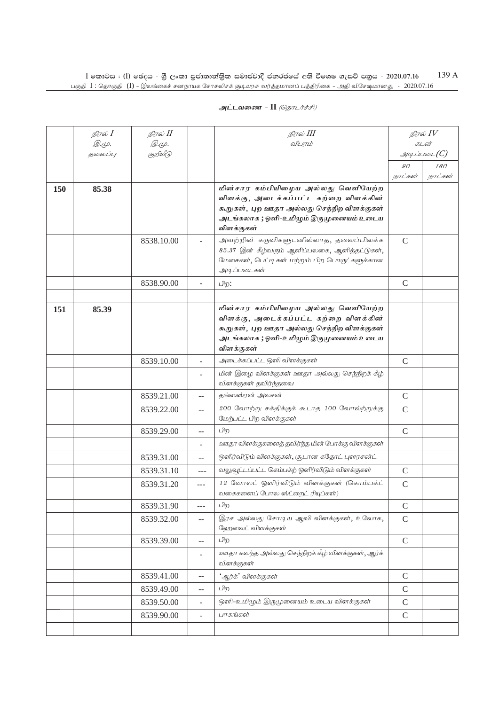| அட்டவணை - II <i>(தொடர்ச்சி)</i> |  |
|---------------------------------|--|
|---------------------------------|--|

|     | நிரல் $I$               | நிரல் II                 |                          | நிரல் III                                                                                                                                                                          |               | நிரல் $IV$                                   |
|-----|-------------------------|--------------------------|--------------------------|------------------------------------------------------------------------------------------------------------------------------------------------------------------------------------|---------------|----------------------------------------------|
|     | <i>@.cp.</i><br>தலைப்பு | <i>@.cp.</i><br>குறியீடு |                          | விபரம்                                                                                                                                                                             |               | கடன்<br>$\mathcal{A}\mathcal{A}$ ப்படை $(C)$ |
|     |                         |                          |                          |                                                                                                                                                                                    | 90            | 180                                          |
|     |                         |                          |                          |                                                                                                                                                                                    | நாட்கள்       | நாட்கள்                                      |
| 150 | 85.38                   |                          |                          | மின்சார கம்பியிழைய அல்லது வெளியேற்ற<br>விளக்கு, அடைக்கப்பட்ட கற்றை விளக்கின்<br>கூறுகள், புற ஊதா அல்லது செந்நிற விளக்குகள்<br>அடங்கலாக ; ஒளி-உமிழும் இருமுனையம் உடைய<br>விளக்குகள் |               |                                              |
|     |                         | 8538.10.00               |                          | அவற்றின் கருவிகளுடனில்லாத, தலைப்பிலக்க<br>85.37 இன் கீழ்வரும் ஆளிப்பலகை, ஆளித்தட்டுகள்,<br>மேசைகள், பெட்டிகள் மற்றும் பிற பொருட்களுக்கான<br>அடிப்படைகள்                            | $\mathsf{C}$  |                                              |
|     |                         | 8538.90.00               |                          | பிற:                                                                                                                                                                               | $\mathcal{C}$ |                                              |
| 151 | 85.39                   |                          |                          | மின்சார கம்பியிழைய அல்லது வெளியேற்ற<br>விளக்கு, அடைக்கப்பட்ட கற்றை விளக்கின்<br>கூறுகள், புற ஊதா அல்லது செந்நிற விளக்குகள்<br>அடங்கலாக ; ஒளி-உமிழும் இருமுனையம் உடைய<br>விளக்குகள் |               |                                              |
|     |                         | 8539.10.00               | ÷                        | அடைக்கப்பட்ட ஒளி விளக்குகள்                                                                                                                                                        | $\mathcal{C}$ |                                              |
|     |                         |                          | ٠                        | மின் இழை விளக்குகள் ஊதா அல்லது செந்நிறக் கீழ்<br>விளக்குகள் தவிர்ந்தவை                                                                                                             |               |                                              |
|     |                         | 8539.21.00               | $-$                      | தங்ஸஸ்ரன் அலசன்                                                                                                                                                                    | $\mathsf{C}$  |                                              |
|     |                         | 8539.22.00               | $-$                      | 200 வோற்று சக்திக்குக் கூடாத 100 வோல்ற்றுக்கு<br>மேற்பட்ட பிற விளக்குகள்                                                                                                           | $\mathsf{C}$  |                                              |
|     |                         | 8539.29.00               | --                       | பிற                                                                                                                                                                                | $\mathcal{C}$ |                                              |
|     |                         |                          | ٠                        | ஊதா விளக்குகளைத் தவிர்ந்த மின் போக்கு விளக்குகள்                                                                                                                                   |               |                                              |
|     |                         | 8539.31.00               | --                       | ஒளிர்விடும் விளக்குகள், சூடான கதோட் புளரசன்ட்                                                                                                                                      |               |                                              |
|     |                         | 8539.31.10               | ---                      | வலுவூட்டப்பட்ட கெம்பக்ற் ஒளிர்விடும் விளக்குகள்                                                                                                                                    | $\mathcal{C}$ |                                              |
|     |                         | 8539.31.20               | $---$                    | 12 வோலட் ஒளிர்விடும் விளக்குகள் (கொம்பக்ட்<br>வகைகளைப் போல ஸ்ட்றைட் ரியுப்கள்)                                                                                                     | $\mathcal{C}$ |                                              |
|     |                         | 8539.31.90               | $\overline{a}$           | பிற                                                                                                                                                                                | $\mathcal{C}$ |                                              |
|     |                         | 8539.32.00               | $- -$                    | இரச அல்லது சோடிய ஆவி விளக்குகள், உலோக,<br>ஹேலைட் விளக்குகள்                                                                                                                        | $\mathsf{C}$  |                                              |
|     |                         | 8539.39.00               | --                       | பிற                                                                                                                                                                                | $\mathbf C$   |                                              |
|     |                         |                          | $\overline{\phantom{0}}$ | ஊதா கலந்த அல்லது செந்நிறக் கீழ் விளக்குகள், ஆர்க்<br>விளக்குகள்                                                                                                                    |               |                                              |
|     |                         | 8539.41.00               | $-$                      | 'ஆர்க்' விளக்குகள்                                                                                                                                                                 | $\mathsf C$   |                                              |
|     |                         | 8539.49.00               | $- -$                    | பிற                                                                                                                                                                                | $\mathsf C$   |                                              |
|     |                         | 8539.50.00               | $\overline{\phantom{0}}$ | ஒளி-உமிழும் இருமுனையம் உடைய விளக்குகள்                                                                                                                                             | $\mathcal{C}$ |                                              |
|     |                         | 8539.90.00               | $\overline{\phantom{0}}$ | பாகங்கள்                                                                                                                                                                           | $\mathsf C$   |                                              |
|     |                         |                          |                          |                                                                                                                                                                                    |               |                                              |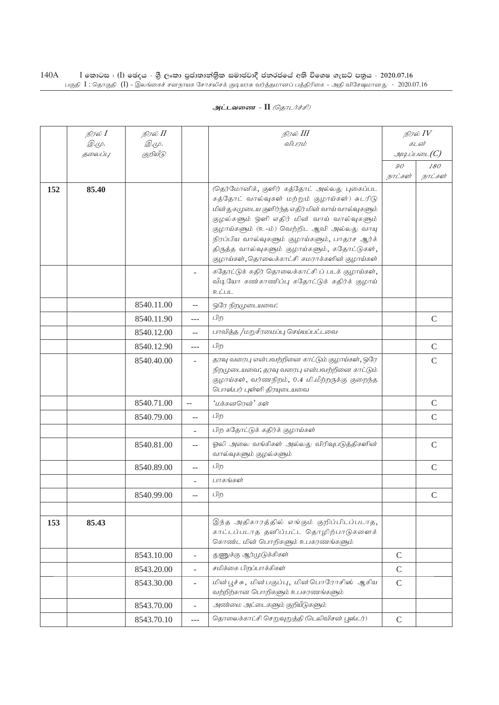|     | நிரல் <b>I</b>         | நிரல் II    |                           | நிரல் III                                                                                                                                                                                                                                                                                                                                                                                       |               | நிரல் $IV$                           |
|-----|------------------------|-------------|---------------------------|-------------------------------------------------------------------------------------------------------------------------------------------------------------------------------------------------------------------------------------------------------------------------------------------------------------------------------------------------------------------------------------------------|---------------|--------------------------------------|
|     | $\mathcal{D}.\varphi.$ | <i>©.Ψ.</i> |                           | விபரம்                                                                                                                                                                                                                                                                                                                                                                                          |               | கடன்                                 |
|     | <b>தலைப்பு</b>         | குறியீடு    |                           |                                                                                                                                                                                                                                                                                                                                                                                                 | 90            | $\mathcal{A}\mathcal{A}$ ப்படை $(C)$ |
|     |                        |             |                           |                                                                                                                                                                                                                                                                                                                                                                                                 | நாட்கள்       | 180<br>நாட்கள்                       |
| 152 | 85.40                  |             |                           | (தெர்மோனிக், குளிர் கத்தோட் அல்லது புகைப்பட<br>கத்தோட் வால்வுகள் மற்றும் குழாய்கள்) சுடரிடு<br>மின்துகமுடைய குளிர்ந்த எதிர் மின் வாய் வால்வுகளும்<br>குழல்களும் ஒளி எதிர் மின் வாய் வால்வுகளும்<br>குழாய்களும் (உ-ம்) வெற்றிட ஆவி அல்லது வாயு<br>நிரப்பிய வால்வுகளும் குழாய்களும், பாதரச ஆர்க்<br>திருத்த வால்வுகளும் குழாய்களும், கதோட்டுகள்,<br>குழாய்கள், தொலைக்காட்சி கமராக்களின் குழாய்கள் |               |                                      |
|     |                        |             |                           | கதோட்டுக் கதிர் தொலைக்காட்சி ப் படக் குழாய்கள்,<br>வீடியோ கண்காணிப்பு கதோட்டுக் கதிர்க் குழாய்<br>உட்பட                                                                                                                                                                                                                                                                                         |               |                                      |
|     |                        | 8540.11.00  | $-$                       | ஒரே நிறமுடையவை:                                                                                                                                                                                                                                                                                                                                                                                 |               |                                      |
|     |                        | 8540.11.90  | ---                       | பிற                                                                                                                                                                                                                                                                                                                                                                                             |               | $\mathcal{C}$                        |
|     |                        | 8540.12.00  | $\overline{a}$            | பாவித்த /மறுசீரமைப்பு செய்யப்பட்டவை                                                                                                                                                                                                                                                                                                                                                             |               |                                      |
|     |                        | 8540.12.90  | $---$                     | பிற                                                                                                                                                                                                                                                                                                                                                                                             |               | $\mathsf{C}$                         |
|     |                        | 8540.40.00  | ä,                        | தரவு வரைபு என்பவற்றினை காட்டும் குழாய்கள், ஒரே<br>நிறமுடையவை; தரவு வரைபு என்பவற்றினை காட்டும்<br>குழாய்கள், வர்ணநிறம், 0.4 மி.மீற்றருக்கு குறைந்த<br>பொஸ்பர் புள்ளி திரயுடையவை                                                                                                                                                                                                                  |               | $\mathcal{C}$                        |
|     |                        | 8540.71.00  | $\mathbb{L}^{\mathbb{L}}$ | 'மக்கனரென்' கள்                                                                                                                                                                                                                                                                                                                                                                                 |               | $\mathcal{C}$                        |
|     |                        | 8540.79.00  | $\sim$                    | பிற                                                                                                                                                                                                                                                                                                                                                                                             |               | $\mathsf{C}$                         |
|     |                        |             | ÷.                        | பிற கதோட்டுக் கதிர்க் குழாய்கள்                                                                                                                                                                                                                                                                                                                                                                 |               |                                      |
|     |                        | 8540.81.00  | --                        | ஓலி அலை வங்கிகள் அல்லது விரிவுபடுத்திகளின்<br>வால்வுகளும் குழல்களும்                                                                                                                                                                                                                                                                                                                            |               | $\mathsf{C}$                         |
|     |                        | 8540.89.00  | $-$                       | பிற                                                                                                                                                                                                                                                                                                                                                                                             |               | $\mathcal{C}$                        |
|     |                        |             | ÷.                        | பாகங்கள்                                                                                                                                                                                                                                                                                                                                                                                        |               |                                      |
|     |                        | 8540.99.00  | --                        | பிற                                                                                                                                                                                                                                                                                                                                                                                             |               | $\mathcal{C}$                        |
|     |                        |             |                           |                                                                                                                                                                                                                                                                                                                                                                                                 |               |                                      |
| 153 | 85.43                  |             |                           | இந்த அதிகாரத்தில் எங்கும் குறிப்பிடப்படாத,<br>காட்டப்படாத தனிப்பட்ட தொழிற்பாடுகளைக்<br>கொண்ட மின் பொறிகளும் உபகரணங்களும்                                                                                                                                                                                                                                                                        |               |                                      |
|     |                        | 8543.10.00  | L.                        | துணுக்கு ஆர்முடுக்கிகள்                                                                                                                                                                                                                                                                                                                                                                         | $\mathcal{C}$ |                                      |
|     |                        | 8543.20.00  | $\overline{a}$            | சமிக்கை பிறப்பாக்கிகள்                                                                                                                                                                                                                                                                                                                                                                          | $\mathsf{C}$  |                                      |
|     |                        | 8543.30.00  | $\overline{a}$            | மின்பூச்சு, மின்பகுப்பு, மின்பொரோசிஸ் ஆகிய<br>வற்றிற்கான பொறிகளும் உபகரணங்களும்                                                                                                                                                                                                                                                                                                                 | $\mathcal{C}$ |                                      |
|     |                        | 8543.70.00  | $\overline{a}$            | அண்மை அட்டைகளும் குறியீடுகளும்                                                                                                                                                                                                                                                                                                                                                                  |               |                                      |
|     |                        | 8543.70.10  | ---                       | தொலைக்காட்சி செறுவுறுத்தி (டெலிவிசன் பூஸ்டர்)                                                                                                                                                                                                                                                                                                                                                   | $\mathsf{C}$  |                                      |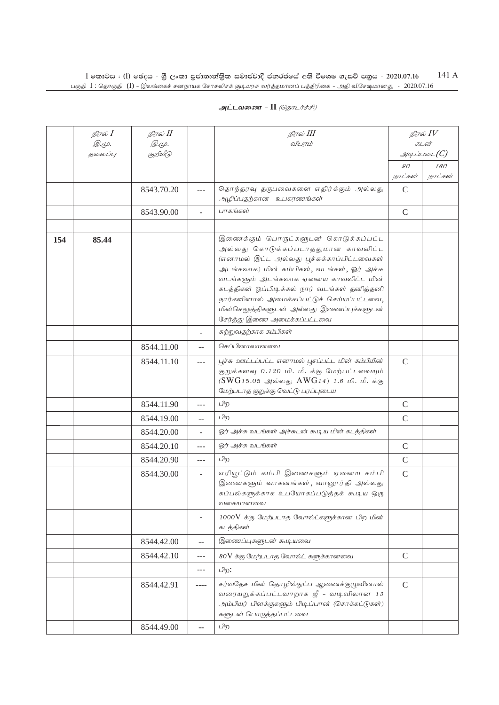| அட்டவணை - II <i>(தொடர்ச்சி)</i> |
|---------------------------------|
|                                 |

|     | நிரல் $I$<br><i>@.cp.</i><br>தலைப்பு | நிரல் II<br><i>@.cp.</i><br>குறியீடு |                | நிரல் III<br>விபரம்                                                                                                                                                                                                                                                                                                                                                                        |               | நிரல் $IV$<br>கடன்<br>$\mathcal{I}\!\!H$ <i><math>\mathcal{I}</math> in 16</i> 01 (C) |
|-----|--------------------------------------|--------------------------------------|----------------|--------------------------------------------------------------------------------------------------------------------------------------------------------------------------------------------------------------------------------------------------------------------------------------------------------------------------------------------------------------------------------------------|---------------|---------------------------------------------------------------------------------------|
|     |                                      |                                      |                |                                                                                                                                                                                                                                                                                                                                                                                            | $90^{\circ}$  | 180                                                                                   |
|     |                                      |                                      |                |                                                                                                                                                                                                                                                                                                                                                                                            | நாட்கள்       | நாட்கள்                                                                               |
|     |                                      | 8543.70.20                           | ---            | தொந்தரவு தருபவைகளை எதிர்க்கும் அல்லது<br>அழிப்பதற்கான உபகரணங்கள்                                                                                                                                                                                                                                                                                                                           | $\mathcal{C}$ |                                                                                       |
|     |                                      | 8543.90.00                           | $\overline{a}$ | பாகங்கள்                                                                                                                                                                                                                                                                                                                                                                                   | $\mathcal{C}$ |                                                                                       |
|     |                                      |                                      |                |                                                                                                                                                                                                                                                                                                                                                                                            |               |                                                                                       |
| 154 | 85.44                                |                                      |                | இணைக்கும் பொருட்களுடன் கொடுக்கப்பட்ட<br>அல்லது கொடுக்கப்படாததுமான காவலிட்ட<br>(எனாமல் இட்ட அல்லது பூச்சுக்காப்பிட்டவைகள்<br>அடங்கலாக) மின் கம்பிகள், வடங்கள், ஓர் அச்சு<br>வடங்களும் அடங்கலாக ஏனைய காவலிட்ட மின்<br>கடத்திகள் ஒப்பிடிக்கல் நார் வடங்கள் தனித்தனி<br>நார்களினால் அமைக்கப்பட்டுச் செய்யப்பட்டவை,<br>மின்செலுத்திகளுடன் அல்லது இணைப்புக்களுடன்<br>சேர்த்து இணை அமைக்கப்பட்டவை |               |                                                                                       |
|     |                                      |                                      | ÷              | சுற்றுவதற்காக கம்பிகள்                                                                                                                                                                                                                                                                                                                                                                     |               |                                                                                       |
|     |                                      | 8544.11.00                           | $-$            | செப்பினாலானவை                                                                                                                                                                                                                                                                                                                                                                              |               |                                                                                       |
|     |                                      | 8544.11.10                           | $\overline{a}$ | பூச்சு ஊட்டப்பட்ட எனாமல் பூசப்பட்ட மின் கம்பியின்<br>குறுக்களவு 0.120 மி. மீ. க்கு மேற்பட்டவையும்<br>(SWG15.05 அல்லது AWG14) 1.6 மி. மீ. க்கு<br>மேற்படாத குறுக்கு வெட்டு பரப்புடைய                                                                                                                                                                                                        | $\mathcal{C}$ |                                                                                       |
|     |                                      | 8544.11.90                           | ---            | பிற                                                                                                                                                                                                                                                                                                                                                                                        | $\mathcal{C}$ |                                                                                       |
|     |                                      | 8544.19.00                           | $-$            | பிற                                                                                                                                                                                                                                                                                                                                                                                        | $\mathcal{C}$ |                                                                                       |
|     |                                      | 8544.20.00                           | ÷              | ஓர் அச்சு வடங்கள் அச்சுடன் கூடிய மின் கடத்திகள்                                                                                                                                                                                                                                                                                                                                            |               |                                                                                       |
|     |                                      | 8544.20.10                           | ---            | ஓர் அச்சு வடங்கள்                                                                                                                                                                                                                                                                                                                                                                          | $\mathsf C$   |                                                                                       |
|     |                                      | 8544.20.90                           | ---            | பிற                                                                                                                                                                                                                                                                                                                                                                                        | $\mathsf{C}$  |                                                                                       |
|     |                                      | 8544.30.00                           | ÷.             | எரியூட்டும் கம்பி இணைகளும் ஏனைய கம்பி<br>இணைகளும் வாகனங்கள், வானூர்தி அல்லது<br>கப்பல்களுக்காக உபயோகப்படுத்தக் கூடிய ஒரு<br>வகையானவை                                                                                                                                                                                                                                                       | $\mathcal{C}$ |                                                                                       |
|     |                                      |                                      | ÷,             | $1000V$ க்கு மேற்படாத வோல்ட்களுக்கான பிற மின்<br>கடத்திகள்                                                                                                                                                                                                                                                                                                                                 |               |                                                                                       |
|     |                                      | 8544.42.00                           | $-$            | இணைப்புகளுடன் கூடியவை                                                                                                                                                                                                                                                                                                                                                                      |               |                                                                                       |
|     |                                      | 8544.42.10                           | $\overline{a}$ | 80V க்கு மேற்படாத வோல்ட் களுக்கானவை                                                                                                                                                                                                                                                                                                                                                        | $\mathsf C$   |                                                                                       |
|     |                                      |                                      | $\overline{a}$ | பிற:                                                                                                                                                                                                                                                                                                                                                                                       |               |                                                                                       |
|     |                                      | 8544.42.91                           | $---$          | சர்வதேச மின் தொழில்நுட்ப ஆணைக்குழுவினால்<br>வரையறுக்கப்பட்டவாறாக ஜீ - வடிவிலான 13<br>அம்பியர் பிளக்குகளும் பிடிப்பான் (சொக்கட்டுகள்)<br>களுடன் பொருத்தப்பட்டவை                                                                                                                                                                                                                             | $\mathcal{C}$ |                                                                                       |
|     |                                      | 8544.49.00                           | $-$            | பிற                                                                                                                                                                                                                                                                                                                                                                                        |               |                                                                                       |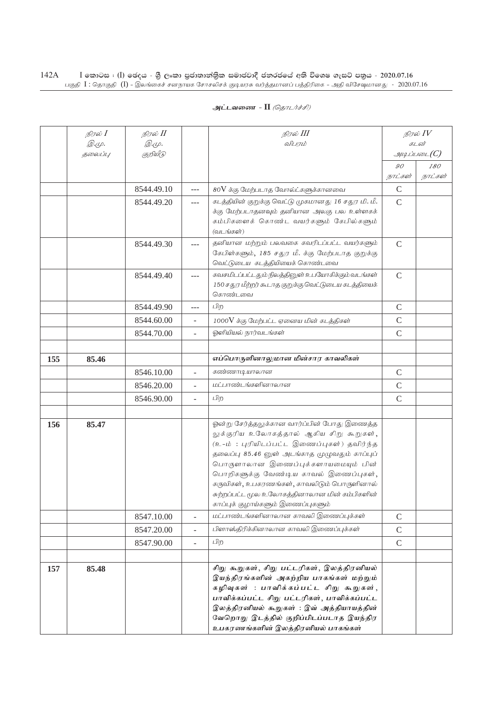| அட்டவணை - II <i>(தொடர்ச்சி)</i> |  |  |  |
|---------------------------------|--|--|--|
|---------------------------------|--|--|--|

|     | நிரல் $I$   | நிரல் II     |                | நிரல் III                                                                                                                                                                                                                                                                                                                                                                                               |               | நிரல் $\mathit{IV}$ |
|-----|-------------|--------------|----------------|---------------------------------------------------------------------------------------------------------------------------------------------------------------------------------------------------------------------------------------------------------------------------------------------------------------------------------------------------------------------------------------------------------|---------------|---------------------|
|     | <i>©.Ψ.</i> | <i>@.cp.</i> |                | விபரம்                                                                                                                                                                                                                                                                                                                                                                                                  |               | கடன்                |
|     | தலைப்பு     | குறியீடு     |                |                                                                                                                                                                                                                                                                                                                                                                                                         |               | $\mathcal G$        |
|     |             |              |                |                                                                                                                                                                                                                                                                                                                                                                                                         | 90<br>நாட்கள் | 180<br>நாட்கள்      |
|     |             |              |                |                                                                                                                                                                                                                                                                                                                                                                                                         | $\mathcal{C}$ |                     |
|     |             | 8544.49.10   | $---$          | 80V க்கு மேற்படாத வோல்ட்களுக்கானவை                                                                                                                                                                                                                                                                                                                                                                      |               |                     |
|     |             | 8544.49.20   | ---            | கடத்தியின் குறுக்கு வெட்டு முகமானது 16 சதுர மி. மீ.<br>க்கு மேற்படாதனவும் தனியான அலகு பல உள்ளகக்<br>கம்பிகளைக் கொண்ட வயர்களும் கேபில்களும்<br>(வடங்கள்)                                                                                                                                                                                                                                                 | $\mathcal{C}$ |                     |
|     |             | 8544.49.30   | ---            | தனியான மற்றும் பலவகை கவரிடப்பட்ட வயர்களும்<br>கேபிள்களும், 185 சதுர மீ. க்கு மேற்படாத குறுக்கு<br>வெட்டுடைய கடத்தியியைக் கொண்டவை                                                                                                                                                                                                                                                                        | $\mathcal{C}$ |                     |
|     |             | 8544.49.40   |                | கவசமிடப்பட்டதும் நிலத்தினுள் உபயோகிக்கும் வடங்கள்<br>150 சதுர மீற்றர் கூடாத குறுக்கு வெட்டுடைய கடத்தியைக்<br>கொண்டவை                                                                                                                                                                                                                                                                                    | $\mathcal{C}$ |                     |
|     |             | 8544.49.90   | $---$          | பிற                                                                                                                                                                                                                                                                                                                                                                                                     | $\mathcal{C}$ |                     |
|     |             | 8544.60.00   |                | $1000V$ க்கு மேற்பட்ட ஏனைய மின் கடத்திகள்                                                                                                                                                                                                                                                                                                                                                               | $\mathsf{C}$  |                     |
|     |             | 8544.70.00   | $\overline{a}$ | ஓளியியல் நார்வடங்கள்                                                                                                                                                                                                                                                                                                                                                                                    | $\mathcal{C}$ |                     |
|     |             |              |                |                                                                                                                                                                                                                                                                                                                                                                                                         |               |                     |
| 155 | 85.46       |              |                | எப்பொருளினாலுமான மின்சார காவலிகள்                                                                                                                                                                                                                                                                                                                                                                       |               |                     |
|     |             | 8546.10.00   | $\overline{a}$ | கண்ணாடியாலான                                                                                                                                                                                                                                                                                                                                                                                            | $\mathcal{C}$ |                     |
|     |             | 8546.20.00   | ÷.             | மட்பாண்டங்களினாலான                                                                                                                                                                                                                                                                                                                                                                                      | $\mathcal{C}$ |                     |
|     |             | 8546.90.00   | $\overline{a}$ | பிற                                                                                                                                                                                                                                                                                                                                                                                                     | $\mathcal{C}$ |                     |
|     |             |              |                |                                                                                                                                                                                                                                                                                                                                                                                                         |               |                     |
| 156 | 85.47       |              |                | ஓன்று சேர்த்தலுக்கான வார்ப்பின் போது இணைத்த<br>லுக்குரிய உலோகத்தால் ஆகிய சிறு கூறுகள்,<br>(உ-ம்: புரியிடப்பட்ட இணைப்புகள்) தவிர்ந்த<br>தலைப்பு 85.46 னுள் அடங்காத முழுவதும் காப்புப்<br>பொருளாலான இணைப்புக்களாயமையும் பின்<br>பொறிகளுக்கு வேண்டிய காவல் இணைப்புகள்,<br>கருவிகள், உபகரணங்கள், காவலிடும் பொருளினால்<br>சுற்றப்பட்ட மூல உலோகத்தினாலான மின் கம்பிகளின்<br>காப்புக் குழாய்களும் இணைப்புகளும் |               |                     |
|     |             | 8547.10.00   | $\overline{a}$ | மட்பாண்டங்களினாலான காவலி இணைப்புக்கள்                                                                                                                                                                                                                                                                                                                                                                   | $\mathsf{C}$  |                     |
|     |             | 8547.20.00   | $\overline{a}$ | பிளாஸ்திரிக்கினாலான காவலி இணைப்புக்கள்                                                                                                                                                                                                                                                                                                                                                                  | $\mathbf C$   |                     |
|     |             | 8547.90.00   | $\overline{a}$ | பிற                                                                                                                                                                                                                                                                                                                                                                                                     | $\mathcal{C}$ |                     |
|     |             |              |                |                                                                                                                                                                                                                                                                                                                                                                                                         |               |                     |
| 157 | 85.48       |              |                | சிறு கூறுகள், சிறு பட்டரிகள், இலத்திரனியல்<br>இயந்திரங்களின் அகற்றிய பாகங்கள் மற்றும்<br>கழிவுகள் : பாவிக்கப்பட்ட சிறு கூறுகள்,<br>பாவிக்கப்பட்ட சிறு பட்டரிகள், பாவிக்கப்பட்ட<br>இலத்திரனியல் கூறுகள் : இவ் அத்தியாயத்தின்<br>வேறொறு இடத்தில் குறிப்பிடப்படாத இயந்திர<br>உபகரணங்களின் இலத்திரனியல் பாகங்கள்                                                                                            |               |                     |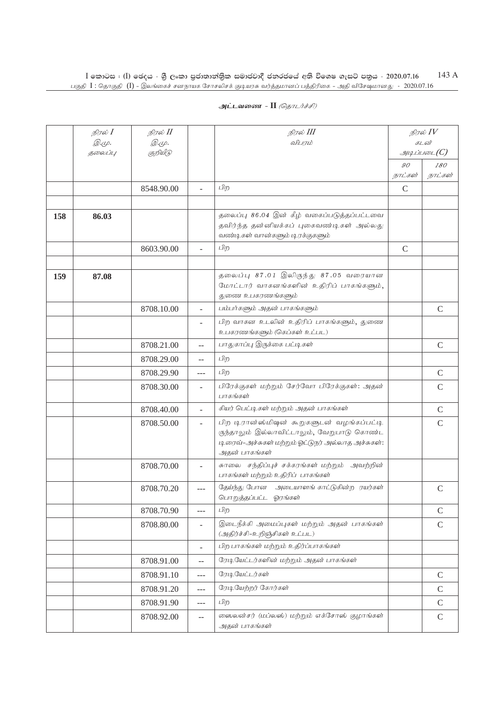|     | நிரல் <b>I</b><br>Q.Ψ.<br>தலைப்பு | நிரல் II<br><i>@.cp.</i><br>குறியீடு |                          | நிரல் III<br>விபரம்                                                                                                                                           |                           | நிரல் IV<br>கடன்<br>$g_{\mu\mu}$ ப்படை $(C)$ |
|-----|-----------------------------------|--------------------------------------|--------------------------|---------------------------------------------------------------------------------------------------------------------------------------------------------------|---------------------------|----------------------------------------------|
|     |                                   |                                      |                          |                                                                                                                                                               | $\mathcal{O}O$<br>நாட்கள் | 180<br>நாட்கள்                               |
|     |                                   | 8548.90.00                           |                          | பிற                                                                                                                                                           | $\mathsf{C}$              |                                              |
|     |                                   |                                      |                          |                                                                                                                                                               |                           |                                              |
| 158 | 86.03                             |                                      |                          | தலைப்பு 86.04 இன் கீழ் வகைப்படுத்தப்பட்டவை<br>தவிர்ந்த தன்னியக்கப் புகைவண்டிகள் அல்லது<br>வண்டிகள் வான்களும் டிரக்குகளும்                                     |                           |                                              |
|     |                                   | 8603.90.00                           |                          | பிற                                                                                                                                                           | $\mathcal{C}$             |                                              |
|     |                                   |                                      |                          |                                                                                                                                                               |                           |                                              |
| 159 | 87.08                             |                                      |                          | தலைப்பு 87.01 இலிருந்து 87.05 வரையான<br>மோட்டார் வாகனங்களின் உதிரிப் பாகங்களும்,<br>துணை உபகரணங்களும்                                                         |                           |                                              |
|     |                                   | 8708.10.00                           |                          | பம்பர்களும் அதன் பாகங்களும்                                                                                                                                   |                           | $\mathsf{C}$                                 |
|     |                                   |                                      |                          | பிற வாகன உடலின் உதிரிப் பாகங்களும், துணை<br>உபகரணங்களும் (கெப்கள் உட்பட)                                                                                      |                           |                                              |
|     |                                   | 8708.21.00                           | $-$                      | பாதுகாப்பு இருக்கை பட்டிகள்                                                                                                                                   |                           | $\mathsf{C}$                                 |
|     |                                   | 8708.29.00                           | $-$                      | பிற                                                                                                                                                           |                           |                                              |
|     |                                   | 8708.29.90                           | $---$                    | பிற                                                                                                                                                           |                           | $\mathcal{C}$                                |
|     |                                   | 8708.30.00                           | ÷                        | பிரேக்குகள் மற்றும் சேர்வோ பிரேக்குகள்: அதன்<br>பாகங்கள்                                                                                                      |                           | $\mathcal{C}$                                |
|     |                                   | 8708.40.00                           | ÷.                       | கியர் பெட்டிகள் மற்றும் அதன் பாகங்கள்                                                                                                                         |                           | $\mathcal{C}$                                |
|     |                                   | 8708.50.00                           | $\overline{\phantom{a}}$ | பிற டிரான்ஸ்மிஷன் கூறுகளுடன் வழங்கப்பட்டி<br>ருந்தாலும் இல்லாவிட்டாலும், வேறுபாடு கொண்ட<br>டிரைவ்-அச்சுகள் மற்றும் ஓட்டுநர் அல்லாத அச்சுகள்:<br>அதன் பாகங்கள் |                           | $\mathcal{C}$                                |
|     |                                   | 8708.70.00                           |                          | சுாலை சந்திப்புச் சக்கரங்கள் மற்றும் அவற்றின்<br>பாகங்கள் மற்றும் உதிரிப் பாகங்கள்                                                                            |                           |                                              |
|     |                                   | 8708.70.20                           | $---$                    | தேய்ந்து போன அடையாளங் காட்டுகின்ற ரயர்கள்<br>பொறுத்தப்பட்ட ஓரங்கள்                                                                                            |                           | $\mathsf{C}$                                 |
|     |                                   | 8708.70.90                           | ---                      | பிற                                                                                                                                                           |                           | $\mathcal{C}$                                |
|     |                                   | 8708.80.00                           | ÷,                       | இடைநீக்கி அமைப்புகள் மற்றும் அதன் பாகங்கள்<br>(அதிர்ச்சி-உறிஞ்சிகள் உட்பட)                                                                                    |                           | $\mathsf{C}$                                 |
|     |                                   |                                      | ÷.                       | பிற பாகங்கள் மற்றும் உதிர்ப்பாகங்கள்                                                                                                                          |                           |                                              |
|     |                                   | 8708.91.00                           | $\overline{a}$           | ரேடியேட்டர்களின் மற்றும் அதன் பாகங்கள்                                                                                                                        |                           |                                              |
|     |                                   | 8708.91.10                           | ---                      | ரேடியேட்டர்கள்                                                                                                                                                |                           | $\mathcal{C}$                                |
|     |                                   | 8708.91.20                           | $---$                    | ரேடியேற்றர் கோர்கள்                                                                                                                                           |                           | $\mathcal{C}$                                |
|     |                                   | 8708.91.90                           | $---$                    | பிற                                                                                                                                                           |                           | $\mathbf C$                                  |
|     |                                   | 8708.92.00                           | $\overline{\phantom{a}}$ | லைலன்சர் (மப்லஸ்) மற்றும் எக்சோஸ் குழாங்கள்<br>அதன் பாகங்கள்                                                                                                  |                           | $\mathsf C$                                  |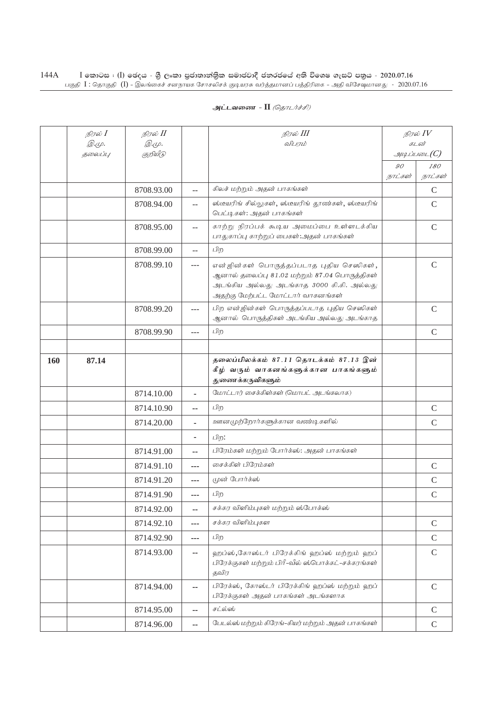|     | நிரல் <b>I</b> | நிரல் <b>II</b> |                | நிரல் III                                                                                                                                                                    | நிரல் $IV$           |                |
|-----|----------------|-----------------|----------------|------------------------------------------------------------------------------------------------------------------------------------------------------------------------------|----------------------|----------------|
|     | <i>©.</i> Ψ.   | <i>@.cp.</i>    |                | விபரம்                                                                                                                                                                       | கடன்<br>$\mathcal G$ |                |
|     | தலைப்பு        | குறியீடு        |                |                                                                                                                                                                              | 90                   |                |
|     |                |                 |                |                                                                                                                                                                              | நாட்கள்              | 180<br>நாட்கள் |
|     |                | 8708.93.00      | $-$            | கிலச் மற்றும் அதன் பாகங்கள்                                                                                                                                                  |                      | $\mathcal{C}$  |
|     |                | 8708.94.00      | $-$            | ஸ்டீயரிங் சில்லுகள், ஸ்டீயரிங் தூண்கள், ஸ்டீயரிங்<br>பெட்டிகள்: அதன் பாகங்கள்                                                                                                |                      | $\mathsf{C}$   |
|     |                | 8708.95.00      | $\overline{a}$ | காற்று நிரப்பக் கூடிய அமைப்பை உள்ளடக்கிய<br>பாதுகாப்பு காற்றுப் பைகள்:அதன் பாகங்கள்                                                                                          |                      | $\mathsf{C}$   |
|     |                | 8708.99.00      | --             | பிற                                                                                                                                                                          |                      |                |
|     |                | 8708.99.10      | $---$          | என் ஜின்கள் பொருத்தப்படாத புதிய செஸிகள்,<br>ஆனால் தலைப்பு 81.02 மற்றும் 87.04 பொருத்திகள்<br>அடங்கிய அல்லது அடங்காத 3000 கி.கி. அல்லது<br>அதற்கு மேற்பட்ட மோட்டார் வாகனங்கள் |                      | $\mathsf{C}$   |
|     |                | 8708.99.20      | $---$          | பிற என்ஜின்கள் பொருத்தப்படாத புதிய செஸிகள்<br>ஆனால் பொருத்திகள் அடங்கிய அல்லது அடங்காத                                                                                       |                      | $\mathsf{C}$   |
|     |                | 8708.99.90      | ---            | பிற                                                                                                                                                                          |                      | $\mathcal{C}$  |
|     |                |                 |                |                                                                                                                                                                              |                      |                |
| 160 | 87.14          |                 |                | தலைப்பிலக்கம் 87.11 தொடக்கம் 87.13 இன்<br>கீழ் வரும் வாகனங்களுக்கான பாகங்களும்<br>துணைக்கருவிகளும்                                                                           |                      |                |
|     |                | 8714.10.00      | ä,             | மோட்டார் சைக்கிள்கள் (மொபட் அடங்கலாக)                                                                                                                                        |                      |                |
|     |                | 8714.10.90      | --             | பிற                                                                                                                                                                          |                      | $\mathcal{C}$  |
|     |                | 8714.20.00      |                | ஊனமுற்றோர்களுக்கான வண்டிகளில்                                                                                                                                                |                      | $\mathsf{C}$   |
|     |                |                 |                | பிற:                                                                                                                                                                         |                      |                |
|     |                | 8714.91.00      | ۰.             | பிரேம்கள் மற்றும் போர்க்ஸ்: அதன் பாகங்கள்                                                                                                                                    |                      |                |
|     |                | 8714.91.10      | ---            | சைக்கிள் பிரேம்கள்                                                                                                                                                           |                      | $\mathsf{C}$   |
|     |                | 8714.91.20      | ---            | முன் போர்க்ஸ்                                                                                                                                                                |                      | $\mathcal{C}$  |
|     |                | 8714.91.90      | ---            | பிற                                                                                                                                                                          |                      | $\mathcal{C}$  |
|     |                | 8714.92.00      | ۰.             | சக்கர விளிம்புகள் மற்றும் ஸ்போக்ஸ்                                                                                                                                           |                      |                |
|     |                | 8714.92.10      | ---            | சக்கர விளிம்புகள                                                                                                                                                             |                      | $\mathsf{C}$   |
|     |                | 8714.92.90      | ---            | பிற                                                                                                                                                                          |                      | $\mathcal{C}$  |
|     |                | 8714.93.00      | ۰.             | ஹப்ஸ்,கோஸ்டர் பிரேக்கிங் ஹப்ஸ் மற்றும் ஹப்<br>பிரேக்குகள் மற்றும் பிரீ-வீல் ஸ்பொக்கட்-சக்கரங்கள்<br>தவிர                                                                     |                      | $\mathsf{C}$   |
|     |                | 8714.94.00      | ۰.             | பிரேக்ஸ், கோஸ்டர் பிரேக்கிங் ஹப்ஸ் மற்றும் ஹப்<br>பிரேக்குகள் அதன் பாகங்கள் அடங்களாக                                                                                         |                      | $\mathcal{C}$  |
|     |                | 8714.95.00      | --             | சட்ல்ஸ்                                                                                                                                                                      |                      | $\mathcal{C}$  |
|     |                | 8714.96.00      | ۰.             | பேடல்ஸ் மற்றும் கிரேங்-கியர் மற்றும் அதன் பாகங்கள்                                                                                                                           |                      | $\mathsf C$    |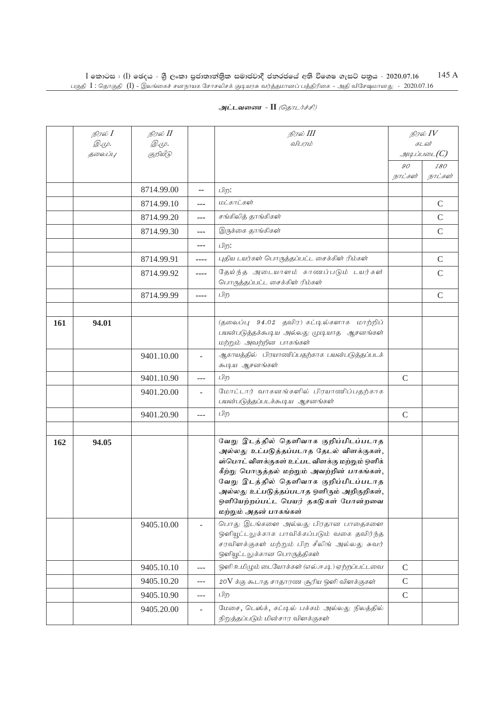| அட்டவணை - II <i>(தொடர்ச்சி)</i> |  |
|---------------------------------|--|
|---------------------------------|--|

|     | நிரல் I<br><i>@.cp.</i> | நிரல் II<br>Q. (L). |          | நிரல் III<br>விபரம்                                                                                                                                                                                                                                                                                                                       | நிரல் $IV$<br>கடன்      |                                                          |
|-----|-------------------------|---------------------|----------|-------------------------------------------------------------------------------------------------------------------------------------------------------------------------------------------------------------------------------------------------------------------------------------------------------------------------------------------|-------------------------|----------------------------------------------------------|
|     | தலைப்பு                 | குறியீடு            |          |                                                                                                                                                                                                                                                                                                                                           |                         | $\mathcal{A}$ uq Li $\iota$ roo $\iota_{\mathcal{L}}(C)$ |
|     |                         |                     |          |                                                                                                                                                                                                                                                                                                                                           | $90^{\circ}$<br>நாட்கள் | 180<br>நாட்கள்                                           |
|     |                         | 8714.99.00          | --       | பிற:                                                                                                                                                                                                                                                                                                                                      |                         |                                                          |
|     |                         | 8714.99.10          | ---      | மட்காட்கள்                                                                                                                                                                                                                                                                                                                                |                         | $\mathcal{C}$                                            |
|     |                         | 8714.99.20          | ---      | சங்கிலித் தாங்கிகள்                                                                                                                                                                                                                                                                                                                       |                         | $\mathcal{C}$                                            |
|     |                         | 8714.99.30          | ---      | இருக்கை தாங்கிகள்                                                                                                                                                                                                                                                                                                                         |                         | $\mathcal{C}$                                            |
|     |                         |                     | ---      | பிற:                                                                                                                                                                                                                                                                                                                                      |                         |                                                          |
|     |                         | 8714.99.91          | ----     | புதிய டயர்கள் பொருத்தப்பட்ட சைக்கிள் ரிம்கள்                                                                                                                                                                                                                                                                                              |                         | $\mathcal{C}$                                            |
|     |                         | 8714.99.92          | ----     | தேய்ந்த அடையாளம் காணப்படும் டயர்கள்<br>பொருத்தப்பட்ட சைக்கிள் ரிம்கள்                                                                                                                                                                                                                                                                     |                         | $\mathcal{C}$                                            |
|     |                         | 8714.99.99          | ----     | பிற                                                                                                                                                                                                                                                                                                                                       |                         | $\mathcal{C}$                                            |
|     |                         |                     |          |                                                                                                                                                                                                                                                                                                                                           |                         |                                                          |
| 161 | 94.01                   |                     |          | (தலைப்பு 94.02 தவிர) கட்டில்களாக மாற்றிப்<br>பயன்படுத்தக்கூடிய அல்லது முடியாத ஆசனங்கள்<br>மற்றும் அவற்றின பாகங்கள்                                                                                                                                                                                                                        |                         |                                                          |
|     |                         | 9401.10.00          |          | ஆகாயத்தில் பிரயாணிப்பதற்காக பயன்படுத்தப்படக்<br>கூடிய ஆசனங்கள்                                                                                                                                                                                                                                                                            |                         |                                                          |
|     |                         | 9401.10.90          | $\cdots$ | பிற                                                                                                                                                                                                                                                                                                                                       | $\mathcal{C}$           |                                                          |
|     |                         | 9401.20.00          | L.       | மோட்டார் வாகனங்களில் பிரயாணிப்பதற்காக<br>பயன்படுத்தப்படக்கூடிய ஆசனங்கள்                                                                                                                                                                                                                                                                   |                         |                                                          |
|     |                         | 9401.20.90          |          | பிற                                                                                                                                                                                                                                                                                                                                       | $\mathcal{C}$           |                                                          |
|     |                         |                     |          |                                                                                                                                                                                                                                                                                                                                           |                         |                                                          |
| 162 | 94.05                   |                     |          | வேறு இடத்தில் தெளிவாக குறிப்பிடப்படாத<br>அல்லது உட்படுத்தப்படாத தேடல் விளக்குகள்,<br>ஸ்பொட் விளக்குகள் உட்பட விளக்கு மற்றும் ஒளிக்<br>கீற்று பொருத்தல் மற்றும் அவற்றின் பாகங்கள்,<br>வேறு இடத்தில் தெளிவாக குறிப்பிடப்படாத<br>அல்லது உட்படுத்தப்படாத ஒளிரும் அறிகுறிகள்,<br>ஒளியேற்றப்பட்ட பெயர் தகடுகள் போன்றவை<br>மற்றும் அதன் பாகங்கள் |                         |                                                          |
|     |                         | 9405.10.00          |          | பொது இடங்களை அல்லது பிரதான பாதைகளை<br>ஒளியூட்டலுக்காக பாவிக்கப்படும் வகை தவிர்ந்த<br>சரவிளக்குகள் மற்றும் பிற சீலிங் அல்லது சுவர்<br>ஒளியுட்டலுக்கான பொருத்திகள்                                                                                                                                                                          |                         |                                                          |
|     |                         | 9405.10.10          | ---      | ஒளி உமிழும் டையோக்கள் (எல்.ஈ.டி.) ஏற்றப்பட்டவை                                                                                                                                                                                                                                                                                            | $\mathcal{C}$           |                                                          |
|     |                         | 9405.10.20          | ---      | $20\mathrm{V}$ க்கு கூடாத சாதாரண சூரிய ஒளி விளக்குகள்                                                                                                                                                                                                                                                                                     | $\mathcal{C}$           |                                                          |
|     |                         | 9405.10.90          | ---      | பிற                                                                                                                                                                                                                                                                                                                                       | $\mathcal{C}$           |                                                          |
|     |                         | 9405.20.00          | ÷.       | மேசை, டெஸ்க், கட்டில் பக்கம் அல்லது நிலத்தில்<br>நிறுத்தப்படும் மின்சார விளக்குகள்                                                                                                                                                                                                                                                        |                         |                                                          |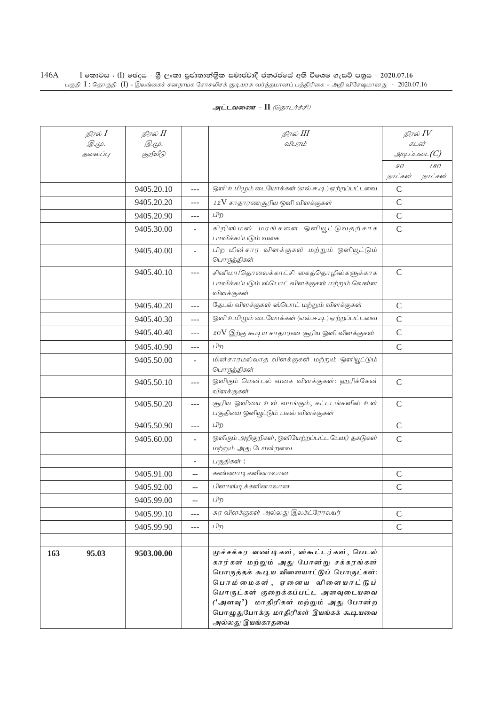| அட்டவணை - II <i>(தொடர்ச்சி)</i> |  |
|---------------------------------|--|
|---------------------------------|--|

|     | நிரல் $I$<br>Q. (L). | நிரல் II<br><i>@.cp.</i> |                          | நிரல் III<br>விபரம்                                                                                                                                                                                                                                                                                    | நிரல் $IV$<br>கடன்  |         |
|-----|----------------------|--------------------------|--------------------------|--------------------------------------------------------------------------------------------------------------------------------------------------------------------------------------------------------------------------------------------------------------------------------------------------------|---------------------|---------|
|     | தலைப்பு              | குறியீடு                 |                          |                                                                                                                                                                                                                                                                                                        | $g$ uq Liuson $(C)$ |         |
|     |                      |                          |                          |                                                                                                                                                                                                                                                                                                        | $\mathcal{G}O$      | 180     |
|     |                      |                          |                          |                                                                                                                                                                                                                                                                                                        | நாட்கள்             | நாட்கள் |
|     |                      | 9405.20.10               | $---$                    | ஒளி உமிழும் டையோக்கள் (எல்.ஈ.டி) ஏற்றப்பட்டவை                                                                                                                                                                                                                                                          | $\mathbf C$         |         |
|     |                      | 9405.20.20               | ---                      | $12V$ சாதாரணசூரிய ஒளி விளக்குகள்                                                                                                                                                                                                                                                                       | $\mathcal{C}$       |         |
|     |                      | 9405.20.90               | ---                      | பிற                                                                                                                                                                                                                                                                                                    | $\mathsf{C}$        |         |
|     |                      | 9405.30.00               |                          | கிறிஸ் மஸ் மரங்களை ஒளியூட்டுவதற்காக<br>பாவிக்கப்படும் வகை                                                                                                                                                                                                                                              | $\mathbf C$         |         |
|     |                      | 9405.40.00               |                          | பிற மின்சார விளக்குகள் மற்றும் ஒளியூட்டும்<br>பொருத்திகள்                                                                                                                                                                                                                                              |                     |         |
|     |                      | 9405.40.10               | ---                      | சினிமா/தொலைக்காட்சி கைத்தொழில்களுக்காக<br>பாவிக்கப்படும் ஸ்பொட் விளக்குகள் மற்றும் வெள்ள<br>விளக்குகள்                                                                                                                                                                                                 | $\mathcal{C}$       |         |
|     |                      | 9405.40.20               | ---                      | தேடல் விளக்குகள் ஸ்பொட் மற்றும் விளக்குகள்                                                                                                                                                                                                                                                             | $\mathsf{C}$        |         |
|     |                      | 9405.40.30               | $-$ - $-$                | ஒளி உமிழும் டையோக்கள் (எல்.ஈ.டி) ஏற்றப்பட்டவை                                                                                                                                                                                                                                                          | $\mathcal{C}$       |         |
|     |                      | 9405.40.40               | ---                      | $20\mathrm{V}$ இற்கு கூடிய சாதாரண சூரிய ஒளி விளக்குகள்                                                                                                                                                                                                                                                 | $\mathbf C$         |         |
|     |                      | 9405.40.90               | $---$                    | பிற                                                                                                                                                                                                                                                                                                    | $\mathcal{C}$       |         |
|     |                      | 9405.50.00               |                          | மின்சாரமல்லாத விளக்குகள் மற்றும் ஒளியூட்டும்<br>பொருத்திகள்                                                                                                                                                                                                                                            |                     |         |
|     |                      | 9405.50.10               | ---                      | ஒளிரும் மென்டல் வகை விளக்குகள்: ஹரிக்கேன்<br>விளக்குகள்                                                                                                                                                                                                                                                | $\mathsf{C}$        |         |
|     |                      | 9405.50.20               | $---$                    | சூரிய ஒளியை உள் வாங்கும், கட்டடங்களில் உள்<br>பகுதியை ஒளியூட்டும் பகல் விளக்குகள்                                                                                                                                                                                                                      | $\mathbf C$         |         |
|     |                      | 9405.50.90               | $---$                    | பிற                                                                                                                                                                                                                                                                                                    | $\mathsf{C}$        |         |
|     |                      | 9405.60.00               | $\overline{\phantom{a}}$ | ஒளிரும் அறிகுறிகள், ஒளியேற்றப்பட்ட பெயர் தகடுகள்<br>மற்றும் அது போன்றவை                                                                                                                                                                                                                                | $\mathsf{C}$        |         |
|     |                      |                          |                          | பகுதிகள்:                                                                                                                                                                                                                                                                                              |                     |         |
|     |                      | 9405.91.00               | --                       | கண்ணாடிகளினாலான                                                                                                                                                                                                                                                                                        | $\mathsf{C}$        |         |
|     |                      | 9405.92.00               | $-$                      | பிளாஸ்டிக்களினாலான                                                                                                                                                                                                                                                                                     | $\mathcal{C}$       |         |
|     |                      | 9405.99.00               |                          | பிற                                                                                                                                                                                                                                                                                                    |                     |         |
|     |                      | 9405.99.10               | ---                      | சுர விளக்குகள் அல்லது இலக்ட்ரோலயர்                                                                                                                                                                                                                                                                     | $\mathcal{C}$       |         |
|     |                      | 9405.99.90               | $---$                    | பிற                                                                                                                                                                                                                                                                                                    | $\mathcal{C}$       |         |
|     |                      |                          |                          |                                                                                                                                                                                                                                                                                                        |                     |         |
| 163 | 95.03                | 9503.00.00               |                          | முச்சக்கர வண்டிகள், ஸ்கூட்டர்கள், பெடல்<br>கார்கள் மற்றும் அது போன்று சக்கரங்கள்<br>பொருத்தக் கூடிய விளையாட்டுப் பொருட்கள்:<br>பொம்மைகள், ஏனைய விளையாட்டுப்<br>பொருட்கள் குறைக்கப்பட்ட அளவுடையவை<br>('அளவு') மாதிரிகள் மற்றும் அது போன்ற<br>பொழுதுபோக்கு மாதிரிகள் இயங்கக் கூடியவை<br>அல்லது இயங்காதவை |                     |         |